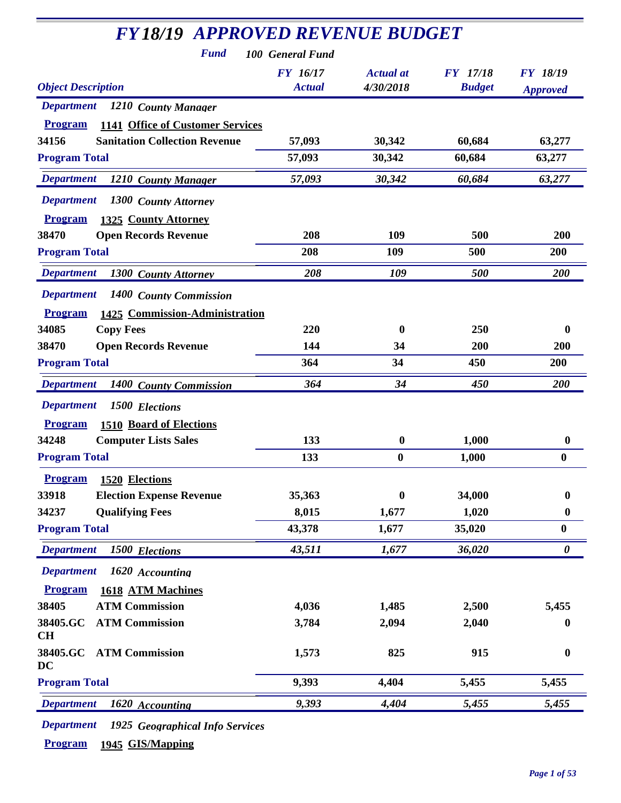| <b>FY18/19 APPROVED REVENUE BUDGET</b>             |                           |                               |                                  |                                    |
|----------------------------------------------------|---------------------------|-------------------------------|----------------------------------|------------------------------------|
| <b>Fund</b>                                        | 100 General Fund          |                               |                                  |                                    |
| <b>Object Description</b>                          | FY 16/17<br><b>Actual</b> | <b>Actual</b> at<br>4/30/2018 | <b>FY</b> 17/18<br><b>Budget</b> | <b>FY 18/19</b><br><b>Approved</b> |
| <b>Department</b><br>1210 County Manager           |                           |                               |                                  |                                    |
| 1141 Office of Customer Services<br><b>Program</b> |                           |                               |                                  |                                    |
| <b>Sanitation Collection Revenue</b><br>34156      | 57,093                    | 30,342                        | 60,684                           | 63,277                             |
| <b>Program Total</b>                               | 57,093                    | 30,342                        | 60,684                           | 63,277                             |
| <b>Department</b><br>1210 County Manager           | 57,093                    | 30,342                        | 60,684                           | 63,277                             |
| <b>Department</b><br>1300 County Attorney          |                           |                               |                                  |                                    |
| <b>Program</b><br>1325 County Attorney             |                           |                               |                                  |                                    |
| 38470<br><b>Open Records Revenue</b>               | 208                       | 109                           | 500                              | 200                                |
| <b>Program Total</b>                               | 208                       | 109                           | 500                              | 200                                |
| <b>Department</b><br>1300 County Attorney          | 208                       | 109                           | 500                              | <b>200</b>                         |
| <b>Department</b><br>1400 County Commission        |                           |                               |                                  |                                    |
| <b>Program</b><br>1425 Commission-Administration   |                           |                               |                                  |                                    |
| 34085<br><b>Copy Fees</b>                          | 220                       | $\bf{0}$                      | 250                              | $\boldsymbol{0}$                   |
| <b>Open Records Revenue</b><br>38470               | 144                       | 34                            | 200                              | 200                                |
| <b>Program Total</b>                               | 364                       | 34                            | 450                              | 200                                |
| <b>Department</b><br>1400 County Commission        | 364                       | 34                            | 450                              | 200                                |
| <b>Department</b><br>1500 Elections                |                           |                               |                                  |                                    |
| <b>1510 Board of Elections</b><br><b>Program</b>   |                           |                               |                                  |                                    |
| 34248<br><b>Computer Lists Sales</b>               | 133                       | $\boldsymbol{0}$              | 1,000                            | $\boldsymbol{0}$                   |
| <b>Program Total</b>                               | 133                       | $\boldsymbol{0}$              | 1,000                            | $\bf{0}$                           |
| <b>Program</b> 1520 Elections                      |                           |                               |                                  |                                    |
| 33918<br><b>Election Expense Revenue</b>           | 35,363                    | $\bf{0}$                      | 34,000                           | $\boldsymbol{0}$                   |
| 34237<br><b>Qualifying Fees</b>                    | 8,015                     | 1,677                         | 1,020                            | $\boldsymbol{0}$                   |
| <b>Program Total</b>                               | 43,378                    | 1,677                         | 35,020                           | $\boldsymbol{0}$                   |
| <b>Department</b><br>1500 Elections                | 43,511                    | 1,677                         | 36,020                           | $\boldsymbol{\theta}$              |
| <b>Department</b><br>1620 Accounting               |                           |                               |                                  |                                    |
| <b>Program</b><br>1618 ATM Machines                |                           |                               |                                  |                                    |
| 38405<br><b>ATM Commission</b>                     | 4,036                     | 1,485                         | 2,500                            | 5,455                              |
| <b>ATM Commission</b><br>38405.GC<br>CH            | 3,784                     | 2,094                         | 2,040                            | 0                                  |
| <b>ATM Commission</b><br>38405.GC<br>DC            | 1,573                     | 825                           | 915                              | $\boldsymbol{0}$                   |
| <b>Program Total</b>                               | 9,393                     | 4,404                         | 5,455                            | 5,455                              |
| <b>Department</b><br>1620 Accounting               | 9,393                     | 4,404                         | 5,455                            | 5,455                              |

*Department 1925 Geographical Info Services*

**Program 1945 GIS/Mapping**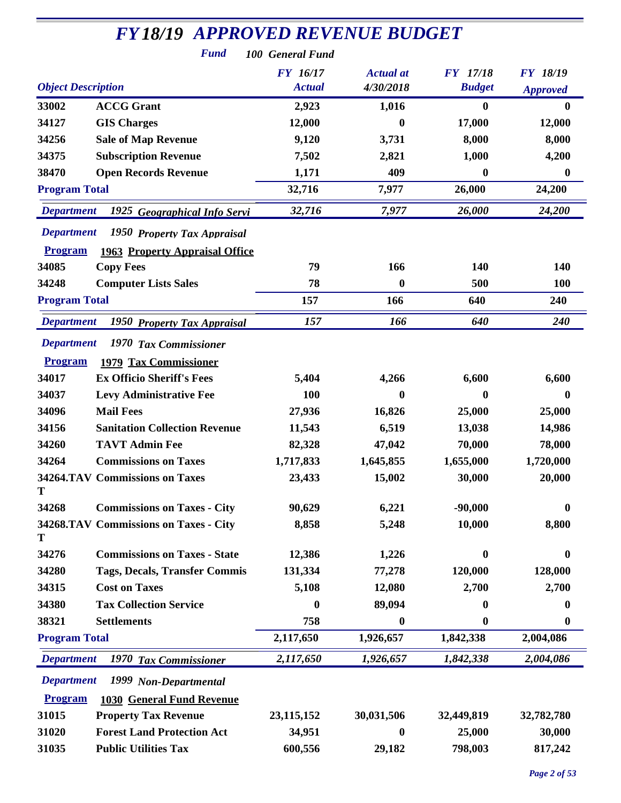| <b>FY18/19 APPROVED REVENUE BUDGET</b><br><b>Fund</b><br>100 General Fund |                 |                  |                  |                 |  |
|---------------------------------------------------------------------------|-----------------|------------------|------------------|-----------------|--|
|                                                                           | <b>FY</b> 16/17 | <b>Actual</b> at | <b>FY</b> 17/18  | <b>FY 18/19</b> |  |
| <b>Object Description</b>                                                 | <b>Actual</b>   | 4/30/2018        | <b>Budget</b>    | <b>Approved</b> |  |
| 33002<br><b>ACCG Grant</b>                                                | 2,923           | 1,016            | 0                | $\mathbf{0}$    |  |
| 34127<br><b>GIS Charges</b>                                               | 12,000          | 0                | 17,000           | 12,000          |  |
| <b>Sale of Map Revenue</b><br>34256                                       | 9,120           | 3,731            | 8,000            | 8,000           |  |
| <b>Subscription Revenue</b><br>34375                                      | 7,502           | 2,821            | 1,000            | 4,200           |  |
| 38470<br><b>Open Records Revenue</b>                                      | 1,171           | 409              | 0                | $\bf{0}$        |  |
| <b>Program Total</b>                                                      | 32,716          | 7,977            | 26,000           | 24,200          |  |
| <b>Department</b><br>1925 Geographical Info Servi                         | 32,716          | 7,977            | 26,000           | 24,200          |  |
| <b>Department</b><br>1950 Property Tax Appraisal                          |                 |                  |                  |                 |  |
| <b>Program</b><br><b>1963 Property Appraisal Office</b>                   |                 |                  |                  |                 |  |
| 34085<br><b>Copy Fees</b>                                                 | 79              | 166              | 140              | 140             |  |
| <b>Computer Lists Sales</b><br>34248                                      | 78              | 0                | 500              | 100             |  |
| <b>Program Total</b>                                                      | 157             | 166              | 640              | 240             |  |
| <b>Department</b><br>1950 Property Tax Appraisal                          | 157             | 166              | 640              | 240             |  |
| <b>Department</b><br>1970 Tax Commissioner                                |                 |                  |                  |                 |  |
| 1979 Tax Commissioner<br><b>Program</b>                                   |                 |                  |                  |                 |  |
| 34017<br><b>Ex Officio Sheriff's Fees</b>                                 | 5,404           | 4,266            | 6,600            | 6,600           |  |
| 34037<br><b>Levy Administrative Fee</b>                                   | 100             | 0                | 0                | $\mathbf{0}$    |  |
| 34096<br><b>Mail Fees</b>                                                 | 27,936          | 16,826           | 25,000           | 25,000          |  |
| 34156<br><b>Sanitation Collection Revenue</b>                             | 11,543          | 6,519            | 13,038           | 14,986          |  |
| <b>TAVT Admin Fee</b><br>34260                                            | 82,328          | 47,042           | 70,000           | 78,000          |  |
| 34264<br><b>Commissions on Taxes</b>                                      | 1,717,833       | 1,645,855        | 1,655,000        | 1,720,000       |  |
| 34264.TAV Commissions on Taxes                                            | 23,433          | 15,002           | 30,000           | 20,000          |  |
| T                                                                         |                 |                  |                  |                 |  |
| <b>Commissions on Taxes - City</b><br>34268                               | 90,629          | 6,221            | $-90,000$        | $\bf{0}$        |  |
| 34268.TAV Commissions on Taxes - City<br>Т                                | 8,858           | 5,248            | 10,000           | 8,800           |  |
| 34276<br><b>Commissions on Taxes - State</b>                              | 12,386          | 1,226            | $\boldsymbol{0}$ | $\bf{0}$        |  |
| 34280<br><b>Tags, Decals, Transfer Commis</b>                             | 131,334         | 77,278           | 120,000          | 128,000         |  |
| 34315<br><b>Cost on Taxes</b>                                             | 5,108           | 12,080           | 2,700            | 2,700           |  |
| <b>Tax Collection Service</b><br>34380                                    | 0               | 89,094           | 0                | $\bf{0}$        |  |
| <b>Settlements</b><br>38321                                               | 758             | $\bf{0}$         | $\bf{0}$         | $\bf{0}$        |  |
| <b>Program Total</b>                                                      | 2,117,650       | 1,926,657        | 1,842,338        | 2,004,086       |  |
| <b>Department</b><br>1970 Tax Commissioner                                | 2,117,650       | 1,926,657        | 1,842,338        | 2,004,086       |  |
| <b>Department</b><br>1999 Non-Departmental                                |                 |                  |                  |                 |  |
| <b>Program</b><br><b>1030 General Fund Revenue</b>                        |                 |                  |                  |                 |  |
| 31015<br><b>Property Tax Revenue</b>                                      | 23, 115, 152    | 30,031,506       | 32,449,819       | 32,782,780      |  |
| <b>Forest Land Protection Act</b><br>31020                                | 34,951          | 0                | 25,000           | 30,000          |  |
| <b>Public Utilities Tax</b><br>31035                                      | 600,556         | 29,182           | 798,003          | 817,242         |  |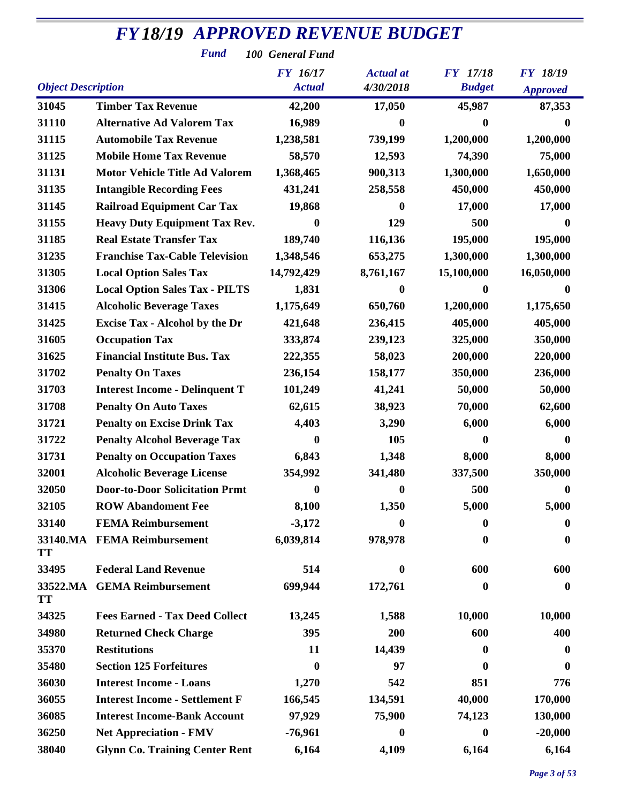*Fund 100 General Fund*

|                           |                                       | <b>FY</b> 16/17  | <b>Actual</b> at | <b>FY</b> 17/18  | <b>FY 18/19</b> |
|---------------------------|---------------------------------------|------------------|------------------|------------------|-----------------|
| <b>Object Description</b> |                                       | <b>Actual</b>    | 4/30/2018        | <b>Budget</b>    | <b>Approved</b> |
| 31045                     | <b>Timber Tax Revenue</b>             | 42,200           | 17,050           | 45,987           | 87,353          |
| 31110                     | <b>Alternative Ad Valorem Tax</b>     | 16,989           | 0                | 0                |                 |
| 31115                     | <b>Automobile Tax Revenue</b>         | 1,238,581        | 739,199          | 1,200,000        | 1,200,000       |
| 31125                     | <b>Mobile Home Tax Revenue</b>        | 58,570           | 12,593           | 74,390           | 75,000          |
| 31131                     | <b>Motor Vehicle Title Ad Valorem</b> | 1,368,465        | 900,313          | 1,300,000        | 1,650,000       |
| 31135                     | <b>Intangible Recording Fees</b>      | 431,241          | 258,558          | 450,000          | 450,000         |
| 31145                     | <b>Railroad Equipment Car Tax</b>     | 19,868           | $\bf{0}$         | 17,000           | 17,000          |
| 31155                     | <b>Heavy Duty Equipment Tax Rev.</b>  | $\boldsymbol{0}$ | 129              | 500              | $\mathbf 0$     |
| 31185                     | <b>Real Estate Transfer Tax</b>       | 189,740          | 116,136          | 195,000          | 195,000         |
| 31235                     | <b>Franchise Tax-Cable Television</b> | 1,348,546        | 653,275          | 1,300,000        | 1,300,000       |
| 31305                     | <b>Local Option Sales Tax</b>         | 14,792,429       | 8,761,167        | 15,100,000       | 16,050,000      |
| 31306                     | <b>Local Option Sales Tax - PILTS</b> | 1,831            | $\mathbf{0}$     | 0                | $\mathbf{0}$    |
| 31415                     | <b>Alcoholic Beverage Taxes</b>       | 1,175,649        | 650,760          | 1,200,000        | 1,175,650       |
| 31425                     | <b>Excise Tax - Alcohol by the Dr</b> | 421,648          | 236,415          | 405,000          | 405,000         |
| 31605                     | <b>Occupation Tax</b>                 | 333,874          | 239,123          | 325,000          | 350,000         |
| 31625                     | <b>Financial Institute Bus. Tax</b>   | 222,355          | 58,023           | 200,000          | 220,000         |
| 31702                     | <b>Penalty On Taxes</b>               | 236,154          | 158,177          | 350,000          | 236,000         |
| 31703                     | <b>Interest Income - Delinquent T</b> | 101,249          | 41,241           | 50,000           | 50,000          |
| 31708                     | <b>Penalty On Auto Taxes</b>          | 62,615           | 38,923           | 70,000           | 62,600          |
| 31721                     | <b>Penalty on Excise Drink Tax</b>    | 4,403            | 3,290            | 6,000            | 6,000           |
| 31722                     | <b>Penalty Alcohol Beverage Tax</b>   | 0                | 105              | 0                | $\mathbf{0}$    |
| 31731                     | <b>Penalty on Occupation Taxes</b>    | 6,843            | 1,348            | 8,000            | 8,000           |
| 32001                     | <b>Alcoholic Beverage License</b>     | 354,992          | 341,480          | 337,500          | 350,000         |
| 32050                     | <b>Door-to-Door Solicitation Prmt</b> | $\boldsymbol{0}$ | $\boldsymbol{0}$ | 500              | $\mathbf 0$     |
| 32105                     | <b>ROW Abandoment Fee</b>             | 8,100            | 1,350            | 5,000            | 5,000           |
| 33140                     | <b>FEMA Reimbursement</b>             | $-3,172$         | $\boldsymbol{0}$ | $\boldsymbol{0}$ | $\bf{0}$        |
| <b>TT</b>                 | 33140.MA FEMA Reimbursement           | 6,039,814        | 978,978          | $\bf{0}$         | $\bf{0}$        |
| 33495                     | <b>Federal Land Revenue</b>           | 514              | $\bf{0}$         | 600              | 600             |
| 33522.MA<br>TT            | <b>GEMA Reimbursement</b>             | 699,944          | 172,761          | 0                | $\bf{0}$        |
| 34325                     | <b>Fees Earned - Tax Deed Collect</b> | 13,245           | 1,588            | 10,000           | 10,000          |
| 34980                     | <b>Returned Check Charge</b>          | 395              | 200              | 600              | 400             |
| 35370                     | <b>Restitutions</b>                   | 11               | 14,439           | $\bf{0}$         | 0               |
| 35480                     | <b>Section 125 Forfeitures</b>        | $\bf{0}$         | 97               | 0                | 0               |
| 36030                     | <b>Interest Income - Loans</b>        | 1,270            | 542              | 851              | 776             |
| 36055                     | <b>Interest Income - Settlement F</b> | 166,545          | 134,591          | 40,000           | 170,000         |
| 36085                     | <b>Interest Income-Bank Account</b>   | 97,929           | 75,900           | 74,123           | 130,000         |
| 36250                     | <b>Net Appreciation - FMV</b>         | $-76,961$        | $\bf{0}$         | $\boldsymbol{0}$ | $-20,000$       |
| 38040                     | <b>Glynn Co. Training Center Rent</b> | 6,164            | 4,109            | 6,164            | 6,164           |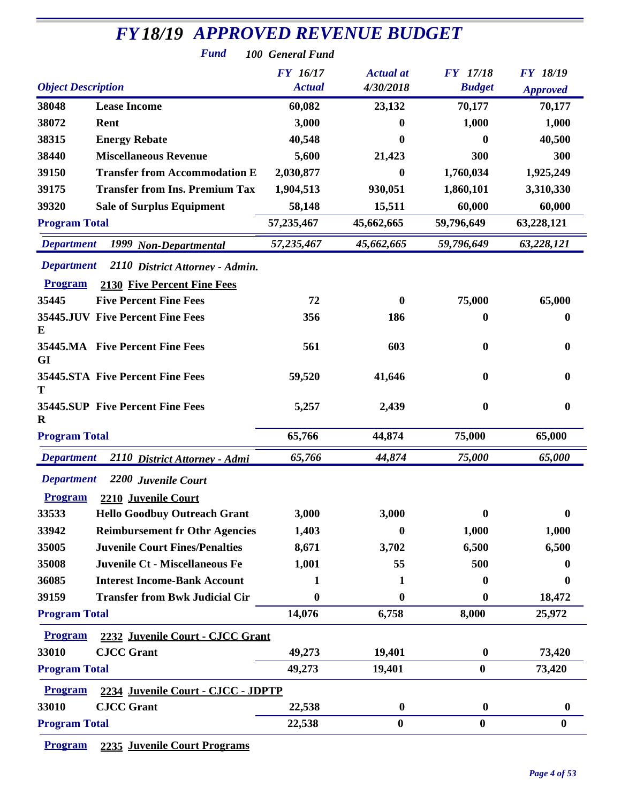| <b>FY18/19 APPROVED REVENUE BUDGET</b> |                                       |                  |                  |                  |                  |
|----------------------------------------|---------------------------------------|------------------|------------------|------------------|------------------|
|                                        | <b>Fund</b>                           | 100 General Fund |                  |                  |                  |
|                                        |                                       | FY 16/17         | <b>Actual</b> at | <b>FY</b> 17/18  | <b>FY 18/19</b>  |
| <b>Object Description</b>              |                                       | <b>Actual</b>    | 4/30/2018        | <b>Budget</b>    | <b>Approved</b>  |
| 38048                                  | <b>Lease Income</b>                   | 60,082           | 23,132           | 70,177           | 70,177           |
| 38072                                  | Rent                                  | 3,000            | $\bf{0}$         | 1,000            | 1,000            |
| 38315                                  | <b>Energy Rebate</b>                  | 40,548           | $\mathbf{0}$     | 0                | 40,500           |
| 38440                                  | <b>Miscellaneous Revenue</b>          | 5,600            | 21,423           | 300              | 300              |
| 39150                                  | <b>Transfer from Accommodation E</b>  | 2,030,877        | $\mathbf{0}$     | 1,760,034        | 1,925,249        |
| 39175                                  | <b>Transfer from Ins. Premium Tax</b> | 1,904,513        | 930,051          | 1,860,101        | 3,310,330        |
| 39320                                  | <b>Sale of Surplus Equipment</b>      | 58,148           | 15,511           | 60,000           | 60,000           |
| <b>Program Total</b>                   |                                       | 57,235,467       | 45,662,665       | 59,796,649       | 63,228,121       |
| <b>Department</b>                      | 1999 Non-Departmental                 | 57,235,467       | 45,662,665       | 59,796,649       | 63,228,121       |
| <b>Department</b>                      | 2110 District Attorney - Admin.       |                  |                  |                  |                  |
| <b>Program</b>                         | 2130 Five Percent Fine Fees           |                  |                  |                  |                  |
| 35445                                  | <b>Five Percent Fine Fees</b>         | 72               | 0                | 75,000           | 65,000           |
|                                        | 35445.JUV Five Percent Fine Fees      | 356              | 186              | 0                | $\boldsymbol{0}$ |
| E                                      |                                       |                  |                  |                  |                  |
| <b>GI</b>                              | 35445.MA Five Percent Fine Fees       | 561              | 603              | 0                | 0                |
| т                                      | 35445.STA Five Percent Fine Fees      | 59,520           | 41,646           | $\bf{0}$         | 0                |
| R                                      | 35445.SUP Five Percent Fine Fees      | 5,257            | 2,439            | 0                | $\boldsymbol{0}$ |
| <b>Program Total</b>                   |                                       | 65,766           | 44,874           | 75,000           | 65,000           |
| <b>Department</b>                      | 2110 District Attorney - Admi         | 65,766           | 44,874           | 75,000           | 65,000           |
|                                        |                                       |                  |                  |                  |                  |
|                                        | Department 2200 Juvenile Court        |                  |                  |                  |                  |
| <b>Program</b>                         | 2210 Juvenile Court                   |                  |                  |                  |                  |
| 33533                                  | <b>Hello Goodbuy Outreach Grant</b>   | 3,000            | 3,000            | 0                | 0                |
| 33942                                  | <b>Reimbursement fr Othr Agencies</b> | 1,403            | $\bf{0}$         | 1,000            | 1,000            |
| 35005                                  | <b>Juvenile Court Fines/Penalties</b> | 8,671            | 3,702            | 6,500            | 6,500            |
| 35008                                  | <b>Juvenile Ct - Miscellaneous Fe</b> | 1,001            | 55               | 500              | 0                |
| 36085                                  | <b>Interest Income-Bank Account</b>   | 1                | 1                | 0                | 0                |
| 39159                                  | <b>Transfer from Bwk Judicial Cir</b> | $\bf{0}$         | $\mathbf{0}$     | 0                | 18,472           |
| <b>Program Total</b>                   |                                       | 14,076           | 6,758            | 8,000            | 25,972           |
| <b>Program</b>                         | 2232 Juvenile Court - CJCC Grant      |                  |                  |                  |                  |
| 33010                                  | <b>CJCC Grant</b>                     | 49,273           | 19,401           | $\bf{0}$         | 73,420           |
| <b>Program Total</b>                   |                                       | 49,273           | 19,401           | $\boldsymbol{0}$ | 73,420           |
| <b>Program</b>                         | 2234 Juvenile Court - CJCC - JDPTP    |                  |                  |                  |                  |
| 33010                                  | <b>CJCC Grant</b>                     | 22,538           | $\bf{0}$         | $\bf{0}$         | $\boldsymbol{0}$ |
| <b>Program Total</b>                   |                                       | 22,538           | $\boldsymbol{0}$ | $\boldsymbol{0}$ | $\bf{0}$         |
|                                        |                                       |                  |                  |                  |                  |

**Program 2235 Juvenile Court Programs**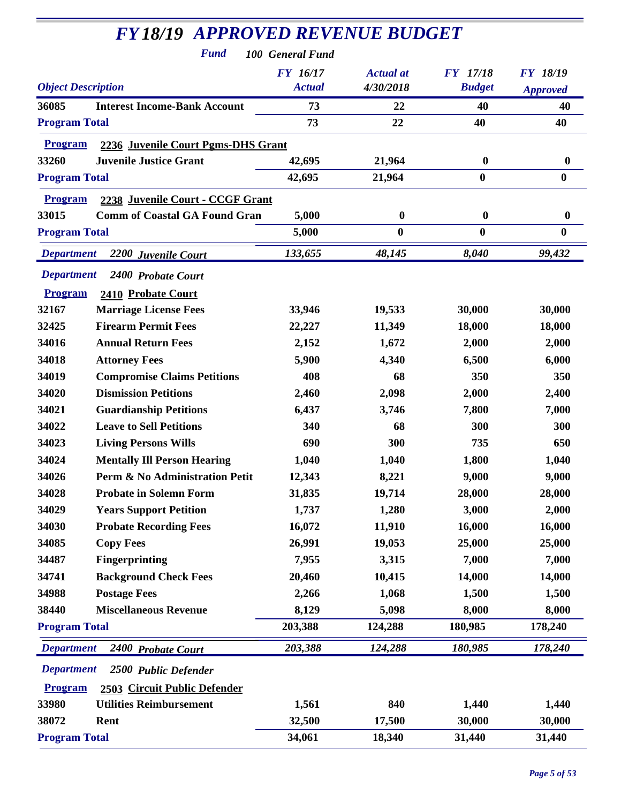| <b>FY18/19 APPROVED REVENUE BUDGET</b><br><b>Fund</b> | 100 General Fund |                  |                  |                  |
|-------------------------------------------------------|------------------|------------------|------------------|------------------|
|                                                       | FY 16/17         | <b>Actual</b> at | <b>FY</b> 17/18  | <b>FY 18/19</b>  |
| <b>Object Description</b>                             | <b>Actual</b>    | 4/30/2018        | <b>Budget</b>    | <b>Approved</b>  |
| 36085<br><b>Interest Income-Bank Account</b>          | 73               | 22               | 40               | 40               |
| <b>Program Total</b>                                  | 73               | 22               | 40               | 40               |
| 2236 Juvenile Court Pgms-DHS Grant<br><b>Program</b>  |                  |                  |                  |                  |
| 33260<br><b>Juvenile Justice Grant</b>                | 42,695           | 21,964           | $\boldsymbol{0}$ | $\boldsymbol{0}$ |
| <b>Program Total</b>                                  | 42,695           | 21,964           | $\boldsymbol{0}$ | $\bf{0}$         |
| <b>Program</b><br>2238 Juvenile Court - CCGF Grant    |                  |                  |                  |                  |
| 33015<br><b>Comm of Coastal GA Found Gran</b>         | 5,000            | $\boldsymbol{0}$ | $\boldsymbol{0}$ | $\boldsymbol{0}$ |
| <b>Program Total</b>                                  | 5,000            | $\bf{0}$         | $\bf{0}$         | $\boldsymbol{0}$ |
| <b>Department</b>                                     | 133,655          | 48,145           | 8,040            | 99,432           |
| 2200 Juvenile Court                                   |                  |                  |                  |                  |
| <b>Department</b><br>2400 Probate Court               |                  |                  |                  |                  |
| <b>Program</b><br>2410 Probate Court                  |                  |                  |                  |                  |
| 32167<br><b>Marriage License Fees</b>                 | 33,946           | 19,533           | 30,000           | 30,000           |
| <b>Firearm Permit Fees</b><br>32425                   | 22,227           | 11,349           | 18,000           | 18,000           |
| 34016<br><b>Annual Return Fees</b>                    | 2,152            | 1,672            | 2,000            | 2,000            |
| 34018<br><b>Attorney Fees</b>                         | 5,900            | 4,340            | 6,500            | 6,000            |
| 34019<br><b>Compromise Claims Petitions</b>           | 408              | 68               | 350              | 350              |
| <b>Dismission Petitions</b><br>34020                  | 2,460            | 2,098            | 2,000            | 2,400            |
| 34021<br><b>Guardianship Petitions</b>                | 6,437            | 3,746            | 7,800            | 7,000            |
| 34022<br><b>Leave to Sell Petitions</b>               | 340              | 68               | 300              | 300              |
| 34023<br><b>Living Persons Wills</b>                  | 690              | 300              | 735              | 650              |
| 34024<br><b>Mentally Ill Person Hearing</b>           | 1,040            | 1,040            | 1,800            | 1,040            |
| 34026<br>Perm & No Administration Petit               | 12,343           | 8,221            | 9,000            | 9,000            |
| 34028<br><b>Probate in Solemn Form</b>                | 31,835           | 19,714           | 28,000           | 28,000           |
| 34029<br><b>Years Support Petition</b>                | 1,737            | 1,280            | 3,000            | 2,000            |
| 34030<br><b>Probate Recording Fees</b>                | 16,072           | 11,910           | 16,000           | 16,000           |
| 34085<br><b>Copy Fees</b>                             | 26,991           | 19,053           | 25,000           | 25,000           |
| 34487<br><b>Fingerprinting</b>                        | 7,955            | 3,315            | 7,000            | 7,000            |
| 34741<br><b>Background Check Fees</b>                 | 20,460           | 10,415           | 14,000           | 14,000           |
| 34988<br><b>Postage Fees</b>                          | 2,266            | 1,068            | 1,500            | 1,500            |
| <b>Miscellaneous Revenue</b><br>38440                 | 8,129            | 5,098            | 8,000            | 8,000            |
| <b>Program Total</b>                                  | 203,388          | 124,288          | 180,985          | 178,240          |
| <b>Department</b><br>2400 Probate Court               | 203,388          | 124,288          | 180,985          | 178,240          |
| <b>Department</b><br>2500 Public Defender             |                  |                  |                  |                  |
| 2503 Circuit Public Defender<br><b>Program</b>        |                  |                  |                  |                  |
| 33980<br><b>Utilities Reimbursement</b>               | 1,561            | 840              | 1,440            | 1,440            |
| 38072<br>Rent                                         | 32,500           | 17,500           | 30,000           | 30,000           |
| <b>Program Total</b>                                  | 34,061           | 18,340           | 31,440           | 31,440           |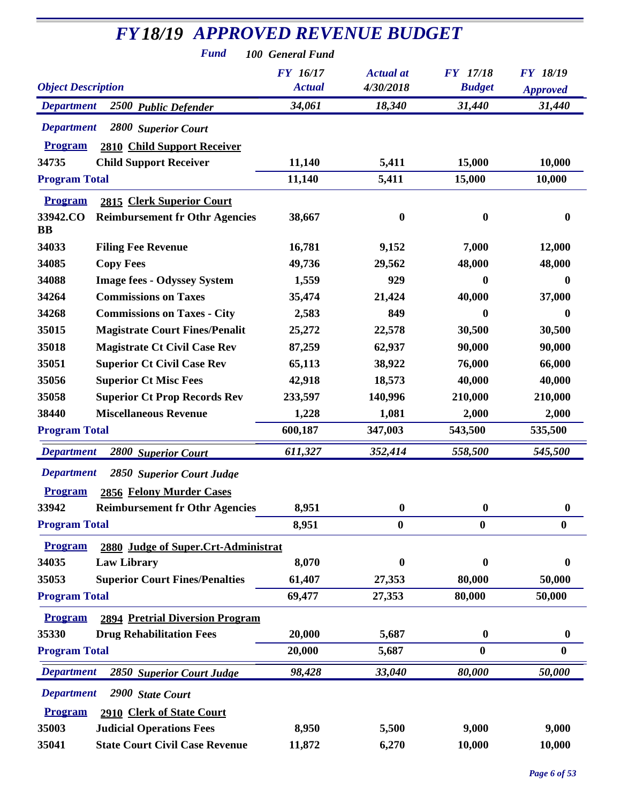| <b>FY18/19 APPROVED REVENUE BUDGET</b><br><b>Fund</b><br>100 General Fund |                                  |                               |                                  |                                    |  |
|---------------------------------------------------------------------------|----------------------------------|-------------------------------|----------------------------------|------------------------------------|--|
| <b>Object Description</b>                                                 | <b>FY 16/17</b><br><b>Actual</b> | <b>Actual</b> at<br>4/30/2018 | <b>FY</b> 17/18<br><b>Budget</b> | <b>FY 18/19</b><br><b>Approved</b> |  |
| <b>Department</b><br>2500 Public Defender                                 | 34,061                           | 18,340                        | 31,440                           | 31,440                             |  |
| <b>Department</b><br>2800 Superior Court                                  |                                  |                               |                                  |                                    |  |
| <b>Program</b><br>2810 Child Support Receiver                             |                                  |                               |                                  |                                    |  |
| 34735<br><b>Child Support Receiver</b>                                    | 11,140                           | 5,411                         | 15,000                           | 10,000                             |  |
| <b>Program Total</b>                                                      | 11,140                           | 5,411                         | 15,000                           | 10,000                             |  |
| <b>Program</b><br>2815 Clerk Superior Court                               |                                  |                               |                                  |                                    |  |
| 33942.CO<br><b>Reimbursement fr Othr Agencies</b><br>BB                   | 38,667                           | $\boldsymbol{0}$              | $\boldsymbol{0}$                 | $\boldsymbol{0}$                   |  |
| 34033<br><b>Filing Fee Revenue</b>                                        | 16,781                           | 9,152                         | 7,000                            | 12,000                             |  |
| 34085<br><b>Copy Fees</b>                                                 | 49,736                           | 29,562                        | 48,000                           | 48,000                             |  |
| 34088<br><b>Image fees - Odyssey System</b>                               | 1,559                            | 929                           | $\bf{0}$                         | $\bf{0}$                           |  |
| 34264<br><b>Commissions on Taxes</b>                                      | 35,474                           | 21,424                        | 40,000                           | 37,000                             |  |
| <b>Commissions on Taxes - City</b><br>34268                               | 2,583                            | 849                           | 0                                | $\mathbf 0$                        |  |
| 35015<br><b>Magistrate Court Fines/Penalit</b>                            | 25,272                           | 22,578                        | 30,500                           | 30,500                             |  |
| 35018<br><b>Magistrate Ct Civil Case Rev</b>                              | 87,259                           | 62,937                        | 90,000                           | 90,000                             |  |
| 35051<br><b>Superior Ct Civil Case Rev</b>                                | 65,113                           | 38,922                        | 76,000                           | 66,000                             |  |
| 35056<br><b>Superior Ct Misc Fees</b>                                     | 42,918                           | 18,573                        | 40,000                           | 40,000                             |  |
| <b>Superior Ct Prop Records Rev</b><br>35058                              | 233,597                          | 140,996                       | 210,000                          | 210,000                            |  |
| 38440<br><b>Miscellaneous Revenue</b>                                     | 1,228                            | 1,081                         | 2,000                            | 2,000                              |  |
| <b>Program Total</b>                                                      | 600,187                          | 347,003                       | 543,500                          | 535,500                            |  |
| 2800 Superior Court<br><b>Department</b>                                  | 611,327                          | 352,414                       | 558,500                          | 545,500                            |  |
| <b>Department</b><br>2850 Superior Court Judge                            |                                  |                               |                                  |                                    |  |
| <b>Program</b><br>2856 Felony Murder Cases                                |                                  |                               |                                  |                                    |  |
| 33942<br><b>Reimbursement fr Othr Agencies</b>                            | 8,951                            | $\bf{0}$                      | $\boldsymbol{0}$                 | $\boldsymbol{0}$                   |  |
| <b>Program Total</b>                                                      | 8,951                            | $\bf{0}$                      | $\bf{0}$                         | $\bf{0}$                           |  |
| <b>Program</b><br>2880 Judge of Super.Crt-Administrat                     |                                  |                               |                                  |                                    |  |
| 34035<br><b>Law Library</b>                                               | 8,070                            | $\bf{0}$                      | 0                                | 0                                  |  |
| 35053<br><b>Superior Court Fines/Penalties</b>                            | 61,407                           | 27,353                        | 80,000                           | 50,000                             |  |
| <b>Program Total</b>                                                      | 69,477                           | 27,353                        | 80,000                           | 50,000                             |  |
| <b>2894 Pretrial Diversion Program</b><br><b>Program</b>                  |                                  |                               |                                  |                                    |  |
| 35330<br><b>Drug Rehabilitation Fees</b>                                  | 20,000                           | 5,687                         | $\bf{0}$                         | $\boldsymbol{0}$                   |  |
| <b>Program Total</b>                                                      | 20,000                           | 5,687                         | $\bf{0}$                         | $\boldsymbol{0}$                   |  |
| <b>Department</b><br>2850 Superior Court Judge                            | 98,428                           | 33,040                        | 80,000                           | 50,000                             |  |
| <b>Department</b><br>2900 State Court                                     |                                  |                               |                                  |                                    |  |
| <b>Program</b><br>2910 Clerk of State Court                               |                                  |                               |                                  |                                    |  |
| 35003<br><b>Judicial Operations Fees</b>                                  | 8,950                            | 5,500                         | 9,000                            | 9,000                              |  |
| <b>State Court Civil Case Revenue</b><br>35041                            | 11,872                           | 6,270                         | 10,000                           | 10,000                             |  |
|                                                                           |                                  |                               |                                  |                                    |  |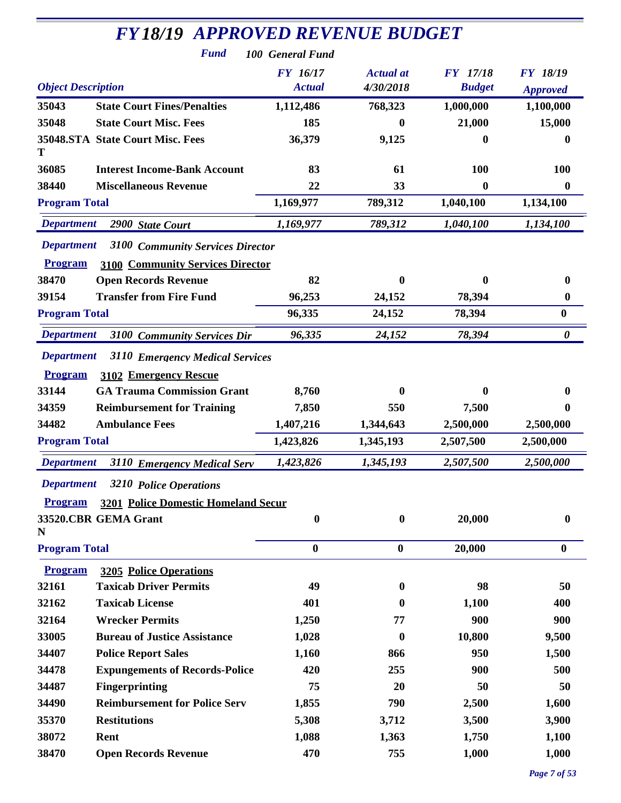|                                                              | <b>FY18/19 APPROVED REVENUE BUDGET</b> |                  |                  |                  |
|--------------------------------------------------------------|----------------------------------------|------------------|------------------|------------------|
| <b>Fund</b>                                                  | 100 General Fund                       |                  |                  |                  |
|                                                              | FY 16/17                               | <b>Actual</b> at | <b>FY</b> 17/18  | <b>FY 18/19</b>  |
| <b>Object Description</b>                                    | <b>Actual</b>                          | 4/30/2018        | <b>Budget</b>    | <b>Approved</b>  |
| 35043<br><b>State Court Fines/Penalties</b>                  | 1,112,486                              | 768,323          | 1,000,000        | 1,100,000        |
| 35048<br><b>State Court Misc. Fees</b>                       | 185                                    | 0                | 21,000           | 15,000           |
| 35048.STA State Court Misc. Fees<br>T                        | 36,379                                 | 9,125            | 0                | 0                |
| 36085<br><b>Interest Income-Bank Account</b>                 | 83                                     | 61               | 100              | 100              |
| 38440<br><b>Miscellaneous Revenue</b>                        | 22                                     | 33               | $\boldsymbol{0}$ | $\bf{0}$         |
| <b>Program Total</b>                                         | 1,169,977                              | 789,312          | 1,040,100        | 1,134,100        |
| <b>Department</b><br>2900 State Court                        | 1,169,977                              | 789,312          | 1,040,100        | 1,134,100        |
| <b>Department</b><br>3100 Community Services Director        |                                        |                  |                  |                  |
| <b>Program</b><br><b>3100 Community Services Director</b>    |                                        |                  |                  |                  |
| 38470<br><b>Open Records Revenue</b>                         | 82                                     | $\bf{0}$         | $\boldsymbol{0}$ | 0                |
| <b>Transfer from Fire Fund</b><br>39154                      | 96,253                                 | 24,152           | 78,394           | $\bf{0}$         |
| <b>Program Total</b>                                         | 96,335                                 | 24,152           | 78,394           | $\boldsymbol{0}$ |
| <b>Department</b><br>3100 Community Services Dir             | 96,335                                 | 24,152           | 78,394           | 0                |
| <b>Department</b><br>3110 Emergency Medical Services         |                                        |                  |                  |                  |
| <b>Program</b><br>3102 Emergency Rescue                      |                                        |                  |                  |                  |
| 33144<br><b>GA Trauma Commission Grant</b>                   | 8,760                                  | $\mathbf 0$      | $\mathbf{0}$     | $\mathbf{0}$     |
| 34359<br><b>Reimbursement for Training</b>                   | 7,850                                  | 550              | 7,500            | $\mathbf{0}$     |
| 34482<br><b>Ambulance Fees</b>                               | 1,407,216                              | 1,344,643        | 2,500,000        | 2,500,000        |
| <b>Program Total</b>                                         | 1,423,826                              | 1,345,193        | 2,507,500        | 2,500,000        |
| <b>Department</b><br>3110 Emergency Medical Serv             | 1,423,826                              | 1,345,193        | 2,507,500        | 2,500,000        |
| <b>Department</b><br>3210 Police Operations                  |                                        |                  |                  |                  |
| <b>3201 Police Domestic Homeland Secur</b><br><b>Program</b> |                                        |                  |                  |                  |
| 33520.CBR GEMA Grant<br>N                                    | $\boldsymbol{0}$                       | $\boldsymbol{0}$ | 20,000           | $\bf{0}$         |
| <b>Program Total</b>                                         | $\bf{0}$                               | $\bf{0}$         | 20,000           | $\bf{0}$         |
| <b>Program</b><br><b>3205 Police Operations</b>              |                                        |                  |                  |                  |
| <b>Taxicab Driver Permits</b><br>32161                       | 49                                     | $\bf{0}$         | 98               | 50               |
| <b>Taxicab License</b><br>32162                              | 401                                    | $\bf{0}$         | 1,100            | 400              |
| <b>Wrecker Permits</b><br>32164                              | 1,250                                  | 77               | 900              | 900              |
| <b>Bureau of Justice Assistance</b><br>33005                 | 1,028                                  | $\bf{0}$         | 10,800           | 9,500            |
| 34407<br><b>Police Report Sales</b>                          | 1,160                                  | 866              | 950              | 1,500            |
| <b>Expungements of Records-Police</b><br>34478               | 420                                    | 255              | 900              | 500              |
| <b>Fingerprinting</b><br>34487                               | 75                                     | 20               | 50               | 50               |
| <b>Reimbursement for Police Serv</b><br>34490                | 1,855                                  | 790              | 2,500            | 1,600            |
| 35370<br><b>Restitutions</b>                                 | 5,308                                  | 3,712            | 3,500            | 3,900            |
| 38072<br>Rent                                                | 1,088                                  | 1,363            | 1,750            | 1,100            |
| 38470<br><b>Open Records Revenue</b>                         | 470                                    | 755              | 1,000            | 1,000            |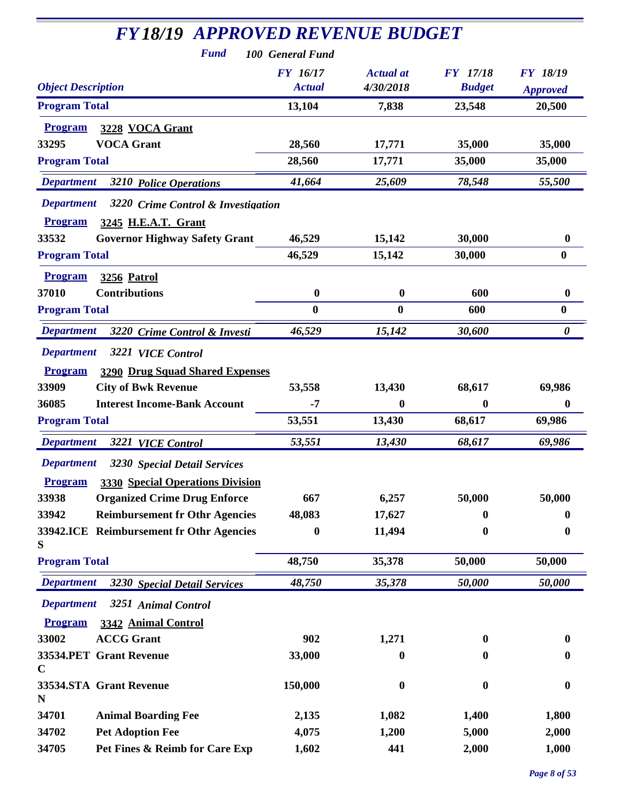| <b>FY18/19 APPROVED REVENUE BUDGET</b>                                        |                  |                  |                  |                       |
|-------------------------------------------------------------------------------|------------------|------------------|------------------|-----------------------|
| <b>Fund</b>                                                                   | 100 General Fund |                  |                  |                       |
|                                                                               | <b>FY</b> 16/17  | <b>Actual</b> at | <b>FY</b> 17/18  | <b>FY 18/19</b>       |
| <b>Object Description</b>                                                     | <b>Actual</b>    | 4/30/2018        | <b>Budget</b>    | <b>Approved</b>       |
| <b>Program Total</b>                                                          | 13,104           | 7,838            | 23,548           | 20,500                |
| 3228 VOCA Grant<br><b>Program</b>                                             |                  |                  |                  |                       |
| <b>VOCA Grant</b><br>33295                                                    | 28,560           | 17,771           | 35,000           | 35,000                |
| <b>Program Total</b>                                                          | 28,560           | 17,771           | 35,000           | 35,000                |
| <b>Department</b><br><b>3210 Police Operations</b>                            | 41,664           | 25,609           | 78,548           | 55,500                |
| <b>Department</b><br>3220 Crime Control & Investigation                       |                  |                  |                  |                       |
| <b>Program</b><br>3245 H.E.A.T. Grant                                         |                  |                  |                  |                       |
| 33532<br><b>Governor Highway Safety Grant</b>                                 | 46,529           | 15,142           | 30,000           | 0                     |
| <b>Program Total</b>                                                          | 46,529           | 15,142           | 30,000           | $\bf{0}$              |
| <b>Program</b><br><b>3256 Patrol</b>                                          |                  |                  |                  |                       |
| 37010<br><b>Contributions</b>                                                 | $\boldsymbol{0}$ | $\bf{0}$         | 600              | 0                     |
| <b>Program Total</b>                                                          | $\bf{0}$         | $\bf{0}$         | 600              | $\bf{0}$              |
| <b>Department</b><br>3220 Crime Control & Investi                             | 46,529           | 15,142           | 30,600           | $\boldsymbol{\theta}$ |
| <b>Department</b><br>3221 VICE Control                                        |                  |                  |                  |                       |
| <b>Program</b>                                                                |                  |                  |                  |                       |
| <b>3290 Drug Squad Shared Expenses</b><br>33909<br><b>City of Bwk Revenue</b> | 53,558           | 13,430           | 68,617           | 69,986                |
| <b>Interest Income-Bank Account</b><br>36085                                  | $-7$             | $\mathbf{0}$     | $\bf{0}$         | $\bf{0}$              |
| <b>Program Total</b>                                                          | 53,551           | 13,430           | 68,617           | 69,986                |
|                                                                               |                  |                  |                  |                       |
| <b>Department</b><br><b>3221 VICE Control</b>                                 | 53,551           | 13,430           | 68,617           | 69,986                |
| <b>Department</b><br>3230 Special Detail Services                             |                  |                  |                  |                       |
| <b>3330 Special Operations Division</b><br><b>Program</b>                     |                  |                  |                  |                       |
| 33938<br><b>Organized Crime Drug Enforce</b>                                  | 667              | 6,257            | 50,000           | 50,000                |
| 33942<br><b>Reimbursement fr Othr Agencies</b>                                | 48,083           | 17,627           | 0                | 0                     |
| 33942.ICE Reimbursement fr Othr Agencies<br>S                                 | $\bf{0}$         | 11,494           | $\boldsymbol{0}$ | $\boldsymbol{0}$      |
| <b>Program Total</b>                                                          | 48,750           | 35,378           | 50,000           | 50,000                |
| <b>Department</b><br>3230 Special Detail Services                             | 48,750           | 35,378           | 50,000           | 50,000                |
| <b>Department</b><br>3251 Animal Control                                      |                  |                  |                  |                       |
| <b>Program</b><br>3342 Animal Control                                         |                  |                  |                  |                       |
| 33002<br><b>ACCG Grant</b>                                                    | 902              | 1,271            | $\bf{0}$         | 0                     |
| 33534.PET Grant Revenue                                                       | 33,000           | 0                | 0                | 0                     |
| $\mathbf C$                                                                   |                  |                  |                  |                       |
| 33534.STA Grant Revenue<br>N                                                  | 150,000          | $\boldsymbol{0}$ | $\bf{0}$         | 0                     |
| 34701<br><b>Animal Boarding Fee</b>                                           | 2,135            | 1,082            | 1,400            | 1,800                 |
| <b>Pet Adoption Fee</b><br>34702                                              | 4,075            | 1,200            | 5,000            | 2,000                 |
| Pet Fines & Reimb for Care Exp<br>34705                                       | 1,602            | 441              | 2,000            | 1,000                 |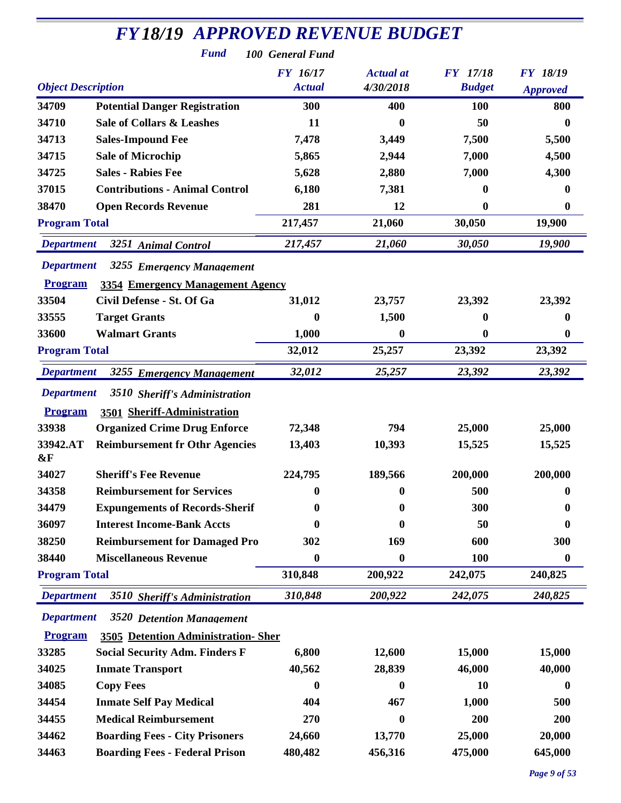| <b>FY18/19 APPROVED REVENUE BUDGET</b>               |                  |                  |                 |                  |  |
|------------------------------------------------------|------------------|------------------|-----------------|------------------|--|
| <b>Fund</b>                                          | 100 General Fund |                  |                 |                  |  |
|                                                      | <b>FY</b> 16/17  | <b>Actual</b> at | <b>FY</b> 17/18 | <b>FY 18/19</b>  |  |
| <b>Object Description</b>                            | <b>Actual</b>    | 4/30/2018        | <b>Budget</b>   | <b>Approved</b>  |  |
| 34709<br><b>Potential Danger Registration</b>        | 300              | 400              | 100             | 800              |  |
| <b>Sale of Collars &amp; Leashes</b><br>34710        | 11               | 0                | 50              | $\bf{0}$         |  |
| 34713<br><b>Sales-Impound Fee</b>                    | 7,478            | 3,449            | 7,500           | 5,500            |  |
| 34715<br><b>Sale of Microchip</b>                    | 5,865            | 2,944            | 7,000           | 4,500            |  |
| 34725<br><b>Sales - Rabies Fee</b>                   | 5,628            | 2,880            | 7,000           | 4,300            |  |
| 37015<br><b>Contributions - Animal Control</b>       | 6,180            | 7,381            | 0               | $\mathbf{0}$     |  |
| 38470<br><b>Open Records Revenue</b>                 | 281              | 12               | 0               | $\bf{0}$         |  |
| <b>Program Total</b>                                 | 217,457          | 21,060           | 30,050          | 19,900           |  |
| <b>Department</b><br>3251 Animal Control             | 217,457          | 21,060           | 30,050          | 19,900           |  |
| <b>Department</b><br>3255 Emergency Management       |                  |                  |                 |                  |  |
| <b>Program</b><br>3354 Emergency Management Agency   |                  |                  |                 |                  |  |
| 33504<br>Civil Defense - St. Of Ga                   | 31,012           | 23,757           | 23,392          | 23,392           |  |
| <b>Target Grants</b><br>33555                        | $\bf{0}$         | 1,500            | 0               | $\bf{0}$         |  |
| 33600<br><b>Walmart Grants</b>                       | 1,000            | 0                | 0               | $\bf{0}$         |  |
| <b>Program Total</b>                                 | 32,012           | 25,257           | 23,392          | 23,392           |  |
| <b>Department</b><br>3255 Emergency Management       | 32,012           | 25,257           | 23,392          | 23,392           |  |
| <b>Department</b><br>3510 Sheriff's Administration   |                  |                  |                 |                  |  |
| 3501 Sheriff-Administration<br><b>Program</b>        |                  |                  |                 |                  |  |
| 33938<br><b>Organized Crime Drug Enforce</b>         | 72,348           | 794              | 25,000          | 25,000           |  |
| <b>Reimbursement fr Othr Agencies</b><br>33942.AT    | 13,403           | 10,393           | 15,525          | 15,525           |  |
| &F                                                   |                  |                  |                 |                  |  |
| 34027<br><b>Sheriff's Fee Revenue</b>                | 224,795          | 189,566          | 200,000         | 200,000          |  |
| 34358<br><b>Reimbursement for Services</b>           | 0                | 0                | 500             | $\bf{0}$         |  |
| 34479<br><b>Expungements of Records-Sherif</b>       | 0                | 0                | 300             | 0                |  |
| <b>Interest Income-Bank Accts</b><br>36097           | 0                | 0                | 50              | $\mathbf{0}$     |  |
| 38250<br><b>Reimbursement for Damaged Pro</b>        | 302              | 169              | 600             | 300              |  |
| 38440<br><b>Miscellaneous Revenue</b>                | $\boldsymbol{0}$ | 0                | 100             | $\boldsymbol{0}$ |  |
| <b>Program Total</b>                                 | 310,848          | 200,922          | 242,075         | 240,825          |  |
| <b>Department</b><br>3510 Sheriff's Administration   | 310,848          | 200,922          | 242,075         | 240,825          |  |
| <b>Department</b><br>3520 Detention Management       |                  |                  |                 |                  |  |
| <b>Program</b><br>3505 Detention Administration-Sher |                  |                  |                 |                  |  |
| <b>Social Security Adm. Finders F</b><br>33285       | 6,800            | 12,600           | 15,000          | 15,000           |  |
| 34025<br><b>Inmate Transport</b>                     | 40,562           | 28,839           | 46,000          | 40,000           |  |
| 34085<br><b>Copy Fees</b>                            | 0                | 0                | 10              | 0                |  |
| 34454<br><b>Inmate Self Pay Medical</b>              | 404              | 467              | 1,000           | 500              |  |
| <b>Medical Reimbursement</b><br>34455                | 270              | 0                | 200             | 200              |  |
| 34462<br><b>Boarding Fees - City Prisoners</b>       | 24,660           | 13,770           | 25,000          | 20,000           |  |
| 34463<br><b>Boarding Fees - Federal Prison</b>       | 480,482          | 456,316          | 475,000         | 645,000          |  |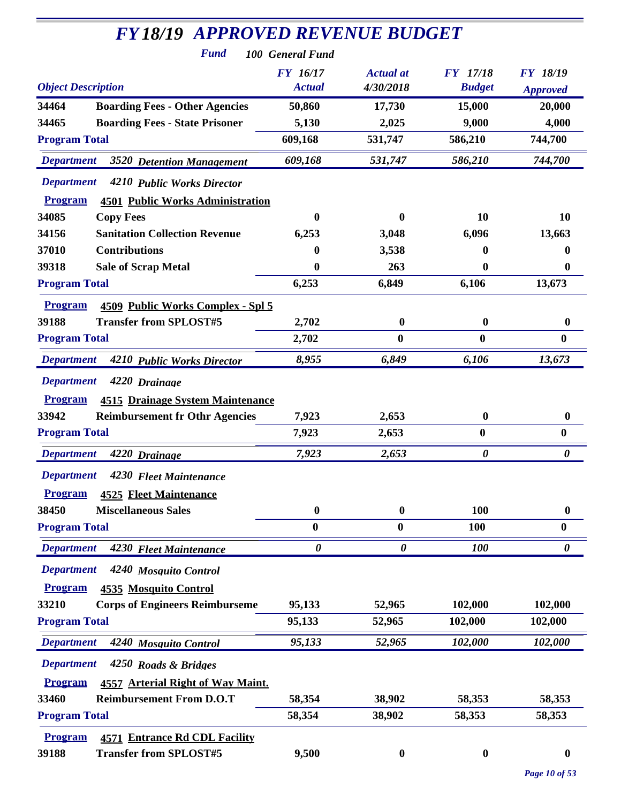| <b>FY18/19 APPROVED REVENUE BUDGET</b>                    |                       |                  |                  |                       |
|-----------------------------------------------------------|-----------------------|------------------|------------------|-----------------------|
| <b>Fund</b>                                               | 100 General Fund      |                  |                  |                       |
|                                                           | <b>FY</b> 16/17       | <b>Actual</b> at | <b>FY</b> 17/18  | <b>FY 18/19</b>       |
| <b>Object Description</b>                                 | <b>Actual</b>         | 4/30/2018        | <b>Budget</b>    | <b>Approved</b>       |
| 34464<br><b>Boarding Fees - Other Agencies</b>            | 50,860                | 17,730           | 15,000           | 20,000                |
| <b>Boarding Fees - State Prisoner</b><br>34465            | 5,130                 | 2,025            | 9,000            | 4,000                 |
| <b>Program Total</b>                                      | 609,168               | 531,747          | 586,210          | 744,700               |
| <b>Department</b><br>3520 Detention Management            | 609,168               | 531,747          | 586,210          | 744,700               |
| <b>Department</b><br>4210 Public Works Director           |                       |                  |                  |                       |
| <b>Program</b><br><b>4501 Public Works Administration</b> |                       |                  |                  |                       |
| 34085<br><b>Copy Fees</b>                                 | 0                     | 0                | 10               | 10                    |
| 34156<br><b>Sanitation Collection Revenue</b>             | 6,253                 | 3,048            | 6,096            | 13,663                |
| 37010<br><b>Contributions</b>                             | 0                     | 3,538            | 0                | 0                     |
| <b>Sale of Scrap Metal</b><br>39318                       | 0                     | 263              | 0                | 0                     |
| <b>Program Total</b>                                      | 6,253                 | 6,849            | 6,106            | 13,673                |
| 4509 Public Works Complex - Spl 5<br><b>Program</b>       |                       |                  |                  |                       |
| <b>Transfer from SPLOST#5</b><br>39188                    | 2,702                 | $\boldsymbol{0}$ | $\bf{0}$         | 0                     |
| <b>Program Total</b>                                      | 2,702                 | $\bf{0}$         | $\bf{0}$         | $\bf{0}$              |
| <b>Department</b><br>4210 Public Works Director           | 8,955                 | 6,849            | 6,106            | 13,673                |
| <b>Department</b><br>4220 Drainage                        |                       |                  |                  |                       |
| <b>Program</b><br><b>4515 Drainage System Maintenance</b> |                       |                  |                  |                       |
| 33942<br><b>Reimbursement fr Othr Agencies</b>            | 7,923                 | 2,653            | $\bf{0}$         | $\boldsymbol{0}$      |
| <b>Program Total</b>                                      | 7,923                 | 2,653            | $\boldsymbol{0}$ | $\boldsymbol{0}$      |
| <b>Department</b><br>4220 Drainage                        | 7,923                 | 2,653            | 0                | $\boldsymbol{\theta}$ |
| <b>Department</b><br>4230 Fleet Maintenance               |                       |                  |                  |                       |
| <b>Program</b><br><b>4525 Fleet Maintenance</b>           |                       |                  |                  |                       |
| 38450<br><b>Miscellaneous Sales</b>                       | $\boldsymbol{0}$      | $\boldsymbol{0}$ | 100              | $\boldsymbol{0}$      |
| <b>Program Total</b>                                      | $\bf{0}$              | $\bf{0}$         | 100              | $\boldsymbol{0}$      |
| <b>Department</b><br>4230 Fleet Maintenance               | $\boldsymbol{\theta}$ | 0                | <b>100</b>       | 0                     |
| <b>Department</b><br>4240 Mosquito Control                |                       |                  |                  |                       |
| <b>Program</b><br><b>4535 Mosquito Control</b>            |                       |                  |                  |                       |
| <b>Corps of Engineers Reimburseme</b><br>33210            | 95,133                | 52,965           | 102,000          | 102,000               |
| <b>Program Total</b>                                      | 95,133                | 52,965           | 102,000          | 102,000               |
| <b>Department</b><br>4240 Mosquito Control                | 95,133                | 52,965           | 102,000          | 102,000               |
| <b>Department</b><br>4250 Roads & Bridges                 |                       |                  |                  |                       |
| <b>Program</b><br>4557 Arterial Right of Way Maint.       |                       |                  |                  |                       |
| 33460<br><b>Reimbursement From D.O.T</b>                  | 58,354                | 38,902           | 58,353           | 58,353                |
| <b>Program Total</b>                                      | 58,354                | 38,902           | 58,353           | 58,353                |
| <b>Program</b><br><b>4571 Entrance Rd CDL Facility</b>    |                       |                  |                  |                       |
| 39188<br><b>Transfer from SPLOST#5</b>                    | 9,500                 | $\boldsymbol{0}$ | $\boldsymbol{0}$ | 0                     |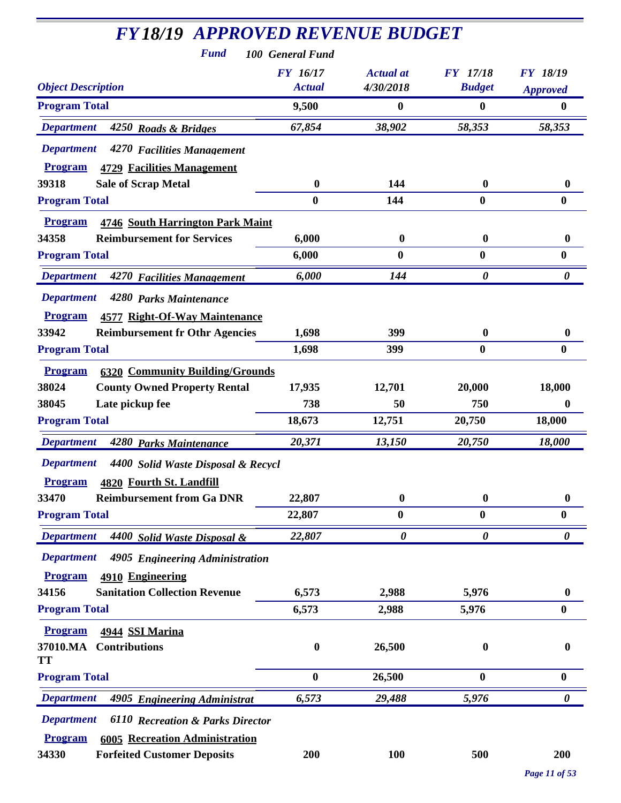| <b>FY18/19 APPROVED REVENUE BUDGET</b><br><b>Fund</b>            | 100 General Fund          |                               |                                  |                                    |
|------------------------------------------------------------------|---------------------------|-------------------------------|----------------------------------|------------------------------------|
| <b>Object Description</b>                                        | FY 16/17<br><b>Actual</b> | <b>Actual</b> at<br>4/30/2018 | <b>FY</b> 17/18<br><b>Budget</b> | <b>FY 18/19</b><br><b>Approved</b> |
| <b>Program Total</b>                                             | 9,500                     | 0                             | $\bf{0}$                         | 0                                  |
| <b>Department</b><br>4250 Roads & Bridges                        | 67,854                    | 38,902                        | 58,353                           | 58,353                             |
| <b>Department</b><br>4270 Facilities Management                  |                           |                               |                                  |                                    |
| <b>Program</b><br><b>4729 Facilities Management</b>              |                           |                               |                                  |                                    |
| 39318<br><b>Sale of Scrap Metal</b>                              | $\bf{0}$                  | 144                           | $\boldsymbol{0}$                 | $\bf{0}$                           |
| <b>Program Total</b>                                             | $\bf{0}$                  | 144                           | $\bf{0}$                         | $\bf{0}$                           |
| <b>4746 South Harrington Park Maint</b><br><b>Program</b>        |                           |                               |                                  |                                    |
| 34358<br><b>Reimbursement for Services</b>                       | 6,000                     | $\boldsymbol{0}$              | $\boldsymbol{0}$                 | $\bf{0}$                           |
| <b>Program Total</b>                                             | 6,000                     | $\bf{0}$                      | $\bf{0}$                         | $\bf{0}$                           |
| <b>Department</b><br>4270 Facilities Management                  | 6,000                     | 144                           | $\boldsymbol{\theta}$            | $\boldsymbol{\theta}$              |
| <b>Department</b><br>4280 Parks Maintenance                      |                           |                               |                                  |                                    |
| <b>Program</b><br><b>4577 Right-Of-Way Maintenance</b>           |                           |                               |                                  |                                    |
| 33942<br><b>Reimbursement fr Othr Agencies</b>                   | 1,698                     | 399                           | $\boldsymbol{0}$                 | $\bf{0}$                           |
| <b>Program Total</b>                                             | 1,698                     | 399                           | $\bf{0}$                         | $\bf{0}$                           |
| <b>6320 Community Building/Grounds</b><br><b>Program</b>         |                           |                               |                                  |                                    |
| 38024<br><b>County Owned Property Rental</b>                     | 17,935                    | 12,701                        | 20,000                           | 18,000                             |
| 38045<br>Late pickup fee                                         | 738                       | 50                            | 750                              | 0                                  |
| <b>Program Total</b>                                             | 18,673                    | 12,751                        | 20,750                           | 18,000                             |
| <b>Department</b><br>4280 Parks Maintenance                      | 20,371                    | 13,150                        | 20,750                           | 18,000                             |
| <b>Department</b><br>4400 Solid Waste Disposal & Recycl          |                           |                               |                                  |                                    |
| Program 4820 Fourth St. Landfill                                 |                           |                               |                                  |                                    |
| 33470<br><b>Reimbursement from Ga DNR</b>                        | 22,807                    | $\boldsymbol{0}$              | $\bf{0}$                         | $\bf{0}$                           |
| <b>Program Total</b>                                             | 22,807                    | 0                             | $\bf{0}$                         | $\bf{0}$                           |
| <b>Department</b><br>4400 Solid Waste Disposal &                 | 22,807                    | $\boldsymbol{\theta}$         | $\boldsymbol{\theta}$            | $\boldsymbol{\theta}$              |
| <b>Department</b><br>4905 Engineering Administration             |                           |                               |                                  |                                    |
| 4910 Engineering<br><b>Program</b>                               |                           |                               |                                  |                                    |
| 34156<br><b>Sanitation Collection Revenue</b>                    | 6,573                     | 2,988                         | 5,976                            | $\mathbf{0}$                       |
| <b>Program Total</b>                                             | 6,573                     | 2,988                         | 5,976                            | $\bf{0}$                           |
| 4944 SSI Marina<br><b>Program</b>                                |                           |                               |                                  |                                    |
| <b>Contributions</b><br>37010.MA                                 | $\bf{0}$                  | 26,500                        | $\boldsymbol{0}$                 | 0                                  |
| TT                                                               |                           |                               |                                  |                                    |
| <b>Program Total</b>                                             | $\bf{0}$                  | 26,500                        | $\boldsymbol{0}$                 | $\bf{0}$                           |
| <b>Department</b><br>4905 Engineering Administrat                | 6,573                     | 29,488                        | 5,976                            | $\boldsymbol{\theta}$              |
| <b>Department</b><br><b>6110 Recreation &amp; Parks Director</b> |                           |                               |                                  |                                    |
| <b>Program</b><br><b>6005 Recreation Administration</b>          |                           |                               |                                  |                                    |
| <b>Forfeited Customer Deposits</b><br>34330                      | 200                       | 100                           | 500                              | 200                                |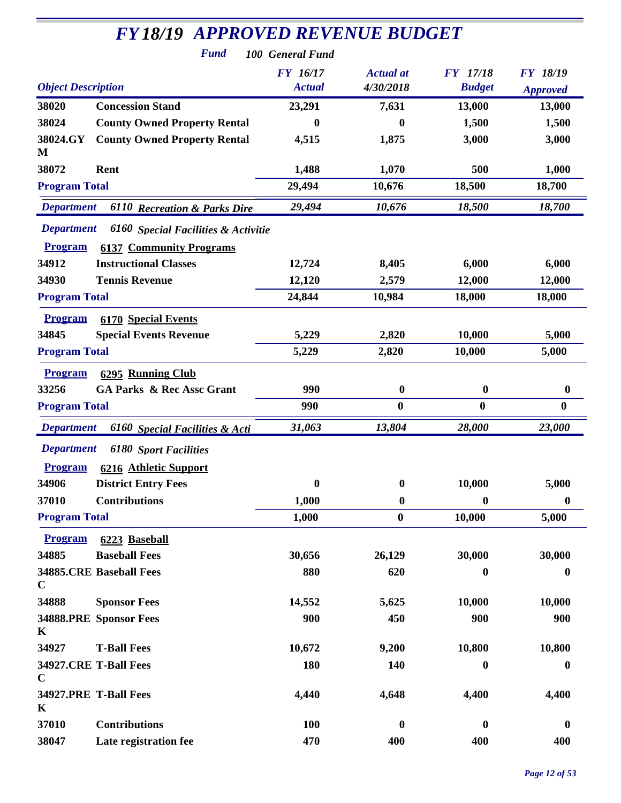| <b>FY18/19 APPROVED REVENUE BUDGET</b> |                                                             |                  |                  |                  |                  |
|----------------------------------------|-------------------------------------------------------------|------------------|------------------|------------------|------------------|
|                                        | <b>Fund</b>                                                 | 100 General Fund |                  |                  |                  |
|                                        |                                                             | <b>FY 16/17</b>  | <b>Actual</b> at | <b>FY</b> 17/18  | <b>FY 18/19</b>  |
| <b>Object Description</b>              |                                                             | <b>Actual</b>    | 4/30/2018        | <b>Budget</b>    | <b>Approved</b>  |
| 38020                                  | <b>Concession Stand</b>                                     | 23,291           | 7,631            | 13,000           | 13,000           |
| 38024                                  | <b>County Owned Property Rental</b>                         | $\boldsymbol{0}$ | $\bf{0}$         | 1,500            | 1,500            |
| 38024.GY<br>M                          | <b>County Owned Property Rental</b>                         | 4,515            | 1,875            | 3,000            | 3,000            |
| 38072                                  | Rent                                                        | 1,488            | 1,070            | 500              | 1,000            |
| <b>Program Total</b>                   |                                                             | 29,494           | 10,676           | 18,500           | 18,700           |
| <b>Department</b>                      | <b>6110 Recreation &amp; Parks Dire</b>                     | 29,494           | 10,676           | 18,500           | 18,700           |
| <b>Department</b>                      | 6160 Special Facilities & Activitie                         |                  |                  |                  |                  |
| <b>Program</b>                         | <b>6137 Community Programs</b>                              |                  |                  |                  |                  |
| 34912                                  | <b>Instructional Classes</b>                                | 12,724           | 8,405            | 6,000            | 6,000            |
| 34930                                  | <b>Tennis Revenue</b>                                       | 12,120           | 2,579            | 12,000           | 12,000           |
| <b>Program Total</b>                   |                                                             | 24,844           | 10,984           | 18,000           | 18,000           |
| <b>Program</b><br>34845                | <b>6170 Special Events</b><br><b>Special Events Revenue</b> | 5,229            | 2,820            | 10,000           | 5,000            |
| <b>Program Total</b>                   |                                                             | 5,229            | 2,820            | 10,000           | 5,000            |
|                                        |                                                             |                  |                  |                  |                  |
| <b>Program</b>                         | <b>6295 Running Club</b>                                    |                  |                  |                  |                  |
| 33256                                  | <b>GA Parks &amp; Rec Assc Grant</b>                        | 990              | $\boldsymbol{0}$ | $\boldsymbol{0}$ | $\boldsymbol{0}$ |
| <b>Program Total</b>                   |                                                             | 990              | $\bf{0}$         | $\bf{0}$         | $\bf{0}$         |
| <b>Department</b>                      | 6160 Special Facilities & Acti                              | 31,063           | 13,804           | 28,000           | 23,000           |
| <b>Department</b>                      | <b>6180</b> Sport Facilities                                |                  |                  |                  |                  |
| <b>Program</b>                         | 6216 Athletic Support                                       |                  |                  |                  |                  |
| 34906                                  | <b>District Entry Fees</b>                                  | $\bf{0}$         | $\boldsymbol{0}$ | 10,000           | 5,000            |
| 37010                                  | <b>Contributions</b>                                        | 1,000            | $\boldsymbol{0}$ | $\boldsymbol{0}$ | $\boldsymbol{0}$ |
| <b>Program Total</b>                   |                                                             | 1,000            | $\boldsymbol{0}$ | 10,000           | 5,000            |
| <b>Program</b>                         | 6223 Baseball                                               |                  |                  |                  |                  |
| 34885                                  | <b>Baseball Fees</b>                                        | 30,656           | 26,129           | 30,000           | 30,000           |
| $\mathbf C$                            | <b>34885.CRE Baseball Fees</b>                              | 880              | 620              | $\bf{0}$         | $\boldsymbol{0}$ |
| 34888                                  | <b>Sponsor Fees</b>                                         | 14,552           | 5,625            | 10,000           | 10,000           |
| K                                      | 34888.PRE Sponsor Fees                                      | 900              | 450              | 900              | 900              |
| 34927                                  | <b>T-Ball Fees</b>                                          | 10,672           | 9,200            | 10,800           | 10,800           |
| $\mathbf C$                            | 34927.CRE T-Ball Fees                                       | 180              | 140              | $\boldsymbol{0}$ | $\boldsymbol{0}$ |
| K                                      | 34927.PRE T-Ball Fees                                       | 4,440            | 4,648            | 4,400            | 4,400            |
| 37010                                  | <b>Contributions</b>                                        | 100              | $\boldsymbol{0}$ | $\boldsymbol{0}$ | $\boldsymbol{0}$ |
| 38047                                  | Late registration fee                                       | 470              | 400              | 400              | 400              |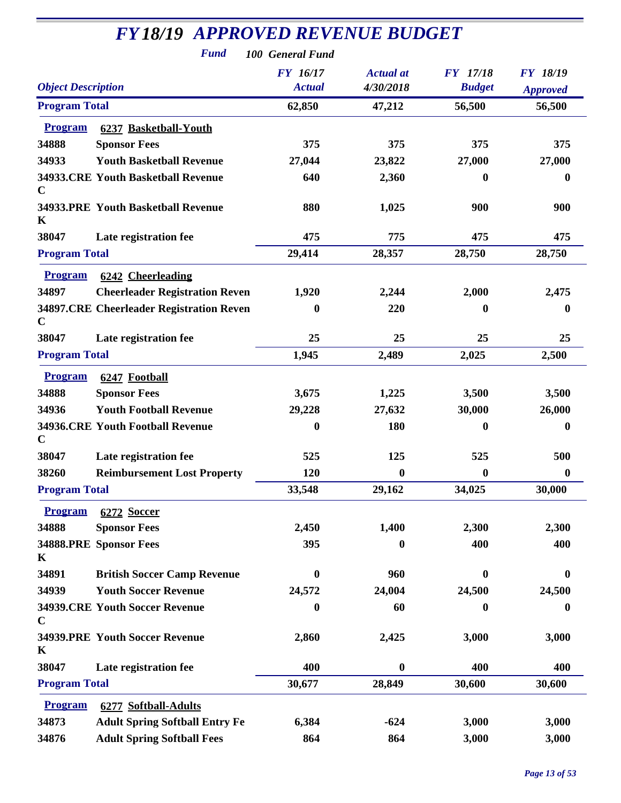|                             | <b>Fund</b>                               | 100 General Fund                 |                               |                                  |                                    |
|-----------------------------|-------------------------------------------|----------------------------------|-------------------------------|----------------------------------|------------------------------------|
| <b>Object Description</b>   |                                           | <b>FY</b> 16/17<br><b>Actual</b> | <b>Actual</b> at<br>4/30/2018 | <b>FY</b> 17/18<br><b>Budget</b> | <b>FY 18/19</b><br><b>Approved</b> |
| <b>Program Total</b>        |                                           | 62,850                           | 47,212                        | 56,500                           | 56,500                             |
| <b>Program</b>              | 6237 Basketball-Youth                     |                                  |                               |                                  |                                    |
| 34888                       | <b>Sponsor Fees</b>                       | 375                              | 375                           | 375                              | 375                                |
| 34933                       | <b>Youth Basketball Revenue</b>           | 27,044                           | 23,822                        | 27,000                           | 27,000                             |
| $\mathbf C$                 | 34933.CRE Youth Basketball Revenue        | 640                              | 2,360                         | $\bf{0}$                         | $\bf{0}$                           |
| K                           | <b>34933.PRE Youth Basketball Revenue</b> | 880                              | 1,025                         | 900                              | 900                                |
| 38047                       | Late registration fee                     | 475                              | 775                           | 475                              | 475                                |
| <b>Program Total</b>        |                                           | 29,414                           | 28,357                        | 28,750                           | 28,750                             |
| <b>Program</b>              | 6242 Cheerleading                         |                                  |                               |                                  |                                    |
| 34897                       | <b>Cheerleader Registration Reven</b>     | 1,920                            | 2,244                         | 2,000                            | 2,475                              |
| $\mathbf C$                 | 34897.CRE Cheerleader Registration Reven  | 0                                | 220                           | 0                                | $\bf{0}$                           |
| 38047                       | Late registration fee                     | 25                               | 25                            | 25                               | 25                                 |
| <b>Program Total</b>        |                                           | 1,945                            | 2,489                         | 2,025                            | 2,500                              |
| <b>Program</b>              | 6247 Football                             |                                  |                               |                                  |                                    |
| 34888                       | <b>Sponsor Fees</b>                       | 3,675                            | 1,225                         | 3,500                            | 3,500                              |
| 34936                       | <b>Youth Football Revenue</b>             | 29,228                           | 27,632                        | 30,000                           | 26,000                             |
| $\mathbf C$                 | <b>34936.CRE Youth Football Revenue</b>   | $\boldsymbol{0}$                 | 180                           | $\boldsymbol{0}$                 | $\boldsymbol{0}$                   |
| 38047                       | Late registration fee                     | 525                              | 125                           | 525                              | 500                                |
| 38260                       | <b>Reimbursement Lost Property</b>        | 120                              | $\boldsymbol{0}$              | $\boldsymbol{0}$                 | $\bf{0}$                           |
| <b>Program Total</b>        |                                           | 33,548                           | 29,162                        | 34,025                           | 30,000                             |
| <b>Program</b>              | 6272 Soccer                               |                                  |                               |                                  |                                    |
| 34888                       | <b>Sponsor Fees</b>                       | 2,450                            | 1,400                         | 2,300                            | 2,300                              |
| 34888.PRE Sponsor Fees<br>K |                                           | 395                              | $\bf{0}$                      | 400                              | 400                                |
| 34891                       | <b>British Soccer Camp Revenue</b>        | $\bf{0}$                         | 960                           | $\mathbf 0$                      | $\mathbf{0}$                       |
| 34939                       | <b>Youth Soccer Revenue</b>               | 24,572                           | 24,004                        | 24,500                           | 24,500                             |
| $\mathbf C$                 | <b>34939.CRE Youth Soccer Revenue</b>     | 0                                | 60                            | $\bf{0}$                         | $\bf{0}$                           |
| $\mathbf K$                 | <b>34939.PRE Youth Soccer Revenue</b>     | 2,860                            | 2,425                         | 3,000                            | 3,000                              |
| 38047                       | Late registration fee                     | 400                              | $\boldsymbol{0}$              | 400                              | 400                                |
| <b>Program Total</b>        |                                           | 30,677                           | 28,849                        | 30,600                           | 30,600                             |
| <b>Program</b>              | 6277 Softball-Adults                      |                                  |                               |                                  |                                    |
| 34873                       | <b>Adult Spring Softball Entry Fe</b>     | 6,384                            | $-624$                        | 3,000                            | 3,000                              |
| 34876                       | <b>Adult Spring Softball Fees</b>         | 864                              | 864                           | 3,000                            | 3,000                              |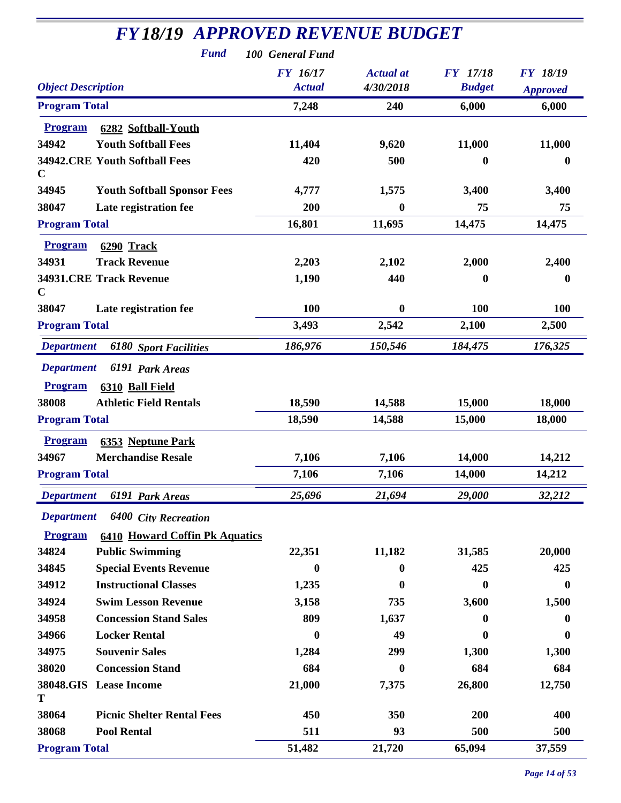| <b>FY18/19 APPROVED REVENUE BUDGET</b><br><b>Fund</b>                                                | 100 General Fund          |                               |                                  |                                    |
|------------------------------------------------------------------------------------------------------|---------------------------|-------------------------------|----------------------------------|------------------------------------|
| <b>Object Description</b>                                                                            | FY 16/17<br><b>Actual</b> | <b>Actual</b> at<br>4/30/2018 | <b>FY</b> 17/18<br><b>Budget</b> | <b>FY 18/19</b><br><b>Approved</b> |
| <b>Program Total</b>                                                                                 | 7,248                     | 240                           | 6,000                            | 6,000                              |
| <b>Program</b><br>6282 Softball-Youth                                                                |                           |                               |                                  |                                    |
| 34942<br><b>Youth Softball Fees</b>                                                                  | 11,404                    | 9,620                         | 11,000                           | 11,000                             |
| <b>34942.CRE Youth Softball Fees</b><br>$\mathbf C$                                                  | 420                       | 500                           | $\bf{0}$                         | $\boldsymbol{0}$                   |
| 34945<br><b>Youth Softball Sponsor Fees</b>                                                          | 4,777                     | 1,575                         | 3,400                            | 3,400                              |
| 38047<br>Late registration fee                                                                       | 200                       | $\boldsymbol{0}$              | 75                               | 75                                 |
| <b>Program Total</b>                                                                                 | 16,801                    | 11,695                        | 14,475                           | 14,475                             |
| <b>Program</b><br>6290 Track                                                                         |                           |                               |                                  |                                    |
| 34931<br><b>Track Revenue</b>                                                                        | 2,203                     | 2,102                         | 2,000                            | 2,400                              |
| <b>34931.CRE Track Revenue</b><br>$\mathbf C$                                                        | 1,190                     | 440                           | 0                                | $\boldsymbol{0}$                   |
| 38047<br>Late registration fee                                                                       | <b>100</b>                | $\bf{0}$                      | 100                              | 100                                |
| <b>Program Total</b>                                                                                 | 3,493                     | 2,542                         | 2,100                            | 2,500                              |
| <b>Department</b><br><b>6180 Sport Facilities</b>                                                    | 186,976                   | 150,546                       | 184,475                          | 176,325                            |
| <b>Department</b><br>6191 Park Areas<br><b>Program</b><br>6310 Ball Field                            |                           |                               |                                  |                                    |
| 38008<br><b>Athletic Field Rentals</b>                                                               | 18,590                    | 14,588                        | 15,000                           | 18,000                             |
| <b>Program Total</b>                                                                                 | 18,590                    | 14,588                        | 15,000                           | 18,000                             |
| <b>Program</b><br>6353 Neptune Park                                                                  |                           |                               |                                  |                                    |
| 34967<br><b>Merchandise Resale</b>                                                                   | 7,106                     | 7,106                         | 14,000                           | 14,212                             |
| <b>Program Total</b>                                                                                 | 7,106                     | 7,106                         | 14,000                           | 14,212                             |
| <b>Department</b><br>6191 Park Areas                                                                 | 25,696                    | 21,694                        | 29,000                           | 32,212                             |
| <b>Department</b><br>6400 City Recreation<br><b>Program</b><br><b>6410 Howard Coffin Pk Aquatics</b> |                           |                               |                                  |                                    |
| <b>Public Swimming</b><br>34824                                                                      | 22,351                    | 11,182                        | 31,585                           | 20,000                             |
| 34845<br><b>Special Events Revenue</b>                                                               | 0                         | 0                             | 425                              | 425                                |
| <b>Instructional Classes</b><br>34912                                                                | 1,235                     | 0                             | $\bf{0}$                         | $\bf{0}$                           |
| 34924<br><b>Swim Lesson Revenue</b>                                                                  | 3,158                     | 735                           | 3,600                            | 1,500                              |
| <b>Concession Stand Sales</b><br>34958                                                               | 809                       | 1,637                         | $\mathbf{0}$                     | 0                                  |
| 34966<br><b>Locker Rental</b>                                                                        | 0                         | 49                            | 0                                | 0                                  |
| 34975<br><b>Souvenir Sales</b>                                                                       | 1,284                     | 299                           | 1,300                            | 1,300                              |
| <b>Concession Stand</b><br>38020                                                                     | 684                       | $\bf{0}$                      | 684                              | 684                                |
| 38048.GIS Lease Income<br>T                                                                          | 21,000                    | 7,375                         | 26,800                           | 12,750                             |
| 38064<br><b>Picnic Shelter Rental Fees</b>                                                           | 450                       | 350                           | 200                              | 400                                |
| 38068<br><b>Pool Rental</b>                                                                          | 511                       | 93                            | 500                              | 500                                |
| <b>Program Total</b>                                                                                 | 51,482                    | 21,720                        | 65,094                           | 37,559                             |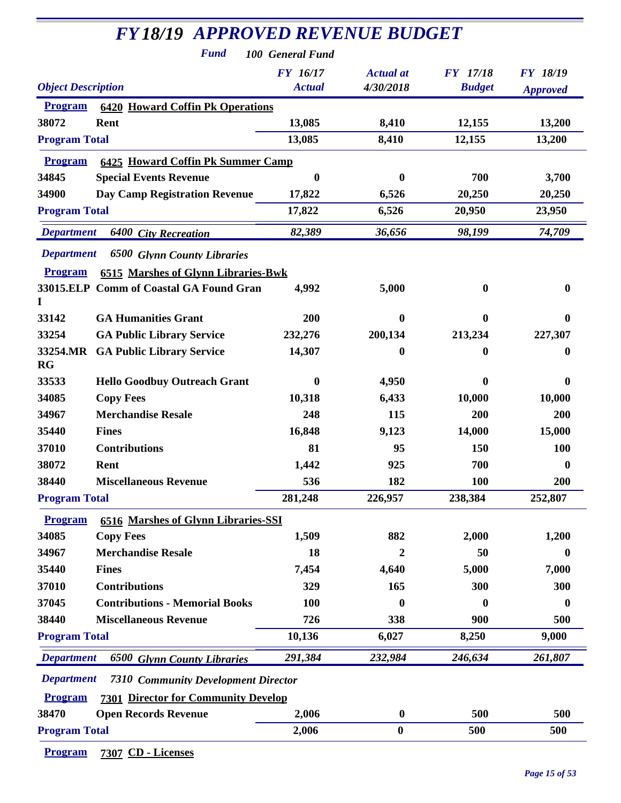| <b>FY18/19 APPROVED REVENUE BUDGET</b>                          |                  |                  |                 |                 |
|-----------------------------------------------------------------|------------------|------------------|-----------------|-----------------|
| <b>Fund</b>                                                     | 100 General Fund |                  |                 |                 |
|                                                                 | <b>FY</b> 16/17  | <b>Actual</b> at | <b>FY</b> 17/18 | <b>FY 18/19</b> |
| <b>Object Description</b>                                       | <b>Actual</b>    | 4/30/2018        | <b>Budget</b>   | <b>Approved</b> |
| <b>6420 Howard Coffin Pk Operations</b><br><b>Program</b>       |                  |                  |                 |                 |
| 38072<br>Rent                                                   | 13,085           | 8,410            | 12,155          | 13,200          |
| <b>Program Total</b>                                            | 13,085           | 8,410            | 12,155          | 13,200          |
| <b>6425 Howard Coffin Pk Summer Camp</b><br><b>Program</b>      |                  |                  |                 |                 |
| 34845<br><b>Special Events Revenue</b>                          | 0                | $\mathbf{0}$     | 700             | 3,700           |
| 34900<br><b>Day Camp Registration Revenue</b>                   | 17,822           | 6,526            | 20,250          | 20,250          |
| <b>Program Total</b>                                            | 17,822           | 6,526            | 20,950          | 23,950          |
| <b>Department</b><br><b>6400 City Recreation</b>                | 82,389           | 36,656           | 98,199          | 74,709          |
| <b>Department</b><br><b>6500 Glynn County Libraries</b>         |                  |                  |                 |                 |
| <b>6515 Marshes of Glynn Libraries-Bwk</b><br><b>Program</b>    |                  |                  |                 |                 |
| 33015.ELP Comm of Coastal GA Found Gran                         | 4,992            | 5,000            | $\bf{0}$        | $\mathbf 0$     |
| 33142<br><b>GA Humanities Grant</b>                             | 200              | 0                | 0               | $\mathbf 0$     |
| 33254<br><b>GA Public Library Service</b>                       | 232,276          | 200,134          | 213,234         | 227,307         |
| 33254.MR<br><b>GA Public Library Service</b><br>RG              | 14,307           | $\boldsymbol{0}$ | 0               | $\bf{0}$        |
| 33533<br><b>Hello Goodbuy Outreach Grant</b>                    | 0                | 4,950            | 0               | $\mathbf{0}$    |
| 34085<br><b>Copy Fees</b>                                       | 10,318           | 6,433            | 10,000          | 10,000          |
| 34967<br><b>Merchandise Resale</b>                              | 248              | 115              | 200             | 200             |
| 35440<br><b>Fines</b>                                           | 16,848           | 9,123            | 14,000          | 15,000          |
| 37010<br><b>Contributions</b>                                   | 81               | 95               | 150             | <b>100</b>      |
| 38072<br>Rent                                                   | 1,442            | 925              | 700             | $\bf{0}$        |
| 38440<br><b>Miscellaneous Revenue</b>                           | 536              | 182              | 100             | <b>200</b>      |
| <b>Program Total</b>                                            | 281,248          | 226,957          | 238,384         | 252,807         |
| <b>6516 Marshes of Glynn Libraries-SSI</b><br><b>Program</b>    |                  |                  |                 |                 |
| 34085<br><b>Copy Fees</b>                                       | 1,509            | 882              | 2,000           | 1,200           |
| 34967<br><b>Merchandise Resale</b>                              | 18               | 2                | 50              | $\bf{0}$        |
| 35440<br><b>Fines</b>                                           | 7,454            | 4,640            | 5,000           | 7,000           |
| <b>Contributions</b><br>37010                                   | 329              | 165              | 300             | 300             |
| 37045<br><b>Contributions - Memorial Books</b>                  | 100              | 0                | 0               | $\bf{0}$        |
| <b>Miscellaneous Revenue</b><br>38440                           | 726              | 338              | 900             | 500             |
| <b>Program Total</b>                                            | 10,136           | 6,027            | 8,250           | 9,000           |
| <b>Department</b><br><b>6500 Glynn County Libraries</b>         | 291,384          | 232,984          | 246,634         | 261,807         |
| <b>Department</b><br><b>7310 Community Development Director</b> |                  |                  |                 |                 |
| <b>7301 Director for Community Develop</b><br><b>Program</b>    |                  |                  |                 |                 |
| 38470<br><b>Open Records Revenue</b>                            | 2,006            | $\bf{0}$         | 500             | 500             |
| <b>Program Total</b>                                            | 2,006            | $\bf{0}$         | 500             | 500             |

**Program 7307 CD - Licenses**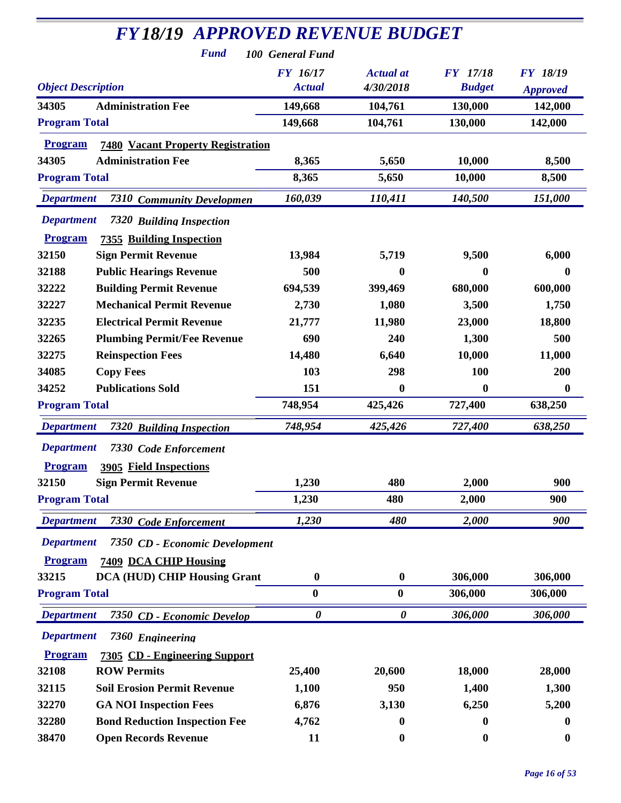| <b>FY18/19 APPROVED REVENUE BUDGET</b>                                 |                       |                       |                  |                  |
|------------------------------------------------------------------------|-----------------------|-----------------------|------------------|------------------|
| <b>Fund</b>                                                            | 100 General Fund      |                       |                  |                  |
|                                                                        | <b>FY</b> 16/17       | <b>Actual</b> at      | <b>FY</b> 17/18  | <b>FY 18/19</b>  |
| <b>Object Description</b>                                              | <b>Actual</b>         | 4/30/2018             | <b>Budget</b>    | <b>Approved</b>  |
| <b>Administration Fee</b><br>34305                                     | 149,668               | 104,761               | 130,000          | 142,000          |
| <b>Program Total</b>                                                   | 149,668               | 104,761               | 130,000          | 142,000          |
| <b>Program</b><br><b>7480 Vacant Property Registration</b>             |                       |                       |                  |                  |
| <b>Administration Fee</b><br>34305                                     | 8,365                 | 5,650                 | 10,000           | 8,500            |
| <b>Program Total</b>                                                   | 8,365                 | 5,650                 | 10,000           | 8,500            |
| <b>Department</b><br><i><b>7310</b></i><br><b>Community Developmen</b> | 160,039               | 110,411               | 140,500          | 151,000          |
| <b>Department</b><br><b>7320 Building Inspection</b>                   |                       |                       |                  |                  |
| <b>Program</b><br><b>7355 Building Inspection</b>                      |                       |                       |                  |                  |
| 32150<br><b>Sign Permit Revenue</b>                                    | 13,984                | 5,719                 | 9,500            | 6,000            |
| <b>Public Hearings Revenue</b><br>32188                                | 500                   | 0                     | 0                | 0                |
| 32222<br><b>Building Permit Revenue</b>                                | 694,539               | 399,469               | 680,000          | 600,000          |
| <b>Mechanical Permit Revenue</b><br>32227                              | 2,730                 | 1,080                 | 3,500            | 1,750            |
| 32235<br><b>Electrical Permit Revenue</b>                              | 21,777                | 11,980                | 23,000           | 18,800           |
| 32265<br><b>Plumbing Permit/Fee Revenue</b>                            | 690                   | 240                   | 1,300            | 500              |
| 32275<br><b>Reinspection Fees</b>                                      | 14,480                | 6,640                 | 10,000           | 11,000           |
| 34085<br><b>Copy Fees</b>                                              | 103                   | 298                   | 100              | 200              |
| 34252<br><b>Publications Sold</b>                                      | 151                   | 0                     | $\boldsymbol{0}$ | $\boldsymbol{0}$ |
| <b>Program Total</b>                                                   | 748,954               | 425,426               | 727,400          | 638,250          |
| <b>Department</b><br><b>7320 Building Inspection</b>                   | 748,954               | 425,426               | 727,400          | 638,250          |
| <b>Department</b><br>7330 Code Enforcement                             |                       |                       |                  |                  |
| <b>3905 Field Inspections</b><br><b>Program</b>                        |                       |                       |                  |                  |
| <b>Sign Permit Revenue</b><br>32150                                    | 1,230                 | 480                   | 2,000            | 900              |
| <b>Program Total</b>                                                   | 1,230                 | 480                   | 2,000            | 900              |
| <b>Department</b><br>7330 Code Enforcement                             | 1,230                 | 480                   | 2,000            | 900              |
| <b>Department</b><br>7350 CD - Economic Development                    |                       |                       |                  |                  |
| <b>Program</b><br>7409 DCA CHIP Housing                                |                       |                       |                  |                  |
| <b>DCA (HUD) CHIP Housing Grant</b><br>33215                           | $\boldsymbol{0}$      | $\boldsymbol{0}$      | 306,000          | 306,000          |
| <b>Program Total</b>                                                   | $\boldsymbol{0}$      | $\boldsymbol{0}$      | 306,000          | 306,000          |
| <b>Department</b><br>7350 CD - Economic Develop                        | $\boldsymbol{\theta}$ | $\boldsymbol{\theta}$ | 306,000          | 306,000          |
| <b>Department</b><br>7360 Engineering                                  |                       |                       |                  |                  |
| <b>Program</b><br>7305 CD - Engineering Support                        |                       |                       |                  |                  |
| <b>ROW Permits</b><br>32108                                            | 25,400                | 20,600                | 18,000           | 28,000           |
| <b>Soil Erosion Permit Revenue</b><br>32115                            | 1,100                 | 950                   | 1,400            | 1,300            |
| <b>GA NOI Inspection Fees</b><br>32270                                 | 6,876                 | 3,130                 | 6,250            | 5,200            |
| 32280<br><b>Bond Reduction Inspection Fee</b>                          | 4,762                 | 0                     | 0                | 0                |
| 38470<br><b>Open Records Revenue</b>                                   | 11                    | $\boldsymbol{0}$      | $\boldsymbol{0}$ | $\boldsymbol{0}$ |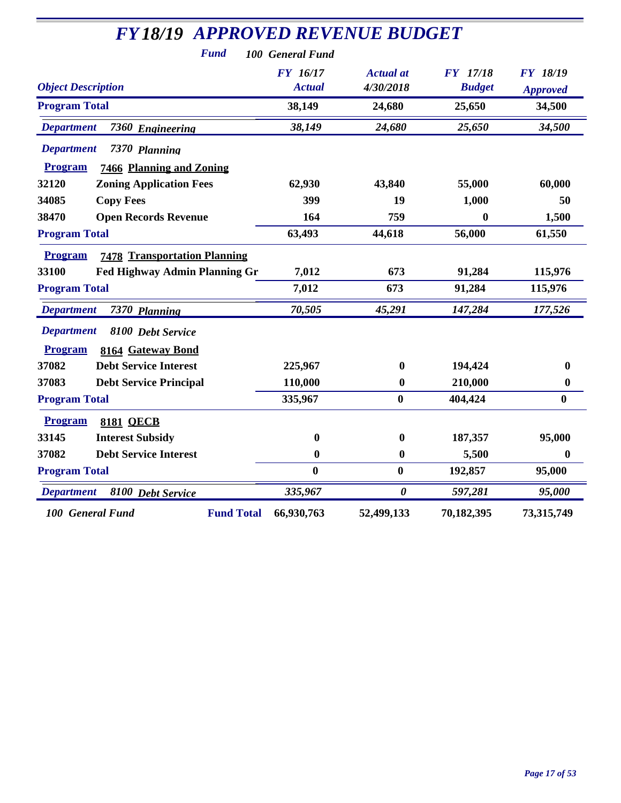| <b>FY18/19 APPROVED REVENUE BUDGET</b>                |                  |                       |                 |                  |
|-------------------------------------------------------|------------------|-----------------------|-----------------|------------------|
| <b>Fund</b>                                           | 100 General Fund |                       |                 |                  |
|                                                       | <b>FY</b> 16/17  | <b>Actual</b> at      | <b>FY</b> 17/18 | <b>FY 18/19</b>  |
| <b>Object Description</b>                             | <b>Actual</b>    | 4/30/2018             | <b>Budget</b>   | <b>Approved</b>  |
| <b>Program Total</b>                                  | 38,149           | 24,680                | 25,650          | 34,500           |
| <b>Department</b><br>7360 Engineering                 | 38,149           | 24,680                | 25,650          | 34,500           |
| <b>Department</b><br>7370 Planning                    |                  |                       |                 |                  |
| 7466 Planning and Zoning<br><b>Program</b>            |                  |                       |                 |                  |
| <b>Zoning Application Fees</b><br>32120               | 62,930           | 43,840                | 55,000          | 60,000           |
| 34085<br><b>Copy Fees</b>                             | 399              | 19                    | 1,000           | 50               |
| <b>Open Records Revenue</b><br>38470                  | 164              | 759                   | 0               | 1,500            |
| <b>Program Total</b>                                  | 63,493           | 44,618                | 56,000          | 61,550           |
| <b>Program</b><br><b>7478 Transportation Planning</b> |                  |                       |                 |                  |
| 33100<br><b>Fed Highway Admin Planning Gr</b>         | 7,012            | 673                   | 91,284          | 115,976          |
| <b>Program Total</b>                                  | 7,012            | 673                   | 91,284          | 115,976          |
| <b>Department</b><br>7370 Planning                    | 70,505           | 45,291                | 147,284         | 177,526          |
| <b>Department</b><br>8100 Debt Service                |                  |                       |                 |                  |
| <b>Program</b><br>8164 Gateway Bond                   |                  |                       |                 |                  |
| 37082<br><b>Debt Service Interest</b>                 | 225,967          | $\mathbf{0}$          | 194,424         | $\boldsymbol{0}$ |
| 37083<br><b>Debt Service Principal</b>                | 110,000          | $\boldsymbol{0}$      | 210,000         | $\boldsymbol{0}$ |
| <b>Program Total</b>                                  | 335,967          | $\bf{0}$              | 404,424         | $\bf{0}$         |
| <b>Program</b><br><b>8181 QECB</b>                    |                  |                       |                 |                  |
| 33145<br><b>Interest Subsidy</b>                      | 0                | $\bf{0}$              | 187,357         | 95,000           |
| <b>Debt Service Interest</b><br>37082                 | $\bf{0}$         | $\boldsymbol{0}$      | 5,500           | $\bf{0}$         |
| <b>Program Total</b>                                  | $\bf{0}$         | $\bf{0}$              | 192,857         | 95,000           |
| 8100 Debt Service<br><b>Department</b>                | 335,967          | $\boldsymbol{\theta}$ | 597,281         | 95,000           |
| <b>Fund Total</b><br>100 General Fund                 | 66,930,763       | 52,499,133            | 70,182,395      | 73,315,749       |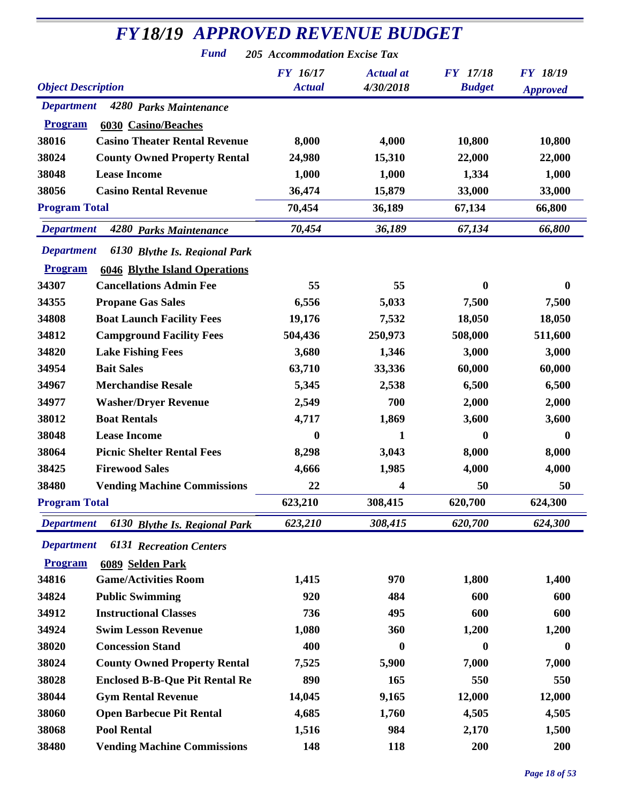| <b>FY18/19 APPROVED REVENUE BUDGET</b>                 |                                  |                               |                                  |                 |
|--------------------------------------------------------|----------------------------------|-------------------------------|----------------------------------|-----------------|
| <b>Fund</b>                                            | 205 Accommodation Excise Tax     |                               |                                  |                 |
| <b>Object Description</b>                              | <b>FY</b> 16/17<br><b>Actual</b> | <b>Actual</b> at<br>4/30/2018 | <b>FY</b> 17/18<br><b>Budget</b> | <b>FY 18/19</b> |
| <b>Department</b><br>4280 Parks Maintenance            |                                  |                               |                                  | <b>Approved</b> |
| 6030 Casino/Beaches<br><b>Program</b>                  |                                  |                               |                                  |                 |
| 38016<br><b>Casino Theater Rental Revenue</b>          | 8,000                            | 4,000                         | 10,800                           | 10,800          |
| 38024<br><b>County Owned Property Rental</b>           | 24,980                           | 15,310                        | 22,000                           | 22,000          |
| 38048<br><b>Lease Income</b>                           | 1,000                            | 1,000                         | 1,334                            | 1,000           |
| 38056<br><b>Casino Rental Revenue</b>                  | 36,474                           | 15,879                        | 33,000                           | 33,000          |
| <b>Program Total</b>                                   | 70,454                           | 36,189                        | 67,134                           | 66,800          |
| <b>Department</b>                                      | 70,454                           | 36,189                        | 67,134                           | 66,800          |
| 4280 Parks Maintenance                                 |                                  |                               |                                  |                 |
| <b>Department</b><br>6130 Blythe Is. Regional Park     |                                  |                               |                                  |                 |
| <b>Program</b><br><b>6046 Blythe Island Operations</b> |                                  |                               |                                  |                 |
| <b>Cancellations Admin Fee</b><br>34307                | 55                               | 55                            | $\mathbf{0}$                     | 0               |
| 34355<br><b>Propane Gas Sales</b>                      | 6,556                            | 5,033                         | 7,500                            | 7,500           |
| 34808<br><b>Boat Launch Facility Fees</b>              | 19,176                           | 7,532                         | 18,050                           | 18,050          |
| 34812<br><b>Campground Facility Fees</b>               | 504,436                          | 250,973                       | 508,000                          | 511,600         |
| 34820<br><b>Lake Fishing Fees</b>                      | 3,680                            | 1,346                         | 3,000                            | 3,000           |
| 34954<br><b>Bait Sales</b>                             | 63,710                           | 33,336                        | 60,000                           | 60,000          |
| 34967<br><b>Merchandise Resale</b>                     | 5,345                            | 2,538                         | 6,500                            | 6,500           |
| 34977<br><b>Washer/Dryer Revenue</b>                   | 2,549                            | 700                           | 2,000                            | 2,000           |
| <b>Boat Rentals</b><br>38012                           | 4,717                            | 1,869                         | 3,600                            | 3,600           |
| 38048<br><b>Lease Income</b>                           | 0                                | 1                             | $\mathbf{0}$                     | $\mathbf{0}$    |
| 38064<br><b>Picnic Shelter Rental Fees</b>             | 8,298                            | 3,043                         | 8,000                            | 8,000           |
| 38425<br><b>Firewood Sales</b>                         | 4,666                            | 1,985                         | 4,000                            | 4,000           |
| <b>Vending Machine Commissions</b><br>38480            | 22                               | 4                             | 50                               | 50              |
| <b>Program Total</b>                                   | 623,210                          | 308,415                       | 620,700                          | 624,300         |
| <b>Department</b><br>6130 Blythe Is. Regional Park     | 623,210                          | 308,415                       | 620,700                          | 624,300         |
| <b>Department</b><br><b>6131 Recreation Centers</b>    |                                  |                               |                                  |                 |
| <b>Program</b><br>6089 Selden Park                     |                                  |                               |                                  |                 |
| 34816<br><b>Game/Activities Room</b>                   | 1,415                            | 970                           | 1,800                            | 1,400           |
| 34824<br><b>Public Swimming</b>                        | 920                              | 484                           | 600                              | 600             |
| <b>Instructional Classes</b><br>34912                  | 736                              | 495                           | 600                              | 600             |
| 34924<br><b>Swim Lesson Revenue</b>                    | 1,080                            | 360                           | 1,200                            | 1,200           |
| 38020<br><b>Concession Stand</b>                       | 400                              | $\boldsymbol{0}$              | $\boldsymbol{0}$                 | $\bf{0}$        |
| 38024<br><b>County Owned Property Rental</b>           | 7,525                            | 5,900                         | 7,000                            | 7,000           |
| 38028<br><b>Enclosed B-B-Que Pit Rental Re</b>         | 890                              | 165                           | 550                              | 550             |
| 38044<br><b>Gym Rental Revenue</b>                     | 14,045                           | 9,165                         | 12,000                           | 12,000          |
| 38060<br><b>Open Barbecue Pit Rental</b>               | 4,685                            | 1,760                         | 4,505                            | 4,505           |
| 38068<br><b>Pool Rental</b>                            | 1,516                            | 984                           | 2,170                            | 1,500           |
| 38480<br><b>Vending Machine Commissions</b>            | 148                              | 118                           | 200                              | 200             |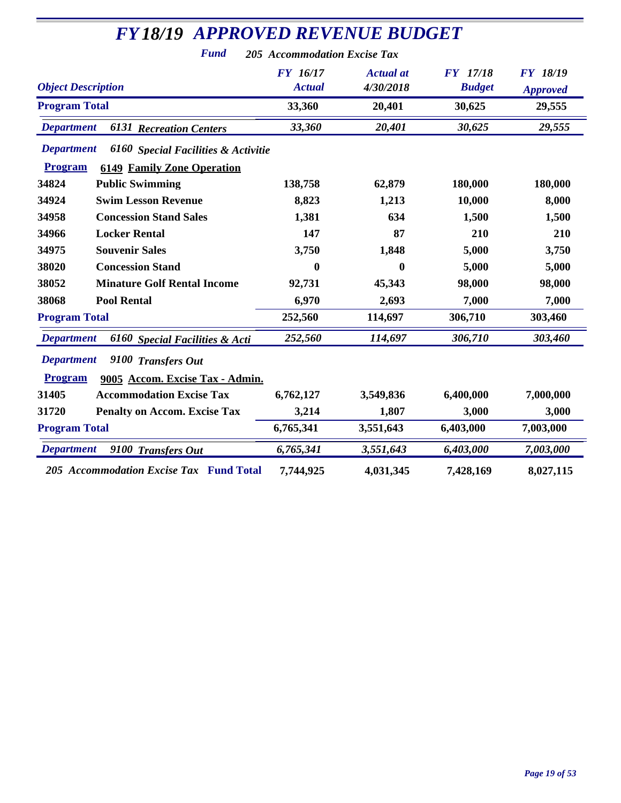| <b>FY18/19 APPROVED REVENUE BUDGET</b>                                                                          |                                  |                               |                                  |                                    |  |
|-----------------------------------------------------------------------------------------------------------------|----------------------------------|-------------------------------|----------------------------------|------------------------------------|--|
| <b>Fund</b>                                                                                                     | 205 Accommodation Excise Tax     |                               |                                  |                                    |  |
| <b>Object Description</b>                                                                                       | <b>FY 16/17</b><br><b>Actual</b> | <b>Actual</b> at<br>4/30/2018 | <b>FY</b> 17/18<br><b>Budget</b> | <b>FY 18/19</b><br><b>Approved</b> |  |
| <b>Program Total</b>                                                                                            | 33,360                           | 20,401                        | 30,625                           | 29,555                             |  |
| <b>6131 Recreation Centers</b><br><b>Department</b>                                                             | 33,360                           | 20,401                        | 30,625                           | 29,555                             |  |
| <b>Department</b><br>6160 Special Facilities & Activitie<br><b>Program</b><br><b>6149 Family Zone Operation</b> |                                  |                               |                                  |                                    |  |
| 34824<br><b>Public Swimming</b>                                                                                 | 138,758                          | 62,879                        | 180,000                          | 180,000                            |  |
| 34924<br><b>Swim Lesson Revenue</b>                                                                             | 8,823                            | 1,213                         | 10,000                           | 8,000                              |  |
| 34958<br><b>Concession Stand Sales</b>                                                                          | 1,381                            | 634                           | 1,500                            | 1,500                              |  |
| 34966<br><b>Locker Rental</b>                                                                                   | 147                              | 87                            | 210                              | 210                                |  |
| 34975<br><b>Souvenir Sales</b>                                                                                  | 3,750                            | 1,848                         | 5,000                            | 3,750                              |  |
| 38020<br><b>Concession Stand</b>                                                                                | $\bf{0}$                         | $\boldsymbol{0}$              | 5,000                            | 5,000                              |  |
| 38052<br><b>Minature Golf Rental Income</b>                                                                     | 92,731                           | 45,343                        | 98,000                           | 98,000                             |  |
| <b>Pool Rental</b><br>38068                                                                                     | 6,970                            | 2,693                         | 7,000                            | 7,000                              |  |
| <b>Program Total</b>                                                                                            | 252,560                          | 114,697                       | 306,710                          | 303,460                            |  |
| <b>Department</b><br>6160 Special Facilities & Acti                                                             | 252,560                          | 114,697                       | 306,710                          | 303,460                            |  |
| <b>Department</b><br>9100 Transfers Out<br><b>Program</b><br>9005 Accom. Excise Tax - Admin.                    |                                  |                               |                                  |                                    |  |
| 31405<br><b>Accommodation Excise Tax</b>                                                                        | 6,762,127                        | 3,549,836                     | 6,400,000                        | 7,000,000                          |  |
| 31720<br><b>Penalty on Accom. Excise Tax</b>                                                                    | 3,214                            | 1,807                         | 3,000                            | 3,000                              |  |
| <b>Program Total</b>                                                                                            | 6,765,341                        | 3,551,643                     | 6,403,000                        | 7,003,000                          |  |
| <b>Department</b><br>9100 Transfers Out                                                                         | 6,765,341                        | 3,551,643                     | 6,403,000                        | 7,003,000                          |  |
| 205 Accommodation Excise Tax Fund Total                                                                         | 7,744,925                        | 4,031,345                     | 7,428,169                        | 8,027,115                          |  |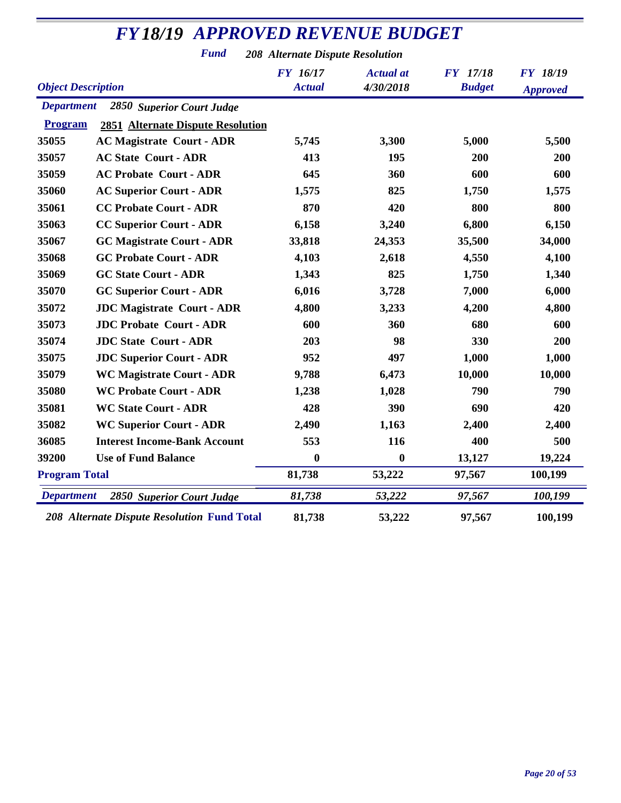*Fund 208 Alternate Dispute Resolution*

| <b>Object Description</b> |                                                    | <b>FY</b> 16/17<br><b>Actual</b> | <b>Actual</b> at<br>4/30/2018 | <b>FY</b> 17/18<br><b>Budget</b> | <b>FY 18/19</b><br><b>Approved</b> |
|---------------------------|----------------------------------------------------|----------------------------------|-------------------------------|----------------------------------|------------------------------------|
| <b>Department</b>         | 2850 Superior Court Judge                          |                                  |                               |                                  |                                    |
| <b>Program</b>            | <b>2851 Alternate Dispute Resolution</b>           |                                  |                               |                                  |                                    |
| 35055                     | <b>AC Magistrate Court - ADR</b>                   | 5,745                            | 3,300                         | 5,000                            | 5,500                              |
| 35057                     | <b>AC State Court - ADR</b>                        | 413                              | 195                           | 200                              | 200                                |
| 35059                     | <b>AC Probate Court - ADR</b>                      | 645                              | 360                           | 600                              | 600                                |
| 35060                     | <b>AC Superior Court - ADR</b>                     | 1,575                            | 825                           | 1,750                            | 1,575                              |
| 35061                     | <b>CC Probate Court - ADR</b>                      | 870                              | 420                           | 800                              | 800                                |
| 35063                     | <b>CC Superior Court - ADR</b>                     | 6,158                            | 3,240                         | 6,800                            | 6,150                              |
| 35067                     | <b>GC Magistrate Court - ADR</b>                   | 33,818                           | 24,353                        | 35,500                           | 34,000                             |
| 35068                     | <b>GC Probate Court - ADR</b>                      | 4,103                            | 2,618                         | 4,550                            | 4,100                              |
| 35069                     | <b>GC State Court - ADR</b>                        | 1,343                            | 825                           | 1,750                            | 1,340                              |
| 35070                     | <b>GC Superior Court - ADR</b>                     | 6,016                            | 3,728                         | 7,000                            | 6,000                              |
| 35072                     | <b>JDC Magistrate Court - ADR</b>                  | 4,800                            | 3,233                         | 4,200                            | 4,800                              |
| 35073                     | <b>JDC Probate Court - ADR</b>                     | 600                              | 360                           | 680                              | 600                                |
| 35074                     | <b>JDC State Court - ADR</b>                       | 203                              | 98                            | 330                              | 200                                |
| 35075                     | <b>JDC Superior Court - ADR</b>                    | 952                              | 497                           | 1,000                            | 1,000                              |
| 35079                     | <b>WC Magistrate Court - ADR</b>                   | 9,788                            | 6,473                         | 10,000                           | 10,000                             |
| 35080                     | <b>WC Probate Court - ADR</b>                      | 1,238                            | 1,028                         | 790                              | 790                                |
| 35081                     | <b>WC State Court - ADR</b>                        | 428                              | 390                           | 690                              | 420                                |
| 35082                     | <b>WC Superior Court - ADR</b>                     | 2,490                            | 1,163                         | 2,400                            | 2,400                              |
| 36085                     | <b>Interest Income-Bank Account</b>                | 553                              | 116                           | 400                              | 500                                |
| 39200                     | <b>Use of Fund Balance</b>                         | $\bf{0}$                         | $\bf{0}$                      | 13,127                           | 19,224                             |
| <b>Program Total</b>      |                                                    | 81,738                           | 53,222                        | 97,567                           | 100,199                            |
| <b>Department</b>         | <b>2850 Superior Court Judge</b>                   | 81,738                           | 53,222                        | 97,567                           | 100,199                            |
|                           | <b>208 Alternate Dispute Resolution Fund Total</b> | 81,738                           | 53,222                        | 97,567                           | 100,199                            |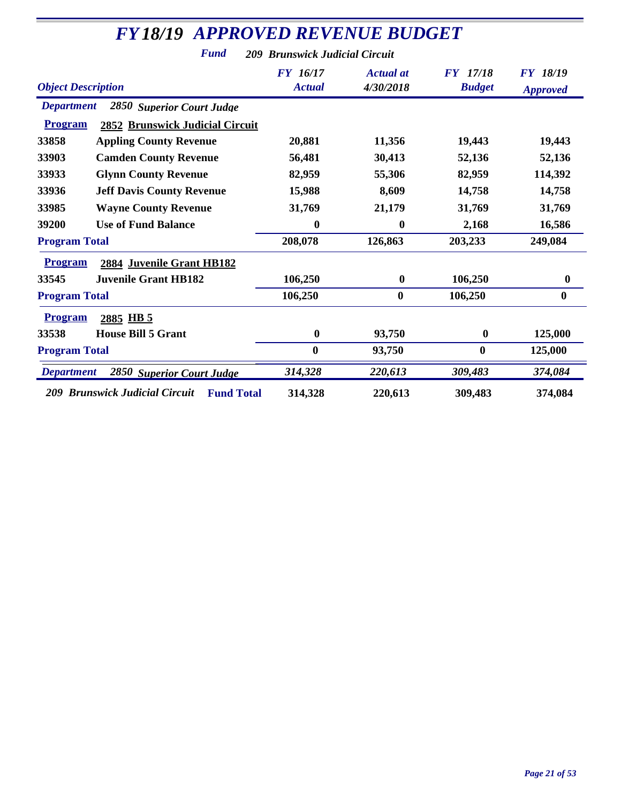| <b>FY18/19 APPROVED REVENUE BUDGET</b>              |                                |                               |                                  |                                    |
|-----------------------------------------------------|--------------------------------|-------------------------------|----------------------------------|------------------------------------|
| <b>Fund</b>                                         | 209 Brunswick Judicial Circuit |                               |                                  |                                    |
| <b>Object Description</b>                           | FY 16/17<br><b>Actual</b>      | <b>Actual</b> at<br>4/30/2018 | <b>FY</b> 17/18<br><b>Budget</b> | <b>FY 18/19</b><br><b>Approved</b> |
| <b>Department</b><br>2850 Superior Court Judge      |                                |                               |                                  |                                    |
| <b>Program</b><br>2852 Brunswick Judicial Circuit   |                                |                               |                                  |                                    |
| 33858<br><b>Appling County Revenue</b>              | 20,881                         | 11,356                        | 19,443                           | 19,443                             |
| 33903<br><b>Camden County Revenue</b>               | 56,481                         | 30,413                        | 52,136                           | 52,136                             |
| 33933<br><b>Glynn County Revenue</b>                | 82,959                         | 55,306                        | 82,959                           | 114,392                            |
| 33936<br><b>Jeff Davis County Revenue</b>           | 15,988                         | 8,609                         | 14,758                           | 14,758                             |
| 33985<br><b>Wayne County Revenue</b>                | 31,769                         | 21,179                        | 31,769                           | 31,769                             |
| 39200<br><b>Use of Fund Balance</b>                 | $\boldsymbol{0}$               | $\boldsymbol{0}$              | 2,168                            | 16,586                             |
| <b>Program Total</b>                                | 208,078                        | 126,863                       | 203,233                          | 249,084                            |
| <b>Program</b><br>2884 Juvenile Grant HB182         |                                |                               |                                  |                                    |
| 33545<br><b>Juvenile Grant HB182</b>                | 106,250                        | $\boldsymbol{0}$              | 106,250                          | $\boldsymbol{0}$                   |
| <b>Program Total</b>                                | 106,250                        | $\boldsymbol{0}$              | 106,250                          | $\bf{0}$                           |
| <b>Program</b><br>2885 HB 5                         |                                |                               |                                  |                                    |
| <b>House Bill 5 Grant</b><br>33538                  | $\boldsymbol{0}$               | 93,750                        | $\bf{0}$                         | 125,000                            |
| <b>Program Total</b>                                | $\bf{0}$                       | 93,750                        | $\boldsymbol{0}$                 | 125,000                            |
| <b>Department</b><br>2850 Superior Court Judge      | 314,328                        | 220,613                       | 309,483                          | 374,084                            |
| 209 Brunswick Judicial Circuit<br><b>Fund Total</b> | 314,328                        | 220,613                       | 309,483                          | 374,084                            |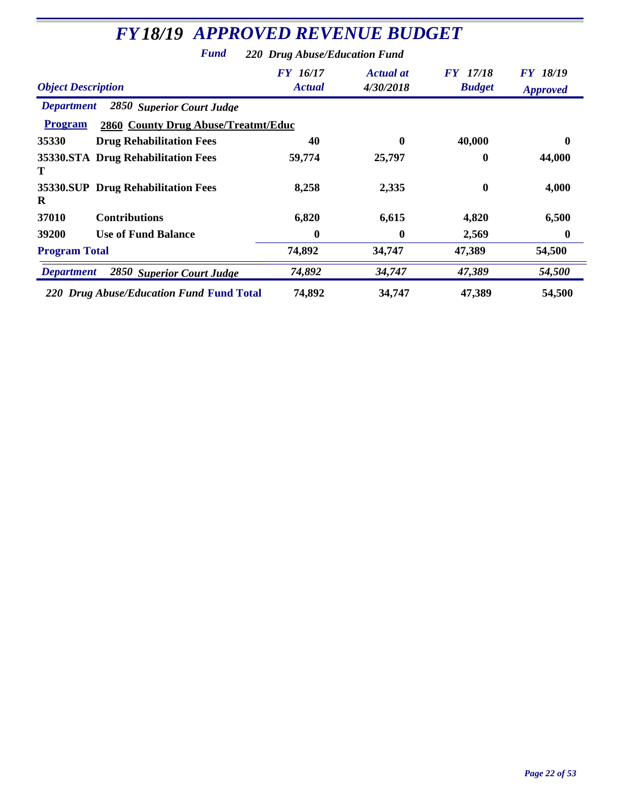| <b>FY18/19 APPROVED REVENUE BUDGET</b>                                                                  |                                  |                               |                           |                                    |  |
|---------------------------------------------------------------------------------------------------------|----------------------------------|-------------------------------|---------------------------|------------------------------------|--|
| <b>Fund</b><br>220 Drug Abuse/Education Fund                                                            |                                  |                               |                           |                                    |  |
| <b>Object Description</b>                                                                               | <b>FY</b> 16/17<br><b>Actual</b> | <b>Actual</b> at<br>4/30/2018 | FY 17/18<br><b>Budget</b> | <i>FY 18/19</i><br><b>Approved</b> |  |
| 2850 Superior Court Judge<br><b>Department</b><br>2860 County Drug Abuse/Treatmt/Educ<br><b>Program</b> |                                  |                               |                           |                                    |  |
| 35330<br><b>Drug Rehabilitation Fees</b>                                                                | 40                               | 0                             | 40,000                    | 0                                  |  |
| 35330. STA Drug Rehabilitation Fees<br>T                                                                | 59,774                           | 25,797                        | 0                         | 44,000                             |  |
| 35330. SUP Drug Rehabilitation Fees<br>R                                                                | 8,258                            | 2,335                         | $\bf{0}$                  | 4,000                              |  |
| <b>Contributions</b><br>37010                                                                           | 6,820                            | 6,615                         | 4,820                     | 6,500                              |  |
| 39200<br><b>Use of Fund Balance</b>                                                                     | 0                                | 0                             | 2,569                     | $\boldsymbol{0}$                   |  |
| <b>Program Total</b>                                                                                    | 74,892                           | 34,747                        | 47,389                    | 54,500                             |  |
| 2850 Superior Court Judge<br><b>Department</b>                                                          | 74,892                           | 34,747                        | 47,389                    | 54,500                             |  |
| 220 Drug Abuse/Education Fund Fund Total                                                                | 74,892                           | 34,747                        | 47,389                    | 54,500                             |  |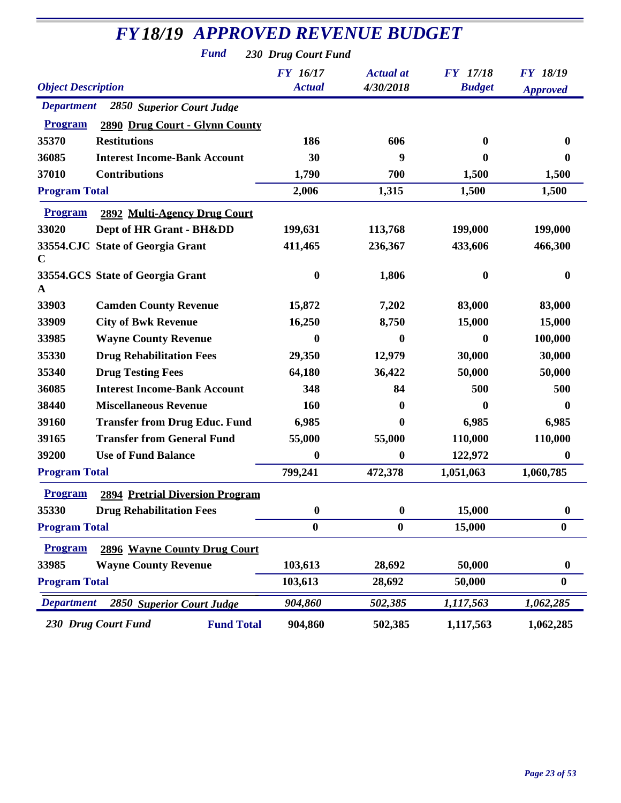|                           | <b>FY18/19 APPROVED REVENUE BUDGET</b>   |                           |                               |                           |                                    |  |  |
|---------------------------|------------------------------------------|---------------------------|-------------------------------|---------------------------|------------------------------------|--|--|
|                           | <b>Fund</b>                              | 230 Drug Court Fund       |                               |                           |                                    |  |  |
| <b>Object Description</b> |                                          | FY 16/17<br><b>Actual</b> | <b>Actual</b> at<br>4/30/2018 | FY 17/18<br><b>Budget</b> | <b>FY 18/19</b><br><b>Approved</b> |  |  |
| <b>Department</b>         | 2850 Superior Court Judge                |                           |                               |                           |                                    |  |  |
| <b>Program</b>            | 2890 Drug Court - Glynn County           |                           |                               |                           |                                    |  |  |
| 35370                     | <b>Restitutions</b>                      | 186                       | 606                           | 0                         | $\bf{0}$                           |  |  |
| 36085                     | <b>Interest Income-Bank Account</b>      | 30                        | 9                             | 0                         | $\bf{0}$                           |  |  |
| 37010                     | <b>Contributions</b>                     | 1,790                     | 700                           | 1,500                     | 1,500                              |  |  |
| <b>Program Total</b>      |                                          | 2,006                     | 1,315                         | 1,500                     | 1,500                              |  |  |
| <b>Program</b>            | 2892 Multi-Agency Drug Court             |                           |                               |                           |                                    |  |  |
| 33020                     | Dept of HR Grant - BHⅅ                   | 199,631                   | 113,768                       | 199,000                   | 199,000                            |  |  |
| C                         | 33554.CJC State of Georgia Grant         | 411,465                   | 236,367                       | 433,606                   | 466,300                            |  |  |
| A                         | 33554.GCS State of Georgia Grant         | 0                         | 1,806                         | 0                         | $\boldsymbol{0}$                   |  |  |
| 33903                     | <b>Camden County Revenue</b>             | 15,872                    | 7,202                         | 83,000                    | 83,000                             |  |  |
| 33909                     | <b>City of Bwk Revenue</b>               | 16,250                    | 8,750                         | 15,000                    | 15,000                             |  |  |
| 33985                     | <b>Wayne County Revenue</b>              | 0                         | $\bf{0}$                      | 0                         | 100,000                            |  |  |
| 35330                     | <b>Drug Rehabilitation Fees</b>          | 29,350                    | 12,979                        | 30,000                    | 30,000                             |  |  |
| 35340                     | <b>Drug Testing Fees</b>                 | 64,180                    | 36,422                        | 50,000                    | 50,000                             |  |  |
| 36085                     | <b>Interest Income-Bank Account</b>      | 348                       | 84                            | 500                       | 500                                |  |  |
| 38440                     | <b>Miscellaneous Revenue</b>             | 160                       | $\mathbf 0$                   | 0                         | $\bf{0}$                           |  |  |
| 39160                     | <b>Transfer from Drug Educ. Fund</b>     | 6,985                     | $\bf{0}$                      | 6,985                     | 6,985                              |  |  |
| 39165                     | <b>Transfer from General Fund</b>        | 55,000                    | 55,000                        | 110,000                   | 110,000                            |  |  |
| 39200                     | <b>Use of Fund Balance</b>               | 0                         | 0                             | 122,972                   | $\bf{0}$                           |  |  |
| <b>Program Total</b>      |                                          | 799,241                   | 472,378                       | 1,051,063                 | 1,060,785                          |  |  |
| <b>Program</b>            | <b>2894 Pretrial Diversion Program</b>   |                           |                               |                           |                                    |  |  |
| 35330                     | <b>Drug Rehabilitation Fees</b>          | $\boldsymbol{0}$          | $\bf{0}$                      | 15,000                    | $\boldsymbol{0}$                   |  |  |
| <b>Program Total</b>      |                                          | $\boldsymbol{0}$          | $\boldsymbol{0}$              | 15,000                    | $\bf{0}$                           |  |  |
| <b>Program</b>            | <b>2896 Wayne County Drug Court</b>      |                           |                               |                           |                                    |  |  |
| 33985                     | <b>Wayne County Revenue</b>              | 103,613                   | 28,692                        | 50,000                    | $\boldsymbol{0}$                   |  |  |
| <b>Program Total</b>      |                                          | 103,613                   | 28,692                        | 50,000                    | $\bf{0}$                           |  |  |
| <b>Department</b>         | 2850 Superior Court Judge                | 904,860                   | 502,385                       | 1,117,563                 | 1,062,285                          |  |  |
|                           | 230 Drug Court Fund<br><b>Fund Total</b> | 904,860                   | 502,385                       | 1,117,563                 | 1,062,285                          |  |  |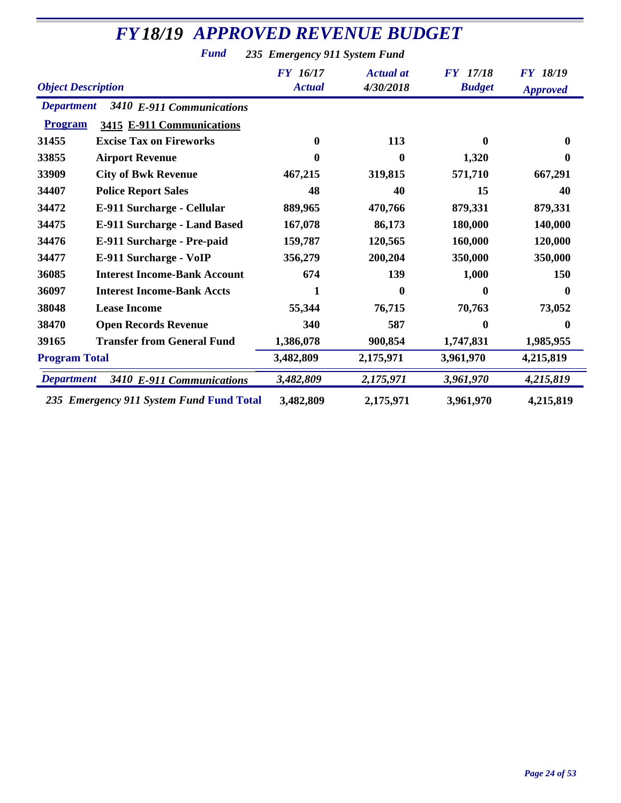*Fund 235 Emergency 911 System Fund*

| <b>Object Description</b> |                                          | <b>FY</b> 16/17<br><b>Actual</b> | <b>Actual</b> at<br>4/30/2018 | <b>FY</b> 17/18<br><b>Budget</b> | <b>FY 18/19</b><br><b>Approved</b> |
|---------------------------|------------------------------------------|----------------------------------|-------------------------------|----------------------------------|------------------------------------|
| <b>Department</b>         | 3410 E-911 Communications                |                                  |                               |                                  |                                    |
| <b>Program</b>            | 3415 E-911 Communications                |                                  |                               |                                  |                                    |
| 31455                     | <b>Excise Tax on Fireworks</b>           | $\mathbf{0}$                     | 113                           | 0                                | 0                                  |
| 33855                     | <b>Airport Revenue</b>                   | 0                                | $\mathbf{0}$                  | 1,320                            | 0                                  |
| 33909                     | <b>City of Bwk Revenue</b>               | 467,215                          | 319,815                       | 571,710                          | 667,291                            |
| 34407                     | <b>Police Report Sales</b>               | 48                               | 40                            | 15                               | 40                                 |
| 34472                     | E-911 Surcharge - Cellular               | 889,965                          | 470,766                       | 879,331                          | 879,331                            |
| 34475                     | <b>E-911 Surcharge - Land Based</b>      | 167,078                          | 86,173                        | 180,000                          | 140,000                            |
| 34476                     | E-911 Surcharge - Pre-paid               | 159,787                          | 120,565                       | 160,000                          | 120,000                            |
| 34477                     | E-911 Surcharge - VoIP                   | 356,279                          | 200,204                       | 350,000                          | 350,000                            |
| 36085                     | <b>Interest Income-Bank Account</b>      | 674                              | 139                           | 1,000                            | 150                                |
| 36097                     | <b>Interest Income-Bank Accts</b>        | 1                                | $\mathbf{0}$                  | 0                                | 0                                  |
| 38048                     | <b>Lease Income</b>                      | 55,344                           | 76,715                        | 70,763                           | 73,052                             |
| 38470                     | <b>Open Records Revenue</b>              | 340                              | 587                           | 0                                | 0                                  |
| 39165                     | <b>Transfer from General Fund</b>        | 1,386,078                        | 900,854                       | 1,747,831                        | 1,985,955                          |
| <b>Program Total</b>      |                                          | 3,482,809                        | 2,175,971                     | 3,961,970                        | 4,215,819                          |
| <b>Department</b>         | 3410 E-911 Communications                | 3,482,809                        | 2,175,971                     | 3,961,970                        | 4,215,819                          |
|                           | 235 Emergency 911 System Fund Fund Total | 3,482,809                        | 2,175,971                     | 3,961,970                        | 4,215,819                          |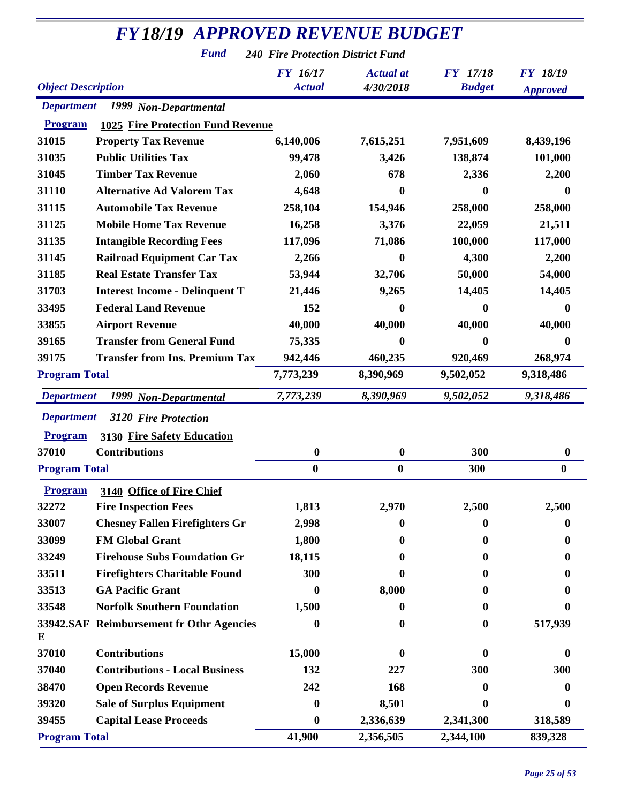*Fund 240 Fire Protection District Fund*

| <b>Object Description</b> |                                          | <b>FY</b> 16/17<br><b>Actual</b> | <b>Actual</b> at<br>4/30/2018 | <b>FY</b> 17/18<br><b>Budget</b> | <b>FY 18/19</b><br><b>Approved</b> |
|---------------------------|------------------------------------------|----------------------------------|-------------------------------|----------------------------------|------------------------------------|
| <b>Department</b>         | 1999 Non-Departmental                    |                                  |                               |                                  |                                    |
| <b>Program</b>            | <b>1025 Fire Protection Fund Revenue</b> |                                  |                               |                                  |                                    |
| 31015                     | <b>Property Tax Revenue</b>              | 6,140,006                        | 7,615,251                     | 7,951,609                        | 8,439,196                          |
| 31035                     | <b>Public Utilities Tax</b>              | 99,478                           | 3,426                         | 138,874                          | 101,000                            |
| 31045                     | <b>Timber Tax Revenue</b>                | 2,060                            | 678                           | 2,336                            | 2,200                              |
| 31110                     | <b>Alternative Ad Valorem Tax</b>        | 4,648                            | 0                             | 0                                | $\mathbf 0$                        |
| 31115                     | <b>Automobile Tax Revenue</b>            | 258,104                          | 154,946                       | 258,000                          | 258,000                            |
| 31125                     | <b>Mobile Home Tax Revenue</b>           | 16,258                           | 3,376                         | 22,059                           | 21,511                             |
| 31135                     | <b>Intangible Recording Fees</b>         | 117,096                          | 71,086                        | 100,000                          | 117,000                            |
| 31145                     | <b>Railroad Equipment Car Tax</b>        | 2,266                            | 0                             | 4,300                            | 2,200                              |
| 31185                     | <b>Real Estate Transfer Tax</b>          | 53,944                           | 32,706                        | 50,000                           | 54,000                             |
| 31703                     | <b>Interest Income - Delinquent T</b>    | 21,446                           | 9,265                         | 14,405                           | 14,405                             |
| 33495                     | <b>Federal Land Revenue</b>              | 152                              | 0                             | 0                                | 0                                  |
| 33855                     | <b>Airport Revenue</b>                   | 40,000                           | 40,000                        | 40,000                           | 40,000                             |
| 39165                     | <b>Transfer from General Fund</b>        | 75,335                           | 0                             | 0                                | 0                                  |
| 39175                     | <b>Transfer from Ins. Premium Tax</b>    | 942,446                          | 460,235                       | 920,469                          | 268,974                            |
| <b>Program Total</b>      |                                          | 7,773,239                        | 8,390,969                     | 9,502,052                        | 9,318,486                          |
| <b>Department</b>         | 1999 Non-Departmental                    | 7,773,239                        | 8,390,969                     | 9,502,052                        | 9,318,486                          |
| <b>Department</b>         | 3120 Fire Protection                     |                                  |                               |                                  |                                    |
| <b>Program</b>            | <b>3130 Fire Safety Education</b>        |                                  |                               |                                  |                                    |
| 37010                     | <b>Contributions</b>                     | $\boldsymbol{0}$                 | 0                             | 300                              | $\boldsymbol{0}$                   |
| <b>Program Total</b>      |                                          | $\bf{0}$                         | $\bf{0}$                      | 300                              | $\boldsymbol{0}$                   |
|                           |                                          |                                  |                               |                                  |                                    |
| <b>Program</b>            | 3140 Office of Fire Chief                |                                  |                               |                                  |                                    |
| 32272                     | <b>Fire Inspection Fees</b>              | 1,813                            | 2,970                         | 2,500                            | 2,500                              |
| 33007                     | <b>Chesney Fallen Firefighters Gr</b>    | 2,998                            | 0                             | 0                                | $\bf{0}$                           |
| 33099                     | <b>FM Global Grant</b>                   | 1,800                            | 0                             | 0                                |                                    |
| 33249                     | <b>Firehouse Subs Foundation Gr</b>      | 18,115                           | 0                             | 0                                |                                    |
| 33511                     | <b>Firefighters Charitable Found</b>     | 300                              |                               | 0                                |                                    |
| 33513                     | <b>GA Pacific Grant</b>                  | 0                                | 8,000                         | 0                                |                                    |
| 33548                     | <b>Norfolk Southern Foundation</b>       | 1,500                            | 0                             | 0                                |                                    |
| E                         | 33942.SAF Reimbursement fr Othr Agencies | 0                                | 0                             | 0                                | 517,939                            |
| 37010                     | <b>Contributions</b>                     | 15,000                           | 0                             | $\mathbf{0}$                     | 0                                  |
| 37040                     | <b>Contributions - Local Business</b>    | 132                              | 227                           | 300                              | 300                                |
| 38470                     | <b>Open Records Revenue</b>              | 242                              | 168                           | 0                                |                                    |
| 39320                     | <b>Sale of Surplus Equipment</b>         | $\boldsymbol{0}$                 | 8,501                         | 0                                | $\mathbf{0}$                       |
| 39455                     | <b>Capital Lease Proceeds</b>            | 0                                | 2,336,639                     | 2,341,300                        | 318,589                            |
| <b>Program Total</b>      |                                          | 41,900                           | 2,356,505                     | 2,344,100                        | 839,328                            |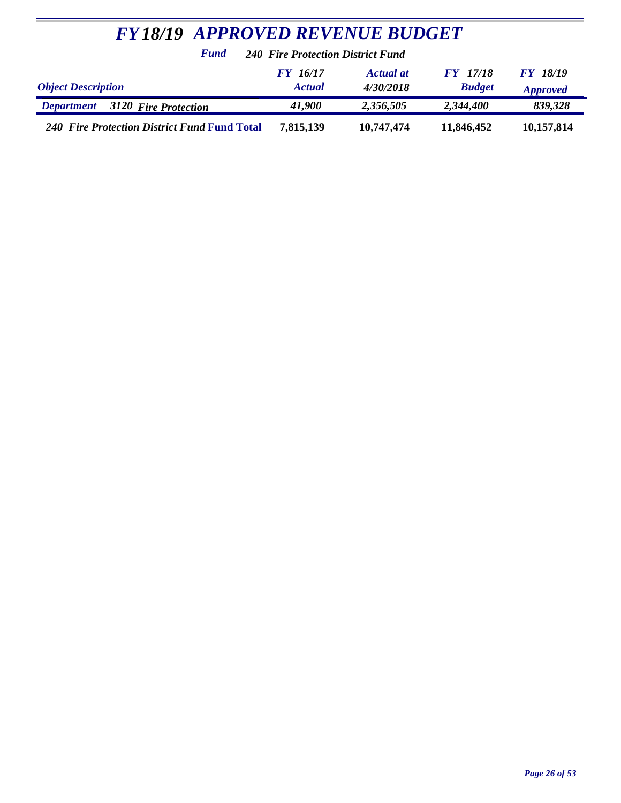| <b>FY18/19 APPROVED REVENUE BUDGET</b>              |                                  |                               |                                  |                                    |  |  |
|-----------------------------------------------------|----------------------------------|-------------------------------|----------------------------------|------------------------------------|--|--|
| Fund<br><b>240 Fire Protection District Fund</b>    |                                  |                               |                                  |                                    |  |  |
| <b>Object Description</b>                           | <b>FY</b> 16/17<br><b>Actual</b> | <b>Actual at</b><br>4/30/2018 | <b>FY</b> 17/18<br><b>Budget</b> | <b>FY 18/19</b><br><b>Approved</b> |  |  |
| <b>Department</b> 3120 Fire Protection              | 41,900                           | 2,356,505                     | 2,344,400                        | 839,328                            |  |  |
| <b>240 Fire Protection District Fund Fund Total</b> | 7,815,139                        | 10,747,474                    | 11,846,452                       | 10,157,814                         |  |  |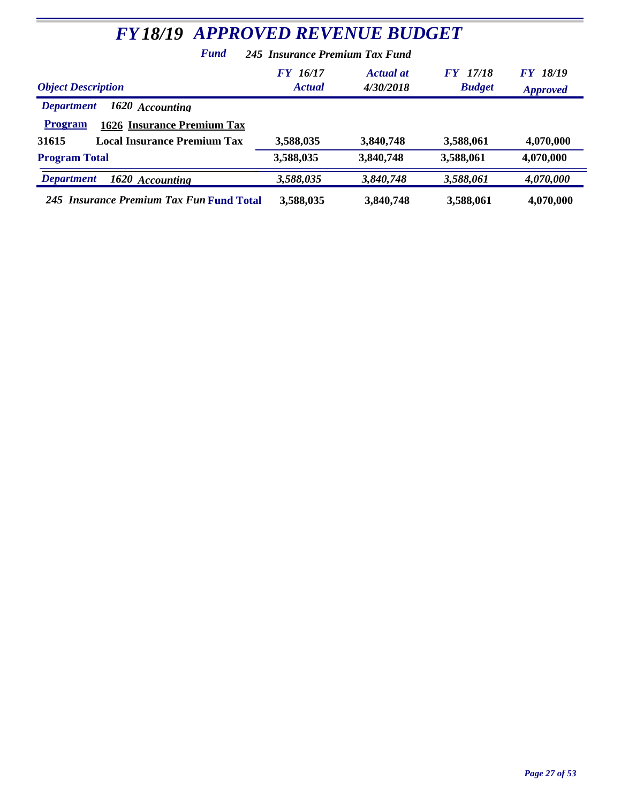| <b>FY18/19 APPROVED REVENUE BUDGET</b>                                                                                                     |                                  |                        |                                  |                                    |  |  |
|--------------------------------------------------------------------------------------------------------------------------------------------|----------------------------------|------------------------|----------------------------------|------------------------------------|--|--|
| <b>Fund</b>                                                                                                                                | 245 Insurance Premium Tax Fund   |                        |                                  |                                    |  |  |
| <b>Object Description</b>                                                                                                                  | <b>FY</b> 16/17<br><b>Actual</b> | Actual at<br>4/30/2018 | <b>FY</b> 17/18<br><b>Budget</b> | <b>FY 18/19</b><br><b>Approved</b> |  |  |
| 1620 Accounting<br><b>Department</b><br><b>1626 Insurance Premium Tax</b><br><b>Program</b><br><b>Local Insurance Premium Tax</b><br>31615 | 3,588,035                        | 3,840,748              | 3,588,061                        | 4,070,000                          |  |  |
| <b>Program Total</b>                                                                                                                       | 3,588,035                        | 3,840,748              | 3,588,061                        | 4,070,000                          |  |  |
| <b>Department</b><br>1620 Accounting                                                                                                       | 3,588,035                        | 3,840,748              | 3,588,061                        | 4,070,000                          |  |  |
| 245 Insurance Premium Tax Fun Fund Total                                                                                                   | 3,588,035                        | 3,840,748              | 3,588,061                        | 4,070,000                          |  |  |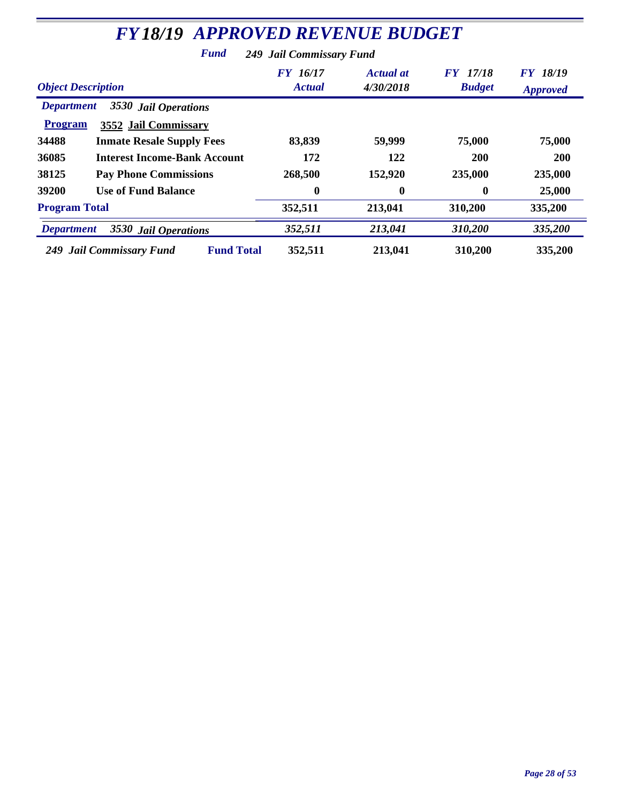| <b>FY18/19 APPROVED REVENUE BUDGET</b>                  |                           |                               |                                  |                                    |  |
|---------------------------------------------------------|---------------------------|-------------------------------|----------------------------------|------------------------------------|--|
| Fund<br><b>249 Jail Commissary Fund</b>                 |                           |                               |                                  |                                    |  |
| <b>Object Description</b>                               | FY 16/17<br><b>Actual</b> | <b>Actual</b> at<br>4/30/2018 | <b>FY</b> 17/18<br><b>Budget</b> | <b>FY 18/19</b><br><b>Approved</b> |  |
| 3530 Jail Operations<br><b>Department</b>               |                           |                               |                                  |                                    |  |
| <b>Program</b><br>3552 Jail Commissary                  |                           |                               |                                  |                                    |  |
| 34488<br><b>Inmate Resale Supply Fees</b>               | 83,839                    | 59,999                        | 75,000                           | 75,000                             |  |
| 36085<br><b>Interest Income-Bank Account</b>            | 172                       | 122                           | <b>200</b>                       | <b>200</b>                         |  |
| 38125<br><b>Pay Phone Commissions</b>                   | 268,500                   | 152,920                       | 235,000                          | 235,000                            |  |
| <b>Use of Fund Balance</b><br>39200                     | $\bf{0}$                  | $\bf{0}$                      | $\mathbf 0$                      | 25,000                             |  |
| <b>Program Total</b>                                    | 352,511                   | 213,041                       | 310,200                          | 335,200                            |  |
| 3530 Jail Operations<br><b>Department</b>               | 352,511                   | 213,041                       | 310,200                          | 335,200                            |  |
| <b>Fund Total</b><br><b>Jail Commissary Fund</b><br>249 | 352,511                   | 213,041                       | 310,200                          | 335,200                            |  |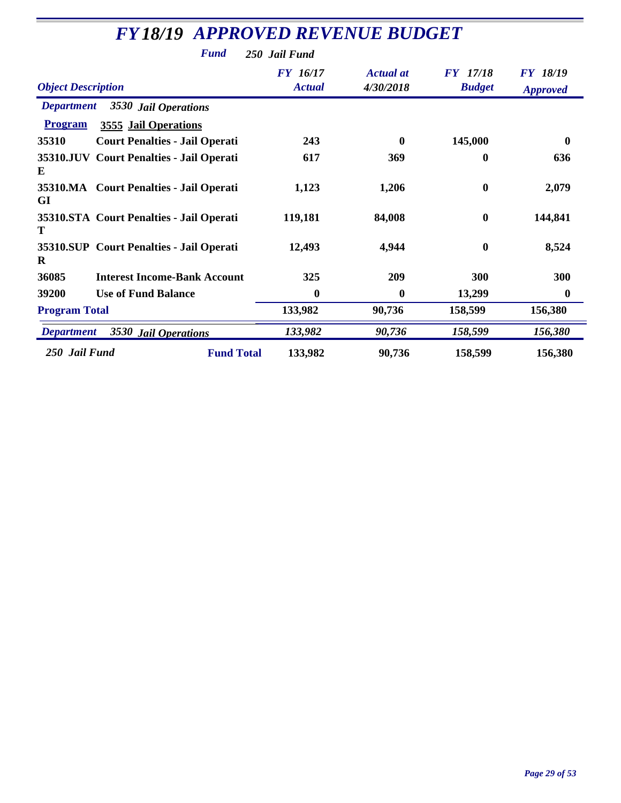| <b>FY18/19 APPROVED REVENUE BUDGET</b>               |                                  |                               |                                  |                                    |  |
|------------------------------------------------------|----------------------------------|-------------------------------|----------------------------------|------------------------------------|--|
| <b>Fund</b>                                          | 250 Jail Fund                    |                               |                                  |                                    |  |
| <b>Object Description</b>                            | <b>FY</b> 16/17<br><b>Actual</b> | <b>Actual</b> at<br>4/30/2018 | <b>FY</b> 17/18<br><b>Budget</b> | <b>FY 18/19</b><br><b>Approved</b> |  |
| <b>Department</b><br>3530 Jail Operations            |                                  |                               |                                  |                                    |  |
| <b>Program</b><br>3555 Jail Operations               |                                  |                               |                                  |                                    |  |
| 35310<br><b>Court Penalties - Jail Operati</b>       | 243                              | $\bf{0}$                      | 145,000                          | $\bf{0}$                           |  |
| 35310.JUV Court Penalties - Jail Operati<br>E        | 617                              | 369                           | 0                                | 636                                |  |
| 35310.MA Court Penalties - Jail Operati<br>GI        | 1,123                            | 1,206                         | $\bf{0}$                         | 2,079                              |  |
| 35310.STA Court Penalties - Jail Operati<br>Т        | 119,181                          | 84,008                        | $\mathbf{0}$                     | 144,841                            |  |
| 35310.SUP Court Penalties - Jail Operati<br>$\bf{R}$ | 12,493                           | 4,944                         | $\boldsymbol{0}$                 | 8,524                              |  |
| 36085<br><b>Interest Income-Bank Account</b>         | 325                              | 209                           | 300                              | 300                                |  |
| <b>Use of Fund Balance</b><br>39200                  | $\boldsymbol{0}$                 | $\bf{0}$                      | 13,299                           | $\bf{0}$                           |  |
| <b>Program Total</b>                                 | 133,982                          | 90,736                        | 158,599                          | 156,380                            |  |
| 3530 Jail Operations<br><b>Department</b>            | 133,982                          | 90,736                        | 158,599                          | 156,380                            |  |
| 250 Jail Fund<br><b>Fund Total</b>                   | 133,982                          | 90,736                        | 158,599                          | 156,380                            |  |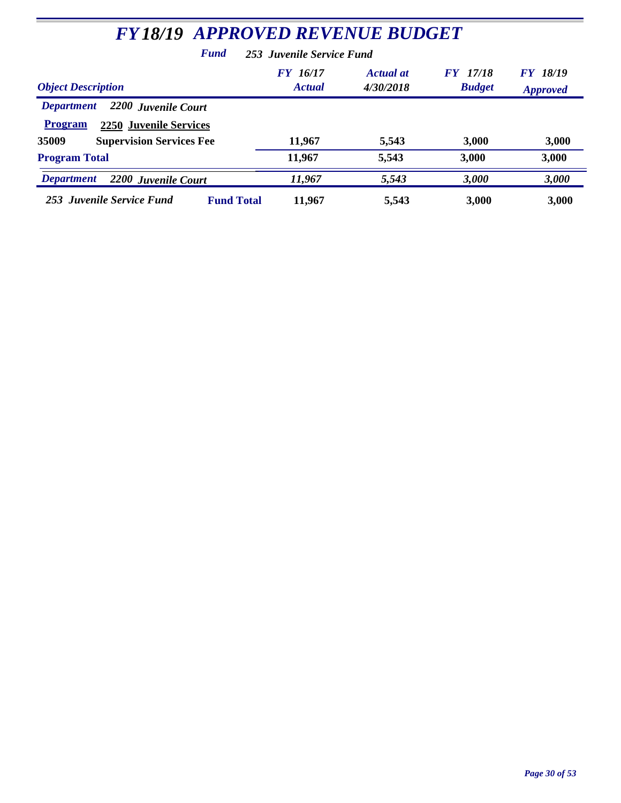| <b>FY18/19 APPROVED REVENUE BUDGET</b>                                                                                                  |                                  |                               |                                |                                       |
|-----------------------------------------------------------------------------------------------------------------------------------------|----------------------------------|-------------------------------|--------------------------------|---------------------------------------|
| <b>Fund</b>                                                                                                                             | 253 Juvenile Service Fund        |                               |                                |                                       |
| <b>Object Description</b>                                                                                                               | <b>FY</b> 16/17<br><b>Actual</b> | <b>Actual at</b><br>4/30/2018 | 17/18<br>FY F<br><b>Budget</b> | 18/19<br><b>FY</b><br><b>Approved</b> |
| 2200 Juvenile Court<br><b>Department</b><br><b>Program</b><br><b>2250 Juvenile Services</b><br><b>Supervision Services Fee</b><br>35009 | 11,967                           | 5,543                         | 3,000                          | 3,000                                 |
| <b>Program Total</b>                                                                                                                    | 11,967                           | 5,543                         | 3,000                          | 3,000                                 |
| <b>Department</b><br>2200 Juvenile Court                                                                                                | 11,967                           | 5,543                         | 3,000                          | 3,000                                 |
| 253 Juvenile Service Fund<br><b>Fund Total</b>                                                                                          | 11,967                           | 5,543                         | 3,000                          | 3,000                                 |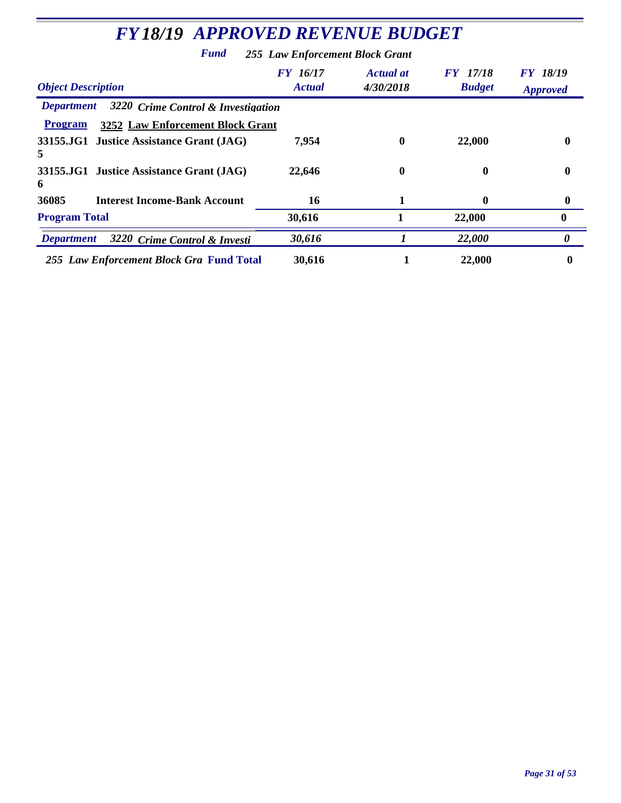| <b>FY18/19 APPROVED REVENUE BUDGET</b>                  |                                  |                               |                                  |                             |
|---------------------------------------------------------|----------------------------------|-------------------------------|----------------------------------|-----------------------------|
| <b>Fund</b>                                             | 255 Law Enforcement Block Grant  |                               |                                  |                             |
| <b>Object Description</b>                               | <b>FY</b> 16/17<br><b>Actual</b> | <b>Actual</b> at<br>4/30/2018 | <b>FY</b> 17/18<br><b>Budget</b> | FY 18/19<br><b>Approved</b> |
| 3220 Crime Control & Investigation<br><b>Department</b> |                                  |                               |                                  |                             |
| 3252 Law Enforcement Block Grant<br><b>Program</b>      |                                  |                               |                                  |                             |
| 33155.JG1 Justice Assistance Grant (JAG)<br>5           | 7,954                            | $\bf{0}$                      | 22,000                           | 0                           |
| 33155.JG1 Justice Assistance Grant (JAG)<br>6           | 22,646                           | $\bf{0}$                      | 0                                | $\bf{0}$                    |
| 36085<br><b>Interest Income-Bank Account</b>            | 16                               |                               | 0                                | $\boldsymbol{0}$            |
| <b>Program Total</b>                                    | 30,616                           |                               | 22,000                           | $\mathbf{0}$                |
| 3220 Crime Control & Investi<br><b>Department</b>       | 30,616                           |                               | 22,000                           | 0                           |
| 255 Law Enforcement Block Gra Fund Total                | 30,616                           |                               | 22,000                           | 0                           |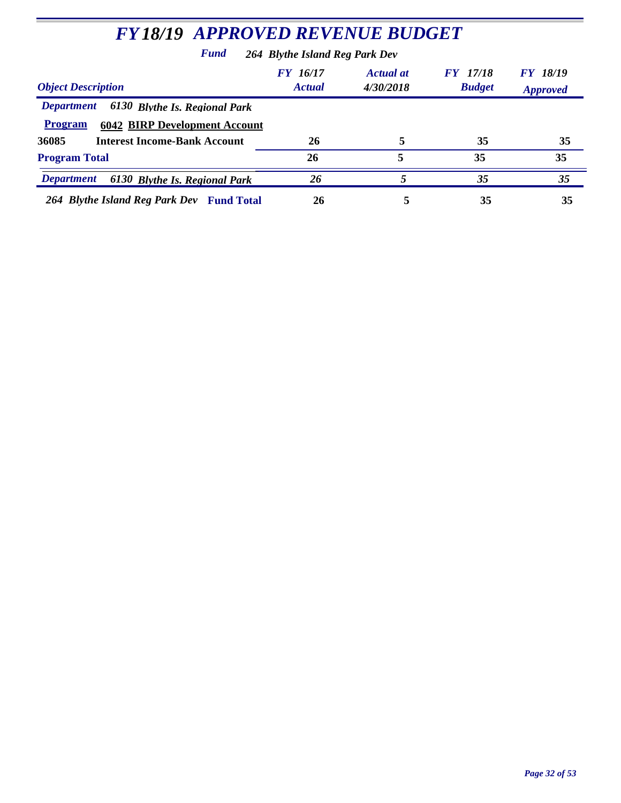| <b>FY18/19 APPROVED REVENUE BUDGET</b>                                                                       |                           |                               |                                  |                                    |  |
|--------------------------------------------------------------------------------------------------------------|---------------------------|-------------------------------|----------------------------------|------------------------------------|--|
| Fund<br>264 Blythe Island Reg Park Dev                                                                       |                           |                               |                                  |                                    |  |
| <b>Object Description</b>                                                                                    | FY 16/17<br><b>Actual</b> | <b>Actual at</b><br>4/30/2018 | <b>FY</b> 17/18<br><b>Budget</b> | <b>FY 18/19</b><br><b>Approved</b> |  |
| 6130 Blythe Is. Regional Park<br><b>Department</b><br><b>Program</b><br><b>6042 BIRP Development Account</b> |                           |                               |                                  |                                    |  |
| <b>Interest Income-Bank Account</b><br>36085                                                                 | 26                        | 5                             | 35                               | 35                                 |  |
| <b>Program Total</b>                                                                                         | 26                        | 5                             | 35                               | 35                                 |  |
| <b>Department</b><br>6130 Blythe Is. Regional Park                                                           | 26                        | 5                             | 35                               | 35                                 |  |
| 264 Blythe Island Reg Park Dev Fund Total                                                                    | 26                        | 5                             | 35                               | 35                                 |  |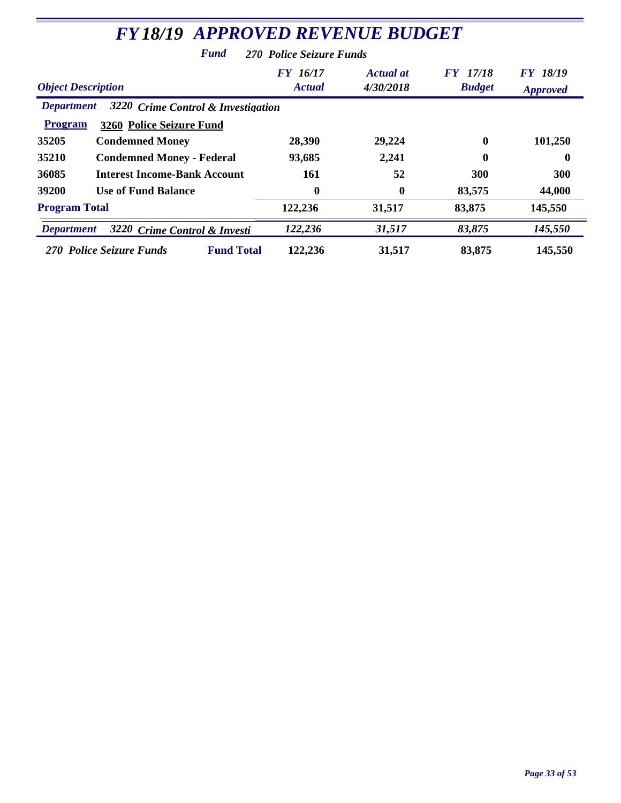| <b>FY18/19 APPROVED REVENUE BUDGET</b>                                                      |                           |                               |                                  |                             |  |
|---------------------------------------------------------------------------------------------|---------------------------|-------------------------------|----------------------------------|-----------------------------|--|
| <b>Fund</b>                                                                                 | 270 Police Seizure Funds  |                               |                                  |                             |  |
| <b>Object Description</b>                                                                   | FY 16/17<br><b>Actual</b> | <b>Actual at</b><br>4/30/2018 | <b>FY</b> 17/18<br><b>Budget</b> | FY 18/19<br><b>Approved</b> |  |
| 3220 Crime Control & Investigation<br><b>Department</b>                                     |                           |                               |                                  |                             |  |
| <b>Program</b><br>3260 Police Seizure Fund                                                  |                           |                               |                                  |                             |  |
| 35205<br><b>Condemned Money</b>                                                             | 28,390                    | 29,224                        | $\mathbf 0$                      | 101,250                     |  |
| 35210<br><b>Condemned Money - Federal</b>                                                   | 93,685                    | 2,241                         | 0                                | $\mathbf 0$                 |  |
| 36085<br><b>Interest Income-Bank Account</b>                                                | 161                       | 52                            | 300                              | <b>300</b>                  |  |
| 39200<br><b>Use of Fund Balance</b>                                                         | $\mathbf{0}$              | $\mathbf{0}$                  | 83,575                           | 44,000                      |  |
| <b>Program Total</b>                                                                        | 122,236                   | 31,517                        | 83,875                           | 145,550                     |  |
| 122,236<br>31,517<br>83,875<br>145,550<br>3220 Crime Control & Investi<br><b>Department</b> |                           |                               |                                  |                             |  |
| <b>Fund Total</b><br>270 Police Seizure Funds                                               | 122,236                   | 31,517                        | 83,875                           | 145,550                     |  |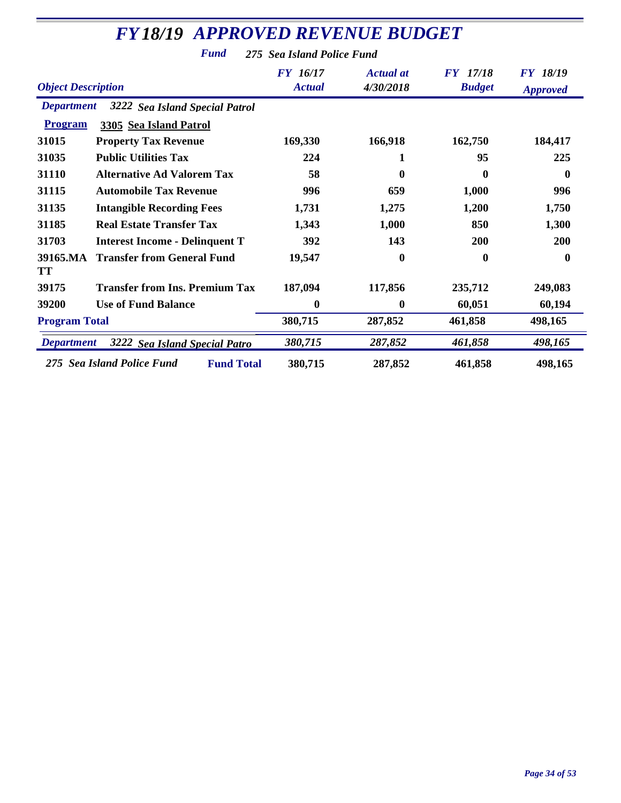|                           | <b>FY18/19 APPROVED REVENUE BUDGET</b>          |                                  |                               |                                  |                                    |
|---------------------------|-------------------------------------------------|----------------------------------|-------------------------------|----------------------------------|------------------------------------|
|                           | <b>Fund</b>                                     | 275 Sea Island Police Fund       |                               |                                  |                                    |
| <b>Object Description</b> |                                                 | <b>FY</b> 16/17<br><b>Actual</b> | <b>Actual</b> at<br>4/30/2018 | <b>FY</b> 17/18<br><b>Budget</b> | <b>FY 18/19</b><br><b>Approved</b> |
| <b>Department</b>         | 3222 Sea Island Special Patrol                  |                                  |                               |                                  |                                    |
| <b>Program</b>            | 3305 Sea Island Patrol                          |                                  |                               |                                  |                                    |
| 31015                     | <b>Property Tax Revenue</b>                     | 169,330                          | 166,918                       | 162,750                          | 184,417                            |
| 31035                     | <b>Public Utilities Tax</b>                     | 224                              | 1                             | 95                               | 225                                |
| 31110                     | <b>Alternative Ad Valorem Tax</b>               | 58                               | 0                             | $\mathbf 0$                      | 0                                  |
| 31115                     | <b>Automobile Tax Revenue</b>                   | 996                              | 659                           | 1,000                            | 996                                |
| 31135                     | <b>Intangible Recording Fees</b>                | 1,731                            | 1,275                         | 1,200                            | 1,750                              |
| 31185                     | <b>Real Estate Transfer Tax</b>                 | 1,343                            | 1,000                         | 850                              | 1,300                              |
| 31703                     | <b>Interest Income - Delinquent T</b>           | 392                              | 143                           | 200                              | 200                                |
| 39165.MA<br><b>TT</b>     | <b>Transfer from General Fund</b>               | 19,547                           | 0                             | $\mathbf 0$                      | $\mathbf{0}$                       |
| 39175                     | <b>Transfer from Ins. Premium Tax</b>           | 187,094                          | 117,856                       | 235,712                          | 249,083                            |
| 39200                     | <b>Use of Fund Balance</b>                      | $\mathbf{0}$                     | $\mathbf{0}$                  | 60,051                           | 60,194                             |
| <b>Program Total</b>      |                                                 | 380,715                          | 287,852                       | 461,858                          | 498,165                            |
| <b>Department</b>         | 3222 Sea Island Special Patro                   | 380,715                          | 287,852                       | 461,858                          | 498,165                            |
|                           | 275 Sea Island Police Fund<br><b>Fund Total</b> | 380,715                          | 287,852                       | 461,858                          | 498,165                            |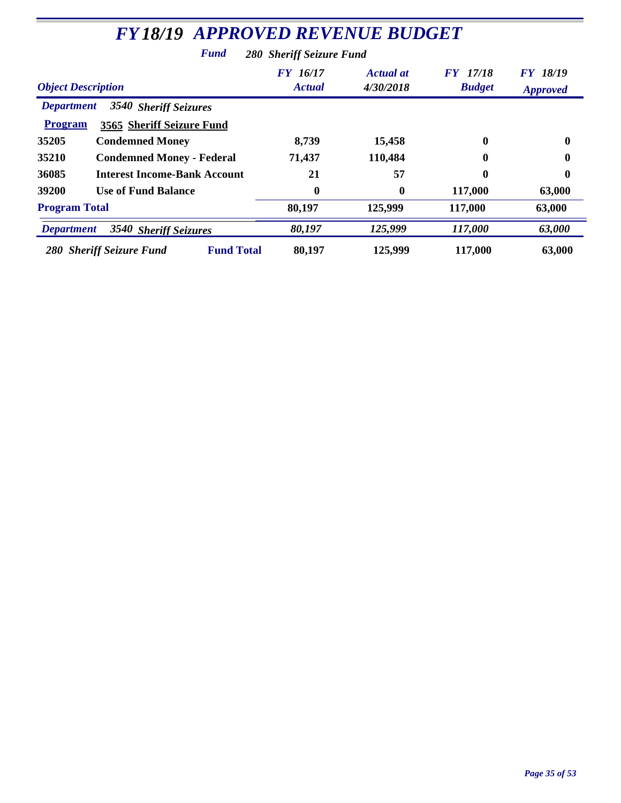| <b>FY18/19 APPROVED REVENUE BUDGET</b>                                                    |                           |                               |                                  |                                    |  |
|-------------------------------------------------------------------------------------------|---------------------------|-------------------------------|----------------------------------|------------------------------------|--|
| Fund                                                                                      | 280 Sheriff Seizure Fund  |                               |                                  |                                    |  |
| <b>Object Description</b>                                                                 | FY 16/17<br><b>Actual</b> | <b>Actual at</b><br>4/30/2018 | <b>FY</b> 17/18<br><b>Budget</b> | <b>FY 18/19</b><br><b>Approved</b> |  |
| 3540 Sheriff Seizures<br><b>Department</b><br><b>Program</b><br>3565 Sheriff Seizure Fund |                           |                               |                                  |                                    |  |
| 35205<br><b>Condemned Money</b>                                                           | 8,739                     | 15,458                        | 0                                | 0                                  |  |
| 35210<br><b>Condemned Money - Federal</b>                                                 | 71,437                    | 110,484                       | 0                                | 0                                  |  |
| <b>Interest Income-Bank Account</b><br>36085                                              | 21                        | 57                            | 0                                | 0                                  |  |
| 39200<br><b>Use of Fund Balance</b>                                                       | $\bf{0}$                  | $\bf{0}$                      | 117,000                          | 63,000                             |  |
| <b>Program Total</b>                                                                      | 80,197                    | 125,999                       | 117,000                          | 63,000                             |  |
| 80,197<br>125,999<br>117,000<br>63,000<br>3540 Sheriff Seizures<br><b>Department</b>      |                           |                               |                                  |                                    |  |
| <b>Fund Total</b><br>280 Sheriff Seizure Fund                                             | 80,197                    | 125,999                       | 117,000                          | 63,000                             |  |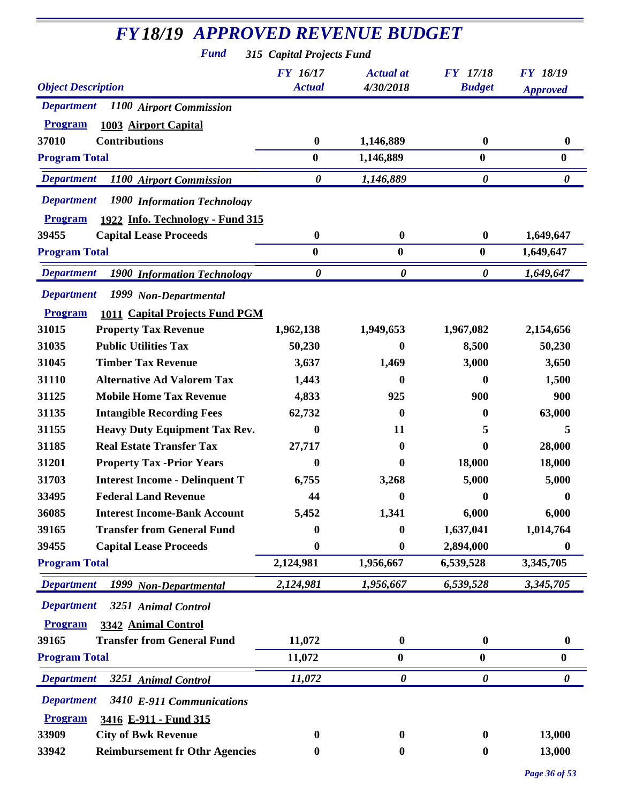| <b>FY18/19 APPROVED REVENUE BUDGET</b>                  |                           |                               |                                  |                       |
|---------------------------------------------------------|---------------------------|-------------------------------|----------------------------------|-----------------------|
| <b>Fund</b>                                             | 315 Capital Projects Fund |                               |                                  |                       |
| <b>Object Description</b>                               | FY 16/17<br><b>Actual</b> | <b>Actual</b> at<br>4/30/2018 | <b>FY</b> 17/18<br><b>Budget</b> | <b>FY 18/19</b>       |
|                                                         |                           |                               |                                  | <b>Approved</b>       |
| <b>Department</b><br>1100 Airport Commission            |                           |                               |                                  |                       |
| <b>Program</b><br>1003 Airport Capital                  |                           |                               |                                  |                       |
| <b>Contributions</b><br>37010                           | $\boldsymbol{0}$          | 1,146,889                     | $\boldsymbol{0}$                 | $\bf{0}$              |
| <b>Program Total</b>                                    | $\bf{0}$                  | 1,146,889                     | $\bf{0}$                         | $\bf{0}$              |
| <b>Department</b><br>1100 Airport Commission            | $\boldsymbol{\theta}$     | 1,146,889                     | $\boldsymbol{\theta}$            | $\boldsymbol{\theta}$ |
| <b>Department</b><br>1900 Information Technology        |                           |                               |                                  |                       |
| 1922 Info. Technology - Fund 315<br><b>Program</b>      |                           |                               |                                  |                       |
| 39455<br><b>Capital Lease Proceeds</b>                  | $\boldsymbol{0}$          | $\bf{0}$                      | $\boldsymbol{0}$                 | 1,649,647             |
| <b>Program Total</b>                                    | $\bf{0}$                  | $\bf{0}$                      | $\bf{0}$                         | 1,649,647             |
| <b>Department</b><br><b>1900 Information Technology</b> | $\boldsymbol{\theta}$     | $\boldsymbol{\theta}$         | 0                                | 1,649,647             |
| <b>Department</b><br>1999 Non-Departmental              |                           |                               |                                  |                       |
| 1011 Capital Projects Fund PGM<br><b>Program</b>        |                           |                               |                                  |                       |
| 31015<br><b>Property Tax Revenue</b>                    | 1,962,138                 | 1,949,653                     | 1,967,082                        | 2,154,656             |
| 31035<br><b>Public Utilities Tax</b>                    | 50,230                    | 0                             | 8,500                            | 50,230                |
| 31045<br><b>Timber Tax Revenue</b>                      | 3,637                     | 1,469                         | 3,000                            | 3,650                 |
| 31110<br><b>Alternative Ad Valorem Tax</b>              | 1,443                     | 0                             | 0                                | 1,500                 |
| <b>Mobile Home Tax Revenue</b><br>31125                 | 4,833                     | 925                           | 900                              | 900                   |
| <b>Intangible Recording Fees</b><br>31135               | 62,732                    | 0                             | 0                                | 63,000                |
| <b>Heavy Duty Equipment Tax Rev.</b><br>31155           | 0                         | 11                            | 5                                | 5                     |
| <b>Real Estate Transfer Tax</b><br>31185                | 27,717                    | 0                             | $\bf{0}$                         | 28,000                |
| 31201<br><b>Property Tax -Prior Years</b>               | 0                         | 0                             | 18,000                           | 18,000                |
| <b>Interest Income - Delinquent T</b><br>31703          | 6,755                     | 3,268                         | 5,000                            | 5,000                 |
| <b>Federal Land Revenue</b><br>33495                    | 44                        | 0                             | 0                                | 0                     |
| 36085<br><b>Interest Income-Bank Account</b>            | 5,452                     | 1,341                         | 6,000                            | 6,000                 |
| <b>Transfer from General Fund</b><br>39165              | 0                         | 0                             | 1,637,041                        | 1,014,764             |
| 39455<br><b>Capital Lease Proceeds</b>                  | 0                         | 0                             | 2,894,000                        | $\bf{0}$              |
| <b>Program Total</b>                                    | 2,124,981                 | 1,956,667                     | 6,539,528                        | 3,345,705             |
| <b>Department</b><br>1999 Non-Departmental              | 2,124,981                 | 1,956,667                     | 6,539,528                        | 3,345,705             |
| <b>Department</b><br>3251 Animal Control                |                           |                               |                                  |                       |
| <b>Program</b><br>3342 Animal Control                   |                           |                               |                                  |                       |
| <b>Transfer from General Fund</b><br>39165              | 11,072                    | $\boldsymbol{0}$              | $\boldsymbol{0}$                 | $\boldsymbol{0}$      |
| <b>Program Total</b>                                    | 11,072                    | $\boldsymbol{0}$              | $\boldsymbol{0}$                 | $\boldsymbol{0}$      |
| <b>Department</b><br>3251 Animal Control                | 11,072                    | $\boldsymbol{\theta}$         | $\boldsymbol{\theta}$            | 0                     |
| <b>Department</b><br>3410 E-911 Communications          |                           |                               |                                  |                       |
| 3416 E-911 - Fund 315<br><b>Program</b>                 |                           |                               |                                  |                       |
| 33909<br><b>City of Bwk Revenue</b>                     | 0                         | $\bf{0}$                      | $\bf{0}$                         | 13,000                |
| <b>Reimbursement fr Othr Agencies</b><br>33942          | 0                         | 0                             | $\bf{0}$                         | 13,000                |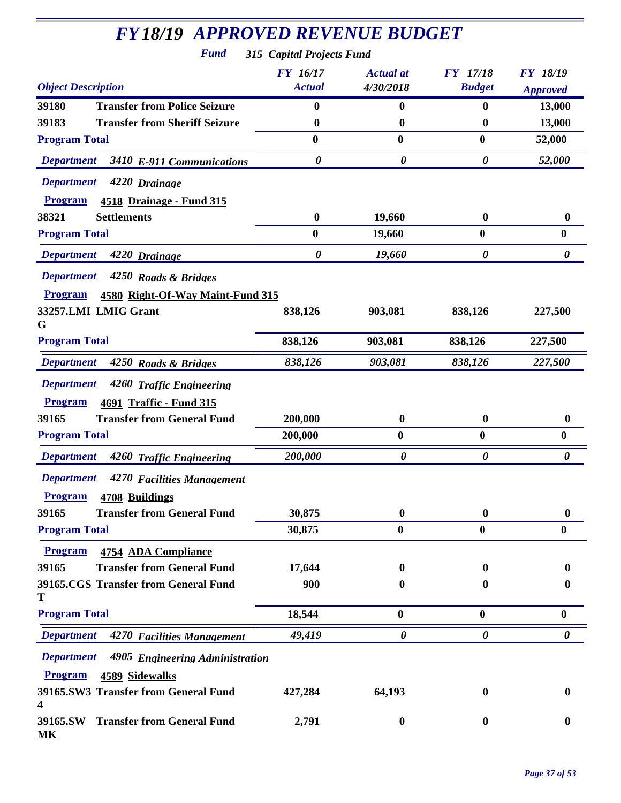## *FY18/19 APPROVED REVENUE BUDGET*

*Fund 315 Capital Projects Fund*

| <b>Object Description</b>                                                           | <b>FY 16/17</b><br><b>Actual</b> | <b>Actual</b> at<br>4/30/2018 | <b>FY</b> 17/18<br><b>Budget</b> | <b>FY 18/19</b><br><b>Approved</b> |
|-------------------------------------------------------------------------------------|----------------------------------|-------------------------------|----------------------------------|------------------------------------|
| 39180<br><b>Transfer from Police Seizure</b>                                        | 0                                | $\bf{0}$                      | 0                                | 13,000                             |
| <b>Transfer from Sheriff Seizure</b><br>39183                                       | $\boldsymbol{0}$                 | $\mathbf{0}$                  | $\boldsymbol{0}$                 | 13,000                             |
| <b>Program Total</b>                                                                | 0                                | $\bf{0}$                      | $\bf{0}$                         | 52,000                             |
| <b>Department</b><br>3410 E-911 Communications                                      | $\boldsymbol{\theta}$            | $\boldsymbol{\theta}$         | $\boldsymbol{\theta}$            | 52,000                             |
| <b>Department</b><br>4220 Drainage                                                  |                                  |                               |                                  |                                    |
| <b>Program</b><br><b>4518 Drainage - Fund 315</b>                                   |                                  |                               |                                  |                                    |
| 38321<br><b>Settlements</b>                                                         | $\bf{0}$                         | 19,660                        | $\boldsymbol{0}$                 | $\boldsymbol{0}$                   |
| <b>Program Total</b>                                                                | $\bf{0}$                         | 19,660                        | $\bf{0}$                         | $\boldsymbol{0}$                   |
| <b>Department</b><br>4220 Drainage                                                  | $\boldsymbol{\theta}$            | 19,660                        | $\boldsymbol{\theta}$            | $\boldsymbol{\theta}$              |
| <b>Department</b><br>4250 Roads & Bridges                                           |                                  |                               |                                  |                                    |
| <b>Program</b><br>4580 Right-Of-Way Maint-Fund 315                                  |                                  |                               |                                  |                                    |
| 33257.LMI LMIG Grant<br>G                                                           | 838,126                          | 903,081                       | 838,126                          | 227,500                            |
| <b>Program Total</b>                                                                | 838,126                          | 903,081                       | 838,126                          | 227,500                            |
| <b>Department</b><br>4250 Roads & Bridges                                           | 838,126                          | 903,081                       | 838,126                          | 227,500                            |
| <b>Department</b><br>4260 Traffic Engineering                                       |                                  |                               |                                  |                                    |
| <b>Program</b><br>4691 Traffic - Fund 315                                           |                                  |                               |                                  |                                    |
| <b>Transfer from General Fund</b><br>39165                                          | 200,000                          | $\boldsymbol{0}$              | $\boldsymbol{0}$                 | $\boldsymbol{0}$                   |
| <b>Program Total</b>                                                                | 200,000                          | $\bf{0}$                      | $\boldsymbol{0}$                 | $\boldsymbol{0}$                   |
| <b>Department</b><br>4260 Traffic Engineering                                       | 200,000                          | 0                             | 0                                | 0                                  |
| <b>Department</b><br>4270 Facilities Management<br><b>Program</b><br>4708 Buildings |                                  |                               |                                  |                                    |
| 39165<br><b>Transfer from General Fund</b>                                          | 30,875                           | $\boldsymbol{0}$              | $\boldsymbol{0}$                 | 0                                  |
| <b>Program Total</b>                                                                | 30,875                           | $\boldsymbol{0}$              | $\boldsymbol{0}$                 | $\boldsymbol{0}$                   |
| <b>Program</b><br>4754 ADA Compliance                                               |                                  |                               |                                  |                                    |
| <b>Transfer from General Fund</b><br>39165                                          | 17,644                           | $\bf{0}$                      | $\mathbf{0}$                     | 0                                  |
| 39165.CGS Transfer from General Fund                                                | 900                              | 0                             | 0                                | 0                                  |
| Т<br><b>Program Total</b>                                                           | 18,544                           | $\boldsymbol{0}$              | $\bf{0}$                         | $\bf{0}$                           |
| <b>Department</b><br>4270 Facilities Management                                     | 49,419                           | $\boldsymbol{\theta}$         | $\boldsymbol{\theta}$            | 0                                  |
| <b>Department</b><br>4905 Engineering Administration                                |                                  |                               |                                  |                                    |
| <b>Program</b><br>4589 Sidewalks                                                    |                                  |                               |                                  |                                    |
| 39165.SW3 Transfer from General Fund<br>4                                           | 427,284                          | 64,193                        | 0                                | 0                                  |
| 39165.SW Transfer from General Fund<br>MK                                           | 2,791                            | $\bf{0}$                      | $\bf{0}$                         | 0                                  |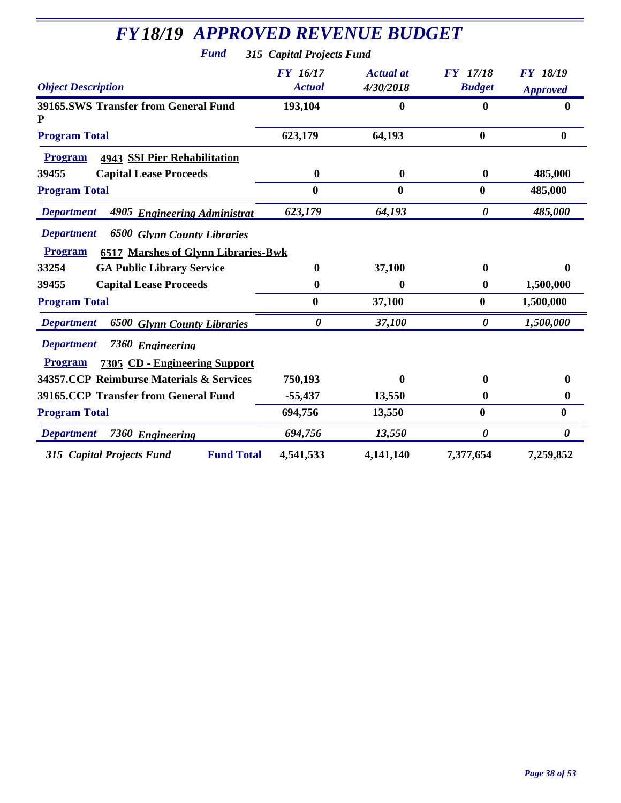| <b>FY18/19 APPROVED REVENUE BUDGET</b><br><b>Fund</b>                                                                   | 315 Capital Projects Fund |                               |                                  |                                    |
|-------------------------------------------------------------------------------------------------------------------------|---------------------------|-------------------------------|----------------------------------|------------------------------------|
| <b>Object Description</b>                                                                                               | FY 16/17<br><b>Actual</b> | <b>Actual at</b><br>4/30/2018 | <b>FY</b> 17/18<br><b>Budget</b> | <b>FY 18/19</b><br><b>Approved</b> |
| <b>39165.SWS Transfer from General Fund</b>                                                                             | 193,104                   | $\bf{0}$                      | $\bf{0}$                         | 0                                  |
| <b>Program Total</b>                                                                                                    | 623,179                   | 64,193                        | $\bf{0}$                         | $\bf{0}$                           |
| <b>Program</b><br><b>4943 SSI Pier Rehabilitation</b>                                                                   |                           |                               |                                  |                                    |
| 39455<br><b>Capital Lease Proceeds</b>                                                                                  | $\boldsymbol{0}$          | $\boldsymbol{0}$              | $\boldsymbol{0}$                 | 485,000                            |
| <b>Program Total</b>                                                                                                    | $\bf{0}$                  | $\bf{0}$                      | $\bf{0}$                         | 485,000                            |
| <b>Department</b><br>4905 Engineering Administrat                                                                       | 623,179                   | 64,193                        | $\boldsymbol{\theta}$            | 485,000                            |
| <b>Department</b><br><b>6500 Glynn County Libraries</b><br><b>6517 Marshes of Glynn Libraries-Bwk</b><br><b>Program</b> |                           |                               |                                  |                                    |
| 33254<br><b>GA Public Library Service</b>                                                                               | $\mathbf{0}$              | 37,100                        | $\boldsymbol{0}$                 | 0                                  |
| 39455<br><b>Capital Lease Proceeds</b>                                                                                  | $\boldsymbol{0}$          | 0                             | $\boldsymbol{0}$                 | 1,500,000                          |
| <b>Program Total</b>                                                                                                    | $\bf{0}$                  | 37,100                        | $\bf{0}$                         | 1,500,000                          |
| <b>Department</b><br><b>6500 Glynn County Libraries</b>                                                                 | $\boldsymbol{\theta}$     | 37,100                        | $\boldsymbol{\theta}$            | 1,500,000                          |
| <b>Department</b><br>7360 Engineering<br><b>Program</b><br>7305 CD - Engineering Support                                |                           |                               |                                  |                                    |
| 34357.CCP Reimburse Materials & Services                                                                                | 750,193                   | 0                             | $\mathbf{0}$                     | 0                                  |
| <b>39165.CCP Transfer from General Fund</b>                                                                             | $-55,437$                 | 13,550                        | $\boldsymbol{0}$                 | 0                                  |
| <b>Program Total</b>                                                                                                    | 694,756                   | 13,550                        | $\bf{0}$                         | 0                                  |
| <b>Department</b><br>7360 Engineering                                                                                   | 694,756                   | 13,550                        | $\boldsymbol{\theta}$            | $\boldsymbol{\theta}$              |
| <b>Fund Total</b><br>315 Capital Projects Fund                                                                          | 4,541,533                 | 4,141,140                     | 7,377,654                        | 7,259,852                          |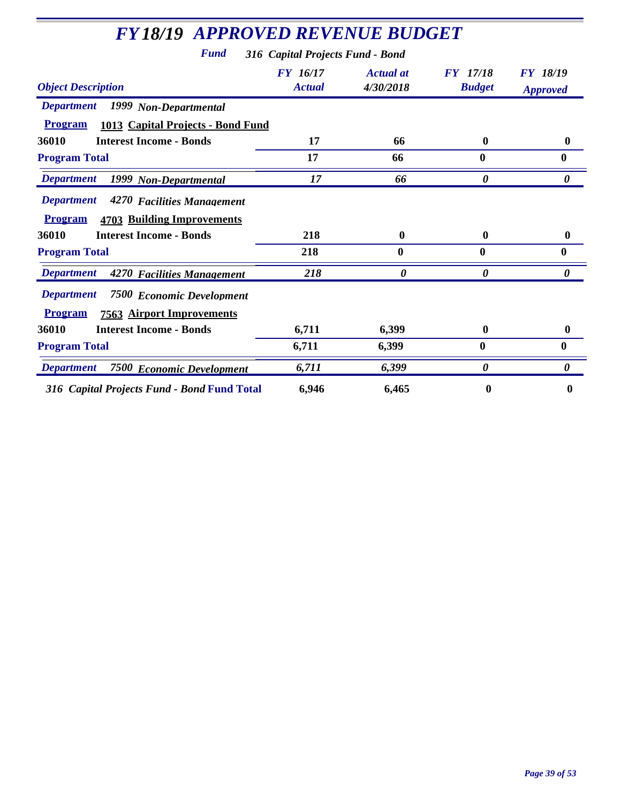| <b>FY18/19 APPROVED REVENUE BUDGET</b>                                                                      |                                  |                        |                                  |                                    |
|-------------------------------------------------------------------------------------------------------------|----------------------------------|------------------------|----------------------------------|------------------------------------|
| Fund                                                                                                        | 316 Capital Projects Fund - Bond |                        |                                  |                                    |
| <b>Object Description</b>                                                                                   | FY 16/17<br><b>Actual</b>        | Actual at<br>4/30/2018 | <b>FY</b> 17/18<br><b>Budget</b> | <b>FY</b> 18/19<br><b>Approved</b> |
| <b>Department</b><br>1999 Non-Departmental                                                                  |                                  |                        |                                  |                                    |
| <b>Program</b><br>1013 Capital Projects - Bond Fund                                                         |                                  |                        |                                  |                                    |
| 36010<br><b>Interest Income - Bonds</b>                                                                     | 17                               | 66                     | $\boldsymbol{0}$                 | 0                                  |
| <b>Program Total</b>                                                                                        | 17                               | 66                     | 0                                | 0                                  |
| <b>Department</b><br>1999 Non-Departmental                                                                  | 17                               | 66                     | 0                                | 0                                  |
| <b>Department</b><br>4270 Facilities Management<br><b>Program</b><br><b>4703 Building Improvements</b>      |                                  |                        |                                  |                                    |
| 36010<br><b>Interest Income - Bonds</b>                                                                     | 218                              | $\bf{0}$               | $\boldsymbol{0}$                 | 0                                  |
| <b>Program Total</b>                                                                                        | 218                              | $\boldsymbol{0}$       | $\boldsymbol{0}$                 | 0                                  |
| <b>Department</b><br>4270 Facilities Management                                                             | 218                              | 0                      | 0                                | $\boldsymbol{\theta}$              |
| <b>Department</b><br><b>7500 Economic Development</b><br><b>Program</b><br><b>7563 Airport Improvements</b> |                                  |                        |                                  |                                    |
| 36010<br><b>Interest Income - Bonds</b>                                                                     | 6,711                            | 6,399                  | $\boldsymbol{0}$                 | 0                                  |
| <b>Program Total</b>                                                                                        | 6,711                            | 6,399                  | $\bf{0}$                         | 0                                  |
| <b>Department</b><br><b>7500 Economic Development</b>                                                       | 6,711                            | 6,399                  | 0                                | 0                                  |
|                                                                                                             |                                  |                        |                                  |                                    |

*316 Capital Projects Fund - Bond* **Fund Total 6,946 6,465 0 0**

÷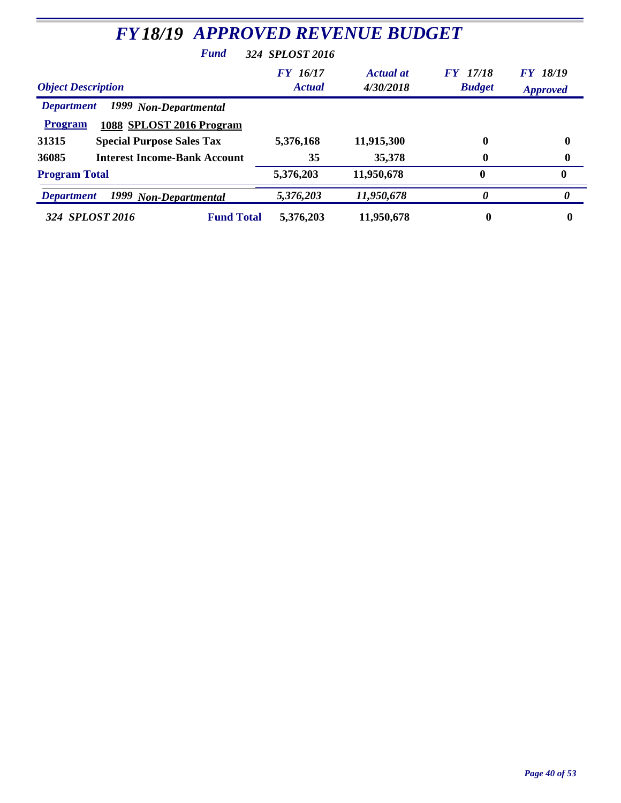| <b>FY18/19 APPROVED REVENUE BUDGET</b>                                                   |                                  |                               |                                  |                             |  |  |
|------------------------------------------------------------------------------------------|----------------------------------|-------------------------------|----------------------------------|-----------------------------|--|--|
| 324 SPLOST 2016<br><b>Fund</b>                                                           |                                  |                               |                                  |                             |  |  |
| <b>Object Description</b>                                                                | <b>FY</b> 16/17<br><b>Actual</b> | <b>Actual at</b><br>4/30/2018 | <b>FY</b> 17/18<br><b>Budget</b> | FY 18/19<br><b>Approved</b> |  |  |
| 1999 Non-Departmental<br><b>Department</b><br>1088 SPLOST 2016 Program<br><b>Program</b> |                                  |                               |                                  |                             |  |  |
| 31315<br><b>Special Purpose Sales Tax</b>                                                | 5,376,168                        | 11,915,300                    | 0                                | $\bf{0}$                    |  |  |
| 36085<br><b>Interest Income-Bank Account</b>                                             | 35                               | 35,378                        | 0                                | 0                           |  |  |
| <b>Program Total</b>                                                                     | 5,376,203                        | 11,950,678                    | $\bf{0}$                         | $\mathbf{0}$                |  |  |
| 1999 Non-Departmental<br><b>Department</b>                                               | 5,376,203                        | 11,950,678                    | 0                                | 0                           |  |  |
| 324 SPLOST 2016<br><b>Fund Total</b>                                                     | 5,376,203                        | 11,950,678                    | $\boldsymbol{0}$                 | 0                           |  |  |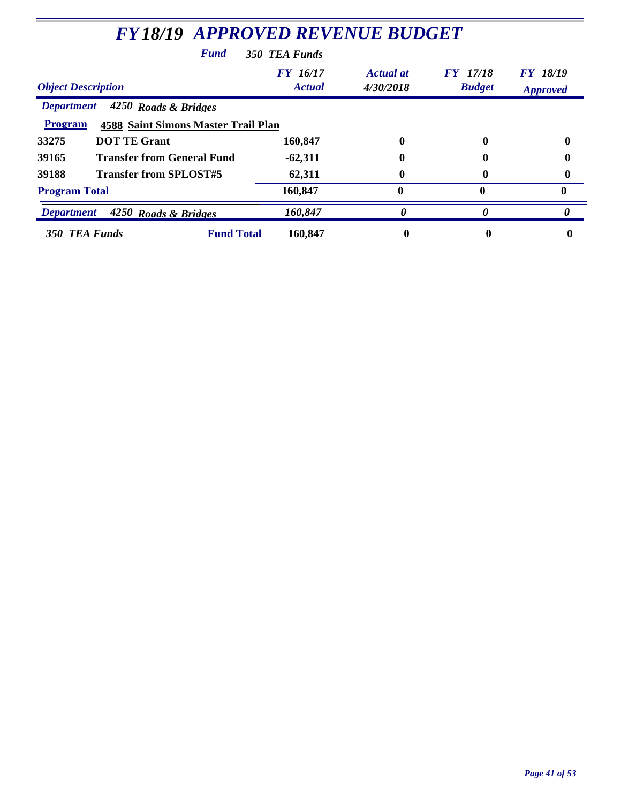| <b>FY18/19 APPROVED REVENUE BUDGET</b>                       |                           |                        |                                  |                             |  |
|--------------------------------------------------------------|---------------------------|------------------------|----------------------------------|-----------------------------|--|
| <b>Fund</b>                                                  | 350 TEA Funds             |                        |                                  |                             |  |
| <b>Object Description</b>                                    | FY 16/17<br><b>Actual</b> | Actual at<br>4/30/2018 | <b>FY</b> 17/18<br><b>Budget</b> | FY 18/19<br><b>Approved</b> |  |
| 4250 Roads & Bridges<br><b>Department</b>                    |                           |                        |                                  |                             |  |
| <b>Program</b><br><b>4588 Saint Simons Master Trail Plan</b> |                           |                        |                                  |                             |  |
| <b>DOT TE Grant</b><br>33275                                 | 160,847                   | 0                      |                                  |                             |  |
| <b>Transfer from General Fund</b><br>39165                   | $-62,311$                 |                        |                                  |                             |  |
| <b>Transfer from SPLOST#5</b><br>39188                       | 62,311                    | 0                      |                                  |                             |  |
| <b>Program Total</b>                                         | 160,847                   | 0                      | 0                                | 0                           |  |
| 4250 Roads & Bridges<br><b>Department</b>                    | 160,847                   | 0                      |                                  | 0                           |  |
| <b>Fund Total</b><br>350 TEA Funds                           | 160,847                   | 0                      |                                  |                             |  |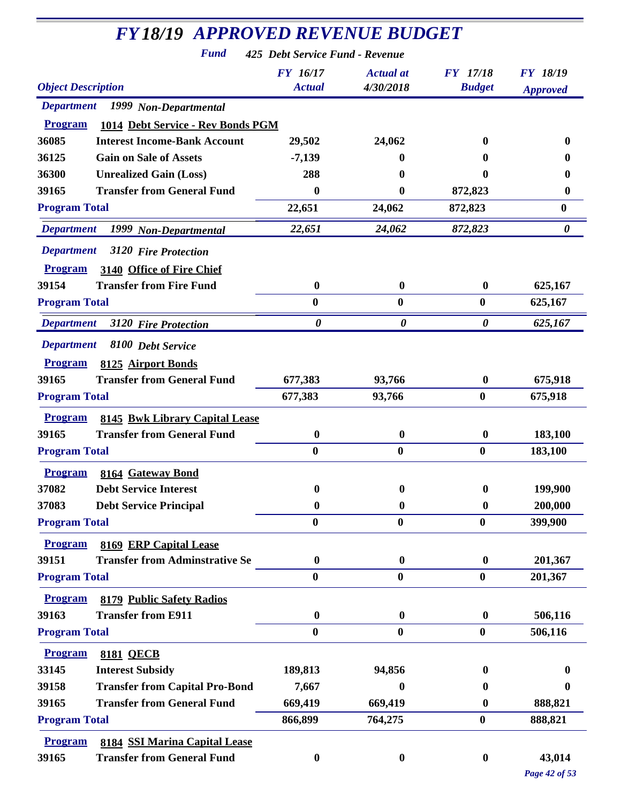| <b>FY18/19 APPROVED REVENUE BUDGET</b>              |                                 |                       |                       |                       |  |
|-----------------------------------------------------|---------------------------------|-----------------------|-----------------------|-----------------------|--|
| <b>Fund</b>                                         | 425 Debt Service Fund - Revenue |                       |                       |                       |  |
|                                                     | <b>FY 16/17</b>                 | <b>Actual</b> at      | <b>FY</b> 17/18       | <b>FY 18/19</b>       |  |
| <b>Object Description</b>                           | <b>Actual</b>                   | 4/30/2018             | <b>Budget</b>         | <b>Approved</b>       |  |
| Department 1999 Non-Departmental                    |                                 |                       |                       |                       |  |
| 1014 Debt Service - Rev Bonds PGM<br><b>Program</b> |                                 |                       |                       |                       |  |
| 36085<br><b>Interest Income-Bank Account</b>        | 29,502                          | 24,062                | 0                     | $\mathbf{0}$          |  |
| 36125<br><b>Gain on Sale of Assets</b>              | $-7,139$                        | 0                     | 0                     |                       |  |
| 36300<br><b>Unrealized Gain (Loss)</b>              | 288                             | 0                     | 0                     | 0                     |  |
| <b>Transfer from General Fund</b><br>39165          | 0                               | 0                     | 872,823               | $\bf{0}$              |  |
| <b>Program Total</b>                                | 22,651                          | 24,062                | 872,823               | $\bf{0}$              |  |
| <b>Department</b><br>1999 Non-Departmental          | 22,651                          | 24,062                | 872,823               | $\boldsymbol{\theta}$ |  |
| <b>Department</b><br>3120 Fire Protection           |                                 |                       |                       |                       |  |
| 3140 Office of Fire Chief<br><b>Program</b>         |                                 |                       |                       |                       |  |
| <b>Transfer from Fire Fund</b><br>39154             | $\bf{0}$                        | $\boldsymbol{0}$      | $\bf{0}$              | 625,167               |  |
| <b>Program Total</b>                                | $\bf{0}$                        | $\bf{0}$              | $\bf{0}$              | 625,167               |  |
| <b>Department</b><br>3120 Fire Protection           | $\boldsymbol{\theta}$           | $\boldsymbol{\theta}$ | $\boldsymbol{\theta}$ | 625,167               |  |
| <b>Department</b><br>8100 Debt Service              |                                 |                       |                       |                       |  |
| <b>Program</b><br>8125 Airport Bonds                |                                 |                       |                       |                       |  |
| <b>Transfer from General Fund</b><br>39165          | 677,383                         | 93,766                | $\bf{0}$              | 675,918               |  |
| <b>Program Total</b>                                | 677,383                         | 93,766                | $\bf{0}$              | 675,918               |  |
| <b>Program</b><br>8145 Bwk Library Capital Lease    |                                 |                       |                       |                       |  |
| <b>Transfer from General Fund</b><br>39165          | $\boldsymbol{0}$                | $\boldsymbol{0}$      | $\boldsymbol{0}$      | 183,100               |  |
| <b>Program Total</b>                                | $\bf{0}$                        | $\bf{0}$              | $\bf{0}$              | 183,100               |  |
| <b>Program</b><br>8164 Gateway Bond                 |                                 |                       |                       |                       |  |
| 37082<br><b>Debt Service Interest</b>               | $\bf{0}$                        | $\bf{0}$              | $\bf{0}$              | 199,900               |  |
| 37083<br><b>Debt Service Principal</b>              | 0                               | $\boldsymbol{0}$      | $\bf{0}$              | 200,000               |  |
| <b>Program Total</b>                                | $\boldsymbol{0}$                | $\boldsymbol{0}$      | $\boldsymbol{0}$      | 399,900               |  |
| <b>Program</b><br>8169 ERP Capital Lease            |                                 |                       |                       |                       |  |
| <b>Transfer from Adminstrative Se</b><br>39151      | $\boldsymbol{0}$                | $\boldsymbol{0}$      | $\bf{0}$              | 201,367               |  |
| <b>Program Total</b>                                | $\bf{0}$                        | $\bf{0}$              | $\bf{0}$              | 201,367               |  |
| <b>8179 Public Safety Radios</b><br><b>Program</b>  |                                 |                       |                       |                       |  |
| <b>Transfer from E911</b><br>39163                  | $\boldsymbol{0}$                | $\boldsymbol{0}$      | $\boldsymbol{0}$      | 506,116               |  |
| <b>Program Total</b>                                | $\bf{0}$                        | $\boldsymbol{0}$      | $\boldsymbol{0}$      | 506,116               |  |
| <b>Program</b><br><b>8181 QECB</b>                  |                                 |                       |                       |                       |  |
| 33145<br><b>Interest Subsidy</b>                    | 189,813                         | 94,856                | 0                     | o                     |  |
| <b>Transfer from Capital Pro-Bond</b><br>39158      | 7,667                           | 0                     | 0                     | $\mathbf{0}$          |  |
| <b>Transfer from General Fund</b><br>39165          | 669,419                         | 669,419               | 0                     | 888,821               |  |
| <b>Program Total</b>                                | 866,899                         | 764,275               | $\bf{0}$              | 888,821               |  |
| <b>Program</b><br>8184 SSI Marina Capital Lease     |                                 |                       |                       |                       |  |
| <b>Transfer from General Fund</b><br>39165          | $\boldsymbol{0}$                | $\boldsymbol{0}$      | $\boldsymbol{0}$      | 43,014                |  |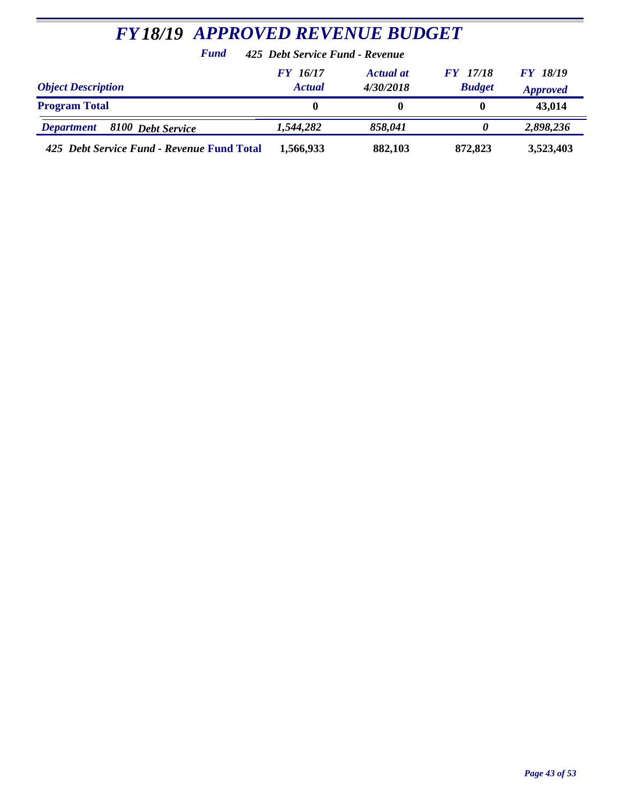| <b>FY18/19 APPROVED REVENUE BUDGET</b>                                                                                                                     |                                 |         |         |           |  |  |
|------------------------------------------------------------------------------------------------------------------------------------------------------------|---------------------------------|---------|---------|-----------|--|--|
| <b>Fund</b>                                                                                                                                                | 425 Debt Service Fund - Revenue |         |         |           |  |  |
| <b>FY 18/19</b><br>FY 16/17<br><b>FY</b> 17/18<br>Actual at<br><b>Budget</b><br><b>Object Description</b><br><b>Actual</b><br>4/30/2018<br><b>Approved</b> |                                 |         |         |           |  |  |
| <b>Program Total</b>                                                                                                                                       | $\mathbf{0}$                    | 0       | 0       | 43,014    |  |  |
| 8100 Debt Service<br><b>Department</b>                                                                                                                     | 1,544,282                       | 858,041 |         | 2,898,236 |  |  |
| 425 Debt Service Fund - Revenue Fund Total                                                                                                                 | 1,566,933                       | 882,103 | 872,823 | 3,523,403 |  |  |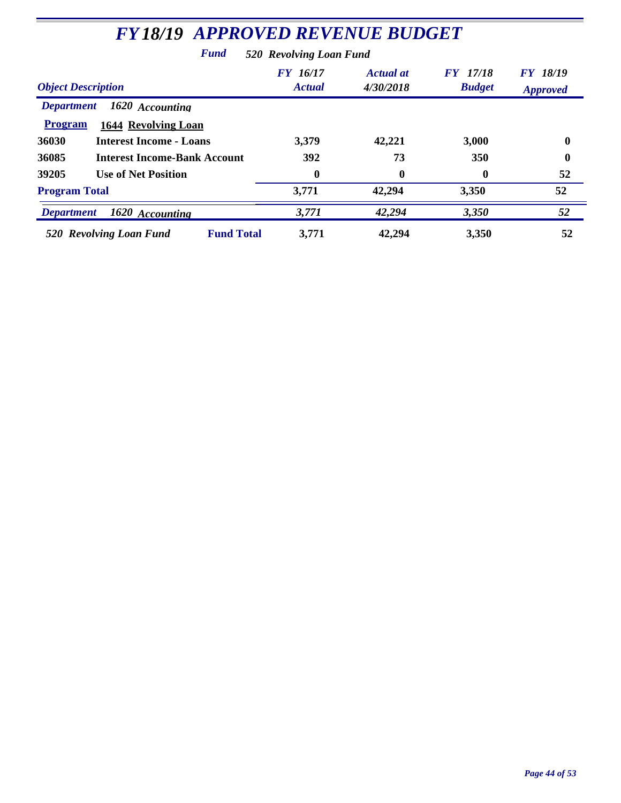| <b>FY18/19 APPROVED REVENUE BUDGET</b>       |                                  |                               |                                  |                                    |  |  |
|----------------------------------------------|----------------------------------|-------------------------------|----------------------------------|------------------------------------|--|--|
| Fund<br>520 Revolving Loan Fund              |                                  |                               |                                  |                                    |  |  |
| <b>Object Description</b>                    | <b>FY</b> 16/17<br><b>Actual</b> | <b>Actual</b> at<br>4/30/2018 | <b>FY</b> 17/18<br><b>Budget</b> | <b>FY 18/19</b><br><b>Approved</b> |  |  |
| 1620 Accounting<br><b>Department</b>         |                                  |                               |                                  |                                    |  |  |
| <b>Program</b><br><b>1644 Revolving Loan</b> |                                  |                               |                                  |                                    |  |  |
| 36030<br><b>Interest Income - Loans</b>      | 3,379                            | 42,221                        | 3,000                            | $\boldsymbol{0}$                   |  |  |
| 36085<br><b>Interest Income-Bank Account</b> | <b>392</b>                       | 73                            | <b>350</b>                       | 0                                  |  |  |
| 39205<br><b>Use of Net Position</b>          | $\boldsymbol{0}$                 | 0                             | 0                                | 52                                 |  |  |
| <b>Program Total</b>                         | 3,771                            | 42,294                        | 3,350                            | 52                                 |  |  |
| 1620 Accounting<br><b>Department</b>         | 3,771                            | 42,294                        | 3,350                            | 52                                 |  |  |
| <b>Fund Total</b><br>520 Revolving Loan Fund | 3,771                            | 42,294                        | 3,350                            | 52                                 |  |  |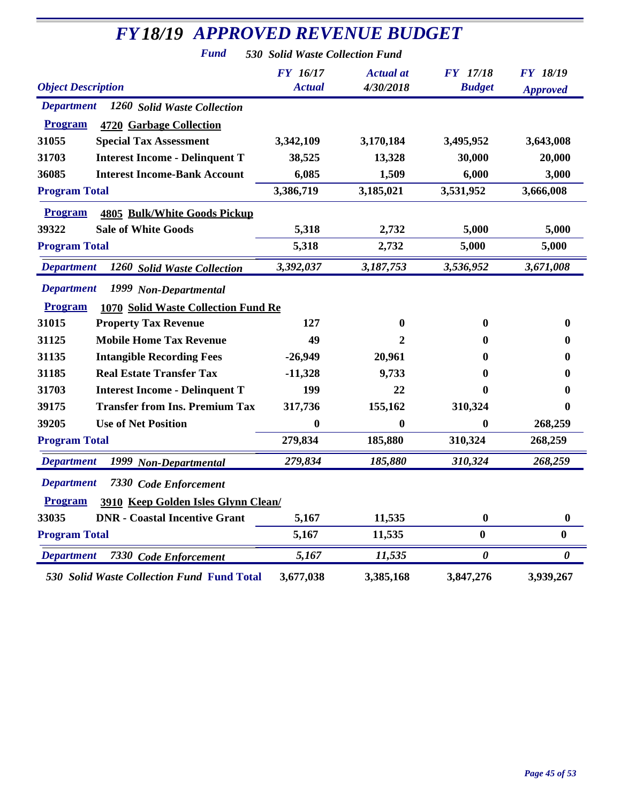| <b>FY18/19 APPROVED REVENUE BUDGET</b>                       |                                 |                               |                                  |                                    |
|--------------------------------------------------------------|---------------------------------|-------------------------------|----------------------------------|------------------------------------|
| <b>Fund</b>                                                  | 530 Solid Waste Collection Fund |                               |                                  |                                    |
| <b>Object Description</b>                                    | FY 16/17<br><b>Actual</b>       | <b>Actual at</b><br>4/30/2018 | <b>FY</b> 17/18<br><b>Budget</b> | <b>FY 18/19</b><br><b>Approved</b> |
| Department 1260 Solid Waste Collection                       |                                 |                               |                                  |                                    |
| <b>Program</b><br>4720 Garbage Collection                    |                                 |                               |                                  |                                    |
| 31055<br><b>Special Tax Assessment</b>                       | 3,342,109                       | 3,170,184                     | 3,495,952                        | 3,643,008                          |
| 31703<br><b>Interest Income - Delinquent T</b>               | 38,525                          | 13,328                        | 30,000                           | 20,000                             |
| <b>Interest Income-Bank Account</b><br>36085                 | 6,085                           | 1,509                         | 6,000                            | 3,000                              |
| <b>Program Total</b>                                         | 3,386,719                       | 3,185,021                     | 3,531,952                        | 3,666,008                          |
| <b>Program</b><br><b>4805 Bulk/White Goods Pickup</b>        |                                 |                               |                                  |                                    |
| 39322<br><b>Sale of White Goods</b>                          | 5,318                           | 2,732                         | 5,000                            | 5,000                              |
| <b>Program Total</b>                                         | 5,318                           | 2,732                         | 5,000                            | 5,000                              |
| <b>Department</b><br>1260 Solid Waste Collection             | 3,392,037                       | 3,187,753                     | 3,536,952                        | 3,671,008                          |
| <b>Department</b><br>1999 Non-Departmental                   |                                 |                               |                                  |                                    |
| <b>Program</b><br><b>1070 Solid Waste Collection Fund Re</b> |                                 |                               |                                  |                                    |
| 31015<br><b>Property Tax Revenue</b>                         | 127                             | 0                             | 0                                | $\mathbf{0}$                       |
| 31125<br><b>Mobile Home Tax Revenue</b>                      | 49                              | 2                             | 0                                |                                    |
| 31135<br><b>Intangible Recording Fees</b>                    | $-26,949$                       | 20,961                        | 0                                |                                    |
| <b>Real Estate Transfer Tax</b><br>31185                     | $-11,328$                       | 9,733                         | 0                                | 0                                  |
| 31703<br><b>Interest Income - Delinquent T</b>               | 199                             | 22                            | 0                                | 0                                  |
| <b>Transfer from Ins. Premium Tax</b><br>39175               | 317,736                         | 155,162                       | 310,324                          | $\mathbf{0}$                       |
| 39205<br><b>Use of Net Position</b>                          | 0                               | $\boldsymbol{0}$              | 0                                | 268,259                            |
| <b>Program Total</b>                                         | 279,834                         | 185,880                       | 310,324                          | 268,259                            |
| 1999 Non-Departmental<br><b>Department</b>                   | 279,834                         | 185,880                       | 310,324                          | 268,259                            |
| <b>Department</b><br>7330 Code Enforcement                   |                                 |                               |                                  |                                    |
| <b>Program</b><br>3910 Keep Golden Isles Glynn Clean/        |                                 |                               |                                  |                                    |
| 33035<br><b>DNR</b> - Coastal Incentive Grant                | 5,167                           | 11,535                        | $\bf{0}$                         | $\boldsymbol{0}$                   |
| <b>Program Total</b>                                         | 5,167                           | 11,535                        | $\boldsymbol{0}$                 | $\bf{0}$                           |
| <b>Department</b><br>7330 Code Enforcement                   | 5,167                           | 11,535                        | 0                                | 0                                  |
| 530 Solid Waste Collection Fund Fund Total                   | 3,677,038                       | 3,385,168                     | 3,847,276                        | 3,939,267                          |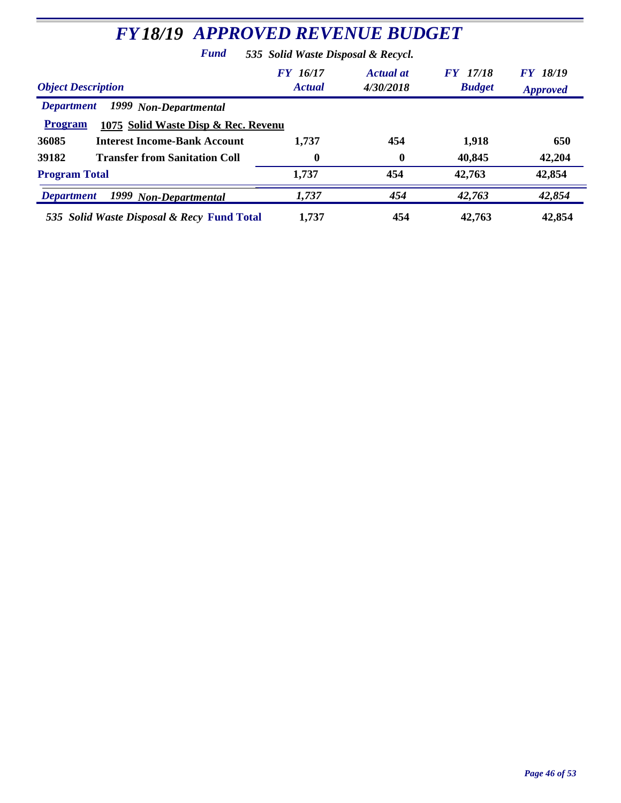| <b>FY18/19 APPROVED REVENUE BUDGET</b>                                                              |                                  |                        |                                  |                                    |  |  |
|-----------------------------------------------------------------------------------------------------|----------------------------------|------------------------|----------------------------------|------------------------------------|--|--|
| 535 Solid Waste Disposal & Recycl.<br>Fund                                                          |                                  |                        |                                  |                                    |  |  |
| <b>Object Description</b>                                                                           | <b>FY</b> 16/17<br><b>Actual</b> | Actual at<br>4/30/2018 | <b>FY</b> 17/18<br><b>Budget</b> | <b>FY</b> 18/19<br><b>Approved</b> |  |  |
| 1999 Non-Departmental<br><b>Department</b><br><b>Program</b><br>1075 Solid Waste Disp & Rec. Revenu |                                  |                        |                                  |                                    |  |  |
| 36085<br><b>Interest Income-Bank Account</b>                                                        | 1,737                            | 454                    | 1,918                            | 650                                |  |  |
| 39182<br><b>Transfer from Sanitation Coll</b>                                                       | 0                                | $\bf{0}$               | 40,845                           | 42,204                             |  |  |
| <b>Program Total</b>                                                                                | 1,737                            | 454                    | 42,763                           | 42,854                             |  |  |
| 1999 Non-Departmental<br><b>Department</b>                                                          | 1,737                            | 454                    | 42,763                           | 42,854                             |  |  |
| 535 Solid Waste Disposal & Recy Fund Total                                                          | 1,737                            | 454                    | 42,763                           | 42,854                             |  |  |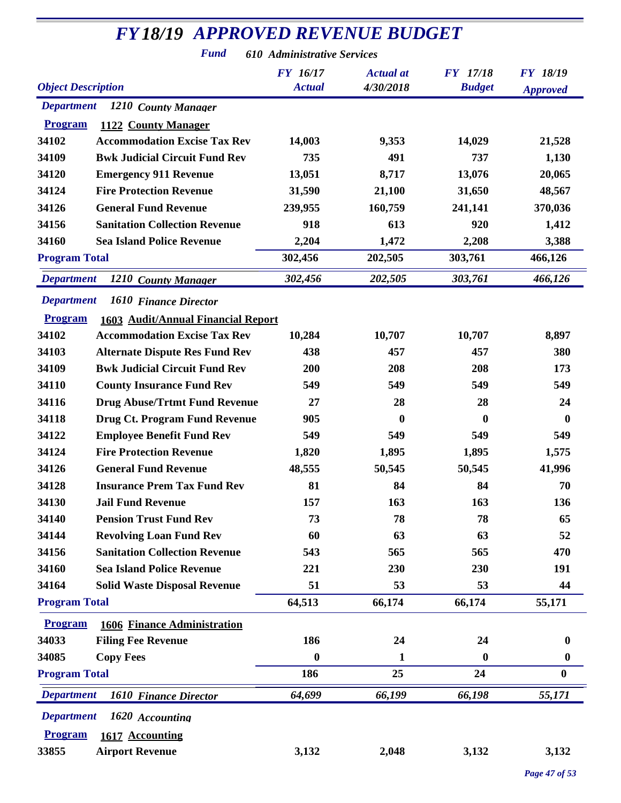## *FY18/19 APPROVED REVENUE BUDGET*

*Fund 610 Administrative Services*

| <b>Object Description</b>                            | <b>FY</b> 16/17<br><b>Actual</b> | <b>Actual</b> at<br>4/30/2018 | <b>FY</b> 17/18<br><b>Budget</b> | <b>FY 18/19</b><br><b>Approved</b> |
|------------------------------------------------------|----------------------------------|-------------------------------|----------------------------------|------------------------------------|
| <b>Department</b><br>1210 County Manager             |                                  |                               |                                  |                                    |
| 1122 County Manager<br><b>Program</b>                |                                  |                               |                                  |                                    |
| 34102<br><b>Accommodation Excise Tax Rev</b>         | 14,003                           | 9,353                         | 14,029                           | 21,528                             |
| 34109<br><b>Bwk Judicial Circuit Fund Rev</b>        | 735                              | 491                           | 737                              | 1,130                              |
| 34120<br><b>Emergency 911 Revenue</b>                | 13,051                           | 8,717                         | 13,076                           | 20,065                             |
| 34124<br><b>Fire Protection Revenue</b>              | 31,590                           | 21,100                        | 31,650                           | 48,567                             |
| 34126<br><b>General Fund Revenue</b>                 | 239,955                          | 160,759                       | 241,141                          | 370,036                            |
| <b>Sanitation Collection Revenue</b><br>34156        | 918                              | 613                           | 920                              | 1,412                              |
| 34160<br><b>Sea Island Police Revenue</b>            | 2,204                            | 1,472                         | 2,208                            | 3,388                              |
| <b>Program Total</b>                                 | 302,456                          | 202,505                       | 303,761                          | 466,126                            |
| <b>Department</b><br>1210 County Manager             | 302,456                          | 202,505                       | 303,761                          | 466,126                            |
| <b>Department</b><br>1610 Finance Director           |                                  |                               |                                  |                                    |
| 1603 Audit/Annual Financial Report<br><b>Program</b> |                                  |                               |                                  |                                    |
| 34102<br><b>Accommodation Excise Tax Rev</b>         | 10,284                           | 10,707                        | 10,707                           | 8,897                              |
| 34103<br><b>Alternate Dispute Res Fund Rev</b>       | 438                              | 457                           | 457                              | 380                                |
| <b>Bwk Judicial Circuit Fund Rev</b><br>34109        | 200                              | 208                           | 208                              | 173                                |
| 34110<br><b>County Insurance Fund Rev</b>            | 549                              | 549                           | 549                              | 549                                |
| 34116<br><b>Drug Abuse/Trtmt Fund Revenue</b>        | 27                               | 28                            | 28                               | 24                                 |
| <b>Drug Ct. Program Fund Revenue</b><br>34118        | 905                              | $\bf{0}$                      | $\bf{0}$                         | $\bf{0}$                           |
| 34122<br><b>Employee Benefit Fund Rev</b>            | 549                              | 549                           | 549                              | 549                                |
| 34124<br><b>Fire Protection Revenue</b>              | 1,820                            | 1,895                         | 1,895                            | 1,575                              |
| 34126<br><b>General Fund Revenue</b>                 | 48,555                           | 50,545                        | 50,545                           | 41,996                             |
| <b>Insurance Prem Tax Fund Rev</b><br>34128          | 81                               | 84                            | 84                               | 70                                 |
| 34130<br><b>Jail Fund Revenue</b>                    | 157                              | 163                           | 163                              | 136                                |
| 34140<br><b>Pension Trust Fund Rev</b>               | 73                               | 78                            | 78                               | 65                                 |
| <b>Revolving Loan Fund Rev</b><br>34144              | 60                               | 63                            | 63                               | 52                                 |
| <b>Sanitation Collection Revenue</b><br>34156        | 543                              | 565                           | 565                              | 470                                |
| <b>Sea Island Police Revenue</b><br>34160            | 221                              | 230                           | 230                              | 191                                |
| 34164<br><b>Solid Waste Disposal Revenue</b>         | 51                               | 53                            | 53                               | 44                                 |
| <b>Program Total</b>                                 | 64,513                           | 66,174                        | 66,174                           | 55,171                             |
| <b>Program</b><br><b>1606 Finance Administration</b> |                                  |                               |                                  |                                    |
| 34033<br><b>Filing Fee Revenue</b>                   | 186                              | 24                            | 24                               | $\mathbf 0$                        |
| 34085<br><b>Copy Fees</b>                            | $\boldsymbol{0}$                 | 1                             | $\boldsymbol{0}$                 | $\boldsymbol{0}$                   |
| <b>Program Total</b>                                 | 186                              | 25                            | 24                               | $\boldsymbol{0}$                   |
| <b>Department</b><br>1610 Finance Director           | 64,699                           | 66,199                        | 66,198                           | 55,171                             |
| <b>Department</b><br>1620 Accounting                 |                                  |                               |                                  |                                    |
| <b>Program</b><br>1617 Accounting                    |                                  |                               |                                  |                                    |
| 33855<br><b>Airport Revenue</b>                      | 3,132                            | 2,048                         | 3,132                            | 3,132                              |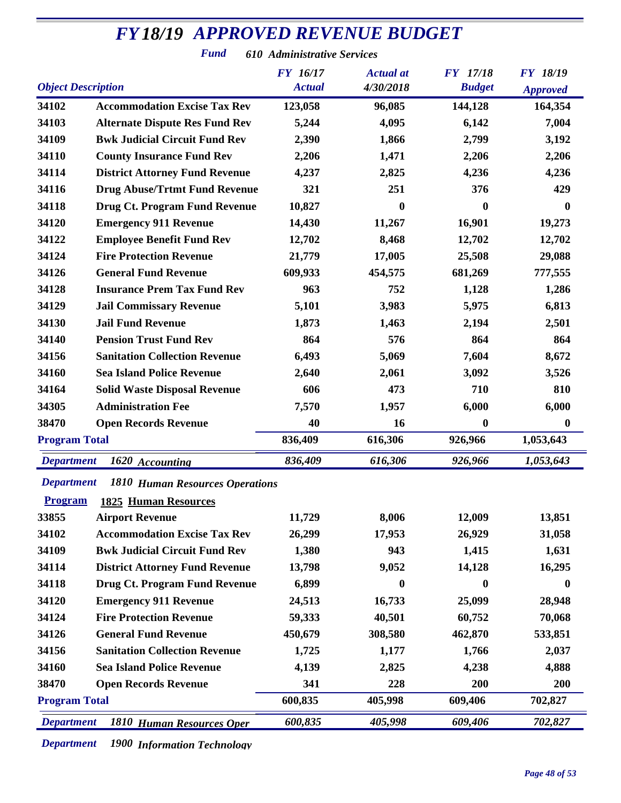#### *Object Description Actual Actual Approved Approved FY18/19 APPROVED REVENUE BUDGET Actual at* **FY** 17/18 *Fund 610 Administrative Services 16/17 4/30/2018 17/18 18/19* **Accommodation Excise Tax Rev 123,058 96,085 144,128 164,354 Alternate Dispute Res Fund Rev 5,244 4,095 6,142 7,004 Bwk Judicial Circuit Fund Rev 2,390 1,866 2,799 3,192 County Insurance Fund Rev 2,206 1,471 2,206 2,206 District Attorney Fund Revenue 4,237 2,825 4,236 4,236 Drug Abuse/Trtmt Fund Revenue 321 251 376 429 Drug Ct. Program Fund Revenue 10,827 0 0 0 Emergency 911 Revenue 14,430 11,267 16,901 19,273 Employee Benefit Fund Rev 12,702 8,468 12,702 12,702 Fire Protection Revenue 21,779 17,005 25,508 29,088 General Fund Revenue 609,933 454,575 681,269 777,555 Insurance Prem Tax Fund Rev 963 752 1,128 1,286 Jail Commissary Revenue 5,101 3,983 5,975 6,813 Jail Fund Revenue 1,873 1,463 2,194 2,501 Pension Trust Fund Rev 864 576 864 864 Sanitation Collection Revenue 6,493 5,069 7,604 8,672 Sea Island Police Revenue 2,640 2,061 3,092 3,526 Solid Waste Disposal Revenue 606 473 710 810 Administration Fee 7,570 1,957 6,000 6,000 Open Records Revenue 40 16 0 0 Program Total 836,409 616,306 926,966 1,053,643** *Department 1620 Accounting 836,409 616,306 926,966 1,053,643 Department 1810 Human Resources Operations* **Program 1825 Human Resources Airport Revenue 11,729 8,006 12,009 13,851 Accommodation Excise Tax Rev 26,299 17,953 26,929 31,058 Bwk Judicial Circuit Fund Rev 1,380 943 1,415 1,631**

| 34109                | <b>Bwk Judicial Circuit Fund Rev</b>  | 1,380   | 943      | 1,415      | 1,631      |
|----------------------|---------------------------------------|---------|----------|------------|------------|
| 34114                | <b>District Attorney Fund Revenue</b> | 13,798  | 9,052    | 14,128     | 16,295     |
| 34118                | Drug Ct. Program Fund Revenue         | 6,899   | $\bf{0}$ | 0          | $\bf{0}$   |
| 34120                | <b>Emergency 911 Revenue</b>          | 24,513  | 16,733   | 25,099     | 28,948     |
| 34124                | <b>Fire Protection Revenue</b>        | 59,333  | 40,501   | 60,752     | 70,068     |
| 34126                | <b>General Fund Revenue</b>           | 450,679 | 308,580  | 462,870    | 533,851    |
| 34156                | <b>Sanitation Collection Revenue</b>  | 1,725   | 1,177    | 1,766      | 2,037      |
| 34160                | <b>Sea Island Police Revenue</b>      | 4,139   | 2,825    | 4,238      | 4,888      |
| 38470                | <b>Open Records Revenue</b>           | 341     | 228      | <b>200</b> | <b>200</b> |
| <b>Program Total</b> |                                       | 600,835 | 405,998  | 609,406    | 702,827    |
| <b>Department</b>    | 1810 Human Resources Oper             | 600,835 | 405,998  | 609,406    | 702,827    |

*Department 1900 Information Technology*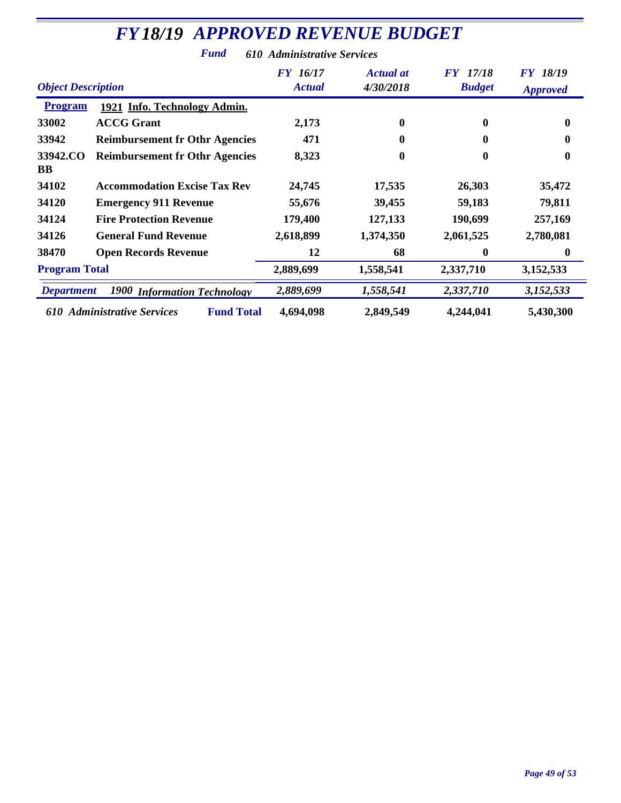| <b>Object Description</b> |                                                  | <b>FY</b> 16/17<br><b>Actual</b> | <b>Actual at</b><br>4/30/2018 | <b>FY</b> 17/18<br><b>Budget</b> | <b>FY 18/19</b><br><b>Approved</b> |
|---------------------------|--------------------------------------------------|----------------------------------|-------------------------------|----------------------------------|------------------------------------|
| <b>Program</b>            | 1921 Info. Technology Admin.                     |                                  |                               |                                  |                                    |
| 33002                     | <b>ACCG Grant</b>                                | 2,173                            | 0                             | $\mathbf{0}$                     | $\bf{0}$                           |
| 33942                     | <b>Reimbursement fr Othr Agencies</b>            | 471                              | 0                             | 0                                | $\mathbf{0}$                       |
| 33942.CO<br>BB            | <b>Reimbursement fr Othr Agencies</b>            | 8,323                            | 0                             | $\bf{0}$                         | $\bf{0}$                           |
| 34102                     | <b>Accommodation Excise Tax Rev</b>              | 24,745                           | 17,535                        | 26,303                           | 35,472                             |
| 34120                     | <b>Emergency 911 Revenue</b>                     | 55,676                           | 39,455                        | 59,183                           | 79,811                             |
| 34124                     | <b>Fire Protection Revenue</b>                   | 179,400                          | 127,133                       | 190,699                          | 257,169                            |
| 34126                     | <b>General Fund Revenue</b>                      | 2,618,899                        | 1,374,350                     | 2,061,525                        | 2,780,081                          |
| 38470                     | <b>Open Records Revenue</b>                      | 12                               | 68                            | $\mathbf{0}$                     | $\mathbf{0}$                       |
| <b>Program Total</b>      |                                                  | 2,889,699                        | 1,558,541                     | 2,337,710                        | 3,152,533                          |
| <b>Department</b>         | <b>1900 Information Technology</b>               | 2,889,699                        | 1,558,541                     | 2,337,710                        | 3,152,533                          |
|                           | <b>Fund Total</b><br>610 Administrative Services | 4,694,098                        | 2,849,549                     | 4,244,041                        | 5,430,300                          |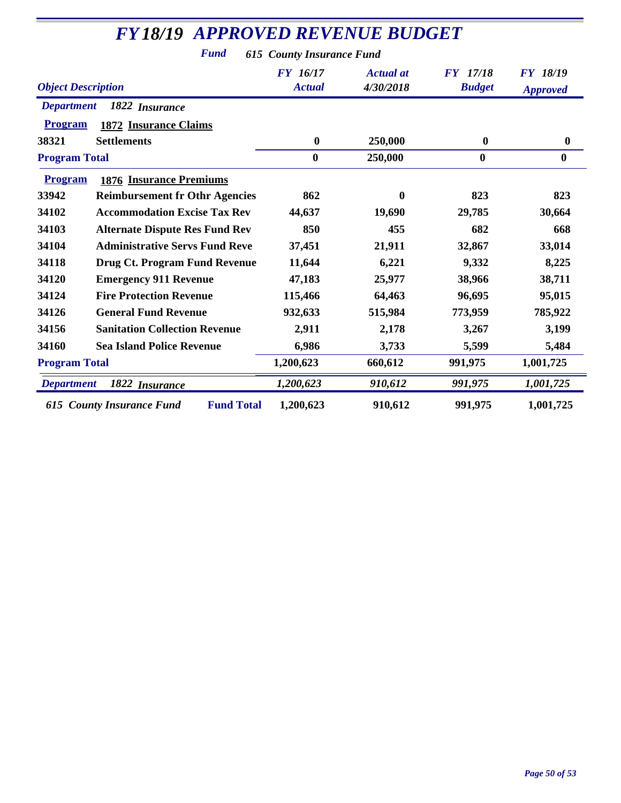| <b>FY18/19 APPROVED REVENUE BUDGET</b><br><b>Fund</b><br><b>615 County Insurance Fund</b> |           |              |          |                  |  |  |
|-------------------------------------------------------------------------------------------|-----------|--------------|----------|------------------|--|--|
|                                                                                           |           |              |          |                  |  |  |
| <b>Department</b><br>1822 Insurance                                                       |           |              |          |                  |  |  |
| <b>Program</b><br><b>1872 Insurance Claims</b>                                            |           |              |          |                  |  |  |
| <b>Settlements</b><br>38321                                                               | $\bf{0}$  | 250,000      | $\bf{0}$ | $\boldsymbol{0}$ |  |  |
| <b>Program Total</b>                                                                      | $\bf{0}$  | 250,000      | $\bf{0}$ | $\bf{0}$         |  |  |
| Program<br><b>1876 Insurance Premiums</b>                                                 |           |              |          |                  |  |  |
| 33942<br><b>Reimbursement fr Othr Agencies</b>                                            | 862       | $\mathbf{0}$ | 823      | 823              |  |  |
| 34102<br><b>Accommodation Excise Tax Rev</b>                                              | 44,637    | 19,690       | 29,785   | 30,664           |  |  |
| 34103<br><b>Alternate Dispute Res Fund Rev</b>                                            | 850       | 455          | 682      | 668              |  |  |
| 34104<br><b>Administrative Servs Fund Reve</b>                                            | 37,451    | 21,911       | 32,867   | 33,014           |  |  |
| 34118<br><b>Drug Ct. Program Fund Revenue</b>                                             | 11,644    | 6,221        | 9,332    | 8,225            |  |  |
| 34120<br><b>Emergency 911 Revenue</b>                                                     | 47,183    | 25,977       | 38,966   | 38,711           |  |  |
| 34124<br><b>Fire Protection Revenue</b>                                                   | 115,466   | 64,463       | 96,695   | 95,015           |  |  |
| 34126<br><b>General Fund Revenue</b>                                                      | 932,633   | 515,984      | 773,959  | 785,922          |  |  |
| <b>Sanitation Collection Revenue</b><br>34156                                             | 2,911     | 2,178        | 3,267    | 3,199            |  |  |
| 34160<br><b>Sea Island Police Revenue</b>                                                 | 6,986     | 3,733        | 5,599    | 5,484            |  |  |
| <b>Program Total</b>                                                                      | 1,200,623 | 660,612      | 991,975  | 1,001,725        |  |  |
| 1822 Insurance<br><b>Department</b>                                                       | 1,200,623 | 910,612      | 991,975  | 1,001,725        |  |  |
| <b>Fund Total</b><br><b>615 County Insurance Fund</b>                                     | 1,200,623 | 910,612      | 991,975  | 1,001,725        |  |  |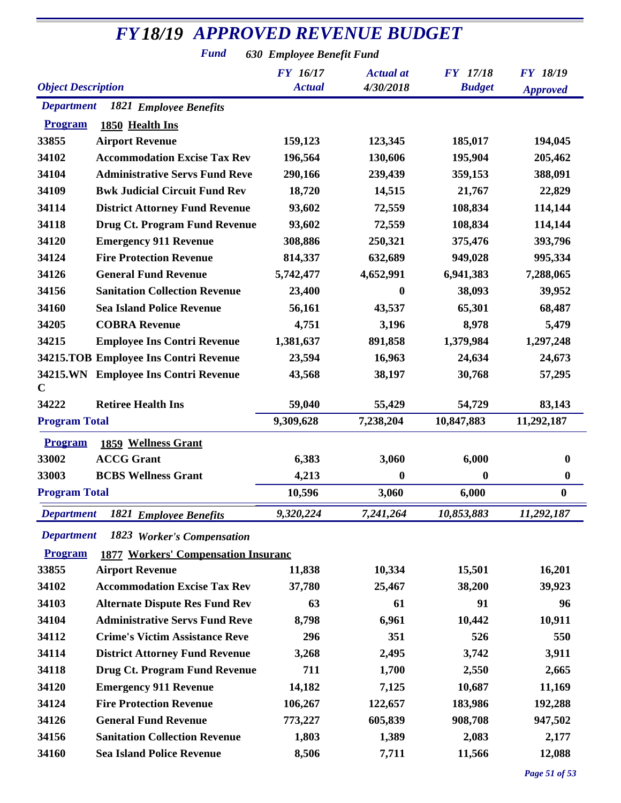#### *FY18/19 APPROVED REVENUE BUDGET*

*Fund 630 Employee Benefit Fund*

| <b>Object Description</b> |                                             | FY 16/17<br><b>Actual</b> | <b>Actual</b> at<br>4/30/2018 | FY 17/18<br><b>Budget</b> | <b>FY 18/19</b>  |
|---------------------------|---------------------------------------------|---------------------------|-------------------------------|---------------------------|------------------|
|                           |                                             |                           |                               |                           |                  |
|                           |                                             |                           |                               |                           | <b>Approved</b>  |
| <b>Department</b>         | 1821 Employee Benefits                      |                           |                               |                           |                  |
| <b>Program</b>            | 1850 Health Ins                             |                           |                               |                           |                  |
| 33855                     | <b>Airport Revenue</b>                      | 159,123                   | 123,345                       | 185,017                   | 194,045          |
| 34102                     | <b>Accommodation Excise Tax Rev</b>         | 196,564                   | 130,606                       | 195,904                   | 205,462          |
| 34104                     | <b>Administrative Servs Fund Reve</b>       | 290,166                   | 239,439                       | 359,153                   | 388,091          |
| 34109                     | <b>Bwk Judicial Circuit Fund Rev</b>        | 18,720                    | 14,515                        | 21,767                    | 22,829           |
| 34114                     | <b>District Attorney Fund Revenue</b>       | 93,602                    | 72,559                        | 108,834                   | 114,144          |
| 34118                     | <b>Drug Ct. Program Fund Revenue</b>        | 93,602                    | 72,559                        | 108,834                   | 114,144          |
| 34120                     | <b>Emergency 911 Revenue</b>                | 308,886                   | 250,321                       | 375,476                   | 393,796          |
| 34124                     | <b>Fire Protection Revenue</b>              | 814,337                   | 632,689                       | 949,028                   | 995,334          |
| 34126                     | <b>General Fund Revenue</b>                 | 5,742,477                 | 4,652,991                     | 6,941,383                 | 7,288,065        |
| 34156                     | <b>Sanitation Collection Revenue</b>        | 23,400                    | $\bf{0}$                      | 38,093                    | 39,952           |
| 34160                     | <b>Sea Island Police Revenue</b>            | 56,161                    | 43,537                        | 65,301                    | 68,487           |
| 34205                     | <b>COBRA Revenue</b>                        | 4,751                     | 3,196                         | 8,978                     | 5,479            |
| 34215                     | <b>Employee Ins Contri Revenue</b>          | 1,381,637                 | 891,858                       | 1,379,984                 | 1,297,248        |
|                           | 34215.TOB Employee Ins Contri Revenue       | 23,594                    | 16,963                        | 24,634                    | 24,673           |
| $\mathbf C$               | 34215.WN Employee Ins Contri Revenue        | 43,568                    | 38,197                        | 30,768                    | 57,295           |
| 34222                     | <b>Retiree Health Ins</b>                   | 59,040                    | 55,429                        | 54,729                    | 83,143           |
| <b>Program Total</b>      |                                             | 9,309,628                 | 7,238,204                     | 10,847,883                | 11,292,187       |
| <b>Program</b>            | <b>1859 Wellness Grant</b>                  |                           |                               |                           |                  |
| 33002                     | <b>ACCG Grant</b>                           | 6,383                     | 3,060                         | 6,000                     | $\boldsymbol{0}$ |
| 33003                     | <b>BCBS Wellness Grant</b>                  | 4,213                     | $\boldsymbol{0}$              | $\boldsymbol{0}$          | $\boldsymbol{0}$ |
| <b>Program Total</b>      |                                             | 10,596                    | 3,060                         | 6,000                     | $\bf{0}$         |
|                           | <b>Department</b> 1821 Employee Benefits    | 9,320,224                 | 7,241,264                     | 10,853,883                | 11,292,187       |
| <b>Department</b>         | 1823 Worker's Compensation                  |                           |                               |                           |                  |
| <b>Program</b>            | <b>1877 Workers' Compensation Insurance</b> |                           |                               |                           |                  |
| 33855                     | <b>Airport Revenue</b>                      | 11,838                    | 10,334                        | 15,501                    | 16,201           |
| 34102                     | <b>Accommodation Excise Tax Rev</b>         | 37,780                    | 25,467                        | 38,200                    | 39,923           |
| 34103                     | <b>Alternate Dispute Res Fund Rev</b>       | 63                        | 61                            | 91                        | 96               |
| 34104                     | <b>Administrative Servs Fund Reve</b>       | 8,798                     | 6,961                         | 10,442                    | 10,911           |
| 34112                     | <b>Crime's Victim Assistance Reve</b>       | 296                       | 351                           | 526                       | 550              |
| 34114                     | <b>District Attorney Fund Revenue</b>       | 3,268                     | 2,495                         | 3,742                     | 3,911            |
| 34118                     | <b>Drug Ct. Program Fund Revenue</b>        | 711                       | 1,700                         | 2,550                     | 2,665            |
| 34120                     | <b>Emergency 911 Revenue</b>                | 14,182                    | 7,125                         | 10,687                    | 11,169           |
| 34124                     | <b>Fire Protection Revenue</b>              | 106,267                   | 122,657                       | 183,986                   | 192,288          |
| 34126                     | <b>General Fund Revenue</b>                 | 773,227                   | 605,839                       | 908,708                   | 947,502          |
| 34156                     | <b>Sanitation Collection Revenue</b>        | 1,803                     | 1,389                         | 2,083                     | 2,177            |
| 34160                     | <b>Sea Island Police Revenue</b>            | 8,506                     | 7,711                         | 11,566                    | 12,088           |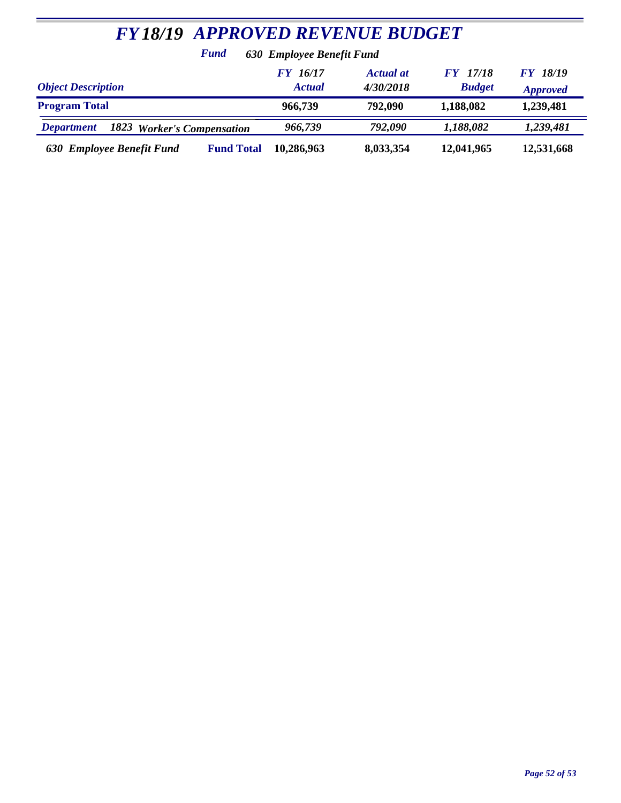| <b>FY18/19 APPROVED REVENUE BUDGET</b>          |                           |                               |                                  |                                    |  |  |  |
|-------------------------------------------------|---------------------------|-------------------------------|----------------------------------|------------------------------------|--|--|--|
| Fund                                            | 630 Employee Benefit Fund |                               |                                  |                                    |  |  |  |
| <b>Object Description</b>                       | FY 16/17<br><b>Actual</b> | <b>Actual at</b><br>4/30/2018 | <b>FY</b> 17/18<br><b>Budget</b> | <b>FY 18/19</b><br><b>Approved</b> |  |  |  |
| <b>Program Total</b>                            | 966,739                   | 792,090                       | 1,188,082                        | 1,239,481                          |  |  |  |
| 1823 Worker's Compensation<br><b>Department</b> | 966,739                   | 792,090                       | 1,188,082                        | 1,239,481                          |  |  |  |
| 630 Employee Benefit Fund<br><b>Fund Total</b>  | 10,286,963                | 8,033,354                     | 12,041,965                       | 12,531,668                         |  |  |  |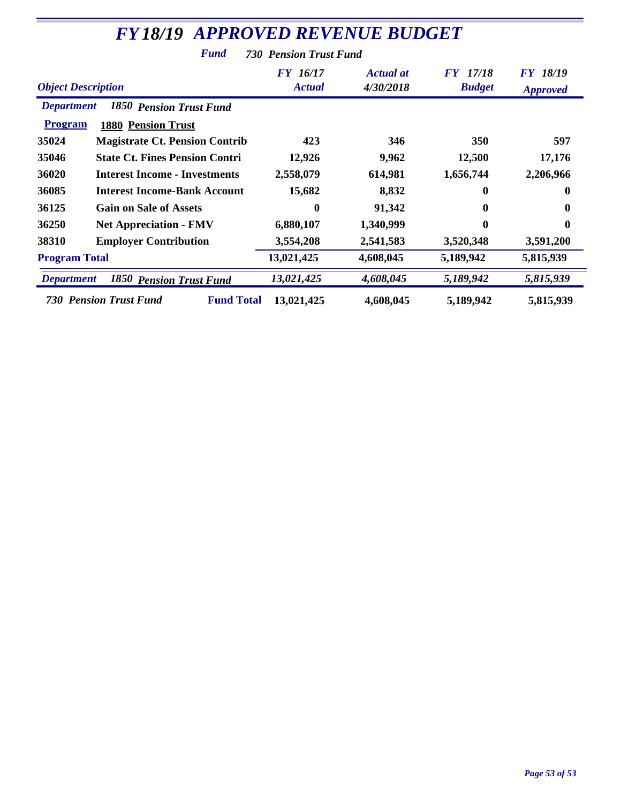| <b>FY18/19 APPROVED REVENUE BUDGET</b>                 |                                  |                               |                                  |                                    |  |  |
|--------------------------------------------------------|----------------------------------|-------------------------------|----------------------------------|------------------------------------|--|--|
| Fund<br><b>730 Pension Trust Fund</b>                  |                                  |                               |                                  |                                    |  |  |
| <b>Object Description</b>                              | <b>FY</b> 16/17<br><b>Actual</b> | <b>Actual</b> at<br>4/30/2018 | <b>FY</b> 17/18<br><b>Budget</b> | <b>FY 18/19</b><br><b>Approved</b> |  |  |
| <b>1850 Pension Trust Fund</b><br><b>Department</b>    |                                  |                               |                                  |                                    |  |  |
| <b>Program</b><br><b>1880 Pension Trust</b>            |                                  |                               |                                  |                                    |  |  |
| 35024<br><b>Magistrate Ct. Pension Contrib</b>         | 423                              | 346                           | 350                              | 597                                |  |  |
| 35046<br><b>State Ct. Fines Pension Contri</b>         | 12,926                           | 9,962                         | 12,500                           | 17,176                             |  |  |
| 36020<br><b>Interest Income - Investments</b>          | 2,558,079                        | 614,981                       | 1,656,744                        | 2,206,966                          |  |  |
| 36085<br><b>Interest Income-Bank Account</b>           | 15,682                           | 8,832                         | $\mathbf{0}$                     | 0                                  |  |  |
| 36125<br><b>Gain on Sale of Assets</b>                 | 0                                | 91,342                        |                                  |                                    |  |  |
| 36250<br><b>Net Appreciation - FMV</b>                 | 6,880,107                        | 1,340,999                     | $\mathbf{0}$                     | $\bf{0}$                           |  |  |
| 38310<br><b>Employer Contribution</b>                  | 3,554,208                        | 2,541,583                     | 3,520,348                        | 3,591,200                          |  |  |
| <b>Program Total</b>                                   | 13,021,425                       | 4,608,045                     | 5,189,942                        | 5,815,939                          |  |  |
| <b>Department</b><br>1850<br><b>Pension Trust Fund</b> | 13,021,425                       | 4,608,045                     | 5,189,942                        | 5,815,939                          |  |  |
| <b>Fund Total</b><br><b>730 Pension Trust Fund</b>     | 13,021,425                       | 4,608,045                     | 5,189,942                        | 5,815,939                          |  |  |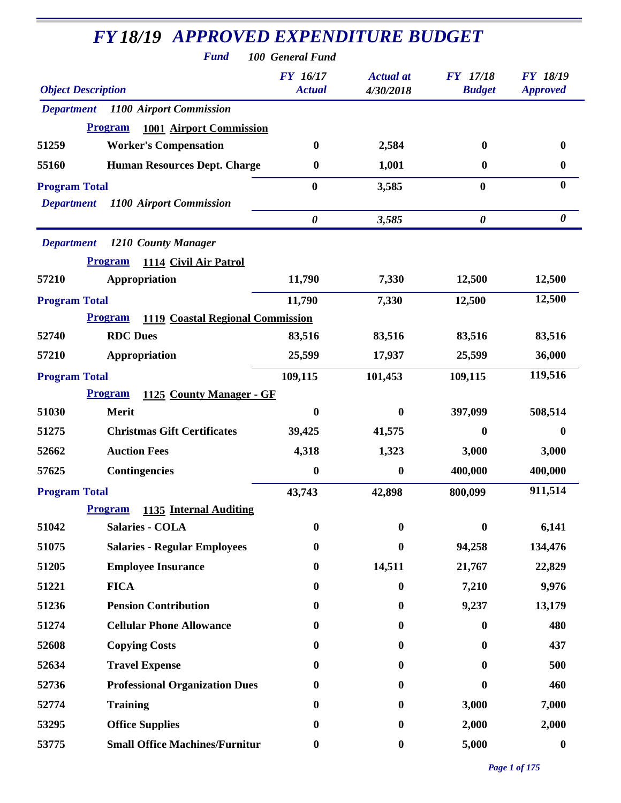| <b>Fund</b>                                      | <b>FY18/19 APPROVED EXPENDITURE BUDGET</b><br>100 General Fund |                               |                                  |                                    |
|--------------------------------------------------|----------------------------------------------------------------|-------------------------------|----------------------------------|------------------------------------|
| <b>Object Description</b>                        | <b>FY</b> 16/17<br><b>Actual</b>                               | <b>Actual</b> at<br>4/30/2018 | <b>FY</b> 17/18<br><b>Budget</b> | <b>FY 18/19</b><br><b>Approved</b> |
| 1100 Airport Commission<br><b>Department</b>     |                                                                |                               |                                  |                                    |
| <b>1001 Airport Commission</b><br><b>Program</b> |                                                                |                               |                                  |                                    |
| <b>Worker's Compensation</b><br>51259            | $\bf{0}$                                                       | 2,584                         | $\mathbf{0}$                     | $\bf{0}$                           |
| <b>Human Resources Dept. Charge</b><br>55160     | $\bf{0}$                                                       | 1,001                         | $\bf{0}$                         | $\boldsymbol{0}$                   |
| <b>Program Total</b>                             | $\bf{0}$                                                       | 3,585                         | $\boldsymbol{0}$                 | $\bf{0}$                           |
| 1100 Airport Commission<br><b>Department</b>     |                                                                |                               |                                  |                                    |
|                                                  | $\boldsymbol{\theta}$                                          | 3,585                         | $\boldsymbol{\theta}$            | $\boldsymbol{\theta}$              |
| <b>Department</b><br>1210 County Manager         |                                                                |                               |                                  |                                    |
| <b>Program</b><br>1114 Civil Air Patrol          |                                                                |                               |                                  |                                    |
| 57210<br>Appropriation                           | 11,790                                                         | 7,330                         | 12,500                           | 12,500                             |
| <b>Program Total</b>                             | 11,790                                                         | 7,330                         | 12,500                           | 12,500                             |
| <b>Program</b>                                   | 1119 Coastal Regional Commission                               |                               |                                  |                                    |
| <b>RDC</b> Dues<br>52740                         | 83,516                                                         | 83,516                        | 83,516                           | 83,516                             |
| 57210<br>Appropriation                           | 25,599                                                         | 17,937                        | 25,599                           | 36,000                             |
| <b>Program Total</b>                             | 109,115                                                        | 101,453                       | 109,115                          | 119,516                            |
| <b>Program</b><br>1125 County Manager - GF       |                                                                |                               |                                  |                                    |
| 51030<br><b>Merit</b>                            | $\boldsymbol{0}$                                               | $\mathbf{0}$                  | 397,099                          | 508,514                            |
| <b>Christmas Gift Certificates</b><br>51275      | 39,425                                                         | 41,575                        | $\bf{0}$                         | 0                                  |
| 52662<br><b>Auction Fees</b>                     | 4,318                                                          | 1,323                         | 3,000                            | 3,000                              |
| <b>Contingencies</b><br>57625                    | $\boldsymbol{0}$                                               | $\boldsymbol{0}$              | 400,000                          | 400,000                            |
| <b>Program Total</b>                             | 43,743                                                         | 42,898                        | 800,099                          | 911,514                            |
| <b>Program</b><br>1135 Internal Auditing         |                                                                |                               |                                  |                                    |
| <b>Salaries - COLA</b><br>51042                  | $\boldsymbol{0}$                                               | $\bf{0}$                      | $\bf{0}$                         | 6,141                              |
| 51075<br><b>Salaries - Regular Employees</b>     | $\boldsymbol{0}$                                               | $\bf{0}$                      | 94,258                           | 134,476                            |
| 51205<br><b>Employee Insurance</b>               | $\boldsymbol{0}$                                               | 14,511                        | 21,767                           | 22,829                             |
| 51221<br><b>FICA</b>                             | $\boldsymbol{0}$                                               | $\bf{0}$                      | 7,210                            | 9,976                              |
| 51236<br><b>Pension Contribution</b>             | $\boldsymbol{0}$                                               | $\boldsymbol{0}$              | 9,237                            | 13,179                             |
| 51274<br><b>Cellular Phone Allowance</b>         | $\bf{0}$                                                       | $\bf{0}$                      | $\bf{0}$                         | 480                                |
| 52608<br><b>Copying Costs</b>                    | $\bf{0}$                                                       | $\bf{0}$                      | $\mathbf{0}$                     | 437                                |
| 52634<br><b>Travel Expense</b>                   | $\bf{0}$                                                       | $\bf{0}$                      | $\mathbf{0}$                     | 500                                |
| 52736<br><b>Professional Organization Dues</b>   | $\boldsymbol{0}$                                               | $\bf{0}$                      | $\mathbf{0}$                     | 460                                |
| 52774<br><b>Training</b>                         | $\boldsymbol{0}$                                               | $\bf{0}$                      | 3,000                            | 7,000                              |
| 53295<br><b>Office Supplies</b>                  | $\boldsymbol{0}$                                               | $\bf{0}$                      | 2,000                            | 2,000                              |
| 53775<br><b>Small Office Machines/Furnitur</b>   | $\boldsymbol{0}$                                               | $\boldsymbol{0}$              | 5,000                            | $\boldsymbol{0}$                   |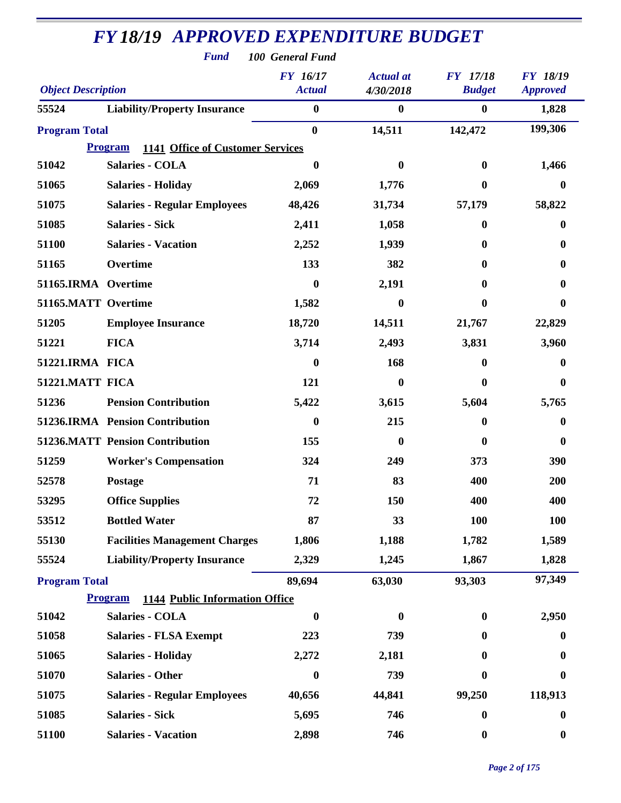|                           | <b>Fund</b>                                               | 100 General Fund                 |                               |                                  |                                    |
|---------------------------|-----------------------------------------------------------|----------------------------------|-------------------------------|----------------------------------|------------------------------------|
| <b>Object Description</b> |                                                           | <b>FY</b> 16/17<br><b>Actual</b> | <b>Actual</b> at<br>4/30/2018 | <b>FY</b> 17/18<br><b>Budget</b> | <b>FY 18/19</b><br><b>Approved</b> |
| 55524                     | <b>Liability/Property Insurance</b>                       | $\bf{0}$                         | $\bf{0}$                      | $\bf{0}$                         | 1,828                              |
| <b>Program Total</b>      |                                                           | $\bf{0}$                         | 14,511                        | 142,472                          | 199,306                            |
|                           | <b>1141 Office of Customer Services</b><br><b>Program</b> |                                  |                               |                                  |                                    |
| 51042                     | <b>Salaries - COLA</b>                                    | 0                                | 0                             | $\mathbf{0}$                     | 1,466                              |
| 51065                     | <b>Salaries - Holiday</b>                                 | 2,069                            | 1,776                         | $\mathbf{0}$                     | 0                                  |
| 51075                     | <b>Salaries - Regular Employees</b>                       | 48,426                           | 31,734                        | 57,179                           | 58,822                             |
| 51085                     | <b>Salaries - Sick</b>                                    | 2,411                            | 1,058                         | $\mathbf{0}$                     | 0                                  |
| 51100                     | <b>Salaries - Vacation</b>                                | 2,252                            | 1,939                         | $\mathbf{0}$                     | $\mathbf{0}$                       |
| 51165                     | Overtime                                                  | 133                              | 382                           | 0                                | 0                                  |
| 51165.IRMA Overtime       |                                                           | $\bf{0}$                         | 2,191                         | 0                                | 0                                  |
| 51165.MATT Overtime       |                                                           | 1,582                            | 0                             | 0                                | $\bf{0}$                           |
| 51205                     | <b>Employee Insurance</b>                                 | 18,720                           | 14,511                        | 21,767                           | 22,829                             |
| 51221                     | <b>FICA</b>                                               | 3,714                            | 2,493                         | 3,831                            | 3,960                              |
| 51221.IRMA FICA           |                                                           | 0                                | 168                           | $\mathbf{0}$                     | 0                                  |
| 51221.MATT FICA           |                                                           | 121                              | 0                             | $\mathbf{0}$                     | $\boldsymbol{0}$                   |
| 51236                     | <b>Pension Contribution</b>                               | 5,422                            | 3,615                         | 5,604                            | 5,765                              |
|                           | 51236.IRMA Pension Contribution                           | $\boldsymbol{0}$                 | 215                           | $\mathbf{0}$                     | 0                                  |
|                           | <b>51236.MATT Pension Contribution</b>                    | 155                              | $\bf{0}$                      | $\bf{0}$                         | 0                                  |
| 51259                     | <b>Worker's Compensation</b>                              | 324                              | 249                           | 373                              | 390                                |
| 52578                     | <b>Postage</b>                                            | 71                               | 83                            | 400                              | 200                                |
| 53295                     | <b>Office Supplies</b>                                    | 72                               | 150                           | 400                              | 400                                |
| 53512                     | <b>Bottled Water</b>                                      | 87                               | 33                            | <b>100</b>                       | <b>100</b>                         |
| 55130                     | <b>Facilities Management Charges</b>                      | 1,806                            | 1,188                         | 1,782                            | 1,589                              |
| 55524                     | <b>Liability/Property Insurance</b>                       | 2,329                            | 1,245                         | 1,867                            | 1,828                              |
| <b>Program Total</b>      |                                                           | 89,694                           | 63,030                        | 93,303                           | 97,349                             |
|                           | <b>1144 Public Information Office</b><br><b>Program</b>   |                                  |                               |                                  |                                    |
| 51042                     | <b>Salaries - COLA</b>                                    | $\bf{0}$                         | $\bf{0}$                      | $\mathbf{0}$                     | 2,950                              |
| 51058                     | <b>Salaries - FLSA Exempt</b>                             | 223                              | 739                           | 0                                | $\bf{0}$                           |
| 51065                     | <b>Salaries - Holiday</b>                                 | 2,272                            | 2,181                         | 0                                | $\boldsymbol{0}$                   |
| 51070                     | <b>Salaries - Other</b>                                   | $\boldsymbol{0}$                 | 739                           | $\mathbf{0}$                     | $\bf{0}$                           |
| 51075                     | <b>Salaries - Regular Employees</b>                       | 40,656                           | 44,841                        | 99,250                           | 118,913                            |
| 51085                     | <b>Salaries - Sick</b>                                    | 5,695                            | 746                           | $\boldsymbol{0}$                 | $\boldsymbol{0}$                   |
| 51100                     | <b>Salaries - Vacation</b>                                | 2,898                            | 746                           | $\boldsymbol{0}$                 | $\boldsymbol{0}$                   |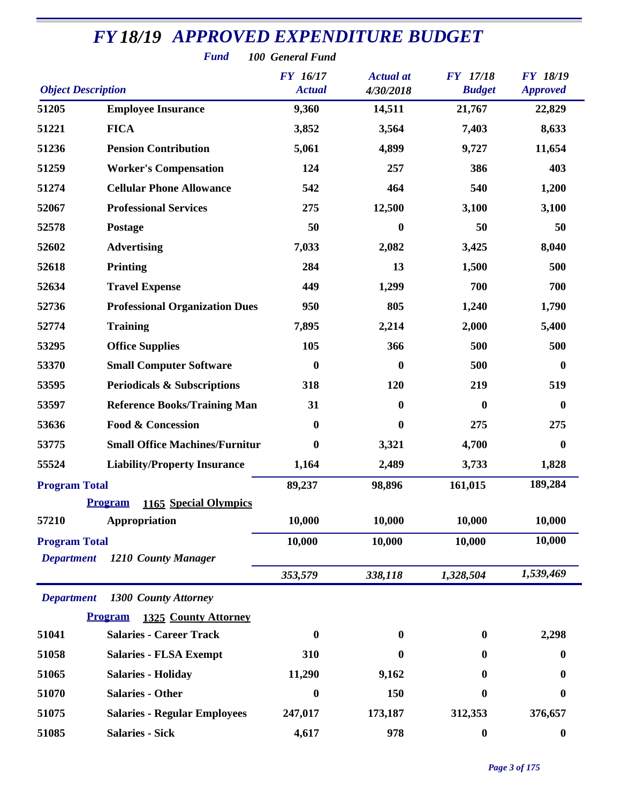|                                           | <b>Fund</b>                             | 100 General Fund                 |                               |                                  |                                    |
|-------------------------------------------|-----------------------------------------|----------------------------------|-------------------------------|----------------------------------|------------------------------------|
| <b>Object Description</b>                 |                                         | <b>FY</b> 16/17<br><b>Actual</b> | <b>Actual</b> at<br>4/30/2018 | <b>FY</b> 17/18<br><b>Budget</b> | <b>FY 18/19</b><br><b>Approved</b> |
| 51205                                     | <b>Employee Insurance</b>               | 9,360                            | 14,511                        | 21,767                           | 22,829                             |
| 51221                                     | <b>FICA</b>                             | 3,852                            | 3,564                         | 7,403                            | 8,633                              |
| 51236                                     | <b>Pension Contribution</b>             | 5,061                            | 4,899                         | 9,727                            | 11,654                             |
| 51259                                     | <b>Worker's Compensation</b>            | 124                              | 257                           | 386                              | 403                                |
| 51274                                     | <b>Cellular Phone Allowance</b>         | 542                              | 464                           | 540                              | 1,200                              |
| 52067                                     | <b>Professional Services</b>            | 275                              | 12,500                        | 3,100                            | 3,100                              |
| 52578                                     | Postage                                 | 50                               | $\bf{0}$                      | 50                               | 50                                 |
| 52602                                     | <b>Advertising</b>                      | 7,033                            | 2,082                         | 3,425                            | 8,040                              |
| 52618                                     | <b>Printing</b>                         | 284                              | 13                            | 1,500                            | 500                                |
| 52634                                     | <b>Travel Expense</b>                   | 449                              | 1,299                         | 700                              | 700                                |
| 52736                                     | <b>Professional Organization Dues</b>   | 950                              | 805                           | 1,240                            | 1,790                              |
| 52774                                     | <b>Training</b>                         | 7,895                            | 2,214                         | 2,000                            | 5,400                              |
| 53295                                     | <b>Office Supplies</b>                  | 105                              | 366                           | 500                              | 500                                |
| 53370                                     | <b>Small Computer Software</b>          | $\bf{0}$                         | $\boldsymbol{0}$              | 500                              | $\boldsymbol{0}$                   |
| 53595                                     | <b>Periodicals &amp; Subscriptions</b>  | 318                              | 120                           | 219                              | 519                                |
| 53597                                     | <b>Reference Books/Training Man</b>     | 31                               | $\bf{0}$                      | $\boldsymbol{0}$                 | $\boldsymbol{0}$                   |
| 53636                                     | <b>Food &amp; Concession</b>            | $\bf{0}$                         | 0                             | 275                              | 275                                |
| 53775                                     | <b>Small Office Machines/Furnitur</b>   | $\boldsymbol{0}$                 | 3,321                         | 4,700                            | 0                                  |
| 55524                                     | <b>Liability/Property Insurance</b>     | 1,164                            | 2,489                         | 3,733                            | 1,828                              |
| <b>Program Total</b>                      |                                         | 89,237                           | 98,896                        | 161,015                          | 189,284                            |
|                                           | <b>Program</b><br>1165 Special Olympics |                                  |                               |                                  |                                    |
| 57210                                     | Appropriation                           | 10,000                           | 10,000                        | 10,000                           | 10,000                             |
| <b>Program Total</b><br><b>Department</b> | 1210 County Manager                     | 10,000                           | 10,000                        | 10,000                           | 10,000                             |
|                                           |                                         | 353,579                          | 338,118                       | 1,328,504                        | 1,539,469                          |
| <b>Department</b>                         | 1300 County Attorney                    |                                  |                               |                                  |                                    |
|                                           | <b>Program</b><br>1325 County Attorney  |                                  |                               |                                  |                                    |
| 51041                                     | <b>Salaries - Career Track</b>          | $\boldsymbol{0}$                 | 0                             | $\bf{0}$                         | 2,298                              |
| 51058                                     | <b>Salaries - FLSA Exempt</b>           | 310                              | 0                             | $\mathbf{0}$                     | 0                                  |
| 51065                                     | <b>Salaries - Holiday</b>               | 11,290                           | 9,162                         | 0                                | 0                                  |
| 51070                                     | <b>Salaries - Other</b>                 | $\boldsymbol{0}$                 | 150                           | 0                                | 0                                  |
| 51075                                     | <b>Salaries - Regular Employees</b>     | 247,017                          | 173,187                       | 312,353                          | 376,657                            |
| 51085                                     | <b>Salaries - Sick</b>                  | 4,617                            | 978                           | $\boldsymbol{0}$                 | $\boldsymbol{0}$                   |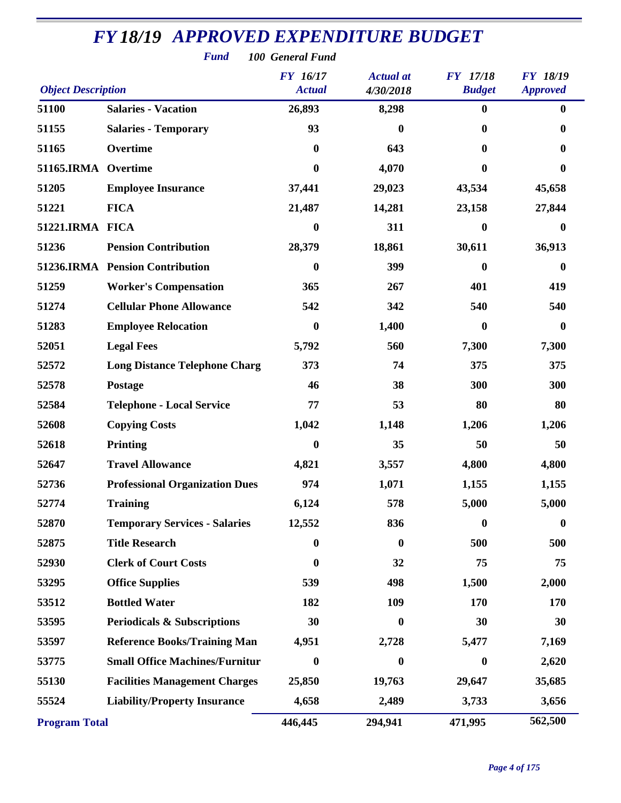| <b>Fund</b><br>100 General Fund |                                        |                                  |                               |                                  |                                    |  |
|---------------------------------|----------------------------------------|----------------------------------|-------------------------------|----------------------------------|------------------------------------|--|
| <b>Object Description</b>       |                                        | <b>FY</b> 16/17<br><b>Actual</b> | <b>Actual</b> at<br>4/30/2018 | <b>FY</b> 17/18<br><b>Budget</b> | <b>FY 18/19</b><br><b>Approved</b> |  |
| 51100                           | <b>Salaries - Vacation</b>             | 26,893                           | 8,298                         | $\bf{0}$                         | $\bf{0}$                           |  |
| 51155                           | <b>Salaries - Temporary</b>            | 93                               | 0                             | $\bf{0}$                         | 0                                  |  |
| 51165                           | Overtime                               | $\boldsymbol{0}$                 | 643                           | $\bf{0}$                         | 0                                  |  |
| 51165.IRMA Overtime             |                                        | $\boldsymbol{0}$                 | 4,070                         | $\bf{0}$                         | $\bf{0}$                           |  |
| 51205                           | <b>Employee Insurance</b>              | 37,441                           | 29,023                        | 43,534                           | 45,658                             |  |
| 51221                           | <b>FICA</b>                            | 21,487                           | 14,281                        | 23,158                           | 27,844                             |  |
| 51221.IRMA FICA                 |                                        | $\boldsymbol{0}$                 | 311                           | $\boldsymbol{0}$                 | $\bf{0}$                           |  |
| 51236                           | <b>Pension Contribution</b>            | 28,379                           | 18,861                        | 30,611                           | 36,913                             |  |
|                                 | 51236.IRMA Pension Contribution        | $\bf{0}$                         | 399                           | $\bf{0}$                         | $\mathbf{0}$                       |  |
| 51259                           | <b>Worker's Compensation</b>           | 365                              | 267                           | 401                              | 419                                |  |
| 51274                           | <b>Cellular Phone Allowance</b>        | 542                              | 342                           | 540                              | 540                                |  |
| 51283                           | <b>Employee Relocation</b>             | $\bf{0}$                         | 1,400                         | $\boldsymbol{0}$                 | $\bf{0}$                           |  |
| 52051                           | <b>Legal Fees</b>                      | 5,792                            | 560                           | 7,300                            | 7,300                              |  |
| 52572                           | <b>Long Distance Telephone Charg</b>   | 373                              | 74                            | 375                              | 375                                |  |
| 52578                           | <b>Postage</b>                         | 46                               | 38                            | 300                              | 300                                |  |
| 52584                           | <b>Telephone - Local Service</b>       | 77                               | 53                            | 80                               | 80                                 |  |
| 52608                           | <b>Copying Costs</b>                   | 1,042                            | 1,148                         | 1,206                            | 1,206                              |  |
| 52618                           | Printing                               | $\boldsymbol{0}$                 | 35                            | 50                               | 50                                 |  |
| 52647                           | <b>Travel Allowance</b>                | 4,821                            | 3,557                         | 4,800                            | 4,800                              |  |
| 52736                           | <b>Professional Organization Dues</b>  | 974                              | 1,071                         | 1,155                            | 1,155                              |  |
| 52774                           | <b>Training</b>                        | 6,124                            | 578                           | 5,000                            | 5,000                              |  |
| 52870                           | <b>Temporary Services - Salaries</b>   | 12,552                           | 836                           | $\boldsymbol{0}$                 | $\boldsymbol{0}$                   |  |
| 52875                           | <b>Title Research</b>                  | $\boldsymbol{0}$                 | $\boldsymbol{0}$              | 500                              | 500                                |  |
| 52930                           | <b>Clerk of Court Costs</b>            | $\boldsymbol{0}$                 | 32                            | 75                               | 75                                 |  |
| 53295                           | <b>Office Supplies</b>                 | 539                              | 498                           | 1,500                            | 2,000                              |  |
| 53512                           | <b>Bottled Water</b>                   | 182                              | 109                           | 170                              | 170                                |  |
| 53595                           | <b>Periodicals &amp; Subscriptions</b> | 30                               | $\bf{0}$                      | 30                               | 30                                 |  |
| 53597                           | <b>Reference Books/Training Man</b>    | 4,951                            | 2,728                         | 5,477                            | 7,169                              |  |
| 53775                           | <b>Small Office Machines/Furnitur</b>  | $\boldsymbol{0}$                 | 0                             | $\boldsymbol{0}$                 | 2,620                              |  |
| 55130                           | <b>Facilities Management Charges</b>   | 25,850                           | 19,763                        | 29,647                           | 35,685                             |  |
| 55524                           | <b>Liability/Property Insurance</b>    | 4,658                            | 2,489                         | 3,733                            | 3,656                              |  |
| <b>Program Total</b>            |                                        | 446,445                          | 294,941                       | 471,995                          | 562,500                            |  |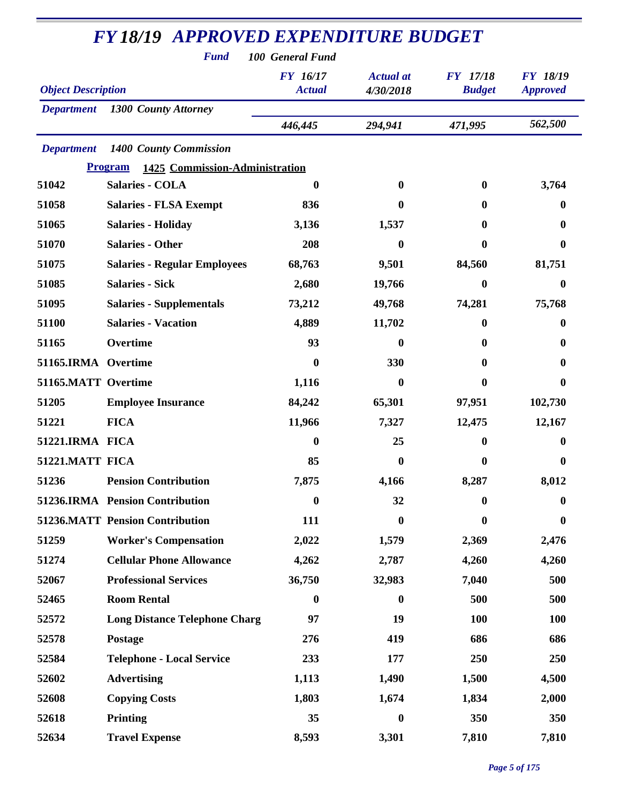| <b>Fund</b><br>100 General Fund |                                                  |                                  |                               |                                  |                                    |  |
|---------------------------------|--------------------------------------------------|----------------------------------|-------------------------------|----------------------------------|------------------------------------|--|
| <b>Object Description</b>       |                                                  | <b>FY</b> 16/17<br><b>Actual</b> | <b>Actual</b> at<br>4/30/2018 | <b>FY</b> 17/18<br><b>Budget</b> | <b>FY 18/19</b><br><b>Approved</b> |  |
| <b>Department</b>               | <b>1300 County Attorney</b>                      |                                  |                               |                                  |                                    |  |
|                                 |                                                  | 446,445                          | 294,941                       | 471,995                          | 562,500                            |  |
| <b>Department</b>               | 1400 County Commission                           |                                  |                               |                                  |                                    |  |
|                                 | <b>Program</b><br>1425 Commission-Administration |                                  |                               |                                  |                                    |  |
| 51042                           | <b>Salaries - COLA</b>                           | $\bf{0}$                         | $\mathbf{0}$                  | $\bf{0}$                         | 3,764                              |  |
| 51058                           | <b>Salaries - FLSA Exempt</b>                    | 836                              | $\bf{0}$                      | $\mathbf{0}$                     | 0                                  |  |
| 51065                           | <b>Salaries - Holiday</b>                        | 3,136                            | 1,537                         | 0                                | 0                                  |  |
| 51070                           | <b>Salaries - Other</b>                          | 208                              | 0                             | $\bf{0}$                         | 0                                  |  |
| 51075                           | <b>Salaries - Regular Employees</b>              | 68,763                           | 9,501                         | 84,560                           | 81,751                             |  |
| 51085                           | <b>Salaries - Sick</b>                           | 2,680                            | 19,766                        | $\boldsymbol{0}$                 | 0                                  |  |
| 51095                           | <b>Salaries - Supplementals</b>                  | 73,212                           | 49,768                        | 74,281                           | 75,768                             |  |
| 51100                           | <b>Salaries - Vacation</b>                       | 4,889                            | 11,702                        | $\bf{0}$                         | 0                                  |  |
| 51165                           | Overtime                                         | 93                               | $\bf{0}$                      | 0                                | 0                                  |  |
| 51165.IRMA Overtime             |                                                  | $\bf{0}$                         | 330                           | 0                                | 0                                  |  |
| 51165.MATT Overtime             |                                                  | 1,116                            | 0                             | 0                                | 0                                  |  |
| 51205                           | <b>Employee Insurance</b>                        | 84,242                           | 65,301                        | 97,951                           | 102,730                            |  |
| 51221                           | <b>FICA</b>                                      | 11,966                           | 7,327                         | 12,475                           | 12,167                             |  |
| 51221.IRMA FICA                 |                                                  | $\boldsymbol{0}$                 | 25                            | $\boldsymbol{0}$                 | 0                                  |  |
| 51221.MATT FICA                 |                                                  | 85                               | $\bf{0}$                      | $\bf{0}$                         | 0                                  |  |
| 51236                           | <b>Pension Contribution</b>                      | 7,875                            | 4,166                         | 8,287                            | 8,012                              |  |
|                                 | 51236.IRMA Pension Contribution                  | $\boldsymbol{0}$                 | 32                            | $\bf{0}$                         | 0                                  |  |
|                                 | <b>51236.MATT Pension Contribution</b>           | 111                              | $\bf{0}$                      | $\boldsymbol{0}$                 | $\boldsymbol{0}$                   |  |
| 51259                           | <b>Worker's Compensation</b>                     | 2,022                            | 1,579                         | 2,369                            | 2,476                              |  |
| 51274                           | <b>Cellular Phone Allowance</b>                  | 4,262                            | 2,787                         | 4,260                            | 4,260                              |  |
| 52067                           | <b>Professional Services</b>                     | 36,750                           | 32,983                        | 7,040                            | 500                                |  |
| 52465                           | <b>Room Rental</b>                               | $\bf{0}$                         | $\bf{0}$                      | 500                              | 500                                |  |
| 52572                           | <b>Long Distance Telephone Charg</b>             | 97                               | 19                            | 100                              | <b>100</b>                         |  |
| 52578                           | Postage                                          | 276                              | 419                           | 686                              | 686                                |  |
| 52584                           | <b>Telephone - Local Service</b>                 | 233                              | 177                           | 250                              | 250                                |  |
| 52602                           | <b>Advertising</b>                               | 1,113                            | 1,490                         | 1,500                            | 4,500                              |  |
| 52608                           | <b>Copying Costs</b>                             | 1,803                            | 1,674                         | 1,834                            | 2,000                              |  |
| 52618                           | <b>Printing</b>                                  | 35                               | $\bf{0}$                      | 350                              | 350                                |  |
| 52634                           | <b>Travel Expense</b>                            | 8,593                            | 3,301                         | 7,810                            | 7,810                              |  |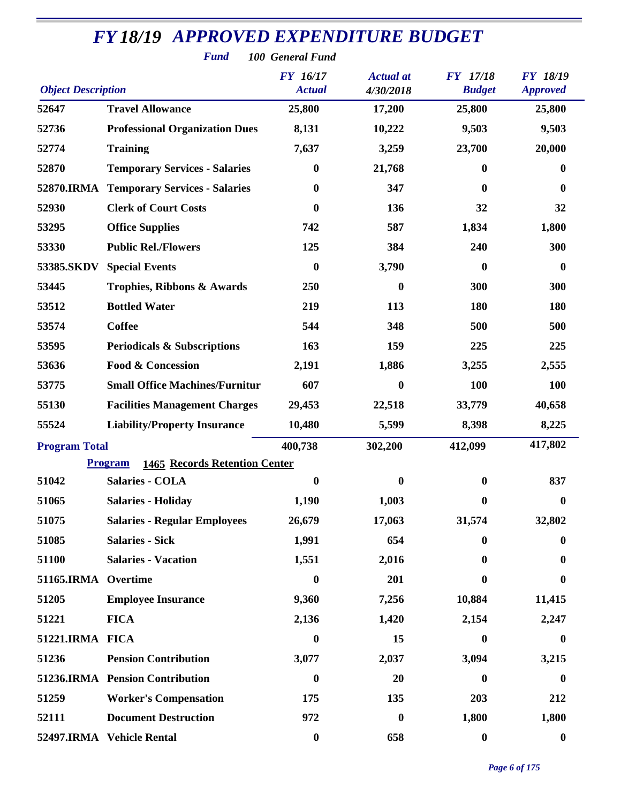| <b>Fund</b><br>100 General Fund |                                                        |                                  |                               |                                  |                                    |  |
|---------------------------------|--------------------------------------------------------|----------------------------------|-------------------------------|----------------------------------|------------------------------------|--|
| <b>Object Description</b>       |                                                        | <b>FY</b> 16/17<br><b>Actual</b> | <b>Actual</b> at<br>4/30/2018 | <b>FY</b> 17/18<br><b>Budget</b> | <b>FY 18/19</b><br><b>Approved</b> |  |
| 52647                           | <b>Travel Allowance</b>                                | 25,800                           | 17,200                        | 25,800                           | 25,800                             |  |
| 52736                           | <b>Professional Organization Dues</b>                  | 8,131                            | 10,222                        | 9,503                            | 9,503                              |  |
| 52774                           | <b>Training</b>                                        | 7,637                            | 3,259                         | 23,700                           | 20,000                             |  |
| 52870                           | <b>Temporary Services - Salaries</b>                   | $\bf{0}$                         | 21,768                        | 0                                | 0                                  |  |
| 52870.IRMA                      | <b>Temporary Services - Salaries</b>                   | $\boldsymbol{0}$                 | 347                           | 0                                | $\bf{0}$                           |  |
| 52930                           | <b>Clerk of Court Costs</b>                            | 0                                | 136                           | 32                               | 32                                 |  |
| 53295                           | <b>Office Supplies</b>                                 | 742                              | 587                           | 1,834                            | 1,800                              |  |
| 53330                           | <b>Public Rel./Flowers</b>                             | 125                              | 384                           | 240                              | 300                                |  |
| 53385.SKDV                      | <b>Special Events</b>                                  | $\boldsymbol{0}$                 | 3,790                         | 0                                | $\boldsymbol{0}$                   |  |
| 53445                           | <b>Trophies, Ribbons &amp; Awards</b>                  | 250                              | $\boldsymbol{0}$              | 300                              | 300                                |  |
| 53512                           | <b>Bottled Water</b>                                   | 219                              | 113                           | 180                              | 180                                |  |
| 53574                           | <b>Coffee</b>                                          | 544                              | 348                           | 500                              | 500                                |  |
| 53595                           | <b>Periodicals &amp; Subscriptions</b>                 | 163                              | 159                           | 225                              | 225                                |  |
| 53636                           | <b>Food &amp; Concession</b>                           | 2,191                            | 1,886                         | 3,255                            | 2,555                              |  |
| 53775                           | <b>Small Office Machines/Furnitur</b>                  | 607                              | $\boldsymbol{0}$              | <b>100</b>                       | 100                                |  |
| 55130                           | <b>Facilities Management Charges</b>                   | 29,453                           | 22,518                        | 33,779                           | 40,658                             |  |
| 55524                           | <b>Liability/Property Insurance</b>                    | 10,480                           | 5,599                         | 8,398                            | 8,225                              |  |
| <b>Program Total</b>            |                                                        | 400,738                          | 302,200                       | 412,099                          | 417,802                            |  |
|                                 | <b>Program</b><br><b>1465 Records Retention Center</b> |                                  |                               |                                  |                                    |  |
| 51042                           | <b>Salaries - COLA</b>                                 | $\boldsymbol{0}$                 | $\boldsymbol{0}$              | $\boldsymbol{0}$                 | 837                                |  |
| 51065                           | <b>Salaries - Holiday</b>                              | 1,190                            | 1,003                         | $\bf{0}$                         | $\bf{0}$                           |  |
| 51075                           | <b>Salaries - Regular Employees</b>                    | 26,679                           | 17,063                        | 31,574                           | 32,802                             |  |
| 51085                           | <b>Salaries - Sick</b>                                 | 1,991                            | 654                           | $\mathbf{0}$                     | 0                                  |  |
| 51100                           | <b>Salaries - Vacation</b>                             | 1,551                            | 2,016                         | 0                                | $\bf{0}$                           |  |
| 51165.IRMA Overtime             |                                                        | $\bf{0}$                         | 201                           | $\mathbf{0}$                     | $\bf{0}$                           |  |
| 51205                           | <b>Employee Insurance</b>                              | 9,360                            | 7,256                         | 10,884                           | 11,415                             |  |
| 51221                           | <b>FICA</b>                                            | 2,136                            | 1,420                         | 2,154                            | 2,247                              |  |
| 51221.IRMA FICA                 |                                                        | $\bf{0}$                         | 15                            | 0                                | $\bf{0}$                           |  |
| 51236                           | <b>Pension Contribution</b>                            | 3,077                            | 2,037                         | 3,094                            | 3,215                              |  |
|                                 | 51236.IRMA Pension Contribution                        | $\boldsymbol{0}$                 | 20                            | 0                                | 0                                  |  |
| 51259                           | <b>Worker's Compensation</b>                           | 175                              | 135                           | 203                              | 212                                |  |
| 52111                           | <b>Document Destruction</b>                            | 972                              | $\boldsymbol{0}$              | 1,800                            | 1,800                              |  |
|                                 | 52497.IRMA Vehicle Rental                              | $\boldsymbol{0}$                 | 658                           | $\boldsymbol{0}$                 | $\boldsymbol{0}$                   |  |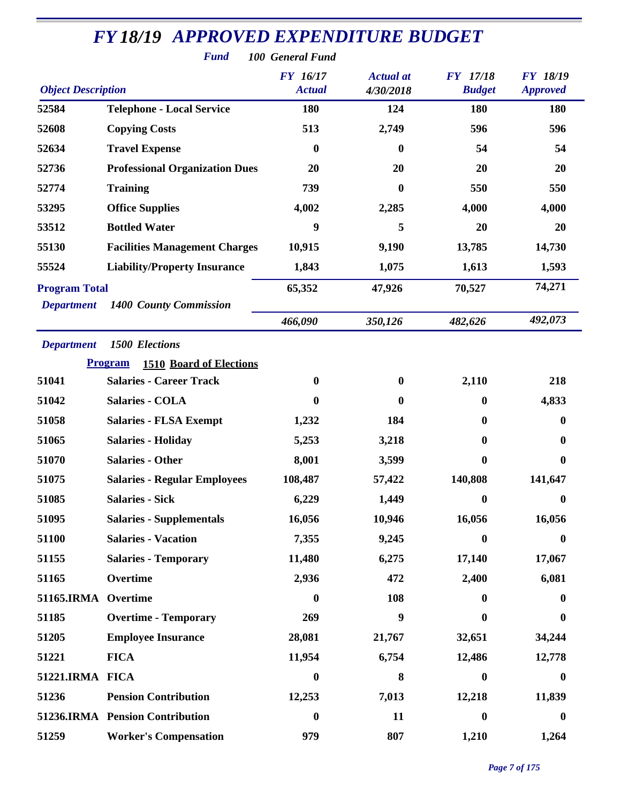|                           | <b>Fund</b>                                      | 100 General Fund          |                               |                                  |                                    |
|---------------------------|--------------------------------------------------|---------------------------|-------------------------------|----------------------------------|------------------------------------|
| <b>Object Description</b> |                                                  | FY 16/17<br><b>Actual</b> | <b>Actual</b> at<br>4/30/2018 | <b>FY</b> 17/18<br><b>Budget</b> | <b>FY 18/19</b><br><b>Approved</b> |
| 52584                     | <b>Telephone - Local Service</b>                 | 180                       | 124                           | 180                              | 180                                |
| 52608                     | <b>Copying Costs</b>                             | 513                       | 2,749                         | 596                              | 596                                |
| 52634                     | <b>Travel Expense</b>                            | $\boldsymbol{0}$          | $\bf{0}$                      | 54                               | 54                                 |
| 52736                     | <b>Professional Organization Dues</b>            | 20                        | 20                            | 20                               | 20                                 |
| 52774                     | <b>Training</b>                                  | 739                       | 0                             | 550                              | 550                                |
| 53295                     | <b>Office Supplies</b>                           | 4,002                     | 2,285                         | 4,000                            | 4,000                              |
| 53512                     | <b>Bottled Water</b>                             | 9                         | 5                             | 20                               | 20                                 |
| 55130                     | <b>Facilities Management Charges</b>             | 10,915                    | 9,190                         | 13,785                           | 14,730                             |
| 55524                     | <b>Liability/Property Insurance</b>              | 1,843                     | 1,075                         | 1,613                            | 1,593                              |
| <b>Program Total</b>      |                                                  | 65,352                    | 47,926                        | 70,527                           | 74,271                             |
| <b>Department</b>         | 1400 County Commission                           |                           |                               |                                  |                                    |
|                           |                                                  | 466,090                   | 350,126                       | 482,626                          | 492,073                            |
| <b>Department</b>         | <b>1500 Elections</b>                            |                           |                               |                                  |                                    |
|                           | <b>Program</b><br><b>1510 Board of Elections</b> |                           |                               |                                  |                                    |
| 51041                     | <b>Salaries - Career Track</b>                   | $\boldsymbol{0}$          | $\bf{0}$                      | 2,110                            | 218                                |
| 51042                     | <b>Salaries - COLA</b>                           | $\boldsymbol{0}$          | 0                             | $\bf{0}$                         | 4,833                              |
| 51058                     | <b>Salaries - FLSA Exempt</b>                    | 1,232                     | 184                           | $\bf{0}$                         | $\bf{0}$                           |
| 51065                     | <b>Salaries - Holiday</b>                        | 5,253                     | 3,218                         | 0                                | $\boldsymbol{0}$                   |
| 51070                     | <b>Salaries - Other</b>                          | 8,001                     | 3,599                         | $\boldsymbol{0}$                 | $\boldsymbol{0}$                   |
| 51075                     | <b>Salaries - Regular Employees</b>              | 108,487                   | 57,422                        | 140,808                          | 141,647                            |
| 51085                     | <b>Salaries - Sick</b>                           | 6,229                     | 1,449                         | $\boldsymbol{0}$                 | $\bf{0}$                           |
| 51095                     | <b>Salaries - Supplementals</b>                  | 16,056                    | 10,946                        | 16,056                           | 16,056                             |
| 51100                     | <b>Salaries - Vacation</b>                       | 7,355                     | 9,245                         | $\boldsymbol{0}$                 | $\boldsymbol{0}$                   |
| 51155                     | <b>Salaries - Temporary</b>                      | 11,480                    | 6,275                         | 17,140                           | 17,067                             |
| 51165                     | Overtime                                         | 2,936                     | 472                           | 2,400                            | 6,081                              |
| 51165.IRMA Overtime       |                                                  | $\boldsymbol{0}$          | 108                           | 0                                | $\bf{0}$                           |
| 51185                     | <b>Overtime - Temporary</b>                      | 269                       | 9                             | $\boldsymbol{0}$                 | $\bf{0}$                           |
| 51205                     | <b>Employee Insurance</b>                        | 28,081                    | 21,767                        | 32,651                           | 34,244                             |
| 51221                     | <b>FICA</b>                                      | 11,954                    | 6,754                         | 12,486                           | 12,778                             |
| 51221.IRMA FICA           |                                                  | $\boldsymbol{0}$          | 8                             | $\boldsymbol{0}$                 | $\boldsymbol{0}$                   |
| 51236                     | <b>Pension Contribution</b>                      | 12,253                    | 7,013                         | 12,218                           | 11,839                             |
|                           | 51236.IRMA Pension Contribution                  | $\boldsymbol{0}$          | 11                            | $\bf{0}$                         | $\boldsymbol{0}$                   |
| 51259                     | <b>Worker's Compensation</b>                     | 979                       | 807                           | 1,210                            | 1,264                              |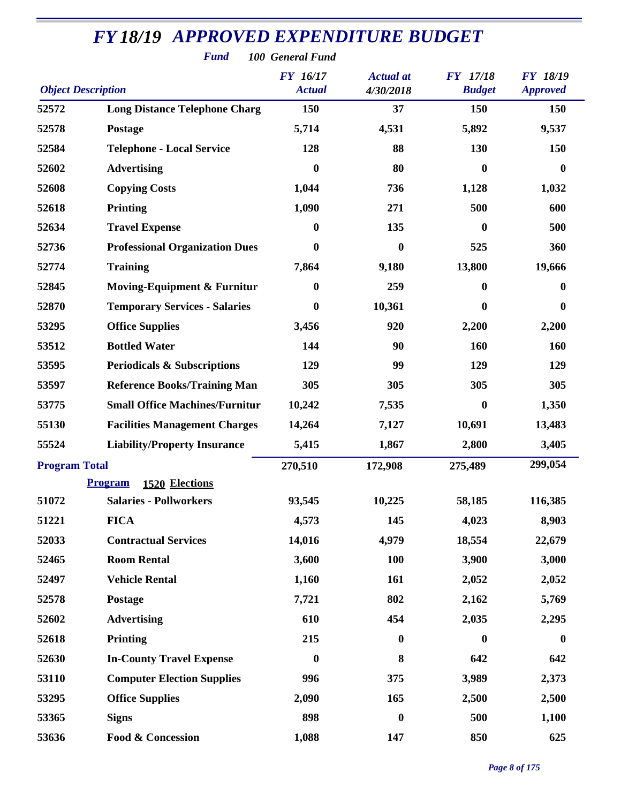|                           | <b>Fund</b>                            | 100 General Fund                 |                               |                                  |                                    |
|---------------------------|----------------------------------------|----------------------------------|-------------------------------|----------------------------------|------------------------------------|
| <b>Object Description</b> |                                        | <b>FY</b> 16/17<br><b>Actual</b> | <b>Actual</b> at<br>4/30/2018 | <b>FY</b> 17/18<br><b>Budget</b> | <b>FY 18/19</b><br><b>Approved</b> |
| 52572                     | <b>Long Distance Telephone Charg</b>   | 150                              | 37                            | 150                              | 150                                |
| 52578                     | Postage                                | 5,714                            | 4,531                         | 5,892                            | 9,537                              |
| 52584                     | <b>Telephone - Local Service</b>       | 128                              | 88                            | 130                              | 150                                |
| 52602                     | <b>Advertising</b>                     | 0                                | 80                            | $\bf{0}$                         | $\bf{0}$                           |
| 52608                     | <b>Copying Costs</b>                   | 1,044                            | 736                           | 1,128                            | 1,032                              |
| 52618                     | <b>Printing</b>                        | 1,090                            | 271                           | 500                              | 600                                |
| 52634                     | <b>Travel Expense</b>                  | $\boldsymbol{0}$                 | 135                           | $\bf{0}$                         | 500                                |
| 52736                     | <b>Professional Organization Dues</b>  | $\bf{0}$                         | $\boldsymbol{0}$              | 525                              | 360                                |
| 52774                     | <b>Training</b>                        | 7,864                            | 9,180                         | 13,800                           | 19,666                             |
| 52845                     | <b>Moving-Equipment &amp; Furnitur</b> | $\boldsymbol{0}$                 | 259                           | $\bf{0}$                         | $\bf{0}$                           |
| 52870                     | <b>Temporary Services - Salaries</b>   | $\boldsymbol{0}$                 | 10,361                        | 0                                | $\bf{0}$                           |
| 53295                     | <b>Office Supplies</b>                 | 3,456                            | 920                           | 2,200                            | 2,200                              |
| 53512                     | <b>Bottled Water</b>                   | 144                              | 90                            | 160                              | 160                                |
| 53595                     | <b>Periodicals &amp; Subscriptions</b> | 129                              | 99                            | 129                              | 129                                |
| 53597                     | <b>Reference Books/Training Man</b>    | 305                              | 305                           | 305                              | 305                                |
| 53775                     | <b>Small Office Machines/Furnitur</b>  | 10,242                           | 7,535                         | $\bf{0}$                         | 1,350                              |
| 55130                     | <b>Facilities Management Charges</b>   | 14,264                           | 7,127                         | 10,691                           | 13,483                             |
| 55524                     | <b>Liability/Property Insurance</b>    | 5,415                            | 1,867                         | 2,800                            | 3,405                              |
| <b>Program Total</b>      |                                        | 270,510                          | 172,908                       | 275,489                          | 299,054                            |
|                           | <b>Program</b> 1520 Elections          |                                  |                               |                                  |                                    |
| 51072                     | <b>Salaries - Pollworkers</b>          | 93,545                           | 10,225                        | 58,185                           | 116,385                            |
| 51221                     | <b>FICA</b>                            | 4,573                            | 145                           | 4,023                            | 8,903                              |
| 52033                     | <b>Contractual Services</b>            | 14,016                           | 4,979                         | 18,554                           | 22,679                             |
| 52465                     | <b>Room Rental</b>                     | 3,600                            | <b>100</b>                    | 3,900                            | 3,000                              |
| 52497                     | <b>Vehicle Rental</b>                  | 1,160                            | 161                           | 2,052                            | 2,052                              |
| 52578                     | Postage                                | 7,721                            | 802                           | 2,162                            | 5,769                              |
| 52602                     | <b>Advertising</b>                     | 610                              | 454                           | 2,035                            | 2,295                              |
| 52618                     | Printing                               | 215                              | $\boldsymbol{0}$              | $\bf{0}$                         | $\boldsymbol{0}$                   |
| 52630                     | <b>In-County Travel Expense</b>        | $\bf{0}$                         | 8                             | 642                              | 642                                |
| 53110                     | <b>Computer Election Supplies</b>      | 996                              | 375                           | 3,989                            | 2,373                              |
| 53295                     | <b>Office Supplies</b>                 | 2,090                            | 165                           | 2,500                            | 2,500                              |
| 53365                     | <b>Signs</b>                           | 898                              | $\boldsymbol{0}$              | 500                              | 1,100                              |
| 53636                     | Food & Concession                      | 1,088                            | 147                           | 850                              | 625                                |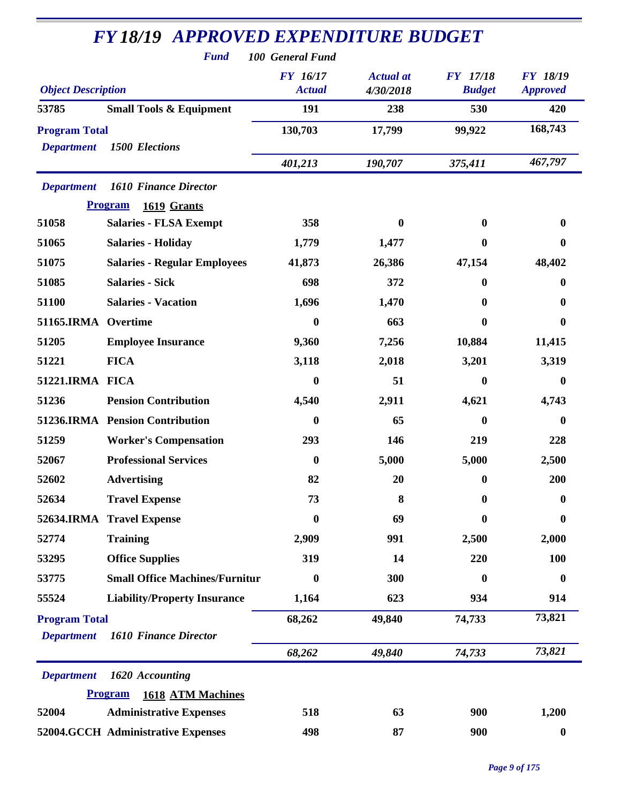|                           | <b>Fund</b>                           | 100 General Fund                 |                               |                           |                                    |
|---------------------------|---------------------------------------|----------------------------------|-------------------------------|---------------------------|------------------------------------|
| <b>Object Description</b> |                                       | <b>FY</b> 16/17<br><b>Actual</b> | <b>Actual</b> at<br>4/30/2018 | FY 17/18<br><b>Budget</b> | <b>FY 18/19</b><br><b>Approved</b> |
| 53785                     | <b>Small Tools &amp; Equipment</b>    | 191                              | 238                           | 530                       | 420                                |
| <b>Program Total</b>      |                                       | 130,703                          | 17,799                        | 99,922                    | 168,743                            |
| <b>Department</b>         | <b>1500 Elections</b>                 |                                  |                               |                           |                                    |
|                           |                                       | 401,213                          | 190,707                       | 375,411                   | 467,797                            |
| <b>Department</b>         | <b>1610 Finance Director</b>          |                                  |                               |                           |                                    |
|                           | <b>Program</b><br>1619 Grants         |                                  |                               |                           |                                    |
| 51058                     | <b>Salaries - FLSA Exempt</b>         | 358                              | $\mathbf{0}$                  | $\mathbf{0}$              | 0                                  |
| 51065                     | <b>Salaries - Holiday</b>             | 1,779                            | 1,477                         | $\mathbf 0$               | 0                                  |
| 51075                     | <b>Salaries - Regular Employees</b>   | 41,873                           | 26,386                        | 47,154                    | 48,402                             |
| 51085                     | <b>Salaries - Sick</b>                | 698                              | 372                           | $\bf{0}$                  | 0                                  |
| 51100                     | <b>Salaries - Vacation</b>            | 1,696                            | 1,470                         | 0                         | 0                                  |
| 51165.IRMA                | Overtime                              | 0                                | 663                           | 0                         | 0                                  |
| 51205                     | <b>Employee Insurance</b>             | 9,360                            | 7,256                         | 10,884                    | 11,415                             |
| 51221                     | <b>FICA</b>                           | 3,118                            | 2,018                         | 3,201                     | 3,319                              |
| 51221.IRMA FICA           |                                       | 0                                | 51                            | $\bf{0}$                  | 0                                  |
| 51236                     | <b>Pension Contribution</b>           | 4,540                            | 2,911                         | 4,621                     | 4,743                              |
|                           | 51236.IRMA Pension Contribution       | $\boldsymbol{0}$                 | 65                            | $\bf{0}$                  | $\mathbf{0}$                       |
| 51259                     | <b>Worker's Compensation</b>          | 293                              | 146                           | 219                       | 228                                |
| 52067                     | <b>Professional Services</b>          | $\boldsymbol{0}$                 | 5,000                         | 5,000                     | 2,500                              |
| 52602                     | <b>Advertising</b>                    | 82                               | 20                            | $\mathbf{0}$              | 200                                |
| 52634                     | <b>Travel Expense</b>                 | 73                               | 8                             | $\boldsymbol{0}$          | 0                                  |
|                           | 52634.IRMA Travel Expense             | $\bf{0}$                         | 69                            | 0                         | $\boldsymbol{0}$                   |
| 52774                     | <b>Training</b>                       | 2,909                            | 991                           | 2,500                     | 2,000                              |
| 53295                     | <b>Office Supplies</b>                | 319                              | 14                            | 220                       | 100                                |
| 53775                     | <b>Small Office Machines/Furnitur</b> | $\boldsymbol{0}$                 | 300                           | 0                         | 0                                  |
| 55524                     | <b>Liability/Property Insurance</b>   | 1,164                            | 623                           | 934                       | 914                                |
| <b>Program Total</b>      |                                       | 68,262                           | 49,840                        | 74,733                    | 73,821                             |
| <b>Department</b>         | <b>1610 Finance Director</b>          |                                  |                               |                           |                                    |
|                           |                                       | 68,262                           | 49,840                        | 74,733                    | 73,821                             |
| <b>Department</b>         | 1620 Accounting                       |                                  |                               |                           |                                    |
|                           | Program<br><b>1618 ATM Machines</b>   |                                  |                               |                           |                                    |
| 52004                     | <b>Administrative Expenses</b>        | 518                              | 63                            | 900                       | 1,200                              |
|                           | 52004.GCCH Administrative Expenses    | 498                              | 87                            | 900                       | $\boldsymbol{0}$                   |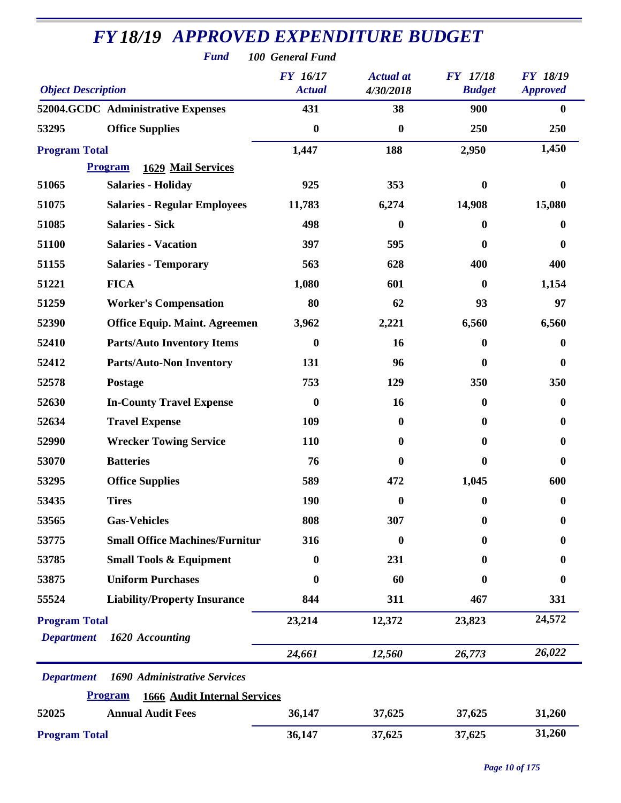| <b>Fund</b><br>100 General Fund |                                                       |                                  |                               |                                  |                             |  |
|---------------------------------|-------------------------------------------------------|----------------------------------|-------------------------------|----------------------------------|-----------------------------|--|
| <b>Object Description</b>       |                                                       | <b>FY</b> 16/17<br><b>Actual</b> | <b>Actual</b> at<br>4/30/2018 | <b>FY</b> 17/18<br><b>Budget</b> | FY 18/19<br><b>Approved</b> |  |
|                                 | 52004.GCDC Administrative Expenses                    | 431                              | 38                            | 900                              | $\bf{0}$                    |  |
| 53295                           | <b>Office Supplies</b>                                | $\boldsymbol{0}$                 | $\boldsymbol{0}$              | 250                              | 250                         |  |
| <b>Program Total</b>            |                                                       | 1,447                            | 188                           | 2,950                            | 1,450                       |  |
|                                 | <b>Program</b><br>1629 Mail Services                  |                                  |                               |                                  |                             |  |
| 51065                           | <b>Salaries - Holiday</b>                             | 925                              | 353                           | $\bf{0}$                         | $\bf{0}$                    |  |
| 51075                           | <b>Salaries - Regular Employees</b>                   | 11,783                           | 6,274                         | 14,908                           | 15,080                      |  |
| 51085                           | <b>Salaries - Sick</b>                                | 498                              | $\mathbf{0}$                  | $\bf{0}$                         | 0                           |  |
| 51100                           | <b>Salaries - Vacation</b>                            | 397                              | 595                           | $\bf{0}$                         | $\bf{0}$                    |  |
| 51155                           | <b>Salaries - Temporary</b>                           | 563                              | 628                           | 400                              | 400                         |  |
| 51221                           | <b>FICA</b>                                           | 1,080                            | 601                           | $\boldsymbol{0}$                 | 1,154                       |  |
| 51259                           | <b>Worker's Compensation</b>                          | 80                               | 62                            | 93                               | 97                          |  |
| 52390                           | <b>Office Equip. Maint. Agreemen</b>                  | 3,962                            | 2,221                         | 6,560                            | 6,560                       |  |
| 52410                           | <b>Parts/Auto Inventory Items</b>                     | $\boldsymbol{0}$                 | 16                            | $\boldsymbol{0}$                 | $\bf{0}$                    |  |
| 52412                           | <b>Parts/Auto-Non Inventory</b>                       | 131                              | 96                            | $\boldsymbol{0}$                 | $\boldsymbol{0}$            |  |
| 52578                           | Postage                                               | 753                              | 129                           | 350                              | 350                         |  |
| 52630                           | <b>In-County Travel Expense</b>                       | $\boldsymbol{0}$                 | 16                            | $\boldsymbol{0}$                 | $\bf{0}$                    |  |
| 52634                           | <b>Travel Expense</b>                                 | 109                              | $\boldsymbol{0}$              | $\bf{0}$                         | $\bf{0}$                    |  |
| 52990                           | <b>Wrecker Towing Service</b>                         | 110                              | $\bf{0}$                      | $\bf{0}$                         | $\bf{0}$                    |  |
| 53070                           | <b>Batteries</b>                                      | 76                               | $\mathbf 0$                   | $\boldsymbol{0}$                 | $\bf{0}$                    |  |
| 53295                           | <b>Office Supplies</b>                                | 589                              | 472                           | 1,045                            | 600                         |  |
| 53435                           | <b>Tires</b>                                          | 190                              | $\boldsymbol{0}$              | $\boldsymbol{0}$                 | $\boldsymbol{0}$            |  |
| 53565                           | <b>Gas-Vehicles</b>                                   | 808                              | 307                           | $\boldsymbol{0}$                 | 0                           |  |
| 53775                           | <b>Small Office Machines/Furnitur</b>                 | 316                              | $\bf{0}$                      | $\bf{0}$                         | 0                           |  |
| 53785                           | <b>Small Tools &amp; Equipment</b>                    | 0                                | 231                           | 0                                | 0                           |  |
| 53875                           | <b>Uniform Purchases</b>                              | 0                                | 60                            | $\bf{0}$                         | 0                           |  |
| 55524                           | <b>Liability/Property Insurance</b>                   | 844                              | 311                           | 467                              | 331                         |  |
| <b>Program Total</b>            |                                                       | 23,214                           | 12,372                        | 23,823                           | 24,572                      |  |
| <b>Department</b>               | 1620 Accounting                                       |                                  |                               |                                  |                             |  |
|                                 |                                                       | 24,661                           | 12,560                        | 26,773                           | 26,022                      |  |
| <b>Department</b>               | 1690 Administrative Services                          |                                  |                               |                                  |                             |  |
|                                 | <b>Program</b><br><b>1666 Audit Internal Services</b> |                                  |                               |                                  |                             |  |
| 52025                           | <b>Annual Audit Fees</b>                              | 36,147                           | 37,625                        | 37,625                           | 31,260                      |  |
| <b>Program Total</b>            |                                                       | 36,147                           | 37,625                        | 37,625                           | 31,260                      |  |

*Page 10 of 175*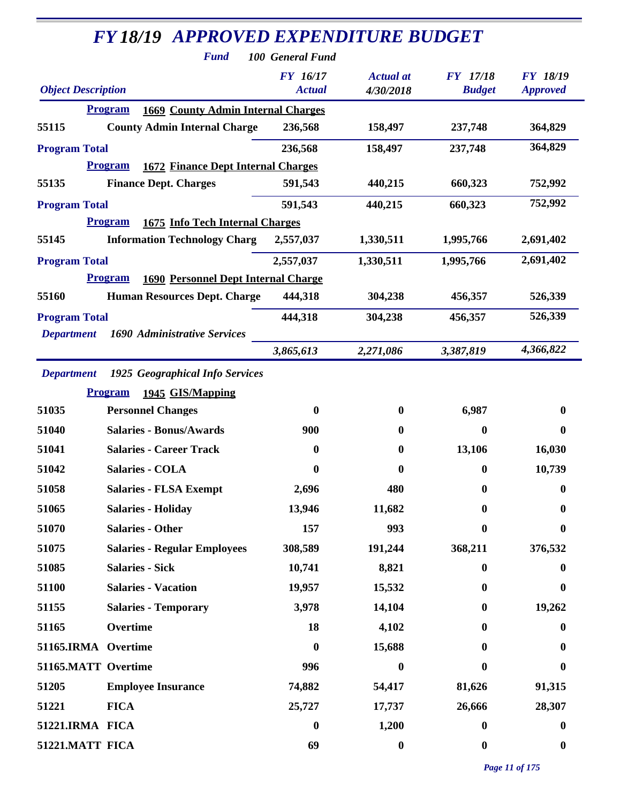|                           | <b>FY18/19 APPROVED EXPENDITURE BUDGET</b>                   |                                     |                  |                  |                  |
|---------------------------|--------------------------------------------------------------|-------------------------------------|------------------|------------------|------------------|
|                           | <b>Fund</b>                                                  | 100 General Fund<br><b>FY</b> 16/17 | <b>Actual</b> at | <b>FY</b> 17/18  | <b>FY 18/19</b>  |
| <b>Object Description</b> |                                                              | <b>Actual</b>                       | 4/30/2018        | <b>Budget</b>    | <b>Approved</b>  |
|                           | <b>1669 County Admin Internal Charges</b><br><b>Program</b>  |                                     |                  |                  |                  |
| 55115                     | <b>County Admin Internal Charge</b>                          | 236,568                             | 158,497          | 237,748          | 364,829          |
| <b>Program Total</b>      |                                                              | 236,568                             | 158,497          | 237,748          | 364,829          |
|                           | <b>1672 Finance Dept Internal Charges</b><br><b>Program</b>  |                                     |                  |                  |                  |
| 55135                     | <b>Finance Dept. Charges</b>                                 | 591,543                             | 440,215          | 660,323          | 752,992          |
| <b>Program Total</b>      |                                                              | 591,543                             | 440,215          | 660,323          | 752,992          |
|                           | 1675 Info Tech Internal Charges<br><b>Program</b>            |                                     |                  |                  |                  |
| 55145                     | <b>Information Technology Charg</b>                          | 2,557,037                           | 1,330,511        | 1,995,766        | 2,691,402        |
| <b>Program Total</b>      |                                                              | 2,557,037                           | 1,330,511        | 1,995,766        | 2,691,402        |
|                           | <b>Program</b><br><b>1690 Personnel Dept Internal Charge</b> |                                     |                  |                  |                  |
| 55160                     | <b>Human Resources Dept. Charge</b>                          | 444,318                             | 304,238          | 456,357          | 526,339          |
| <b>Program Total</b>      |                                                              | 444,318                             | 304,238          | 456,357          | 526,339          |
| <b>Department</b>         | 1690 Administrative Services                                 |                                     |                  |                  |                  |
|                           |                                                              | 3,865,613                           | 2,271,086        | 3,387,819        | 4,366,822        |
| <b>Department</b>         | 1925 Geographical Info Services                              |                                     |                  |                  |                  |
|                           | <b>Program</b><br>1945 GIS/Mapping                           |                                     |                  |                  |                  |
| 51035                     | <b>Personnel Changes</b>                                     | $\bf{0}$                            | $\bf{0}$         | 6,987            | 0                |
| 51040                     | <b>Salaries - Bonus/Awards</b>                               | 900                                 | $\bf{0}$         | $\boldsymbol{0}$ | $\bf{0}$         |
| 51041                     | <b>Salaries - Career Track</b>                               | $\bf{0}$                            | 0                | 13,106           | 16,030           |
| 51042                     | <b>Salaries - COLA</b>                                       | $\boldsymbol{0}$                    | 0                | $\boldsymbol{0}$ | 10,739           |
| 51058                     | <b>Salaries - FLSA Exempt</b>                                | 2,696                               | 480              | $\boldsymbol{0}$ | $\boldsymbol{0}$ |
| 51065                     | <b>Salaries - Holiday</b>                                    | 13,946                              | 11,682           | $\boldsymbol{0}$ | 0                |
| 51070                     | <b>Salaries - Other</b>                                      | 157                                 | 993              | $\boldsymbol{0}$ | 0                |
| 51075                     | <b>Salaries - Regular Employees</b>                          | 308,589                             | 191,244          | 368,211          | 376,532          |
| 51085                     | <b>Salaries - Sick</b>                                       | 10,741                              | 8,821            | $\boldsymbol{0}$ | 0                |
| 51100                     | <b>Salaries - Vacation</b>                                   | 19,957                              | 15,532           | $\boldsymbol{0}$ | $\bf{0}$         |
| 51155                     | <b>Salaries - Temporary</b>                                  | 3,978                               | 14,104           | $\boldsymbol{0}$ | 19,262           |
| 51165                     | Overtime                                                     | 18                                  | 4,102            | $\bf{0}$         | 0                |
| 51165.IRMA Overtime       |                                                              | $\boldsymbol{0}$                    | 15,688           | $\bf{0}$         | 0                |
| 51165.MATT Overtime       |                                                              | 996                                 | $\boldsymbol{0}$ | $\boldsymbol{0}$ | $\bf{0}$         |
| 51205                     | <b>Employee Insurance</b>                                    | 74,882                              | 54,417           | 81,626           | 91,315           |
| 51221                     | <b>FICA</b>                                                  | 25,727                              | 17,737           | 26,666           | 28,307           |
| 51221.IRMA FICA           |                                                              | $\boldsymbol{0}$                    | 1,200            | $\boldsymbol{0}$ | $\bf{0}$         |
| 51221.MATT FICA           |                                                              | 69                                  | $\boldsymbol{0}$ | $\boldsymbol{0}$ | $\boldsymbol{0}$ |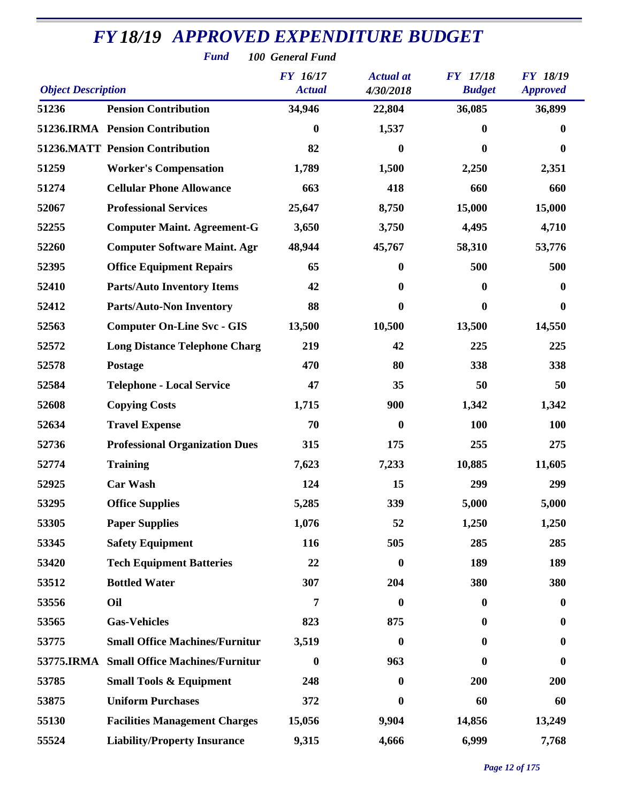| <b>Fund</b><br>100 General Fund                                                                                                                            |                                       |                  |                  |          |                  |  |  |
|------------------------------------------------------------------------------------------------------------------------------------------------------------|---------------------------------------|------------------|------------------|----------|------------------|--|--|
| FY 16/17<br>FY 17/18<br><b>Actual</b> at<br><b>FY 18/19</b><br><b>Object Description</b><br><b>Actual</b><br><b>Budget</b><br>4/30/2018<br><b>Approved</b> |                                       |                  |                  |          |                  |  |  |
| 51236                                                                                                                                                      | <b>Pension Contribution</b>           | 34,946           | 22,804           | 36,085   | 36,899           |  |  |
|                                                                                                                                                            | 51236.IRMA Pension Contribution       | $\bf{0}$         | 1,537            | 0        | $\bf{0}$         |  |  |
|                                                                                                                                                            | 51236.MATT Pension Contribution       | 82               | $\boldsymbol{0}$ | 0        | $\boldsymbol{0}$ |  |  |
| 51259                                                                                                                                                      | <b>Worker's Compensation</b>          | 1,789            | 1,500            | 2,250    | 2,351            |  |  |
| 51274                                                                                                                                                      | <b>Cellular Phone Allowance</b>       | 663              | 418              | 660      | 660              |  |  |
| 52067                                                                                                                                                      | <b>Professional Services</b>          | 25,647           | 8,750            | 15,000   | 15,000           |  |  |
| 52255                                                                                                                                                      | <b>Computer Maint. Agreement-G</b>    | 3,650            | 3,750            | 4,495    | 4,710            |  |  |
| 52260                                                                                                                                                      | <b>Computer Software Maint. Agr</b>   | 48,944           | 45,767           | 58,310   | 53,776           |  |  |
| 52395                                                                                                                                                      | <b>Office Equipment Repairs</b>       | 65               | $\boldsymbol{0}$ | 500      | 500              |  |  |
| 52410                                                                                                                                                      | <b>Parts/Auto Inventory Items</b>     | 42               | $\boldsymbol{0}$ | 0        | $\boldsymbol{0}$ |  |  |
| 52412                                                                                                                                                      | <b>Parts/Auto-Non Inventory</b>       | 88               | 0                | $\bf{0}$ | $\boldsymbol{0}$ |  |  |
| 52563                                                                                                                                                      | <b>Computer On-Line Svc - GIS</b>     | 13,500           | 10,500           | 13,500   | 14,550           |  |  |
| 52572                                                                                                                                                      | <b>Long Distance Telephone Charg</b>  | 219              | 42               | 225      | 225              |  |  |
| 52578                                                                                                                                                      | Postage                               | 470              | 80               | 338      | 338              |  |  |
| 52584                                                                                                                                                      | <b>Telephone - Local Service</b>      | 47               | 35               | 50       | 50               |  |  |
| 52608                                                                                                                                                      | <b>Copying Costs</b>                  | 1,715            | 900              | 1,342    | 1,342            |  |  |
| 52634                                                                                                                                                      | <b>Travel Expense</b>                 | 70               | $\boldsymbol{0}$ | 100      | 100              |  |  |
| 52736                                                                                                                                                      | <b>Professional Organization Dues</b> | 315              | 175              | 255      | 275              |  |  |
| 52774                                                                                                                                                      | <b>Training</b>                       | 7,623            | 7,233            | 10,885   | 11,605           |  |  |
| 52925                                                                                                                                                      | <b>Car Wash</b>                       | 124              | 15               | 299      | 299              |  |  |
| 53295                                                                                                                                                      | <b>Office Supplies</b>                | 5,285            | 339              | 5,000    | 5,000            |  |  |
| 53305                                                                                                                                                      | <b>Paper Supplies</b>                 | 1,076            | 52               | 1,250    | 1,250            |  |  |
| 53345                                                                                                                                                      | <b>Safety Equipment</b>               | 116              | 505              | 285      | 285              |  |  |
| 53420                                                                                                                                                      | <b>Tech Equipment Batteries</b>       | 22               | $\boldsymbol{0}$ | 189      | 189              |  |  |
| 53512                                                                                                                                                      | <b>Bottled Water</b>                  | 307              | 204              | 380      | 380              |  |  |
| 53556                                                                                                                                                      | Oil                                   | 7                | $\boldsymbol{0}$ | $\bf{0}$ | $\boldsymbol{0}$ |  |  |
| 53565                                                                                                                                                      | <b>Gas-Vehicles</b>                   | 823              | 875              | 0        | $\bf{0}$         |  |  |
| 53775                                                                                                                                                      | <b>Small Office Machines/Furnitur</b> | 3,519            | $\boldsymbol{0}$ | 0        | $\bf{0}$         |  |  |
| 53775.IRMA                                                                                                                                                 | <b>Small Office Machines/Furnitur</b> | $\boldsymbol{0}$ | 963              | 0        | $\bf{0}$         |  |  |
| 53785                                                                                                                                                      | <b>Small Tools &amp; Equipment</b>    | 248              | $\boldsymbol{0}$ | 200      | 200              |  |  |
| 53875                                                                                                                                                      | <b>Uniform Purchases</b>              | 372              | $\bf{0}$         | 60       | 60               |  |  |
| 55130                                                                                                                                                      | <b>Facilities Management Charges</b>  | 15,056           | 9,904            | 14,856   | 13,249           |  |  |
| 55524                                                                                                                                                      | <b>Liability/Property Insurance</b>   | 9,315            | 4,666            | 6,999    | 7,768            |  |  |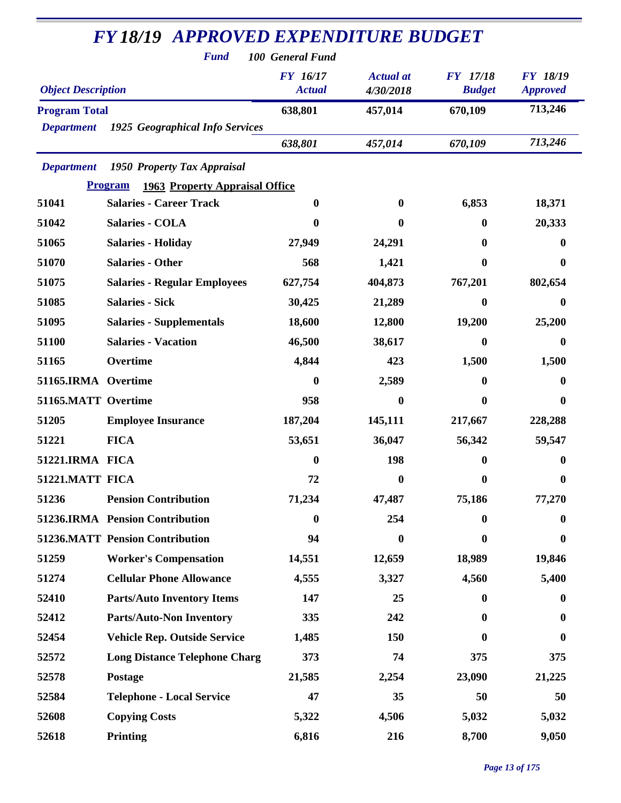| <b>Fund</b><br>100 General Fund |                                                         |                           |                               |                                  |                                    |  |  |
|---------------------------------|---------------------------------------------------------|---------------------------|-------------------------------|----------------------------------|------------------------------------|--|--|
| <b>Object Description</b>       |                                                         | FY 16/17<br><b>Actual</b> | <b>Actual</b> at<br>4/30/2018 | <b>FY</b> 17/18<br><b>Budget</b> | <b>FY 18/19</b><br><b>Approved</b> |  |  |
| <b>Program Total</b>            |                                                         | 638,801                   | 457,014                       | 670,109                          | 713,246                            |  |  |
| <b>Department</b>               | 1925 Geographical Info Services                         |                           |                               |                                  |                                    |  |  |
|                                 |                                                         | 638,801                   | 457,014                       | 670,109                          | 713,246                            |  |  |
| <b>Department</b>               | 1950 Property Tax Appraisal                             |                           |                               |                                  |                                    |  |  |
|                                 | <b>Program</b><br><b>1963 Property Appraisal Office</b> |                           |                               |                                  |                                    |  |  |
| 51041                           | <b>Salaries - Career Track</b>                          | $\bf{0}$                  | $\bf{0}$                      | 6,853                            | 18,371                             |  |  |
| 51042                           | <b>Salaries - COLA</b>                                  | 0                         | $\bf{0}$                      | 0                                | 20,333                             |  |  |
| 51065                           | <b>Salaries - Holiday</b>                               | 27,949                    | 24,291                        | 0                                | 0                                  |  |  |
| 51070                           | <b>Salaries - Other</b>                                 | 568                       | 1,421                         | 0                                | 0                                  |  |  |
| 51075                           | <b>Salaries - Regular Employees</b>                     | 627,754                   | 404,873                       | 767,201                          | 802,654                            |  |  |
| 51085                           | <b>Salaries - Sick</b>                                  | 30,425                    | 21,289                        | 0                                | 0                                  |  |  |
| 51095                           | <b>Salaries - Supplementals</b>                         | 18,600                    | 12,800                        | 19,200                           | 25,200                             |  |  |
| 51100                           | <b>Salaries - Vacation</b>                              | 46,500                    | 38,617                        | 0                                | 0                                  |  |  |
| 51165                           | Overtime                                                | 4,844                     | 423                           | 1,500                            | 1,500                              |  |  |
| 51165.IRMA Overtime             |                                                         | $\boldsymbol{0}$          | 2,589                         | 0                                | 0                                  |  |  |
| 51165.MATT Overtime             |                                                         | 958                       | $\boldsymbol{0}$              | 0                                | $\boldsymbol{0}$                   |  |  |
| 51205                           | <b>Employee Insurance</b>                               | 187,204                   | 145,111                       | 217,667                          | 228,288                            |  |  |
| 51221                           | <b>FICA</b>                                             | 53,651                    | 36,047                        | 56,342                           | 59,547                             |  |  |
| 51221.IRMA FICA                 |                                                         | $\boldsymbol{0}$          | 198                           | 0                                | 0                                  |  |  |
| 51221.MATT FICA                 |                                                         | 72                        | $\mathbf{0}$                  | $\bf{0}$                         | 0                                  |  |  |
| 51236                           | <b>Pension Contribution</b>                             | 71,234                    | 47,487                        | 75,186                           | 77,270                             |  |  |
|                                 | 51236.IRMA Pension Contribution                         | $\bf{0}$                  | 254                           | $\bf{0}$                         | 0                                  |  |  |
|                                 | <b>51236.MATT Pension Contribution</b>                  | 94                        | 0                             | 0                                | $\bf{0}$                           |  |  |
| 51259                           | <b>Worker's Compensation</b>                            | 14,551                    | 12,659                        | 18,989                           | 19,846                             |  |  |
| 51274                           | <b>Cellular Phone Allowance</b>                         | 4,555                     | 3,327                         | 4,560                            | 5,400                              |  |  |
| 52410                           | <b>Parts/Auto Inventory Items</b>                       | 147                       | 25                            | $\mathbf{0}$                     | $\bf{0}$                           |  |  |
| 52412                           | <b>Parts/Auto-Non Inventory</b>                         | 335                       | 242                           | 0                                | 0                                  |  |  |
| 52454                           | <b>Vehicle Rep. Outside Service</b>                     | 1,485                     | 150                           | 0                                | 0                                  |  |  |
| 52572                           | <b>Long Distance Telephone Charg</b>                    | 373                       | 74                            | 375                              | 375                                |  |  |
| 52578                           | <b>Postage</b>                                          | 21,585                    | 2,254                         | 23,090                           | 21,225                             |  |  |
| 52584                           | <b>Telephone - Local Service</b>                        | 47                        | 35                            | 50                               | 50                                 |  |  |
| 52608                           | <b>Copying Costs</b>                                    | 5,322                     | 4,506                         | 5,032                            | 5,032                              |  |  |
| 52618                           | Printing                                                | 6,816                     | 216                           | 8,700                            | 9,050                              |  |  |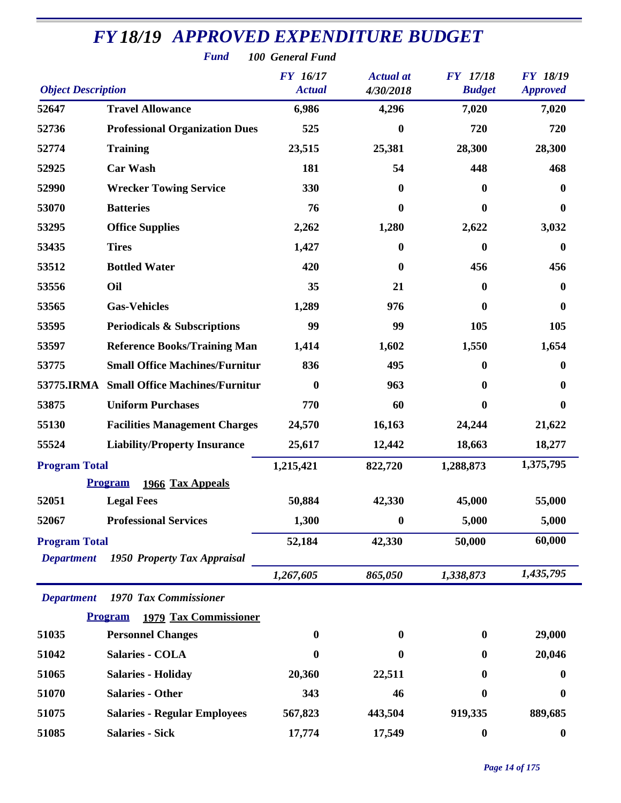|                           | <b>Fund</b>                             | 100 General Fund                 |                               |                                  |                                    |
|---------------------------|-----------------------------------------|----------------------------------|-------------------------------|----------------------------------|------------------------------------|
| <b>Object Description</b> |                                         | <b>FY</b> 16/17<br><b>Actual</b> | <b>Actual</b> at<br>4/30/2018 | <b>FY</b> 17/18<br><b>Budget</b> | <b>FY 18/19</b><br><b>Approved</b> |
| 52647                     | <b>Travel Allowance</b>                 | 6,986                            | 4,296                         | 7,020                            | 7,020                              |
| 52736                     | <b>Professional Organization Dues</b>   | 525                              | 0                             | 720                              | 720                                |
| 52774                     | <b>Training</b>                         | 23,515                           | 25,381                        | 28,300                           | 28,300                             |
| 52925                     | <b>Car Wash</b>                         | 181                              | 54                            | 448                              | 468                                |
| 52990                     | <b>Wrecker Towing Service</b>           | 330                              | $\bf{0}$                      | 0                                | 0                                  |
| 53070                     | <b>Batteries</b>                        | 76                               | 0                             | 0                                | 0                                  |
| 53295                     | <b>Office Supplies</b>                  | 2,262                            | 1,280                         | 2,622                            | 3,032                              |
| 53435                     | <b>Tires</b>                            | 1,427                            | $\bf{0}$                      | 0                                | $\mathbf{0}$                       |
| 53512                     | <b>Bottled Water</b>                    | 420                              | 0                             | 456                              | 456                                |
| 53556                     | Oil                                     | 35                               | 21                            | 0                                | 0                                  |
| 53565                     | <b>Gas-Vehicles</b>                     | 1,289                            | 976                           | 0                                | 0                                  |
| 53595                     | <b>Periodicals &amp; Subscriptions</b>  | 99                               | 99                            | 105                              | 105                                |
| 53597                     | <b>Reference Books/Training Man</b>     | 1,414                            | 1,602                         | 1,550                            | 1,654                              |
| 53775                     | <b>Small Office Machines/Furnitur</b>   | 836                              | 495                           | 0                                | 0                                  |
| 53775.IRMA                | <b>Small Office Machines/Furnitur</b>   | $\boldsymbol{0}$                 | 963                           | 0                                | 0                                  |
| 53875                     | <b>Uniform Purchases</b>                | 770                              | 60                            | $\bf{0}$                         | 0                                  |
| 55130                     | <b>Facilities Management Charges</b>    | 24,570                           | 16,163                        | 24,244                           | 21,622                             |
| 55524                     | <b>Liability/Property Insurance</b>     | 25,617                           | 12,442                        | 18,663                           | 18,277                             |
| <b>Program Total</b>      |                                         | 1,215,421                        | 822,720                       | 1,288,873                        | 1,375,795                          |
|                           | <b>Program</b><br>1966 Tax Appeals      |                                  |                               |                                  |                                    |
| 52051                     | <b>Legal Fees</b>                       | 50,884                           | 42,330                        | 45,000                           | 55,000                             |
| 52067                     | <b>Professional Services</b>            | 1,300                            | $\boldsymbol{0}$              | 5,000                            | 5,000                              |
| <b>Program Total</b>      |                                         | 52,184                           | 42,330                        | 50,000                           | 60,000                             |
| <b>Department</b>         | 1950 Property Tax Appraisal             |                                  |                               |                                  |                                    |
|                           |                                         | 1,267,605                        | 865,050                       | 1,338,873                        | 1,435,795                          |
| <b>Department</b>         | 1970 Tax Commissioner                   |                                  |                               |                                  |                                    |
|                           | Program<br><b>1979 Tax Commissioner</b> |                                  |                               |                                  |                                    |
| 51035                     | <b>Personnel Changes</b>                | $\boldsymbol{0}$                 | $\bf{0}$                      | $\bf{0}$                         | 29,000                             |
| 51042                     | <b>Salaries - COLA</b>                  | $\boldsymbol{0}$                 | $\boldsymbol{0}$              | $\bf{0}$                         | 20,046                             |
| 51065                     | <b>Salaries - Holiday</b>               | 20,360                           | 22,511                        | $\bf{0}$                         | 0                                  |
| 51070                     | <b>Salaries - Other</b>                 | 343                              | 46                            | 0                                | $\bf{0}$                           |
| 51075                     | <b>Salaries - Regular Employees</b>     | 567,823                          | 443,504                       | 919,335                          | 889,685                            |
| 51085                     | <b>Salaries - Sick</b>                  | 17,774                           | 17,549                        | $\boldsymbol{0}$                 | $\boldsymbol{0}$                   |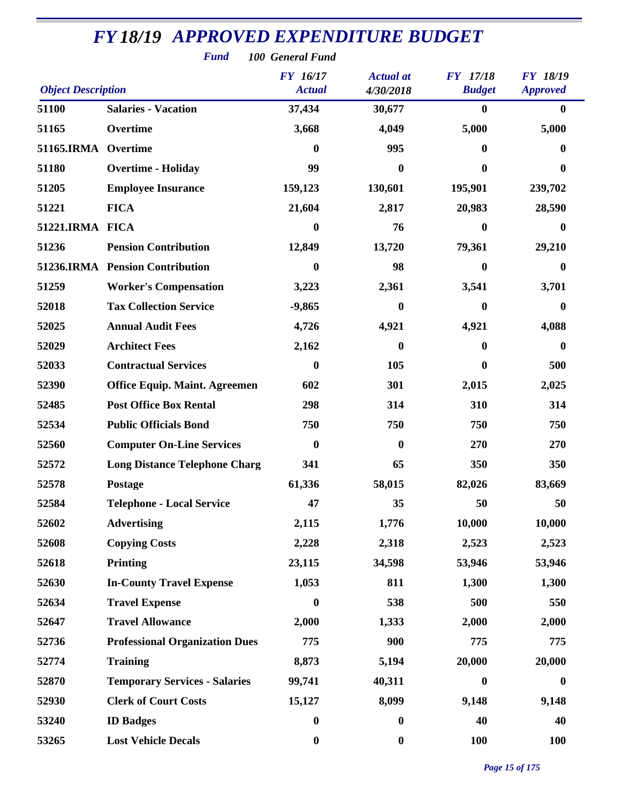| <b>Fund</b><br>100 General Fund |                                       |                                  |                               |                                  |                                    |  |  |  |
|---------------------------------|---------------------------------------|----------------------------------|-------------------------------|----------------------------------|------------------------------------|--|--|--|
| <b>Object Description</b>       |                                       | <b>FY</b> 16/17<br><b>Actual</b> | <b>Actual</b> at<br>4/30/2018 | <b>FY</b> 17/18<br><b>Budget</b> | <b>FY 18/19</b><br><b>Approved</b> |  |  |  |
| 51100                           | <b>Salaries - Vacation</b>            | 37,434                           | 30,677                        | $\bf{0}$                         | $\mathbf{0}$                       |  |  |  |
| 51165                           | Overtime                              | 3,668                            | 4,049                         | 5,000                            | 5,000                              |  |  |  |
| <b>51165.IRMA</b>               | Overtime                              | $\bf{0}$                         | 995                           | $\bf{0}$                         | 0                                  |  |  |  |
| 51180                           | <b>Overtime - Holiday</b>             | 99                               | $\mathbf{0}$                  | $\bf{0}$                         | 0                                  |  |  |  |
| 51205                           | <b>Employee Insurance</b>             | 159,123                          | 130,601                       | 195,901                          | 239,702                            |  |  |  |
| 51221                           | <b>FICA</b>                           | 21,604                           | 2,817                         | 20,983                           | 28,590                             |  |  |  |
| 51221.IRMA FICA                 |                                       | $\boldsymbol{0}$                 | 76                            | $\bf{0}$                         | 0                                  |  |  |  |
| 51236                           | <b>Pension Contribution</b>           | 12,849                           | 13,720                        | 79,361                           | 29,210                             |  |  |  |
|                                 | 51236.IRMA Pension Contribution       | $\boldsymbol{0}$                 | 98                            | $\bf{0}$                         | 0                                  |  |  |  |
| 51259                           | <b>Worker's Compensation</b>          | 3,223                            | 2,361                         | 3,541                            | 3,701                              |  |  |  |
| 52018                           | <b>Tax Collection Service</b>         | $-9,865$                         | $\bf{0}$                      | $\bf{0}$                         | 0                                  |  |  |  |
| 52025                           | <b>Annual Audit Fees</b>              | 4,726                            | 4,921                         | 4,921                            | 4,088                              |  |  |  |
| 52029                           | <b>Architect Fees</b>                 | 2,162                            | 0                             | $\boldsymbol{0}$                 | $\bf{0}$                           |  |  |  |
| 52033                           | <b>Contractual Services</b>           | $\bf{0}$                         | 105                           | 0                                | 500                                |  |  |  |
| 52390                           | <b>Office Equip. Maint. Agreemen</b>  | 602                              | 301                           | 2,015                            | 2,025                              |  |  |  |
| 52485                           | <b>Post Office Box Rental</b>         | 298                              | 314                           | 310                              | 314                                |  |  |  |
| 52534                           | <b>Public Officials Bond</b>          | 750                              | 750                           | 750                              | 750                                |  |  |  |
| 52560                           | <b>Computer On-Line Services</b>      | $\boldsymbol{0}$                 | $\bf{0}$                      | 270                              | 270                                |  |  |  |
| 52572                           | <b>Long Distance Telephone Charg</b>  | 341                              | 65                            | 350                              | 350                                |  |  |  |
| 52578                           | Postage                               | 61,336                           | 58,015                        | 82,026                           | 83,669                             |  |  |  |
| 52584                           | <b>Telephone - Local Service</b>      | 47                               | 35                            | 50                               | 50                                 |  |  |  |
| 52602                           | <b>Advertising</b>                    | 2,115                            | 1,776                         | 10,000                           | 10,000                             |  |  |  |
| 52608                           | <b>Copying Costs</b>                  | 2,228                            | 2,318                         | 2,523                            | 2,523                              |  |  |  |
| 52618                           | <b>Printing</b>                       | 23,115                           | 34,598                        | 53,946                           | 53,946                             |  |  |  |
| 52630                           | <b>In-County Travel Expense</b>       | 1,053                            | 811                           | 1,300                            | 1,300                              |  |  |  |
| 52634                           | <b>Travel Expense</b>                 | $\boldsymbol{0}$                 | 538                           | 500                              | 550                                |  |  |  |
| 52647                           | <b>Travel Allowance</b>               | 2,000                            | 1,333                         | 2,000                            | 2,000                              |  |  |  |
| 52736                           | <b>Professional Organization Dues</b> | 775                              | 900                           | 775                              | 775                                |  |  |  |
| 52774                           | <b>Training</b>                       | 8,873                            | 5,194                         | 20,000                           | 20,000                             |  |  |  |
| 52870                           | <b>Temporary Services - Salaries</b>  | 99,741                           | 40,311                        | $\bf{0}$                         | $\boldsymbol{0}$                   |  |  |  |
| 52930                           | <b>Clerk of Court Costs</b>           | 15,127                           | 8,099                         | 9,148                            | 9,148                              |  |  |  |
| 53240                           | <b>ID Badges</b>                      | $\boldsymbol{0}$                 | $\boldsymbol{0}$              | 40                               | 40                                 |  |  |  |
| 53265                           | <b>Lost Vehicle Decals</b>            | $\boldsymbol{0}$                 | $\boldsymbol{0}$              | <b>100</b>                       | <b>100</b>                         |  |  |  |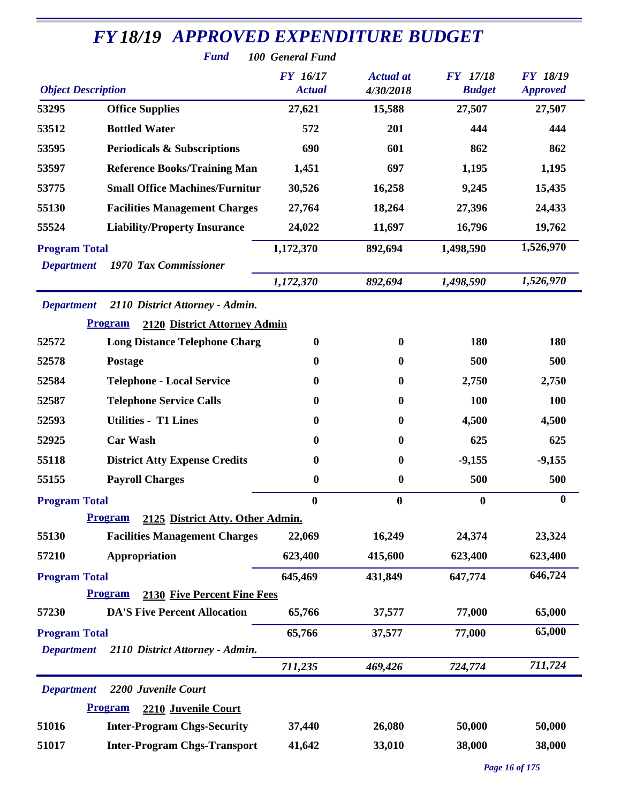|                           | <b>FY18/19 APPROVED EXPENDITURE BUDGET</b><br><b>Fund</b> | 100 General Fund                 |                               |                                  |                                    |
|---------------------------|-----------------------------------------------------------|----------------------------------|-------------------------------|----------------------------------|------------------------------------|
| <b>Object Description</b> |                                                           | <b>FY</b> 16/17<br><b>Actual</b> | <b>Actual</b> at<br>4/30/2018 | <b>FY</b> 17/18<br><b>Budget</b> | <b>FY 18/19</b><br><b>Approved</b> |
| 53295                     | <b>Office Supplies</b>                                    | 27,621                           | 15,588                        | 27,507                           | 27,507                             |
| 53512                     | <b>Bottled Water</b>                                      | 572                              | 201                           | 444                              | 444                                |
| 53595                     | <b>Periodicals &amp; Subscriptions</b>                    | 690                              | 601                           | 862                              | 862                                |
| 53597                     | <b>Reference Books/Training Man</b>                       | 1,451                            | 697                           | 1,195                            | 1,195                              |
| 53775                     | <b>Small Office Machines/Furnitur</b>                     | 30,526                           | 16,258                        | 9,245                            | 15,435                             |
| 55130                     | <b>Facilities Management Charges</b>                      | 27,764                           | 18,264                        | 27,396                           | 24,433                             |
| 55524                     | <b>Liability/Property Insurance</b>                       | 24,022                           | 11,697                        | 16,796                           | 19,762                             |
| <b>Program Total</b>      |                                                           | 1,172,370                        | 892,694                       | 1,498,590                        | 1,526,970                          |
| <b>Department</b>         | 1970 Tax Commissioner                                     |                                  |                               |                                  |                                    |
|                           |                                                           | 1,172,370                        | 892,694                       | 1,498,590                        | 1,526,970                          |
| <b>Department</b>         | 2110 District Attorney - Admin.                           |                                  |                               |                                  |                                    |
|                           | <b>Program</b><br>2120 District Attorney Admin            |                                  |                               |                                  |                                    |
| 52572                     | <b>Long Distance Telephone Charg</b>                      | $\boldsymbol{0}$                 | $\bf{0}$                      | 180                              | 180                                |
| 52578                     | Postage                                                   | $\bf{0}$                         | $\bf{0}$                      | 500                              | 500                                |
| 52584                     | <b>Telephone - Local Service</b>                          | $\boldsymbol{0}$                 | $\bf{0}$                      | 2,750                            | 2,750                              |
| 52587                     | <b>Telephone Service Calls</b>                            | $\boldsymbol{0}$                 | $\bf{0}$                      | 100                              | <b>100</b>                         |
| 52593                     | <b>Utilities - T1 Lines</b>                               | $\boldsymbol{0}$                 | $\bf{0}$                      | 4,500                            | 4,500                              |
| 52925                     | <b>Car Wash</b>                                           | $\boldsymbol{0}$                 | $\bf{0}$                      | 625                              | 625                                |
| 55118                     | <b>District Atty Expense Credits</b>                      | $\boldsymbol{0}$                 | $\bf{0}$                      | $-9,155$                         | $-9,155$                           |
| 55155                     | <b>Payroll Charges</b>                                    | $\boldsymbol{0}$                 | $\boldsymbol{0}$              | 500                              | 500                                |
| <b>Program Total</b>      |                                                           | $\bf{0}$                         | $\bf{0}$                      | $\bf{0}$                         | $\boldsymbol{0}$                   |
|                           | <b>Program</b><br>2125 District Atty. Other Admin.        |                                  |                               |                                  |                                    |
| 55130                     | <b>Facilities Management Charges</b>                      | 22,069                           | 16,249                        | 24,374                           | 23,324                             |
| 57210                     | Appropriation                                             | 623,400                          | 415,600                       | 623,400                          | 623,400                            |
| <b>Program Total</b>      |                                                           | 645,469                          | 431,849                       | 647,774                          | 646,724                            |
|                           | 2130 Five Percent Fine Fees<br><b>Program</b>             |                                  |                               |                                  |                                    |
| 57230                     | <b>DA'S Five Percent Allocation</b>                       | 65,766                           | 37,577                        | 77,000                           | 65,000                             |
| <b>Program Total</b>      |                                                           | 65,766                           | 37,577                        | 77,000                           | 65,000                             |
| <b>Department</b>         | 2110 District Attorney - Admin.                           | 711,235                          | 469,426                       | 724,774                          | 711,724                            |
| <b>Department</b>         | 2200 Juvenile Court                                       |                                  |                               |                                  |                                    |
|                           | 2210 Juvenile Court<br><b>Program</b>                     |                                  |                               |                                  |                                    |
| 51016                     | <b>Inter-Program Chgs-Security</b>                        | 37,440                           | 26,080                        | 50,000                           | 50,000                             |
| 51017                     | <b>Inter-Program Chgs-Transport</b>                       | 41,642                           | 33,010                        | 38,000                           | 38,000                             |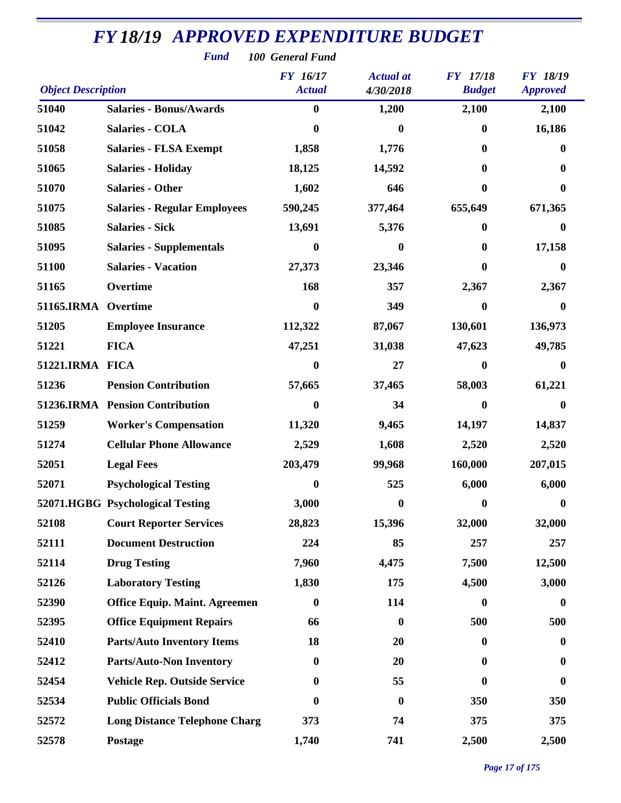|                           | <b>Fund</b>                          | 100 General Fund                 |                               |                                  |                                    |
|---------------------------|--------------------------------------|----------------------------------|-------------------------------|----------------------------------|------------------------------------|
| <b>Object Description</b> |                                      | <b>FY</b> 16/17<br><b>Actual</b> | <b>Actual</b> at<br>4/30/2018 | <b>FY</b> 17/18<br><b>Budget</b> | <b>FY 18/19</b><br><b>Approved</b> |
| 51040                     | <b>Salaries - Bonus/Awards</b>       | $\boldsymbol{0}$                 | 1,200                         | 2,100                            | 2,100                              |
| 51042                     | <b>Salaries - COLA</b>               | 0                                | $\bf{0}$                      | $\bf{0}$                         | 16,186                             |
| 51058                     | <b>Salaries - FLSA Exempt</b>        | 1,858                            | 1,776                         | $\bf{0}$                         | 0                                  |
| 51065                     | <b>Salaries - Holiday</b>            | 18,125                           | 14,592                        | $\mathbf{0}$                     | 0                                  |
| 51070                     | <b>Salaries - Other</b>              | 1,602                            | 646                           | $\bf{0}$                         | 0                                  |
| 51075                     | <b>Salaries - Regular Employees</b>  | 590,245                          | 377,464                       | 655,649                          | 671,365                            |
| 51085                     | <b>Salaries - Sick</b>               | 13,691                           | 5,376                         | $\boldsymbol{0}$                 | $\boldsymbol{0}$                   |
| 51095                     | <b>Salaries - Supplementals</b>      | 0                                | 0                             | $\mathbf{0}$                     | 17,158                             |
| 51100                     | <b>Salaries - Vacation</b>           | 27,373                           | 23,346                        | $\mathbf{0}$                     | $\bf{0}$                           |
| 51165                     | Overtime                             | 168                              | 357                           | 2,367                            | 2,367                              |
| 51165.IRMA Overtime       |                                      | 0                                | 349                           | $\boldsymbol{0}$                 | $\bf{0}$                           |
| 51205                     | <b>Employee Insurance</b>            | 112,322                          | 87,067                        | 130,601                          | 136,973                            |
| 51221                     | <b>FICA</b>                          | 47,251                           | 31,038                        | 47,623                           | 49,785                             |
| 51221.IRMA FICA           |                                      | 0                                | 27                            | $\bf{0}$                         | 0                                  |
| 51236                     | <b>Pension Contribution</b>          | 57,665                           | 37,465                        | 58,003                           | 61,221                             |
|                           | 51236.IRMA Pension Contribution      | 0                                | 34                            | $\bf{0}$                         | 0                                  |
| 51259                     | <b>Worker's Compensation</b>         | 11,320                           | 9,465                         | 14,197                           | 14,837                             |
| 51274                     | <b>Cellular Phone Allowance</b>      | 2,529                            | 1,608                         | 2,520                            | 2,520                              |
| 52051                     | <b>Legal Fees</b>                    | 203,479                          | 99,968                        | 160,000                          | 207,015                            |
| 52071                     | <b>Psychological Testing</b>         | $\boldsymbol{0}$                 | 525                           | 6,000                            | 6,000                              |
|                           | 52071.HGBG Psychological Testing     | 3,000                            | $\bf{0}$                      | $\bf{0}$                         | $\bf{0}$                           |
| 52108                     | <b>Court Reporter Services</b>       | 28,823                           | 15,396                        | 32,000                           | 32,000                             |
| 52111                     | <b>Document Destruction</b>          | 224                              | 85                            | 257                              | 257                                |
| 52114                     | <b>Drug Testing</b>                  | 7,960                            | 4,475                         | 7,500                            | 12,500                             |
| 52126                     | <b>Laboratory Testing</b>            | 1,830                            | 175                           | 4,500                            | 3,000                              |
| 52390                     | <b>Office Equip. Maint. Agreemen</b> | $\boldsymbol{0}$                 | 114                           | $\bf{0}$                         | $\bf{0}$                           |
| 52395                     | <b>Office Equipment Repairs</b>      | 66                               | $\boldsymbol{0}$              | 500                              | 500                                |
| 52410                     | <b>Parts/Auto Inventory Items</b>    | 18                               | 20                            | $\mathbf{0}$                     | $\bf{0}$                           |
| 52412                     | <b>Parts/Auto-Non Inventory</b>      | $\boldsymbol{0}$                 | 20                            | $\mathbf{0}$                     | $\bf{0}$                           |
| 52454                     | <b>Vehicle Rep. Outside Service</b>  | 0                                | 55                            | $\mathbf{0}$                     | 0                                  |
| 52534                     | <b>Public Officials Bond</b>         | 0                                | $\boldsymbol{0}$              | 350                              | 350                                |
| 52572                     | <b>Long Distance Telephone Charg</b> | 373                              | 74                            | 375                              | 375                                |
| 52578                     | Postage                              | 1,740                            | 741                           | 2,500                            | 2,500                              |

*Page 17 of 175*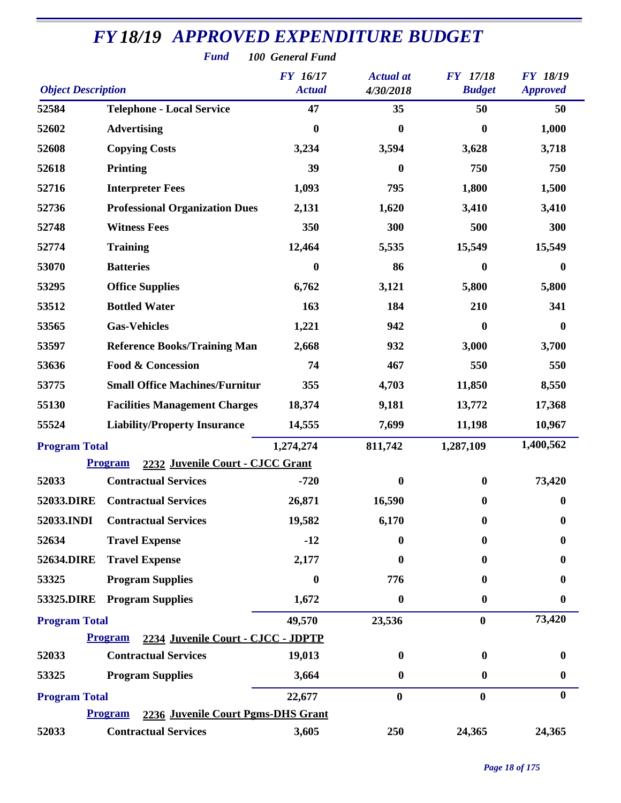|                           | <b>Fund</b>                                          | 100 General Fund          |                               |                                  |                                    |
|---------------------------|------------------------------------------------------|---------------------------|-------------------------------|----------------------------------|------------------------------------|
| <b>Object Description</b> |                                                      | FY 16/17<br><b>Actual</b> | <b>Actual</b> at<br>4/30/2018 | <b>FY</b> 17/18<br><b>Budget</b> | <b>FY 18/19</b><br><b>Approved</b> |
|                           |                                                      |                           |                               |                                  |                                    |
| 52584                     | <b>Telephone - Local Service</b>                     | 47                        | 35                            | 50                               | 50                                 |
| 52602                     | <b>Advertising</b>                                   | $\bf{0}$                  | $\boldsymbol{0}$              | $\boldsymbol{0}$                 | 1,000                              |
| 52608                     | <b>Copying Costs</b>                                 | 3,234                     | 3,594                         | 3,628                            | 3,718                              |
| 52618                     | <b>Printing</b>                                      | 39                        | $\boldsymbol{0}$              | 750                              | 750                                |
| 52716                     | <b>Interpreter Fees</b>                              | 1,093                     | 795                           | 1,800                            | 1,500                              |
| 52736                     | <b>Professional Organization Dues</b>                | 2,131                     | 1,620                         | 3,410                            | 3,410                              |
| 52748                     | <b>Witness Fees</b>                                  | 350                       | 300                           | 500                              | 300                                |
| 52774                     | <b>Training</b>                                      | 12,464                    | 5,535                         | 15,549                           | 15,549                             |
| 53070                     | <b>Batteries</b>                                     | 0                         | 86                            | 0                                | $\boldsymbol{0}$                   |
| 53295                     | <b>Office Supplies</b>                               | 6,762                     | 3,121                         | 5,800                            | 5,800                              |
| 53512                     | <b>Bottled Water</b>                                 | 163                       | 184                           | 210                              | 341                                |
| 53565                     | <b>Gas-Vehicles</b>                                  | 1,221                     | 942                           | 0                                | $\boldsymbol{0}$                   |
| 53597                     | <b>Reference Books/Training Man</b>                  | 2,668                     | 932                           | 3,000                            | 3,700                              |
| 53636                     | <b>Food &amp; Concession</b>                         | 74                        | 467                           | 550                              | 550                                |
| 53775                     | <b>Small Office Machines/Furnitur</b>                | 355                       | 4,703                         | 11,850                           | 8,550                              |
| 55130                     | <b>Facilities Management Charges</b>                 | 18,374                    | 9,181                         | 13,772                           | 17,368                             |
| 55524                     | <b>Liability/Property Insurance</b>                  | 14,555                    | 7,699                         | 11,198                           | 10,967                             |
| <b>Program Total</b>      |                                                      | 1,274,274                 | 811,742                       | 1,287,109                        | 1,400,562                          |
|                           | 2232 Juvenile Court - CJCC Grant<br><b>Program</b>   |                           |                               |                                  |                                    |
| 52033                     | <b>Contractual Services</b>                          | $-720$                    | $\bf{0}$                      | $\bf{0}$                         | 73,420                             |
| 52033.DIRE                | <b>Contractual Services</b>                          | 26,871                    | 16,590                        | $\boldsymbol{0}$                 | $\boldsymbol{0}$                   |
| 52033.INDI                | <b>Contractual Services</b>                          | 19,582                    | 6,170                         | $\bf{0}$                         | $\boldsymbol{0}$                   |
| 52634                     | <b>Travel Expense</b>                                | $-12$                     | 0                             | 0                                | 0                                  |
| 52634.DIRE                | <b>Travel Expense</b>                                | 2,177                     | 0                             | 0                                | 0                                  |
| 53325                     | <b>Program Supplies</b>                              | 0                         | 776                           | 0                                | 0                                  |
| 53325.DIRE                | <b>Program Supplies</b>                              | 1,672                     | 0                             | $\boldsymbol{0}$                 | 0                                  |
| <b>Program Total</b>      |                                                      | 49,570                    | 23,536                        | $\bf{0}$                         | 73,420                             |
|                           | <b>Program</b><br>2234 Juvenile Court - CJCC - JDPTP |                           |                               |                                  |                                    |
| 52033                     | <b>Contractual Services</b>                          | 19,013                    | $\boldsymbol{0}$              | $\bf{0}$                         | 0                                  |
| 53325                     | <b>Program Supplies</b>                              | 3,664                     | 0                             | 0                                | $\boldsymbol{0}$                   |
| <b>Program Total</b>      |                                                      | 22,677                    | $\bf{0}$                      | $\bf{0}$                         | $\boldsymbol{0}$                   |
|                           | <b>Program</b><br>2236 Juvenile Court Pgms-DHS Grant |                           |                               |                                  |                                    |
| 52033                     | <b>Contractual Services</b>                          | 3,605                     | 250                           | 24,365                           | 24,365                             |

*Fund 100 General Fund*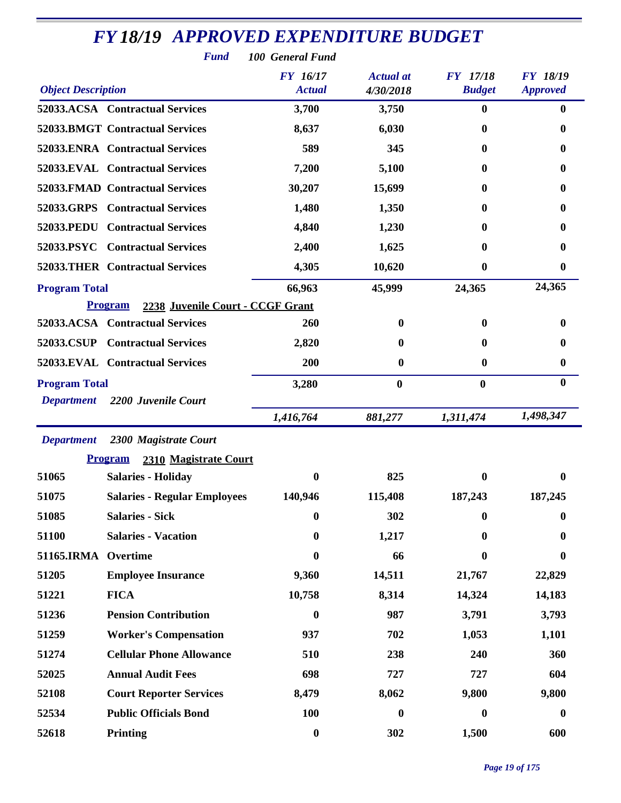| <b>FY18/19 APPROVED EXPENDITURE BUDGET</b><br><b>Fund</b><br>100 General Fund |                                                    |                                  |                               |                                  |                                    |  |  |  |
|-------------------------------------------------------------------------------|----------------------------------------------------|----------------------------------|-------------------------------|----------------------------------|------------------------------------|--|--|--|
| <b>Object Description</b>                                                     |                                                    | <b>FY</b> 16/17<br><b>Actual</b> | <b>Actual</b> at<br>4/30/2018 | <b>FY</b> 17/18<br><b>Budget</b> | <b>FY 18/19</b><br><b>Approved</b> |  |  |  |
|                                                                               | 52033.ACSA Contractual Services                    | 3,700                            | 3,750                         | $\mathbf{0}$                     | $\bf{0}$                           |  |  |  |
|                                                                               | <b>52033.BMGT Contractual Services</b>             | 8,637                            | 6,030                         | 0                                | $\bf{0}$                           |  |  |  |
|                                                                               | 52033.ENRA Contractual Services                    | 589                              | 345                           | 0                                | 0                                  |  |  |  |
|                                                                               | 52033.EVAL Contractual Services                    | 7,200                            | 5,100                         | $\mathbf 0$                      | $\bf{0}$                           |  |  |  |
|                                                                               | 52033.FMAD Contractual Services                    | 30,207                           | 15,699                        | $\mathbf{0}$                     | $\bf{0}$                           |  |  |  |
|                                                                               | 52033.GRPS Contractual Services                    | 1,480                            | 1,350                         | 0                                | 0                                  |  |  |  |
| 52033.PEDU                                                                    | <b>Contractual Services</b>                        | 4,840                            | 1,230                         | 0                                | 0                                  |  |  |  |
|                                                                               | 52033.PSYC Contractual Services                    | 2,400                            | 1,625                         | 0                                | 0                                  |  |  |  |
|                                                                               | <b>52033.THER Contractual Services</b>             | 4,305                            | 10,620                        | 0                                | $\boldsymbol{0}$                   |  |  |  |
| <b>Program Total</b>                                                          |                                                    | 66,963                           | 45,999                        | 24,365                           | 24,365                             |  |  |  |
|                                                                               | 2238 Juvenile Court - CCGF Grant<br><b>Program</b> |                                  |                               |                                  |                                    |  |  |  |
|                                                                               | 52033.ACSA Contractual Services                    | 260                              | $\bf{0}$                      | $\mathbf{0}$                     | $\bf{0}$                           |  |  |  |
| 52033.CSUP                                                                    | <b>Contractual Services</b>                        | 2,820                            | 0                             | 0                                | 0                                  |  |  |  |
|                                                                               | 52033.EVAL Contractual Services                    | 200                              | 0                             | $\bf{0}$                         | $\boldsymbol{0}$                   |  |  |  |
| <b>Program Total</b>                                                          |                                                    | 3,280                            | $\bf{0}$                      | $\bf{0}$                         | $\bf{0}$                           |  |  |  |
| <b>Department</b>                                                             | 2200 Juvenile Court                                |                                  |                               |                                  |                                    |  |  |  |
|                                                                               |                                                    | 1,416,764                        | 881,277                       | 1,311,474                        | 1,498,347                          |  |  |  |
| <b>Department</b>                                                             | 2300 Magistrate Court                              |                                  |                               |                                  |                                    |  |  |  |
|                                                                               | <b>Program</b><br>2310 Magistrate Court            |                                  |                               |                                  |                                    |  |  |  |
| 51065                                                                         | <b>Salaries - Holiday</b>                          | $\boldsymbol{0}$                 | 825                           | $\bf{0}$                         | $\boldsymbol{0}$                   |  |  |  |
| 51075                                                                         | <b>Salaries - Regular Employees</b>                | 140,946                          | 115,408                       | 187,243                          | 187,245                            |  |  |  |
| 51085                                                                         | <b>Salaries - Sick</b>                             | $\boldsymbol{0}$                 | 302                           | $\mathbf{0}$                     | $\bf{0}$                           |  |  |  |
| 51100                                                                         | <b>Salaries - Vacation</b>                         | $\bf{0}$                         | 1,217                         | 0                                | $\bf{0}$                           |  |  |  |
| 51165.IRMA                                                                    | Overtime                                           | $\mathbf{0}$                     | 66                            | 0                                | 0                                  |  |  |  |
| 51205                                                                         | <b>Employee Insurance</b>                          | 9,360                            | 14,511                        | 21,767                           | 22,829                             |  |  |  |
| 51221                                                                         | <b>FICA</b>                                        | 10,758                           | 8,314                         | 14,324                           | 14,183                             |  |  |  |
| 51236                                                                         | <b>Pension Contribution</b>                        | $\bf{0}$                         | 987                           | 3,791                            | 3,793                              |  |  |  |
| 51259                                                                         | <b>Worker's Compensation</b>                       | 937                              | 702                           | 1,053                            | 1,101                              |  |  |  |
| 51274                                                                         | <b>Cellular Phone Allowance</b>                    | 510                              | 238                           | 240                              | 360                                |  |  |  |
| 52025                                                                         | <b>Annual Audit Fees</b>                           | 698                              | 727                           | 727                              | 604                                |  |  |  |
| 52108                                                                         | <b>Court Reporter Services</b>                     | 8,479                            | 8,062                         | 9,800                            | 9,800                              |  |  |  |
| 52534                                                                         | <b>Public Officials Bond</b>                       | 100                              | $\boldsymbol{0}$              | $\bf{0}$                         | $\boldsymbol{0}$                   |  |  |  |
| 52618                                                                         | Printing                                           | $\boldsymbol{0}$                 | 302                           | 1,500                            | 600                                |  |  |  |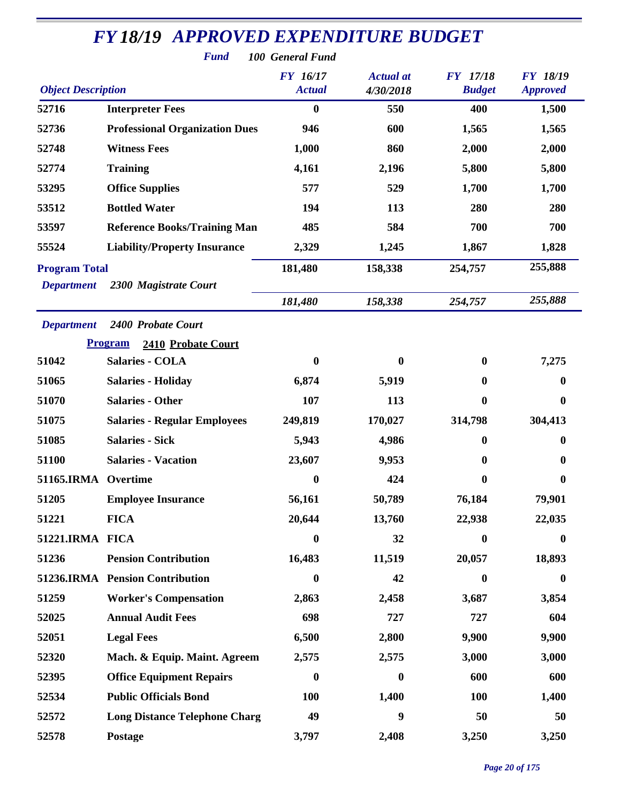| <b>Fund</b><br>100 General Fund                                    |                                       |                                  |                               |                                  |                                    |  |  |
|--------------------------------------------------------------------|---------------------------------------|----------------------------------|-------------------------------|----------------------------------|------------------------------------|--|--|
| <b>Object Description</b>                                          |                                       | <b>FY</b> 16/17<br><b>Actual</b> | <b>Actual</b> at<br>4/30/2018 | <b>FY</b> 17/18<br><b>Budget</b> | <b>FY 18/19</b><br><b>Approved</b> |  |  |
| 52716                                                              | <b>Interpreter Fees</b>               | $\bf{0}$                         | 550                           | 400                              | 1,500                              |  |  |
| 52736                                                              | <b>Professional Organization Dues</b> | 946                              | 600                           | 1,565                            | 1,565                              |  |  |
| 52748                                                              | <b>Witness Fees</b>                   | 1,000                            | 860                           | 2,000                            | 2,000                              |  |  |
| 52774                                                              | <b>Training</b>                       | 4,161                            | 2,196                         | 5,800                            | 5,800                              |  |  |
| 53295                                                              | <b>Office Supplies</b>                | 577                              | 529                           | 1,700                            | 1,700                              |  |  |
| 53512                                                              | <b>Bottled Water</b>                  | 194                              | 113                           | 280                              | 280                                |  |  |
| 53597                                                              | <b>Reference Books/Training Man</b>   | 485                              | 584                           | 700                              | 700                                |  |  |
| 55524                                                              | <b>Liability/Property Insurance</b>   | 2,329                            | 1,245                         | 1,867                            | 1,828                              |  |  |
| <b>Program Total</b><br>2300 Magistrate Court<br><b>Department</b> |                                       | 181,480                          | 158,338                       | 254,757                          | 255,888                            |  |  |
|                                                                    |                                       | 181,480                          | 158,338                       | 254,757                          | 255,888                            |  |  |
| <b>Department</b>                                                  | 2400 Probate Court                    |                                  |                               |                                  |                                    |  |  |
|                                                                    | <b>Program</b><br>2410 Probate Court  |                                  |                               |                                  |                                    |  |  |
| 51042                                                              | <b>Salaries - COLA</b>                | $\boldsymbol{0}$                 | $\mathbf{0}$                  | $\bf{0}$                         | 7,275                              |  |  |
| 51065                                                              | <b>Salaries - Holiday</b>             | 6,874                            | 5,919                         | $\boldsymbol{0}$                 | 0                                  |  |  |
| 51070                                                              | <b>Salaries - Other</b>               | 107                              | 113                           | $\boldsymbol{0}$                 | 0                                  |  |  |
| 51075                                                              | <b>Salaries - Regular Employees</b>   | 249,819                          | 170,027                       | 314,798                          | 304,413                            |  |  |
| 51085                                                              | <b>Salaries - Sick</b>                | 5,943                            | 4,986                         | 0                                | 0                                  |  |  |
| 51100                                                              | <b>Salaries - Vacation</b>            | 23,607                           | 9,953                         | 0                                | 0                                  |  |  |
| 51165.IRMA                                                         | Overtime                              | $\bf{0}$                         | 424                           | $\boldsymbol{0}$                 | 0                                  |  |  |
| 51205                                                              | <b>Employee Insurance</b>             | 56,161                           | 50,789                        | 76,184                           | 79,901                             |  |  |
| 51221                                                              | <b>FICA</b>                           | 20,644                           | 13,760                        | 22,938                           | 22,035                             |  |  |
| 51221.IRMA FICA                                                    |                                       | $\boldsymbol{0}$                 | 32                            | $\boldsymbol{0}$                 | $\boldsymbol{0}$                   |  |  |
| 51236                                                              | <b>Pension Contribution</b>           | 16,483                           | 11,519                        | 20,057                           | 18,893                             |  |  |
|                                                                    | 51236.IRMA Pension Contribution       | $\boldsymbol{0}$                 | 42                            | $\boldsymbol{0}$                 | $\bf{0}$                           |  |  |
| 51259                                                              | <b>Worker's Compensation</b>          | 2,863                            | 2,458                         | 3,687                            | 3,854                              |  |  |
| 52025                                                              | <b>Annual Audit Fees</b>              | 698                              | 727                           | 727                              | 604                                |  |  |
| 52051                                                              | <b>Legal Fees</b>                     | 6,500                            | 2,800                         | 9,900                            | 9,900                              |  |  |
| 52320                                                              | Mach. & Equip. Maint. Agreem          | 2,575                            | 2,575                         | 3,000                            | 3,000                              |  |  |
| 52395                                                              | <b>Office Equipment Repairs</b>       | $\boldsymbol{0}$                 | $\bf{0}$                      | 600                              | 600                                |  |  |
| 52534                                                              | <b>Public Officials Bond</b>          | 100                              | 1,400                         | <b>100</b>                       | 1,400                              |  |  |
| 52572                                                              | <b>Long Distance Telephone Charg</b>  | 49                               | $\boldsymbol{9}$              | 50                               | 50                                 |  |  |
| 52578                                                              | Postage                               | 3,797                            | 2,408                         | 3,250                            | 3,250                              |  |  |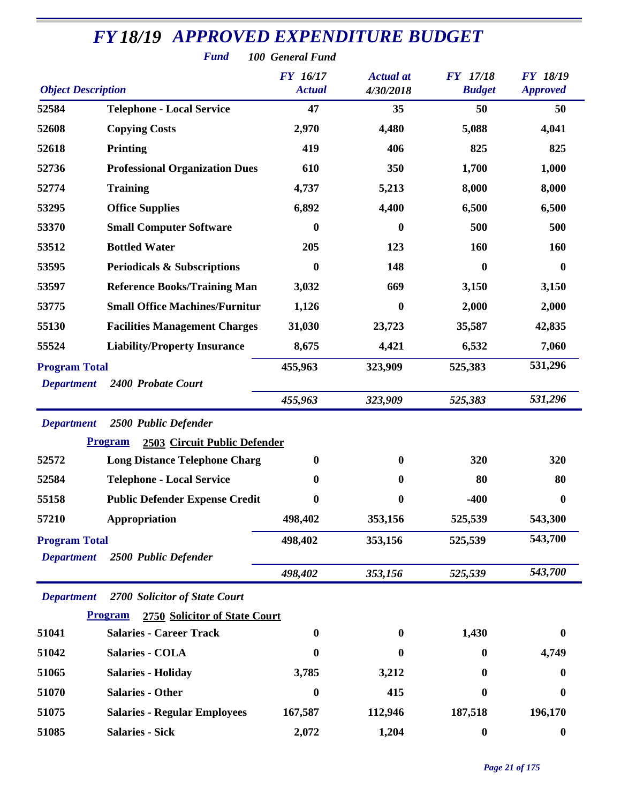| <b>Fund</b><br>100 General Fund                                 |                                                 |                           |                               |                                  |                                    |  |  |
|-----------------------------------------------------------------|-------------------------------------------------|---------------------------|-------------------------------|----------------------------------|------------------------------------|--|--|
| <b>Object Description</b>                                       |                                                 | FY 16/17<br><b>Actual</b> | <b>Actual</b> at<br>4/30/2018 | <b>FY</b> 17/18<br><b>Budget</b> | <b>FY 18/19</b><br><b>Approved</b> |  |  |
| 52584                                                           | <b>Telephone - Local Service</b>                | 47                        | 35                            | 50                               | 50                                 |  |  |
| 52608                                                           | <b>Copying Costs</b>                            | 2,970                     | 4,480                         | 5,088                            | 4,041                              |  |  |
| 52618                                                           | <b>Printing</b>                                 | 419                       | 406                           | 825                              | 825                                |  |  |
| 52736                                                           | <b>Professional Organization Dues</b>           | 610                       | 350                           | 1,700                            | 1,000                              |  |  |
| 52774                                                           | <b>Training</b>                                 | 4,737                     | 5,213                         | 8,000                            | 8,000                              |  |  |
| 53295                                                           | <b>Office Supplies</b>                          | 6,892                     | 4,400                         | 6,500                            | 6,500                              |  |  |
| 53370                                                           | <b>Small Computer Software</b>                  | $\boldsymbol{0}$          | $\bf{0}$                      | 500                              | 500                                |  |  |
| 53512                                                           | <b>Bottled Water</b>                            | 205                       | 123                           | 160                              | 160                                |  |  |
| 53595                                                           | <b>Periodicals &amp; Subscriptions</b>          | $\bf{0}$                  | 148                           | 0                                | $\boldsymbol{0}$                   |  |  |
| 53597                                                           | <b>Reference Books/Training Man</b>             | 3,032                     | 669                           | 3,150                            | 3,150                              |  |  |
| 53775                                                           | <b>Small Office Machines/Furnitur</b>           | 1,126                     | $\boldsymbol{0}$              | 2,000                            | 2,000                              |  |  |
| 55130                                                           | <b>Facilities Management Charges</b>            | 31,030                    | 23,723                        | 35,587                           | 42,835                             |  |  |
| 55524                                                           | <b>Liability/Property Insurance</b>             | 8,675                     | 4,421                         | 6,532                            | 7,060                              |  |  |
| <b>Program Total</b><br>2400 Probate Court<br><b>Department</b> |                                                 | 455,963                   | 323,909                       | 525,383                          | 531,296                            |  |  |
|                                                                 |                                                 | 455,963                   | 323,909                       | 525,383                          | 531,296                            |  |  |
| <b>Department</b>                                               | 2500 Public Defender                            |                           |                               |                                  |                                    |  |  |
|                                                                 | 2503 Circuit Public Defender<br><b>Program</b>  |                           |                               |                                  |                                    |  |  |
| 52572                                                           | <b>Long Distance Telephone Charg</b>            | $\boldsymbol{0}$          | $\bf{0}$                      | 320                              | 320                                |  |  |
| 52584                                                           | <b>Telephone - Local Service</b>                | $\bf{0}$                  | $\boldsymbol{0}$              | 80                               | 80                                 |  |  |
| 55158                                                           | <b>Public Defender Expense Credit</b>           | 0                         | 0                             | $-400$                           | 0                                  |  |  |
| 57210                                                           | Appropriation                                   | 498,402                   | 353,156                       | 525,539                          | 543,300                            |  |  |
| <b>Program Total</b><br><b>Department</b>                       | 2500 Public Defender                            | 498,402                   | 353,156                       | 525,539                          | 543,700                            |  |  |
|                                                                 |                                                 | 498,402                   | 353,156                       | 525,539                          | 543,700                            |  |  |
| <b>Department</b>                                               | 2700 Solicitor of State Court                   |                           |                               |                                  |                                    |  |  |
|                                                                 | <b>Program</b><br>2750 Solicitor of State Court |                           |                               |                                  |                                    |  |  |
| 51041                                                           | <b>Salaries - Career Track</b>                  | $\bf{0}$                  | 0                             | 1,430                            | $\boldsymbol{0}$                   |  |  |
| 51042                                                           | <b>Salaries - COLA</b>                          | 0                         | 0                             | 0                                | 4,749                              |  |  |
| 51065                                                           | <b>Salaries - Holiday</b>                       | 3,785                     | 3,212                         | 0                                | $\boldsymbol{0}$                   |  |  |
| 51070                                                           | <b>Salaries - Other</b>                         | $\boldsymbol{0}$          | 415                           | 0                                | $\boldsymbol{0}$                   |  |  |
| 51075                                                           | <b>Salaries - Regular Employees</b>             | 167,587                   | 112,946                       | 187,518                          | 196,170                            |  |  |
| 51085                                                           | <b>Salaries - Sick</b>                          | 2,072                     | 1,204                         | $\boldsymbol{0}$                 | $\boldsymbol{0}$                   |  |  |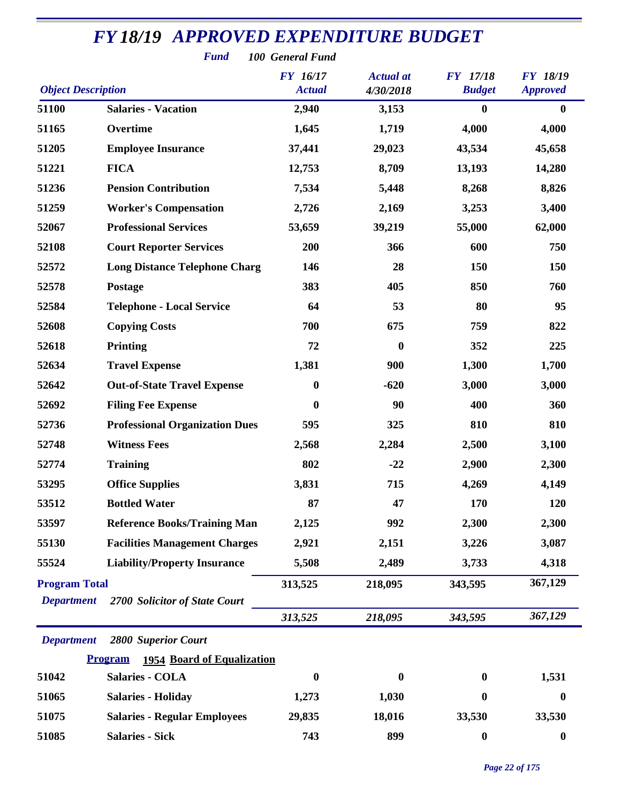|                                           | <b>Fund</b>                                  | 100 General Fund                 |                               |                                  |                                    |
|-------------------------------------------|----------------------------------------------|----------------------------------|-------------------------------|----------------------------------|------------------------------------|
| <b>Object Description</b>                 |                                              | <b>FY</b> 16/17<br><b>Actual</b> | <b>Actual</b> at<br>4/30/2018 | <b>FY</b> 17/18<br><b>Budget</b> | <b>FY 18/19</b><br><b>Approved</b> |
| 51100                                     | <b>Salaries - Vacation</b>                   | 2,940                            | 3,153                         | $\bf{0}$                         | $\boldsymbol{0}$                   |
| 51165                                     | Overtime                                     | 1,645                            | 1,719                         | 4,000                            | 4,000                              |
| 51205                                     | <b>Employee Insurance</b>                    | 37,441                           | 29,023                        | 43,534                           | 45,658                             |
| 51221                                     | <b>FICA</b>                                  | 12,753                           | 8,709                         | 13,193                           | 14,280                             |
| 51236                                     | <b>Pension Contribution</b>                  | 7,534                            | 5,448                         | 8,268                            | 8,826                              |
| 51259                                     | <b>Worker's Compensation</b>                 | 2,726                            | 2,169                         | 3,253                            | 3,400                              |
| 52067                                     | <b>Professional Services</b>                 | 53,659                           | 39,219                        | 55,000                           | 62,000                             |
| 52108                                     | <b>Court Reporter Services</b>               | 200                              | 366                           | 600                              | 750                                |
| 52572                                     | <b>Long Distance Telephone Charg</b>         | 146                              | 28                            | 150                              | 150                                |
| 52578                                     | Postage                                      | 383                              | 405                           | 850                              | 760                                |
| 52584                                     | <b>Telephone - Local Service</b>             | 64                               | 53                            | 80                               | 95                                 |
| 52608                                     | <b>Copying Costs</b>                         | 700                              | 675                           | 759                              | 822                                |
| 52618                                     | <b>Printing</b>                              | 72                               | $\boldsymbol{0}$              | 352                              | 225                                |
| 52634                                     | <b>Travel Expense</b>                        | 1,381                            | 900                           | 1,300                            | 1,700                              |
| 52642                                     | <b>Out-of-State Travel Expense</b>           | $\boldsymbol{0}$                 | $-620$                        | 3,000                            | 3,000                              |
| 52692                                     | <b>Filing Fee Expense</b>                    | $\boldsymbol{0}$                 | 90                            | 400                              | 360                                |
| 52736                                     | <b>Professional Organization Dues</b>        | 595                              | 325                           | 810                              | 810                                |
| 52748                                     | <b>Witness Fees</b>                          | 2,568                            | 2,284                         | 2,500                            | 3,100                              |
| 52774                                     | <b>Training</b>                              | 802                              | $-22$                         | 2,900                            | 2,300                              |
| 53295                                     | <b>Office Supplies</b>                       | 3,831                            | 715                           | 4,269                            | 4,149                              |
| 53512                                     | <b>Bottled Water</b>                         | 87                               | 47                            | 170                              | 120                                |
| 53597                                     | <b>Reference Books/Training Man</b>          | 2,125                            | 992                           | 2,300                            | 2,300                              |
| 55130                                     | <b>Facilities Management Charges</b>         | 2,921                            | 2,151                         | 3,226                            | 3,087                              |
| 55524                                     | <b>Liability/Property Insurance</b>          | 5,508                            | 2,489                         | 3,733                            | 4,318                              |
| <b>Program Total</b><br><b>Department</b> | 2700 Solicitor of State Court                | 313,525                          | 218,095                       | 343,595                          | 367,129                            |
|                                           |                                              | 313,525                          | 218,095                       | 343,595                          | 367,129                            |
| <b>Department</b>                         | <b>2800 Superior Court</b>                   |                                  |                               |                                  |                                    |
|                                           | 1954 Board of Equalization<br><b>Program</b> |                                  |                               |                                  |                                    |
| 51042                                     | <b>Salaries - COLA</b>                       | $\bf{0}$                         | 0                             | $\bf{0}$                         | 1,531                              |
| 51065                                     | <b>Salaries - Holiday</b>                    | 1,273                            | 1,030                         | $\bf{0}$                         | $\bf{0}$                           |
| 51075                                     | <b>Salaries - Regular Employees</b>          | 29,835                           | 18,016                        | 33,530                           | 33,530                             |
| 51085                                     | <b>Salaries - Sick</b>                       | 743                              | 899                           | $\bf{0}$                         | $\boldsymbol{0}$                   |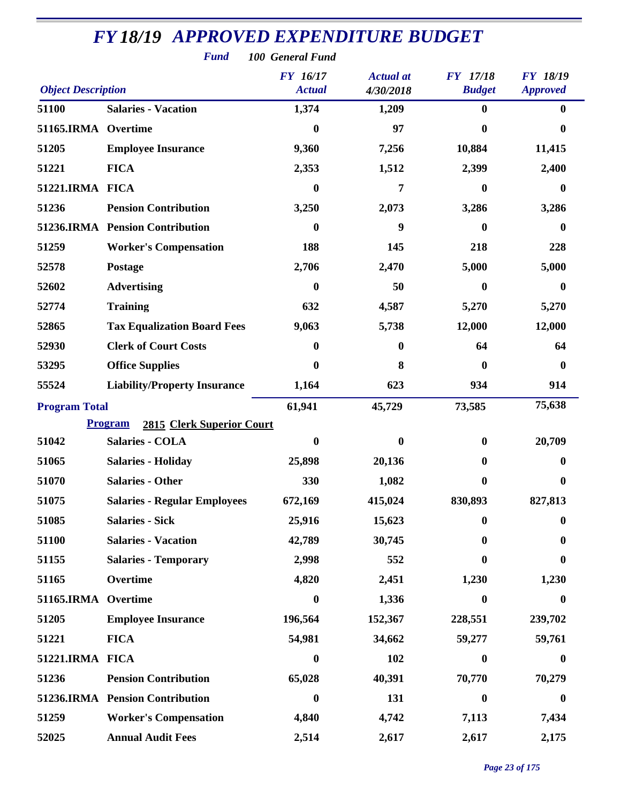| <b>Fund</b><br>100 General Fund |                                             |                           |                               |                                  |                                    |  |  |
|---------------------------------|---------------------------------------------|---------------------------|-------------------------------|----------------------------------|------------------------------------|--|--|
| <b>Object Description</b>       |                                             | FY 16/17<br><b>Actual</b> | <b>Actual</b> at<br>4/30/2018 | <b>FY</b> 17/18<br><b>Budget</b> | <b>FY 18/19</b><br><b>Approved</b> |  |  |
| 51100                           | <b>Salaries - Vacation</b>                  | 1,374                     | 1,209                         | $\bf{0}$                         | $\bf{0}$                           |  |  |
| 51165.IRMA Overtime             |                                             | 0                         | 97                            | 0                                | 0                                  |  |  |
| 51205                           | <b>Employee Insurance</b>                   | 9,360                     | 7,256                         | 10,884                           | 11,415                             |  |  |
| 51221                           | <b>FICA</b>                                 | 2,353                     | 1,512                         | 2,399                            | 2,400                              |  |  |
| 51221.IRMA FICA                 |                                             | $\bf{0}$                  | 7                             | 0                                | 0                                  |  |  |
| 51236                           | <b>Pension Contribution</b>                 | 3,250                     | 2,073                         | 3,286                            | 3,286                              |  |  |
|                                 | 51236.IRMA Pension Contribution             | $\bf{0}$                  | 9                             | 0                                | 0                                  |  |  |
| 51259                           | <b>Worker's Compensation</b>                | 188                       | 145                           | 218                              | 228                                |  |  |
| 52578                           | Postage                                     | 2,706                     | 2,470                         | 5,000                            | 5,000                              |  |  |
| 52602                           | <b>Advertising</b>                          | $\boldsymbol{0}$          | 50                            | 0                                | $\mathbf{0}$                       |  |  |
| 52774                           | <b>Training</b>                             | 632                       | 4,587                         | 5,270                            | 5,270                              |  |  |
| 52865                           | <b>Tax Equalization Board Fees</b>          | 9,063                     | 5,738                         | 12,000                           | 12,000                             |  |  |
| 52930                           | <b>Clerk of Court Costs</b>                 | $\boldsymbol{0}$          | 0                             | 64                               | 64                                 |  |  |
| 53295                           | <b>Office Supplies</b>                      | 0                         | 8                             | $\boldsymbol{0}$                 | $\bf{0}$                           |  |  |
| 55524                           | <b>Liability/Property Insurance</b>         | 1,164                     | 623                           | 934                              | 914                                |  |  |
| <b>Program Total</b>            |                                             | 61,941                    | 45,729                        | 73,585                           | 75,638                             |  |  |
|                                 | 2815 Clerk Superior Court<br><b>Program</b> |                           |                               |                                  |                                    |  |  |
| 51042                           | <b>Salaries - COLA</b>                      | 0                         | $\bf{0}$                      | $\bf{0}$                         | 20,709                             |  |  |
| 51065                           | <b>Salaries - Holiday</b>                   | 25,898                    | 20,136                        | 0                                | 0                                  |  |  |
| 51070                           | <b>Salaries - Other</b>                     | 330                       | 1,082                         | 0                                | 0                                  |  |  |
| 51075                           | <b>Salaries - Regular Employees</b>         | 672,169                   | 415,024                       | 830,893                          | 827,813                            |  |  |
| 51085                           | <b>Salaries - Sick</b>                      | 25,916                    | 15,623                        | 0                                | $\bf{0}$                           |  |  |
| 51100                           | <b>Salaries - Vacation</b>                  | 42,789                    | 30,745                        | 0                                | 0                                  |  |  |
| 51155                           | <b>Salaries - Temporary</b>                 | 2,998                     | 552                           | 0                                | 0                                  |  |  |
| 51165                           | Overtime                                    | 4,820                     | 2,451                         | 1,230                            | 1,230                              |  |  |
| 51165.IRMA                      | Overtime                                    | $\boldsymbol{0}$          | 1,336                         | $\boldsymbol{0}$                 | 0                                  |  |  |
| 51205                           | <b>Employee Insurance</b>                   | 196,564                   | 152,367                       | 228,551                          | 239,702                            |  |  |
| 51221                           | <b>FICA</b>                                 | 54,981                    | 34,662                        | 59,277                           | 59,761                             |  |  |
| 51221.IRMA FICA                 |                                             | $\boldsymbol{0}$          | 102                           | $\boldsymbol{0}$                 | 0                                  |  |  |
| 51236                           | <b>Pension Contribution</b>                 | 65,028                    | 40,391                        | 70,770                           | 70,279                             |  |  |
|                                 | 51236.IRMA Pension Contribution             | $\boldsymbol{0}$          | 131                           | $\boldsymbol{0}$                 | $\boldsymbol{0}$                   |  |  |
| 51259                           | <b>Worker's Compensation</b>                | 4,840                     | 4,742                         | 7,113                            | 7,434                              |  |  |
| 52025                           | <b>Annual Audit Fees</b>                    | 2,514                     | 2,617                         | 2,617                            | 2,175                              |  |  |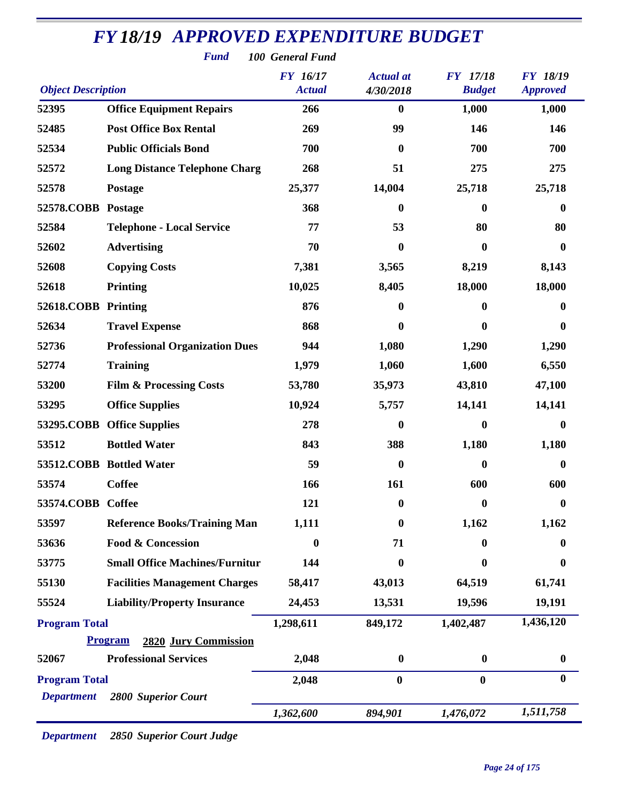|                           | <b>FY18/19 APPROVED EXPENDITURE BUDGET</b><br><b>Fund</b> | 100 General Fund                 |                               |                                  |                                    |
|---------------------------|-----------------------------------------------------------|----------------------------------|-------------------------------|----------------------------------|------------------------------------|
| <b>Object Description</b> |                                                           | <b>FY</b> 16/17<br><b>Actual</b> | <b>Actual</b> at<br>4/30/2018 | <b>FY</b> 17/18<br><b>Budget</b> | <b>FY 18/19</b><br><b>Approved</b> |
| 52395                     | <b>Office Equipment Repairs</b>                           | 266                              | $\boldsymbol{0}$              | 1,000                            | 1,000                              |
| 52485                     | <b>Post Office Box Rental</b>                             | 269                              | 99                            | 146                              | 146                                |
| 52534                     | <b>Public Officials Bond</b>                              | 700                              | $\boldsymbol{0}$              | 700                              | 700                                |
| 52572                     | <b>Long Distance Telephone Charg</b>                      | 268                              | 51                            | 275                              | 275                                |
| 52578                     | Postage                                                   | 25,377                           | 14,004                        | 25,718                           | 25,718                             |
| 52578.COBB Postage        |                                                           | 368                              | $\bf{0}$                      | $\bf{0}$                         | $\bf{0}$                           |
| 52584                     | <b>Telephone - Local Service</b>                          | 77                               | 53                            | 80                               | 80                                 |
| 52602                     | <b>Advertising</b>                                        | 70                               | $\boldsymbol{0}$              | $\bf{0}$                         | $\bf{0}$                           |
| 52608                     | <b>Copying Costs</b>                                      | 7,381                            | 3,565                         | 8,219                            | 8,143                              |
| 52618                     | <b>Printing</b>                                           | 10,025                           | 8,405                         | 18,000                           | 18,000                             |
| 52618.COBB                | <b>Printing</b>                                           | 876                              | 0                             | 0                                | $\bf{0}$                           |
| 52634                     | <b>Travel Expense</b>                                     | 868                              | 0                             | 0                                | $\mathbf{0}$                       |
| 52736                     | <b>Professional Organization Dues</b>                     | 944                              | 1,080                         | 1,290                            | 1,290                              |
| 52774                     | <b>Training</b>                                           | 1,979                            | 1,060                         | 1,600                            | 6,550                              |
| 53200                     | <b>Film &amp; Processing Costs</b>                        | 53,780                           | 35,973                        | 43,810                           | 47,100                             |
| 53295                     | <b>Office Supplies</b>                                    | 10,924                           | 5,757                         | 14,141                           | 14,141                             |
| 53295.COBB                | <b>Office Supplies</b>                                    | 278                              | $\bf{0}$                      | $\bf{0}$                         | $\bf{0}$                           |
| 53512                     | <b>Bottled Water</b>                                      | 843                              | 388                           | 1,180                            | 1,180                              |
|                           | 53512.COBB Bottled Water                                  | 59                               | 0                             | $\boldsymbol{0}$                 | 0                                  |
| 53574                     | <b>Coffee</b>                                             | 166                              | 161                           | 600                              | 600                                |
| 53574.COBB Coffee         |                                                           | 121                              | 0                             | $\bf{0}$                         | $\bf{0}$                           |
| 53597                     | <b>Reference Books/Training Man</b>                       | 1,111                            | $\bf{0}$                      | 1,162                            | 1,162                              |
| 53636                     | <b>Food &amp; Concession</b>                              | $\mathbf{0}$                     | 71                            | 0                                | 0                                  |
| 53775                     | <b>Small Office Machines/Furnitur</b>                     | 144                              | 0                             | 0                                | 0                                  |
| 55130                     | <b>Facilities Management Charges</b>                      | 58,417                           | 43,013                        | 64,519                           | 61,741                             |
| 55524                     | <b>Liability/Property Insurance</b>                       | 24,453                           | 13,531                        | 19,596                           | 19,191                             |
| <b>Program Total</b>      | <b>Program</b><br>2820 Jury Commission                    | 1,298,611                        | 849,172                       | 1,402,487                        | 1,436,120                          |
| 52067                     | <b>Professional Services</b>                              | 2,048                            | $\boldsymbol{0}$              | $\boldsymbol{0}$                 | $\boldsymbol{0}$                   |
| <b>Program Total</b>      |                                                           | 2,048                            | $\bf{0}$                      | $\bf{0}$                         | $\bf{0}$                           |
| <b>Department</b>         | <b>2800 Superior Court</b>                                |                                  |                               |                                  |                                    |
|                           |                                                           | 1,362,600                        | 894,901                       | 1,476,072                        | 1,511,758                          |

*Department 2850 Superior Court Judge*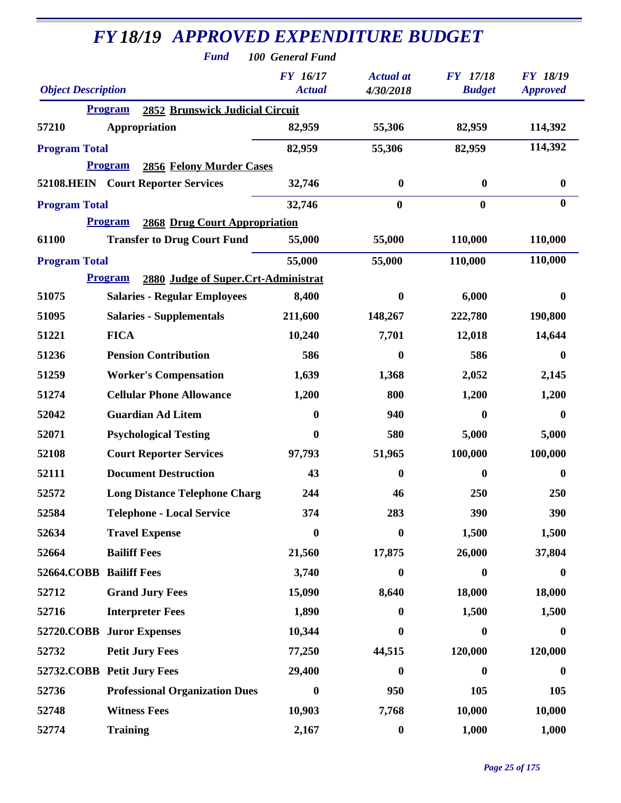| <b>FY18/19 APPROVED EXPENDITURE BUDGET</b> |                                                          |                           |                               |                                  |                                    |  |  |
|--------------------------------------------|----------------------------------------------------------|---------------------------|-------------------------------|----------------------------------|------------------------------------|--|--|
|                                            | <b>Fund</b>                                              | 100 General Fund          |                               |                                  |                                    |  |  |
| <b>Object Description</b>                  |                                                          | FY 16/17<br><b>Actual</b> | <b>Actual</b> at<br>4/30/2018 | <b>FY</b> 17/18<br><b>Budget</b> | <b>FY 18/19</b><br><b>Approved</b> |  |  |
|                                            | <b>2852 Brunswick Judicial Circuit</b><br><b>Program</b> |                           |                               |                                  |                                    |  |  |
| 57210                                      | Appropriation                                            | 82,959                    | 55,306                        | 82,959                           | 114,392                            |  |  |
| <b>Program Total</b>                       |                                                          | 82,959                    | 55,306                        | 82,959                           | 114,392                            |  |  |
|                                            | <b>Program</b><br>2856 Felony Murder Cases               |                           |                               |                                  |                                    |  |  |
|                                            | 52108.HEIN Court Reporter Services                       | 32,746                    | $\boldsymbol{0}$              | $\boldsymbol{0}$                 | $\boldsymbol{0}$                   |  |  |
| <b>Program Total</b>                       |                                                          | 32,746                    | $\bf{0}$                      | $\boldsymbol{0}$                 | $\bf{0}$                           |  |  |
|                                            | <b>Program</b><br><b>2868 Drug Court Appropriation</b>   |                           |                               |                                  |                                    |  |  |
| 61100                                      | <b>Transfer to Drug Court Fund</b>                       | 55,000                    | 55,000                        | 110,000                          | 110,000                            |  |  |
| <b>Program Total</b>                       |                                                          | 55,000                    | 55,000                        | 110,000                          | 110,000                            |  |  |
|                                            | <b>Program</b><br>2880 Judge of Super.Crt-Administrat    |                           |                               |                                  |                                    |  |  |
| 51075                                      | <b>Salaries - Regular Employees</b>                      | 8,400                     | $\bf{0}$                      | 6,000                            | $\bf{0}$                           |  |  |
| 51095                                      | <b>Salaries - Supplementals</b>                          | 211,600                   | 148,267                       | 222,780                          | 190,800                            |  |  |
| 51221                                      | <b>FICA</b>                                              | 10,240                    | 7,701                         | 12,018                           | 14,644                             |  |  |
| 51236                                      | <b>Pension Contribution</b>                              | 586                       | 0                             | 586                              | $\bf{0}$                           |  |  |
| 51259                                      | <b>Worker's Compensation</b>                             | 1,639                     | 1,368                         | 2,052                            | 2,145                              |  |  |
| 51274                                      | <b>Cellular Phone Allowance</b>                          | 1,200                     | 800                           | 1,200                            | 1,200                              |  |  |
| 52042                                      | <b>Guardian Ad Litem</b>                                 | 0                         | 940                           | $\bf{0}$                         | $\boldsymbol{0}$                   |  |  |
| 52071                                      | <b>Psychological Testing</b>                             | 0                         | 580                           | 5,000                            | 5,000                              |  |  |
| 52108                                      | <b>Court Reporter Services</b>                           | 97,793                    | 51,965                        | 100,000                          | 100,000                            |  |  |
| 52111                                      | <b>Document Destruction</b>                              | 43                        | 0                             | $\boldsymbol{0}$                 | $\boldsymbol{0}$                   |  |  |
| 52572                                      | <b>Long Distance Telephone Charg</b>                     | 244                       | 46                            | 250                              | 250                                |  |  |
| 52584                                      | <b>Telephone - Local Service</b>                         | 374                       | 283                           | 390                              | 390                                |  |  |
| 52634                                      | <b>Travel Expense</b>                                    | $\boldsymbol{0}$          | $\bf{0}$                      | 1,500                            | 1,500                              |  |  |
| 52664                                      | <b>Bailiff Fees</b>                                      | 21,560                    | 17,875                        | 26,000                           | 37,804                             |  |  |
| 52664.COBB Bailiff Fees                    |                                                          | 3,740                     | $\boldsymbol{0}$              | $\bf{0}$                         | $\boldsymbol{0}$                   |  |  |
| 52712                                      | <b>Grand Jury Fees</b>                                   | 15,090                    | 8,640                         | 18,000                           | 18,000                             |  |  |
| 52716                                      | <b>Interpreter Fees</b>                                  | 1,890                     | 0                             | 1,500                            | 1,500                              |  |  |
|                                            | 52720.COBB Juror Expenses                                | 10,344                    | 0                             | $\mathbf{0}$                     | $\bf{0}$                           |  |  |
| 52732                                      | <b>Petit Jury Fees</b>                                   | 77,250                    | 44,515                        | 120,000                          | 120,000                            |  |  |
|                                            | 52732.COBB Petit Jury Fees                               | 29,400                    | 0                             | $\bf{0}$                         | $\boldsymbol{0}$                   |  |  |
| 52736                                      | <b>Professional Organization Dues</b>                    | $\boldsymbol{0}$          | 950                           | 105                              | 105                                |  |  |
| 52748                                      | <b>Witness Fees</b>                                      | 10,903                    | 7,768                         | 10,000                           | 10,000                             |  |  |
| 52774                                      | <b>Training</b>                                          | 2,167                     | $\boldsymbol{0}$              | 1,000                            | 1,000                              |  |  |

÷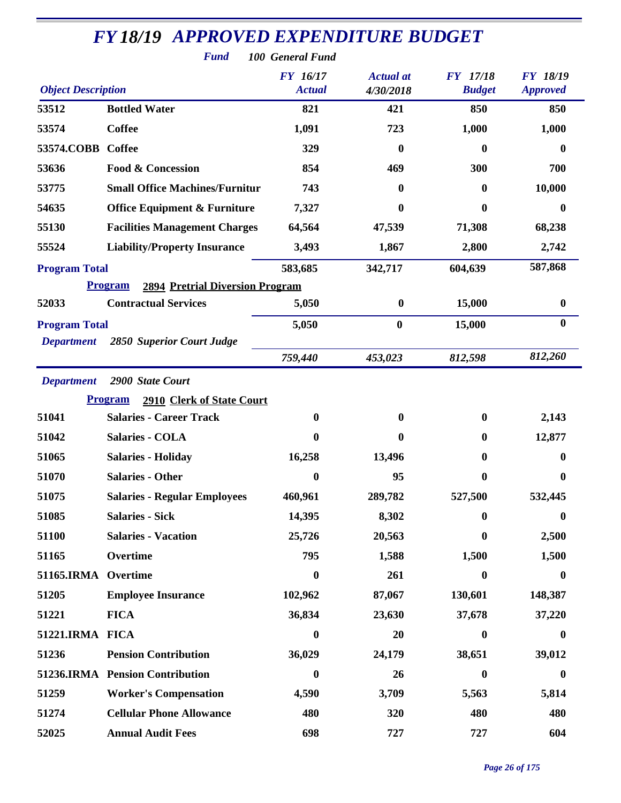| <b>FY18/19 APPROVED EXPENDITURE BUDGET</b><br><b>Fund</b><br>100 General Fund |                                                          |                                  |                               |                                  |                                    |  |  |  |
|-------------------------------------------------------------------------------|----------------------------------------------------------|----------------------------------|-------------------------------|----------------------------------|------------------------------------|--|--|--|
| <b>Object Description</b>                                                     |                                                          | <b>FY</b> 16/17<br><b>Actual</b> | <b>Actual</b> at<br>4/30/2018 | <b>FY</b> 17/18<br><b>Budget</b> | <b>FY 18/19</b><br><b>Approved</b> |  |  |  |
| 53512                                                                         | <b>Bottled Water</b>                                     | 821                              | 421                           | 850                              | 850                                |  |  |  |
| 53574                                                                         | <b>Coffee</b>                                            | 1,091                            | 723                           | 1,000                            | 1,000                              |  |  |  |
| 53574.COBB                                                                    | Coffee                                                   | 329                              | 0                             | $\mathbf{0}$                     | 0                                  |  |  |  |
| 53636                                                                         | <b>Food &amp; Concession</b>                             | 854                              | 469                           | 300                              | 700                                |  |  |  |
| 53775                                                                         | <b>Small Office Machines/Furnitur</b>                    | 743                              | 0                             | $\mathbf{0}$                     | 10,000                             |  |  |  |
| 54635                                                                         | <b>Office Equipment &amp; Furniture</b>                  | 7,327                            | 0                             | $\mathbf{0}$                     | 0                                  |  |  |  |
| 55130                                                                         | <b>Facilities Management Charges</b>                     | 64,564                           | 47,539                        | 71,308                           | 68,238                             |  |  |  |
| 55524                                                                         | <b>Liability/Property Insurance</b>                      | 3,493                            | 1,867                         | 2,800                            | 2,742                              |  |  |  |
| <b>Program Total</b>                                                          |                                                          | 583,685                          | 342,717                       | 604,639                          | 587,868                            |  |  |  |
|                                                                               | <b>2894 Pretrial Diversion Program</b><br><b>Program</b> |                                  |                               |                                  |                                    |  |  |  |
| 52033                                                                         | <b>Contractual Services</b>                              | 5,050                            | $\boldsymbol{0}$              | 15,000                           | $\boldsymbol{0}$                   |  |  |  |
| <b>Program Total</b>                                                          |                                                          | 5,050                            | $\bf{0}$                      | 15,000                           | $\boldsymbol{0}$                   |  |  |  |
| <b>Department</b>                                                             | 2850 Superior Court Judge                                |                                  |                               |                                  |                                    |  |  |  |
|                                                                               |                                                          | 759,440                          | 453,023                       | 812,598                          | 812,260                            |  |  |  |
| <b>Department</b>                                                             | 2900 State Court                                         |                                  |                               |                                  |                                    |  |  |  |
|                                                                               | 2910 Clerk of State Court<br><b>Program</b>              |                                  |                               |                                  |                                    |  |  |  |
| 51041                                                                         | <b>Salaries - Career Track</b>                           | $\bf{0}$                         | 0                             | $\bf{0}$                         | 2,143                              |  |  |  |
| 51042                                                                         | <b>Salaries - COLA</b>                                   | $\mathbf{0}$                     | 0                             | $\mathbf{0}$                     | 12,877                             |  |  |  |
| 51065                                                                         | <b>Salaries - Holiday</b>                                | 16,258                           | 13,496                        | $\mathbf{0}$                     | $\bf{0}$                           |  |  |  |
| 51070                                                                         | <b>Salaries - Other</b>                                  | $\boldsymbol{0}$                 | 95                            | $\bf{0}$                         | $\bf{0}$                           |  |  |  |
| 51075                                                                         | <b>Salaries - Regular Employees</b>                      | 460,961                          | 289,782                       | 527,500                          | 532,445                            |  |  |  |
| 51085                                                                         | <b>Salaries - Sick</b>                                   | 14,395                           | 8,302                         | $\mathbf{0}$                     | $\bf{0}$                           |  |  |  |
| 51100                                                                         | <b>Salaries - Vacation</b>                               | 25,726                           | 20,563                        | $\mathbf{0}$                     | 2,500                              |  |  |  |
| 51165                                                                         | Overtime                                                 | 795                              | 1,588                         | 1,500                            | 1,500                              |  |  |  |
| 51165.IRMA Overtime                                                           |                                                          | $\bf{0}$                         | 261                           | $\boldsymbol{0}$                 | $\boldsymbol{0}$                   |  |  |  |
| 51205                                                                         | <b>Employee Insurance</b>                                | 102,962                          | 87,067                        | 130,601                          | 148,387                            |  |  |  |
| 51221                                                                         | <b>FICA</b>                                              | 36,834                           | 23,630                        | 37,678                           | 37,220                             |  |  |  |
| 51221.IRMA FICA                                                               |                                                          | $\boldsymbol{0}$                 | 20                            | $\boldsymbol{0}$                 | $\bf{0}$                           |  |  |  |
| 51236                                                                         | <b>Pension Contribution</b>                              | 36,029                           | 24,179                        | 38,651                           | 39,012                             |  |  |  |
|                                                                               | 51236.IRMA Pension Contribution                          | $\boldsymbol{0}$                 | 26                            | $\bf{0}$                         | $\boldsymbol{0}$                   |  |  |  |
| 51259                                                                         | <b>Worker's Compensation</b>                             | 4,590                            | 3,709                         | 5,563                            | 5,814                              |  |  |  |
| 51274                                                                         | <b>Cellular Phone Allowance</b>                          | 480                              | 320                           | 480                              | 480                                |  |  |  |
| 52025                                                                         | <b>Annual Audit Fees</b>                                 | 698                              | 727                           | 727                              | 604                                |  |  |  |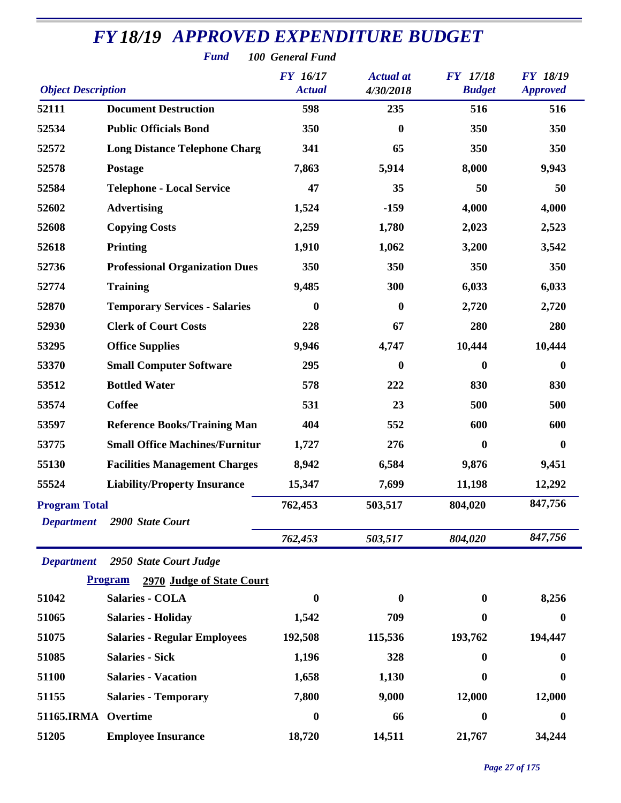| <b>FY 18/19 APPROVED EXPENDITURE BUDGET</b><br><b>Fund</b><br>100 General Fund |                                                                       |                                  |                               |                                  |                                    |  |  |
|--------------------------------------------------------------------------------|-----------------------------------------------------------------------|----------------------------------|-------------------------------|----------------------------------|------------------------------------|--|--|
| <b>Object Description</b>                                                      |                                                                       | <b>FY</b> 16/17<br><b>Actual</b> | <b>Actual</b> at<br>4/30/2018 | <b>FY</b> 17/18<br><b>Budget</b> | <b>FY 18/19</b><br><b>Approved</b> |  |  |
| 52111                                                                          | <b>Document Destruction</b>                                           | 598                              | 235                           | 516                              | 516                                |  |  |
| 52534                                                                          | <b>Public Officials Bond</b>                                          | 350                              | $\bf{0}$                      | 350                              | 350                                |  |  |
| 52572                                                                          | <b>Long Distance Telephone Charg</b>                                  | 341                              | 65                            | 350                              | 350                                |  |  |
| 52578                                                                          | Postage                                                               | 7,863                            | 5,914                         | 8,000                            | 9,943                              |  |  |
| 52584                                                                          | <b>Telephone - Local Service</b>                                      | 47                               | 35                            | 50                               | 50                                 |  |  |
| 52602                                                                          | <b>Advertising</b>                                                    | 1,524                            | $-159$                        | 4,000                            | 4,000                              |  |  |
| 52608                                                                          | <b>Copying Costs</b>                                                  | 2,259                            | 1,780                         | 2,023                            | 2,523                              |  |  |
| 52618                                                                          | <b>Printing</b>                                                       | 1,910                            | 1,062                         | 3,200                            | 3,542                              |  |  |
| 52736                                                                          | <b>Professional Organization Dues</b>                                 | 350                              | 350                           | 350                              | 350                                |  |  |
| 52774                                                                          | <b>Training</b>                                                       | 9,485                            | 300                           | 6,033                            | 6,033                              |  |  |
| 52870                                                                          | <b>Temporary Services - Salaries</b>                                  | $\boldsymbol{0}$                 | $\bf{0}$                      | 2,720                            | 2,720                              |  |  |
| 52930                                                                          | <b>Clerk of Court Costs</b>                                           | 228                              | 67                            | 280                              | 280                                |  |  |
| 53295                                                                          | <b>Office Supplies</b>                                                | 9,946                            | 4,747                         | 10,444                           | 10,444                             |  |  |
| 53370                                                                          | <b>Small Computer Software</b>                                        | 295                              | $\bf{0}$                      | $\boldsymbol{0}$                 | $\boldsymbol{0}$                   |  |  |
| 53512                                                                          | <b>Bottled Water</b>                                                  | 578                              | 222                           | 830                              | 830                                |  |  |
| 53574                                                                          | <b>Coffee</b>                                                         | 531                              | 23                            | 500                              | 500                                |  |  |
| 53597                                                                          | <b>Reference Books/Training Man</b>                                   | 404                              | 552                           | 600                              | 600                                |  |  |
| 53775                                                                          | <b>Small Office Machines/Furnitur</b>                                 | 1,727                            | 276                           | $\boldsymbol{0}$                 | $\boldsymbol{0}$                   |  |  |
| 55130                                                                          | <b>Facilities Management Charges</b>                                  | 8,942                            | 6,584                         | 9,876                            | 9,451                              |  |  |
| 55524                                                                          | <b>Liability/Property Insurance</b>                                   | 15,347                           | 7,699                         | 11,198                           | 12,292                             |  |  |
| <b>Program Total</b><br><b>Department</b>                                      | 2900 State Court                                                      | 762,453                          | 503,517                       | 804,020                          | 847,756                            |  |  |
|                                                                                |                                                                       | 762,453                          | 503,517                       | 804,020                          | 847,756                            |  |  |
| <b>Department</b>                                                              | 2950 State Court Judge<br><b>Program</b><br>2970 Judge of State Court |                                  |                               |                                  |                                    |  |  |
| 51042                                                                          | <b>Salaries - COLA</b>                                                | 0                                | 0                             | $\bf{0}$                         | 8,256                              |  |  |
| 51065                                                                          | <b>Salaries - Holiday</b>                                             | 1,542                            | 709                           | $\bf{0}$                         | $\boldsymbol{0}$                   |  |  |
| 51075                                                                          | <b>Salaries - Regular Employees</b>                                   | 192,508                          | 115,536                       | 193,762                          | 194,447                            |  |  |
| 51085                                                                          | <b>Salaries - Sick</b>                                                | 1,196                            | 328                           | 0                                | 0                                  |  |  |
| 51100                                                                          | <b>Salaries - Vacation</b>                                            | 1,658                            | 1,130                         | 0                                | $\bf{0}$                           |  |  |
| 51155                                                                          | <b>Salaries - Temporary</b>                                           | 7,800                            | 9,000                         | 12,000                           | 12,000                             |  |  |
| 51165.IRMA Overtime                                                            |                                                                       | $\boldsymbol{0}$                 | 66                            | $\boldsymbol{0}$                 | 0                                  |  |  |
| 51205                                                                          | <b>Employee Insurance</b>                                             | 18,720                           | 14,511                        | 21,767                           | 34,244                             |  |  |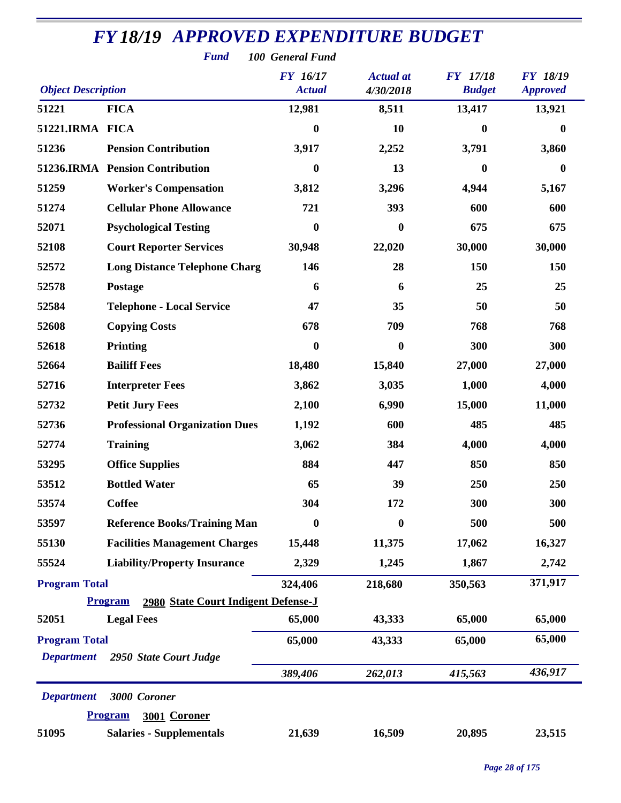|                                           | <b>Fund</b>                                                       | 100 General Fund          |                               |                                  |                                    |
|-------------------------------------------|-------------------------------------------------------------------|---------------------------|-------------------------------|----------------------------------|------------------------------------|
| <b>Object Description</b>                 |                                                                   | FY 16/17<br><b>Actual</b> | <b>Actual</b> at<br>4/30/2018 | <b>FY</b> 17/18<br><b>Budget</b> | <b>FY 18/19</b><br><b>Approved</b> |
| 51221                                     | <b>FICA</b>                                                       | 12,981                    | 8,511                         | 13,417                           | 13,921                             |
| 51221.IRMA FICA                           |                                                                   | $\bf{0}$                  | 10                            | 0                                | $\bf{0}$                           |
| 51236                                     | <b>Pension Contribution</b>                                       | 3,917                     | 2,252                         | 3,791                            | 3,860                              |
|                                           | 51236.IRMA Pension Contribution                                   | $\boldsymbol{0}$          | 13                            | 0                                | $\bf{0}$                           |
| 51259                                     | <b>Worker's Compensation</b>                                      | 3,812                     | 3,296                         | 4,944                            | 5,167                              |
| 51274                                     | <b>Cellular Phone Allowance</b>                                   | 721                       | 393                           | 600                              | 600                                |
| 52071                                     | <b>Psychological Testing</b>                                      | $\bf{0}$                  | 0                             | 675                              | 675                                |
| 52108                                     | <b>Court Reporter Services</b>                                    | 30,948                    | 22,020                        | 30,000                           | 30,000                             |
| 52572                                     | <b>Long Distance Telephone Charg</b>                              | 146                       | 28                            | 150                              | 150                                |
| 52578                                     | Postage                                                           | 6                         | 6                             | 25                               | 25                                 |
| 52584                                     | <b>Telephone - Local Service</b>                                  | 47                        | 35                            | 50                               | 50                                 |
| 52608                                     | <b>Copying Costs</b>                                              | 678                       | 709                           | 768                              | 768                                |
| 52618                                     | <b>Printing</b>                                                   | $\bf{0}$                  | $\bf{0}$                      | 300                              | 300                                |
| 52664                                     | <b>Bailiff Fees</b>                                               | 18,480                    | 15,840                        | 27,000                           | 27,000                             |
| 52716                                     | <b>Interpreter Fees</b>                                           | 3,862                     | 3,035                         | 1,000                            | 4,000                              |
| 52732                                     | <b>Petit Jury Fees</b>                                            | 2,100                     | 6,990                         | 15,000                           | 11,000                             |
| 52736                                     | <b>Professional Organization Dues</b>                             | 1,192                     | 600                           | 485                              | 485                                |
| 52774                                     | <b>Training</b>                                                   | 3,062                     | 384                           | 4,000                            | 4,000                              |
| 53295                                     | <b>Office Supplies</b>                                            | 884                       | 447                           | 850                              | 850                                |
| 53512                                     | <b>Bottled Water</b>                                              | 65                        | 39                            | 250                              | 250                                |
| 53574                                     | <b>Coffee</b>                                                     | 304                       | 172                           | 300                              | 300                                |
| 53597                                     | <b>Reference Books/Training Man</b>                               | $\bf{0}$                  | 0                             | 500                              | 500                                |
| 55130                                     | <b>Facilities Management Charges</b>                              | 15,448                    | 11,375                        | 17,062                           | 16,327                             |
| 55524                                     | <b>Liability/Property Insurance</b>                               | 2,329                     | 1,245                         | 1,867                            | 2,742                              |
| <b>Program Total</b>                      |                                                                   | 324,406                   | 218,680                       | 350,563                          | 371,917                            |
|                                           | 2980 State Court Indigent Defense-J<br><b>Program</b>             |                           |                               |                                  |                                    |
| 52051                                     | <b>Legal Fees</b>                                                 | 65,000                    | 43,333                        | 65,000                           | 65,000                             |
| <b>Program Total</b><br><b>Department</b> | 2950 State Court Judge                                            | 65,000                    | 43,333                        | 65,000                           | 65,000                             |
|                                           |                                                                   | 389,406                   | 262,013                       | 415,563                          | 436,917                            |
| <b>Department</b>                         | 3000 Coroner                                                      |                           |                               |                                  |                                    |
| 51095                                     | 3001 Coroner<br><b>Program</b><br><b>Salaries - Supplementals</b> | 21,639                    | 16,509                        | 20,895                           | 23,515                             |
|                                           |                                                                   |                           |                               |                                  |                                    |

*Page 28 of 175*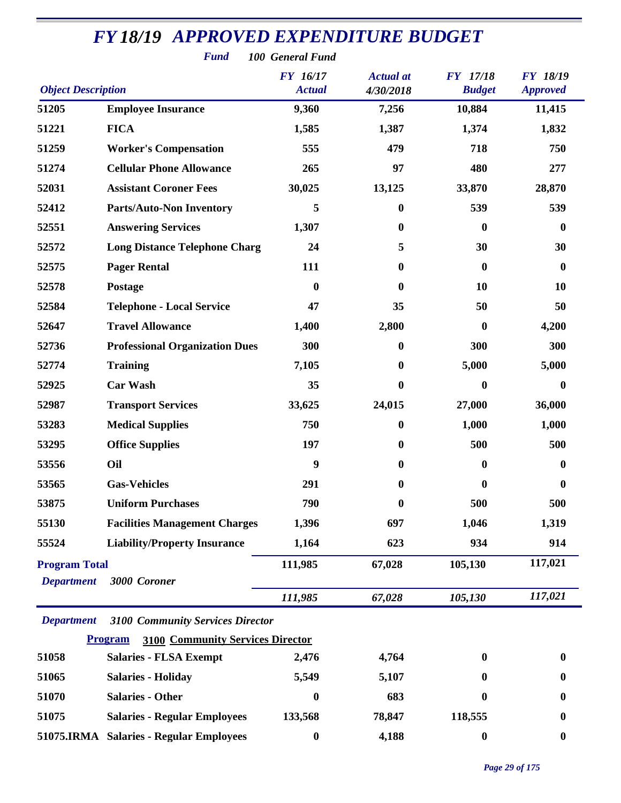|                           | <b>Fund</b>                                               | 100 General Fund                 |                               |                                  |                                    |
|---------------------------|-----------------------------------------------------------|----------------------------------|-------------------------------|----------------------------------|------------------------------------|
| <b>Object Description</b> |                                                           | <b>FY</b> 16/17<br><b>Actual</b> | <b>Actual</b> at<br>4/30/2018 | <b>FY</b> 17/18<br><b>Budget</b> | <b>FY 18/19</b><br><b>Approved</b> |
| 51205                     | <b>Employee Insurance</b>                                 | 9,360                            | 7,256                         | 10,884                           | 11,415                             |
| 51221                     | <b>FICA</b>                                               | 1,585                            | 1,387                         | 1,374                            | 1,832                              |
| 51259                     | <b>Worker's Compensation</b>                              | 555                              | 479                           | 718                              | 750                                |
| 51274                     | <b>Cellular Phone Allowance</b>                           | 265                              | 97                            | 480                              | 277                                |
| 52031                     | <b>Assistant Coroner Fees</b>                             | 30,025                           | 13,125                        | 33,870                           | 28,870                             |
| 52412                     | <b>Parts/Auto-Non Inventory</b>                           | 5                                | $\bf{0}$                      | 539                              | 539                                |
| 52551                     | <b>Answering Services</b>                                 | 1,307                            | $\boldsymbol{0}$              | $\boldsymbol{0}$                 | $\bf{0}$                           |
| 52572                     | <b>Long Distance Telephone Charg</b>                      | 24                               | 5                             | 30                               | 30                                 |
| 52575                     | <b>Pager Rental</b>                                       | 111                              | $\boldsymbol{0}$              | $\boldsymbol{0}$                 | $\boldsymbol{0}$                   |
| 52578                     | Postage                                                   | $\boldsymbol{0}$                 | $\mathbf{0}$                  | 10                               | 10                                 |
| 52584                     | <b>Telephone - Local Service</b>                          | 47                               | 35                            | 50                               | 50                                 |
| 52647                     | <b>Travel Allowance</b>                                   | 1,400                            | 2,800                         | $\boldsymbol{0}$                 | 4,200                              |
| 52736                     | <b>Professional Organization Dues</b>                     | 300                              | $\boldsymbol{0}$              | 300                              | 300                                |
| 52774                     | <b>Training</b>                                           | 7,105                            | $\bf{0}$                      | 5,000                            | 5,000                              |
| 52925                     | <b>Car Wash</b>                                           | 35                               | $\bf{0}$                      | $\boldsymbol{0}$                 | $\bf{0}$                           |
| 52987                     | <b>Transport Services</b>                                 | 33,625                           | 24,015                        | 27,000                           | 36,000                             |
| 53283                     | <b>Medical Supplies</b>                                   | 750                              | $\boldsymbol{0}$              | 1,000                            | 1,000                              |
| 53295                     | <b>Office Supplies</b>                                    | 197                              | $\boldsymbol{0}$              | 500                              | 500                                |
| 53556                     | Oil                                                       | 9                                | $\bf{0}$                      | $\boldsymbol{0}$                 | 0                                  |
| 53565                     | <b>Gas-Vehicles</b>                                       | 291                              | $\boldsymbol{0}$              | $\boldsymbol{0}$                 | 0                                  |
| 53875                     | <b>Uniform Purchases</b>                                  | 790                              | $\boldsymbol{0}$              | 500                              | 500                                |
| 55130                     | <b>Facilities Management Charges</b>                      | 1,396                            | 697                           | 1,046                            | 1,319                              |
| 55524                     | <b>Liability/Property Insurance</b>                       | 1,164                            | 623                           | 934                              | 914                                |
| <b>Program Total</b>      |                                                           | 111,985                          | 67,028                        | 105,130                          | 117,021                            |
| <b>Department</b>         | 3000 Coroner                                              |                                  |                               |                                  |                                    |
|                           |                                                           | 111,985                          | 67,028                        | 105,130                          | 117,021                            |
| <b>Department</b>         | <b>3100 Community Services Director</b>                   |                                  |                               |                                  |                                    |
|                           | <b>3100 Community Services Director</b><br><b>Program</b> |                                  |                               |                                  |                                    |
| 51058                     | <b>Salaries - FLSA Exempt</b>                             | 2,476                            | 4,764                         | $\boldsymbol{0}$                 | $\bf{0}$                           |
| 51065                     | <b>Salaries - Holiday</b>                                 | 5,549                            | 5,107                         | $\bf{0}$                         | 0                                  |
| 51070                     | <b>Salaries - Other</b>                                   | $\boldsymbol{0}$                 | 683                           | 0                                | 0                                  |
| 51075                     | <b>Salaries - Regular Employees</b>                       | 133,568                          | 78,847                        | 118,555                          | $\bf{0}$                           |
|                           | 51075.IRMA Salaries - Regular Employees                   | $\boldsymbol{0}$                 | 4,188                         | $\boldsymbol{0}$                 | $\boldsymbol{0}$                   |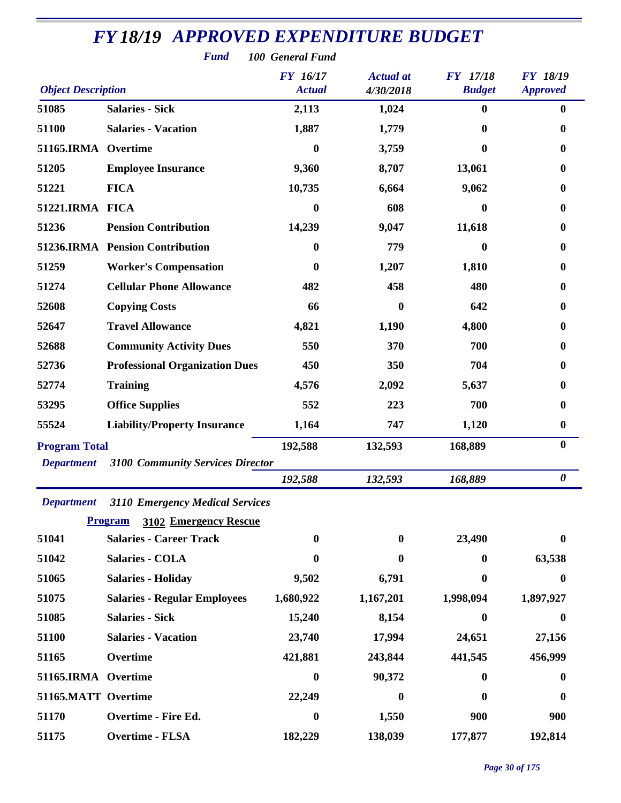|                           | <b>Fund</b>                             | 100 General Fund          |                               |                                  |                                    |
|---------------------------|-----------------------------------------|---------------------------|-------------------------------|----------------------------------|------------------------------------|
| <b>Object Description</b> |                                         | FY 16/17<br><b>Actual</b> | <b>Actual</b> at<br>4/30/2018 | <b>FY</b> 17/18<br><b>Budget</b> | <b>FY 18/19</b><br><b>Approved</b> |
| 51085                     | <b>Salaries - Sick</b>                  | 2,113                     | 1,024                         | $\bf{0}$                         | $\bf{0}$                           |
| 51100                     | <b>Salaries - Vacation</b>              | 1,887                     | 1,779                         | $\mathbf{0}$                     | 0                                  |
| 51165.IRMA                | Overtime                                | $\bf{0}$                  | 3,759                         | $\mathbf{0}$                     | $\bf{0}$                           |
| 51205                     | <b>Employee Insurance</b>               | 9,360                     | 8,707                         | 13,061                           | 0                                  |
| 51221                     | <b>FICA</b>                             | 10,735                    | 6,664                         | 9,062                            | $\bf{0}$                           |
| 51221.IRMA FICA           |                                         | $\boldsymbol{0}$          | 608                           | 0                                | $\bf{0}$                           |
| 51236                     | <b>Pension Contribution</b>             | 14,239                    | 9,047                         | 11,618                           | 0                                  |
|                           | 51236.IRMA Pension Contribution         | $\bf{0}$                  | 779                           | $\mathbf{0}$                     | 0                                  |
| 51259                     | <b>Worker's Compensation</b>            | $\bf{0}$                  | 1,207                         | 1,810                            | $\bf{0}$                           |
| 51274                     | <b>Cellular Phone Allowance</b>         | 482                       | 458                           | 480                              | 0                                  |
| 52608                     | <b>Copying Costs</b>                    | 66                        | 0                             | 642                              | 0                                  |
| 52647                     | <b>Travel Allowance</b>                 | 4,821                     | 1,190                         | 4,800                            | 0                                  |
| 52688                     | <b>Community Activity Dues</b>          | 550                       | 370                           | 700                              | 0                                  |
| 52736                     | <b>Professional Organization Dues</b>   | 450                       | 350                           | 704                              | 0                                  |
| 52774                     | <b>Training</b>                         | 4,576                     | 2,092                         | 5,637                            | 0                                  |
| 53295                     | <b>Office Supplies</b>                  | 552                       | 223                           | 700                              | 0                                  |
| 55524                     | <b>Liability/Property Insurance</b>     | 1,164                     | 747                           | 1,120                            | $\boldsymbol{0}$                   |
| <b>Program Total</b>      |                                         | 192,588                   | 132,593                       | 168,889                          | $\boldsymbol{0}$                   |
| <b>Department</b>         | <b>3100 Community Services Director</b> |                           |                               |                                  |                                    |
|                           |                                         | 192,588                   | 132,593                       | 168,889                          | $\boldsymbol{\theta}$              |
| <b>Department</b>         | 3110 Emergency Medical Services         |                           |                               |                                  |                                    |
|                           | <b>Program</b><br>3102 Emergency Rescue |                           |                               |                                  |                                    |
| 51041                     | <b>Salaries - Career Track</b>          | $\boldsymbol{0}$          | 0                             | 23,490                           | $\boldsymbol{0}$                   |
| 51042                     | <b>Salaries - COLA</b>                  | $\bf{0}$                  | 0                             | $\mathbf{0}$                     | 63,538                             |
| 51065                     | <b>Salaries - Holiday</b>               | 9,502                     | 6,791                         | $\mathbf{0}$                     | $\bf{0}$                           |
| 51075                     | <b>Salaries - Regular Employees</b>     | 1,680,922                 | 1,167,201                     | 1,998,094                        | 1,897,927                          |
| 51085                     | <b>Salaries - Sick</b>                  | 15,240                    | 8,154                         | $\mathbf{0}$                     | 0                                  |
| 51100                     | <b>Salaries - Vacation</b>              | 23,740                    | 17,994                        | 24,651                           | 27,156                             |
| 51165                     | Overtime                                | 421,881                   | 243,844                       | 441,545                          | 456,999                            |
| 51165.IRMA Overtime       |                                         | $\boldsymbol{0}$          | 90,372                        | $\mathbf{0}$                     | $\bf{0}$                           |
| 51165.MATT Overtime       |                                         | 22,249                    | 0                             | $\mathbf{0}$                     | 0                                  |
| 51170                     | Overtime - Fire Ed.                     | $\boldsymbol{0}$          | 1,550                         | 900                              | 900                                |
| 51175                     | <b>Overtime - FLSA</b>                  | 182,229                   | 138,039                       | 177,877                          | 192,814                            |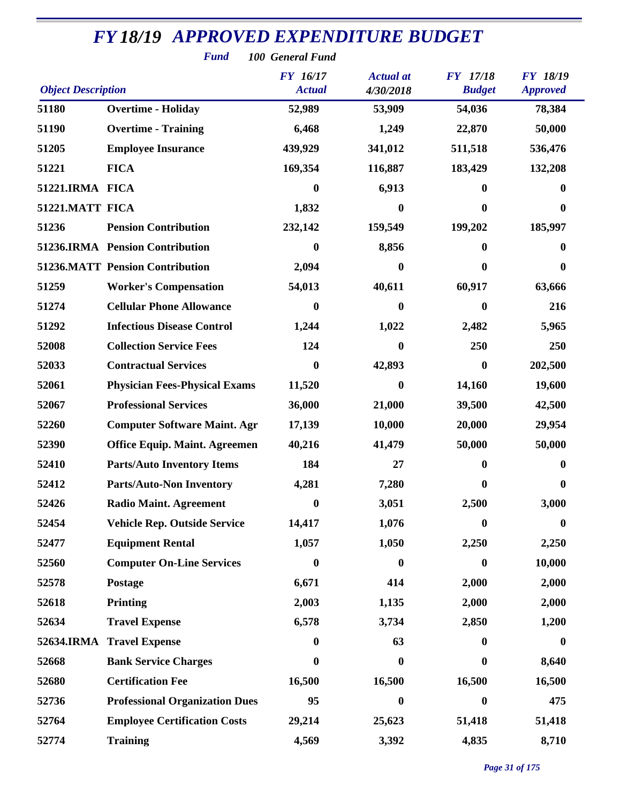|                           | <b>Fund</b>                            | 100 General Fund |                  |                  |                  |
|---------------------------|----------------------------------------|------------------|------------------|------------------|------------------|
|                           |                                        | <b>FY</b> 16/17  | <b>Actual</b> at | FY 17/18         | <b>FY 18/19</b>  |
| <b>Object Description</b> |                                        | <b>Actual</b>    | 4/30/2018        | <b>Budget</b>    | <b>Approved</b>  |
| 51180                     | <b>Overtime - Holiday</b>              | 52,989           | 53,909           | 54,036           | 78,384           |
| 51190                     | <b>Overtime - Training</b>             | 6,468            | 1,249            | 22,870           | 50,000           |
| 51205                     | <b>Employee Insurance</b>              | 439,929          | 341,012          | 511,518          | 536,476          |
| 51221                     | <b>FICA</b>                            | 169,354          | 116,887          | 183,429          | 132,208          |
| 51221.IRMA FICA           |                                        | $\boldsymbol{0}$ | 6,913            | 0                | 0                |
| 51221.MATT FICA           |                                        | 1,832            | $\bf{0}$         | $\bf{0}$         | 0                |
| 51236                     | <b>Pension Contribution</b>            | 232,142          | 159,549          | 199,202          | 185,997          |
|                           | 51236.IRMA Pension Contribution        | 0                | 8,856            | 0                | 0                |
|                           | <b>51236.MATT Pension Contribution</b> | 2,094            | 0                | 0                | 0                |
| 51259                     | <b>Worker's Compensation</b>           | 54,013           | 40,611           | 60,917           | 63,666           |
| 51274                     | <b>Cellular Phone Allowance</b>        | 0                | 0                | 0                | 216              |
| 51292                     | <b>Infectious Disease Control</b>      | 1,244            | 1,022            | 2,482            | 5,965            |
| 52008                     | <b>Collection Service Fees</b>         | 124              | $\bf{0}$         | 250              | 250              |
| 52033                     | <b>Contractual Services</b>            | 0                | 42,893           | $\bf{0}$         | 202,500          |
| 52061                     | <b>Physician Fees-Physical Exams</b>   | 11,520           | $\bf{0}$         | 14,160           | 19,600           |
| 52067                     | <b>Professional Services</b>           | 36,000           | 21,000           | 39,500           | 42,500           |
| 52260                     | <b>Computer Software Maint. Agr</b>    | 17,139           | 10,000           | 20,000           | 29,954           |
| 52390                     | <b>Office Equip. Maint. Agreemen</b>   | 40,216           | 41,479           | 50,000           | 50,000           |
| 52410                     | <b>Parts/Auto Inventory Items</b>      | 184              | 27               | 0                | 0                |
| 52412                     | <b>Parts/Auto-Non Inventory</b>        | 4,281            | 7,280            | 0                | 0                |
| 52426                     | <b>Radio Maint. Agreement</b>          | $\boldsymbol{0}$ | 3,051            | 2,500            | 3,000            |
| 52454                     | <b>Vehicle Rep. Outside Service</b>    | 14,417           | 1,076            | $\boldsymbol{0}$ | $\boldsymbol{0}$ |
| 52477                     | <b>Equipment Rental</b>                | 1,057            | 1,050            | 2,250            | 2,250            |
| 52560                     | <b>Computer On-Line Services</b>       | $\boldsymbol{0}$ | $\bf{0}$         | $\boldsymbol{0}$ | 10,000           |
| 52578                     | Postage                                | 6,671            | 414              | 2,000            | 2,000            |
| 52618                     | <b>Printing</b>                        | 2,003            | 1,135            | 2,000            | 2,000            |
| 52634                     | <b>Travel Expense</b>                  | 6,578            | 3,734            | 2,850            | 1,200            |
| <b>52634.IRMA</b>         | <b>Travel Expense</b>                  | 0                | 63               | 0                | $\bf{0}$         |
| 52668                     | <b>Bank Service Charges</b>            | 0                | $\bf{0}$         | 0                | 8,640            |
| 52680                     | <b>Certification Fee</b>               | 16,500           | 16,500           | 16,500           | 16,500           |
| 52736                     | <b>Professional Organization Dues</b>  | 95               | $\mathbf{0}$     | 0                | 475              |
| 52764                     | <b>Employee Certification Costs</b>    | 29,214           | 25,623           | 51,418           | 51,418           |
| 52774                     | <b>Training</b>                        | 4,569            | 3,392            | 4,835            | 8,710            |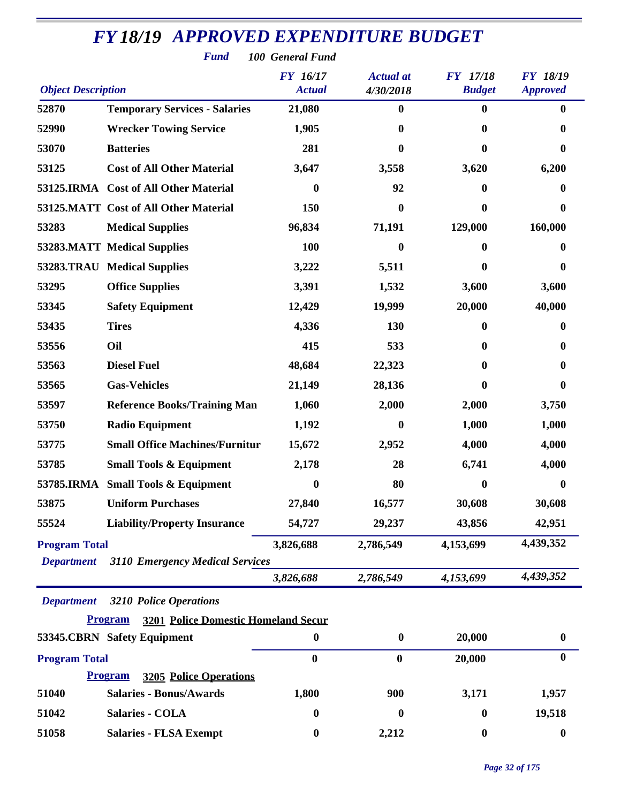| <b>Fund</b><br>100 General Fund |                                                              |                  |                  |                  |                  |  |  |
|---------------------------------|--------------------------------------------------------------|------------------|------------------|------------------|------------------|--|--|
|                                 |                                                              | <b>FY 16/17</b>  | <b>Actual</b> at | <b>FY</b> 17/18  | <b>FY 18/19</b>  |  |  |
| <b>Object Description</b>       |                                                              | <b>Actual</b>    | 4/30/2018        | <b>Budget</b>    | <b>Approved</b>  |  |  |
| 52870                           | <b>Temporary Services - Salaries</b>                         | 21,080           | 0                | $\bf{0}$         | $\bf{0}$         |  |  |
| 52990                           | <b>Wrecker Towing Service</b>                                | 1,905            | 0                | 0                | 0                |  |  |
| 53070                           | <b>Batteries</b>                                             | 281              | 0                | 0                | 0                |  |  |
| 53125                           | <b>Cost of All Other Material</b>                            | 3,647            | 3,558            | 3,620            | 6,200            |  |  |
|                                 | 53125.IRMA Cost of All Other Material                        | $\bf{0}$         | 92               | 0                | 0                |  |  |
|                                 | 53125.MATT Cost of All Other Material                        | 150              | 0                | 0                | 0                |  |  |
| 53283                           | <b>Medical Supplies</b>                                      | 96,834           | 71,191           | 129,000          | 160,000          |  |  |
|                                 | <b>53283.MATT Medical Supplies</b>                           | 100              | 0                | 0                | 0                |  |  |
|                                 | 53283.TRAU Medical Supplies                                  | 3,222            | 5,511            | 0                | 0                |  |  |
| 53295                           | <b>Office Supplies</b>                                       | 3,391            | 1,532            | 3,600            | 3,600            |  |  |
| 53345                           | <b>Safety Equipment</b>                                      | 12,429           | 19,999           | 20,000           | 40,000           |  |  |
| 53435                           | <b>Tires</b>                                                 | 4,336            | 130              | 0                | 0                |  |  |
| 53556                           | Oil                                                          | 415              | 533              | 0                | 0                |  |  |
| 53563                           | <b>Diesel Fuel</b>                                           | 48,684           | 22,323           | 0                | 0                |  |  |
| 53565                           | <b>Gas-Vehicles</b>                                          | 21,149           | 28,136           | 0                | 0                |  |  |
| 53597                           | <b>Reference Books/Training Man</b>                          | 1,060            | 2,000            | 2,000            | 3,750            |  |  |
| 53750                           | <b>Radio Equipment</b>                                       | 1,192            | 0                | 1,000            | 1,000            |  |  |
| 53775                           | <b>Small Office Machines/Furnitur</b>                        | 15,672           | 2,952            | 4,000            | 4,000            |  |  |
| 53785                           | <b>Small Tools &amp; Equipment</b>                           | 2,178            | 28               | 6,741            | 4,000            |  |  |
|                                 | 53785.IRMA Small Tools & Equipment                           | $\bf{0}$         | 80               | 0                | 0                |  |  |
| 53875                           | <b>Uniform Purchases</b>                                     | 27,840           | 16,577           | 30,608           | 30,608           |  |  |
| 55524                           | <b>Liability/Property Insurance</b>                          | 54,727           | 29,237           | 43,856           | 42,951           |  |  |
| <b>Program Total</b>            |                                                              | 3,826,688        | 2,786,549        | 4,153,699        | 4,439,352        |  |  |
| <b>Department</b>               | <b>3110 Emergency Medical Services</b>                       |                  |                  |                  |                  |  |  |
|                                 |                                                              | 3,826,688        | 2,786,549        | 4,153,699        | 4,439,352        |  |  |
| <b>Department</b>               | <b>3210 Police Operations</b>                                |                  |                  |                  |                  |  |  |
|                                 | <b>Program</b><br><b>3201 Police Domestic Homeland Secur</b> |                  |                  |                  |                  |  |  |
|                                 | 53345.CBRN Safety Equipment                                  | $\boldsymbol{0}$ | $\boldsymbol{0}$ | 20,000           | $\boldsymbol{0}$ |  |  |
| <b>Program Total</b>            |                                                              | $\bf{0}$         | $\bf{0}$         | 20,000           | $\bf{0}$         |  |  |
|                                 | <b>3205 Police Operations</b><br><b>Program</b>              |                  |                  |                  |                  |  |  |
| 51040                           | <b>Salaries - Bonus/Awards</b>                               | 1,800            | 900              | 3,171            | 1,957            |  |  |
| 51042                           | <b>Salaries - COLA</b>                                       | $\boldsymbol{0}$ | 0                | 0                | 19,518           |  |  |
| 51058                           | <b>Salaries - FLSA Exempt</b>                                | $\boldsymbol{0}$ | 2,212            | $\boldsymbol{0}$ | $\boldsymbol{0}$ |  |  |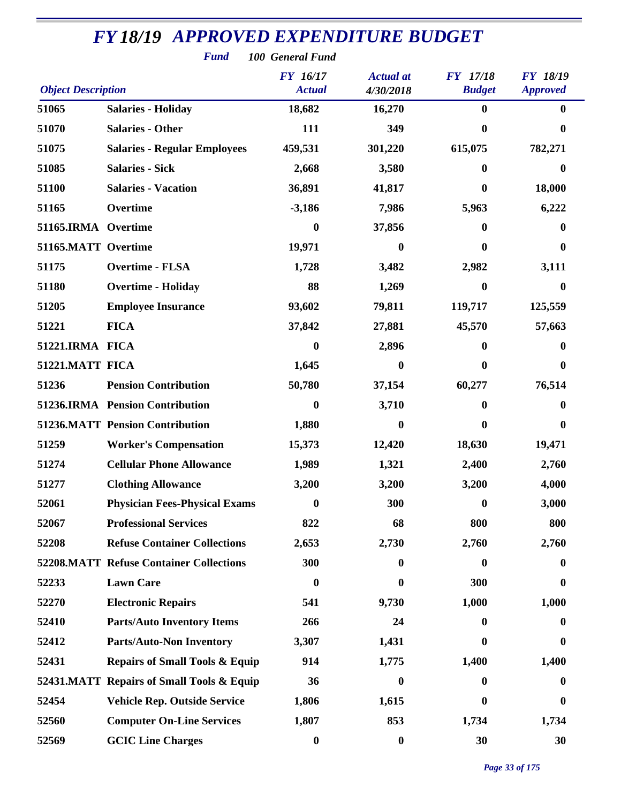| <b>FY18/19 APPROVED EXPENDITURE BUDGET</b><br><b>Fund</b><br>100 General Fund                                                                                            |                                                |                  |                  |                  |                  |  |  |  |  |
|--------------------------------------------------------------------------------------------------------------------------------------------------------------------------|------------------------------------------------|------------------|------------------|------------------|------------------|--|--|--|--|
| <b>FY 16/17</b><br><b>Actual</b> at<br><b>FY</b> 17/18<br><b>FY 18/19</b><br><b>Object Description</b><br><b>Budget</b><br><b>Actual</b><br>4/30/2018<br><b>Approved</b> |                                                |                  |                  |                  |                  |  |  |  |  |
| 51065                                                                                                                                                                    | <b>Salaries - Holiday</b>                      | 18,682           | 16,270           | $\bf{0}$         | $\mathbf 0$      |  |  |  |  |
| 51070                                                                                                                                                                    | <b>Salaries - Other</b>                        | 111              | 349              | $\bf{0}$         | 0                |  |  |  |  |
| 51075                                                                                                                                                                    | <b>Salaries - Regular Employees</b>            | 459,531          | 301,220          | 615,075          | 782,271          |  |  |  |  |
| 51085                                                                                                                                                                    | <b>Salaries - Sick</b>                         | 2,668            | 3,580            | $\bf{0}$         | 0                |  |  |  |  |
| 51100                                                                                                                                                                    | <b>Salaries - Vacation</b>                     | 36,891           | 41,817           | $\bf{0}$         | 18,000           |  |  |  |  |
| 51165                                                                                                                                                                    | Overtime                                       | $-3,186$         | 7,986            | 5,963            | 6,222            |  |  |  |  |
| 51165.IRMA Overtime                                                                                                                                                      |                                                | $\boldsymbol{0}$ | 37,856           | 0                | 0                |  |  |  |  |
| 51165.MATT Overtime                                                                                                                                                      |                                                | 19,971           | $\bf{0}$         | 0                | $\bf{0}$         |  |  |  |  |
| 51175                                                                                                                                                                    | <b>Overtime - FLSA</b>                         | 1,728            | 3,482            | 2,982            | 3,111            |  |  |  |  |
| 51180                                                                                                                                                                    | <b>Overtime - Holiday</b>                      | 88               | 1,269            | $\boldsymbol{0}$ | $\bf{0}$         |  |  |  |  |
| 51205                                                                                                                                                                    | <b>Employee Insurance</b>                      | 93,602           | 79,811           | 119,717          | 125,559          |  |  |  |  |
| 51221                                                                                                                                                                    | <b>FICA</b>                                    | 37,842           | 27,881           | 45,570           | 57,663           |  |  |  |  |
| 51221.IRMA FICA                                                                                                                                                          |                                                | $\boldsymbol{0}$ | 2,896            | $\mathbf{0}$     | $\bf{0}$         |  |  |  |  |
| 51221.MATT FICA                                                                                                                                                          |                                                | 1,645            | 0                | $\bf{0}$         | $\bf{0}$         |  |  |  |  |
| 51236                                                                                                                                                                    | <b>Pension Contribution</b>                    | 50,780           | 37,154           | 60,277           | 76,514           |  |  |  |  |
|                                                                                                                                                                          | 51236.IRMA Pension Contribution                | $\boldsymbol{0}$ | 3,710            | $\bf{0}$         | 0                |  |  |  |  |
|                                                                                                                                                                          | <b>51236.MATT Pension Contribution</b>         | 1,880            | 0                | 0                | $\bf{0}$         |  |  |  |  |
| 51259                                                                                                                                                                    | <b>Worker's Compensation</b>                   | 15,373           | 12,420           | 18,630           | 19,471           |  |  |  |  |
| 51274                                                                                                                                                                    | <b>Cellular Phone Allowance</b>                | 1,989            | 1,321            | 2,400            | 2,760            |  |  |  |  |
| 51277                                                                                                                                                                    | <b>Clothing Allowance</b>                      | 3,200            | 3,200            | 3,200            | 4,000            |  |  |  |  |
| 52061                                                                                                                                                                    | <b>Physician Fees-Physical Exams</b>           | $\boldsymbol{0}$ | 300              | $\boldsymbol{0}$ | 3,000            |  |  |  |  |
| 52067                                                                                                                                                                    | <b>Professional Services</b>                   | 822              | 68               | 800              | 800              |  |  |  |  |
| 52208                                                                                                                                                                    | <b>Refuse Container Collections</b>            | 2,653            | 2,730            | 2,760            | 2,760            |  |  |  |  |
|                                                                                                                                                                          | <b>52208.MATT Refuse Container Collections</b> | 300              | 0                | $\boldsymbol{0}$ | $\bf{0}$         |  |  |  |  |
| 52233                                                                                                                                                                    | <b>Lawn Care</b>                               | $\boldsymbol{0}$ | $\bf{0}$         | 300              | $\boldsymbol{0}$ |  |  |  |  |
| 52270                                                                                                                                                                    | <b>Electronic Repairs</b>                      | 541              | 9,730            | 1,000            | 1,000            |  |  |  |  |
| 52410                                                                                                                                                                    | <b>Parts/Auto Inventory Items</b>              | 266              | 24               | $\mathbf{0}$     | $\bf{0}$         |  |  |  |  |
| 52412                                                                                                                                                                    | <b>Parts/Auto-Non Inventory</b>                | 3,307            | 1,431            | $\mathbf{0}$     | $\bf{0}$         |  |  |  |  |
| 52431                                                                                                                                                                    | <b>Repairs of Small Tools &amp; Equip</b>      | 914              | 1,775            | 1,400            | 1,400            |  |  |  |  |
|                                                                                                                                                                          | 52431.MATT Repairs of Small Tools & Equip      | 36               | 0                | $\mathbf{0}$     | $\bf{0}$         |  |  |  |  |
| 52454                                                                                                                                                                    | <b>Vehicle Rep. Outside Service</b>            | 1,806            | 1,615            | $\mathbf{0}$     | $\bf{0}$         |  |  |  |  |
| 52560                                                                                                                                                                    | <b>Computer On-Line Services</b>               | 1,807            | 853              | 1,734            | 1,734            |  |  |  |  |
| 52569                                                                                                                                                                    | <b>GCIC Line Charges</b>                       | $\boldsymbol{0}$ | $\boldsymbol{0}$ | 30               | 30               |  |  |  |  |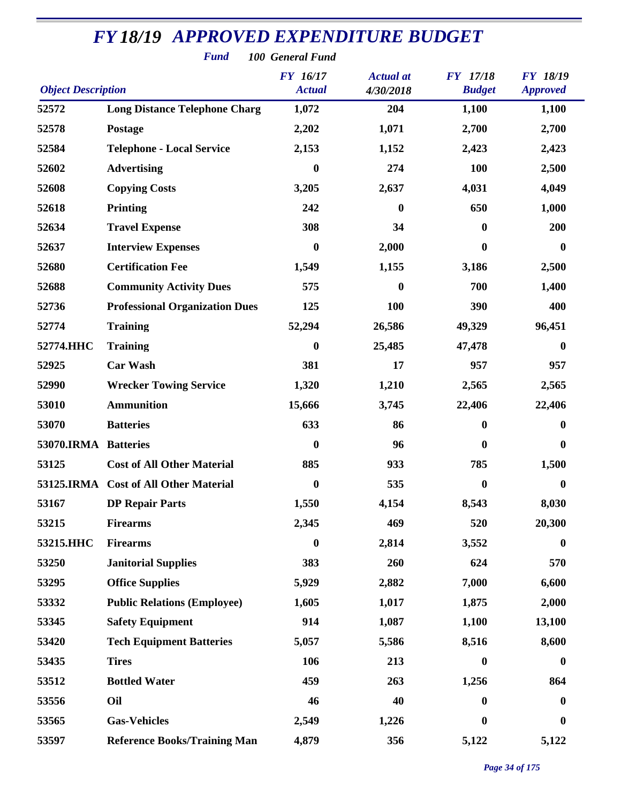| <b>FY18/19 APPROVED EXPENDITURE BUDGET</b><br><b>Fund</b><br>100 General Fund |                                       |                                  |                               |                                  |                                    |  |  |  |
|-------------------------------------------------------------------------------|---------------------------------------|----------------------------------|-------------------------------|----------------------------------|------------------------------------|--|--|--|
| <b>Object Description</b>                                                     |                                       | <b>FY</b> 16/17<br><b>Actual</b> | <b>Actual</b> at<br>4/30/2018 | <b>FY</b> 17/18<br><b>Budget</b> | <b>FY 18/19</b><br><b>Approved</b> |  |  |  |
| 52572                                                                         | <b>Long Distance Telephone Charg</b>  | 1,072                            | 204                           | 1,100                            | 1,100                              |  |  |  |
| 52578                                                                         | Postage                               | 2,202                            | 1,071                         | 2,700                            | 2,700                              |  |  |  |
| 52584                                                                         | <b>Telephone - Local Service</b>      | 2,153                            | 1,152                         | 2,423                            | 2,423                              |  |  |  |
| 52602                                                                         | <b>Advertising</b>                    | $\bf{0}$                         | 274                           | 100                              | 2,500                              |  |  |  |
| 52608                                                                         | <b>Copying Costs</b>                  | 3,205                            | 2,637                         | 4,031                            | 4,049                              |  |  |  |
| 52618                                                                         | <b>Printing</b>                       | 242                              | $\mathbf{0}$                  | 650                              | 1,000                              |  |  |  |
| 52634                                                                         | <b>Travel Expense</b>                 | 308                              | 34                            | $\bf{0}$                         | 200                                |  |  |  |
| 52637                                                                         | <b>Interview Expenses</b>             | $\bf{0}$                         | 2,000                         | $\bf{0}$                         | $\boldsymbol{0}$                   |  |  |  |
| 52680                                                                         | <b>Certification Fee</b>              | 1,549                            | 1,155                         | 3,186                            | 2,500                              |  |  |  |
| 52688                                                                         | <b>Community Activity Dues</b>        | 575                              | 0                             | 700                              | 1,400                              |  |  |  |
| 52736                                                                         | <b>Professional Organization Dues</b> | 125                              | 100                           | 390                              | 400                                |  |  |  |
| 52774                                                                         | <b>Training</b>                       | 52,294                           | 26,586                        | 49,329                           | 96,451                             |  |  |  |
| 52774.HHC                                                                     | <b>Training</b>                       | $\boldsymbol{0}$                 | 25,485                        | 47,478                           | $\boldsymbol{0}$                   |  |  |  |
| 52925                                                                         | <b>Car Wash</b>                       | 381                              | 17                            | 957                              | 957                                |  |  |  |
| 52990                                                                         | <b>Wrecker Towing Service</b>         | 1,320                            | 1,210                         | 2,565                            | 2,565                              |  |  |  |
| 53010                                                                         | <b>Ammunition</b>                     | 15,666                           | 3,745                         | 22,406                           | 22,406                             |  |  |  |
| 53070                                                                         | <b>Batteries</b>                      | 633                              | 86                            | $\boldsymbol{0}$                 | $\bf{0}$                           |  |  |  |
| 53070.IRMA Batteries                                                          |                                       | $\bf{0}$                         | 96                            | $\boldsymbol{0}$                 | $\bf{0}$                           |  |  |  |
| 53125                                                                         | <b>Cost of All Other Material</b>     | 885                              | 933                           | 785                              | 1,500                              |  |  |  |
|                                                                               | 53125.IRMA Cost of All Other Material | $\bf{0}$                         | 535                           | $\bf{0}$                         | $\boldsymbol{0}$                   |  |  |  |
| 53167                                                                         | <b>DP Repair Parts</b>                | 1,550                            | 4,154                         | 8,543                            | 8,030                              |  |  |  |
| 53215                                                                         | <b>Firearms</b>                       | 2,345                            | 469                           | 520                              | 20,300                             |  |  |  |
| 53215.HHC                                                                     | <b>Firearms</b>                       | $\boldsymbol{0}$                 | 2,814                         | 3,552                            | $\bf{0}$                           |  |  |  |
| 53250                                                                         | <b>Janitorial Supplies</b>            | 383                              | 260                           | 624                              | 570                                |  |  |  |
| 53295                                                                         | <b>Office Supplies</b>                | 5,929                            | 2,882                         | 7,000                            | 6,600                              |  |  |  |
| 53332                                                                         | <b>Public Relations (Employee)</b>    | 1,605                            | 1,017                         | 1,875                            | 2,000                              |  |  |  |
| 53345                                                                         | <b>Safety Equipment</b>               | 914                              | 1,087                         | 1,100                            | 13,100                             |  |  |  |
| 53420                                                                         | <b>Tech Equipment Batteries</b>       | 5,057                            | 5,586                         | 8,516                            | 8,600                              |  |  |  |
| 53435                                                                         | <b>Tires</b>                          | 106                              | 213                           | $\boldsymbol{0}$                 | $\boldsymbol{0}$                   |  |  |  |
| 53512                                                                         | <b>Bottled Water</b>                  | 459                              | 263                           | 1,256                            | 864                                |  |  |  |
| 53556                                                                         | Oil                                   | 46                               | 40                            | $\bf{0}$                         | $\boldsymbol{0}$                   |  |  |  |
| 53565                                                                         | <b>Gas-Vehicles</b>                   | 2,549                            | 1,226                         | $\boldsymbol{0}$                 | $\boldsymbol{0}$                   |  |  |  |
| 53597                                                                         | <b>Reference Books/Training Man</b>   | 4,879                            | 356                           | 5,122                            | 5,122                              |  |  |  |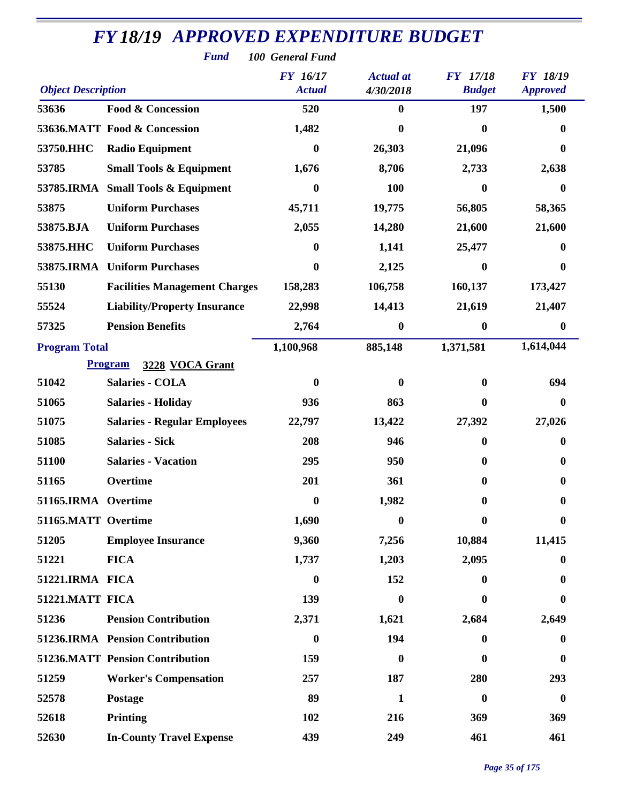|                           | <b>Fund</b>                            | 100 General Fund |                  |                  |                  |
|---------------------------|----------------------------------------|------------------|------------------|------------------|------------------|
|                           |                                        | <b>FY</b> 16/17  | <b>Actual</b> at | <b>FY</b> 17/18  | <b>FY 18/19</b>  |
| <b>Object Description</b> |                                        | <b>Actual</b>    | 4/30/2018        | <b>Budget</b>    | <b>Approved</b>  |
| 53636                     | <b>Food &amp; Concession</b>           | 520              | $\bf{0}$         | 197              | 1,500            |
|                           | 53636.MATT Food & Concession           | 1,482            | 0                | 0                | $\bf{0}$         |
| 53750.HHC                 | <b>Radio Equipment</b>                 | 0                | 26,303           | 21,096           | $\bf{0}$         |
| 53785                     | <b>Small Tools &amp; Equipment</b>     | 1,676            | 8,706            | 2,733            | 2,638            |
|                           | 53785.IRMA Small Tools & Equipment     | 0                | 100              | 0                | $\bf{0}$         |
| 53875                     | <b>Uniform Purchases</b>               | 45,711           | 19,775           | 56,805           | 58,365           |
| 53875.BJA                 | <b>Uniform Purchases</b>               | 2,055            | 14,280           | 21,600           | 21,600           |
| 53875.HHC                 | <b>Uniform Purchases</b>               | 0                | 1,141            | 25,477           | $\bf{0}$         |
|                           | 53875.IRMA Uniform Purchases           | 0                | 2,125            | $\bf{0}$         | $\bf{0}$         |
| 55130                     | <b>Facilities Management Charges</b>   | 158,283          | 106,758          | 160,137          | 173,427          |
| 55524                     | <b>Liability/Property Insurance</b>    | 22,998           | 14,413           | 21,619           | 21,407           |
| 57325                     | <b>Pension Benefits</b>                | 2,764            | 0                | $\boldsymbol{0}$ | $\boldsymbol{0}$ |
| <b>Program Total</b>      |                                        | 1,100,968        | 885,148          | 1,371,581        | 1,614,044        |
|                           | <b>Program</b><br>3228 VOCA Grant      |                  |                  |                  |                  |
| 51042                     | <b>Salaries - COLA</b>                 | $\bf{0}$         | 0                | 0                | 694              |
| 51065                     | <b>Salaries - Holiday</b>              | 936              | 863              | 0                | $\boldsymbol{0}$ |
| 51075                     | <b>Salaries - Regular Employees</b>    | 22,797           | 13,422           | 27,392           | 27,026           |
| 51085                     | <b>Salaries - Sick</b>                 | 208              | 946              | 0                | $\bf{0}$         |
| 51100                     | <b>Salaries - Vacation</b>             | 295              | 950              |                  | $\bf{0}$         |
| 51165                     | Overtime                               | 201              | 361              | 0                | $\bf{0}$         |
| 51165.IRMA Overtime       |                                        | $\boldsymbol{0}$ | 1,982            | 0                | 0                |
| 51165.MATT Overtime       |                                        | 1,690            | 0                | 0                | $\boldsymbol{0}$ |
| 51205                     | <b>Employee Insurance</b>              | 9,360            | 7,256            | 10,884           | 11,415           |
| 51221                     | <b>FICA</b>                            | 1,737            | 1,203            | 2,095            | $\bf{0}$         |
| 51221.IRMA FICA           |                                        | $\boldsymbol{0}$ | 152              | $\mathbf{0}$     | $\bf{0}$         |
| 51221.MATT FICA           |                                        | 139              | $\boldsymbol{0}$ |                  | 0                |
| 51236                     | <b>Pension Contribution</b>            | 2,371            | 1,621            | 2,684            | 2,649            |
|                           | 51236.IRMA Pension Contribution        | $\boldsymbol{0}$ | 194              | $\mathbf{0}$     | $\boldsymbol{0}$ |
|                           | <b>51236.MATT Pension Contribution</b> | 159              | 0                | 0                | $\bf{0}$         |
| 51259                     | <b>Worker's Compensation</b>           | 257              | 187              | 280              | 293              |
| 52578                     | Postage                                | 89               | $\mathbf{1}$     | $\bf{0}$         | $\boldsymbol{0}$ |
| 52618                     | Printing                               | 102              | 216              | 369              | 369              |
| 52630                     | <b>In-County Travel Expense</b>        | 439              | 249              | 461              | 461              |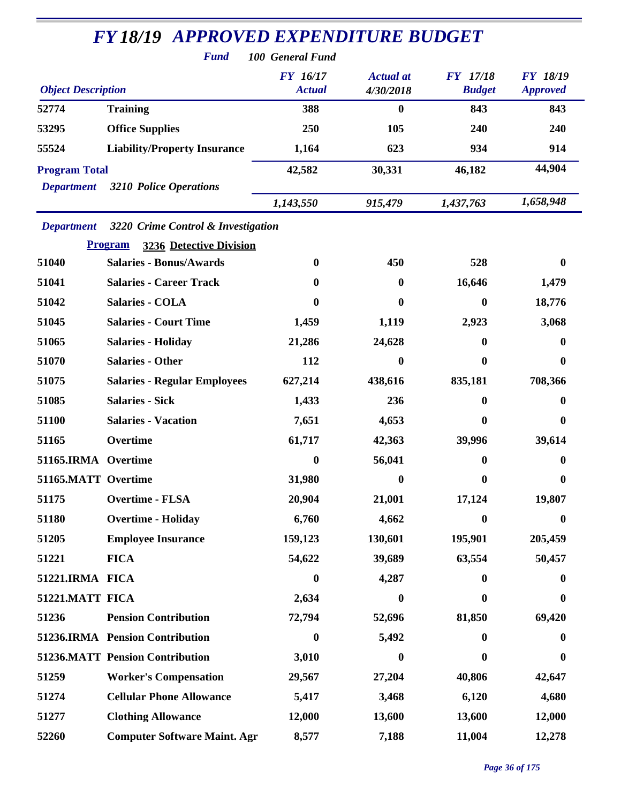| <b>FY 18/19 APPROVED EXPENDITURE BUDGET</b> |                                                  |                                  |                               |                                  |                                    |  |  |  |  |
|---------------------------------------------|--------------------------------------------------|----------------------------------|-------------------------------|----------------------------------|------------------------------------|--|--|--|--|
| <b>Fund</b><br>100 General Fund             |                                                  |                                  |                               |                                  |                                    |  |  |  |  |
| <b>Object Description</b>                   |                                                  | <b>FY</b> 16/17<br><b>Actual</b> | <b>Actual</b> at<br>4/30/2018 | <b>FY</b> 17/18<br><b>Budget</b> | <b>FY 18/19</b><br><b>Approved</b> |  |  |  |  |
| 52774                                       | <b>Training</b>                                  | 388                              | $\boldsymbol{0}$              | 843                              | 843                                |  |  |  |  |
| 53295                                       | <b>Office Supplies</b>                           | 250                              | 105                           | 240                              | 240                                |  |  |  |  |
| 55524                                       | <b>Liability/Property Insurance</b>              | 1,164                            | 623                           | 934                              | 914                                |  |  |  |  |
| <b>Program Total</b>                        |                                                  | 42,582                           | 30,331                        | 46,182                           | 44,904                             |  |  |  |  |
| <b>Department</b>                           | <b>3210 Police Operations</b>                    |                                  |                               |                                  |                                    |  |  |  |  |
|                                             |                                                  | 1,143,550                        | 915,479                       | 1,437,763                        | 1,658,948                          |  |  |  |  |
| <b>Department</b>                           | 3220 Crime Control & Investigation               |                                  |                               |                                  |                                    |  |  |  |  |
|                                             | <b>Program</b><br><b>3236 Detective Division</b> |                                  |                               |                                  |                                    |  |  |  |  |
| 51040                                       | <b>Salaries - Bonus/Awards</b>                   | 0                                | 450                           | 528                              | 0                                  |  |  |  |  |
| 51041                                       | <b>Salaries - Career Track</b>                   | 0                                | 0                             | 16,646                           | 1,479                              |  |  |  |  |
| 51042                                       | <b>Salaries - COLA</b>                           | 0                                | $\bf{0}$                      | $\bf{0}$                         | 18,776                             |  |  |  |  |
| 51045                                       | <b>Salaries - Court Time</b>                     | 1,459                            | 1,119                         | 2,923                            | 3,068                              |  |  |  |  |
| 51065                                       | <b>Salaries - Holiday</b>                        | 21,286                           | 24,628                        | $\mathbf{0}$                     | 0                                  |  |  |  |  |
| 51070                                       | <b>Salaries - Other</b>                          | 112                              | 0                             | $\bf{0}$                         | $\bf{0}$                           |  |  |  |  |
| 51075                                       | <b>Salaries - Regular Employees</b>              | 627,214                          | 438,616                       | 835,181                          | 708,366                            |  |  |  |  |
| 51085                                       | <b>Salaries - Sick</b>                           | 1,433                            | 236                           | $\mathbf{0}$                     | 0                                  |  |  |  |  |
| 51100                                       | <b>Salaries - Vacation</b>                       | 7,651                            | 4,653                         | $\mathbf{0}$                     | 0                                  |  |  |  |  |
| 51165                                       | Overtime                                         | 61,717                           | 42,363                        | 39,996                           | 39,614                             |  |  |  |  |
| 51165.IRMA Overtime                         |                                                  | 0                                | 56,041                        | $\bf{0}$                         | 0                                  |  |  |  |  |
| 51165.MATT Overtime                         |                                                  | 31,980                           | $\bf{0}$                      | $\mathbf{0}$                     | $\mathbf{0}$                       |  |  |  |  |
| 51175                                       | <b>Overtime - FLSA</b>                           | 20,904                           | 21,001                        | 17,124                           | 19,807                             |  |  |  |  |
| 51180                                       | <b>Overtime - Holiday</b>                        | 6,760                            | 4,662                         | $\boldsymbol{0}$                 | $\boldsymbol{0}$                   |  |  |  |  |
| 51205                                       | <b>Employee Insurance</b>                        | 159,123                          | 130,601                       | 195,901                          | 205,459                            |  |  |  |  |
| 51221                                       | <b>FICA</b>                                      | 54,622                           | 39,689                        | 63,554                           | 50,457                             |  |  |  |  |
| 51221.IRMA FICA                             |                                                  | $\boldsymbol{0}$                 | 4,287                         | $\mathbf{0}$                     | $\bf{0}$                           |  |  |  |  |
| 51221.MATT FICA                             |                                                  | 2,634                            | $\bf{0}$                      | $\boldsymbol{0}$                 | $\boldsymbol{0}$                   |  |  |  |  |
| 51236                                       | <b>Pension Contribution</b>                      | 72,794                           | 52,696                        | 81,850                           | 69,420                             |  |  |  |  |
|                                             | 51236.IRMA Pension Contribution                  | $\bf{0}$                         | 5,492                         | $\mathbf{0}$                     | $\bf{0}$                           |  |  |  |  |
|                                             | <b>51236.MATT Pension Contribution</b>           | 3,010                            | 0                             | $\bf{0}$                         | $\bf{0}$                           |  |  |  |  |
| 51259                                       | <b>Worker's Compensation</b>                     | 29,567                           | 27,204                        | 40,806                           | 42,647                             |  |  |  |  |
| 51274                                       | <b>Cellular Phone Allowance</b>                  | 5,417                            | 3,468                         | 6,120                            | 4,680                              |  |  |  |  |
| 51277                                       | <b>Clothing Allowance</b>                        | 12,000                           | 13,600                        | 13,600                           | 12,000                             |  |  |  |  |
| 52260                                       | <b>Computer Software Maint. Agr</b>              | 8,577                            | 7,188                         | 11,004                           | 12,278                             |  |  |  |  |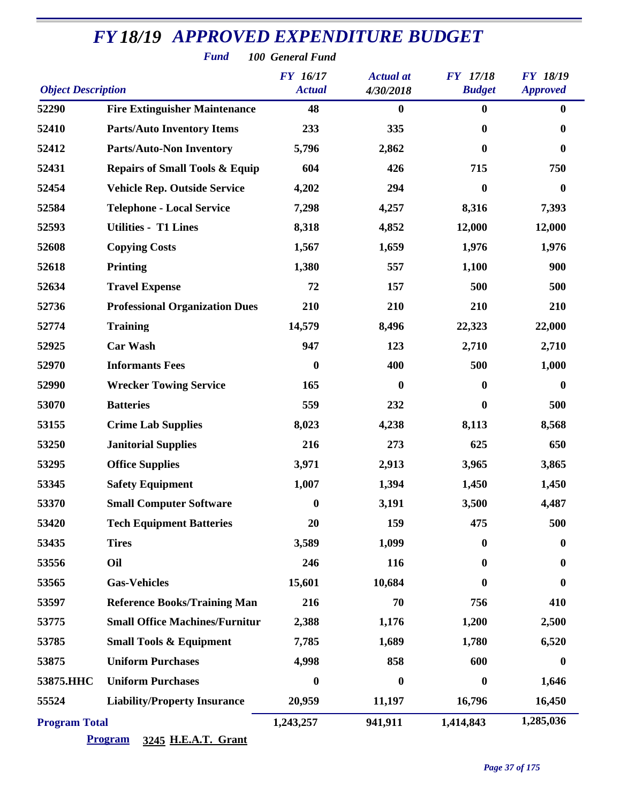| <b>Fund</b><br>100 General Fund |                                           |                                  |                               |                                  |                                    |  |  |
|---------------------------------|-------------------------------------------|----------------------------------|-------------------------------|----------------------------------|------------------------------------|--|--|
| <b>Object Description</b>       |                                           | <b>FY</b> 16/17<br><b>Actual</b> | <b>Actual</b> at<br>4/30/2018 | <b>FY</b> 17/18<br><b>Budget</b> | <b>FY 18/19</b><br><b>Approved</b> |  |  |
| 52290                           | <b>Fire Extinguisher Maintenance</b>      | 48                               | $\bf{0}$                      | $\bf{0}$                         | $\bf{0}$                           |  |  |
| 52410                           | <b>Parts/Auto Inventory Items</b>         | 233                              | 335                           | $\bf{0}$                         | $\mathbf{0}$                       |  |  |
| 52412                           | <b>Parts/Auto-Non Inventory</b>           | 5,796                            | 2,862                         | $\mathbf{0}$                     | $\bf{0}$                           |  |  |
| 52431                           | <b>Repairs of Small Tools &amp; Equip</b> | 604                              | 426                           | 715                              | 750                                |  |  |
| 52454                           | <b>Vehicle Rep. Outside Service</b>       | 4,202                            | 294                           | $\boldsymbol{0}$                 | $\bf{0}$                           |  |  |
| 52584                           | <b>Telephone - Local Service</b>          | 7,298                            | 4,257                         | 8,316                            | 7,393                              |  |  |
| 52593                           | <b>Utilities - T1 Lines</b>               | 8,318                            | 4,852                         | 12,000                           | 12,000                             |  |  |
| 52608                           | <b>Copying Costs</b>                      | 1,567                            | 1,659                         | 1,976                            | 1,976                              |  |  |
| 52618                           | <b>Printing</b>                           | 1,380                            | 557                           | 1,100                            | 900                                |  |  |
| 52634                           | <b>Travel Expense</b>                     | 72                               | 157                           | 500                              | 500                                |  |  |
| 52736                           | <b>Professional Organization Dues</b>     | 210                              | 210                           | 210                              | 210                                |  |  |
| 52774                           | <b>Training</b>                           | 14,579                           | 8,496                         | 22,323                           | 22,000                             |  |  |
| 52925                           | <b>Car Wash</b>                           | 947                              | 123                           | 2,710                            | 2,710                              |  |  |
| 52970                           | <b>Informants Fees</b>                    | $\boldsymbol{0}$                 | 400                           | 500                              | 1,000                              |  |  |
| 52990                           | <b>Wrecker Towing Service</b>             | 165                              | $\mathbf{0}$                  | $\bf{0}$                         | $\bf{0}$                           |  |  |
| 53070                           | <b>Batteries</b>                          | 559                              | 232                           | $\bf{0}$                         | 500                                |  |  |
| 53155                           | <b>Crime Lab Supplies</b>                 | 8,023                            | 4,238                         | 8,113                            | 8,568                              |  |  |
| 53250                           | <b>Janitorial Supplies</b>                | 216                              | 273                           | 625                              | 650                                |  |  |
| 53295                           | <b>Office Supplies</b>                    | 3,971                            | 2,913                         | 3,965                            | 3,865                              |  |  |
| 53345                           | <b>Safety Equipment</b>                   | 1,007                            | 1,394                         | 1,450                            | 1,450                              |  |  |
| 53370                           | <b>Small Computer Software</b>            | $\boldsymbol{0}$                 | 3,191                         | 3,500                            | 4,487                              |  |  |
| 53420                           | <b>Tech Equipment Batteries</b>           | 20                               | 159                           | 475                              | 500                                |  |  |
| 53435                           | <b>Tires</b>                              | 3,589                            | 1,099                         | $\bf{0}$                         | $\bf{0}$                           |  |  |
| 53556                           | Oil                                       | 246                              | 116                           | $\bf{0}$                         | $\bf{0}$                           |  |  |
| 53565                           | <b>Gas-Vehicles</b>                       | 15,601                           | 10,684                        | 0                                | $\bf{0}$                           |  |  |
| 53597                           | <b>Reference Books/Training Man</b>       | 216                              | 70                            | 756                              | 410                                |  |  |
| 53775                           | <b>Small Office Machines/Furnitur</b>     | 2,388                            | 1,176                         | 1,200                            | 2,500                              |  |  |
| 53785                           | <b>Small Tools &amp; Equipment</b>        | 7,785                            | 1,689                         | 1,780                            | 6,520                              |  |  |
| 53875                           | <b>Uniform Purchases</b>                  | 4,998                            | 858                           | 600                              | $\mathbf{0}$                       |  |  |
| 53875.HHC                       | <b>Uniform Purchases</b>                  | $\boldsymbol{0}$                 | $\boldsymbol{0}$              | $\boldsymbol{0}$                 | 1,646                              |  |  |
| 55524                           | <b>Liability/Property Insurance</b>       | 20,959                           | 11,197                        | 16,796                           | 16,450                             |  |  |
| <b>Program Total</b>            |                                           | 1,243,257                        | 941,911                       | 1,414,843                        | 1,285,036                          |  |  |

#### **Program 3245 H.E.A.T. Grant**

*Page 37 of 175*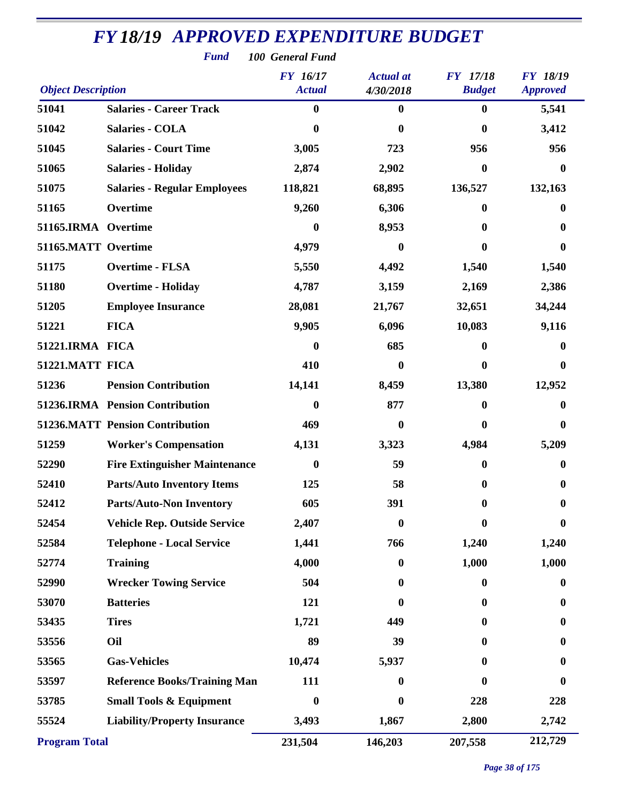| <b>Fund</b><br>100 General Fund |                                        |                                  |                               |                                  |                                    |  |  |  |
|---------------------------------|----------------------------------------|----------------------------------|-------------------------------|----------------------------------|------------------------------------|--|--|--|
| <b>Object Description</b>       |                                        | <b>FY</b> 16/17<br><b>Actual</b> | <b>Actual</b> at<br>4/30/2018 | <b>FY</b> 17/18<br><b>Budget</b> | <b>FY 18/19</b><br><b>Approved</b> |  |  |  |
| 51041                           | <b>Salaries - Career Track</b>         | $\bf{0}$                         | 0                             | $\bf{0}$                         | 5,541                              |  |  |  |
| 51042                           | <b>Salaries - COLA</b>                 | 0                                | 0                             | $\boldsymbol{0}$                 | 3,412                              |  |  |  |
| 51045                           | <b>Salaries - Court Time</b>           | 3,005                            | 723                           | 956                              | 956                                |  |  |  |
| 51065                           | <b>Salaries - Holiday</b>              | 2,874                            | 2,902                         | $\boldsymbol{0}$                 | $\mathbf{0}$                       |  |  |  |
| 51075                           | <b>Salaries - Regular Employees</b>    | 118,821                          | 68,895                        | 136,527                          | 132,163                            |  |  |  |
| 51165                           | Overtime                               | 9,260                            | 6,306                         | 0                                | 0                                  |  |  |  |
| 51165.IRMA Overtime             |                                        | $\mathbf{0}$                     | 8,953                         | $\mathbf{0}$                     | 0                                  |  |  |  |
| 51165.MATT Overtime             |                                        | 4,979                            | 0                             | 0                                | 0                                  |  |  |  |
| 51175                           | <b>Overtime - FLSA</b>                 | 5,550                            | 4,492                         | 1,540                            | 1,540                              |  |  |  |
| 51180                           | <b>Overtime - Holiday</b>              | 4,787                            | 3,159                         | 2,169                            | 2,386                              |  |  |  |
| 51205                           | <b>Employee Insurance</b>              | 28,081                           | 21,767                        | 32,651                           | 34,244                             |  |  |  |
| 51221                           | <b>FICA</b>                            | 9,905                            | 6,096                         | 10,083                           | 9,116                              |  |  |  |
| 51221.IRMA FICA                 |                                        | $\bf{0}$                         | 685                           | $\bf{0}$                         | 0                                  |  |  |  |
| 51221.MATT FICA                 |                                        | 410                              | 0                             | $\mathbf{0}$                     | $\bf{0}$                           |  |  |  |
| 51236                           | <b>Pension Contribution</b>            | 14,141                           | 8,459                         | 13,380                           | 12,952                             |  |  |  |
|                                 | 51236.IRMA Pension Contribution        | $\bf{0}$                         | 877                           | $\bf{0}$                         | 0                                  |  |  |  |
|                                 | <b>51236.MATT Pension Contribution</b> | 469                              | 0                             | $\mathbf{0}$                     | 0                                  |  |  |  |
| 51259                           | <b>Worker's Compensation</b>           | 4,131                            | 3,323                         | 4,984                            | 5,209                              |  |  |  |
| 52290                           | <b>Fire Extinguisher Maintenance</b>   | $\boldsymbol{0}$                 | 59                            | 0                                | 0                                  |  |  |  |
| 52410                           | <b>Parts/Auto Inventory Items</b>      | 125                              | 58                            | $\boldsymbol{0}$                 | $\boldsymbol{0}$                   |  |  |  |
| 52412                           | <b>Parts/Auto-Non Inventory</b>        | 605                              | 391                           | $\bf{0}$                         | 0                                  |  |  |  |
| 52454                           | <b>Vehicle Rep. Outside Service</b>    | 2,407                            | $\boldsymbol{0}$              | $\bf{0}$                         | $\bf{0}$                           |  |  |  |
| 52584                           | <b>Telephone - Local Service</b>       | 1,441                            | 766                           | 1,240                            | 1,240                              |  |  |  |
| 52774                           | <b>Training</b>                        | 4,000                            | $\bf{0}$                      | 1,000                            | 1,000                              |  |  |  |
| 52990                           | <b>Wrecker Towing Service</b>          | 504                              | 0                             | $\bf{0}$                         | 0                                  |  |  |  |
| 53070                           | <b>Batteries</b>                       | 121                              | 0                             | $\mathbf{0}$                     | 0                                  |  |  |  |
| 53435                           | <b>Tires</b>                           | 1,721                            | 449                           | $\bf{0}$                         | $\bf{0}$                           |  |  |  |
| 53556                           | Oil                                    | 89                               | 39                            | $\bf{0}$                         | $\bf{0}$                           |  |  |  |
| 53565                           | <b>Gas-Vehicles</b>                    | 10,474                           | 5,937                         | $\mathbf{0}$                     | 0                                  |  |  |  |
| 53597                           | <b>Reference Books/Training Man</b>    | 111                              | 0                             | $\mathbf{0}$                     | $\bf{0}$                           |  |  |  |
| 53785                           | <b>Small Tools &amp; Equipment</b>     | $\boldsymbol{0}$                 | 0                             | 228                              | 228                                |  |  |  |
| 55524                           | <b>Liability/Property Insurance</b>    | 3,493                            | 1,867                         | 2,800                            | 2,742                              |  |  |  |
| <b>Program Total</b>            |                                        | 231,504                          | 146,203                       | 207,558                          | 212,729                            |  |  |  |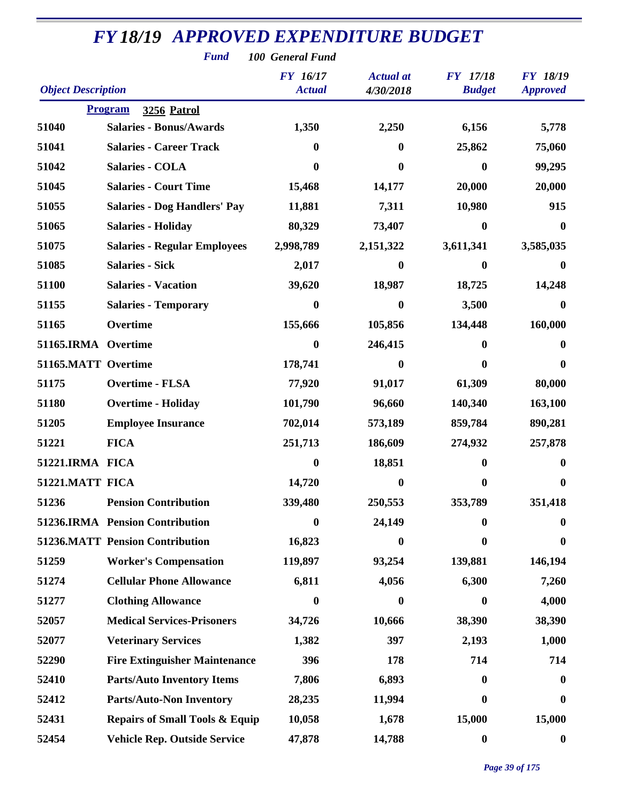| <b>Fund</b><br>100 General Fund |                                           |                                  |                               |                                  |                                    |  |  |  |
|---------------------------------|-------------------------------------------|----------------------------------|-------------------------------|----------------------------------|------------------------------------|--|--|--|
| <b>Object Description</b>       |                                           | <b>FY</b> 16/17<br><b>Actual</b> | <b>Actual</b> at<br>4/30/2018 | <b>FY</b> 17/18<br><b>Budget</b> | <b>FY 18/19</b><br><b>Approved</b> |  |  |  |
|                                 | <b>Program</b><br><b>3256 Patrol</b>      |                                  |                               |                                  |                                    |  |  |  |
| 51040                           | <b>Salaries - Bonus/Awards</b>            | 1,350                            | 2,250                         | 6,156                            | 5,778                              |  |  |  |
| 51041                           | <b>Salaries - Career Track</b>            | $\bf{0}$                         | $\bf{0}$                      | 25,862                           | 75,060                             |  |  |  |
| 51042                           | Salaries - COLA                           | 0                                | $\mathbf{0}$                  | $\boldsymbol{0}$                 | 99,295                             |  |  |  |
| 51045                           | <b>Salaries - Court Time</b>              | 15,468                           | 14,177                        | 20,000                           | 20,000                             |  |  |  |
| 51055                           | <b>Salaries - Dog Handlers' Pay</b>       | 11,881                           | 7,311                         | 10,980                           | 915                                |  |  |  |
| 51065                           | <b>Salaries - Holiday</b>                 | 80,329                           | 73,407                        | $\boldsymbol{0}$                 | $\mathbf{0}$                       |  |  |  |
| 51075                           | <b>Salaries - Regular Employees</b>       | 2,998,789                        | 2,151,322                     | 3,611,341                        | 3,585,035                          |  |  |  |
| 51085                           | <b>Salaries - Sick</b>                    | 2,017                            | $\bf{0}$                      | $\bf{0}$                         | $\bf{0}$                           |  |  |  |
| 51100                           | <b>Salaries - Vacation</b>                | 39,620                           | 18,987                        | 18,725                           | 14,248                             |  |  |  |
| 51155                           | <b>Salaries - Temporary</b>               | $\bf{0}$                         | $\bf{0}$                      | 3,500                            | 0                                  |  |  |  |
| 51165                           | Overtime                                  | 155,666                          | 105,856                       | 134,448                          | 160,000                            |  |  |  |
| 51165.IRMA Overtime             |                                           | $\boldsymbol{0}$                 | 246,415                       | $\bf{0}$                         | 0                                  |  |  |  |
| 51165.MATT Overtime             |                                           | 178,741                          | 0                             | $\mathbf 0$                      | 0                                  |  |  |  |
| 51175                           | <b>Overtime - FLSA</b>                    | 77,920                           | 91,017                        | 61,309                           | 80,000                             |  |  |  |
| 51180                           | <b>Overtime - Holiday</b>                 | 101,790                          | 96,660                        | 140,340                          | 163,100                            |  |  |  |
| 51205                           | <b>Employee Insurance</b>                 | 702,014                          | 573,189                       | 859,784                          | 890,281                            |  |  |  |
| 51221                           | <b>FICA</b>                               | 251,713                          | 186,609                       | 274,932                          | 257,878                            |  |  |  |
| 51221.IRMA FICA                 |                                           | 0                                | 18,851                        | 0                                | 0                                  |  |  |  |
| 51221.MATT FICA                 |                                           | 14,720                           | $\mathbf{0}$                  | $\bf{0}$                         | $\mathbf{0}$                       |  |  |  |
| 51236                           | <b>Pension Contribution</b>               | 339,480                          | 250,553                       | 353,789                          | 351,418                            |  |  |  |
|                                 | 51236.IRMA Pension Contribution           | $\boldsymbol{0}$                 | 24,149                        | $\bf{0}$                         | $\bf{0}$                           |  |  |  |
|                                 | <b>51236.MATT Pension Contribution</b>    | 16,823                           | $\mathbf{0}$                  | $\mathbf 0$                      | 0                                  |  |  |  |
| 51259                           | <b>Worker's Compensation</b>              | 119,897                          | 93,254                        | 139,881                          | 146,194                            |  |  |  |
| 51274                           | <b>Cellular Phone Allowance</b>           | 6,811                            | 4,056                         | 6,300                            | 7,260                              |  |  |  |
| 51277                           | <b>Clothing Allowance</b>                 | 0                                | $\bf{0}$                      | $\mathbf 0$                      | 4,000                              |  |  |  |
| 52057                           | <b>Medical Services-Prisoners</b>         | 34,726                           | 10,666                        | 38,390                           | 38,390                             |  |  |  |
| 52077                           | <b>Veterinary Services</b>                | 1,382                            | 397                           | 2,193                            | 1,000                              |  |  |  |
| 52290                           | <b>Fire Extinguisher Maintenance</b>      | 396                              | 178                           | 714                              | 714                                |  |  |  |
| 52410                           | <b>Parts/Auto Inventory Items</b>         | 7,806                            | 6,893                         | $\bf{0}$                         | $\mathbf 0$                        |  |  |  |
| 52412                           | <b>Parts/Auto-Non Inventory</b>           | 28,235                           | 11,994                        | 0                                | $\bf{0}$                           |  |  |  |
| 52431                           | <b>Repairs of Small Tools &amp; Equip</b> | 10,058                           | 1,678                         | 15,000                           | 15,000                             |  |  |  |
| 52454                           | Vehicle Rep. Outside Service              | 47,878                           | 14,788                        | $\boldsymbol{0}$                 | $\bf{0}$                           |  |  |  |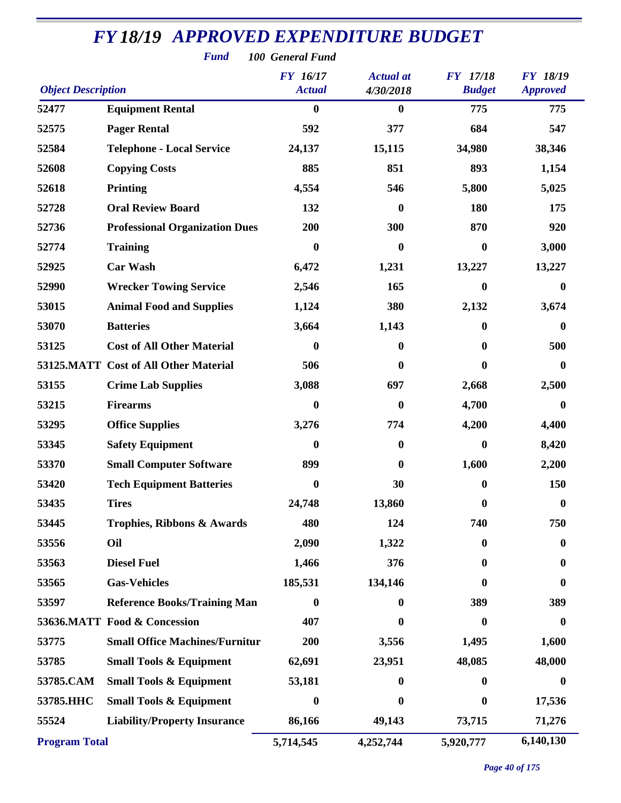| <b>Fund</b><br>100 General Fund |                                       |                                  |                               |                                  |                                    |  |  |  |
|---------------------------------|---------------------------------------|----------------------------------|-------------------------------|----------------------------------|------------------------------------|--|--|--|
| <b>Object Description</b>       |                                       | <b>FY</b> 16/17<br><b>Actual</b> | <b>Actual</b> at<br>4/30/2018 | <b>FY</b> 17/18<br><b>Budget</b> | <b>FY 18/19</b><br><b>Approved</b> |  |  |  |
| 52477                           | <b>Equipment Rental</b>               | $\bf{0}$                         | $\boldsymbol{0}$              | 775                              | 775                                |  |  |  |
| 52575                           | <b>Pager Rental</b>                   | 592                              | 377                           | 684                              | 547                                |  |  |  |
| 52584                           | <b>Telephone - Local Service</b>      | 24,137                           | 15,115                        | 34,980                           | 38,346                             |  |  |  |
| 52608                           | <b>Copying Costs</b>                  | 885                              | 851                           | 893                              | 1,154                              |  |  |  |
| 52618                           | <b>Printing</b>                       | 4,554                            | 546                           | 5,800                            | 5,025                              |  |  |  |
| 52728                           | <b>Oral Review Board</b>              | 132                              | 0                             | 180                              | 175                                |  |  |  |
| 52736                           | <b>Professional Organization Dues</b> | 200                              | 300                           | 870                              | 920                                |  |  |  |
| 52774                           | <b>Training</b>                       | $\boldsymbol{0}$                 | $\boldsymbol{0}$              | $\bf{0}$                         | 3,000                              |  |  |  |
| 52925                           | <b>Car Wash</b>                       | 6,472                            | 1,231                         | 13,227                           | 13,227                             |  |  |  |
| 52990                           | <b>Wrecker Towing Service</b>         | 2,546                            | 165                           | $\bf{0}$                         | $\mathbf{0}$                       |  |  |  |
| 53015                           | <b>Animal Food and Supplies</b>       | 1,124                            | 380                           | 2,132                            | 3,674                              |  |  |  |
| 53070                           | <b>Batteries</b>                      | 3,664                            | 1,143                         | $\bf{0}$                         | $\bf{0}$                           |  |  |  |
| 53125                           | <b>Cost of All Other Material</b>     | 0                                | $\bf{0}$                      | $\mathbf{0}$                     | 500                                |  |  |  |
|                                 | 53125.MATT Cost of All Other Material | 506                              | 0                             | $\mathbf{0}$                     | 0                                  |  |  |  |
| 53155                           | <b>Crime Lab Supplies</b>             | 3,088                            | 697                           | 2,668                            | 2,500                              |  |  |  |
| 53215                           | <b>Firearms</b>                       | $\bf{0}$                         | $\bf{0}$                      | 4,700                            | $\bf{0}$                           |  |  |  |
| 53295                           | <b>Office Supplies</b>                | 3,276                            | 774                           | 4,200                            | 4,400                              |  |  |  |
| 53345                           | <b>Safety Equipment</b>               | 0                                | $\bf{0}$                      | $\bf{0}$                         | 8,420                              |  |  |  |
| 53370                           | <b>Small Computer Software</b>        | 899                              | 0                             | 1,600                            | 2,200                              |  |  |  |
| 53420                           | <b>Tech Equipment Batteries</b>       | $\boldsymbol{0}$                 | 30                            | $\bf{0}$                         | 150                                |  |  |  |
| 53435                           | <b>Tires</b>                          | 24,748                           | 13,860                        | $\bf{0}$                         | $\boldsymbol{0}$                   |  |  |  |
| 53445                           | <b>Trophies, Ribbons &amp; Awards</b> | 480                              | 124                           | 740                              | 750                                |  |  |  |
| 53556                           | Oil                                   | 2,090                            | 1,322                         | $\bf{0}$                         | 0                                  |  |  |  |
| 53563                           | <b>Diesel Fuel</b>                    | 1,466                            | 376                           | $\mathbf{0}$                     | $\bf{0}$                           |  |  |  |
| 53565                           | <b>Gas-Vehicles</b>                   | 185,531                          | 134,146                       | 0                                | $\bf{0}$                           |  |  |  |
| 53597                           | <b>Reference Books/Training Man</b>   | 0                                | $\mathbf 0$                   | 389                              | 389                                |  |  |  |
|                                 | 53636.MATT Food & Concession          | 407                              | $\bf{0}$                      | $\bf{0}$                         | $\bf{0}$                           |  |  |  |
| 53775                           | <b>Small Office Machines/Furnitur</b> | 200                              | 3,556                         | 1,495                            | 1,600                              |  |  |  |
| 53785                           | <b>Small Tools &amp; Equipment</b>    | 62,691                           | 23,951                        | 48,085                           | 48,000                             |  |  |  |
| 53785.CAM                       | <b>Small Tools &amp; Equipment</b>    | 53,181                           | 0                             | $\mathbf{0}$                     | $\bf{0}$                           |  |  |  |
| 53785.HHC                       | <b>Small Tools &amp; Equipment</b>    | 0                                | 0                             | $\bf{0}$                         | 17,536                             |  |  |  |
| 55524                           | <b>Liability/Property Insurance</b>   | 86,166                           | 49,143                        | 73,715                           | 71,276                             |  |  |  |
| <b>Program Total</b>            |                                       | 5,714,545                        | 4,252,744                     | 5,920,777                        | 6,140,130                          |  |  |  |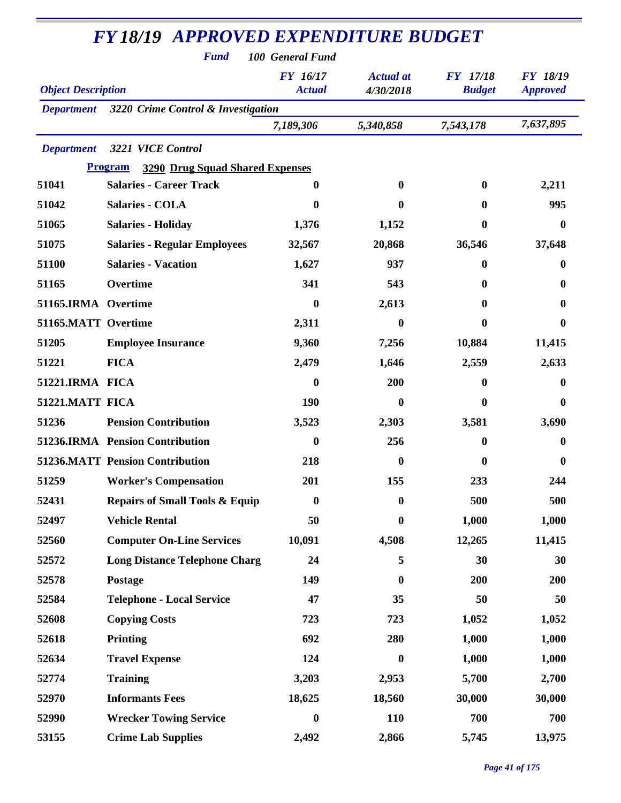|                           | <b>Fund</b>                                              | 100 General Fund                 |                               |                                  |                                    |
|---------------------------|----------------------------------------------------------|----------------------------------|-------------------------------|----------------------------------|------------------------------------|
| <b>Object Description</b> |                                                          | <b>FY</b> 16/17<br><b>Actual</b> | <b>Actual</b> at<br>4/30/2018 | <b>FY</b> 17/18<br><b>Budget</b> | <b>FY 18/19</b><br><b>Approved</b> |
| <b>Department</b>         | 3220 Crime Control & Investigation                       |                                  |                               |                                  |                                    |
|                           |                                                          | 7,189,306                        | 5,340,858                     | 7,543,178                        | 7,637,895                          |
| <b>Department</b>         | 3221 VICE Control                                        |                                  |                               |                                  |                                    |
|                           | <b>3290 Drug Squad Shared Expenses</b><br><b>Program</b> |                                  |                               |                                  |                                    |
| 51041                     | <b>Salaries - Career Track</b>                           | 0                                | $\mathbf{0}$                  | $\bf{0}$                         | 2,211                              |
| 51042                     | Salaries - COLA                                          | $\bf{0}$                         | 0                             | $\bf{0}$                         | 995                                |
| 51065                     | <b>Salaries - Holiday</b>                                | 1,376                            | 1,152                         | $\bf{0}$                         | $\bf{0}$                           |
| 51075                     | <b>Salaries - Regular Employees</b>                      | 32,567                           | 20,868                        | 36,546                           | 37,648                             |
| 51100                     | <b>Salaries - Vacation</b>                               | 1,627                            | 937                           | 0                                | 0                                  |
| 51165                     | Overtime                                                 | 341                              | 543                           | 0                                | 0                                  |
| 51165.IRMA Overtime       |                                                          | $\bf{0}$                         | 2,613                         | 0                                | 0                                  |
| 51165.MATT Overtime       |                                                          | 2,311                            | 0                             | 0                                | 0                                  |
| 51205                     | <b>Employee Insurance</b>                                | 9,360                            | 7,256                         | 10,884                           | 11,415                             |
| 51221                     | <b>FICA</b>                                              | 2,479                            | 1,646                         | 2,559                            | 2,633                              |
| 51221.IRMA FICA           |                                                          | $\boldsymbol{0}$                 | 200                           | $\bf{0}$                         | $\bf{0}$                           |
| 51221.MATT FICA           |                                                          | 190                              | $\bf{0}$                      | 0                                | $\bf{0}$                           |
| 51236                     | <b>Pension Contribution</b>                              | 3,523                            | 2,303                         | 3,581                            | 3,690                              |
|                           | 51236.IRMA Pension Contribution                          | $\boldsymbol{0}$                 | 256                           | 0                                | 0                                  |
|                           | <b>51236.MATT Pension Contribution</b>                   | 218                              | 0                             | $\boldsymbol{0}$                 | $\bf{0}$                           |
| 51259                     | <b>Worker's Compensation</b>                             | 201                              | 155                           | 233                              | 244                                |
| 52431                     | <b>Repairs of Small Tools &amp; Equip</b>                | $\boldsymbol{0}$                 | $\bf{0}$                      | 500                              | 500                                |
| 52497                     | <b>Vehicle Rental</b>                                    | 50                               | $\boldsymbol{0}$              | 1,000                            | 1,000                              |
| 52560                     | <b>Computer On-Line Services</b>                         | 10,091                           | 4,508                         | 12,265                           | 11,415                             |
| 52572                     | <b>Long Distance Telephone Charg</b>                     | 24                               | 5                             | 30                               | 30                                 |
| 52578                     | Postage                                                  | 149                              | 0                             | 200                              | 200                                |
| 52584                     | <b>Telephone - Local Service</b>                         | 47                               | 35                            | 50                               | 50                                 |
| 52608                     | <b>Copying Costs</b>                                     | 723                              | 723                           | 1,052                            | 1,052                              |
| 52618                     | <b>Printing</b>                                          | 692                              | 280                           | 1,000                            | 1,000                              |
| 52634                     | <b>Travel Expense</b>                                    | 124                              | $\bf{0}$                      | 1,000                            | 1,000                              |
| 52774                     | <b>Training</b>                                          | 3,203                            | 2,953                         | 5,700                            | 2,700                              |
| 52970                     | <b>Informants Fees</b>                                   | 18,625                           | 18,560                        | 30,000                           | 30,000                             |
| 52990                     | <b>Wrecker Towing Service</b>                            | $\boldsymbol{0}$                 | 110                           | 700                              | 700                                |
| 53155                     | <b>Crime Lab Supplies</b>                                | 2,492                            | 2,866                         | 5,745                            | 13,975                             |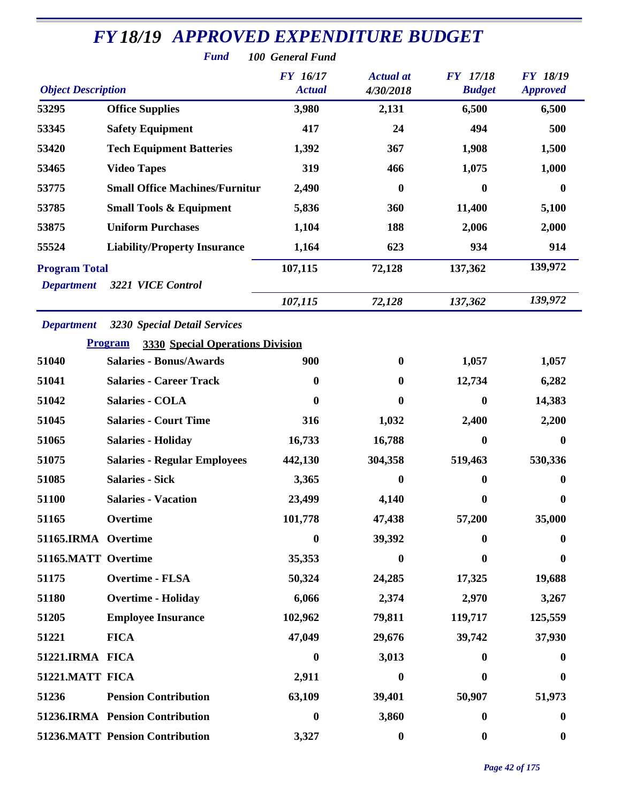| <b>Fund</b><br>100 General Fund           |                                                                                                  |                                  |                               |                                  |                                    |  |  |  |
|-------------------------------------------|--------------------------------------------------------------------------------------------------|----------------------------------|-------------------------------|----------------------------------|------------------------------------|--|--|--|
| <b>Object Description</b>                 |                                                                                                  | <b>FY</b> 16/17<br><b>Actual</b> | <b>Actual</b> at<br>4/30/2018 | <b>FY</b> 17/18<br><b>Budget</b> | <b>FY 18/19</b><br><b>Approved</b> |  |  |  |
| 53295                                     | <b>Office Supplies</b>                                                                           | 3,980                            | 2,131                         | 6,500                            | 6,500                              |  |  |  |
| 53345                                     | <b>Safety Equipment</b>                                                                          | 417                              | 24                            | 494                              | 500                                |  |  |  |
| 53420                                     | <b>Tech Equipment Batteries</b>                                                                  | 1,392                            | 367                           | 1,908                            | 1,500                              |  |  |  |
| 53465                                     | <b>Video Tapes</b>                                                                               | 319                              | 466                           | 1,075                            | 1,000                              |  |  |  |
| 53775                                     | <b>Small Office Machines/Furnitur</b>                                                            | 2,490                            | $\bf{0}$                      | $\boldsymbol{0}$                 | $\bf{0}$                           |  |  |  |
| 53785                                     | <b>Small Tools &amp; Equipment</b>                                                               | 5,836                            | 360                           | 11,400                           | 5,100                              |  |  |  |
| 53875                                     | <b>Uniform Purchases</b>                                                                         | 1,104                            | 188                           | 2,006                            | 2,000                              |  |  |  |
| 55524                                     | <b>Liability/Property Insurance</b>                                                              | 1,164                            | 623                           | 934                              | 914                                |  |  |  |
| <b>Program Total</b><br><b>Department</b> | 3221 VICE Control                                                                                | 107,115                          | 72,128                        | 137,362                          | 139,972                            |  |  |  |
|                                           |                                                                                                  | 107,115                          | 72,128                        | 137,362                          | 139,972                            |  |  |  |
| <b>Department</b>                         | <b>3230 Special Detail Services</b><br><b>3330 Special Operations Division</b><br><b>Program</b> |                                  |                               |                                  |                                    |  |  |  |
| 51040                                     | <b>Salaries - Bonus/Awards</b>                                                                   | 900                              | $\bf{0}$                      | 1,057                            | 1,057                              |  |  |  |
| 51041                                     | <b>Salaries - Career Track</b>                                                                   | 0                                | $\bf{0}$                      | 12,734                           | 6,282                              |  |  |  |
| 51042                                     | <b>Salaries - COLA</b>                                                                           | 0                                | $\bf{0}$                      | $\boldsymbol{0}$                 | 14,383                             |  |  |  |
| 51045                                     | <b>Salaries - Court Time</b>                                                                     | 316                              | 1,032                         | 2,400                            | 2,200                              |  |  |  |
| 51065                                     | <b>Salaries - Holiday</b>                                                                        | 16,733                           | 16,788                        | $\boldsymbol{0}$                 | 0                                  |  |  |  |
| 51075                                     | <b>Salaries - Regular Employees</b>                                                              | 442,130                          | 304,358                       | 519,463                          | 530,336                            |  |  |  |
| 51085                                     | <b>Salaries - Sick</b>                                                                           | 3,365                            | $\boldsymbol{0}$              | $\boldsymbol{0}$                 | $\boldsymbol{0}$                   |  |  |  |
| 51100                                     | <b>Salaries - Vacation</b>                                                                       | 23,499                           | 4,140                         | $\mathbf{0}$                     | 0                                  |  |  |  |
| 51165                                     | Overtime                                                                                         | 101,778                          | 47,438                        | 57,200                           | 35,000                             |  |  |  |
| 51165.IRMA Overtime                       |                                                                                                  | $\bf{0}$                         | 39,392                        | 0                                | 0                                  |  |  |  |
| 51165.MATT Overtime                       |                                                                                                  | 35,353                           | $\bf{0}$                      | $\boldsymbol{0}$                 | $\bf{0}$                           |  |  |  |
| 51175                                     | <b>Overtime - FLSA</b>                                                                           | 50,324                           | 24,285                        | 17,325                           | 19,688                             |  |  |  |
| 51180                                     | <b>Overtime - Holiday</b>                                                                        | 6,066                            | 2,374                         | 2,970                            | 3,267                              |  |  |  |
| 51205                                     | <b>Employee Insurance</b>                                                                        | 102,962                          | 79,811                        | 119,717                          | 125,559                            |  |  |  |
| 51221                                     | <b>FICA</b>                                                                                      | 47,049                           | 29,676                        | 39,742                           | 37,930                             |  |  |  |
| 51221.IRMA FICA                           |                                                                                                  | $\boldsymbol{0}$                 | 3,013                         | $\bf{0}$                         | $\bf{0}$                           |  |  |  |
| 51221.MATT FICA                           |                                                                                                  | 2,911                            | $\bf{0}$                      | 0                                | 0                                  |  |  |  |
| 51236                                     | <b>Pension Contribution</b>                                                                      | 63,109                           | 39,401                        | 50,907                           | 51,973                             |  |  |  |
|                                           | 51236.IRMA Pension Contribution                                                                  | $\boldsymbol{0}$                 | 3,860                         | $\boldsymbol{0}$                 | $\bf{0}$                           |  |  |  |
|                                           | 51236.MATT Pension Contribution                                                                  | 3,327                            | $\boldsymbol{0}$              | $\boldsymbol{0}$                 | $\boldsymbol{0}$                   |  |  |  |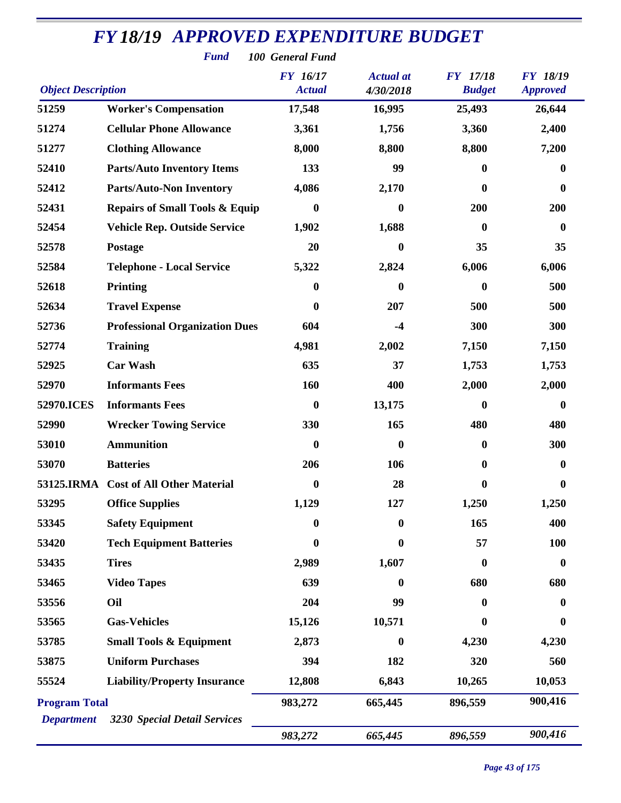| <b>Fund</b><br>100 General Fund |                                           |                             |                  |                  |                  |  |  |
|---------------------------------|-------------------------------------------|-----------------------------|------------------|------------------|------------------|--|--|
| <b>Object Description</b>       | <b>FY</b> 17/18<br><b>Budget</b>          | FY 18/19<br><b>Approved</b> |                  |                  |                  |  |  |
| 51259                           | <b>Worker's Compensation</b>              | 17,548                      | 16,995           | 25,493           | 26,644           |  |  |
| 51274                           | <b>Cellular Phone Allowance</b>           | 3,361                       | 1,756            | 3,360            | 2,400            |  |  |
| 51277                           | <b>Clothing Allowance</b>                 | 8,000                       | 8,800            | 8,800            | 7,200            |  |  |
| 52410                           | <b>Parts/Auto Inventory Items</b>         | 133                         | 99               | $\boldsymbol{0}$ | $\bf{0}$         |  |  |
| 52412                           | <b>Parts/Auto-Non Inventory</b>           | 4,086                       | 2,170            | $\boldsymbol{0}$ | $\bf{0}$         |  |  |
| 52431                           | <b>Repairs of Small Tools &amp; Equip</b> | $\boldsymbol{0}$            | $\bf{0}$         | 200              | 200              |  |  |
| 52454                           | <b>Vehicle Rep. Outside Service</b>       | 1,902                       | 1,688            | $\boldsymbol{0}$ | $\boldsymbol{0}$ |  |  |
| 52578                           | <b>Postage</b>                            | 20                          | 0                | 35               | 35               |  |  |
| 52584                           | <b>Telephone - Local Service</b>          | 5,322                       | 2,824            | 6,006            | 6,006            |  |  |
| 52618                           | <b>Printing</b>                           | $\boldsymbol{0}$            | $\bf{0}$         | $\boldsymbol{0}$ | 500              |  |  |
| 52634                           | <b>Travel Expense</b>                     | $\boldsymbol{0}$            | 207              | 500              | 500              |  |  |
| 52736                           | <b>Professional Organization Dues</b>     | 604                         | $-4$             | 300              | 300              |  |  |
| 52774                           | <b>Training</b>                           | 4,981                       | 2,002            | 7,150            | 7,150            |  |  |
| 52925                           | <b>Car Wash</b>                           | 635                         | 37               | 1,753            | 1,753            |  |  |
| 52970                           | <b>Informants Fees</b>                    | 160                         | 400              | 2,000            | 2,000            |  |  |
| 52970.ICES                      | <b>Informants Fees</b>                    | $\bf{0}$                    | 13,175           | $\bf{0}$         | $\boldsymbol{0}$ |  |  |
| 52990                           | <b>Wrecker Towing Service</b>             | 330                         | 165              | 480              | 480              |  |  |
| 53010                           | <b>Ammunition</b>                         | $\boldsymbol{0}$            | $\bf{0}$         | $\bf{0}$         | 300              |  |  |
| 53070                           | <b>Batteries</b>                          | 206                         | 106              | $\bf{0}$         | 0                |  |  |
|                                 | 53125.IRMA Cost of All Other Material     | $\boldsymbol{0}$            | 28               | 0                | 0                |  |  |
| 53295                           | <b>Office Supplies</b>                    | 1,129                       | 127              | 1,250            | 1,250            |  |  |
| 53345                           | <b>Safety Equipment</b>                   | $\bf{0}$                    | $\boldsymbol{0}$ | 165              | 400              |  |  |
| 53420                           | <b>Tech Equipment Batteries</b>           | $\boldsymbol{0}$            | $\bf{0}$         | 57               | <b>100</b>       |  |  |
| 53435                           | <b>Tires</b>                              | 2,989                       | 1,607            | $\bf{0}$         | $\boldsymbol{0}$ |  |  |
| 53465                           | <b>Video Tapes</b>                        | 639                         | $\mathbf 0$      | 680              | 680              |  |  |
| 53556                           | Oil                                       | 204                         | 99               | $\bf{0}$         | $\bf{0}$         |  |  |
| 53565                           | <b>Gas-Vehicles</b>                       | 15,126                      | 10,571           | 0                | $\bf{0}$         |  |  |
| 53785                           | <b>Small Tools &amp; Equipment</b>        | 2,873                       | $\bf{0}$         | 4,230            | 4,230            |  |  |
| 53875                           | <b>Uniform Purchases</b>                  | 394                         | 182              | 320              | 560              |  |  |
| 55524                           | <b>Liability/Property Insurance</b>       | 12,808                      | 6,843            | 10,265           | 10,053           |  |  |
| <b>Program Total</b>            |                                           | 983,272                     | 665,445          | 896,559          | 900,416          |  |  |
| <b>Department</b>               | 3230 Special Detail Services              |                             |                  |                  |                  |  |  |
|                                 |                                           | 983,272                     | 665,445          | 896,559          | 900,416          |  |  |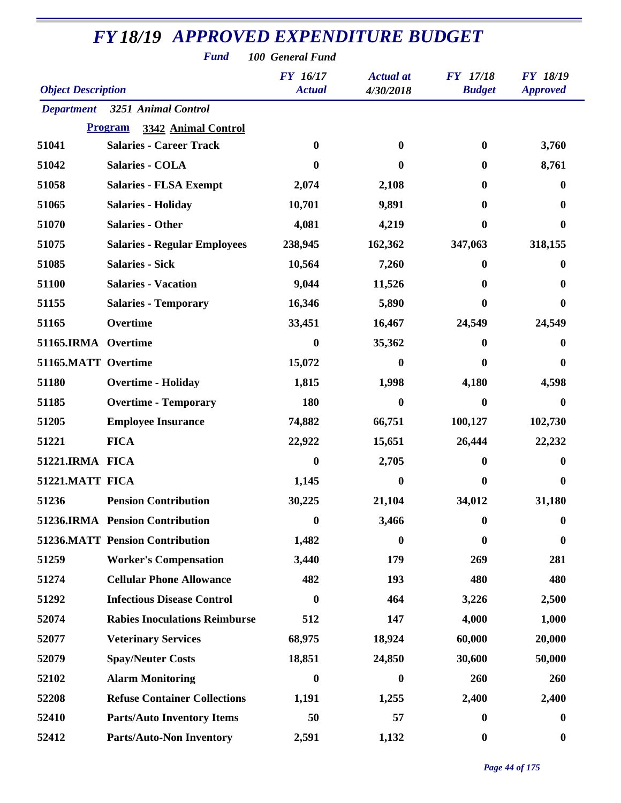| <b>Fund</b><br>100 General Fund |                                        |                                  |                               |                                  |                                    |  |  |  |
|---------------------------------|----------------------------------------|----------------------------------|-------------------------------|----------------------------------|------------------------------------|--|--|--|
| <b>Object Description</b>       |                                        | <b>FY</b> 16/17<br><b>Actual</b> | <b>Actual</b> at<br>4/30/2018 | <b>FY</b> 17/18<br><b>Budget</b> | <b>FY 18/19</b><br><b>Approved</b> |  |  |  |
| <b>Department</b>               | 3251 Animal Control                    |                                  |                               |                                  |                                    |  |  |  |
|                                 | <b>Program</b><br>3342 Animal Control  |                                  |                               |                                  |                                    |  |  |  |
| 51041                           | <b>Salaries - Career Track</b>         | $\bf{0}$                         | 0                             | $\bf{0}$                         | 3,760                              |  |  |  |
| 51042                           | <b>Salaries - COLA</b>                 | 0                                | 0                             | $\mathbf{0}$                     | 8,761                              |  |  |  |
| 51058                           | <b>Salaries - FLSA Exempt</b>          | 2,074                            | 2,108                         | $\boldsymbol{0}$                 | 0                                  |  |  |  |
| 51065                           | <b>Salaries - Holiday</b>              | 10,701                           | 9,891                         | $\mathbf{0}$                     | 0                                  |  |  |  |
| 51070                           | <b>Salaries - Other</b>                | 4,081                            | 4,219                         | 0                                | 0                                  |  |  |  |
| 51075                           | <b>Salaries - Regular Employees</b>    | 238,945                          | 162,362                       | 347,063                          | 318,155                            |  |  |  |
| 51085                           | <b>Salaries - Sick</b>                 | 10,564                           | 7,260                         | $\bf{0}$                         | 0                                  |  |  |  |
| 51100                           | <b>Salaries - Vacation</b>             | 9,044                            | 11,526                        | $\mathbf{0}$                     | 0                                  |  |  |  |
| 51155                           | <b>Salaries - Temporary</b>            | 16,346                           | 5,890                         | $\bf{0}$                         | 0                                  |  |  |  |
| 51165                           | Overtime                               | 33,451                           | 16,467                        | 24,549                           | 24,549                             |  |  |  |
| 51165.IRMA Overtime             |                                        | $\bf{0}$                         | 35,362                        | $\boldsymbol{0}$                 | 0                                  |  |  |  |
| 51165.MATT Overtime             |                                        | 15,072                           | 0                             | 0                                | 0                                  |  |  |  |
| 51180                           | <b>Overtime - Holiday</b>              | 1,815                            | 1,998                         | 4,180                            | 4,598                              |  |  |  |
| 51185                           | <b>Overtime - Temporary</b>            | 180                              | 0                             | $\boldsymbol{0}$                 | $\bf{0}$                           |  |  |  |
| 51205                           | <b>Employee Insurance</b>              | 74,882                           | 66,751                        | 100,127                          | 102,730                            |  |  |  |
| 51221                           | <b>FICA</b>                            | 22,922                           | 15,651                        | 26,444                           | 22,232                             |  |  |  |
| 51221.IRMA FICA                 |                                        | $\boldsymbol{0}$                 | 2,705                         | 0                                | 0                                  |  |  |  |
| 51221.MATT FICA                 |                                        | 1,145                            | $\bf{0}$                      | $\mathbf{0}$                     | $\bf{0}$                           |  |  |  |
| 51236                           | <b>Pension Contribution</b>            | 30,225                           | 21,104                        | 34,012                           | 31,180                             |  |  |  |
|                                 | 51236.IRMA Pension Contribution        | $\boldsymbol{0}$                 | 3,466                         | $\bf{0}$                         | $\bf{0}$                           |  |  |  |
|                                 | <b>51236.MATT Pension Contribution</b> | 1,482                            | 0                             | $\bf{0}$                         | $\bf{0}$                           |  |  |  |
| 51259                           | <b>Worker's Compensation</b>           | 3,440                            | 179                           | 269                              | 281                                |  |  |  |
| 51274                           | <b>Cellular Phone Allowance</b>        | 482                              | 193                           | 480                              | 480                                |  |  |  |
| 51292                           | <b>Infectious Disease Control</b>      | $\boldsymbol{0}$                 | 464                           | 3,226                            | 2,500                              |  |  |  |
| 52074                           | <b>Rabies Inoculations Reimburse</b>   | 512                              | 147                           | 4,000                            | 1,000                              |  |  |  |
| 52077                           | <b>Veterinary Services</b>             | 68,975                           | 18,924                        | 60,000                           | 20,000                             |  |  |  |
| 52079                           | <b>Spay/Neuter Costs</b>               | 18,851                           | 24,850                        | 30,600                           | 50,000                             |  |  |  |
| 52102                           | <b>Alarm Monitoring</b>                | $\boldsymbol{0}$                 | $\boldsymbol{0}$              | 260                              | 260                                |  |  |  |
| 52208                           | <b>Refuse Container Collections</b>    | 1,191                            | 1,255                         | 2,400                            | 2,400                              |  |  |  |
| 52410                           | <b>Parts/Auto Inventory Items</b>      | 50                               | 57                            | $\boldsymbol{0}$                 | $\boldsymbol{0}$                   |  |  |  |
| 52412                           | <b>Parts/Auto-Non Inventory</b>        | 2,591                            | 1,132                         | $\boldsymbol{0}$                 | $\boldsymbol{0}$                   |  |  |  |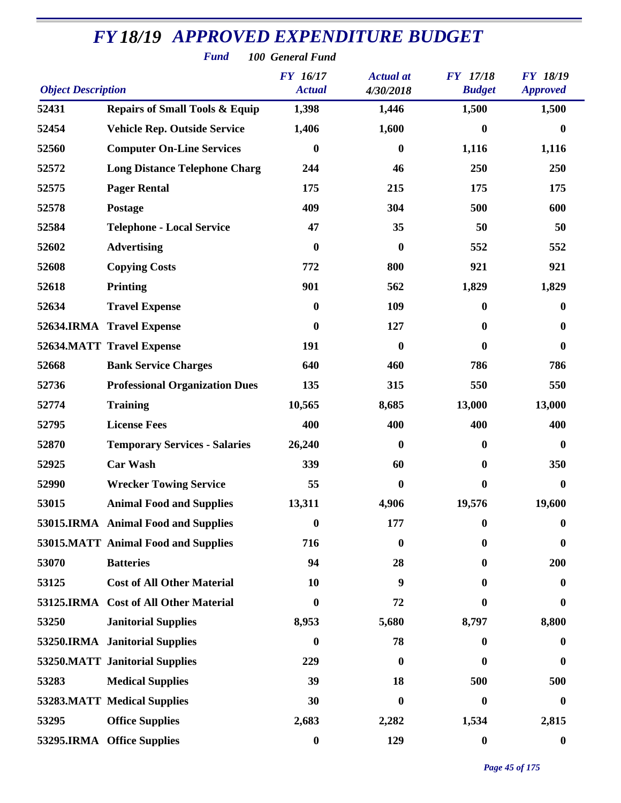| <b>Fund</b><br>100 General Fund |                                           |                                  |                               |                                  |                                    |  |  |  |
|---------------------------------|-------------------------------------------|----------------------------------|-------------------------------|----------------------------------|------------------------------------|--|--|--|
| <b>Object Description</b>       |                                           | <b>FY</b> 16/17<br><b>Actual</b> | <b>Actual</b> at<br>4/30/2018 | <b>FY</b> 17/18<br><b>Budget</b> | <b>FY 18/19</b><br><b>Approved</b> |  |  |  |
| 52431                           | <b>Repairs of Small Tools &amp; Equip</b> | 1,398                            | 1,446                         | 1,500                            | 1,500                              |  |  |  |
| 52454                           | <b>Vehicle Rep. Outside Service</b>       | 1,406                            | 1,600                         | $\bf{0}$                         | $\bf{0}$                           |  |  |  |
| 52560                           | <b>Computer On-Line Services</b>          | $\boldsymbol{0}$                 | $\bf{0}$                      | 1,116                            | 1,116                              |  |  |  |
| 52572                           | <b>Long Distance Telephone Charg</b>      | 244                              | 46                            | 250                              | 250                                |  |  |  |
| 52575                           | <b>Pager Rental</b>                       | 175                              | 215                           | 175                              | 175                                |  |  |  |
| 52578                           | Postage                                   | 409                              | 304                           | 500                              | 600                                |  |  |  |
| 52584                           | <b>Telephone - Local Service</b>          | 47                               | 35                            | 50                               | 50                                 |  |  |  |
| 52602                           | <b>Advertising</b>                        | $\boldsymbol{0}$                 | $\boldsymbol{0}$              | 552                              | 552                                |  |  |  |
| 52608                           | <b>Copying Costs</b>                      | 772                              | 800                           | 921                              | 921                                |  |  |  |
| 52618                           | <b>Printing</b>                           | 901                              | 562                           | 1,829                            | 1,829                              |  |  |  |
| 52634                           | <b>Travel Expense</b>                     | $\boldsymbol{0}$                 | 109                           | $\mathbf{0}$                     | $\bf{0}$                           |  |  |  |
|                                 | 52634.IRMA Travel Expense                 | $\boldsymbol{0}$                 | 127                           | $\bf{0}$                         | $\bf{0}$                           |  |  |  |
|                                 | 52634.MATT Travel Expense                 | 191                              | $\boldsymbol{0}$              | $\bf{0}$                         | $\boldsymbol{0}$                   |  |  |  |
| 52668                           | <b>Bank Service Charges</b>               | 640                              | 460                           | 786                              | 786                                |  |  |  |
| 52736                           | <b>Professional Organization Dues</b>     | 135                              | 315                           | 550                              | 550                                |  |  |  |
| 52774                           | <b>Training</b>                           | 10,565                           | 8,685                         | 13,000                           | 13,000                             |  |  |  |
| 52795                           | <b>License Fees</b>                       | 400                              | 400                           | 400                              | 400                                |  |  |  |
| 52870                           | <b>Temporary Services - Salaries</b>      | 26,240                           | $\bf{0}$                      | $\mathbf{0}$                     | $\bf{0}$                           |  |  |  |
| 52925                           | <b>Car Wash</b>                           | 339                              | 60                            | $\mathbf{0}$                     | 350                                |  |  |  |
| 52990                           | <b>Wrecker Towing Service</b>             | 55                               | $\boldsymbol{0}$              | $\boldsymbol{0}$                 | $\boldsymbol{0}$                   |  |  |  |
| 53015                           | <b>Animal Food and Supplies</b>           | 13,311                           | 4,906                         | 19,576                           | 19,600                             |  |  |  |
|                                 | 53015.IRMA Animal Food and Supplies       | $\boldsymbol{0}$                 | 177                           | $\bf{0}$                         | $\bf{0}$                           |  |  |  |
|                                 | 53015.MATT Animal Food and Supplies       | 716                              | $\boldsymbol{0}$              | $\mathbf{0}$                     | $\bf{0}$                           |  |  |  |
| 53070                           | <b>Batteries</b>                          | 94                               | 28                            | 0                                | 200                                |  |  |  |
| 53125                           | <b>Cost of All Other Material</b>         | 10                               | 9                             | 0                                | $\boldsymbol{0}$                   |  |  |  |
|                                 | 53125.IRMA Cost of All Other Material     | $\boldsymbol{0}$                 | 72                            | $\bf{0}$                         | $\bf{0}$                           |  |  |  |
| 53250                           | <b>Janitorial Supplies</b>                | 8,953                            | 5,680                         | 8,797                            | 8,800                              |  |  |  |
|                                 | 53250.IRMA Janitorial Supplies            | $\bf{0}$                         | 78                            | $\boldsymbol{0}$                 | $\bf{0}$                           |  |  |  |
|                                 | 53250.MATT Janitorial Supplies            | 229                              | $\boldsymbol{0}$              | $\bf{0}$                         | $\bf{0}$                           |  |  |  |
| 53283                           | <b>Medical Supplies</b>                   | 39                               | 18                            | 500                              | 500                                |  |  |  |
|                                 | 53283.MATT Medical Supplies               | 30                               | $\boldsymbol{0}$              | $\mathbf{0}$                     | $\bf{0}$                           |  |  |  |
| 53295                           | <b>Office Supplies</b>                    | 2,683                            | 2,282                         | 1,534                            | 2,815                              |  |  |  |
|                                 | 53295.IRMA Office Supplies                | $\boldsymbol{0}$                 | 129                           | $\boldsymbol{0}$                 | $\boldsymbol{0}$                   |  |  |  |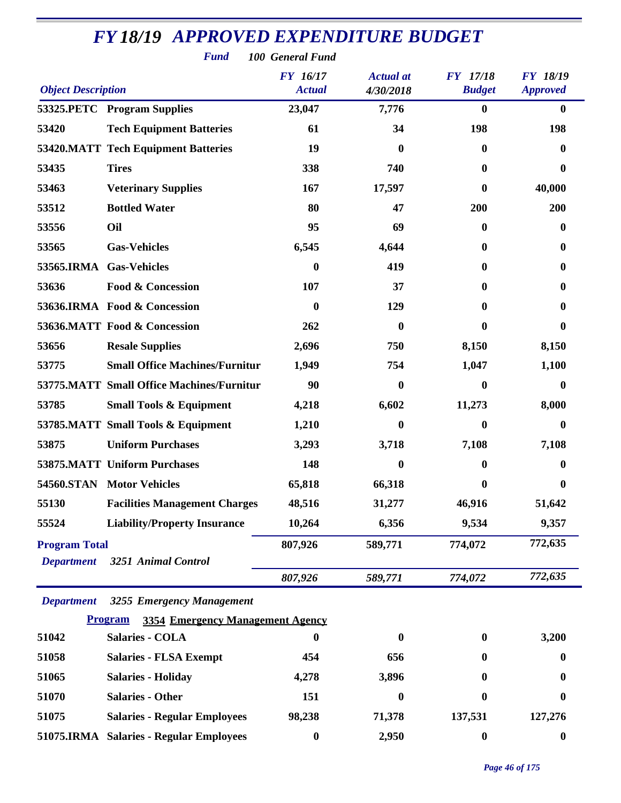|                           | <b>Fund</b>                                               | 100 General Fund |                  |                  |                  |
|---------------------------|-----------------------------------------------------------|------------------|------------------|------------------|------------------|
|                           |                                                           | <b>FY</b> 16/17  | <b>Actual</b> at | <b>FY</b> 17/18  | <b>FY 18/19</b>  |
| <b>Object Description</b> |                                                           | <b>Actual</b>    | 4/30/2018        | <b>Budget</b>    | <b>Approved</b>  |
|                           | 53325.PETC Program Supplies                               | 23,047           | 7,776            | $\boldsymbol{0}$ | $\bf{0}$         |
| 53420                     | <b>Tech Equipment Batteries</b>                           | 61               | 34               | 198              | 198              |
|                           | <b>53420.MATT Tech Equipment Batteries</b>                | 19               | $\bf{0}$         | 0                | 0                |
| 53435                     | <b>Tires</b>                                              | 338              | 740              | 0                | 0                |
| 53463                     | <b>Veterinary Supplies</b>                                | 167              | 17,597           | 0                | 40,000           |
| 53512                     | <b>Bottled Water</b>                                      | 80               | 47               | 200              | 200              |
| 53556                     | Oil                                                       | 95               | 69               | 0                | 0                |
| 53565                     | <b>Gas-Vehicles</b>                                       | 6,545            | 4,644            | 0                | 0                |
| 53565.IRMA                | <b>Gas-Vehicles</b>                                       | $\boldsymbol{0}$ | 419              | 0                | 0                |
| 53636                     | <b>Food &amp; Concession</b>                              | 107              | 37               | 0                | 0                |
|                           | 53636.IRMA Food & Concession                              | $\boldsymbol{0}$ | 129              | 0                | 0                |
|                           | 53636.MATT Food & Concession                              | 262              | $\bf{0}$         | 0                | 0                |
| 53656                     | <b>Resale Supplies</b>                                    | 2,696            | 750              | 8,150            | 8,150            |
| 53775                     | <b>Small Office Machines/Furnitur</b>                     | 1,949            | 754              | 1,047            | 1,100            |
|                           | 53775.MATT Small Office Machines/Furnitur                 | 90               | 0                | 0                | 0                |
| 53785                     | <b>Small Tools &amp; Equipment</b>                        | 4,218            | 6,602            | 11,273           | 8,000            |
|                           | 53785.MATT Small Tools & Equipment                        | 1,210            | $\bf{0}$         | 0                | 0                |
| 53875                     | <b>Uniform Purchases</b>                                  | 3,293            | 3,718            | 7,108            | 7,108            |
|                           | <b>53875.MATT Uniform Purchases</b>                       | 148              | 0                | 0                | 0                |
|                           | 54560.STAN Motor Vehicles                                 | 65,818           | 66,318           | 0                | 0                |
| 55130                     | <b>Facilities Management Charges</b>                      | 48,516           | 31,277           | 46,916           | 51,642           |
| 55524                     | <b>Liability/Property Insurance</b>                       | 10,264           | 6,356            | 9,534            | 9,357            |
| <b>Program Total</b>      |                                                           | 807,926          | 589,771          | 774,072          | 772,635          |
| <b>Department</b>         | 3251 Animal Control                                       |                  |                  |                  |                  |
|                           |                                                           | 807,926          | 589,771          | 774,072          | 772,635          |
| <b>Department</b>         | 3255 Emergency Management                                 |                  |                  |                  |                  |
|                           | <b>Program</b><br><b>3354 Emergency Management Agency</b> |                  |                  |                  |                  |
| 51042                     | <b>Salaries - COLA</b>                                    | $\boldsymbol{0}$ | $\boldsymbol{0}$ | $\bf{0}$         | 3,200            |
| 51058                     | <b>Salaries - FLSA Exempt</b>                             | 454              | 656              | 0                | 0                |
| 51065                     | <b>Salaries - Holiday</b>                                 | 4,278            | 3,896            | 0                | 0                |
| 51070                     | <b>Salaries - Other</b>                                   | 151              | 0                | 0                | 0                |
| 51075                     | <b>Salaries - Regular Employees</b>                       | 98,238           | 71,378           | 137,531          | 127,276          |
|                           | 51075.IRMA Salaries - Regular Employees                   | $\boldsymbol{0}$ | 2,950            | $\boldsymbol{0}$ | $\boldsymbol{0}$ |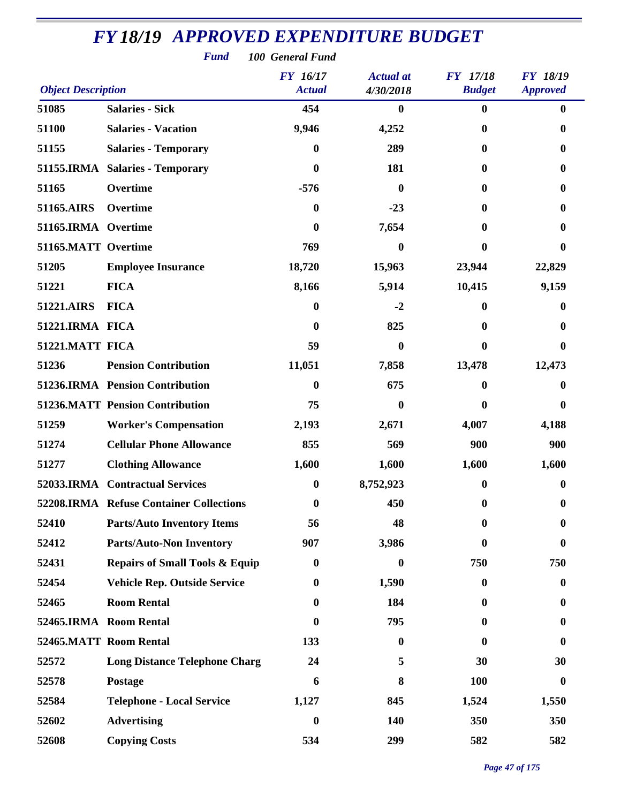| <b>Fund</b><br>100 General Fund |                                           |                                  |                               |                                  |                                    |  |  |
|---------------------------------|-------------------------------------------|----------------------------------|-------------------------------|----------------------------------|------------------------------------|--|--|
| <b>Object Description</b>       |                                           | <b>FY</b> 16/17<br><b>Actual</b> | <b>Actual</b> at<br>4/30/2018 | <b>FY</b> 17/18<br><b>Budget</b> | <b>FY 18/19</b><br><b>Approved</b> |  |  |
| 51085                           | <b>Salaries - Sick</b>                    | 454                              | $\bf{0}$                      | $\bf{0}$                         | $\bf{0}$                           |  |  |
| 51100                           | <b>Salaries - Vacation</b>                | 9,946                            | 4,252                         | $\bf{0}$                         | 0                                  |  |  |
| 51155                           | <b>Salaries - Temporary</b>               | $\boldsymbol{0}$                 | 289                           | 0                                | 0                                  |  |  |
|                                 | 51155.IRMA Salaries - Temporary           | $\boldsymbol{0}$                 | 181                           | 0                                | 0                                  |  |  |
| 51165                           | Overtime                                  | $-576$                           | $\mathbf{0}$                  | 0                                | 0                                  |  |  |
| 51165.AIRS                      | Overtime                                  | $\boldsymbol{0}$                 | $-23$                         | 0                                | 0                                  |  |  |
| 51165.IRMA Overtime             |                                           | $\boldsymbol{0}$                 | 7,654                         | 0                                | 0                                  |  |  |
| 51165.MATT Overtime             |                                           | 769                              | $\boldsymbol{0}$              | 0                                | 0                                  |  |  |
| 51205                           | <b>Employee Insurance</b>                 | 18,720                           | 15,963                        | 23,944                           | 22,829                             |  |  |
| 51221                           | <b>FICA</b>                               | 8,166                            | 5,914                         | 10,415                           | 9,159                              |  |  |
| 51221.AIRS                      | <b>FICA</b>                               | $\bf{0}$                         | $-2$                          | 0                                | 0                                  |  |  |
| 51221.IRMA FICA                 |                                           | $\bf{0}$                         | 825                           | 0                                | 0                                  |  |  |
| 51221.MATT FICA                 |                                           | 59                               | $\bf{0}$                      | 0                                | 0                                  |  |  |
| 51236                           | <b>Pension Contribution</b>               | 11,051                           | 7,858                         | 13,478                           | 12,473                             |  |  |
|                                 | 51236.IRMA Pension Contribution           | $\bf{0}$                         | 675                           | 0                                | 0                                  |  |  |
|                                 | <b>51236.MATT Pension Contribution</b>    | 75                               | $\bf{0}$                      | 0                                | 0                                  |  |  |
| 51259                           | <b>Worker's Compensation</b>              | 2,193                            | 2,671                         | 4,007                            | 4,188                              |  |  |
| 51274                           | <b>Cellular Phone Allowance</b>           | 855                              | 569                           | 900                              | 900                                |  |  |
| 51277                           | <b>Clothing Allowance</b>                 | 1,600                            | 1,600                         | 1,600                            | 1,600                              |  |  |
|                                 | 52033.IRMA Contractual Services           | $\bf{0}$                         | 8,752,923                     | $\bf{0}$                         | $\boldsymbol{0}$                   |  |  |
|                                 | 52208.IRMA Refuse Container Collections   | $\boldsymbol{0}$                 | 450                           | 0                                | 0                                  |  |  |
| 52410                           | <b>Parts/Auto Inventory Items</b>         | 56                               | 48                            | 0                                | 0                                  |  |  |
| 52412                           | <b>Parts/Auto-Non Inventory</b>           | 907                              | 3,986                         | 0                                | 0                                  |  |  |
| 52431                           | <b>Repairs of Small Tools &amp; Equip</b> | $\boldsymbol{0}$                 | $\mathbf{0}$                  | 750                              | 750                                |  |  |
| 52454                           | <b>Vehicle Rep. Outside Service</b>       | $\boldsymbol{0}$                 | 1,590                         | $\bf{0}$                         | 0                                  |  |  |
| 52465                           | <b>Room Rental</b>                        | 0                                | 184                           | 0                                | 0                                  |  |  |
|                                 | 52465.IRMA Room Rental                    | 0                                | 795                           | 0                                | $\mathbf{0}$                       |  |  |
|                                 | 52465.MATT Room Rental                    | 133                              | $\boldsymbol{0}$              | 0                                | 0                                  |  |  |
| 52572                           | <b>Long Distance Telephone Charg</b>      | 24                               | 5                             | 30                               | 30                                 |  |  |
| 52578                           | Postage                                   | 6                                | 8                             | 100                              | $\bf{0}$                           |  |  |
| 52584                           | <b>Telephone - Local Service</b>          | 1,127                            | 845                           | 1,524                            | 1,550                              |  |  |
| 52602                           | <b>Advertising</b>                        | $\bf{0}$                         | 140                           | 350                              | 350                                |  |  |
| 52608                           | <b>Copying Costs</b>                      | 534                              | 299                           | 582                              | 582                                |  |  |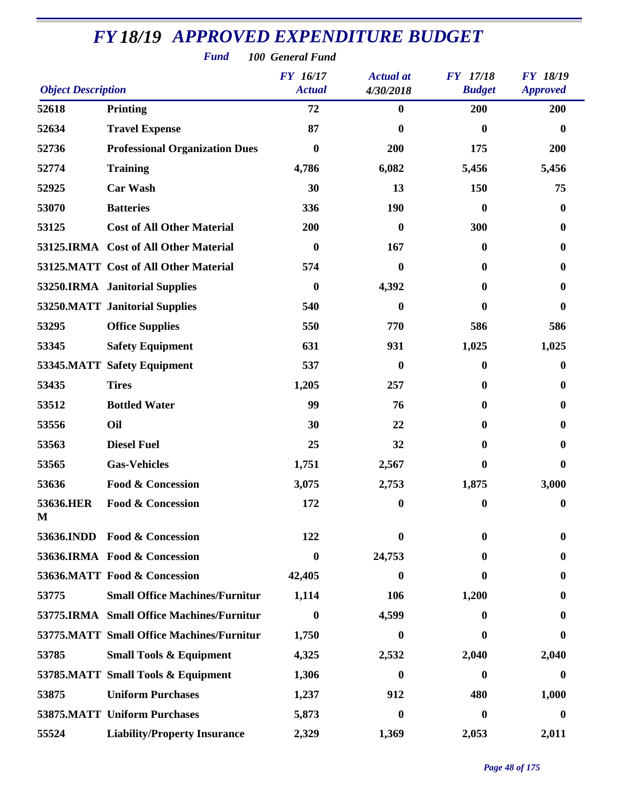| <b>Fund</b><br>100 General Fund                                                                                                                            |                                           |                  |                  |                  |                  |  |  |
|------------------------------------------------------------------------------------------------------------------------------------------------------------|-------------------------------------------|------------------|------------------|------------------|------------------|--|--|
| FY 16/17<br><b>FY</b> 17/18<br>FY 18/19<br><b>Actual</b> at<br><b>Object Description</b><br><b>Actual</b><br><b>Budget</b><br>4/30/2018<br><b>Approved</b> |                                           |                  |                  |                  |                  |  |  |
| 52618                                                                                                                                                      | Printing                                  | 72               | 0                | 200              | 200              |  |  |
| 52634                                                                                                                                                      | <b>Travel Expense</b>                     | 87               | 0                | $\bf{0}$         | $\bf{0}$         |  |  |
| 52736                                                                                                                                                      | <b>Professional Organization Dues</b>     | $\boldsymbol{0}$ | 200              | 175              | 200              |  |  |
| 52774                                                                                                                                                      | <b>Training</b>                           | 4,786            | 6,082            | 5,456            | 5,456            |  |  |
| 52925                                                                                                                                                      | <b>Car Wash</b>                           | 30               | 13               | 150              | 75               |  |  |
| 53070                                                                                                                                                      | <b>Batteries</b>                          | 336              | <b>190</b>       | $\bf{0}$         | $\boldsymbol{0}$ |  |  |
| 53125                                                                                                                                                      | <b>Cost of All Other Material</b>         | 200              | $\boldsymbol{0}$ | 300              | $\bf{0}$         |  |  |
|                                                                                                                                                            | 53125.IRMA Cost of All Other Material     | $\bf{0}$         | 167              | $\boldsymbol{0}$ | $\mathbf{0}$     |  |  |
|                                                                                                                                                            | 53125.MATT Cost of All Other Material     | 574              | $\bf{0}$         | $\bf{0}$         | $\mathbf{0}$     |  |  |
|                                                                                                                                                            | 53250.IRMA Janitorial Supplies            | $\bf{0}$         | 4,392            | $\mathbf{0}$     | $\bf{0}$         |  |  |
|                                                                                                                                                            | 53250.MATT Janitorial Supplies            | 540              | 0                | $\bf{0}$         | $\bf{0}$         |  |  |
| 53295                                                                                                                                                      | <b>Office Supplies</b>                    | 550              | 770              | 586              | 586              |  |  |
| 53345                                                                                                                                                      | <b>Safety Equipment</b>                   | 631              | 931              | 1,025            | 1,025            |  |  |
|                                                                                                                                                            | 53345.MATT Safety Equipment               | 537              | $\bf{0}$         | $\bf{0}$         | $\bf{0}$         |  |  |
| 53435                                                                                                                                                      | <b>Tires</b>                              | 1,205            | 257              | $\bf{0}$         | $\bf{0}$         |  |  |
| 53512                                                                                                                                                      | <b>Bottled Water</b>                      | 99               | 76               | $\bf{0}$         | $\mathbf{0}$     |  |  |
| 53556                                                                                                                                                      | Oil                                       | 30               | 22               | $\mathbf{0}$     | $\bf{0}$         |  |  |
| 53563                                                                                                                                                      | <b>Diesel Fuel</b>                        | 25               | 32               | $\mathbf{0}$     | $\mathbf{0}$     |  |  |
| 53565                                                                                                                                                      | <b>Gas-Vehicles</b>                       | 1,751            | 2,567            | 0                | 0                |  |  |
| 53636                                                                                                                                                      | Food & Concession                         | 3,075            | 2,753            | 1,875            | 3,000            |  |  |
| 53636.HER<br>M                                                                                                                                             | Food & Concession                         | 172              | $\boldsymbol{0}$ | $\boldsymbol{0}$ | $\boldsymbol{0}$ |  |  |
| 53636.INDD                                                                                                                                                 | <b>Food &amp; Concession</b>              | 122              | 0                | 0                | $\bf{0}$         |  |  |
|                                                                                                                                                            | 53636.IRMA Food & Concession              | $\boldsymbol{0}$ | 24,753           | $\bf{0}$         | 0                |  |  |
|                                                                                                                                                            | 53636.MATT Food & Concession              | 42,405           | 0                | 0                | 0                |  |  |
| 53775                                                                                                                                                      | <b>Small Office Machines/Furnitur</b>     | 1,114            | 106              | 1,200            | 0                |  |  |
|                                                                                                                                                            | 53775.IRMA Small Office Machines/Furnitur | $\boldsymbol{0}$ | 4,599            | 0                | 0                |  |  |
|                                                                                                                                                            | 53775.MATT Small Office Machines/Furnitur | 1,750            | 0                | $\mathbf 0$      | 0                |  |  |
| 53785                                                                                                                                                      | <b>Small Tools &amp; Equipment</b>        | 4,325            | 2,532            | 2,040            | 2,040            |  |  |
|                                                                                                                                                            | 53785.MATT Small Tools & Equipment        | 1,306            | 0                | $\bf{0}$         | $\bf{0}$         |  |  |
| 53875                                                                                                                                                      | <b>Uniform Purchases</b>                  | 1,237            | 912              | 480              | 1,000            |  |  |
|                                                                                                                                                            | 53875.MATT Uniform Purchases              | 5,873            | 0                | $\bf{0}$         | 0                |  |  |
| 55524                                                                                                                                                      | <b>Liability/Property Insurance</b>       | 2,329            | 1,369            | 2,053            | 2,011            |  |  |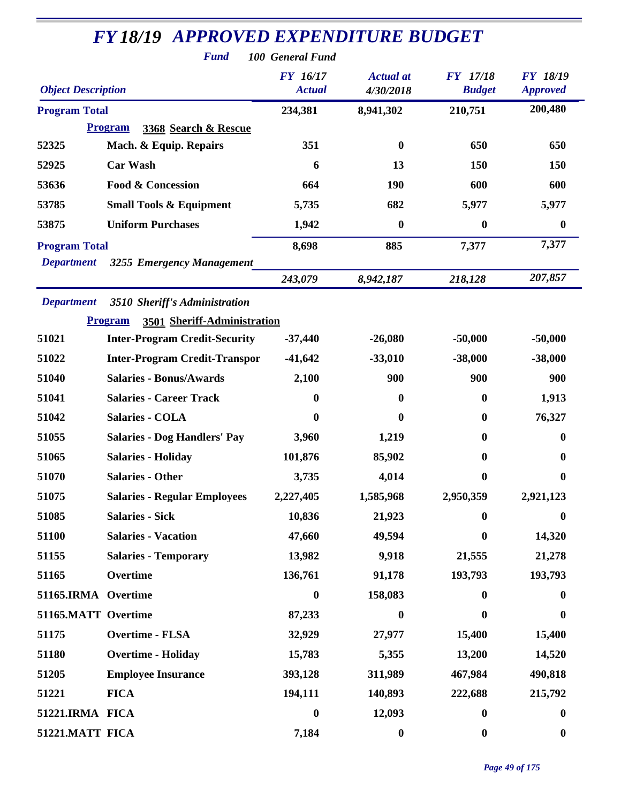|                           | <b>Fund</b>                                   | 100 General Fund                 |                               |                                  |                                    |
|---------------------------|-----------------------------------------------|----------------------------------|-------------------------------|----------------------------------|------------------------------------|
| <b>Object Description</b> |                                               | <b>FY</b> 16/17<br><b>Actual</b> | <b>Actual</b> at<br>4/30/2018 | <b>FY</b> 17/18<br><b>Budget</b> | <b>FY 18/19</b><br><b>Approved</b> |
| <b>Program Total</b>      |                                               | 234,381                          | 8,941,302                     | 210,751                          | 200,480                            |
|                           | <b>Program</b><br>3368 Search & Rescue        |                                  |                               |                                  |                                    |
| 52325                     | Mach. & Equip. Repairs                        | 351                              | $\bf{0}$                      | 650                              | 650                                |
| 52925                     | <b>Car Wash</b>                               | 6                                | 13                            | 150                              | 150                                |
| 53636                     | <b>Food &amp; Concession</b>                  | 664                              | <b>190</b>                    | 600                              | 600                                |
| 53785                     | <b>Small Tools &amp; Equipment</b>            | 5,735                            | 682                           | 5,977                            | 5,977                              |
| 53875                     | <b>Uniform Purchases</b>                      | 1,942                            | $\boldsymbol{0}$              | $\bf{0}$                         | $\boldsymbol{0}$                   |
| <b>Program Total</b>      |                                               | 8,698                            | 885                           | 7,377                            | 7,377                              |
| <b>Department</b>         | 3255 Emergency Management                     |                                  |                               |                                  |                                    |
|                           |                                               | 243,079                          | 8,942,187                     | 218,128                          | 207,857                            |
| <b>Department</b>         | 3510 Sheriff's Administration                 |                                  |                               |                                  |                                    |
|                           | 3501 Sheriff-Administration<br><b>Program</b> |                                  |                               |                                  |                                    |
| 51021                     | <b>Inter-Program Credit-Security</b>          | $-37,440$                        | $-26,080$                     | $-50,000$                        | $-50,000$                          |
| 51022                     | <b>Inter-Program Credit-Transpor</b>          | $-41,642$                        | $-33,010$                     | $-38,000$                        | $-38,000$                          |
| 51040                     | <b>Salaries - Bonus/Awards</b>                | 2,100                            | 900                           | 900                              | 900                                |
| 51041                     | <b>Salaries - Career Track</b>                | $\bf{0}$                         | $\mathbf{0}$                  | $\mathbf{0}$                     | 1,913                              |
| 51042                     | <b>Salaries - COLA</b>                        | 0                                | $\boldsymbol{0}$              | $\bf{0}$                         | 76,327                             |
| 51055                     | <b>Salaries - Dog Handlers' Pay</b>           | 3,960                            | 1,219                         | $\bf{0}$                         | $\mathbf{0}$                       |
| 51065                     | <b>Salaries - Holiday</b>                     | 101,876                          | 85,902                        | 0                                | $\mathbf{0}$                       |
| 51070                     | <b>Salaries - Other</b>                       | 3,735                            | 4,014                         | 0                                | $\boldsymbol{0}$                   |
| 51075                     | <b>Salaries - Regular Employees</b>           | 2,227,405                        | 1,585,968                     | 2,950,359                        | 2,921,123                          |
| 51085                     | <b>Salaries - Sick</b>                        | 10,836                           | 21,923                        | $\mathbf{0}$                     | $\bf{0}$                           |
| 51100                     | <b>Salaries - Vacation</b>                    | 47,660                           | 49,594                        | $\mathbf{0}$                     | 14,320                             |
| 51155                     | <b>Salaries - Temporary</b>                   | 13,982                           | 9,918                         | 21,555                           | 21,278                             |
| 51165                     | Overtime                                      | 136,761                          | 91,178                        | 193,793                          | 193,793                            |
| 51165.IRMA Overtime       |                                               | $\boldsymbol{0}$                 | 158,083                       | $\bf{0}$                         | $\bf{0}$                           |
| 51165.MATT Overtime       |                                               | 87,233                           | $\boldsymbol{0}$              | 0                                | $\bf{0}$                           |
| 51175                     | <b>Overtime - FLSA</b>                        | 32,929                           | 27,977                        | 15,400                           | 15,400                             |
| 51180                     | <b>Overtime - Holiday</b>                     | 15,783                           | 5,355                         | 13,200                           | 14,520                             |
| 51205                     | <b>Employee Insurance</b>                     | 393,128                          | 311,989                       | 467,984                          | 490,818                            |
| 51221                     | <b>FICA</b>                                   | 194,111                          | 140,893                       | 222,688                          | 215,792                            |
| 51221.IRMA FICA           |                                               | $\boldsymbol{0}$                 | 12,093                        | $\boldsymbol{0}$                 | $\bf{0}$                           |
| 51221.MATT FICA           |                                               | 7,184                            | $\boldsymbol{0}$              | $\bf{0}$                         | $\boldsymbol{0}$                   |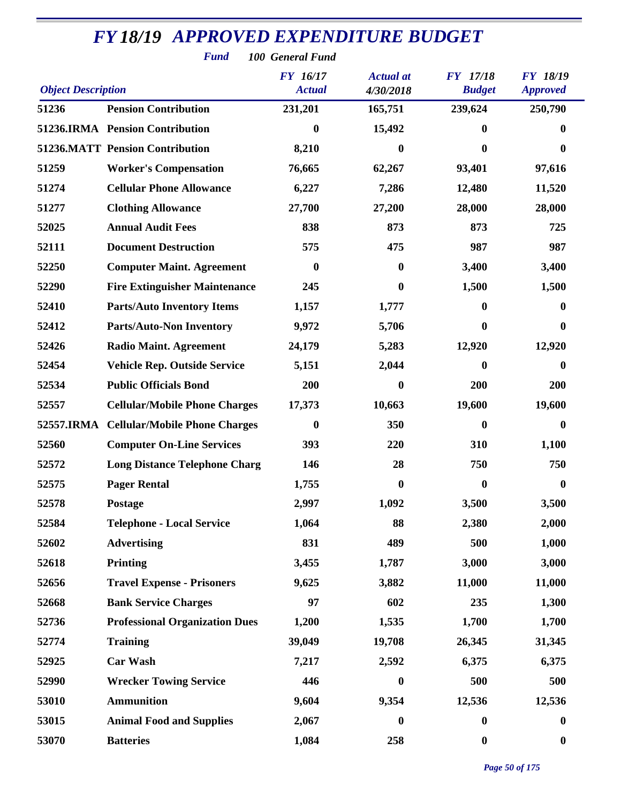| <b>Fund</b><br>100 General Fund                                                                                                                                   |                                        |                  |                  |                  |                  |  |  |
|-------------------------------------------------------------------------------------------------------------------------------------------------------------------|----------------------------------------|------------------|------------------|------------------|------------------|--|--|
| FY 16/17<br><b>FY</b> 17/18<br><b>FY 18/19</b><br><b>Actual</b> at<br><b>Object Description</b><br><b>Actual</b><br><b>Budget</b><br>4/30/2018<br><b>Approved</b> |                                        |                  |                  |                  |                  |  |  |
| 51236                                                                                                                                                             | <b>Pension Contribution</b>            | 231,201          | 165,751          | 239,624          | 250,790          |  |  |
|                                                                                                                                                                   | 51236.IRMA Pension Contribution        | 0                | 15,492           | $\mathbf{0}$     | 0                |  |  |
|                                                                                                                                                                   | <b>51236.MATT Pension Contribution</b> | 8,210            | 0                | $\bf{0}$         | $\boldsymbol{0}$ |  |  |
| 51259                                                                                                                                                             | <b>Worker's Compensation</b>           | 76,665           | 62,267           | 93,401           | 97,616           |  |  |
| 51274                                                                                                                                                             | <b>Cellular Phone Allowance</b>        | 6,227            | 7,286            | 12,480           | 11,520           |  |  |
| 51277                                                                                                                                                             | <b>Clothing Allowance</b>              | 27,700           | 27,200           | 28,000           | 28,000           |  |  |
| 52025                                                                                                                                                             | <b>Annual Audit Fees</b>               | 838              | 873              | 873              | 725              |  |  |
| 52111                                                                                                                                                             | <b>Document Destruction</b>            | 575              | 475              | 987              | 987              |  |  |
| 52250                                                                                                                                                             | <b>Computer Maint. Agreement</b>       | $\boldsymbol{0}$ | 0                | 3,400            | 3,400            |  |  |
| 52290                                                                                                                                                             | <b>Fire Extinguisher Maintenance</b>   | 245              | $\bf{0}$         | 1,500            | 1,500            |  |  |
| 52410                                                                                                                                                             | <b>Parts/Auto Inventory Items</b>      | 1,157            | 1,777            | $\mathbf{0}$     | 0                |  |  |
| 52412                                                                                                                                                             | <b>Parts/Auto-Non Inventory</b>        | 9,972            | 5,706            | $\mathbf{0}$     | $\bf{0}$         |  |  |
| 52426                                                                                                                                                             | <b>Radio Maint. Agreement</b>          | 24,179           | 5,283            | 12,920           | 12,920           |  |  |
| 52454                                                                                                                                                             | <b>Vehicle Rep. Outside Service</b>    | 5,151            | 2,044            | $\boldsymbol{0}$ | $\bf{0}$         |  |  |
| 52534                                                                                                                                                             | <b>Public Officials Bond</b>           | 200              | 0                | 200              | 200              |  |  |
| 52557                                                                                                                                                             | <b>Cellular/Mobile Phone Charges</b>   | 17,373           | 10,663           | 19,600           | 19,600           |  |  |
| 52557.IRMA                                                                                                                                                        | <b>Cellular/Mobile Phone Charges</b>   | $\boldsymbol{0}$ | 350              | $\boldsymbol{0}$ | $\boldsymbol{0}$ |  |  |
| 52560                                                                                                                                                             | <b>Computer On-Line Services</b>       | 393              | 220              | 310              | 1,100            |  |  |
| 52572                                                                                                                                                             | <b>Long Distance Telephone Charg</b>   | 146              | 28               | 750              | 750              |  |  |
| 52575                                                                                                                                                             | <b>Pager Rental</b>                    | 1,755            | 0                | $\mathbf{0}$     | $\boldsymbol{0}$ |  |  |
| 52578                                                                                                                                                             | Postage                                | 2,997            | 1,092            | 3,500            | 3,500            |  |  |
| 52584                                                                                                                                                             | <b>Telephone - Local Service</b>       | 1,064            | 88               | 2,380            | 2,000            |  |  |
| 52602                                                                                                                                                             | <b>Advertising</b>                     | 831              | 489              | 500              | 1,000            |  |  |
| 52618                                                                                                                                                             | <b>Printing</b>                        | 3,455            | 1,787            | 3,000            | 3,000            |  |  |
| 52656                                                                                                                                                             | <b>Travel Expense - Prisoners</b>      | 9,625            | 3,882            | 11,000           | 11,000           |  |  |
| 52668                                                                                                                                                             | <b>Bank Service Charges</b>            | 97               | 602              | 235              | 1,300            |  |  |
| 52736                                                                                                                                                             | <b>Professional Organization Dues</b>  | 1,200            | 1,535            | 1,700            | 1,700            |  |  |
| 52774                                                                                                                                                             | <b>Training</b>                        | 39,049           | 19,708           | 26,345           | 31,345           |  |  |
| 52925                                                                                                                                                             | <b>Car Wash</b>                        | 7,217            | 2,592            | 6,375            | 6,375            |  |  |
| 52990                                                                                                                                                             | <b>Wrecker Towing Service</b>          | 446              | 0                | 500              | 500              |  |  |
| 53010                                                                                                                                                             | <b>Ammunition</b>                      | 9,604            | 9,354            | 12,536           | 12,536           |  |  |
| 53015                                                                                                                                                             | <b>Animal Food and Supplies</b>        | 2,067            | $\boldsymbol{0}$ | $\bf{0}$         | $\bf{0}$         |  |  |
| 53070                                                                                                                                                             | <b>Batteries</b>                       | 1,084            | 258              | $\boldsymbol{0}$ | $\boldsymbol{0}$ |  |  |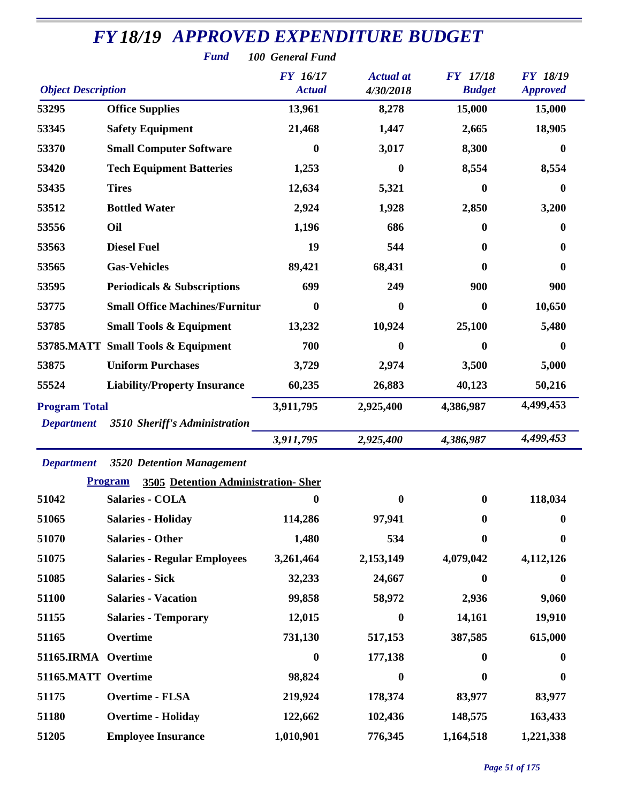| <b>FY18/19 APPROVED EXPENDITURE BUDGET</b><br><b>Fund</b><br>100 General Fund |                                                              |                                  |                               |                           |                                    |  |  |  |
|-------------------------------------------------------------------------------|--------------------------------------------------------------|----------------------------------|-------------------------------|---------------------------|------------------------------------|--|--|--|
| <b>Object Description</b>                                                     |                                                              | <b>FY</b> 16/17<br><b>Actual</b> | <b>Actual</b> at<br>4/30/2018 | FY 17/18<br><b>Budget</b> | <b>FY 18/19</b><br><b>Approved</b> |  |  |  |
| 53295                                                                         | <b>Office Supplies</b>                                       | 13,961                           | 8,278                         | 15,000                    | 15,000                             |  |  |  |
| 53345                                                                         | <b>Safety Equipment</b>                                      | 21,468                           | 1,447                         | 2,665                     | 18,905                             |  |  |  |
| 53370                                                                         | <b>Small Computer Software</b>                               | 0                                | 3,017                         | 8,300                     | 0                                  |  |  |  |
| 53420                                                                         | <b>Tech Equipment Batteries</b>                              | 1,253                            | 0                             | 8,554                     | 8,554                              |  |  |  |
| 53435                                                                         | <b>Tires</b>                                                 | 12,634                           | 5,321                         | $\bf{0}$                  | $\bf{0}$                           |  |  |  |
| 53512                                                                         | <b>Bottled Water</b>                                         | 2,924                            | 1,928                         | 2,850                     | 3,200                              |  |  |  |
| 53556                                                                         | Oil                                                          | 1,196                            | 686                           | $\mathbf{0}$              | 0                                  |  |  |  |
| 53563                                                                         | <b>Diesel Fuel</b>                                           | 19                               | 544                           | 0                         | $\bf{0}$                           |  |  |  |
| 53565                                                                         | <b>Gas-Vehicles</b>                                          | 89,421                           | 68,431                        | 0                         | $\bf{0}$                           |  |  |  |
| 53595                                                                         | <b>Periodicals &amp; Subscriptions</b>                       | 699                              | 249                           | 900                       | 900                                |  |  |  |
| 53775                                                                         | <b>Small Office Machines/Furnitur</b>                        | 0                                | 0                             | $\bf{0}$                  | 10,650                             |  |  |  |
| 53785                                                                         | <b>Small Tools &amp; Equipment</b>                           | 13,232                           | 10,924                        | 25,100                    | 5,480                              |  |  |  |
|                                                                               | 53785.MATT Small Tools & Equipment                           | 700                              | 0                             | $\boldsymbol{0}$          | $\bf{0}$                           |  |  |  |
| 53875                                                                         | <b>Uniform Purchases</b>                                     | 3,729                            | 2,974                         | 3,500                     | 5,000                              |  |  |  |
| 55524                                                                         | <b>Liability/Property Insurance</b>                          | 60,235                           | 26,883                        | 40,123                    | 50,216                             |  |  |  |
| <b>Program Total</b><br><b>Department</b>                                     | 3510 Sheriff's Administration                                | 3,911,795                        | 2,925,400                     | 4,386,987                 | 4,499,453                          |  |  |  |
|                                                                               |                                                              | 3,911,795                        | 2,925,400                     | 4,386,987                 | 4,499,453                          |  |  |  |
| <b>Department</b>                                                             | 3520 Detention Management<br><b>Program</b>                  |                                  |                               |                           |                                    |  |  |  |
| 51042                                                                         | 3505 Detention Administration-Sher<br><b>Salaries - COLA</b> | $\bf{0}$                         | 0                             | $\bf{0}$                  | 118,034                            |  |  |  |
| 51065                                                                         | <b>Salaries - Holiday</b>                                    | 114,286                          | 97,941                        | $\mathbf{0}$              | 0                                  |  |  |  |
| 51070                                                                         | <b>Salaries - Other</b>                                      | 1,480                            | 534                           | $\bf{0}$                  | $\boldsymbol{0}$                   |  |  |  |
| 51075                                                                         | <b>Salaries - Regular Employees</b>                          | 3,261,464                        | 2,153,149                     | 4,079,042                 | 4,112,126                          |  |  |  |
| 51085                                                                         | <b>Salaries - Sick</b>                                       | 32,233                           | 24,667                        | $\mathbf{0}$              | 0                                  |  |  |  |
| 51100                                                                         | <b>Salaries - Vacation</b>                                   | 99,858                           | 58,972                        | 2,936                     | 9,060                              |  |  |  |
| 51155                                                                         | <b>Salaries - Temporary</b>                                  | 12,015                           | $\boldsymbol{0}$              | 14,161                    | 19,910                             |  |  |  |
| 51165                                                                         | Overtime                                                     | 731,130                          | 517,153                       | 387,585                   | 615,000                            |  |  |  |
| 51165.IRMA Overtime                                                           |                                                              | $\boldsymbol{0}$                 | 177,138                       | $\mathbf{0}$              | $\bf{0}$                           |  |  |  |
| 51165.MATT Overtime                                                           |                                                              | 98,824                           |                               | $\mathbf{0}$              |                                    |  |  |  |
| 51175                                                                         | <b>Overtime - FLSA</b>                                       | 219,924                          | $\bf{0}$                      |                           | $\bf{0}$                           |  |  |  |
|                                                                               |                                                              |                                  | 178,374                       | 83,977                    | 83,977                             |  |  |  |
| 51180                                                                         | <b>Overtime - Holiday</b>                                    | 122,662                          | 102,436                       | 148,575                   | 163,433                            |  |  |  |
| 51205                                                                         | <b>Employee Insurance</b>                                    | 1,010,901                        | 776,345                       | 1,164,518                 | 1,221,338                          |  |  |  |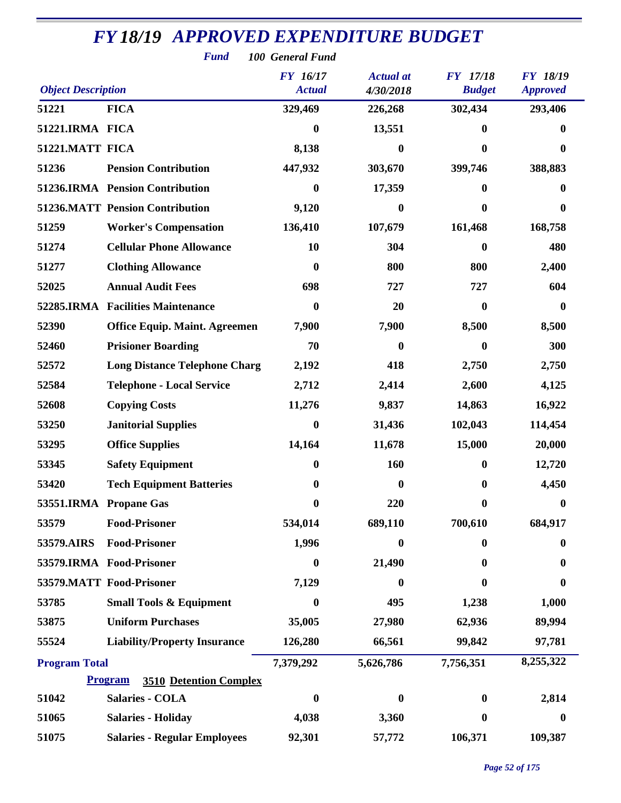| <b>Fund</b><br>100 General Fund                                                                                                                            |                                                 |                  |           |              |                  |  |  |
|------------------------------------------------------------------------------------------------------------------------------------------------------------|-------------------------------------------------|------------------|-----------|--------------|------------------|--|--|
| FY 16/17<br>FY 17/18<br><b>FY 18/19</b><br><b>Actual</b> at<br><b>Object Description</b><br><b>Actual</b><br><b>Budget</b><br>4/30/2018<br><b>Approved</b> |                                                 |                  |           |              |                  |  |  |
| 51221                                                                                                                                                      | <b>FICA</b>                                     | 329,469          | 226,268   | 302,434      | 293,406          |  |  |
| 51221.IRMA FICA                                                                                                                                            |                                                 | 0                | 13,551    | 0            | 0                |  |  |
| 51221.MATT FICA                                                                                                                                            |                                                 | 8,138            | $\bf{0}$  | $\bf{0}$     | $\bf{0}$         |  |  |
| 51236                                                                                                                                                      | <b>Pension Contribution</b>                     | 447,932          | 303,670   | 399,746      | 388,883          |  |  |
|                                                                                                                                                            | 51236.IRMA Pension Contribution                 | $\bf{0}$         | 17,359    | $\mathbf{0}$ | 0                |  |  |
|                                                                                                                                                            | <b>51236.MATT Pension Contribution</b>          | 9,120            | $\bf{0}$  | $\bf{0}$     | $\boldsymbol{0}$ |  |  |
| 51259                                                                                                                                                      | <b>Worker's Compensation</b>                    | 136,410          | 107,679   | 161,468      | 168,758          |  |  |
| 51274                                                                                                                                                      | <b>Cellular Phone Allowance</b>                 | 10               | 304       | $\mathbf{0}$ | 480              |  |  |
| 51277                                                                                                                                                      | <b>Clothing Allowance</b>                       | 0                | 800       | 800          | 2,400            |  |  |
| 52025                                                                                                                                                      | <b>Annual Audit Fees</b>                        | 698              | 727       | 727          | 604              |  |  |
|                                                                                                                                                            | 52285.IRMA Facilities Maintenance               | 0                | 20        | $\bf{0}$     | $\bf{0}$         |  |  |
| 52390                                                                                                                                                      | <b>Office Equip. Maint. Agreemen</b>            | 7,900            | 7,900     | 8,500        | 8,500            |  |  |
| 52460                                                                                                                                                      | <b>Prisioner Boarding</b>                       | 70               | 0         | $\mathbf{0}$ | 300              |  |  |
| 52572                                                                                                                                                      | <b>Long Distance Telephone Charg</b>            | 2,192            | 418       | 2,750        | 2,750            |  |  |
| 52584                                                                                                                                                      | <b>Telephone - Local Service</b>                | 2,712            | 2,414     | 2,600        | 4,125            |  |  |
| 52608                                                                                                                                                      | <b>Copying Costs</b>                            | 11,276           | 9,837     | 14,863       | 16,922           |  |  |
| 53250                                                                                                                                                      | <b>Janitorial Supplies</b>                      | $\boldsymbol{0}$ | 31,436    | 102,043      | 114,454          |  |  |
| 53295                                                                                                                                                      | <b>Office Supplies</b>                          | 14,164           | 11,678    | 15,000       | 20,000           |  |  |
| 53345                                                                                                                                                      | <b>Safety Equipment</b>                         | 0                | 160       | $\bf{0}$     | 12,720           |  |  |
| 53420                                                                                                                                                      | <b>Tech Equipment Batteries</b>                 | 0                | 0         | $\bf{0}$     | 4,450            |  |  |
|                                                                                                                                                            | 53551.IRMA Propane Gas                          | $\bf{0}$         | 220       | $\bf{0}$     | $\mathbf{0}$     |  |  |
| 53579                                                                                                                                                      | <b>Food-Prisoner</b>                            | 534,014          | 689,110   | 700,610      | 684,917          |  |  |
| 53579.AIRS                                                                                                                                                 | <b>Food-Prisoner</b>                            | 1,996            | $\bf{0}$  | $\mathbf{0}$ | $\boldsymbol{0}$ |  |  |
|                                                                                                                                                            | 53579.IRMA Food-Prisoner                        | $\bf{0}$         | 21,490    | 0            | 0                |  |  |
|                                                                                                                                                            | 53579.MATT Food-Prisoner                        | 7,129            | $\bf{0}$  | $\bf{0}$     | 0                |  |  |
| 53785                                                                                                                                                      | <b>Small Tools &amp; Equipment</b>              | $\boldsymbol{0}$ | 495       | 1,238        | 1,000            |  |  |
| 53875                                                                                                                                                      | <b>Uniform Purchases</b>                        | 35,005           | 27,980    | 62,936       | 89,994           |  |  |
| 55524                                                                                                                                                      | <b>Liability/Property Insurance</b>             | 126,280          | 66,561    | 99,842       | 97,781           |  |  |
| <b>Program Total</b>                                                                                                                                       |                                                 | 7,379,292        | 5,626,786 | 7,756,351    | 8,255,322        |  |  |
|                                                                                                                                                            | <b>3510 Detention Complex</b><br><b>Program</b> |                  |           |              |                  |  |  |
| 51042                                                                                                                                                      | <b>Salaries - COLA</b>                          | 0                | 0         | $\bf{0}$     | 2,814            |  |  |
| 51065                                                                                                                                                      | <b>Salaries - Holiday</b>                       | 4,038            | 3,360     | $\bf{0}$     | $\boldsymbol{0}$ |  |  |
| 51075                                                                                                                                                      | <b>Salaries - Regular Employees</b>             | 92,301           | 57,772    | 106,371      | 109,387          |  |  |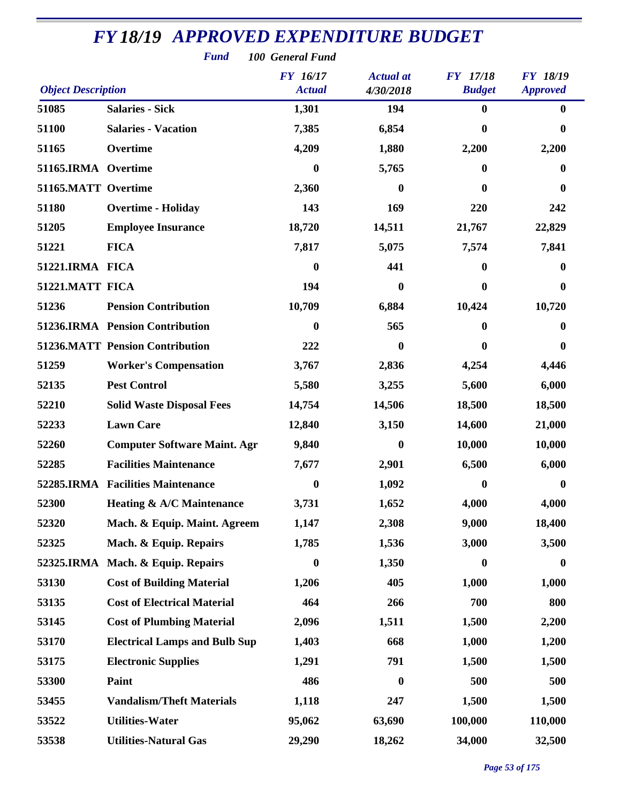| <b>Fund</b><br>100 General Fund                                           |                                        |                  |                  |                  |                  |  |  |
|---------------------------------------------------------------------------|----------------------------------------|------------------|------------------|------------------|------------------|--|--|
| <b>FY</b> 16/17<br><b>Actual</b> at<br><b>FY</b> 17/18<br><b>FY 18/19</b> |                                        |                  |                  |                  |                  |  |  |
| <b>Object Description</b>                                                 |                                        | <b>Actual</b>    | 4/30/2018        | <b>Budget</b>    | <b>Approved</b>  |  |  |
| 51085                                                                     | <b>Salaries - Sick</b>                 | 1,301            | 194              | $\bf{0}$         | $\bf{0}$         |  |  |
| 51100                                                                     | <b>Salaries - Vacation</b>             | 7,385            | 6,854            | 0                | 0                |  |  |
| 51165                                                                     | Overtime                               | 4,209            | 1,880            | 2,200            | 2,200            |  |  |
| 51165.IRMA Overtime                                                       |                                        | $\bf{0}$         | 5,765            | 0                | 0                |  |  |
| 51165.MATT Overtime                                                       |                                        | 2,360            | 0                | 0                | 0                |  |  |
| 51180                                                                     | <b>Overtime - Holiday</b>              | 143              | 169              | 220              | 242              |  |  |
| 51205                                                                     | <b>Employee Insurance</b>              | 18,720           | 14,511           | 21,767           | 22,829           |  |  |
| 51221                                                                     | <b>FICA</b>                            | 7,817            | 5,075            | 7,574            | 7,841            |  |  |
| 51221.IRMA FICA                                                           |                                        | 0                | 441              | 0                | 0                |  |  |
| 51221.MATT FICA                                                           |                                        | 194              | $\bf{0}$         | 0                | 0                |  |  |
| 51236                                                                     | <b>Pension Contribution</b>            | 10,709           | 6,884            | 10,424           | 10,720           |  |  |
|                                                                           | 51236.IRMA Pension Contribution        | 0                | 565              | 0                | 0                |  |  |
|                                                                           | <b>51236.MATT Pension Contribution</b> | 222              | $\bf{0}$         | 0                | 0                |  |  |
| 51259                                                                     | <b>Worker's Compensation</b>           | 3,767            | 2,836            | 4,254            | 4,446            |  |  |
| 52135                                                                     | <b>Pest Control</b>                    | 5,580            | 3,255            | 5,600            | 6,000            |  |  |
| 52210                                                                     | <b>Solid Waste Disposal Fees</b>       | 14,754           | 14,506           | 18,500           | 18,500           |  |  |
| 52233                                                                     | <b>Lawn Care</b>                       | 12,840           | 3,150            | 14,600           | 21,000           |  |  |
| 52260                                                                     | <b>Computer Software Maint. Agr</b>    | 9,840            | $\bf{0}$         | 10,000           | 10,000           |  |  |
| 52285                                                                     | <b>Facilities Maintenance</b>          | 7,677            | 2,901            | 6,500            | 6,000            |  |  |
|                                                                           | 52285.IRMA Facilities Maintenance      | $\bf{0}$         | 1,092            | 0                | 0                |  |  |
| 52300                                                                     | <b>Heating &amp; A/C Maintenance</b>   | 3,731            | 1,652            | 4,000            | 4,000            |  |  |
| 52320                                                                     | Mach. & Equip. Maint. Agreem           | 1,147            | 2,308            | 9,000            | 18,400           |  |  |
| 52325                                                                     | Mach. & Equip. Repairs                 | 1,785            | 1,536            | 3,000            | 3,500            |  |  |
| 52325.IRMA                                                                | Mach. & Equip. Repairs                 | $\boldsymbol{0}$ | 1,350            | $\boldsymbol{0}$ | $\boldsymbol{0}$ |  |  |
| 53130                                                                     | <b>Cost of Building Material</b>       | 1,206            | 405              | 1,000            | 1,000            |  |  |
| 53135                                                                     | <b>Cost of Electrical Material</b>     | 464              | 266              | 700              | 800              |  |  |
| 53145                                                                     | <b>Cost of Plumbing Material</b>       | 2,096            | 1,511            | 1,500            | 2,200            |  |  |
| 53170                                                                     | <b>Electrical Lamps and Bulb Sup</b>   | 1,403            | 668              | 1,000            | 1,200            |  |  |
| 53175                                                                     | <b>Electronic Supplies</b>             | 1,291            | 791              | 1,500            | 1,500            |  |  |
| 53300                                                                     | Paint                                  | 486              | $\boldsymbol{0}$ | 500              | 500              |  |  |
| 53455                                                                     | <b>Vandalism/Theft Materials</b>       | 1,118            | 247              | 1,500            | 1,500            |  |  |
| 53522                                                                     | <b>Utilities-Water</b>                 | 95,062           | 63,690           | 100,000          | 110,000          |  |  |
| 53538                                                                     | <b>Utilities-Natural Gas</b>           | 29,290           | 18,262           | 34,000           | 32,500           |  |  |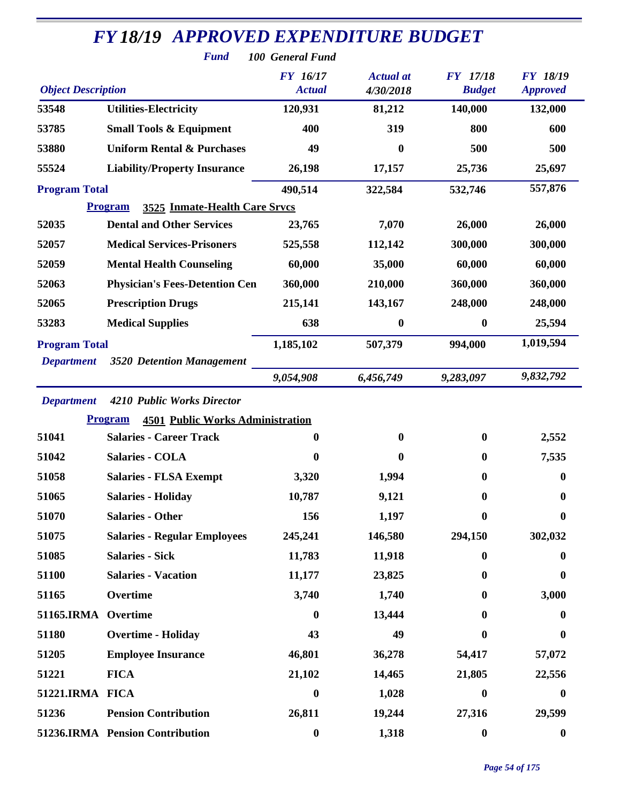| <b>FY18/19 APPROVED EXPENDITURE BUDGET</b><br><b>Fund</b><br>100 General Fund |                                                           |                                  |                               |                           |                                    |  |  |
|-------------------------------------------------------------------------------|-----------------------------------------------------------|----------------------------------|-------------------------------|---------------------------|------------------------------------|--|--|
| <b>Object Description</b>                                                     |                                                           | <b>FY</b> 16/17<br><b>Actual</b> | <b>Actual</b> at<br>4/30/2018 | FY 17/18<br><b>Budget</b> | <b>FY 18/19</b><br><b>Approved</b> |  |  |
| 53548                                                                         | <b>Utilities-Electricity</b>                              | 120,931                          | 81,212                        | 140,000                   | 132,000                            |  |  |
| 53785                                                                         | <b>Small Tools &amp; Equipment</b>                        | 400                              | 319                           | 800                       | 600                                |  |  |
| 53880                                                                         | <b>Uniform Rental &amp; Purchases</b>                     | 49                               | $\boldsymbol{0}$              | 500                       | 500                                |  |  |
| 55524                                                                         | <b>Liability/Property Insurance</b>                       | 26,198                           | 17,157                        | 25,736                    | 25,697                             |  |  |
| <b>Program Total</b>                                                          |                                                           | 490,514                          | 322,584                       | 532,746                   | 557,876                            |  |  |
|                                                                               | 3525 Inmate-Health Care Srvcs<br><b>Program</b>           |                                  |                               |                           |                                    |  |  |
| 52035                                                                         | <b>Dental and Other Services</b>                          | 23,765                           | 7,070                         | 26,000                    | 26,000                             |  |  |
| 52057                                                                         | <b>Medical Services-Prisoners</b>                         | 525,558                          | 112,142                       | 300,000                   | 300,000                            |  |  |
| 52059                                                                         | <b>Mental Health Counseling</b>                           | 60,000                           | 35,000                        | 60,000                    | 60,000                             |  |  |
| 52063                                                                         | <b>Physician's Fees-Detention Cen</b>                     | 360,000                          | 210,000                       | 360,000                   | 360,000                            |  |  |
| 52065                                                                         | <b>Prescription Drugs</b>                                 | 215,141                          | 143,167                       | 248,000                   | 248,000                            |  |  |
| 53283                                                                         | <b>Medical Supplies</b>                                   | 638                              | $\boldsymbol{0}$              | $\bf{0}$                  | 25,594                             |  |  |
| <b>Program Total</b>                                                          |                                                           | 1,185,102                        | 507,379                       | 994,000                   | 1,019,594                          |  |  |
| <b>Department</b>                                                             | 3520 Detention Management                                 |                                  |                               |                           |                                    |  |  |
|                                                                               |                                                           | 9,054,908                        | 6,456,749                     | 9,283,097                 | 9,832,792                          |  |  |
| <b>Department</b>                                                             | 4210 Public Works Director                                |                                  |                               |                           |                                    |  |  |
|                                                                               | <b>4501 Public Works Administration</b><br><b>Program</b> |                                  |                               |                           |                                    |  |  |
| 51041                                                                         | <b>Salaries - Career Track</b>                            | $\bf{0}$                         | $\boldsymbol{0}$              | 0                         | 2,552                              |  |  |
| 51042                                                                         | <b>Salaries - COLA</b>                                    | $\bf{0}$                         | $\boldsymbol{0}$              | $\mathbf{0}$              | 7,535                              |  |  |
| 51058                                                                         | <b>Salaries - FLSA Exempt</b>                             | 3,320                            | 1,994                         | 0                         | $\boldsymbol{0}$                   |  |  |
| 51065                                                                         | <b>Salaries - Holiday</b>                                 | 10,787                           | 9,121                         | $\bf{0}$                  | $\bf{0}$                           |  |  |
| 51070                                                                         | <b>Salaries - Other</b>                                   | 156                              | 1,197                         | 0                         | 0                                  |  |  |
| 51075                                                                         | <b>Salaries - Regular Employees</b>                       | 245,241                          | 146,580                       | 294,150                   | 302,032                            |  |  |
| 51085                                                                         | <b>Salaries - Sick</b>                                    | 11,783                           | 11,918                        | $\bf{0}$                  | 0                                  |  |  |
| 51100                                                                         | <b>Salaries - Vacation</b>                                | 11,177                           | 23,825                        | $\bf{0}$                  | 0                                  |  |  |
| 51165                                                                         | Overtime                                                  | 3,740                            | 1,740                         | $\mathbf{0}$              | 3,000                              |  |  |
| 51165.IRMA Overtime                                                           |                                                           | $\mathbf{0}$                     | 13,444                        | 0                         | 0                                  |  |  |
| 51180                                                                         | <b>Overtime - Holiday</b>                                 | 43                               | 49                            | 0                         | 0                                  |  |  |
| 51205                                                                         | <b>Employee Insurance</b>                                 | 46,801                           | 36,278                        | 54,417                    | 57,072                             |  |  |
| 51221                                                                         | <b>FICA</b>                                               | 21,102                           | 14,465                        | 21,805                    | 22,556                             |  |  |
| 51221.IRMA FICA                                                               |                                                           | $\bf{0}$                         | 1,028                         | $\bf{0}$                  | $\boldsymbol{0}$                   |  |  |
| 51236                                                                         | <b>Pension Contribution</b>                               | 26,811                           | 19,244                        | 27,316                    | 29,599                             |  |  |
|                                                                               | 51236.IRMA Pension Contribution                           | $\boldsymbol{0}$                 | 1,318                         | $\boldsymbol{0}$          | $\boldsymbol{0}$                   |  |  |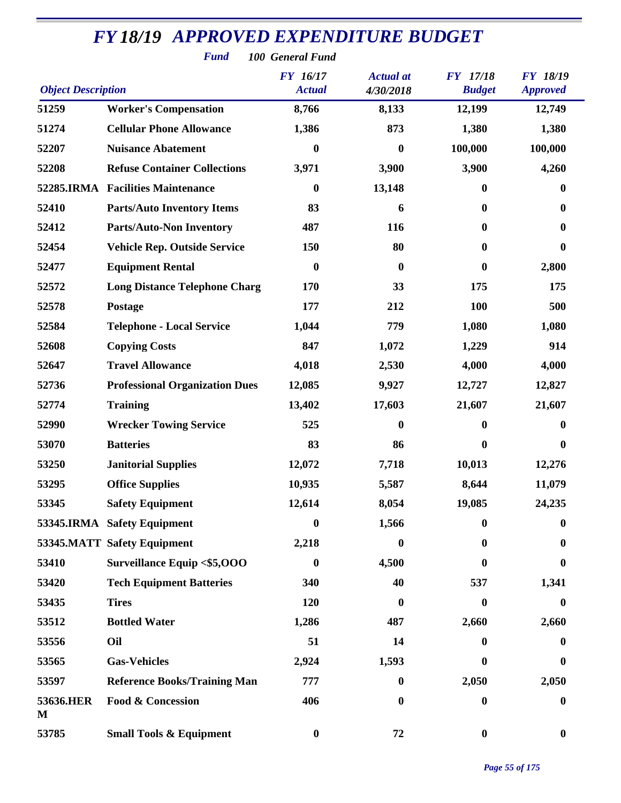| <b>Fund</b><br>100 General Fund                                                                                                                            |                                       |                  |                  |                  |                  |  |  |
|------------------------------------------------------------------------------------------------------------------------------------------------------------|---------------------------------------|------------------|------------------|------------------|------------------|--|--|
| FY 16/17<br><b>Actual</b> at<br>FY 17/18<br><b>FY 18/19</b><br><b>Object Description</b><br><b>Actual</b><br>4/30/2018<br><b>Budget</b><br><b>Approved</b> |                                       |                  |                  |                  |                  |  |  |
| 51259                                                                                                                                                      | <b>Worker's Compensation</b>          | 8,766            | 8,133            | 12,199           | 12,749           |  |  |
| 51274                                                                                                                                                      | <b>Cellular Phone Allowance</b>       | 1,386            | 873              | 1,380            | 1,380            |  |  |
| 52207                                                                                                                                                      | <b>Nuisance Abatement</b>             | $\bf{0}$         | $\boldsymbol{0}$ | 100,000          | 100,000          |  |  |
| 52208                                                                                                                                                      | <b>Refuse Container Collections</b>   | 3,971            | 3,900            | 3,900            | 4,260            |  |  |
|                                                                                                                                                            | 52285.IRMA Facilities Maintenance     | $\bf{0}$         | 13,148           | $\mathbf{0}$     | $\bf{0}$         |  |  |
| 52410                                                                                                                                                      | <b>Parts/Auto Inventory Items</b>     | 83               | 6                | $\bf{0}$         | $\boldsymbol{0}$ |  |  |
| 52412                                                                                                                                                      | <b>Parts/Auto-Non Inventory</b>       | 487              | 116              | 0                | $\boldsymbol{0}$ |  |  |
| 52454                                                                                                                                                      | <b>Vehicle Rep. Outside Service</b>   | 150              | 80               | 0                | $\bf{0}$         |  |  |
| 52477                                                                                                                                                      | <b>Equipment Rental</b>               | $\boldsymbol{0}$ | $\bf{0}$         | $\boldsymbol{0}$ | 2,800            |  |  |
| 52572                                                                                                                                                      | <b>Long Distance Telephone Charg</b>  | 170              | 33               | 175              | 175              |  |  |
| 52578                                                                                                                                                      | Postage                               | 177              | 212              | 100              | 500              |  |  |
| 52584                                                                                                                                                      | <b>Telephone - Local Service</b>      | 1,044            | 779              | 1,080            | 1,080            |  |  |
| 52608                                                                                                                                                      | <b>Copying Costs</b>                  | 847              | 1,072            | 1,229            | 914              |  |  |
| 52647                                                                                                                                                      | <b>Travel Allowance</b>               | 4,018            | 2,530            | 4,000            | 4,000            |  |  |
| 52736                                                                                                                                                      | <b>Professional Organization Dues</b> | 12,085           | 9,927            | 12,727           | 12,827           |  |  |
| 52774                                                                                                                                                      | <b>Training</b>                       | 13,402           | 17,603           | 21,607           | 21,607           |  |  |
| 52990                                                                                                                                                      | <b>Wrecker Towing Service</b>         | 525              | $\bf{0}$         | $\bf{0}$         | $\boldsymbol{0}$ |  |  |
| 53070                                                                                                                                                      | <b>Batteries</b>                      | 83               | 86               | $\mathbf{0}$     | $\boldsymbol{0}$ |  |  |
| 53250                                                                                                                                                      | <b>Janitorial Supplies</b>            | 12,072           | 7,718            | 10,013           | 12,276           |  |  |
| 53295                                                                                                                                                      | <b>Office Supplies</b>                | 10,935           | 5,587            | 8,644            | 11,079           |  |  |
| 53345                                                                                                                                                      | <b>Safety Equipment</b>               | 12,614           | 8,054            | 19,085           | 24,235           |  |  |
|                                                                                                                                                            | 53345.IRMA Safety Equipment           | $\bf{0}$         | 1,566            | 0                | 0                |  |  |
|                                                                                                                                                            | 53345.MATT Safety Equipment           | 2,218            | 0                | $\bf{0}$         | $\bf{0}$         |  |  |
| 53410                                                                                                                                                      | <b>Surveillance Equip &lt;\$5,000</b> | $\boldsymbol{0}$ | 4,500            | 0                | 0                |  |  |
| 53420                                                                                                                                                      | <b>Tech Equipment Batteries</b>       | 340              | 40               | 537              | 1,341            |  |  |
| 53435                                                                                                                                                      | <b>Tires</b>                          | 120              | 0                | $\bf{0}$         | $\bf{0}$         |  |  |
| 53512                                                                                                                                                      | <b>Bottled Water</b>                  | 1,286            | 487              | 2,660            | 2,660            |  |  |
| 53556                                                                                                                                                      | Oil                                   | 51               | 14               | 0                | $\bf{0}$         |  |  |
| 53565                                                                                                                                                      | <b>Gas-Vehicles</b>                   | 2,924            | 1,593            | $\bf{0}$         | $\bf{0}$         |  |  |
| 53597                                                                                                                                                      | <b>Reference Books/Training Man</b>   | 777              | 0                | 2,050            | 2,050            |  |  |
| 53636.HER<br>M                                                                                                                                             | <b>Food &amp; Concession</b>          | 406              | $\bf{0}$         | $\boldsymbol{0}$ | $\boldsymbol{0}$ |  |  |
| 53785                                                                                                                                                      | <b>Small Tools &amp; Equipment</b>    | $\boldsymbol{0}$ | 72               | $\boldsymbol{0}$ | $\boldsymbol{0}$ |  |  |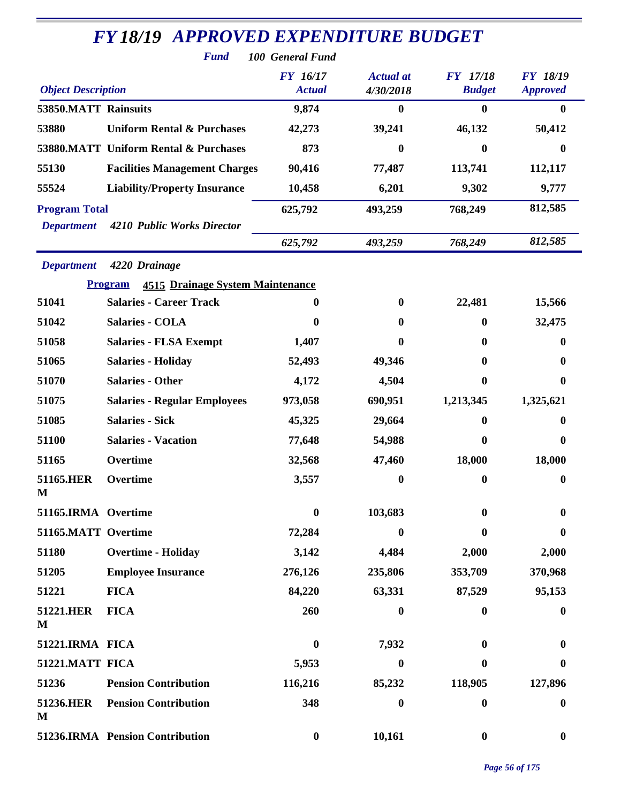| <b>FY 18/19 APPROVED EXPENDITURE BUDGET</b> |                                                           |                                  |                               |                                  |                                    |  |  |  |
|---------------------------------------------|-----------------------------------------------------------|----------------------------------|-------------------------------|----------------------------------|------------------------------------|--|--|--|
|                                             | <b>Fund</b><br>100 General Fund                           |                                  |                               |                                  |                                    |  |  |  |
| <b>Object Description</b>                   |                                                           | <b>FY</b> 16/17<br><b>Actual</b> | <b>Actual</b> at<br>4/30/2018 | <b>FY</b> 17/18<br><b>Budget</b> | <b>FY 18/19</b><br><b>Approved</b> |  |  |  |
| 53850.MATT Rainsuits                        |                                                           | 9,874                            | 0                             | $\bf{0}$                         | 0                                  |  |  |  |
| 53880                                       | <b>Uniform Rental &amp; Purchases</b>                     | 42,273                           | 39,241                        | 46,132                           | 50,412                             |  |  |  |
|                                             | 53880.MATT Uniform Rental & Purchases                     | 873                              | 0                             | $\boldsymbol{0}$                 | $\bf{0}$                           |  |  |  |
| 55130                                       | <b>Facilities Management Charges</b>                      | 90,416                           | 77,487                        | 113,741                          | 112,117                            |  |  |  |
| 55524                                       | <b>Liability/Property Insurance</b>                       | 10,458                           | 6,201                         | 9,302                            | 9,777                              |  |  |  |
| <b>Program Total</b><br><b>Department</b>   | 4210 Public Works Director                                | 625,792                          | 493,259                       | 768,249                          | 812,585                            |  |  |  |
|                                             |                                                           | 625,792                          | 493,259                       | 768,249                          | 812,585                            |  |  |  |
| <b>Department</b>                           | 4220 Drainage                                             |                                  |                               |                                  |                                    |  |  |  |
|                                             | <b>Program</b><br><b>4515 Drainage System Maintenance</b> |                                  |                               |                                  |                                    |  |  |  |
| 51041                                       | <b>Salaries - Career Track</b>                            | 0                                | 0                             | 22,481                           | 15,566                             |  |  |  |
| 51042                                       | <b>Salaries - COLA</b>                                    | 0                                | 0                             | $\mathbf{0}$                     | 32,475                             |  |  |  |
| 51058                                       | <b>Salaries - FLSA Exempt</b>                             | 1,407                            | 0                             | 0                                | 0                                  |  |  |  |
| 51065                                       | <b>Salaries - Holiday</b>                                 | 52,493                           | 49,346                        | $\mathbf{0}$                     | 0                                  |  |  |  |
| 51070                                       | <b>Salaries - Other</b>                                   | 4,172                            | 4,504                         | 0                                | 0                                  |  |  |  |
| 51075                                       | <b>Salaries - Regular Employees</b>                       | 973,058                          | 690,951                       | 1,213,345                        | 1,325,621                          |  |  |  |
| 51085                                       | <b>Salaries - Sick</b>                                    | 45,325                           | 29,664                        | 0                                | 0                                  |  |  |  |
| 51100                                       | <b>Salaries - Vacation</b>                                | 77,648                           | 54,988                        | $\bf{0}$                         | $\bf{0}$                           |  |  |  |
| 51165                                       | Overtime                                                  | 32,568                           | 47,460                        | 18,000                           | 18,000                             |  |  |  |
| 51165.HER<br>M                              | Overtime                                                  | 3,557                            | $\bf{0}$                      | $\mathbf{0}$                     | $\bf{0}$                           |  |  |  |
| 51165.IRMA Overtime                         |                                                           | $\boldsymbol{0}$                 | 103,683                       | $\bf{0}$                         | $\boldsymbol{0}$                   |  |  |  |
| 51165.MATT Overtime                         |                                                           | 72,284                           | 0                             | 0                                | $\bf{0}$                           |  |  |  |
| 51180                                       | <b>Overtime - Holiday</b>                                 | 3,142                            | 4,484                         | 2,000                            | 2,000                              |  |  |  |
| 51205                                       | <b>Employee Insurance</b>                                 | 276,126                          | 235,806                       | 353,709                          | 370,968                            |  |  |  |
| 51221                                       | <b>FICA</b>                                               | 84,220                           | 63,331                        | 87,529                           | 95,153                             |  |  |  |
| 51221.HER<br>M                              | <b>FICA</b>                                               | 260                              | 0                             | $\boldsymbol{0}$                 | $\boldsymbol{0}$                   |  |  |  |
| 51221.IRMA FICA                             |                                                           | $\boldsymbol{0}$                 | 7,932                         | $\mathbf{0}$                     | 0                                  |  |  |  |
| 51221.MATT FICA                             |                                                           | 5,953                            | 0                             | $\bf{0}$                         | 0                                  |  |  |  |
| 51236                                       | <b>Pension Contribution</b>                               | 116,216                          | 85,232                        | 118,905                          | 127,896                            |  |  |  |
| 51236.HER<br>M                              | <b>Pension Contribution</b>                               | 348                              | 0                             | $\boldsymbol{0}$                 | $\boldsymbol{0}$                   |  |  |  |
|                                             | 51236.IRMA Pension Contribution                           | $\bf{0}$                         | 10,161                        | $\boldsymbol{0}$                 | $\bf{0}$                           |  |  |  |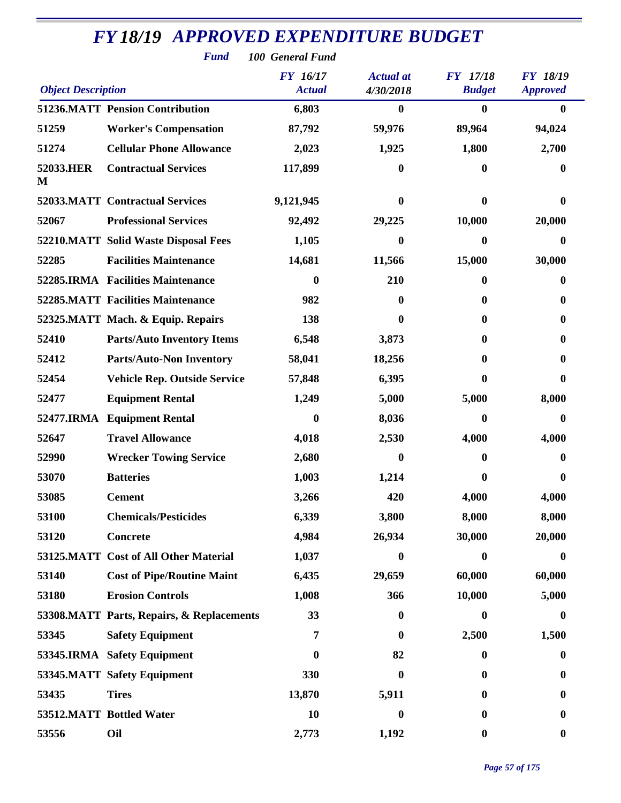|                           | <b>Fund</b><br>100 General Fund           |                                  |                               |                                  |                                    |  |
|---------------------------|-------------------------------------------|----------------------------------|-------------------------------|----------------------------------|------------------------------------|--|
| <b>Object Description</b> |                                           | <b>FY</b> 16/17<br><b>Actual</b> | <b>Actual</b> at<br>4/30/2018 | <b>FY</b> 17/18<br><b>Budget</b> | <b>FY 18/19</b><br><b>Approved</b> |  |
|                           | <b>51236.MATT Pension Contribution</b>    | 6,803                            | 0                             | $\bf{0}$                         | $\mathbf{0}$                       |  |
| 51259                     | <b>Worker's Compensation</b>              | 87,792                           | 59,976                        | 89,964                           | 94,024                             |  |
| 51274                     | <b>Cellular Phone Allowance</b>           | 2,023                            | 1,925                         | 1,800                            | 2,700                              |  |
| 52033.HER<br>M            | <b>Contractual Services</b>               | 117,899                          | 0                             | $\bf{0}$                         | 0                                  |  |
|                           | <b>52033.MATT Contractual Services</b>    | 9,121,945                        | 0                             | $\bf{0}$                         | 0                                  |  |
| 52067                     | <b>Professional Services</b>              | 92,492                           | 29,225                        | 10,000                           | 20,000                             |  |
|                           | 52210.MATT Solid Waste Disposal Fees      | 1,105                            | 0                             | 0                                | 0                                  |  |
| 52285                     | <b>Facilities Maintenance</b>             | 14,681                           | 11,566                        | 15,000                           | 30,000                             |  |
|                           | 52285.IRMA Facilities Maintenance         | 0                                | 210                           | 0                                | $\bf{0}$                           |  |
|                           | <b>52285.MATT Facilities Maintenance</b>  | 982                              | 0                             | $\mathbf{0}$                     | $\bf{0}$                           |  |
|                           | 52325.MATT Mach. & Equip. Repairs         | 138                              | 0                             | 0                                | 0                                  |  |
| 52410                     | <b>Parts/Auto Inventory Items</b>         | 6,548                            | 3,873                         | 0                                | 0                                  |  |
| 52412                     | <b>Parts/Auto-Non Inventory</b>           | 58,041                           | 18,256                        | $\mathbf{0}$                     | 0                                  |  |
| 52454                     | <b>Vehicle Rep. Outside Service</b>       | 57,848                           | 6,395                         | 0                                | $\mathbf{0}$                       |  |
| 52477                     | <b>Equipment Rental</b>                   | 1,249                            | 5,000                         | 5,000                            | 8,000                              |  |
| 52477.IRMA                | <b>Equipment Rental</b>                   | 0                                | 8,036                         | $\bf{0}$                         | $\boldsymbol{0}$                   |  |
| 52647                     | <b>Travel Allowance</b>                   | 4,018                            | 2,530                         | 4,000                            | 4,000                              |  |
| 52990                     | <b>Wrecker Towing Service</b>             | 2,680                            | 0                             | 0                                | $\bf{0}$                           |  |
| 53070                     | <b>Batteries</b>                          | 1,003                            | 1,214                         | $\bf{0}$                         | $\boldsymbol{0}$                   |  |
| 53085                     | <b>Cement</b>                             | 3,266                            | 420                           | 4,000                            | 4,000                              |  |
| 53100                     | <b>Chemicals/Pesticides</b>               | 6,339                            | 3,800                         | 8,000                            | 8,000                              |  |
| 53120                     | <b>Concrete</b>                           | 4,984                            | 26,934                        | 30,000                           | 20,000                             |  |
|                           | 53125.MATT Cost of All Other Material     | 1,037                            | $\boldsymbol{0}$              | $\boldsymbol{0}$                 | $\bf{0}$                           |  |
| 53140                     | <b>Cost of Pipe/Routine Maint</b>         | 6,435                            | 29,659                        | 60,000                           | 60,000                             |  |
| 53180                     | <b>Erosion Controls</b>                   | 1,008                            | 366                           | 10,000                           | 5,000                              |  |
|                           | 53308.MATT Parts, Repairs, & Replacements | 33                               | $\boldsymbol{0}$              | $\bf{0}$                         | $\bf{0}$                           |  |
| 53345                     | <b>Safety Equipment</b>                   | 7                                | $\bf{0}$                      | 2,500                            | 1,500                              |  |
|                           | 53345.IRMA Safety Equipment               | $\bf{0}$                         | 82                            | $\boldsymbol{0}$                 | $\boldsymbol{0}$                   |  |
|                           | 53345.MATT Safety Equipment               | 330                              | 0                             | $\mathbf{0}$                     | $\bf{0}$                           |  |
| 53435                     | <b>Tires</b>                              | 13,870                           | 5,911                         | $\bf{0}$                         | $\boldsymbol{0}$                   |  |
|                           | 53512.MATT Bottled Water                  | 10                               | $\boldsymbol{0}$              | $\bf{0}$                         | $\boldsymbol{0}$                   |  |
| 53556                     | Oil                                       | 2,773                            | 1,192                         | $\boldsymbol{0}$                 | $\boldsymbol{0}$                   |  |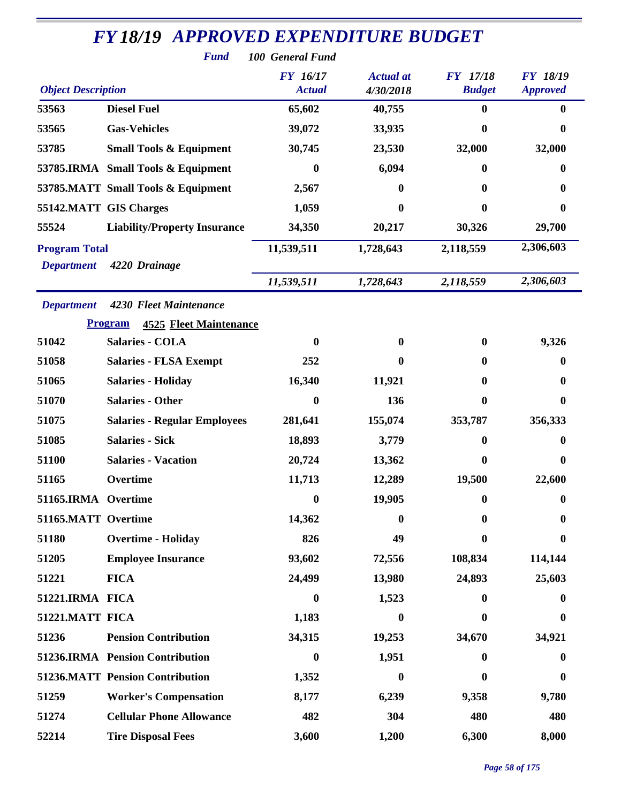| <b>Fund</b><br>100 General Fund<br><b>FY</b> 16/17<br><b>Actual</b> at<br><b>FY</b> 17/18<br><b>FY 18/19</b><br><b>Object Description</b><br>4/30/2018<br><b>Budget</b><br><b>Actual</b><br><b>Approved</b><br><b>Diesel Fuel</b><br>53563<br>65,602<br>40,755<br>$\mathbf{0}$<br>$\bf{0}$<br>53565<br><b>Gas-Vehicles</b><br>39,072<br>33,935<br>0<br>0<br>53785<br><b>Small Tools &amp; Equipment</b><br>30,745<br>23,530<br>32,000<br>32,000<br>6,094<br>53785.IRMA Small Tools & Equipment<br>$\bf{0}$<br>0<br>0<br>53785.MATT Small Tools & Equipment<br>2,567<br>$\bf{0}$<br>$\bf{0}$<br>0<br>55142.MATT GIS Charges<br>1,059<br>$\bf{0}$<br>0<br>0<br>55524<br><b>Liability/Property Insurance</b><br>34,350<br>20,217<br>30,326<br>29,700<br>2,306,603<br>11,539,511<br><b>Program Total</b><br>1,728,643<br>2,118,559<br>4220 Drainage<br><b>Department</b><br>2,306,603<br>11,539,511<br>2,118,559<br>1,728,643<br>4230 Fleet Maintenance<br><b>Department</b><br><b>Program</b><br><b>4525 Fleet Maintenance</b><br><b>Salaries - COLA</b><br>51042<br>9,326<br>0<br>$\bf{0}$<br>$\mathbf{0}$<br>51058<br><b>Salaries - FLSA Exempt</b><br>252<br>0<br>0<br>0<br>51065<br><b>Salaries - Holiday</b><br>16,340<br>11,921<br>0<br>$\bf{0}$ |
|-----------------------------------------------------------------------------------------------------------------------------------------------------------------------------------------------------------------------------------------------------------------------------------------------------------------------------------------------------------------------------------------------------------------------------------------------------------------------------------------------------------------------------------------------------------------------------------------------------------------------------------------------------------------------------------------------------------------------------------------------------------------------------------------------------------------------------------------------------------------------------------------------------------------------------------------------------------------------------------------------------------------------------------------------------------------------------------------------------------------------------------------------------------------------------------------------------------------------------------------------------|
|                                                                                                                                                                                                                                                                                                                                                                                                                                                                                                                                                                                                                                                                                                                                                                                                                                                                                                                                                                                                                                                                                                                                                                                                                                                     |
|                                                                                                                                                                                                                                                                                                                                                                                                                                                                                                                                                                                                                                                                                                                                                                                                                                                                                                                                                                                                                                                                                                                                                                                                                                                     |
|                                                                                                                                                                                                                                                                                                                                                                                                                                                                                                                                                                                                                                                                                                                                                                                                                                                                                                                                                                                                                                                                                                                                                                                                                                                     |
|                                                                                                                                                                                                                                                                                                                                                                                                                                                                                                                                                                                                                                                                                                                                                                                                                                                                                                                                                                                                                                                                                                                                                                                                                                                     |
|                                                                                                                                                                                                                                                                                                                                                                                                                                                                                                                                                                                                                                                                                                                                                                                                                                                                                                                                                                                                                                                                                                                                                                                                                                                     |
|                                                                                                                                                                                                                                                                                                                                                                                                                                                                                                                                                                                                                                                                                                                                                                                                                                                                                                                                                                                                                                                                                                                                                                                                                                                     |
|                                                                                                                                                                                                                                                                                                                                                                                                                                                                                                                                                                                                                                                                                                                                                                                                                                                                                                                                                                                                                                                                                                                                                                                                                                                     |
|                                                                                                                                                                                                                                                                                                                                                                                                                                                                                                                                                                                                                                                                                                                                                                                                                                                                                                                                                                                                                                                                                                                                                                                                                                                     |
|                                                                                                                                                                                                                                                                                                                                                                                                                                                                                                                                                                                                                                                                                                                                                                                                                                                                                                                                                                                                                                                                                                                                                                                                                                                     |
|                                                                                                                                                                                                                                                                                                                                                                                                                                                                                                                                                                                                                                                                                                                                                                                                                                                                                                                                                                                                                                                                                                                                                                                                                                                     |
|                                                                                                                                                                                                                                                                                                                                                                                                                                                                                                                                                                                                                                                                                                                                                                                                                                                                                                                                                                                                                                                                                                                                                                                                                                                     |
|                                                                                                                                                                                                                                                                                                                                                                                                                                                                                                                                                                                                                                                                                                                                                                                                                                                                                                                                                                                                                                                                                                                                                                                                                                                     |
|                                                                                                                                                                                                                                                                                                                                                                                                                                                                                                                                                                                                                                                                                                                                                                                                                                                                                                                                                                                                                                                                                                                                                                                                                                                     |
|                                                                                                                                                                                                                                                                                                                                                                                                                                                                                                                                                                                                                                                                                                                                                                                                                                                                                                                                                                                                                                                                                                                                                                                                                                                     |
|                                                                                                                                                                                                                                                                                                                                                                                                                                                                                                                                                                                                                                                                                                                                                                                                                                                                                                                                                                                                                                                                                                                                                                                                                                                     |
|                                                                                                                                                                                                                                                                                                                                                                                                                                                                                                                                                                                                                                                                                                                                                                                                                                                                                                                                                                                                                                                                                                                                                                                                                                                     |
|                                                                                                                                                                                                                                                                                                                                                                                                                                                                                                                                                                                                                                                                                                                                                                                                                                                                                                                                                                                                                                                                                                                                                                                                                                                     |
|                                                                                                                                                                                                                                                                                                                                                                                                                                                                                                                                                                                                                                                                                                                                                                                                                                                                                                                                                                                                                                                                                                                                                                                                                                                     |
| 51070<br><b>Salaries - Other</b><br>136<br>0<br>0<br>$\bf{0}$                                                                                                                                                                                                                                                                                                                                                                                                                                                                                                                                                                                                                                                                                                                                                                                                                                                                                                                                                                                                                                                                                                                                                                                       |
| 51075<br><b>Salaries - Regular Employees</b><br>281,641<br>155,074<br>353,787<br>356,333                                                                                                                                                                                                                                                                                                                                                                                                                                                                                                                                                                                                                                                                                                                                                                                                                                                                                                                                                                                                                                                                                                                                                            |
| 51085<br><b>Salaries - Sick</b><br>18,893<br>3,779<br>0<br>0                                                                                                                                                                                                                                                                                                                                                                                                                                                                                                                                                                                                                                                                                                                                                                                                                                                                                                                                                                                                                                                                                                                                                                                        |
| 51100<br><b>Salaries - Vacation</b><br>20,724<br>13,362<br>0<br>0                                                                                                                                                                                                                                                                                                                                                                                                                                                                                                                                                                                                                                                                                                                                                                                                                                                                                                                                                                                                                                                                                                                                                                                   |
| 11,713<br>12,289<br>19,500<br>22,600<br>51165<br>Overtime                                                                                                                                                                                                                                                                                                                                                                                                                                                                                                                                                                                                                                                                                                                                                                                                                                                                                                                                                                                                                                                                                                                                                                                           |
| 51165.IRMA Overtime<br>19,905<br>$\bf{0}$<br>0<br>$\boldsymbol{0}$                                                                                                                                                                                                                                                                                                                                                                                                                                                                                                                                                                                                                                                                                                                                                                                                                                                                                                                                                                                                                                                                                                                                                                                  |
| 51165.MATT Overtime<br>14,362<br>$\bf{0}$<br>0<br>0                                                                                                                                                                                                                                                                                                                                                                                                                                                                                                                                                                                                                                                                                                                                                                                                                                                                                                                                                                                                                                                                                                                                                                                                 |
| 51180<br><b>Overtime - Holiday</b><br>826<br>49<br>0<br>$\boldsymbol{0}$                                                                                                                                                                                                                                                                                                                                                                                                                                                                                                                                                                                                                                                                                                                                                                                                                                                                                                                                                                                                                                                                                                                                                                            |
| <b>Employee Insurance</b><br>51205<br>93,602<br>72,556<br>108,834<br>114,144                                                                                                                                                                                                                                                                                                                                                                                                                                                                                                                                                                                                                                                                                                                                                                                                                                                                                                                                                                                                                                                                                                                                                                        |
| 24,499<br>13,980<br>51221<br><b>FICA</b><br>24,893<br>25,603                                                                                                                                                                                                                                                                                                                                                                                                                                                                                                                                                                                                                                                                                                                                                                                                                                                                                                                                                                                                                                                                                                                                                                                        |
| 51221.IRMA FICA<br>1,523<br>0<br>$\mathbf{0}$<br>$\bf{0}$                                                                                                                                                                                                                                                                                                                                                                                                                                                                                                                                                                                                                                                                                                                                                                                                                                                                                                                                                                                                                                                                                                                                                                                           |
| 51221.MATT FICA<br>1,183<br>$\boldsymbol{0}$<br>0<br>$\bf{0}$                                                                                                                                                                                                                                                                                                                                                                                                                                                                                                                                                                                                                                                                                                                                                                                                                                                                                                                                                                                                                                                                                                                                                                                       |
| 51236<br><b>Pension Contribution</b><br>34,315<br>19,253<br>34,670<br>34,921                                                                                                                                                                                                                                                                                                                                                                                                                                                                                                                                                                                                                                                                                                                                                                                                                                                                                                                                                                                                                                                                                                                                                                        |
| 51236.IRMA Pension Contribution<br>1,951<br>$\boldsymbol{0}$<br>$\mathbf{0}$<br>$\bf{0}$                                                                                                                                                                                                                                                                                                                                                                                                                                                                                                                                                                                                                                                                                                                                                                                                                                                                                                                                                                                                                                                                                                                                                            |
| <b>51236.MATT Pension Contribution</b><br>1,352<br>$\boldsymbol{0}$<br>$\bf{0}$<br>0                                                                                                                                                                                                                                                                                                                                                                                                                                                                                                                                                                                                                                                                                                                                                                                                                                                                                                                                                                                                                                                                                                                                                                |
| 51259<br><b>Worker's Compensation</b><br>8,177<br>6,239<br>9,780<br>9,358                                                                                                                                                                                                                                                                                                                                                                                                                                                                                                                                                                                                                                                                                                                                                                                                                                                                                                                                                                                                                                                                                                                                                                           |
| <b>Cellular Phone Allowance</b><br>51274<br>482<br>304<br>480<br>480                                                                                                                                                                                                                                                                                                                                                                                                                                                                                                                                                                                                                                                                                                                                                                                                                                                                                                                                                                                                                                                                                                                                                                                |
| 6,300<br>52214<br><b>Tire Disposal Fees</b><br>3,600<br>1,200<br>8,000                                                                                                                                                                                                                                                                                                                                                                                                                                                                                                                                                                                                                                                                                                                                                                                                                                                                                                                                                                                                                                                                                                                                                                              |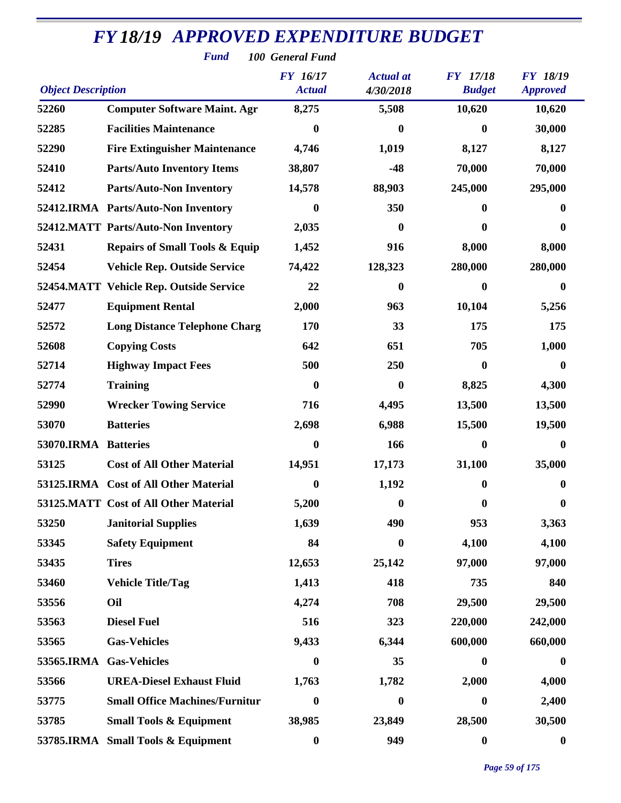| <b>Fund</b><br>100 General Fund |                                                                           |                  |                  |                  |                  |  |  |
|---------------------------------|---------------------------------------------------------------------------|------------------|------------------|------------------|------------------|--|--|
|                                 | <b>FY</b> 16/17<br><b>Actual</b> at<br><b>FY</b> 17/18<br><b>FY 18/19</b> |                  |                  |                  |                  |  |  |
| <b>Object Description</b>       |                                                                           | <b>Actual</b>    | 4/30/2018        | <b>Budget</b>    | <b>Approved</b>  |  |  |
| 52260                           | <b>Computer Software Maint. Agr</b>                                       | 8,275            | 5,508            | 10,620           | 10,620           |  |  |
| 52285                           | <b>Facilities Maintenance</b>                                             | $\bf{0}$         | $\boldsymbol{0}$ | $\bf{0}$         | 30,000           |  |  |
| 52290                           | <b>Fire Extinguisher Maintenance</b>                                      | 4,746            | 1,019            | 8,127            | 8,127            |  |  |
| 52410                           | <b>Parts/Auto Inventory Items</b>                                         | 38,807           | $-48$            | 70,000           | 70,000           |  |  |
| 52412                           | <b>Parts/Auto-Non Inventory</b>                                           | 14,578           | 88,903           | 245,000          | 295,000          |  |  |
|                                 | 52412.IRMA Parts/Auto-Non Inventory                                       | $\bf{0}$         | 350              | 0                | $\bf{0}$         |  |  |
|                                 | 52412.MATT Parts/Auto-Non Inventory                                       | 2,035            | $\bf{0}$         | 0                | 0                |  |  |
| 52431                           | <b>Repairs of Small Tools &amp; Equip</b>                                 | 1,452            | 916              | 8,000            | 8,000            |  |  |
| 52454                           | <b>Vehicle Rep. Outside Service</b>                                       | 74,422           | 128,323          | 280,000          | 280,000          |  |  |
|                                 | 52454.MATT Vehicle Rep. Outside Service                                   | 22               | 0                | $\bf{0}$         | $\boldsymbol{0}$ |  |  |
| 52477                           | <b>Equipment Rental</b>                                                   | 2,000            | 963              | 10,104           | 5,256            |  |  |
| 52572                           | <b>Long Distance Telephone Charg</b>                                      | 170              | 33               | 175              | 175              |  |  |
| 52608                           | <b>Copying Costs</b>                                                      | 642              | 651              | 705              | 1,000            |  |  |
| 52714                           | <b>Highway Impact Fees</b>                                                | 500              | 250              | $\mathbf{0}$     | 0                |  |  |
| 52774                           | <b>Training</b>                                                           | $\boldsymbol{0}$ | 0                | 8,825            | 4,300            |  |  |
| 52990                           | <b>Wrecker Towing Service</b>                                             | 716              | 4,495            | 13,500           | 13,500           |  |  |
| 53070                           | <b>Batteries</b>                                                          | 2,698            | 6,988            | 15,500           | 19,500           |  |  |
| 53070.IRMA Batteries            |                                                                           | $\boldsymbol{0}$ | 166              | $\bf{0}$         | $\boldsymbol{0}$ |  |  |
| 53125                           | <b>Cost of All Other Material</b>                                         | 14,951           | 17,173           | 31,100           | 35,000           |  |  |
|                                 | 53125.IRMA Cost of All Other Material                                     | $\boldsymbol{0}$ | 1,192            | 0                | $\bf{0}$         |  |  |
|                                 | 53125.MATT Cost of All Other Material                                     | 5,200            | $\boldsymbol{0}$ | $\boldsymbol{0}$ | $\boldsymbol{0}$ |  |  |
| 53250                           | <b>Janitorial Supplies</b>                                                | 1,639            | 490              | 953              | 3,363            |  |  |
| 53345                           | <b>Safety Equipment</b>                                                   | 84               | $\boldsymbol{0}$ | 4,100            | 4,100            |  |  |
| 53435                           | <b>Tires</b>                                                              | 12,653           | 25,142           | 97,000           | 97,000           |  |  |
| 53460                           | <b>Vehicle Title/Tag</b>                                                  | 1,413            | 418              | 735              | 840              |  |  |
| 53556                           | Oil                                                                       | 4,274            | 708              | 29,500           | 29,500           |  |  |
| 53563                           | <b>Diesel Fuel</b>                                                        | 516              | 323              | 220,000          | 242,000          |  |  |
| 53565                           | <b>Gas-Vehicles</b>                                                       | 9,433            | 6,344            | 600,000          | 660,000          |  |  |
| 53565.IRMA                      | <b>Gas-Vehicles</b>                                                       | $\boldsymbol{0}$ | 35               | $\mathbf{0}$     | $\bf{0}$         |  |  |
| 53566                           | <b>UREA-Diesel Exhaust Fluid</b>                                          | 1,763            | 1,782            | 2,000            | 4,000            |  |  |
| 53775                           | <b>Small Office Machines/Furnitur</b>                                     | $\boldsymbol{0}$ | $\boldsymbol{0}$ | $\bf{0}$         | 2,400            |  |  |
| 53785                           | <b>Small Tools &amp; Equipment</b>                                        | 38,985           | 23,849           | 28,500           | 30,500           |  |  |
|                                 | 53785.IRMA Small Tools & Equipment                                        | $\boldsymbol{0}$ | 949              | $\boldsymbol{0}$ | $\boldsymbol{0}$ |  |  |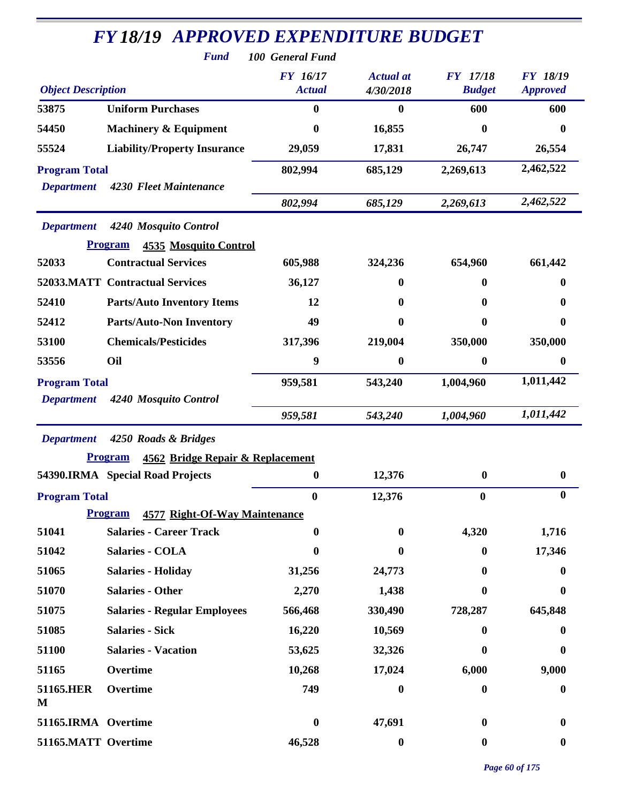|                                           | <b>FY18/19 APPROVED EXPENDITURE BUDGET</b><br><b>Fund</b><br>100 General Fund |                                  |                               |                                  |                                    |  |  |
|-------------------------------------------|-------------------------------------------------------------------------------|----------------------------------|-------------------------------|----------------------------------|------------------------------------|--|--|
| <b>Object Description</b>                 |                                                                               | <b>FY</b> 16/17<br><b>Actual</b> | <b>Actual</b> at<br>4/30/2018 | <b>FY</b> 17/18<br><b>Budget</b> | <b>FY 18/19</b><br><b>Approved</b> |  |  |
| 53875                                     | <b>Uniform Purchases</b>                                                      | $\mathbf{0}$                     | $\bf{0}$                      | 600                              | 600                                |  |  |
| 54450                                     | <b>Machinery &amp; Equipment</b>                                              | 0                                | 16,855                        | 0                                | 0                                  |  |  |
| 55524                                     | <b>Liability/Property Insurance</b>                                           | 29,059                           | 17,831                        | 26,747                           | 26,554                             |  |  |
| <b>Program Total</b><br><b>Department</b> | 4230 Fleet Maintenance                                                        | 802,994                          | 685,129                       | 2,269,613                        | 2,462,522                          |  |  |
|                                           |                                                                               | 802,994                          | 685,129                       | 2,269,613                        | 2,462,522                          |  |  |
| <b>Department</b>                         | 4240 Mosquito Control<br><b>Program</b><br><b>4535 Mosquito Control</b>       |                                  |                               |                                  |                                    |  |  |
| 52033                                     | <b>Contractual Services</b>                                                   | 605,988                          | 324,236                       | 654,960                          | 661,442                            |  |  |
|                                           | 52033.MATT Contractual Services                                               | 36,127                           | 0                             | 0                                | 0                                  |  |  |
| 52410                                     | <b>Parts/Auto Inventory Items</b>                                             | 12                               | 0                             | 0                                | 0                                  |  |  |
| 52412                                     | <b>Parts/Auto-Non Inventory</b>                                               | 49                               | 0                             | 0                                | 0                                  |  |  |
| 53100                                     | <b>Chemicals/Pesticides</b>                                                   | 317,396                          | 219,004                       | 350,000                          | 350,000                            |  |  |
| 53556                                     | Oil                                                                           | 9                                | $\boldsymbol{0}$              | 0                                | 0                                  |  |  |
| <b>Program Total</b>                      |                                                                               | 959,581                          | 543,240                       | 1,004,960                        | 1,011,442                          |  |  |
| <b>Department</b>                         | 4240 Mosquito Control                                                         | 959,581                          | 543,240                       | 1,004,960                        | 1,011,442                          |  |  |
| <b>Department</b>                         | 4250 Roads & Bridges                                                          |                                  |                               |                                  |                                    |  |  |
|                                           | <b>Program</b><br>4562 Bridge Repair & Replacement                            |                                  |                               |                                  |                                    |  |  |
|                                           | 54390.IRMA Special Road Projects                                              | $\boldsymbol{0}$                 | 12,376                        | 0                                | $\boldsymbol{0}$                   |  |  |
| <b>Program Total</b>                      |                                                                               | $\boldsymbol{0}$                 | 12,376                        | $\bf{0}$                         | 0                                  |  |  |
|                                           | <b>Program</b><br>4577 Right-Of-Way Maintenance                               |                                  |                               |                                  |                                    |  |  |
| 51041                                     | <b>Salaries - Career Track</b>                                                | $\mathbf{0}$                     | $\bf{0}$                      | 4,320                            | 1,716                              |  |  |
| 51042                                     | <b>Salaries - COLA</b>                                                        | $\boldsymbol{0}$                 | 0                             | $\mathbf{0}$                     | 17,346                             |  |  |
| 51065                                     | <b>Salaries - Holiday</b>                                                     | 31,256                           | 24,773                        | 0                                | 0                                  |  |  |
| 51070                                     | <b>Salaries - Other</b>                                                       | 2,270                            | 1,438                         | 0                                | 0                                  |  |  |
| 51075                                     | <b>Salaries - Regular Employees</b>                                           | 566,468                          | 330,490                       | 728,287                          | 645,848                            |  |  |
| 51085                                     | <b>Salaries - Sick</b>                                                        | 16,220                           | 10,569                        | 0                                | 0                                  |  |  |
| 51100                                     | <b>Salaries - Vacation</b>                                                    | 53,625                           | 32,326                        | 0                                | 0                                  |  |  |
| 51165                                     | Overtime                                                                      | 10,268                           | 17,024                        | 6,000                            | 9,000                              |  |  |
| 51165.HER<br>M                            | Overtime                                                                      | 749                              | 0                             | 0                                | $\boldsymbol{0}$                   |  |  |
| 51165.IRMA Overtime                       |                                                                               | $\boldsymbol{0}$                 | 47,691                        | $\mathbf{0}$                     | 0                                  |  |  |
| 51165.MATT Overtime                       |                                                                               | 46,528                           | $\boldsymbol{0}$              | $\boldsymbol{0}$                 | $\boldsymbol{0}$                   |  |  |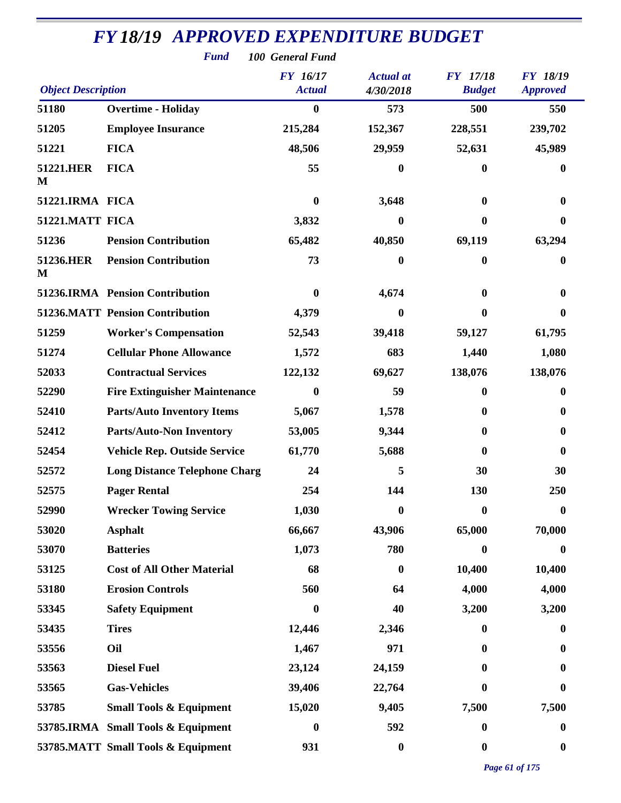|                           | <b>Fund</b><br>100 General Fund        |                                  |                               |                                  |                                    |  |  |
|---------------------------|----------------------------------------|----------------------------------|-------------------------------|----------------------------------|------------------------------------|--|--|
| <b>Object Description</b> |                                        | <b>FY</b> 16/17<br><b>Actual</b> | <b>Actual</b> at<br>4/30/2018 | <b>FY</b> 17/18<br><b>Budget</b> | <b>FY 18/19</b><br><b>Approved</b> |  |  |
| 51180                     | <b>Overtime - Holiday</b>              | $\boldsymbol{0}$                 | 573                           | 500                              | 550                                |  |  |
| 51205                     | <b>Employee Insurance</b>              | 215,284                          | 152,367                       | 228,551                          | 239,702                            |  |  |
| 51221                     | <b>FICA</b>                            | 48,506                           | 29,959                        | 52,631                           | 45,989                             |  |  |
| 51221.HER<br>M            | <b>FICA</b>                            | 55                               | $\bf{0}$                      | 0                                | 0                                  |  |  |
| 51221.IRMA FICA           |                                        | $\boldsymbol{0}$                 | 3,648                         | $\bf{0}$                         |                                    |  |  |
| 51221.MATT FICA           |                                        | 3,832                            | 0                             | 0                                | 0                                  |  |  |
| 51236                     | <b>Pension Contribution</b>            | 65,482                           | 40,850                        | 69,119                           | 63,294                             |  |  |
| 51236.HER<br>M            | <b>Pension Contribution</b>            | 73                               | $\bf{0}$                      | 0                                | 0                                  |  |  |
|                           | 51236.IRMA Pension Contribution        | $\bf{0}$                         | 4,674                         | 0                                | 0                                  |  |  |
|                           | <b>51236.MATT Pension Contribution</b> | 4,379                            | $\bf{0}$                      | 0                                | 0                                  |  |  |
| 51259                     | <b>Worker's Compensation</b>           | 52,543                           | 39,418                        | 59,127                           | 61,795                             |  |  |
| 51274                     | <b>Cellular Phone Allowance</b>        | 1,572                            | 683                           | 1,440                            | 1,080                              |  |  |
| 52033                     | <b>Contractual Services</b>            | 122,132                          | 69,627                        | 138,076                          | 138,076                            |  |  |
| 52290                     | <b>Fire Extinguisher Maintenance</b>   | 0                                | 59                            | 0                                | 0                                  |  |  |
| 52410                     | <b>Parts/Auto Inventory Items</b>      | 5,067                            | 1,578                         | 0                                | 0                                  |  |  |
| 52412                     | <b>Parts/Auto-Non Inventory</b>        | 53,005                           | 9,344                         | 0                                | 0                                  |  |  |
| 52454                     | <b>Vehicle Rep. Outside Service</b>    | 61,770                           | 5,688                         | 0                                | 0                                  |  |  |
| 52572                     | <b>Long Distance Telephone Charg</b>   | 24                               | 5                             | 30                               | 30                                 |  |  |
| 52575                     | <b>Pager Rental</b>                    | 254                              | 144                           | 130                              | 250                                |  |  |
| 52990                     | <b>Wrecker Towing Service</b>          | 1,030                            | $\bf{0}$                      | 0                                | 0                                  |  |  |
| 53020                     | <b>Asphalt</b>                         | 66,667                           | 43,906                        | 65,000                           | 70,000                             |  |  |
| 53070                     | <b>Batteries</b>                       | 1,073                            | 780                           | 0                                | 0                                  |  |  |
| 53125                     | <b>Cost of All Other Material</b>      | 68                               | $\bf{0}$                      | 10,400                           | 10,400                             |  |  |
| 53180                     | <b>Erosion Controls</b>                | 560                              | 64                            | 4,000                            | 4,000                              |  |  |
| 53345                     | <b>Safety Equipment</b>                | 0                                | 40                            | 3,200                            | 3,200                              |  |  |
| 53435                     | <b>Tires</b>                           | 12,446                           | 2,346                         | 0                                | $\bf{0}$                           |  |  |
| 53556                     | Oil                                    | 1,467                            | 971                           | 0                                | $\bf{0}$                           |  |  |
| 53563                     | <b>Diesel Fuel</b>                     | 23,124                           | 24,159                        | 0                                | 0                                  |  |  |
| 53565                     | <b>Gas-Vehicles</b>                    | 39,406                           | 22,764                        | 0                                | 0                                  |  |  |
| 53785                     | <b>Small Tools &amp; Equipment</b>     | 15,020                           | 9,405                         | 7,500                            | 7,500                              |  |  |
|                           | 53785.IRMA Small Tools & Equipment     | $\boldsymbol{0}$                 | 592                           | 0                                | $\bf{0}$                           |  |  |
|                           | 53785.MATT Small Tools & Equipment     | 931                              | $\boldsymbol{0}$              | 0                                | $\boldsymbol{0}$                   |  |  |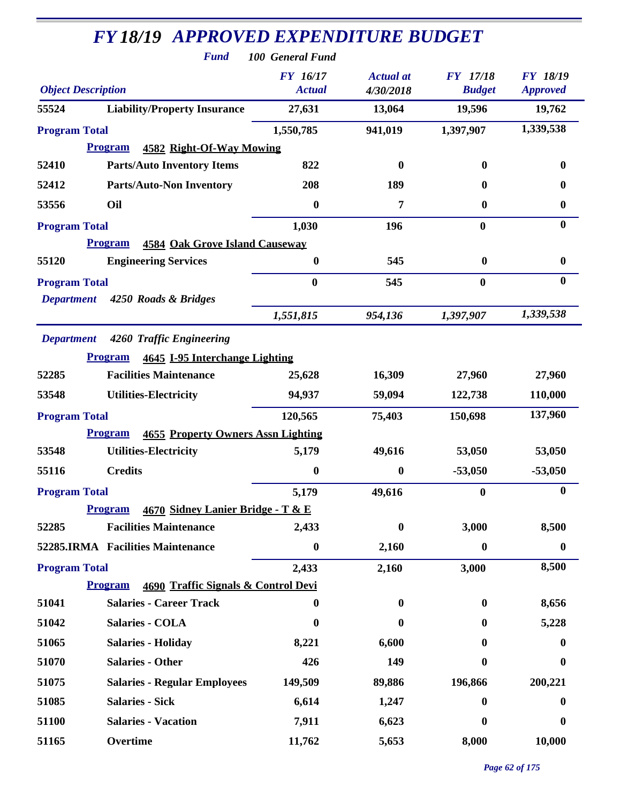| <b>FY 18/19 APPROVED EXPENDITURE BUDGET</b><br><b>Fund</b>                                               | 100 General Fund                 |                               |                                  |                                    |
|----------------------------------------------------------------------------------------------------------|----------------------------------|-------------------------------|----------------------------------|------------------------------------|
| <b>Object Description</b>                                                                                | <b>FY</b> 16/17<br><b>Actual</b> | <b>Actual</b> at<br>4/30/2018 | <b>FY</b> 17/18<br><b>Budget</b> | <b>FY 18/19</b><br><b>Approved</b> |
| 55524<br><b>Liability/Property Insurance</b>                                                             | 27,631                           | 13,064                        | 19,596                           | 19,762                             |
| <b>Program Total</b>                                                                                     | 1,550,785                        | 941,019                       | 1,397,907                        | 1,339,538                          |
| 4582 Right-Of-Way Mowing<br><b>Program</b>                                                               |                                  |                               |                                  |                                    |
| <b>Parts/Auto Inventory Items</b><br>52410                                                               | 822                              | $\boldsymbol{0}$              | $\mathbf{0}$                     | $\bf{0}$                           |
| <b>Parts/Auto-Non Inventory</b><br>52412                                                                 | 208                              | 189                           | 0                                | $\boldsymbol{0}$                   |
| Oil<br>53556                                                                                             | $\mathbf{0}$                     | 7                             | 0                                | $\boldsymbol{0}$                   |
| <b>Program Total</b>                                                                                     | 1,030                            | 196                           | $\bf{0}$                         | $\bf{0}$                           |
| <b>Program</b><br><b>4584 Oak Grove Island Causeway</b>                                                  |                                  |                               |                                  |                                    |
| 55120<br><b>Engineering Services</b>                                                                     | $\bf{0}$                         | 545                           | $\bf{0}$                         | $\boldsymbol{0}$                   |
| <b>Program Total</b><br>4250 Roads & Bridges<br><b>Department</b>                                        | $\bf{0}$                         | 545                           | $\bf{0}$                         | $\boldsymbol{0}$                   |
|                                                                                                          | 1,551,815                        | 954,136                       | 1,397,907                        | 1,339,538                          |
| <b>Department</b><br>4260 Traffic Engineering<br><b>Program</b><br><b>4645 I-95 Interchange Lighting</b> |                                  |                               |                                  |                                    |
| <b>Facilities Maintenance</b><br>52285                                                                   | 25,628                           | 16,309                        | 27,960                           | 27,960                             |
| 53548<br><b>Utilities-Electricity</b>                                                                    | 94,937                           | 59,094                        | 122,738                          | 110,000                            |
| <b>Program Total</b>                                                                                     | 120,565                          | 75,403                        | 150,698                          | 137,960                            |
| <b>4655 Property Owners Assn Lighting</b><br><b>Program</b>                                              |                                  |                               |                                  |                                    |
| <b>Utilities-Electricity</b><br>53548                                                                    | 5,179                            | 49,616                        | 53,050                           | 53,050                             |
| <b>Credits</b><br>55116                                                                                  | $\boldsymbol{0}$                 | $\boldsymbol{0}$              | $-53,050$                        | $-53,050$                          |
| <b>Program Total</b>                                                                                     | 5,179                            | 49,616                        | $\bf{0}$                         | $\boldsymbol{0}$                   |
| <b>Program</b><br>4670 Sidney Lanier Bridge - T & E                                                      |                                  |                               |                                  |                                    |
| <b>Facilities Maintenance</b><br>52285                                                                   | 2,433                            | $\bf{0}$                      | 3,000                            | 8,500                              |
| 52285.IRMA Facilities Maintenance                                                                        | $\boldsymbol{0}$                 | 2,160                         | $\bf{0}$                         | $\bf{0}$                           |
| <b>Program Total</b>                                                                                     | 2,433                            | 2,160                         | 3,000                            | 8,500                              |
| <b>Program</b><br>4690 Traffic Signals & Control Devi                                                    |                                  |                               |                                  |                                    |
| <b>Salaries - Career Track</b><br>51041                                                                  | 0                                | 0                             | 0                                | 8,656                              |
| 51042<br><b>Salaries - COLA</b>                                                                          | $\mathbf{0}$                     | $\bf{0}$                      | 0                                | 5,228                              |
| 51065<br><b>Salaries - Holiday</b>                                                                       | 8,221                            | 6,600                         | 0                                | $\bf{0}$                           |
| 51070<br><b>Salaries - Other</b>                                                                         | 426                              | 149                           | 0                                | $\bf{0}$                           |
| 51075<br><b>Salaries - Regular Employees</b>                                                             | 149,509                          | 89,886                        | 196,866                          | 200,221                            |
| 51085<br><b>Salaries - Sick</b>                                                                          | 6,614                            | 1,247                         | $\bf{0}$                         | $\bf{0}$                           |
| 51100<br><b>Salaries - Vacation</b>                                                                      | 7,911                            | 6,623                         | 0                                | $\bf{0}$                           |
| 51165<br>Overtime                                                                                        | 11,762                           | 5,653                         | 8,000                            | 10,000                             |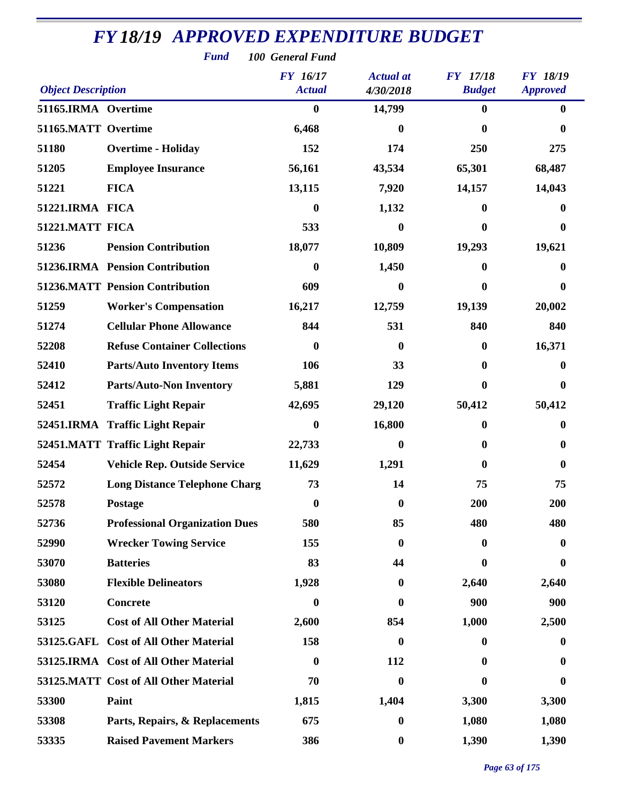| <b>Fund</b><br>100 General Fund |                                        |                                  |                               |                                  |                                    |  |
|---------------------------------|----------------------------------------|----------------------------------|-------------------------------|----------------------------------|------------------------------------|--|
| <b>Object Description</b>       |                                        | <b>FY</b> 16/17<br><b>Actual</b> | <b>Actual</b> at<br>4/30/2018 | <b>FY</b> 17/18<br><b>Budget</b> | <b>FY 18/19</b><br><b>Approved</b> |  |
| 51165.IRMA Overtime             |                                        | $\boldsymbol{0}$                 | 14,799                        | $\boldsymbol{0}$                 | $\bf{0}$                           |  |
| 51165.MATT Overtime             |                                        | 6,468                            | $\mathbf{0}$                  | 0                                | 0                                  |  |
| 51180                           | <b>Overtime - Holiday</b>              | 152                              | 174                           | 250                              | 275                                |  |
| 51205                           | <b>Employee Insurance</b>              | 56,161                           | 43,534                        | 65,301                           | 68,487                             |  |
| 51221                           | <b>FICA</b>                            | 13,115                           | 7,920                         | 14,157                           | 14,043                             |  |
| 51221.IRMA FICA                 |                                        | $\boldsymbol{0}$                 | 1,132                         | $\mathbf{0}$                     | 0                                  |  |
| 51221.MATT FICA                 |                                        | 533                              | $\bf{0}$                      | $\boldsymbol{0}$                 | $\bf{0}$                           |  |
| 51236                           | <b>Pension Contribution</b>            | 18,077                           | 10,809                        | 19,293                           | 19,621                             |  |
|                                 | 51236.IRMA Pension Contribution        | $\boldsymbol{0}$                 | 1,450                         | 0                                | 0                                  |  |
|                                 | <b>51236.MATT Pension Contribution</b> | 609                              | $\bf{0}$                      | 0                                | $\bf{0}$                           |  |
| 51259                           | <b>Worker's Compensation</b>           | 16,217                           | 12,759                        | 19,139                           | 20,002                             |  |
| 51274                           | <b>Cellular Phone Allowance</b>        | 844                              | 531                           | 840                              | 840                                |  |
| 52208                           | <b>Refuse Container Collections</b>    | $\bf{0}$                         | 0                             | $\boldsymbol{0}$                 | 16,371                             |  |
| 52410                           | <b>Parts/Auto Inventory Items</b>      | 106                              | 33                            | $\boldsymbol{0}$                 | 0                                  |  |
| 52412                           | <b>Parts/Auto-Non Inventory</b>        | 5,881                            | 129                           | $\bf{0}$                         | $\boldsymbol{0}$                   |  |
| 52451                           | <b>Traffic Light Repair</b>            | 42,695                           | 29,120                        | 50,412                           | 50,412                             |  |
|                                 | 52451.IRMA Traffic Light Repair        | $\bf{0}$                         | 16,800                        | 0                                | $\bf{0}$                           |  |
|                                 | 52451.MATT Traffic Light Repair        | 22,733                           | $\bf{0}$                      | 0                                | $\bf{0}$                           |  |
| 52454                           | <b>Vehicle Rep. Outside Service</b>    | 11,629                           | 1,291                         | $\mathbf{0}$                     | $\bf{0}$                           |  |
| 52572                           | <b>Long Distance Telephone Charg</b>   | 73                               | 14                            | 75                               | 75                                 |  |
| 52578                           | <b>Postage</b>                         | $\boldsymbol{0}$                 | $\bf{0}$                      | 200                              | 200                                |  |
| 52736                           | <b>Professional Organization Dues</b>  | 580                              | 85                            | 480                              | 480                                |  |
| 52990                           | <b>Wrecker Towing Service</b>          | 155                              | $\bf{0}$                      | 0                                | $\boldsymbol{0}$                   |  |
| 53070                           | <b>Batteries</b>                       | 83                               | 44                            | 0                                | $\bf{0}$                           |  |
| 53080                           | <b>Flexible Delineators</b>            | 1,928                            | $\bf{0}$                      | 2,640                            | 2,640                              |  |
| 53120                           | <b>Concrete</b>                        | $\boldsymbol{0}$                 | $\bf{0}$                      | 900                              | 900                                |  |
| 53125                           | <b>Cost of All Other Material</b>      | 2,600                            | 854                           | 1,000                            | 2,500                              |  |
|                                 | 53125.GAFL Cost of All Other Material  | 158                              | $\boldsymbol{0}$              | 0                                | $\bf{0}$                           |  |
|                                 | 53125.IRMA Cost of All Other Material  | $\boldsymbol{0}$                 | 112                           | $\mathbf{0}$                     | $\bf{0}$                           |  |
|                                 | 53125.MATT Cost of All Other Material  | 70                               | $\bf{0}$                      | 0                                | 0                                  |  |
| 53300                           | Paint                                  | 1,815                            | 1,404                         | 3,300                            | 3,300                              |  |
| 53308                           | Parts, Repairs, & Replacements         | 675                              | $\boldsymbol{0}$              | 1,080                            | 1,080                              |  |
| 53335                           | <b>Raised Pavement Markers</b>         | 386                              | $\boldsymbol{0}$              | 1,390                            | 1,390                              |  |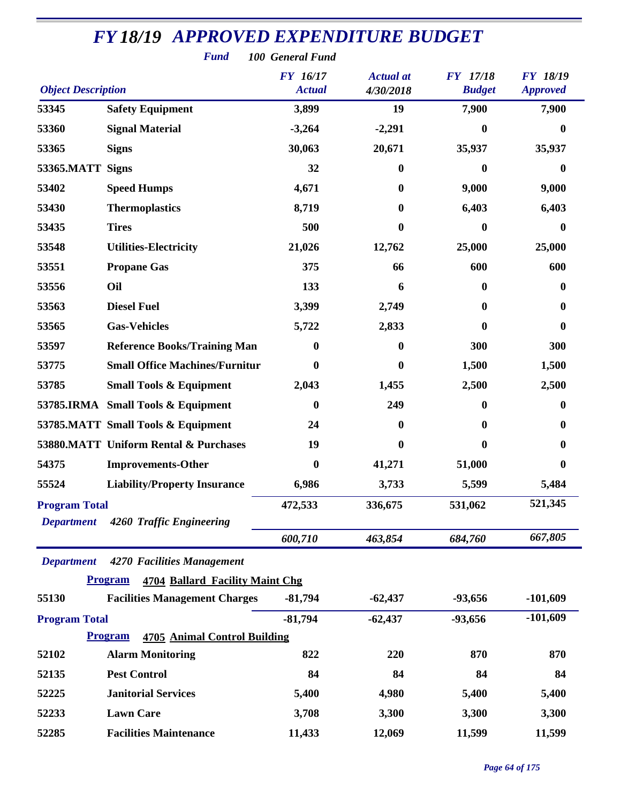|                           | <b>Fund</b>                                           | 100 General Fund                 |                               |                                  |                                    |
|---------------------------|-------------------------------------------------------|----------------------------------|-------------------------------|----------------------------------|------------------------------------|
| <b>Object Description</b> |                                                       | <b>FY</b> 16/17<br><b>Actual</b> | <b>Actual</b> at<br>4/30/2018 | <b>FY</b> 17/18<br><b>Budget</b> | <b>FY 18/19</b><br><b>Approved</b> |
| 53345                     | <b>Safety Equipment</b>                               | 3,899                            | 19                            | 7,900                            | 7,900                              |
| 53360                     | <b>Signal Material</b>                                | $-3,264$                         | $-2,291$                      | $\mathbf{0}$                     | 0                                  |
| 53365                     | <b>Signs</b>                                          | 30,063                           | 20,671                        | 35,937                           | 35,937                             |
| 53365.MATT                | <b>Signs</b>                                          | 32                               | 0                             | $\bf{0}$                         | $\bf{0}$                           |
| 53402                     | <b>Speed Humps</b>                                    | 4,671                            | 0                             | 9,000                            | 9,000                              |
| 53430                     | <b>Thermoplastics</b>                                 | 8,719                            | 0                             | 6,403                            | 6,403                              |
| 53435                     | <b>Tires</b>                                          | 500                              | 0                             | $\bf{0}$                         | $\boldsymbol{0}$                   |
| 53548                     | <b>Utilities-Electricity</b>                          | 21,026                           | 12,762                        | 25,000                           | 25,000                             |
| 53551                     | <b>Propane Gas</b>                                    | 375                              | 66                            | 600                              | 600                                |
| 53556                     | Oil                                                   | 133                              | 6                             | $\mathbf{0}$                     | $\bf{0}$                           |
| 53563                     | <b>Diesel Fuel</b>                                    | 3,399                            | 2,749                         | $\mathbf{0}$                     | $\bf{0}$                           |
| 53565                     | <b>Gas-Vehicles</b>                                   | 5,722                            | 2,833                         | $\mathbf{0}$                     | $\bf{0}$                           |
| 53597                     | <b>Reference Books/Training Man</b>                   | 0                                | 0                             | 300                              | 300                                |
| 53775                     | <b>Small Office Machines/Furnitur</b>                 | 0                                | 0                             | 1,500                            | 1,500                              |
| 53785                     | <b>Small Tools &amp; Equipment</b>                    | 2,043                            | 1,455                         | 2,500                            | 2,500                              |
|                           | 53785.IRMA Small Tools & Equipment                    | $\boldsymbol{0}$                 | 249                           | $\mathbf{0}$                     | $\bf{0}$                           |
|                           | 53785.MATT Small Tools & Equipment                    | 24                               | 0                             | $\mathbf{0}$                     | $\bf{0}$                           |
|                           | 53880.MATT Uniform Rental & Purchases                 | 19                               | 0                             | 0                                | 0                                  |
| 54375                     | <b>Improvements-Other</b>                             | $\boldsymbol{0}$                 | 41,271                        | 51,000                           | 0                                  |
| 55524                     | <b>Liability/Property Insurance</b>                   | 6,986                            | 3,733                         | 5,599                            | 5,484                              |
| <b>Program Total</b>      |                                                       | 472,533                          | 336,675                       | 531,062                          | 521,345                            |
| <b>Department</b>         | 4260 Traffic Engineering                              |                                  |                               |                                  |                                    |
|                           |                                                       | 600,710                          | 463,854                       | 684,760                          | 667,805                            |
| <b>Department</b>         | 4270 Facilities Management                            |                                  |                               |                                  |                                    |
|                           | <b>Program</b><br>4704 Ballard Facility Maint Chg     |                                  |                               |                                  |                                    |
| 55130                     | <b>Facilities Management Charges</b>                  | $-81,794$                        | $-62,437$                     | -93,656                          | $-101,609$                         |
| <b>Program Total</b>      |                                                       | $-81,794$                        | $-62,437$                     | -93,656                          | $-101,609$                         |
|                           | <b>4705 Animal Control Building</b><br><b>Program</b> |                                  |                               |                                  |                                    |
| 52102                     | <b>Alarm Monitoring</b>                               | 822                              | 220                           | 870                              | 870                                |
| 52135                     | <b>Pest Control</b>                                   | 84                               | 84                            | 84                               | 84                                 |
| 52225                     | <b>Janitorial Services</b>                            | 5,400                            | 4,980                         | 5,400                            | 5,400                              |
| 52233                     | <b>Lawn Care</b>                                      | 3,708                            | 3,300                         | 3,300                            | 3,300                              |
| 52285                     | <b>Facilities Maintenance</b>                         | 11,433                           | 12,069                        | 11,599                           | 11,599                             |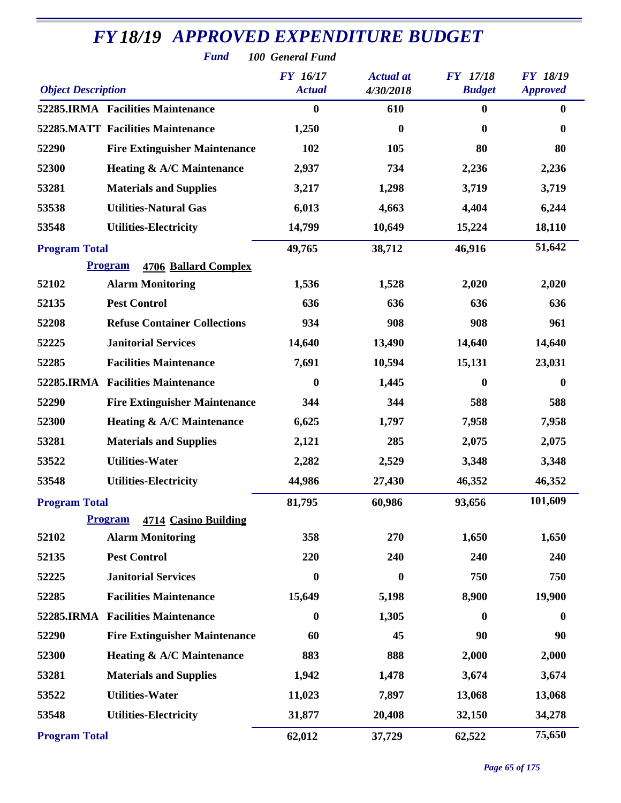| <b>FY18/19 APPROVED EXPENDITURE BUDGET</b> |                                          |                                                      |                               |                                  |                                    |
|--------------------------------------------|------------------------------------------|------------------------------------------------------|-------------------------------|----------------------------------|------------------------------------|
| <b>Object Description</b>                  | <b>Fund</b>                              | 100 General Fund<br><b>FY</b> 16/17<br><b>Actual</b> | <b>Actual</b> at<br>4/30/2018 | <b>FY</b> 17/18<br><b>Budget</b> | <b>FY 18/19</b><br><b>Approved</b> |
|                                            | 52285.IRMA Facilities Maintenance        | $\boldsymbol{0}$                                     | 610                           | $\bf{0}$                         | $\bf{0}$                           |
|                                            | <b>52285.MATT Facilities Maintenance</b> | 1,250                                                | $\bf{0}$                      | 0                                | $\mathbf{0}$                       |
| 52290                                      | <b>Fire Extinguisher Maintenance</b>     | 102                                                  | 105                           | 80                               | 80                                 |
| 52300                                      | Heating & A/C Maintenance                | 2,937                                                | 734                           | 2,236                            | 2,236                              |
| 53281                                      | <b>Materials and Supplies</b>            | 3,217                                                | 1,298                         | 3,719                            | 3,719                              |
| 53538                                      | <b>Utilities-Natural Gas</b>             | 6,013                                                | 4,663                         | 4,404                            | 6,244                              |
| 53548                                      | <b>Utilities-Electricity</b>             | 14,799                                               | 10,649                        | 15,224                           | 18,110                             |
| <b>Program Total</b>                       |                                          | 49,765                                               | 38,712                        | 46,916                           | 51,642                             |
|                                            | <b>Program</b><br>4706 Ballard Complex   |                                                      |                               |                                  |                                    |
| 52102                                      | <b>Alarm Monitoring</b>                  | 1,536                                                | 1,528                         | 2,020                            | 2,020                              |
| 52135                                      | <b>Pest Control</b>                      | 636                                                  | 636                           | 636                              | 636                                |
| 52208                                      | <b>Refuse Container Collections</b>      | 934                                                  | 908                           | 908                              | 961                                |
| 52225                                      | <b>Janitorial Services</b>               | 14,640                                               | 13,490                        | 14,640                           | 14,640                             |
| 52285                                      | <b>Facilities Maintenance</b>            | 7,691                                                | 10,594                        | 15,131                           | 23,031                             |
|                                            | 52285.IRMA Facilities Maintenance        | $\boldsymbol{0}$                                     | 1,445                         | 0                                | $\boldsymbol{0}$                   |
| 52290                                      | <b>Fire Extinguisher Maintenance</b>     | 344                                                  | 344                           | 588                              | 588                                |
| 52300                                      | <b>Heating &amp; A/C Maintenance</b>     | 6,625                                                | 1,797                         | 7,958                            | 7,958                              |
| 53281                                      | <b>Materials and Supplies</b>            | 2,121                                                | 285                           | 2,075                            | 2,075                              |
| 53522                                      | <b>Utilities-Water</b>                   | 2,282                                                | 2,529                         | 3,348                            | 3,348                              |
| 53548                                      | <b>Utilities-Electricity</b>             | 44,986                                               | 27,430                        | 46,352                           | 46,352                             |
| <b>Program Total</b>                       |                                          | 81,795                                               | 60,986                        | 93,656                           | 101,609                            |
|                                            | <b>Program</b><br>4714 Casino Building   |                                                      |                               |                                  |                                    |
| 52102                                      | <b>Alarm Monitoring</b>                  | 358                                                  | 270                           | 1,650                            | 1,650                              |
| 52135                                      | <b>Pest Control</b>                      | 220                                                  | 240                           | 240                              | 240                                |
| 52225                                      | <b>Janitorial Services</b>               | $\boldsymbol{0}$                                     | $\bf{0}$                      | 750                              | 750                                |
| 52285                                      | <b>Facilities Maintenance</b>            | 15,649                                               | 5,198                         | 8,900                            | 19,900                             |
|                                            | 52285.IRMA Facilities Maintenance        | $\boldsymbol{0}$                                     | 1,305                         | 0                                | $\bf{0}$                           |
| 52290                                      | <b>Fire Extinguisher Maintenance</b>     | 60                                                   | 45                            | 90                               | 90                                 |
| 52300                                      | Heating & A/C Maintenance                | 883                                                  | 888                           | 2,000                            | 2,000                              |
| 53281                                      | <b>Materials and Supplies</b>            | 1,942                                                | 1,478                         | 3,674                            | 3,674                              |
| 53522                                      | <b>Utilities-Water</b>                   | 11,023                                               | 7,897                         | 13,068                           | 13,068                             |
| 53548                                      | <b>Utilities-Electricity</b>             | 31,877                                               | 20,408                        | 32,150                           | 34,278                             |
| <b>Program Total</b>                       |                                          | 62,012                                               | 37,729                        | 62,522                           | 75,650                             |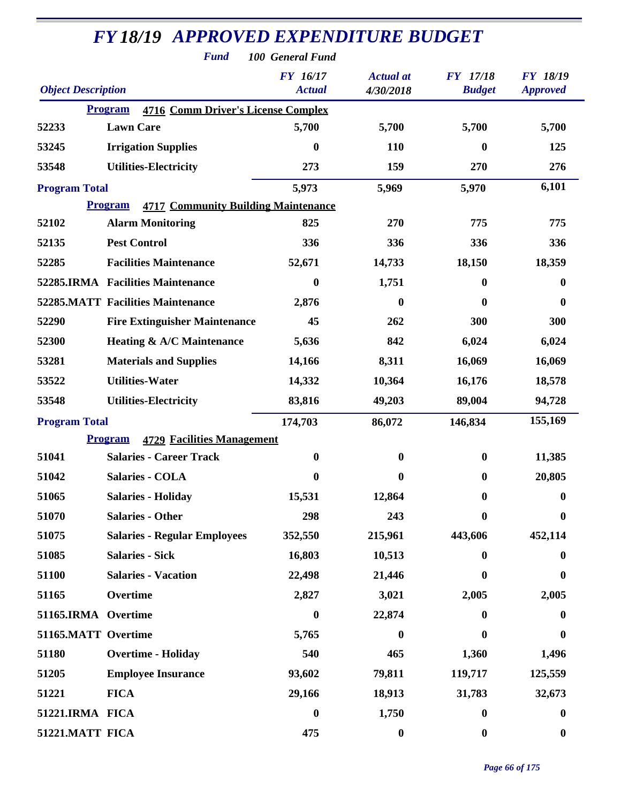| <b>FY18/19 APPROVED EXPENDITURE BUDGET</b> |                                                              |                           |                               |                                  |                                    |  |
|--------------------------------------------|--------------------------------------------------------------|---------------------------|-------------------------------|----------------------------------|------------------------------------|--|
| <b>Fund</b><br>100 General Fund            |                                                              |                           |                               |                                  |                                    |  |
| <b>Object Description</b>                  |                                                              | FY 16/17<br><b>Actual</b> | <b>Actual</b> at<br>4/30/2018 | <b>FY</b> 17/18<br><b>Budget</b> | <b>FY 18/19</b><br><b>Approved</b> |  |
|                                            | <b>4716 Comm Driver's License Complex</b><br><b>Program</b>  |                           |                               |                                  |                                    |  |
| 52233                                      | <b>Lawn Care</b>                                             | 5,700                     | 5,700                         | 5,700                            | 5,700                              |  |
| 53245                                      | <b>Irrigation Supplies</b>                                   | 0                         | <b>110</b>                    | $\boldsymbol{0}$                 | 125                                |  |
| 53548                                      | <b>Utilities-Electricity</b>                                 | 273                       | 159                           | 270                              | 276                                |  |
| <b>Program Total</b>                       |                                                              | 5,973                     | 5,969                         | 5,970                            | 6,101                              |  |
|                                            | <b>Program</b><br><b>4717 Community Building Maintenance</b> |                           |                               |                                  |                                    |  |
| 52102                                      | <b>Alarm Monitoring</b>                                      | 825                       | 270                           | 775                              | 775                                |  |
| 52135                                      | <b>Pest Control</b>                                          | 336                       | 336                           | 336                              | 336                                |  |
| 52285                                      | <b>Facilities Maintenance</b>                                | 52,671                    | 14,733                        | 18,150                           | 18,359                             |  |
|                                            | 52285.IRMA Facilities Maintenance                            | $\boldsymbol{0}$          | 1,751                         | $\boldsymbol{0}$                 | $\bf{0}$                           |  |
|                                            | <b>52285.MATT Facilities Maintenance</b>                     | 2,876                     | $\bf{0}$                      | $\mathbf{0}$                     | $\boldsymbol{0}$                   |  |
| 52290                                      | <b>Fire Extinguisher Maintenance</b>                         | 45                        | 262                           | 300                              | 300                                |  |
| 52300                                      | Heating & A/C Maintenance                                    | 5,636                     | 842                           | 6,024                            | 6,024                              |  |
| 53281                                      | <b>Materials and Supplies</b>                                | 14,166                    | 8,311                         | 16,069                           | 16,069                             |  |
| 53522                                      | <b>Utilities-Water</b>                                       | 14,332                    | 10,364                        | 16,176                           | 18,578                             |  |
| 53548                                      | <b>Utilities-Electricity</b>                                 | 83,816                    | 49,203                        | 89,004                           | 94,728                             |  |
| <b>Program Total</b>                       |                                                              | 174,703                   | 86,072                        | 146,834                          | 155,169                            |  |
|                                            | <b>4729 Facilities Management</b><br><b>Program</b>          |                           |                               |                                  |                                    |  |
| 51041                                      | <b>Salaries - Career Track</b>                               | $\boldsymbol{0}$          | $\boldsymbol{0}$              | $\boldsymbol{0}$                 | 11,385                             |  |
| 51042                                      | <b>Salaries - COLA</b>                                       | $\boldsymbol{0}$          | $\boldsymbol{0}$              | $\bf{0}$                         | 20,805                             |  |
| 51065                                      | <b>Salaries - Holiday</b>                                    | 15,531                    | 12,864                        | $\bf{0}$                         | $\boldsymbol{0}$                   |  |
| 51070                                      | <b>Salaries - Other</b>                                      | 298                       | 243                           | $\boldsymbol{0}$                 | $\bf{0}$                           |  |
| 51075                                      | <b>Salaries - Regular Employees</b>                          | 352,550                   | 215,961                       | 443,606                          | 452,114                            |  |
| 51085                                      | <b>Salaries - Sick</b>                                       | 16,803                    | 10,513                        | $\bf{0}$                         | 0                                  |  |
| 51100                                      | <b>Salaries - Vacation</b>                                   | 22,498                    | 21,446                        | $\boldsymbol{0}$                 | $\boldsymbol{0}$                   |  |
| 51165                                      | Overtime                                                     | 2,827                     | 3,021                         | 2,005                            | 2,005                              |  |
| 51165.IRMA Overtime                        |                                                              | $\boldsymbol{0}$          | 22,874                        | 0                                | $\bf{0}$                           |  |
| 51165.MATT Overtime                        |                                                              | 5,765                     | $\bf{0}$                      | $\bf{0}$                         | $\bf{0}$                           |  |
| 51180                                      | <b>Overtime - Holiday</b>                                    | 540                       | 465                           | 1,360                            | 1,496                              |  |
| 51205                                      | <b>Employee Insurance</b>                                    | 93,602                    | 79,811                        | 119,717                          | 125,559                            |  |
| 51221                                      | <b>FICA</b>                                                  | 29,166                    | 18,913                        | 31,783                           | 32,673                             |  |
| 51221.IRMA FICA                            |                                                              | $\boldsymbol{0}$          | 1,750                         | $\boldsymbol{0}$                 | $\boldsymbol{0}$                   |  |
| 51221.MATT FICA                            |                                                              | 475                       | $\boldsymbol{0}$              | $\bf{0}$                         | $\boldsymbol{0}$                   |  |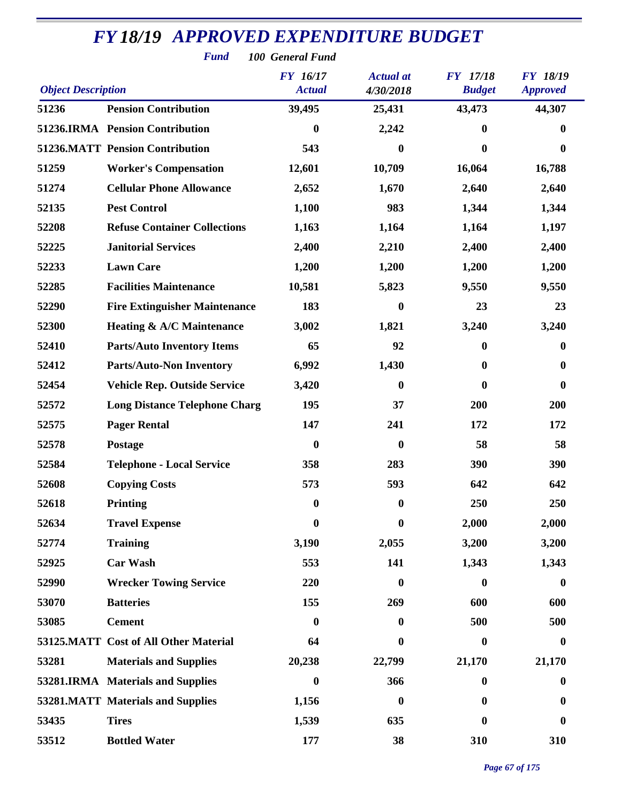| <b>Fund</b><br>100 General Fund |                                        |                           |                               |                           |                                    |  |
|---------------------------------|----------------------------------------|---------------------------|-------------------------------|---------------------------|------------------------------------|--|
| <b>Object Description</b>       |                                        | FY 16/17<br><b>Actual</b> | <b>Actual</b> at<br>4/30/2018 | FY 17/18<br><b>Budget</b> | <b>FY 18/19</b><br><b>Approved</b> |  |
| 51236                           | <b>Pension Contribution</b>            | 39,495                    | 25,431                        | 43,473                    | 44,307                             |  |
|                                 | 51236.IRMA Pension Contribution        | $\boldsymbol{0}$          | 2,242                         | $\bf{0}$                  | $\bf{0}$                           |  |
|                                 | <b>51236.MATT Pension Contribution</b> | 543                       | $\bf{0}$                      | $\bf{0}$                  | $\boldsymbol{0}$                   |  |
| 51259                           | <b>Worker's Compensation</b>           | 12,601                    | 10,709                        | 16,064                    | 16,788                             |  |
| 51274                           | <b>Cellular Phone Allowance</b>        | 2,652                     | 1,670                         | 2,640                     | 2,640                              |  |
| 52135                           | <b>Pest Control</b>                    | 1,100                     | 983                           | 1,344                     | 1,344                              |  |
| 52208                           | <b>Refuse Container Collections</b>    | 1,163                     | 1,164                         | 1,164                     | 1,197                              |  |
| 52225                           | <b>Janitorial Services</b>             | 2,400                     | 2,210                         | 2,400                     | 2,400                              |  |
| 52233                           | <b>Lawn Care</b>                       | 1,200                     | 1,200                         | 1,200                     | 1,200                              |  |
| 52285                           | <b>Facilities Maintenance</b>          | 10,581                    | 5,823                         | 9,550                     | 9,550                              |  |
| 52290                           | <b>Fire Extinguisher Maintenance</b>   | 183                       | $\bf{0}$                      | 23                        | 23                                 |  |
| 52300                           | <b>Heating &amp; A/C Maintenance</b>   | 3,002                     | 1,821                         | 3,240                     | 3,240                              |  |
| 52410                           | <b>Parts/Auto Inventory Items</b>      | 65                        | 92                            | $\bf{0}$                  | $\bf{0}$                           |  |
| 52412                           | <b>Parts/Auto-Non Inventory</b>        | 6,992                     | 1,430                         | $\boldsymbol{0}$          | $\boldsymbol{0}$                   |  |
| 52454                           | <b>Vehicle Rep. Outside Service</b>    | 3,420                     | $\bf{0}$                      | $\bf{0}$                  | $\boldsymbol{0}$                   |  |
| 52572                           | <b>Long Distance Telephone Charg</b>   | 195                       | 37                            | 200                       | 200                                |  |
| 52575                           | <b>Pager Rental</b>                    | 147                       | 241                           | 172                       | 172                                |  |
| 52578                           | Postage                                | $\boldsymbol{0}$          | $\boldsymbol{0}$              | 58                        | 58                                 |  |
| 52584                           | <b>Telephone - Local Service</b>       | 358                       | 283                           | 390                       | 390                                |  |
| 52608                           | <b>Copying Costs</b>                   | 573                       | 593                           | 642                       | 642                                |  |
| 52618                           | <b>Printing</b>                        | $\boldsymbol{0}$          | $\bf{0}$                      | 250                       | 250                                |  |
| 52634                           | <b>Travel Expense</b>                  | $\bf{0}$                  | $\bf{0}$                      | 2,000                     | 2,000                              |  |
| 52774                           | <b>Training</b>                        | 3,190                     | 2,055                         | 3,200                     | 3,200                              |  |
| 52925                           | <b>Car Wash</b>                        | 553                       | 141                           | 1,343                     | 1,343                              |  |
| 52990                           | <b>Wrecker Towing Service</b>          | 220                       | 0                             | $\boldsymbol{0}$          | $\boldsymbol{0}$                   |  |
| 53070                           | <b>Batteries</b>                       | 155                       | 269                           | 600                       | 600                                |  |
| 53085                           | <b>Cement</b>                          | $\boldsymbol{0}$          | 0                             | 500                       | 500                                |  |
|                                 | 53125.MATT Cost of All Other Material  | 64                        | 0                             | $\boldsymbol{0}$          | $\boldsymbol{0}$                   |  |
| 53281                           | <b>Materials and Supplies</b>          | 20,238                    | 22,799                        | 21,170                    | 21,170                             |  |
|                                 | 53281.IRMA Materials and Supplies      | $\boldsymbol{0}$          | 366                           | $\bf{0}$                  | $\boldsymbol{0}$                   |  |
|                                 | 53281.MATT Materials and Supplies      | 1,156                     | $\boldsymbol{0}$              | 0                         | $\bf{0}$                           |  |
| 53435                           | <b>Tires</b>                           | 1,539                     | 635                           | $\bf{0}$                  | $\bf{0}$                           |  |
| 53512                           | <b>Bottled Water</b>                   | 177                       | 38                            | 310                       | 310                                |  |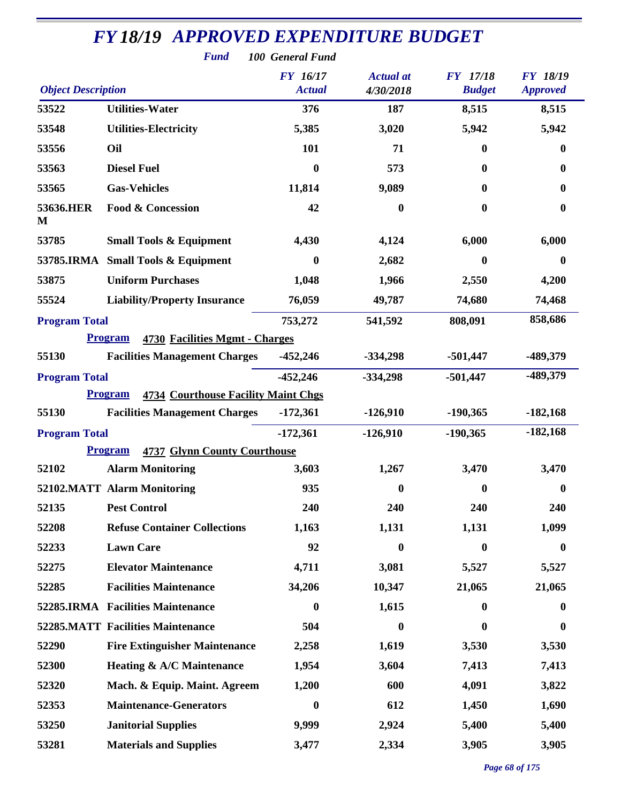|                           | <b>FY18/19 APPROVED EXPENDITURE BUDGET</b><br><b>Fund</b>    | 100 General Fund                 |                               |                                  |                                    |
|---------------------------|--------------------------------------------------------------|----------------------------------|-------------------------------|----------------------------------|------------------------------------|
| <b>Object Description</b> |                                                              | <b>FY</b> 16/17<br><b>Actual</b> | <b>Actual</b> at<br>4/30/2018 | <b>FY</b> 17/18<br><b>Budget</b> | <b>FY 18/19</b><br><b>Approved</b> |
| 53522                     | <b>Utilities-Water</b>                                       | 376                              | 187                           | 8,515                            | 8,515                              |
| 53548                     | <b>Utilities-Electricity</b>                                 | 5,385                            | 3,020                         | 5,942                            | 5,942                              |
| 53556                     | Oil                                                          | 101                              | 71                            | $\mathbf{0}$                     | 0                                  |
| 53563                     | <b>Diesel Fuel</b>                                           | $\boldsymbol{0}$                 | 573                           | $\bf{0}$                         | 0                                  |
| 53565                     | <b>Gas-Vehicles</b>                                          | 11,814                           | 9,089                         | $\mathbf{0}$                     | 0                                  |
| 53636.HER<br>M            | <b>Food &amp; Concession</b>                                 | 42                               | $\bf{0}$                      | $\boldsymbol{0}$                 | $\boldsymbol{0}$                   |
| 53785                     | <b>Small Tools &amp; Equipment</b>                           | 4,430                            | 4,124                         | 6,000                            | 6,000                              |
| 53785.IRMA                | <b>Small Tools &amp; Equipment</b>                           | $\boldsymbol{0}$                 | 2,682                         | $\boldsymbol{0}$                 | $\bf{0}$                           |
| 53875                     | <b>Uniform Purchases</b>                                     | 1,048                            | 1,966                         | 2,550                            | 4,200                              |
| 55524                     | <b>Liability/Property Insurance</b>                          | 76,059                           | 49,787                        | 74,680                           | 74,468                             |
| <b>Program Total</b>      |                                                              | 753,272                          | 541,592                       | 808,091                          | 858,686                            |
|                           | <b>Program</b><br>4730 Facilities Mgmt - Charges             |                                  |                               |                                  |                                    |
| 55130                     | <b>Facilities Management Charges</b>                         | $-452,246$                       | $-334,298$                    | $-501,447$                       | -489,379                           |
| <b>Program Total</b>      |                                                              | $-452,246$                       | $-334,298$                    | $-501,447$                       | -489,379                           |
|                           | <b>Program</b><br><b>4734 Courthouse Facility Maint Chgs</b> |                                  |                               |                                  |                                    |
| 55130                     | <b>Facilities Management Charges</b>                         | $-172,361$                       | $-126,910$                    | $-190,365$                       | $-182,168$                         |
| <b>Program Total</b>      |                                                              | $-172,361$                       | $-126,910$                    | $-190,365$                       | $-182,168$                         |
|                           | <b>4737 Glynn County Courthouse</b><br><b>Program</b>        |                                  |                               |                                  |                                    |
| 52102                     | <b>Alarm Monitoring</b>                                      | 3,603                            | 1,267                         | 3,470                            | 3,470                              |
|                           | 52102.MATT Alarm Monitoring                                  | 935                              | $\bf{0}$                      | $\boldsymbol{0}$                 | $\boldsymbol{0}$                   |
| 52135                     | <b>Pest Control</b>                                          | 240                              | 240                           | 240                              | 240                                |
| 52208                     | <b>Refuse Container Collections</b>                          | 1,163                            | 1,131                         | 1,131                            | 1,099                              |
| 52233                     | <b>Lawn Care</b>                                             | 92                               | $\bf{0}$                      | $\boldsymbol{0}$                 | $\bf{0}$                           |
| 52275                     | <b>Elevator Maintenance</b>                                  | 4,711                            | 3,081                         | 5,527                            | 5,527                              |
| 52285                     | <b>Facilities Maintenance</b>                                | 34,206                           | 10,347                        | 21,065                           | 21,065                             |
|                           | 52285.IRMA Facilities Maintenance                            | $\boldsymbol{0}$                 | 1,615                         | $\boldsymbol{0}$                 | 0                                  |
|                           | <b>52285.MATT Facilities Maintenance</b>                     | 504                              | $\mathbf{0}$                  | 0                                | 0                                  |
| 52290                     | <b>Fire Extinguisher Maintenance</b>                         | 2,258                            | 1,619                         | 3,530                            | 3,530                              |
| 52300                     | Heating & A/C Maintenance                                    | 1,954                            | 3,604                         | 7,413                            | 7,413                              |
| 52320                     | Mach. & Equip. Maint. Agreem                                 | 1,200                            | 600                           | 4,091                            | 3,822                              |
| 52353                     | <b>Maintenance-Generators</b>                                | $\boldsymbol{0}$                 | 612                           | 1,450                            | 1,690                              |
| 53250                     | <b>Janitorial Supplies</b>                                   | 9,999                            | 2,924                         | 5,400                            | 5,400                              |
| 53281                     | <b>Materials and Supplies</b>                                | 3,477                            | 2,334                         | 3,905                            | 3,905                              |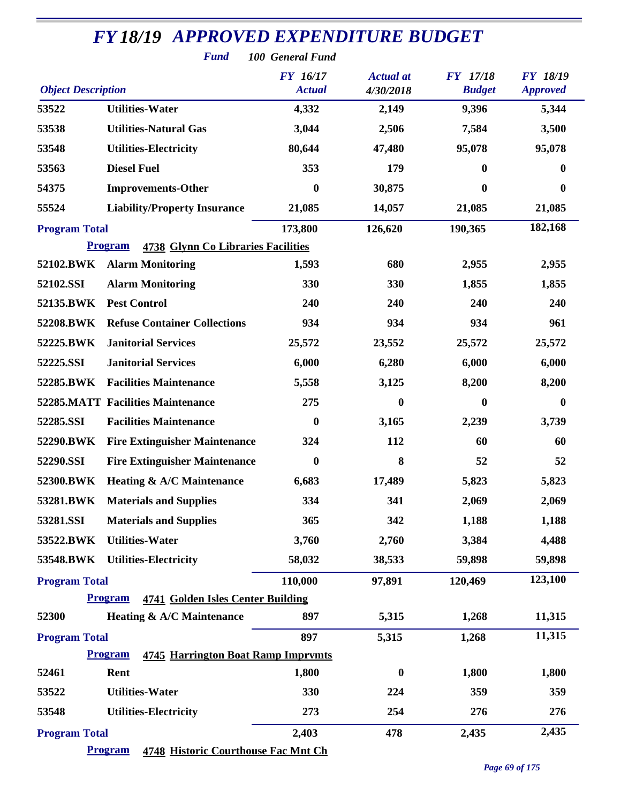|                           | <b>FY18/19 APPROVED EXPENDITURE BUDGET</b>                  |                                     |                  |                  |                 |
|---------------------------|-------------------------------------------------------------|-------------------------------------|------------------|------------------|-----------------|
|                           | <b>Fund</b>                                                 | 100 General Fund<br><b>FY</b> 16/17 | <b>Actual</b> at | <b>FY</b> 17/18  | <b>FY 18/19</b> |
| <b>Object Description</b> |                                                             | <b>Actual</b>                       | 4/30/2018        | <b>Budget</b>    | <b>Approved</b> |
| 53522                     | <b>Utilities-Water</b>                                      | 4,332                               | 2,149            | 9,396            | 5,344           |
| 53538                     | <b>Utilities-Natural Gas</b>                                | 3,044                               | 2,506            | 7,584            | 3,500           |
| 53548                     | <b>Utilities-Electricity</b>                                | 80,644                              | 47,480           | 95,078           | 95,078          |
| 53563                     | <b>Diesel Fuel</b>                                          | 353                                 | 179              | 0                | 0               |
| 54375                     | <b>Improvements-Other</b>                                   | $\bf{0}$                            | 30,875           | 0                | 0               |
| 55524                     | <b>Liability/Property Insurance</b>                         | 21,085                              | 14,057           | 21,085           | 21,085          |
| <b>Program Total</b>      |                                                             | 173,800                             | 126,620          | 190,365          | 182,168         |
|                           | <b>Program</b><br><b>4738 Glynn Co Libraries Facilities</b> |                                     |                  |                  |                 |
| 52102.BWK                 | <b>Alarm Monitoring</b>                                     | 1,593                               | 680              | 2,955            | 2,955           |
| 52102.SSI                 | <b>Alarm Monitoring</b>                                     | 330                                 | 330              | 1,855            | 1,855           |
| 52135.BWK                 | <b>Pest Control</b>                                         | 240                                 | 240              | 240              | 240             |
| 52208.BWK                 | <b>Refuse Container Collections</b>                         | 934                                 | 934              | 934              | 961             |
| 52225.BWK                 | <b>Janitorial Services</b>                                  | 25,572                              | 23,552           | 25,572           | 25,572          |
| 52225.SSI                 | <b>Janitorial Services</b>                                  | 6,000                               | 6,280            | 6,000            | 6,000           |
| 52285.BWK                 | <b>Facilities Maintenance</b>                               | 5,558                               | 3,125            | 8,200            | 8,200           |
|                           | <b>52285.MATT Facilities Maintenance</b>                    | 275                                 | $\bf{0}$         | $\boldsymbol{0}$ | $\bf{0}$        |
| 52285.SSI                 | <b>Facilities Maintenance</b>                               | $\boldsymbol{0}$                    | 3,165            | 2,239            | 3,739           |
| 52290.BWK                 | <b>Fire Extinguisher Maintenance</b>                        | 324                                 | 112              | 60               | 60              |
| 52290.SSI                 | <b>Fire Extinguisher Maintenance</b>                        | $\bf{0}$                            | 8                | 52               | 52              |
| 52300.BWK                 | <b>Heating &amp; A/C Maintenance</b>                        | 6,683                               | 17,489           | 5,823            | 5,823           |
| 53281.BWK                 | <b>Materials and Supplies</b>                               | 334                                 | 341              | 2,069            | 2,069           |
| 53281.SSI                 | <b>Materials and Supplies</b>                               | 365                                 | 342              | 1,188            | 1,188           |
| 53522.BWK                 | <b>Utilities-Water</b>                                      | 3,760                               | 2,760            | 3,384            | 4,488           |
| 53548.BWK                 | <b>Utilities-Electricity</b>                                | 58,032                              | 38,533           | 59,898           | 59,898          |
| <b>Program Total</b>      |                                                             | 110,000                             | 97,891           | 120,469          | 123,100         |
|                           | 4741 Golden Isles Center Building<br><b>Program</b>         |                                     |                  |                  |                 |
| 52300                     | Heating & A/C Maintenance                                   | 897                                 | 5,315            | 1,268            | 11,315          |
| <b>Program Total</b>      |                                                             | 897                                 | 5,315            | 1,268            | 11,315          |
|                           | <b>Program</b><br><b>4745 Harrington Boat Ramp Imprymts</b> |                                     |                  |                  |                 |
| 52461                     | Rent                                                        | 1,800                               | $\bf{0}$         | 1,800            | 1,800           |
| 53522                     | <b>Utilities-Water</b>                                      | 330                                 | 224              | 359              | 359             |
| 53548                     | <b>Utilities-Electricity</b>                                | 273                                 | 254              | 276              | 276             |
| <b>Program Total</b>      |                                                             | 2,403                               | 478              | 2,435            | 2,435           |
|                           | <b>Program</b><br>4748 Historic Courthouse Fac Mnt Ch       |                                     |                  |                  |                 |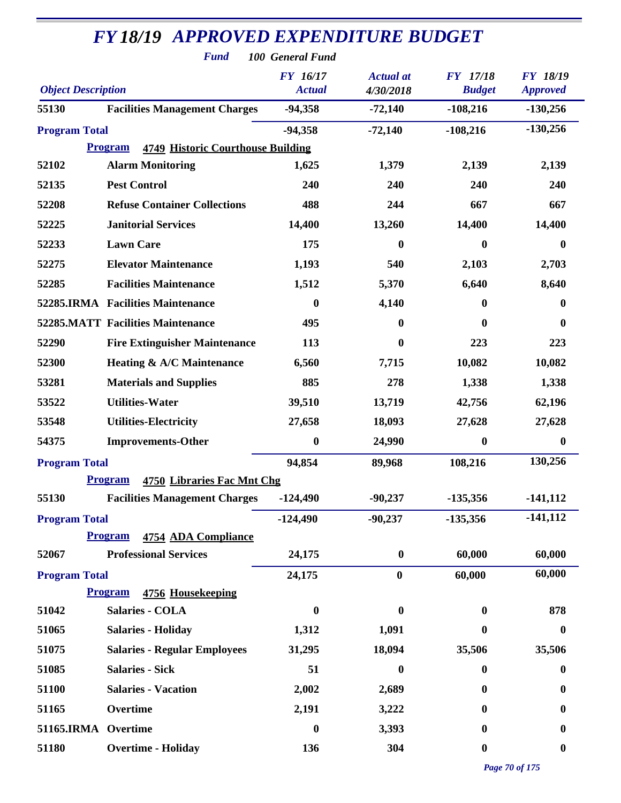|                           | <b>FY18/19 APPROVED EXPENDITURE BUDGET</b><br><b>Fund</b>  | 100 General Fund                 |                               |                                  |                                    |
|---------------------------|------------------------------------------------------------|----------------------------------|-------------------------------|----------------------------------|------------------------------------|
| <b>Object Description</b> |                                                            | <b>FY</b> 16/17<br><b>Actual</b> | <b>Actual</b> at<br>4/30/2018 | <b>FY</b> 17/18<br><b>Budget</b> | <b>FY 18/19</b><br><b>Approved</b> |
| 55130                     | <b>Facilities Management Charges</b>                       | $-94,358$                        | $-72,140$                     | $-108,216$                       | $-130,256$                         |
| <b>Program Total</b>      |                                                            | $-94,358$                        | $-72,140$                     | $-108,216$                       | $-130,256$                         |
|                           | <b>4749 Historic Courthouse Building</b><br><b>Program</b> |                                  |                               |                                  |                                    |
| 52102                     | <b>Alarm Monitoring</b>                                    | 1,625                            | 1,379                         | 2,139                            | 2,139                              |
| 52135                     | <b>Pest Control</b>                                        | 240                              | 240                           | 240                              | 240                                |
| 52208                     | <b>Refuse Container Collections</b>                        | 488                              | 244                           | 667                              | 667                                |
| 52225                     | <b>Janitorial Services</b>                                 | 14,400                           | 13,260                        | 14,400                           | 14,400                             |
| 52233                     | <b>Lawn Care</b>                                           | 175                              | 0                             | $\bf{0}$                         | 0                                  |
| 52275                     | <b>Elevator Maintenance</b>                                | 1,193                            | 540                           | 2,103                            | 2,703                              |
| 52285                     | <b>Facilities Maintenance</b>                              | 1,512                            | 5,370                         | 6,640                            | 8,640                              |
|                           | 52285.IRMA Facilities Maintenance                          | $\boldsymbol{0}$                 | 4,140                         | 0                                | 0                                  |
|                           | <b>52285.MATT Facilities Maintenance</b>                   | 495                              | $\bf{0}$                      | $\bf{0}$                         | 0                                  |
| 52290                     | <b>Fire Extinguisher Maintenance</b>                       | 113                              | $\boldsymbol{0}$              | 223                              | 223                                |
| 52300                     | Heating & A/C Maintenance                                  | 6,560                            | 7,715                         | 10,082                           | 10,082                             |
| 53281                     | <b>Materials and Supplies</b>                              | 885                              | 278                           | 1,338                            | 1,338                              |
| 53522                     | <b>Utilities-Water</b>                                     | 39,510                           | 13,719                        | 42,756                           | 62,196                             |
| 53548                     | <b>Utilities-Electricity</b>                               | 27,658                           | 18,093                        | 27,628                           | 27,628                             |
| 54375                     | <b>Improvements-Other</b>                                  | $\boldsymbol{0}$                 | 24,990                        | $\boldsymbol{0}$                 | $\boldsymbol{0}$                   |
| <b>Program Total</b>      |                                                            | 94,854                           | 89,968                        | 108,216                          | 130,256                            |
|                           | <b>Program</b><br>4750 Libraries Fac Mnt Chg               |                                  |                               |                                  |                                    |
| 55130                     | <b>Facilities Management Charges</b>                       | $-124,490$                       | $-90,237$                     | $-135,356$                       | $-141, 112$                        |
| <b>Program Total</b>      |                                                            | $-124,490$                       | $-90,237$                     | $-135,356$                       | $-141, 112$                        |
|                           | <b>Program</b><br>4754 ADA Compliance                      |                                  |                               |                                  |                                    |
| 52067                     | <b>Professional Services</b>                               | 24,175                           | $\boldsymbol{0}$              | 60,000                           | 60,000                             |
| <b>Program Total</b>      |                                                            | 24,175                           | $\bf{0}$                      | 60,000                           | 60,000                             |
|                           | <b>Program</b><br>4756 Housekeeping                        |                                  |                               |                                  |                                    |
| 51042                     | <b>Salaries - COLA</b>                                     | 0                                | $\bf{0}$                      | $\bf{0}$                         | 878                                |
| 51065                     | <b>Salaries - Holiday</b>                                  | 1,312                            | 1,091                         | 0                                | $\boldsymbol{0}$                   |
| 51075                     | <b>Salaries - Regular Employees</b>                        | 31,295                           | 18,094                        | 35,506                           | 35,506                             |
| 51085                     | <b>Salaries - Sick</b>                                     | 51                               | $\bf{0}$                      | $\bf{0}$                         | 0                                  |
| 51100                     | <b>Salaries - Vacation</b>                                 | 2,002                            | 2,689                         | 0                                | $\boldsymbol{0}$                   |
| 51165                     | Overtime                                                   | 2,191                            | 3,222                         | 0                                | 0                                  |
| 51165.IRMA                | Overtime                                                   | $\boldsymbol{0}$                 | 3,393                         | 0                                | 0                                  |
| 51180                     | <b>Overtime - Holiday</b>                                  | 136                              | 304                           | $\boldsymbol{0}$                 | $\boldsymbol{0}$                   |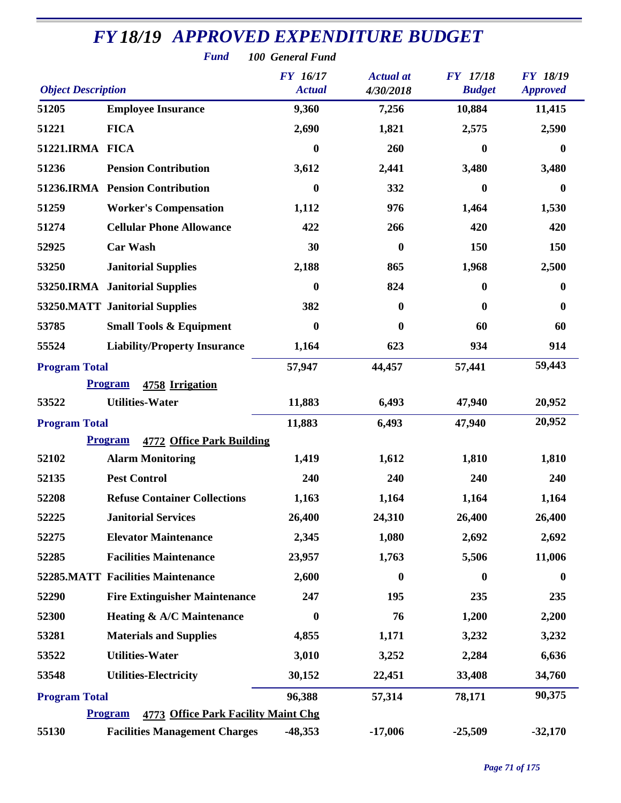|                                                                                                                                                                          | <b>Fund</b>                                           | 100 General Fund |                  |                  |                  |  |  |
|--------------------------------------------------------------------------------------------------------------------------------------------------------------------------|-------------------------------------------------------|------------------|------------------|------------------|------------------|--|--|
| <b>FY</b> 16/17<br><b>FY</b> 17/18<br><b>FY 18/19</b><br><b>Actual</b> at<br><b>Object Description</b><br><b>Actual</b><br><b>Budget</b><br>4/30/2018<br><b>Approved</b> |                                                       |                  |                  |                  |                  |  |  |
| 51205                                                                                                                                                                    | <b>Employee Insurance</b>                             | 9,360            | 7,256            | 10,884           | 11,415           |  |  |
| 51221                                                                                                                                                                    | <b>FICA</b>                                           | 2,690            | 1,821            | 2,575            | 2,590            |  |  |
| 51221.IRMA FICA                                                                                                                                                          |                                                       | $\boldsymbol{0}$ | 260              | $\boldsymbol{0}$ | $\boldsymbol{0}$ |  |  |
| 51236                                                                                                                                                                    | <b>Pension Contribution</b>                           | 3,612            | 2,441            | 3,480            | 3,480            |  |  |
|                                                                                                                                                                          | 51236.IRMA Pension Contribution                       | $\bf{0}$         | 332              | $\bf{0}$         | $\boldsymbol{0}$ |  |  |
| 51259                                                                                                                                                                    | <b>Worker's Compensation</b>                          | 1,112            | 976              | 1,464            | 1,530            |  |  |
| 51274                                                                                                                                                                    | <b>Cellular Phone Allowance</b>                       | 422              | 266              | 420              | 420              |  |  |
| 52925                                                                                                                                                                    | <b>Car Wash</b>                                       | 30               | $\boldsymbol{0}$ | 150              | 150              |  |  |
| 53250                                                                                                                                                                    | <b>Janitorial Supplies</b>                            | 2,188            | 865              | 1,968            | 2,500            |  |  |
|                                                                                                                                                                          | 53250.IRMA Janitorial Supplies                        | 0                | 824              | $\boldsymbol{0}$ | $\bf{0}$         |  |  |
|                                                                                                                                                                          | 53250.MATT Janitorial Supplies                        | 382              | $\bf{0}$         | $\boldsymbol{0}$ | $\boldsymbol{0}$ |  |  |
| 53785                                                                                                                                                                    | <b>Small Tools &amp; Equipment</b>                    | 0                | $\boldsymbol{0}$ | 60               | 60               |  |  |
| 55524                                                                                                                                                                    | <b>Liability/Property Insurance</b>                   | 1,164            | 623              | 934              | 914              |  |  |
| 57,947<br>57,441<br><b>Program Total</b><br>44,457                                                                                                                       |                                                       |                  |                  |                  | 59,443           |  |  |
|                                                                                                                                                                          | 4758 Irrigation<br><b>Program</b>                     |                  |                  |                  |                  |  |  |
| 53522                                                                                                                                                                    | <b>Utilities-Water</b>                                | 11,883           | 6,493            | 47,940           | 20,952           |  |  |
| 11,883<br>47,940<br><b>Program Total</b><br>6,493                                                                                                                        |                                                       |                  |                  |                  | 20,952           |  |  |
|                                                                                                                                                                          | 4772 Office Park Building<br><b>Program</b>           |                  |                  |                  |                  |  |  |
| 52102                                                                                                                                                                    | <b>Alarm Monitoring</b>                               | 1,419            | 1,612            | 1,810            | 1,810            |  |  |
| 52135                                                                                                                                                                    | <b>Pest Control</b>                                   | 240              | 240              | 240              | 240              |  |  |
| 52208                                                                                                                                                                    | <b>Refuse Container Collections</b>                   | 1,163            | 1,164            | 1,164            | 1,164            |  |  |
| 52225                                                                                                                                                                    | <b>Janitorial Services</b>                            | 26,400           | 24,310           | 26,400           | 26,400           |  |  |
| 52275                                                                                                                                                                    | <b>Elevator Maintenance</b>                           | 2,345            | 1,080            | 2,692            | 2,692            |  |  |
| 52285                                                                                                                                                                    | <b>Facilities Maintenance</b>                         | 23,957           | 1,763            | 5,506            | 11,006           |  |  |
|                                                                                                                                                                          | <b>52285.MATT Facilities Maintenance</b>              | 2,600            | $\boldsymbol{0}$ | $\boldsymbol{0}$ | $\boldsymbol{0}$ |  |  |
| 52290                                                                                                                                                                    | <b>Fire Extinguisher Maintenance</b>                  | 247              | 195              | 235              | 235              |  |  |
| 52300                                                                                                                                                                    | <b>Heating &amp; A/C Maintenance</b>                  | $\boldsymbol{0}$ | 76               | 1,200            | 2,200            |  |  |
| 53281                                                                                                                                                                    | <b>Materials and Supplies</b>                         | 4,855            | 1,171            | 3,232            | 3,232            |  |  |
| 53522                                                                                                                                                                    | <b>Utilities-Water</b>                                | 3,010            | 3,252            | 2,284            | 6,636            |  |  |
| 53548                                                                                                                                                                    | <b>Utilities-Electricity</b>                          | 30,152           | 22,451           | 33,408           | 34,760           |  |  |
| <b>Program Total</b>                                                                                                                                                     |                                                       | 96,388           | 57,314           | 78,171           | 90,375           |  |  |
|                                                                                                                                                                          | 4773 Office Park Facility Maint Chg<br><b>Program</b> |                  |                  |                  |                  |  |  |
| 55130                                                                                                                                                                    | <b>Facilities Management Charges</b>                  | $-48,353$        | $-17,006$        | $-25,509$        | $-32,170$        |  |  |

*Page 71 of 175*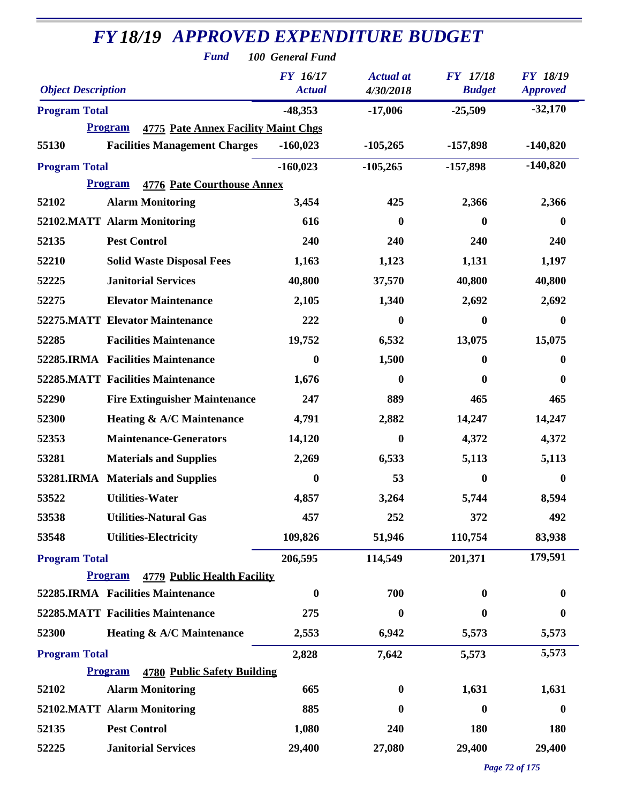| <b>FY18/19 APPROVED EXPENDITURE BUDGET</b> |                                                                                                      |                  |                  |                  |                  |  |  |
|--------------------------------------------|------------------------------------------------------------------------------------------------------|------------------|------------------|------------------|------------------|--|--|
|                                            | <b>Fund</b>                                                                                          | 100 General Fund |                  |                  |                  |  |  |
|                                            |                                                                                                      | FY 16/17         | <b>Actual</b> at | <b>FY</b> 17/18  | <b>FY 18/19</b>  |  |  |
| <b>Object Description</b>                  |                                                                                                      | <b>Actual</b>    | 4/30/2018        | <b>Budget</b>    | <b>Approved</b>  |  |  |
| <b>Program Total</b>                       |                                                                                                      | $-48,353$        | $-17,006$        | $-25,509$        | $-32,170$        |  |  |
| 55130                                      | <b>4775 Pate Annex Facility Maint Chgs</b><br><b>Program</b><br><b>Facilities Management Charges</b> | $-160,023$       | $-105,265$       | $-157,898$       | $-140,820$       |  |  |
| <b>Program Total</b>                       |                                                                                                      | $-160,023$       | $-105,265$       | $-157,898$       | $-140,820$       |  |  |
|                                            | <b>Program</b><br><b>4776 Pate Courthouse Annex</b>                                                  |                  |                  |                  |                  |  |  |
| 52102                                      | <b>Alarm Monitoring</b>                                                                              | 3,454            | 425              | 2,366            | 2,366            |  |  |
|                                            | 52102.MATT Alarm Monitoring                                                                          | 616              | $\boldsymbol{0}$ | $\bf{0}$         | $\boldsymbol{0}$ |  |  |
| 52135                                      | <b>Pest Control</b>                                                                                  | 240              | 240              | 240              | 240              |  |  |
| 52210                                      | <b>Solid Waste Disposal Fees</b>                                                                     | 1,163            | 1,123            | 1,131            | 1,197            |  |  |
| 52225                                      | <b>Janitorial Services</b>                                                                           | 40,800           | 37,570           | 40,800           | 40,800           |  |  |
| 52275                                      | <b>Elevator Maintenance</b>                                                                          | 2,105            | 1,340            | 2,692            | 2,692            |  |  |
|                                            | <b>52275.MATT Elevator Maintenance</b>                                                               | 222              | 0                | 0                | $\bf{0}$         |  |  |
| 52285                                      | <b>Facilities Maintenance</b>                                                                        | 19,752           | 6,532            | 13,075           | 15,075           |  |  |
|                                            | 52285.IRMA Facilities Maintenance                                                                    | $\boldsymbol{0}$ | 1,500            | 0                | $\bf{0}$         |  |  |
|                                            | <b>52285.MATT Facilities Maintenance</b>                                                             | 1,676            | $\bf{0}$         | $\bf{0}$         | $\boldsymbol{0}$ |  |  |
| 52290                                      | <b>Fire Extinguisher Maintenance</b>                                                                 | 247              | 889              | 465              | 465              |  |  |
| 52300                                      | <b>Heating &amp; A/C Maintenance</b>                                                                 | 4,791            | 2,882            | 14,247           | 14,247           |  |  |
| 52353                                      | <b>Maintenance-Generators</b>                                                                        | 14,120           | $\boldsymbol{0}$ | 4,372            | 4,372            |  |  |
| 53281                                      | <b>Materials and Supplies</b>                                                                        | 2,269            | 6,533            | 5,113            | 5,113            |  |  |
|                                            | 53281.IRMA Materials and Supplies                                                                    | $\boldsymbol{0}$ | 53               | $\boldsymbol{0}$ | $\boldsymbol{0}$ |  |  |
| 53522                                      | <b>Utilities-Water</b>                                                                               | 4,857            | 3,264            | 5,744            | 8,594            |  |  |
| 53538                                      | <b>Utilities-Natural Gas</b>                                                                         | 457              | 252              | 372              | 492              |  |  |
| 53548                                      | <b>Utilities-Electricity</b>                                                                         | 109,826          | 51,946           | 110,754          | 83,938           |  |  |
| <b>Program Total</b>                       |                                                                                                      | 206,595          | 114,549          | 201,371          | 179,591          |  |  |
|                                            | <b>Program</b><br><b>4779 Public Health Facility</b>                                                 |                  |                  |                  |                  |  |  |
|                                            | 52285.IRMA Facilities Maintenance                                                                    | $\bf{0}$         | 700              | 0                | $\boldsymbol{0}$ |  |  |
|                                            | <b>52285.MATT Facilities Maintenance</b>                                                             | 275              | $\boldsymbol{0}$ | $\bf{0}$         | $\bf{0}$         |  |  |
| 52300                                      | <b>Heating &amp; A/C Maintenance</b>                                                                 | 2,553            | 6,942            | 5,573            | 5,573            |  |  |
| <b>Program Total</b>                       |                                                                                                      | 2,828            | 7,642            | 5,573            | 5,573            |  |  |
|                                            | <b>Program</b><br>4780 Public Safety Building                                                        |                  |                  |                  |                  |  |  |
| 52102                                      | <b>Alarm Monitoring</b>                                                                              | 665              | $\boldsymbol{0}$ | 1,631            | 1,631            |  |  |
|                                            | 52102.MATT Alarm Monitoring                                                                          | 885              | $\bf{0}$         | 0                | $\boldsymbol{0}$ |  |  |
| 52135                                      | <b>Pest Control</b>                                                                                  | 1,080            | 240              | 180              | 180              |  |  |
| 52225                                      | <b>Janitorial Services</b>                                                                           | 29,400           | 27,080           | 29,400           | 29,400           |  |  |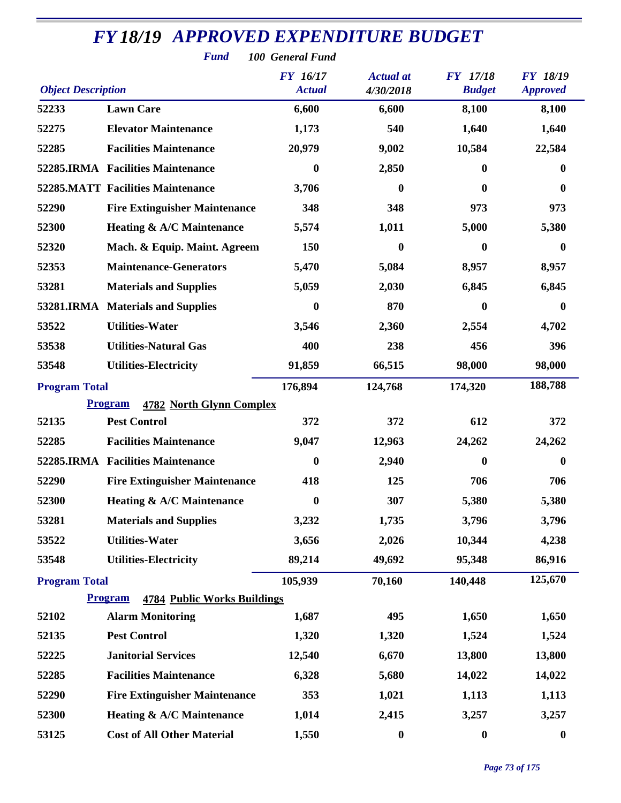| <b>Fund</b><br>100 General Fund |                                                      |                  |                  |                  |                  |  |  |  |
|---------------------------------|------------------------------------------------------|------------------|------------------|------------------|------------------|--|--|--|
|                                 |                                                      | <b>FY</b> 16/17  | <b>Actual</b> at | <b>FY</b> 17/18  | <b>FY 18/19</b>  |  |  |  |
| <b>Object Description</b>       |                                                      | <b>Actual</b>    | 4/30/2018        | <b>Budget</b>    | <b>Approved</b>  |  |  |  |
| 52233                           | <b>Lawn Care</b>                                     | 6,600            | 6,600            | 8,100            | 8,100            |  |  |  |
| 52275                           | <b>Elevator Maintenance</b>                          | 1,173            | 540              | 1,640            | 1,640            |  |  |  |
| 52285                           | <b>Facilities Maintenance</b>                        | 20,979           | 9,002            | 10,584           | 22,584           |  |  |  |
|                                 | 52285.IRMA Facilities Maintenance                    | $\boldsymbol{0}$ | 2,850            | $\boldsymbol{0}$ | 0                |  |  |  |
|                                 | <b>52285.MATT Facilities Maintenance</b>             | 3,706            | $\bf{0}$         | 0                | $\bf{0}$         |  |  |  |
| 52290                           | <b>Fire Extinguisher Maintenance</b>                 | 348              | 348              | 973              | 973              |  |  |  |
| 52300                           | <b>Heating &amp; A/C Maintenance</b>                 | 5,574            | 1,011            | 5,000            | 5,380            |  |  |  |
| 52320                           | Mach. & Equip. Maint. Agreem                         | 150              | 0                | 0                | $\bf{0}$         |  |  |  |
| 52353                           | <b>Maintenance-Generators</b>                        | 5,470            | 5,084            | 8,957            | 8,957            |  |  |  |
| 53281                           | <b>Materials and Supplies</b>                        | 5,059            | 2,030            | 6,845            | 6,845            |  |  |  |
|                                 | 53281.IRMA Materials and Supplies                    | $\bf{0}$         | 870              | $\bf{0}$         | 0                |  |  |  |
| 53522                           | <b>Utilities-Water</b>                               | 3,546            | 2,360            | 2,554            | 4,702            |  |  |  |
| 53538                           | <b>Utilities-Natural Gas</b>                         | 400              | 238              | 456              | 396              |  |  |  |
| 53548                           | <b>Utilities-Electricity</b>                         | 91,859           | 66,515           | 98,000           | 98,000           |  |  |  |
| <b>Program Total</b>            |                                                      | 176,894          | 124,768          | 174,320          | 188,788          |  |  |  |
|                                 | <b>Program</b><br><b>4782 North Glynn Complex</b>    |                  |                  |                  |                  |  |  |  |
| 52135                           | <b>Pest Control</b>                                  | 372              | 372              | 612              | 372              |  |  |  |
| 52285                           | <b>Facilities Maintenance</b>                        | 9,047            | 12,963           | 24,262           | 24,262           |  |  |  |
|                                 | 52285.IRMA Facilities Maintenance                    | $\boldsymbol{0}$ | 2,940            | $\boldsymbol{0}$ | 0                |  |  |  |
| 52290                           | <b>Fire Extinguisher Maintenance</b>                 | 418              | 125              | 706              | 706              |  |  |  |
| 52300                           | Heating & A/C Maintenance                            | $\bf{0}$         | 307              | 5,380            | 5,380            |  |  |  |
| 53281                           | <b>Materials and Supplies</b>                        | 3,232            | 1,735            | 3,796            | 3,796            |  |  |  |
| 53522                           | <b>Utilities-Water</b>                               | 3,656            | 2,026            | 10,344           | 4,238            |  |  |  |
| 53548                           | <b>Utilities-Electricity</b>                         | 89,214           | 49,692           | 95,348           | 86,916           |  |  |  |
| <b>Program Total</b>            |                                                      | 105,939          | 70,160           | 140,448          | 125,670          |  |  |  |
|                                 | <b>Program</b><br><b>4784 Public Works Buildings</b> |                  |                  |                  |                  |  |  |  |
| 52102                           | <b>Alarm Monitoring</b>                              | 1,687            | 495              | 1,650            | 1,650            |  |  |  |
| 52135                           | <b>Pest Control</b>                                  | 1,320            | 1,320            | 1,524            | 1,524            |  |  |  |
| 52225                           | <b>Janitorial Services</b>                           | 12,540           | 6,670            | 13,800           | 13,800           |  |  |  |
| 52285                           | <b>Facilities Maintenance</b>                        | 6,328            | 5,680            | 14,022           | 14,022           |  |  |  |
| 52290                           | <b>Fire Extinguisher Maintenance</b>                 | 353              | 1,021            | 1,113            | 1,113            |  |  |  |
| 52300                           | Heating & A/C Maintenance                            | 1,014            | 2,415            | 3,257            | 3,257            |  |  |  |
| 53125                           | <b>Cost of All Other Material</b>                    | 1,550            | $\boldsymbol{0}$ | $\boldsymbol{0}$ | $\boldsymbol{0}$ |  |  |  |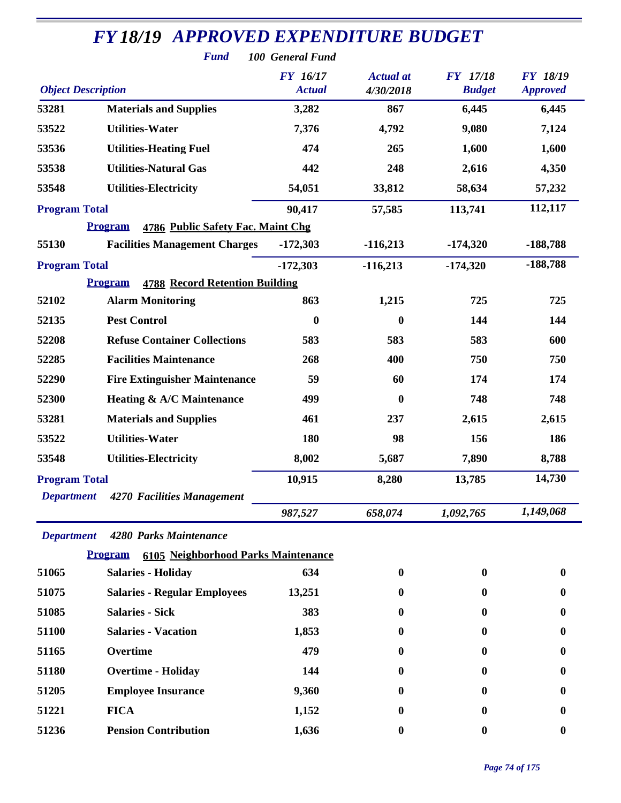| <b>FY18/19 APPROVED EXPENDITURE BUDGET</b> |                                                         |                                                      |                               |                                  |                                    |  |  |
|--------------------------------------------|---------------------------------------------------------|------------------------------------------------------|-------------------------------|----------------------------------|------------------------------------|--|--|
| <b>Object Description</b>                  | <b>Fund</b>                                             | 100 General Fund<br><b>FY</b> 16/17<br><b>Actual</b> | <b>Actual</b> at<br>4/30/2018 | <b>FY</b> 17/18<br><b>Budget</b> | <b>FY 18/19</b><br><b>Approved</b> |  |  |
| 53281                                      | <b>Materials and Supplies</b>                           | 3,282                                                | 867                           | 6,445                            | 6,445                              |  |  |
| 53522                                      | <b>Utilities-Water</b>                                  | 7,376                                                | 4,792                         | 9,080                            | 7,124                              |  |  |
| 53536                                      | <b>Utilities-Heating Fuel</b>                           | 474                                                  | 265                           | 1,600                            | 1,600                              |  |  |
| 53538                                      | <b>Utilities-Natural Gas</b>                            | 442                                                  | 248                           | 2,616                            | 4,350                              |  |  |
| 53548                                      | <b>Utilities-Electricity</b>                            | 54,051                                               | 33,812                        | 58,634                           | 57,232                             |  |  |
| <b>Program Total</b>                       |                                                         | 90,417                                               | 57,585                        | 113,741                          | 112,117                            |  |  |
|                                            | <b>Program</b><br>4786 Public Safety Fac. Maint Chg     |                                                      |                               |                                  |                                    |  |  |
| 55130                                      | <b>Facilities Management Charges</b>                    | $-172,303$                                           | $-116,213$                    | $-174,320$                       | $-188,788$                         |  |  |
| <b>Program Total</b>                       |                                                         | $-172,303$                                           | $-116,213$                    | $-174,320$                       | $-188,788$                         |  |  |
|                                            | <b>Program</b><br><b>4788 Record Retention Building</b> |                                                      |                               |                                  |                                    |  |  |
| 52102                                      | <b>Alarm Monitoring</b>                                 | 863                                                  | 1,215                         | 725                              | 725                                |  |  |
| 52135                                      | <b>Pest Control</b>                                     | $\boldsymbol{0}$                                     | $\boldsymbol{0}$              | 144                              | 144                                |  |  |
| 52208                                      | <b>Refuse Container Collections</b>                     | 583                                                  | 583                           | 583                              | 600                                |  |  |
| 52285                                      | <b>Facilities Maintenance</b>                           | 268                                                  | 400                           | 750                              | 750                                |  |  |
| 52290                                      | <b>Fire Extinguisher Maintenance</b>                    | 59                                                   | 60                            | 174                              | 174                                |  |  |
| 52300                                      | Heating & A/C Maintenance                               | 499                                                  | $\bf{0}$                      | 748                              | 748                                |  |  |
| 53281                                      | <b>Materials and Supplies</b>                           | 461                                                  | 237                           | 2,615                            | 2,615                              |  |  |
| 53522                                      | <b>Utilities-Water</b>                                  | 180                                                  | 98                            | 156                              | 186                                |  |  |
| 53548                                      | <b>Utilities-Electricity</b>                            | 8,002                                                | 5,687                         | 7,890                            | 8,788                              |  |  |
| <b>Program Total</b>                       |                                                         | 10,915                                               | 8,280                         | 13,785                           | 14,730                             |  |  |
| <b>Department</b>                          | 4270 Facilities Management                              | 987,527                                              | 658,074                       | 1,092,765                        | 1,149,068                          |  |  |
| <b>Department</b>                          | 4280 Parks Maintenance                                  |                                                      |                               |                                  |                                    |  |  |
|                                            | 6105 Neighborhood Parks Maintenance<br><b>Program</b>   |                                                      |                               |                                  |                                    |  |  |
| 51065                                      | <b>Salaries - Holiday</b>                               | 634                                                  | 0                             | $\mathbf{0}$                     | $\bf{0}$                           |  |  |
| 51075                                      | <b>Salaries - Regular Employees</b>                     | 13,251                                               |                               | 0                                | 0                                  |  |  |
| 51085                                      | <b>Salaries - Sick</b>                                  | 383                                                  |                               | 0                                | 0                                  |  |  |
| 51100                                      | <b>Salaries - Vacation</b>                              | 1,853                                                |                               | 0                                | 0                                  |  |  |
| 51165                                      | Overtime                                                | 479                                                  | O                             | $\mathbf{0}$                     | 0                                  |  |  |
| 51180                                      | <b>Overtime - Holiday</b>                               | 144                                                  |                               | 0                                | 0                                  |  |  |
| 51205                                      | <b>Employee Insurance</b>                               | 9,360                                                |                               | 0                                | 0                                  |  |  |
| 51221                                      | <b>FICA</b>                                             | 1,152                                                |                               | 0                                | o                                  |  |  |
| 51236                                      | <b>Pension Contribution</b>                             | 1,636                                                | 0                             | $\bf{0}$                         | $\bf{0}$                           |  |  |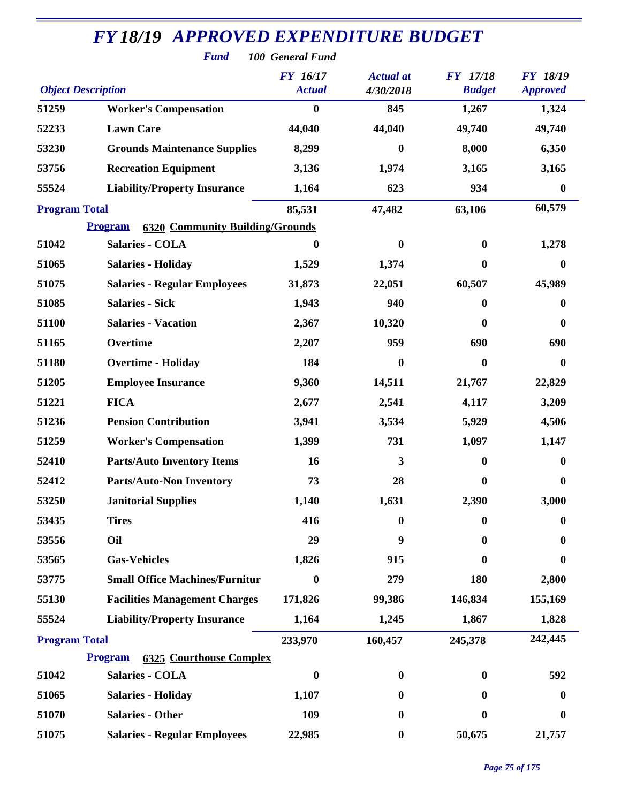| <b>FY18/19 APPROVED EXPENDITURE BUDGET</b><br><b>Fund</b><br>100 General Fund |                                                          |                                  |                               |                                  |                                    |  |  |  |
|-------------------------------------------------------------------------------|----------------------------------------------------------|----------------------------------|-------------------------------|----------------------------------|------------------------------------|--|--|--|
| <b>Object Description</b>                                                     |                                                          | <b>FY</b> 16/17<br><b>Actual</b> | <b>Actual</b> at<br>4/30/2018 | <b>FY</b> 17/18<br><b>Budget</b> | <b>FY 18/19</b><br><b>Approved</b> |  |  |  |
| 51259                                                                         | <b>Worker's Compensation</b>                             | $\bf{0}$                         | 845                           | 1,267                            | 1,324                              |  |  |  |
| 52233                                                                         | <b>Lawn Care</b>                                         | 44,040                           | 44,040                        | 49,740                           | 49,740                             |  |  |  |
| 53230                                                                         | <b>Grounds Maintenance Supplies</b>                      | 8,299                            | $\boldsymbol{0}$              | 8,000                            | 6,350                              |  |  |  |
| 53756                                                                         | <b>Recreation Equipment</b>                              | 3,136                            | 1,974                         | 3,165                            | 3,165                              |  |  |  |
| 55524                                                                         | <b>Liability/Property Insurance</b>                      | 1,164                            | 623                           | 934                              | 0                                  |  |  |  |
| <b>Program Total</b>                                                          |                                                          | 85,531                           | 47,482                        | 63,106                           | 60,579                             |  |  |  |
|                                                                               | <b>Program</b><br><b>6320 Community Building/Grounds</b> |                                  |                               |                                  |                                    |  |  |  |
| 51042                                                                         | <b>Salaries - COLA</b>                                   | 0                                | $\boldsymbol{0}$              | $\bf{0}$                         | 1,278                              |  |  |  |
| 51065                                                                         | <b>Salaries - Holiday</b>                                | 1,529                            | 1,374                         | $\boldsymbol{0}$                 | $\bf{0}$                           |  |  |  |
| 51075                                                                         | <b>Salaries - Regular Employees</b>                      | 31,873                           | 22,051                        | 60,507                           | 45,989                             |  |  |  |
| 51085                                                                         | <b>Salaries - Sick</b>                                   | 1,943                            | 940                           | $\bf{0}$                         | $\bf{0}$                           |  |  |  |
| 51100                                                                         | <b>Salaries - Vacation</b>                               | 2,367                            | 10,320                        | $\bf{0}$                         | $\boldsymbol{0}$                   |  |  |  |
| 51165                                                                         | Overtime                                                 | 2,207                            | 959                           | 690                              | 690                                |  |  |  |
| 51180                                                                         | <b>Overtime - Holiday</b>                                | 184                              | $\mathbf{0}$                  | $\boldsymbol{0}$                 | $\bf{0}$                           |  |  |  |
| 51205                                                                         | <b>Employee Insurance</b>                                | 9,360                            | 14,511                        | 21,767                           | 22,829                             |  |  |  |
| 51221                                                                         | <b>FICA</b>                                              | 2,677                            | 2,541                         | 4,117                            | 3,209                              |  |  |  |
| 51236                                                                         | <b>Pension Contribution</b>                              | 3,941                            | 3,534                         | 5,929                            | 4,506                              |  |  |  |
| 51259                                                                         | <b>Worker's Compensation</b>                             | 1,399                            | 731                           | 1,097                            | 1,147                              |  |  |  |
| 52410                                                                         | <b>Parts/Auto Inventory Items</b>                        | 16                               | 3                             | $\boldsymbol{0}$                 | $\bf{0}$                           |  |  |  |
| 52412                                                                         | <b>Parts/Auto-Non Inventory</b>                          | 73                               | 28                            | $\bf{0}$                         | $\bf{0}$                           |  |  |  |
| 53250                                                                         | <b>Janitorial Supplies</b>                               | 1,140                            | 1,631                         | 2,390                            | 3,000                              |  |  |  |
| 53435                                                                         | <b>Tires</b>                                             | 416                              | $\bf{0}$                      | $\bf{0}$                         | 0                                  |  |  |  |
| 53556                                                                         | Oil                                                      | 29                               | 9                             | 0                                | 0                                  |  |  |  |
| 53565                                                                         | <b>Gas-Vehicles</b>                                      | 1,826                            | 915                           | 0                                | 0                                  |  |  |  |
| 53775                                                                         | <b>Small Office Machines/Furnitur</b>                    | 0                                | 279                           | 180                              | 2,800                              |  |  |  |
| 55130                                                                         | <b>Facilities Management Charges</b>                     | 171,826                          | 99,386                        | 146,834                          | 155,169                            |  |  |  |
| 55524                                                                         | <b>Liability/Property Insurance</b>                      | 1,164                            | 1,245                         | 1,867                            | 1,828                              |  |  |  |
| <b>Program Total</b>                                                          |                                                          | 233,970                          | 160,457                       | 245,378                          | 242,445                            |  |  |  |
|                                                                               | <b>6325 Courthouse Complex</b><br><b>Program</b>         |                                  |                               |                                  |                                    |  |  |  |
| 51042                                                                         | <b>Salaries - COLA</b>                                   | $\boldsymbol{0}$                 | $\boldsymbol{0}$              | $\bf{0}$                         | 592                                |  |  |  |
| 51065                                                                         | <b>Salaries - Holiday</b>                                | 1,107                            | $\bf{0}$                      | 0                                | $\bf{0}$                           |  |  |  |
| 51070                                                                         | <b>Salaries - Other</b>                                  | 109                              | $\bf{0}$                      | $\bf{0}$                         | 0                                  |  |  |  |
| 51075                                                                         | <b>Salaries - Regular Employees</b>                      | 22,985                           | $\boldsymbol{0}$              | 50,675                           | 21,757                             |  |  |  |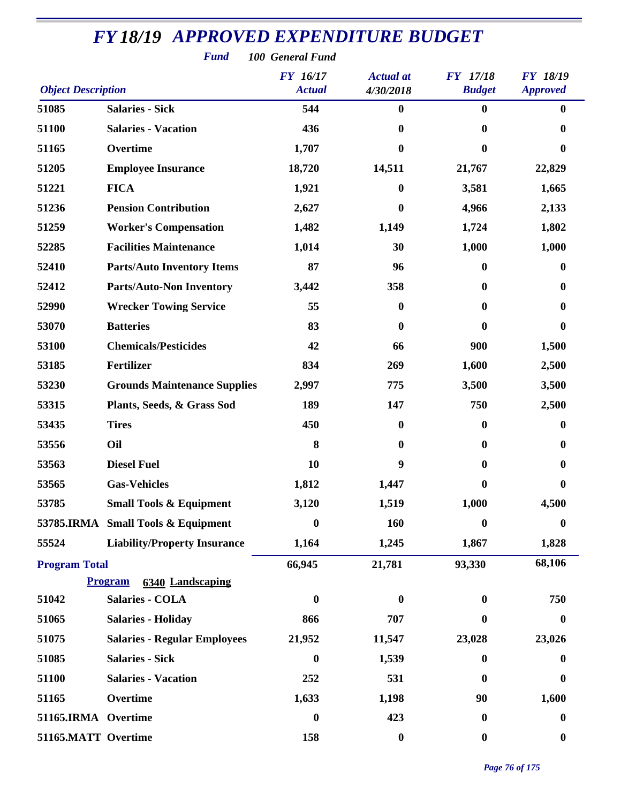|                           | <b>Fund</b>                               | 100 General Fund          |                               |                                  |                             |
|---------------------------|-------------------------------------------|---------------------------|-------------------------------|----------------------------------|-----------------------------|
| <b>Object Description</b> |                                           | FY 16/17<br><b>Actual</b> | <b>Actual</b> at<br>4/30/2018 | <b>FY</b> 17/18<br><b>Budget</b> | FY 18/19<br><b>Approved</b> |
| 51085                     | <b>Salaries - Sick</b>                    | 544                       | $\bf{0}$                      | $\bf{0}$                         | 0                           |
| 51100                     | <b>Salaries - Vacation</b>                | 436                       | 0                             | $\bf{0}$                         | 0                           |
| 51165                     | Overtime                                  | 1,707                     | 0                             | 0                                | 0                           |
| 51205                     | <b>Employee Insurance</b>                 | 18,720                    | 14,511                        | 21,767                           | 22,829                      |
| 51221                     | <b>FICA</b>                               | 1,921                     | $\mathbf{0}$                  | 3,581                            | 1,665                       |
| 51236                     | <b>Pension Contribution</b>               | 2,627                     | 0                             | 4,966                            | 2,133                       |
| 51259                     | <b>Worker's Compensation</b>              | 1,482                     | 1,149                         | 1,724                            | 1,802                       |
| 52285                     | <b>Facilities Maintenance</b>             | 1,014                     | 30                            | 1,000                            | 1,000                       |
| 52410                     | <b>Parts/Auto Inventory Items</b>         | 87                        | 96                            | $\boldsymbol{0}$                 | 0                           |
| 52412                     | <b>Parts/Auto-Non Inventory</b>           | 3,442                     | 358                           | $\mathbf{0}$                     | 0                           |
| 52990                     | <b>Wrecker Towing Service</b>             | 55                        | $\bf{0}$                      | $\bf{0}$                         | 0                           |
| 53070                     | <b>Batteries</b>                          | 83                        | $\bf{0}$                      | $\bf{0}$                         | $\bf{0}$                    |
| 53100                     | <b>Chemicals/Pesticides</b>               | 42                        | 66                            | 900                              | 1,500                       |
| 53185                     | <b>Fertilizer</b>                         | 834                       | 269                           | 1,600                            | 2,500                       |
| 53230                     | <b>Grounds Maintenance Supplies</b>       | 2,997                     | 775                           | 3,500                            | 3,500                       |
| 53315                     | Plants, Seeds, & Grass Sod                | 189                       | 147                           | 750                              | 2,500                       |
| 53435                     | <b>Tires</b>                              | 450                       | $\bf{0}$                      | $\bf{0}$                         | 0                           |
| 53556                     | Oil                                       | 8                         | $\mathbf{0}$                  | $\bf{0}$                         | $\bf{0}$                    |
| 53563                     | <b>Diesel Fuel</b>                        | 10                        | 9                             | $\bf{0}$                         | 0                           |
| 53565                     | <b>Gas-Vehicles</b>                       | 1,812                     | 1,447                         | 0                                | 0                           |
| 53785                     | <b>Small Tools &amp; Equipment</b>        | 3,120                     | 1,519                         | 1,000                            | 4,500                       |
|                           | 53785.IRMA Small Tools & Equipment        | 0                         | 160                           | $\boldsymbol{0}$                 | 0                           |
| 55524                     | <b>Liability/Property Insurance</b>       | 1,164                     | 1,245                         | 1,867                            | 1,828                       |
| <b>Program Total</b>      |                                           | 66,945                    | 21,781                        | 93,330                           | 68,106                      |
|                           | <b>Program</b><br><b>6340 Landscaping</b> |                           |                               |                                  |                             |
| 51042                     | <b>Salaries - COLA</b>                    | $\boldsymbol{0}$          | $\bf{0}$                      | $\boldsymbol{0}$                 | 750                         |
| 51065                     | <b>Salaries - Holiday</b>                 | 866                       | 707                           | $\bf{0}$                         | $\bf{0}$                    |
| 51075                     | <b>Salaries - Regular Employees</b>       | 21,952                    | 11,547                        | 23,028                           | 23,026                      |
| 51085                     | <b>Salaries - Sick</b>                    | $\boldsymbol{0}$          | 1,539                         | $\bf{0}$                         | 0                           |
| 51100                     | <b>Salaries - Vacation</b>                | 252                       | 531                           | $\boldsymbol{0}$                 | $\boldsymbol{0}$            |
| 51165                     | Overtime                                  | 1,633                     | 1,198                         | 90                               | 1,600                       |
| 51165.IRMA Overtime       |                                           | $\boldsymbol{0}$          | 423                           | $\boldsymbol{0}$                 | $\bf{0}$                    |
| 51165.MATT Overtime       |                                           | 158                       | $\boldsymbol{0}$              | $\boldsymbol{0}$                 | $\boldsymbol{0}$            |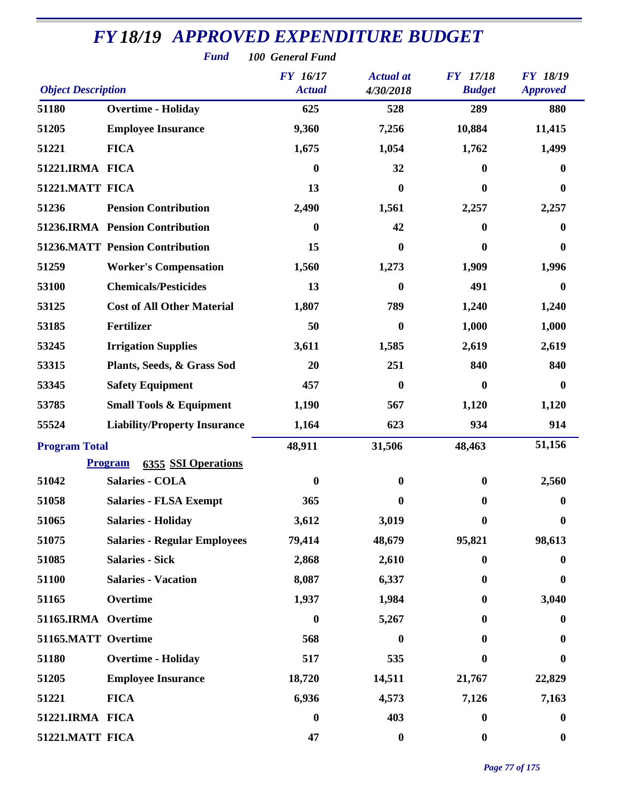| <b>FY18/19 APPROVED EXPENDITURE BUDGET</b><br><b>Fund</b><br>100 General Fund |                                              |                                  |                               |                                  |                                    |  |  |  |
|-------------------------------------------------------------------------------|----------------------------------------------|----------------------------------|-------------------------------|----------------------------------|------------------------------------|--|--|--|
| <b>Object Description</b>                                                     |                                              | <b>FY</b> 16/17<br><b>Actual</b> | <b>Actual</b> at<br>4/30/2018 | <b>FY</b> 17/18<br><b>Budget</b> | <b>FY 18/19</b><br><b>Approved</b> |  |  |  |
| 51180                                                                         | <b>Overtime - Holiday</b>                    | 625                              | 528                           | 289                              | 880                                |  |  |  |
| 51205                                                                         | <b>Employee Insurance</b>                    | 9,360                            | 7,256                         | 10,884                           | 11,415                             |  |  |  |
| 51221                                                                         | <b>FICA</b>                                  | 1,675                            | 1,054                         | 1,762                            | 1,499                              |  |  |  |
| 51221.IRMA FICA                                                               |                                              | $\bf{0}$                         | 32                            | $\bf{0}$                         | $\mathbf{0}$                       |  |  |  |
| 51221.MATT FICA                                                               |                                              | 13                               | $\bf{0}$                      | $\bf{0}$                         | $\boldsymbol{0}$                   |  |  |  |
| 51236                                                                         | <b>Pension Contribution</b>                  | 2,490                            | 1,561                         | 2,257                            | 2,257                              |  |  |  |
|                                                                               | 51236.IRMA Pension Contribution              | $\boldsymbol{0}$                 | 42                            | $\bf{0}$                         | $\mathbf{0}$                       |  |  |  |
|                                                                               | <b>51236.MATT Pension Contribution</b>       | 15                               | $\boldsymbol{0}$              | $\bf{0}$                         | $\boldsymbol{0}$                   |  |  |  |
| 51259                                                                         | <b>Worker's Compensation</b>                 | 1,560                            | 1,273                         | 1,909                            | 1,996                              |  |  |  |
| 53100                                                                         | <b>Chemicals/Pesticides</b>                  | 13                               | $\bf{0}$                      | 491                              | $\bf{0}$                           |  |  |  |
| 53125                                                                         | <b>Cost of All Other Material</b>            | 1,807                            | 789                           | 1,240                            | 1,240                              |  |  |  |
| 53185                                                                         | <b>Fertilizer</b>                            | 50                               | $\bf{0}$                      | 1,000                            | 1,000                              |  |  |  |
| 53245                                                                         | <b>Irrigation Supplies</b>                   | 3,611                            | 1,585                         | 2,619                            | 2,619                              |  |  |  |
| 53315                                                                         | Plants, Seeds, & Grass Sod                   | 20                               | 251                           | 840                              | 840                                |  |  |  |
| 53345                                                                         | <b>Safety Equipment</b>                      | 457                              | $\bf{0}$                      | $\bf{0}$                         | $\mathbf{0}$                       |  |  |  |
| 53785                                                                         | <b>Small Tools &amp; Equipment</b>           | 1,190                            | 567                           | 1,120                            | 1,120                              |  |  |  |
| 55524                                                                         | <b>Liability/Property Insurance</b>          | 1,164                            | 623                           | 934                              | 914                                |  |  |  |
| <b>Program Total</b>                                                          |                                              | 48,911                           | 31,506                        | 48,463                           | 51,156                             |  |  |  |
|                                                                               | <b>Program</b><br><b>6355 SSI Operations</b> |                                  |                               |                                  |                                    |  |  |  |
| 51042                                                                         | <b>Salaries - COLA</b>                       | $\bf{0}$                         | $\bf{0}$                      | $\bf{0}$                         | 2,560                              |  |  |  |
| 51058                                                                         | <b>Salaries - FLSA Exempt</b>                | 365                              | 0                             | $\bf{0}$                         | $\bf{0}$                           |  |  |  |
| 51065                                                                         | <b>Salaries - Holiday</b>                    | 3,612                            | 3,019                         | $\bf{0}$                         | $\bf{0}$                           |  |  |  |
| 51075                                                                         | <b>Salaries - Regular Employees</b>          | 79,414                           | 48,679                        | 95,821                           | 98,613                             |  |  |  |
| 51085                                                                         | <b>Salaries - Sick</b>                       | 2,868                            | 2,610                         | $\bf{0}$                         | $\bf{0}$                           |  |  |  |
| 51100                                                                         | <b>Salaries - Vacation</b>                   | 8,087                            | 6,337                         | 0                                | $\bf{0}$                           |  |  |  |
| 51165                                                                         | Overtime                                     | 1,937                            | 1,984                         | $\mathbf{0}$                     | 3,040                              |  |  |  |
| 51165.IRMA Overtime                                                           |                                              | $\bf{0}$                         | 5,267                         | $\mathbf{0}$                     | $\bf{0}$                           |  |  |  |
| 51165.MATT Overtime                                                           |                                              | 568                              | 0                             | $\mathbf{0}$                     | $\bf{0}$                           |  |  |  |
| 51180                                                                         | <b>Overtime - Holiday</b>                    | 517                              | 535                           | $\bf{0}$                         | $\mathbf{0}$                       |  |  |  |
| 51205                                                                         | <b>Employee Insurance</b>                    | 18,720                           | 14,511                        | 21,767                           | 22,829                             |  |  |  |
| 51221                                                                         | <b>FICA</b>                                  | 6,936                            | 4,573                         | 7,126                            | 7,163                              |  |  |  |
| 51221.IRMA FICA                                                               |                                              | $\boldsymbol{0}$                 | 403                           | $\bf{0}$                         | $\bf{0}$                           |  |  |  |
| 51221.MATT FICA                                                               |                                              | 47                               | $\boldsymbol{0}$              | $\boldsymbol{0}$                 | $\boldsymbol{0}$                   |  |  |  |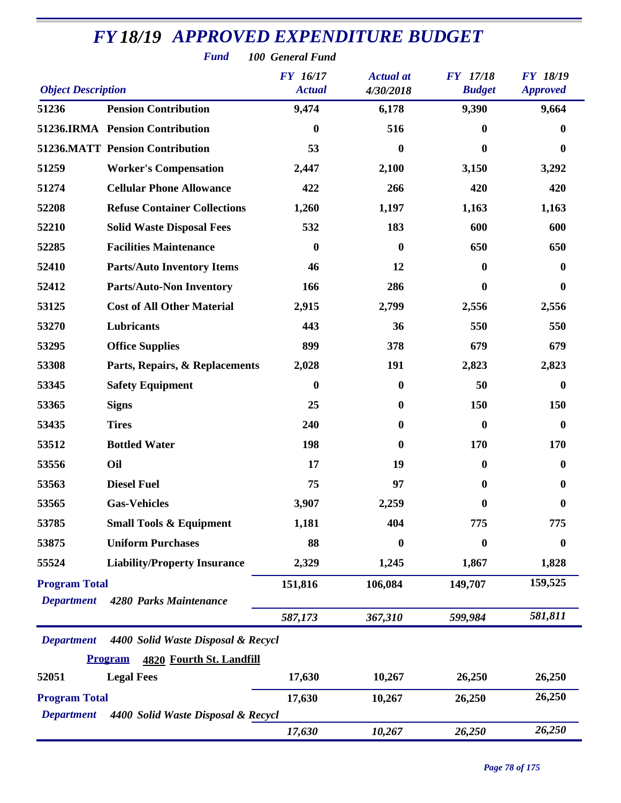| <b>Fund</b><br>100 General Fund           |                                            |                           |                               |                           |                             |  |  |
|-------------------------------------------|--------------------------------------------|---------------------------|-------------------------------|---------------------------|-----------------------------|--|--|
| <b>Object Description</b>                 |                                            | FY 16/17<br><b>Actual</b> | <b>Actual</b> at<br>4/30/2018 | FY 17/18<br><b>Budget</b> | FY 18/19<br><b>Approved</b> |  |  |
| 51236                                     | <b>Pension Contribution</b>                | 9,474                     | 6,178                         | 9,390                     | 9,664                       |  |  |
|                                           | 51236.IRMA Pension Contribution            | $\bf{0}$                  | 516                           | $\bf{0}$                  | 0                           |  |  |
|                                           | <b>51236.MATT Pension Contribution</b>     | 53                        | $\bf{0}$                      | $\boldsymbol{0}$          | $\bf{0}$                    |  |  |
| 51259                                     | <b>Worker's Compensation</b>               | 2,447                     | 2,100                         | 3,150                     | 3,292                       |  |  |
| 51274                                     | <b>Cellular Phone Allowance</b>            | 422                       | 266                           | 420                       | 420                         |  |  |
| 52208                                     | <b>Refuse Container Collections</b>        | 1,260                     | 1,197                         | 1,163                     | 1,163                       |  |  |
| 52210                                     | <b>Solid Waste Disposal Fees</b>           | 532                       | 183                           | 600                       | 600                         |  |  |
| 52285                                     | <b>Facilities Maintenance</b>              | $\boldsymbol{0}$          | $\mathbf{0}$                  | 650                       | 650                         |  |  |
| 52410                                     | <b>Parts/Auto Inventory Items</b>          | 46                        | 12                            | 0                         | $\bf{0}$                    |  |  |
| 52412                                     | <b>Parts/Auto-Non Inventory</b>            | 166                       | 286                           | $\bf{0}$                  | $\mathbf{0}$                |  |  |
| 53125                                     | <b>Cost of All Other Material</b>          | 2,915                     | 2,799                         | 2,556                     | 2,556                       |  |  |
| 53270                                     | Lubricants                                 | 443                       | 36                            | 550                       | 550                         |  |  |
| 53295                                     | <b>Office Supplies</b>                     | 899                       | 378                           | 679                       | 679                         |  |  |
| 53308                                     | Parts, Repairs, & Replacements             | 2,028                     | 191                           | 2,823                     | 2,823                       |  |  |
| 53345                                     | <b>Safety Equipment</b>                    | $\bf{0}$                  | $\boldsymbol{0}$              | 50                        | $\bf{0}$                    |  |  |
| 53365                                     | <b>Signs</b>                               | 25                        | $\mathbf{0}$                  | 150                       | 150                         |  |  |
| 53435                                     | <b>Tires</b>                               | 240                       | $\bf{0}$                      | $\boldsymbol{0}$          | $\bf{0}$                    |  |  |
| 53512                                     | <b>Bottled Water</b>                       | 198                       | $\mathbf{0}$                  | 170                       | 170                         |  |  |
| 53556                                     | Oil                                        | 17                        | 19                            | $\bf{0}$                  | $\bf{0}$                    |  |  |
| 53563                                     | <b>Diesel Fuel</b>                         | 75                        | 97                            | $\bf{0}$                  | $\boldsymbol{0}$            |  |  |
| 53565                                     | <b>Gas-Vehicles</b>                        | 3,907                     | 2,259                         | 0                         | 0                           |  |  |
| 53785                                     | <b>Small Tools &amp; Equipment</b>         | 1,181                     | 404                           | 775                       | 775                         |  |  |
| 53875                                     | <b>Uniform Purchases</b>                   | 88                        | $\bf{0}$                      | $\boldsymbol{0}$          | $\boldsymbol{0}$            |  |  |
| 55524                                     | <b>Liability/Property Insurance</b>        | 2,329                     | 1,245                         | 1,867                     | 1,828                       |  |  |
| <b>Program Total</b><br><b>Department</b> | 4280 Parks Maintenance                     | 151,816                   | 106,084                       | 149,707                   | 159,525                     |  |  |
|                                           |                                            | 587,173                   | 367,310                       | 599,984                   | 581,811                     |  |  |
| <b>Department</b>                         | 4400 Solid Waste Disposal & Recycl         |                           |                               |                           |                             |  |  |
|                                           | <b>Program</b><br>4820 Fourth St. Landfill |                           |                               |                           |                             |  |  |
| 52051                                     | <b>Legal Fees</b>                          | 17,630                    | 10,267                        | 26,250                    | 26,250                      |  |  |
| <b>Program Total</b>                      |                                            | 17,630                    | 10,267                        | 26,250                    | 26,250                      |  |  |
| <b>Department</b>                         | 4400 Solid Waste Disposal & Recycl         |                           |                               |                           |                             |  |  |
|                                           |                                            | 17,630                    | 10,267                        | 26,250                    | 26,250                      |  |  |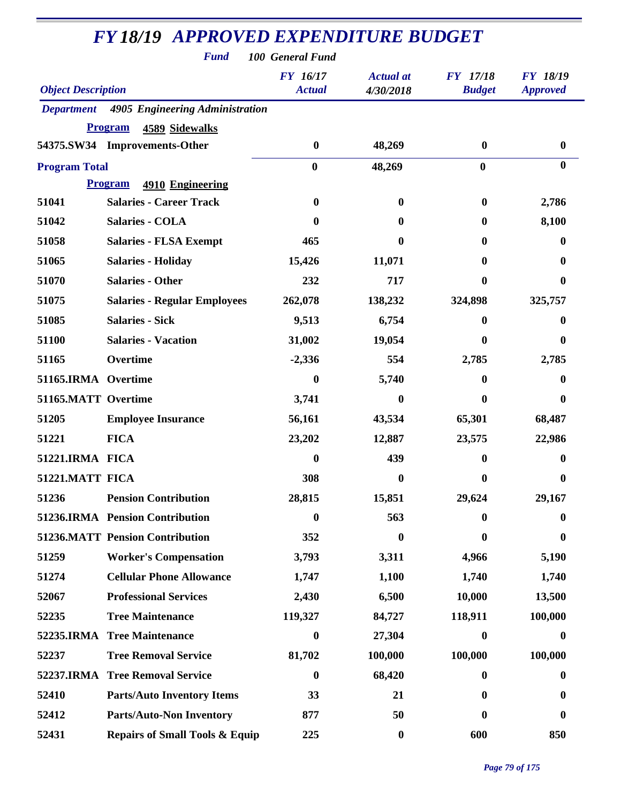| <b>Fund</b><br>100 General Fund |                                           |                                  |                               |                                  |                                    |  |  |
|---------------------------------|-------------------------------------------|----------------------------------|-------------------------------|----------------------------------|------------------------------------|--|--|
| <b>Object Description</b>       |                                           | <b>FY</b> 16/17<br><b>Actual</b> | <b>Actual at</b><br>4/30/2018 | <b>FY</b> 17/18<br><b>Budget</b> | <b>FY 18/19</b><br><b>Approved</b> |  |  |
| <b>Department</b>               | 4905 Engineering Administration           |                                  |                               |                                  |                                    |  |  |
|                                 | <b>Program</b><br><b>4589 Sidewalks</b>   |                                  |                               |                                  |                                    |  |  |
|                                 | 54375.SW34 Improvements-Other             | $\bf{0}$                         | 48,269                        | $\bf{0}$                         | $\boldsymbol{0}$                   |  |  |
| <b>Program Total</b>            |                                           | $\bf{0}$                         | 48,269                        | $\bf{0}$                         | $\bf{0}$                           |  |  |
|                                 | <b>Program</b><br>4910 Engineering        |                                  |                               |                                  |                                    |  |  |
| 51041                           | <b>Salaries - Career Track</b>            | $\bf{0}$                         | $\bf{0}$                      | 0                                | 2,786                              |  |  |
| 51042                           | <b>Salaries - COLA</b>                    | 0                                | 0                             | 0                                | 8,100                              |  |  |
| 51058                           | <b>Salaries - FLSA Exempt</b>             | 465                              | 0                             | $\mathbf{0}$                     | 0                                  |  |  |
| 51065                           | <b>Salaries - Holiday</b>                 | 15,426                           | 11,071                        | 0                                | 0                                  |  |  |
| 51070                           | <b>Salaries - Other</b>                   | 232                              | 717                           | 0                                | $\bf{0}$                           |  |  |
| 51075                           | <b>Salaries - Regular Employees</b>       | 262,078                          | 138,232                       | 324,898                          | 325,757                            |  |  |
| 51085                           | <b>Salaries - Sick</b>                    | 9,513                            | 6,754                         | 0                                | $\bf{0}$                           |  |  |
| 51100                           | <b>Salaries - Vacation</b>                | 31,002                           | 19,054                        | 0                                | 0                                  |  |  |
| 51165                           | Overtime                                  | $-2,336$                         | 554                           | 2,785                            | 2,785                              |  |  |
| 51165.IRMA Overtime             |                                           | $\boldsymbol{0}$                 | 5,740                         | 0                                | $\bf{0}$                           |  |  |
| 51165.MATT Overtime             |                                           | 3,741                            | 0                             | 0                                | $\bf{0}$                           |  |  |
| 51205                           | <b>Employee Insurance</b>                 | 56,161                           | 43,534                        | 65,301                           | 68,487                             |  |  |
| 51221                           | <b>FICA</b>                               | 23,202                           | 12,887                        | 23,575                           | 22,986                             |  |  |
| 51221.IRMA FICA                 |                                           | $\boldsymbol{0}$                 | 439                           | 0                                | 0                                  |  |  |
| 51221.MATT FICA                 |                                           | 308                              | $\bf{0}$                      | $\bf{0}$                         | $\boldsymbol{0}$                   |  |  |
| 51236                           | <b>Pension Contribution</b>               | 28,815                           | 15,851                        | 29,624                           | 29,167                             |  |  |
|                                 | 51236.IRMA Pension Contribution           | $\bf{0}$                         | 563                           | 0                                | 0                                  |  |  |
|                                 | <b>51236.MATT Pension Contribution</b>    | 352                              | 0                             | 0                                | $\bf{0}$                           |  |  |
| 51259                           | <b>Worker's Compensation</b>              | 3,793                            | 3,311                         | 4,966                            | 5,190                              |  |  |
| 51274                           | <b>Cellular Phone Allowance</b>           | 1,747                            | 1,100                         | 1,740                            | 1,740                              |  |  |
| 52067                           | <b>Professional Services</b>              | 2,430                            | 6,500                         | 10,000                           | 13,500                             |  |  |
| 52235                           | <b>Tree Maintenance</b>                   | 119,327                          | 84,727                        | 118,911                          | 100,000                            |  |  |
| 52235.IRMA                      | <b>Tree Maintenance</b>                   | $\boldsymbol{0}$                 | 27,304                        | $\boldsymbol{0}$                 | 0                                  |  |  |
| 52237                           | <b>Tree Removal Service</b>               | 81,702                           | 100,000                       | 100,000                          | 100,000                            |  |  |
|                                 | 52237.IRMA Tree Removal Service           | $\bf{0}$                         | 68,420                        | 0                                | $\bf{0}$                           |  |  |
| 52410                           | <b>Parts/Auto Inventory Items</b>         | 33                               | 21                            | $\mathbf{0}$                     | $\bf{0}$                           |  |  |
| 52412                           | <b>Parts/Auto-Non Inventory</b>           | 877                              | 50                            | $\bf{0}$                         | 0                                  |  |  |
| 52431                           | <b>Repairs of Small Tools &amp; Equip</b> | 225                              | $\boldsymbol{0}$              | 600                              | 850                                |  |  |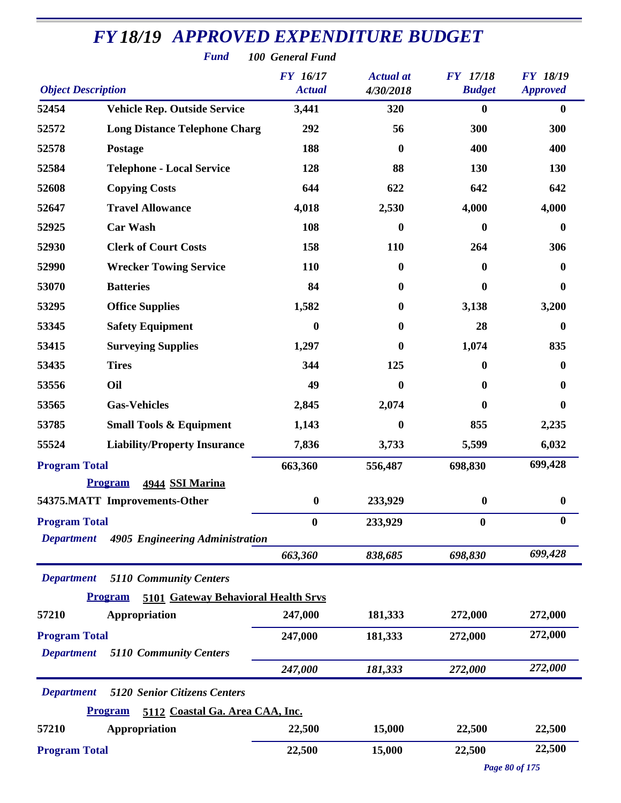|                                           | <b>FY18/19 APPROVED EXPENDITURE BUDGET</b><br><b>Fund</b> | 100 General Fund                 |                               |                                  |                                    |
|-------------------------------------------|-----------------------------------------------------------|----------------------------------|-------------------------------|----------------------------------|------------------------------------|
| <b>Object Description</b>                 |                                                           | <b>FY</b> 16/17<br><b>Actual</b> | <b>Actual</b> at<br>4/30/2018 | <b>FY</b> 17/18<br><b>Budget</b> | <b>FY 18/19</b><br><b>Approved</b> |
| 52454                                     | <b>Vehicle Rep. Outside Service</b>                       | 3,441                            | 320                           | $\bf{0}$                         | $\bf{0}$                           |
| 52572                                     | <b>Long Distance Telephone Charg</b>                      | 292                              | 56                            | 300                              | 300                                |
| 52578                                     | Postage                                                   | 188                              | 0                             | 400                              | 400                                |
| 52584                                     | <b>Telephone - Local Service</b>                          | 128                              | 88                            | 130                              | 130                                |
| 52608                                     | <b>Copying Costs</b>                                      | 644                              | 622                           | 642                              | 642                                |
| 52647                                     | <b>Travel Allowance</b>                                   | 4,018                            | 2,530                         | 4,000                            | 4,000                              |
| 52925                                     | <b>Car Wash</b>                                           | 108                              | $\boldsymbol{0}$              | $\boldsymbol{0}$                 | $\boldsymbol{0}$                   |
| 52930                                     | <b>Clerk of Court Costs</b>                               | 158                              | 110                           | 264                              | 306                                |
| 52990                                     | <b>Wrecker Towing Service</b>                             | 110                              | $\bf{0}$                      | $\bf{0}$                         | $\bf{0}$                           |
| 53070                                     | <b>Batteries</b>                                          | 84                               | $\bf{0}$                      | $\bf{0}$                         | $\bf{0}$                           |
| 53295                                     | <b>Office Supplies</b>                                    | 1,582                            | $\bf{0}$                      | 3,138                            | 3,200                              |
| 53345                                     | <b>Safety Equipment</b>                                   | $\bf{0}$                         | 0                             | 28                               | $\boldsymbol{0}$                   |
| 53415                                     | <b>Surveying Supplies</b>                                 | 1,297                            | $\bf{0}$                      | 1,074                            | 835                                |
| 53435                                     | <b>Tires</b>                                              | 344                              | 125                           | $\mathbf{0}$                     | $\bf{0}$                           |
| 53556                                     | Oil                                                       | 49                               | 0                             | 0                                | $\bf{0}$                           |
| 53565                                     | <b>Gas-Vehicles</b>                                       | 2,845                            | 2,074                         | $\bf{0}$                         | $\boldsymbol{0}$                   |
| 53785                                     | <b>Small Tools &amp; Equipment</b>                        | 1,143                            | 0                             | 855                              | 2,235                              |
| 55524                                     | <b>Liability/Property Insurance</b>                       | 7,836                            | 3,733                         | 5,599                            | 6,032                              |
| <b>Program Total</b>                      |                                                           | 663,360                          | 556,487                       | 698,830                          | 699,428                            |
|                                           | Program 4944 SSI Marina                                   |                                  |                               |                                  |                                    |
|                                           | 54375.MATT Improvements-Other                             | $\boldsymbol{0}$                 | 233,929                       | $\bf{0}$                         | $\boldsymbol{0}$                   |
| <b>Program Total</b>                      |                                                           | $\boldsymbol{0}$                 | 233,929                       | $\boldsymbol{0}$                 | $\boldsymbol{0}$                   |
| <b>Department</b>                         | 4905 Engineering Administration                           | 663,360                          | 838,685                       | 698,830                          | 699,428                            |
| <b>Department</b>                         | <b>5110 Community Centers</b>                             |                                  |                               |                                  |                                    |
|                                           | 5101 Gateway Behavioral Health Srvs<br><b>Program</b>     |                                  |                               |                                  |                                    |
| 57210                                     | Appropriation                                             | 247,000                          | 181,333                       | 272,000                          | 272,000                            |
| <b>Program Total</b><br><b>Department</b> | <b>5110 Community Centers</b>                             | 247,000                          | 181,333                       | 272,000                          | 272,000                            |
|                                           |                                                           | 247,000                          | 181,333                       | 272,000                          | 272,000                            |
| <b>Department</b>                         | <b>5120 Senior Citizens Centers</b>                       |                                  |                               |                                  |                                    |
|                                           | 5112 Coastal Ga. Area CAA, Inc.<br><b>Program</b>         |                                  |                               |                                  |                                    |
| 57210                                     | Appropriation                                             | 22,500                           | 15,000                        | 22,500                           | 22,500                             |
| <b>Program Total</b>                      |                                                           | 22,500                           | 15,000                        | 22,500                           | 22,500                             |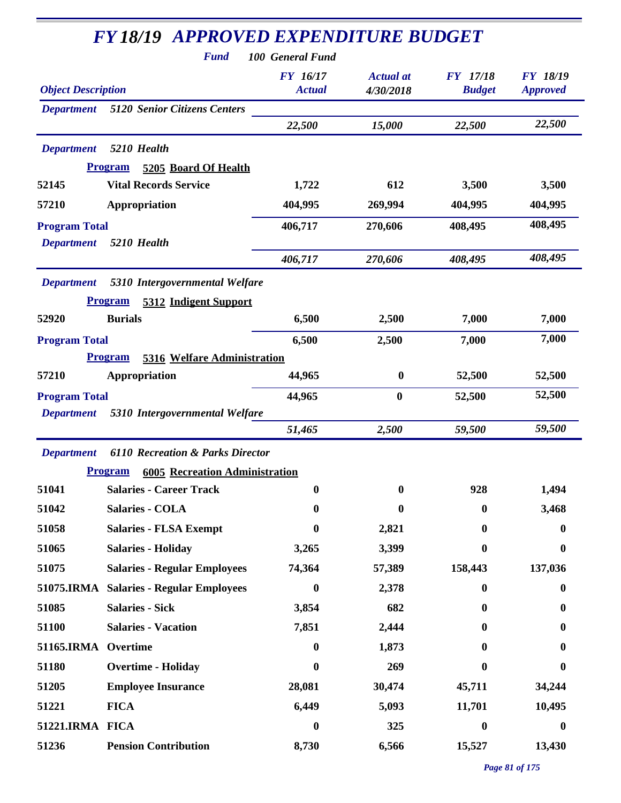| <b>FY 18/19 APPROVED EXPENDITURE BUDGET</b> |                                                                           |                                                      |                               |                                  |                                    |  |
|---------------------------------------------|---------------------------------------------------------------------------|------------------------------------------------------|-------------------------------|----------------------------------|------------------------------------|--|
| <b>Object Description</b>                   | <b>Fund</b>                                                               | 100 General Fund<br><b>FY</b> 16/17<br><b>Actual</b> | <b>Actual</b> at<br>4/30/2018 | <b>FY</b> 17/18<br><b>Budget</b> | <b>FY 18/19</b><br><b>Approved</b> |  |
| <b>Department</b>                           | <b>5120 Senior Citizens Centers</b>                                       | 22,500                                               | 15,000                        | 22,500                           | 22,500                             |  |
| <b>Department</b>                           | 5210 Health                                                               |                                                      |                               |                                  |                                    |  |
|                                             | <b>Program</b><br>5205 Board Of Health                                    |                                                      |                               |                                  |                                    |  |
| 52145                                       | <b>Vital Records Service</b>                                              | 1,722                                                | 612                           | 3,500                            | 3,500                              |  |
| 57210                                       | Appropriation                                                             | 404,995                                              | 269,994                       | 404,995                          | 404,995                            |  |
| <b>Program Total</b><br><b>Department</b>   | 5210 Health                                                               | 406,717                                              | 270,606                       | 408,495                          | 408,495                            |  |
|                                             |                                                                           | 406,717                                              | 270,606                       | 408,495                          | 408,495                            |  |
| <b>Department</b>                           | 5310 Intergovernmental Welfare<br><b>Program</b><br>5312 Indigent Support |                                                      |                               |                                  |                                    |  |
| 52920                                       | <b>Burials</b>                                                            | 6,500                                                | 2,500                         | 7,000                            | 7,000                              |  |
| <b>Program Total</b>                        |                                                                           | 6,500                                                | 2,500                         | 7,000                            | 7,000                              |  |
|                                             | 5316 Welfare Administration<br><b>Program</b>                             |                                                      |                               |                                  |                                    |  |
| 57210                                       | Appropriation                                                             | 44,965                                               | $\bf{0}$                      | 52,500                           | 52,500                             |  |
| <b>Program Total</b>                        |                                                                           | 44,965                                               | $\bf{0}$                      | 52,500                           | 52,500                             |  |
| <b>Department</b>                           | 5310 Intergovernmental Welfare                                            |                                                      |                               |                                  |                                    |  |
|                                             |                                                                           | 51,465                                               | 2,500                         | 59,500                           | 59,500                             |  |
| <b>Department</b>                           | <b>6110 Recreation &amp; Parks Director</b>                               |                                                      |                               |                                  |                                    |  |
|                                             | <b>Program</b><br><b>6005 Recreation Administration</b>                   |                                                      |                               |                                  |                                    |  |
| 51041                                       | <b>Salaries - Career Track</b>                                            | $\boldsymbol{0}$                                     | $\bf{0}$                      | 928                              | 1,494                              |  |
| 51042                                       | <b>Salaries - COLA</b>                                                    | $\boldsymbol{0}$                                     | 0                             | $\bf{0}$                         | 3,468                              |  |
| 51058                                       | <b>Salaries - FLSA Exempt</b>                                             | $\boldsymbol{0}$                                     | 2,821                         | 0                                | $\bf{0}$                           |  |
| 51065                                       | <b>Salaries - Holiday</b>                                                 | 3,265                                                | 3,399                         | $\mathbf{0}$                     | $\boldsymbol{0}$                   |  |
| 51075                                       | <b>Salaries - Regular Employees</b>                                       | 74,364                                               | 57,389                        | 158,443                          | 137,036                            |  |
|                                             | 51075.IRMA Salaries - Regular Employees                                   | $\boldsymbol{0}$                                     | 2,378                         | $\mathbf{0}$                     | $\bf{0}$                           |  |
| 51085                                       | <b>Salaries - Sick</b>                                                    | 3,854                                                | 682                           | $\mathbf{0}$                     | $\bf{0}$                           |  |
| 51100                                       | <b>Salaries - Vacation</b>                                                | 7,851                                                | 2,444                         | $\mathbf{0}$                     | 0                                  |  |
| <b>51165.IRMA</b>                           | Overtime                                                                  | $\bf{0}$                                             | 1,873                         | 0                                | 0                                  |  |
| 51180                                       | <b>Overtime - Holiday</b>                                                 | $\bf{0}$                                             | 269                           | 0                                | $\bf{0}$                           |  |
| 51205                                       | <b>Employee Insurance</b>                                                 | 28,081                                               | 30,474                        | 45,711                           | 34,244                             |  |
| 51221                                       | <b>FICA</b>                                                               | 6,449                                                | 5,093                         | 11,701                           | 10,495                             |  |
| 51221.IRMA FICA                             |                                                                           | $\boldsymbol{0}$                                     | 325                           | $\bf{0}$                         | $\bf{0}$                           |  |
| 51236                                       | <b>Pension Contribution</b>                                               | 8,730                                                | 6,566                         | 15,527                           | 13,430                             |  |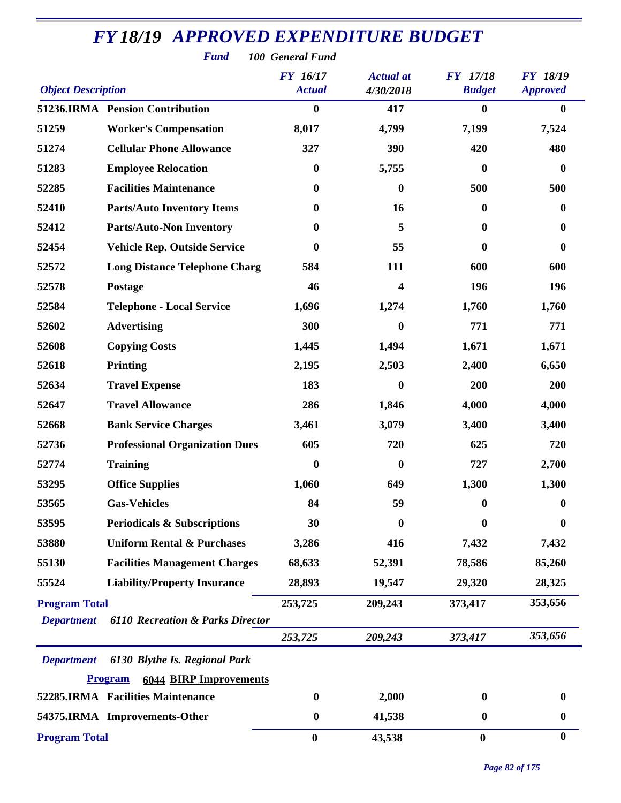| <b>Fund</b><br>100 General Fund           |                                                 |                                  |                               |                                  |                                    |  |  |
|-------------------------------------------|-------------------------------------------------|----------------------------------|-------------------------------|----------------------------------|------------------------------------|--|--|
| <b>Object Description</b>                 |                                                 | <b>FY</b> 16/17<br><b>Actual</b> | <b>Actual</b> at<br>4/30/2018 | <b>FY</b> 17/18<br><b>Budget</b> | <b>FY 18/19</b><br><b>Approved</b> |  |  |
|                                           | 51236.IRMA Pension Contribution                 | $\bf{0}$                         | 417                           | $\boldsymbol{0}$                 | $\bf{0}$                           |  |  |
| 51259                                     | <b>Worker's Compensation</b>                    | 8,017                            | 4,799                         | 7,199                            | 7,524                              |  |  |
| 51274                                     | <b>Cellular Phone Allowance</b>                 | 327                              | 390                           | 420                              | 480                                |  |  |
| 51283                                     | <b>Employee Relocation</b>                      | $\bf{0}$                         | 5,755                         | $\boldsymbol{0}$                 | $\boldsymbol{0}$                   |  |  |
| 52285                                     | <b>Facilities Maintenance</b>                   | $\boldsymbol{0}$                 | $\bf{0}$                      | 500                              | 500                                |  |  |
| 52410                                     | <b>Parts/Auto Inventory Items</b>               | $\bf{0}$                         | 16                            | $\bf{0}$                         | $\bf{0}$                           |  |  |
| 52412                                     | <b>Parts/Auto-Non Inventory</b>                 | $\boldsymbol{0}$                 | 5                             | $\bf{0}$                         | $\bf{0}$                           |  |  |
| 52454                                     | <b>Vehicle Rep. Outside Service</b>             | $\boldsymbol{0}$                 | 55                            | $\bf{0}$                         | $\boldsymbol{0}$                   |  |  |
| 52572                                     | <b>Long Distance Telephone Charg</b>            | 584                              | 111                           | 600                              | 600                                |  |  |
| 52578                                     | Postage                                         | 46                               | 4                             | 196                              | 196                                |  |  |
| 52584                                     | <b>Telephone - Local Service</b>                | 1,696                            | 1,274                         | 1,760                            | 1,760                              |  |  |
| 52602                                     | <b>Advertising</b>                              | 300                              | 0                             | 771                              | 771                                |  |  |
| 52608                                     | <b>Copying Costs</b>                            | 1,445                            | 1,494                         | 1,671                            | 1,671                              |  |  |
| 52618                                     | <b>Printing</b>                                 | 2,195                            | 2,503                         | 2,400                            | 6,650                              |  |  |
| 52634                                     | <b>Travel Expense</b>                           | 183                              | 0                             | 200                              | 200                                |  |  |
| 52647                                     | <b>Travel Allowance</b>                         | 286                              | 1,846                         | 4,000                            | 4,000                              |  |  |
| 52668                                     | <b>Bank Service Charges</b>                     | 3,461                            | 3,079                         | 3,400                            | 3,400                              |  |  |
| 52736                                     | <b>Professional Organization Dues</b>           | 605                              | 720                           | 625                              | 720                                |  |  |
| 52774                                     | <b>Training</b>                                 | $\bf{0}$                         | 0                             | 727                              | 2,700                              |  |  |
| 53295                                     | <b>Office Supplies</b>                          | 1,060                            | 649                           | 1,300                            | 1,300                              |  |  |
| 53565                                     | <b>Gas-Vehicles</b>                             | 84                               | 59                            | $\bf{0}$                         | 0                                  |  |  |
| 53595                                     | <b>Periodicals &amp; Subscriptions</b>          | 30                               | $\bf{0}$                      | $\bf{0}$                         | 0                                  |  |  |
| 53880                                     | <b>Uniform Rental &amp; Purchases</b>           | 3,286                            | 416                           | 7,432                            | 7,432                              |  |  |
| 55130                                     | <b>Facilities Management Charges</b>            | 68,633                           | 52,391                        | 78,586                           | 85,260                             |  |  |
| 55524                                     | <b>Liability/Property Insurance</b>             | 28,893                           | 19,547                        | 29,320                           | 28,325                             |  |  |
| <b>Program Total</b><br><b>Department</b> | <b>6110 Recreation &amp; Parks Director</b>     | 253,725                          | 209,243                       | 373,417                          | 353,656                            |  |  |
|                                           |                                                 | 253,725                          | 209,243                       | 373,417                          | 353,656                            |  |  |
| <b>Department</b>                         | 6130 Blythe Is. Regional Park                   |                                  |                               |                                  |                                    |  |  |
|                                           | <b>Program</b><br><b>6044 BIRP Improvements</b> |                                  |                               |                                  |                                    |  |  |
|                                           | 52285.IRMA Facilities Maintenance               | $\boldsymbol{0}$                 | 2,000                         | $\bf{0}$                         | 0                                  |  |  |
|                                           | 54375.IRMA Improvements-Other                   | $\boldsymbol{0}$                 | 41,538                        | $\boldsymbol{0}$                 | $\boldsymbol{0}$                   |  |  |
| <b>Program Total</b>                      |                                                 | $\bf{0}$                         | 43,538                        | $\boldsymbol{0}$                 | $\bf{0}$                           |  |  |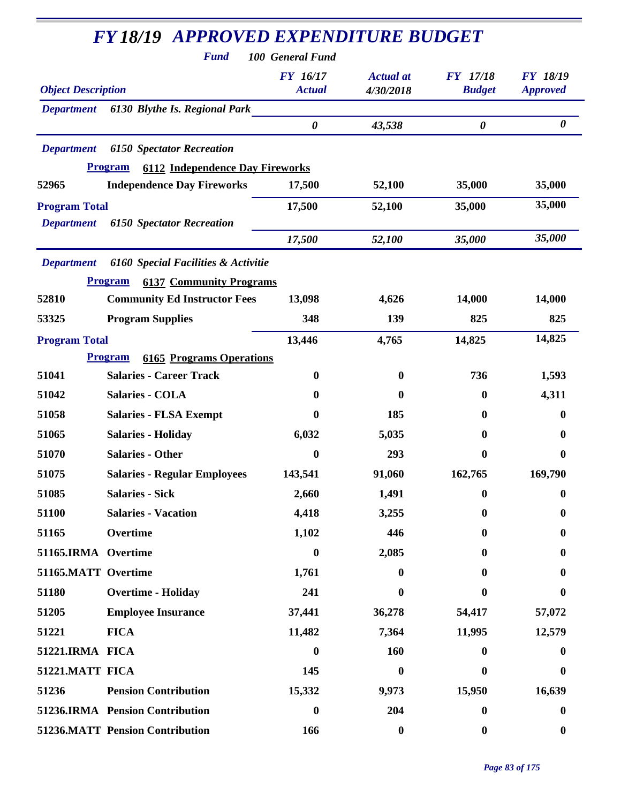| <b>Fund</b>                                              | 100 General Fund                 |                               |                                  |                                    |
|----------------------------------------------------------|----------------------------------|-------------------------------|----------------------------------|------------------------------------|
| <b>Object Description</b>                                | <b>FY</b> 16/17<br><b>Actual</b> | <b>Actual</b> at<br>4/30/2018 | <b>FY</b> 17/18<br><b>Budget</b> | <b>FY 18/19</b><br><b>Approved</b> |
| 6130 Blythe Is. Regional Park<br><b>Department</b>       |                                  |                               |                                  |                                    |
|                                                          | $\pmb{\theta}$                   | 43,538                        | $\pmb{\theta}$                   | $\boldsymbol{\theta}$              |
| <b>Department</b><br><b>6150 Spectator Recreation</b>    |                                  |                               |                                  |                                    |
| <b>Program</b><br><b>6112 Independence Day Fireworks</b> |                                  |                               |                                  |                                    |
| <b>Independence Day Fireworks</b><br>52965               | 17,500                           | 52,100                        | 35,000                           | 35,000                             |
| <b>Program Total</b>                                     | 17,500                           | 52,100                        | 35,000                           | 35,000                             |
| <b>Department</b><br><b>6150 Spectator Recreation</b>    |                                  |                               |                                  |                                    |
|                                                          | 17,500                           | 52,100                        | 35,000                           | 35,000                             |
| 6160 Special Facilities & Activitie<br><b>Department</b> |                                  |                               |                                  |                                    |
| <b>6137 Community Programs</b><br><b>Program</b>         |                                  |                               |                                  |                                    |
| 52810<br><b>Community Ed Instructor Fees</b>             | 13,098                           | 4,626                         | 14,000                           | 14,000                             |
| <b>Program Supplies</b><br>53325                         | 348                              | 139                           | 825                              | 825                                |
| <b>Program Total</b>                                     | 13,446                           | 4,765                         | 14,825                           | 14,825                             |
| <b>Program</b><br><b>6165 Programs Operations</b>        |                                  |                               |                                  |                                    |
| <b>Salaries - Career Track</b><br>51041                  | $\boldsymbol{0}$                 | $\bf{0}$                      | 736                              | 1,593                              |
| 51042<br>Salaries - COLA                                 | $\mathbf{0}$                     | $\bf{0}$                      | $\bf{0}$                         | 4,311                              |
| 51058<br><b>Salaries - FLSA Exempt</b>                   | 0                                | 185                           | $\mathbf{0}$                     | $\bf{0}$                           |
| 51065<br><b>Salaries - Holiday</b>                       | 6,032                            | 5,035                         | 0                                | 0                                  |
| <b>Salaries - Other</b><br>51070                         | $\bf{0}$                         | 293                           | $\boldsymbol{0}$                 | $\boldsymbol{0}$                   |
| 51075<br><b>Salaries - Regular Employees</b>             | 143,541                          | 91,060                        | 162,765                          | 169,790                            |
| 51085<br><b>Salaries - Sick</b>                          | 2,660                            | 1,491                         | $\bf{0}$                         | $\boldsymbol{0}$                   |
| <b>Salaries - Vacation</b><br>51100                      | 4,418                            | 3,255                         | $\bf{0}$                         | 0                                  |
| 51165<br>Overtime                                        | 1,102                            | 446                           | $\bf{0}$                         | 0                                  |
| 51165.IRMA Overtime                                      | $\boldsymbol{0}$                 | 2,085                         | $\bf{0}$                         | 0                                  |
| 51165.MATT Overtime                                      | 1,761                            | $\bf{0}$                      | 0                                | 0                                  |
| 51180<br><b>Overtime - Holiday</b>                       | 241                              | 0                             | 0                                | 0                                  |
| 51205<br><b>Employee Insurance</b>                       | 37,441                           | 36,278                        | 54,417                           | 57,072                             |
| 51221<br><b>FICA</b>                                     | 11,482                           | 7,364                         | 11,995                           | 12,579                             |
| 51221.IRMA FICA                                          | $\boldsymbol{0}$                 | 160                           | $\bf{0}$                         | $\bf{0}$                           |
| 51221.MATT FICA                                          | 145                              | $\bf{0}$                      | 0                                | 0                                  |
| 51236<br><b>Pension Contribution</b>                     | 15,332                           | 9,973                         | 15,950                           | 16,639                             |
| 51236.IRMA Pension Contribution                          | $\boldsymbol{0}$                 | 204                           | $\boldsymbol{0}$                 | $\bf{0}$                           |
|                                                          |                                  |                               |                                  |                                    |
| 51236.MATT Pension Contribution                          | 166                              | $\boldsymbol{0}$              | $\boldsymbol{0}$                 | $\boldsymbol{0}$                   |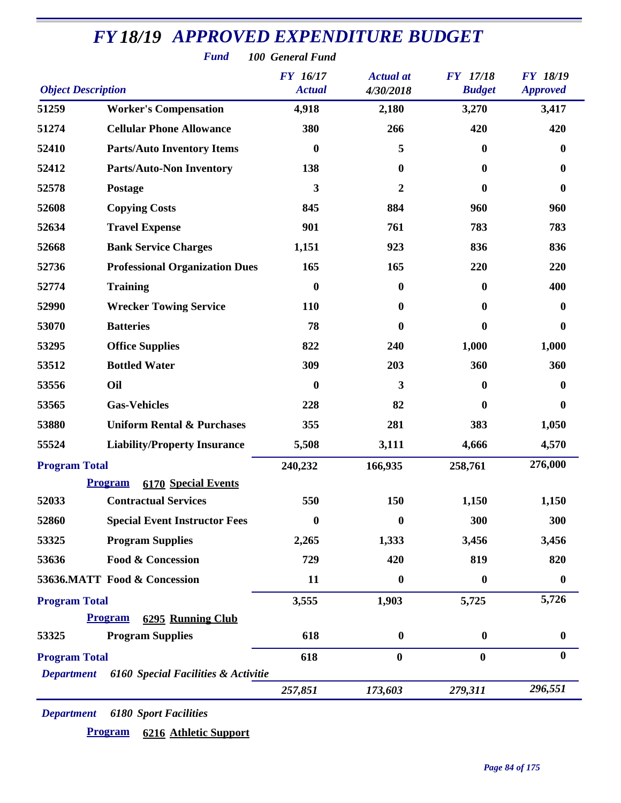|                           | <b>Fund</b>                           | 100 General Fund                 |                               |                                  |                                    |
|---------------------------|---------------------------------------|----------------------------------|-------------------------------|----------------------------------|------------------------------------|
| <b>Object Description</b> |                                       | <b>FY</b> 16/17<br><b>Actual</b> | <b>Actual</b> at<br>4/30/2018 | <b>FY</b> 17/18<br><b>Budget</b> | <b>FY 18/19</b><br><b>Approved</b> |
| 51259                     | <b>Worker's Compensation</b>          | 4,918                            | 2,180                         | 3,270                            | 3,417                              |
| 51274                     | <b>Cellular Phone Allowance</b>       | 380                              | 266                           | 420                              | 420                                |
| 52410                     | <b>Parts/Auto Inventory Items</b>     | $\boldsymbol{0}$                 | 5                             | $\bf{0}$                         | 0                                  |
| 52412                     | <b>Parts/Auto-Non Inventory</b>       | 138                              | $\bf{0}$                      | $\bf{0}$                         | $\bf{0}$                           |
| 52578                     | Postage                               | $\mathbf{3}$                     | $\boldsymbol{2}$              | $\mathbf{0}$                     | $\bf{0}$                           |
| 52608                     | <b>Copying Costs</b>                  | 845                              | 884                           | 960                              | 960                                |
| 52634                     | <b>Travel Expense</b>                 | 901                              | 761                           | 783                              | 783                                |
| 52668                     | <b>Bank Service Charges</b>           | 1,151                            | 923                           | 836                              | 836                                |
| 52736                     | <b>Professional Organization Dues</b> | 165                              | 165                           | 220                              | 220                                |
| 52774                     | <b>Training</b>                       | $\bf{0}$                         | $\mathbf{0}$                  | $\bf{0}$                         | 400                                |
| 52990                     | <b>Wrecker Towing Service</b>         | 110                              | $\bf{0}$                      | $\bf{0}$                         | 0                                  |
| 53070                     | <b>Batteries</b>                      | 78                               | $\bf{0}$                      | $\mathbf{0}$                     | $\bf{0}$                           |
| 53295                     | <b>Office Supplies</b>                | 822                              | 240                           | 1,000                            | 1,000                              |
| 53512                     | <b>Bottled Water</b>                  | 309                              | 203                           | 360                              | 360                                |
| 53556                     | Oil                                   | $\boldsymbol{0}$                 | 3                             | $\bf{0}$                         | 0                                  |
| 53565                     | <b>Gas-Vehicles</b>                   | 228                              | 82                            | $\bf{0}$                         | $\bf{0}$                           |
| 53880                     | <b>Uniform Rental &amp; Purchases</b> | 355                              | 281                           | 383                              | 1,050                              |
| 55524                     | <b>Liability/Property Insurance</b>   | 5,508                            | 3,111                         | 4,666                            | 4,570                              |
| <b>Program Total</b>      |                                       | 240,232                          | 166,935                       | 258,761                          | 276,000                            |
|                           | <b>Program</b> 6170 Special Events    |                                  |                               |                                  |                                    |
| 52033                     | <b>Contractual Services</b>           | 550                              | 150                           | 1,150                            | 1,150                              |
| 52860                     | <b>Special Event Instructor Fees</b>  | $\bf{0}$                         | $\bf{0}$                      | 300                              | 300                                |
| 53325                     | <b>Program Supplies</b>               | 2,265                            | 1,333                         | 3,456                            | 3,456                              |
| 53636                     | <b>Food &amp; Concession</b>          | 729                              | 420                           | 819                              | 820                                |
|                           | 53636.MATT Food & Concession          | 11                               | $\boldsymbol{0}$              | $\bf{0}$                         | $\bf{0}$                           |
| <b>Program Total</b>      |                                       | 3,555                            | 1,903                         | 5,725                            | 5,726                              |
|                           | 6295 Running Club<br><b>Program</b>   |                                  |                               |                                  |                                    |
| 53325                     | <b>Program Supplies</b>               | 618                              | $\boldsymbol{0}$              | $\boldsymbol{0}$                 | $\boldsymbol{0}$                   |
| <b>Program Total</b>      |                                       | 618                              | $\boldsymbol{0}$              | $\bf{0}$                         | $\bf{0}$                           |
| <b>Department</b>         | 6160 Special Facilities & Activitie   |                                  |                               |                                  |                                    |
|                           |                                       | 257,851                          | 173,603                       | 279,311                          | 296,551                            |

*Department 6180 Sport Facilities*

**Program 6216 Athletic Support**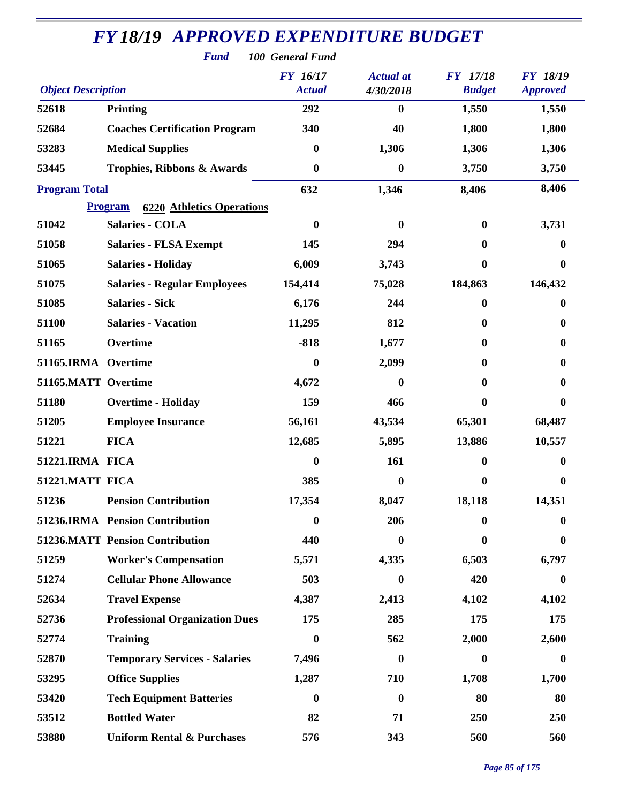| <b>Fund</b><br>100 General Fund |                                                    |                                  |                               |                                  |                                    |  |  |
|---------------------------------|----------------------------------------------------|----------------------------------|-------------------------------|----------------------------------|------------------------------------|--|--|
| <b>Object Description</b>       |                                                    | <b>FY</b> 16/17<br><b>Actual</b> | <b>Actual</b> at<br>4/30/2018 | <b>FY</b> 17/18<br><b>Budget</b> | <b>FY 18/19</b><br><b>Approved</b> |  |  |
| 52618                           | <b>Printing</b>                                    | 292                              | $\bf{0}$                      | 1,550                            | 1,550                              |  |  |
| 52684                           | <b>Coaches Certification Program</b>               | 340                              | 40                            | 1,800                            | 1,800                              |  |  |
| 53283                           | <b>Medical Supplies</b>                            | $\boldsymbol{0}$                 | 1,306                         | 1,306                            | 1,306                              |  |  |
| 53445                           | Trophies, Ribbons & Awards                         | $\boldsymbol{0}$                 | $\boldsymbol{0}$              | 3,750                            | 3,750                              |  |  |
| <b>Program Total</b>            |                                                    | 632                              | 1,346                         | 8,406                            | 8,406                              |  |  |
|                                 | <b>6220 Athletics Operations</b><br><b>Program</b> |                                  |                               |                                  |                                    |  |  |
| 51042                           | <b>Salaries - COLA</b>                             | $\boldsymbol{0}$                 | $\bf{0}$                      | $\bf{0}$                         | 3,731                              |  |  |
| 51058                           | <b>Salaries - FLSA Exempt</b>                      | 145                              | 294                           | 0                                | 0                                  |  |  |
| 51065                           | <b>Salaries - Holiday</b>                          | 6,009                            | 3,743                         | $\bf{0}$                         | $\bf{0}$                           |  |  |
| 51075                           | <b>Salaries - Regular Employees</b>                | 154,414                          | 75,028                        | 184,863                          | 146,432                            |  |  |
| 51085                           | <b>Salaries - Sick</b>                             | 6,176                            | 244                           | 0                                | 0                                  |  |  |
| 51100                           | <b>Salaries - Vacation</b>                         | 11,295                           | 812                           | $\mathbf{0}$                     | 0                                  |  |  |
| 51165                           | Overtime                                           | $-818$                           | 1,677                         | 0                                | 0                                  |  |  |
| 51165.IRMA Overtime             |                                                    | 0                                | 2,099                         | $\mathbf{0}$                     | $\mathbf{0}$                       |  |  |
| 51165.MATT Overtime             |                                                    | 4,672                            | $\bf{0}$                      | $\mathbf{0}$                     | 0                                  |  |  |
| 51180                           | <b>Overtime - Holiday</b>                          | 159                              | 466                           | 0                                | $\mathbf{0}$                       |  |  |
| 51205                           | <b>Employee Insurance</b>                          | 56,161                           | 43,534                        | 65,301                           | 68,487                             |  |  |
| 51221                           | <b>FICA</b>                                        | 12,685                           | 5,895                         | 13,886                           | 10,557                             |  |  |
| 51221.IRMA FICA                 |                                                    | 0                                | 161                           | 0                                | 0                                  |  |  |
| 51221.MATT FICA                 |                                                    | 385                              | $\boldsymbol{0}$              | $\bf{0}$                         | 0                                  |  |  |
| 51236                           | <b>Pension Contribution</b>                        | 17,354                           | 8,047                         | 18,118                           | 14,351                             |  |  |
|                                 | 51236.IRMA Pension Contribution                    | $\boldsymbol{0}$                 | 206                           | $\bf{0}$                         | 0                                  |  |  |
|                                 | <b>51236.MATT Pension Contribution</b>             | 440                              | $\mathbf{0}$                  | 0                                | $\mathbf{0}$                       |  |  |
| 51259                           | <b>Worker's Compensation</b>                       | 5,571                            | 4,335                         | 6,503                            | 6,797                              |  |  |
| 51274                           | <b>Cellular Phone Allowance</b>                    | 503                              | $\bf{0}$                      | 420                              | $\bf{0}$                           |  |  |
| 52634                           | <b>Travel Expense</b>                              | 4,387                            | 2,413                         | 4,102                            | 4,102                              |  |  |
| 52736                           | <b>Professional Organization Dues</b>              | 175                              | 285                           | 175                              | 175                                |  |  |
| 52774                           | <b>Training</b>                                    | 0                                | 562                           | 2,000                            | 2,600                              |  |  |
| 52870                           | <b>Temporary Services - Salaries</b>               | 7,496                            | $\bf{0}$                      | $\bf{0}$                         | $\bf{0}$                           |  |  |
| 53295                           | <b>Office Supplies</b>                             | 1,287                            | 710                           | 1,708                            | 1,700                              |  |  |
| 53420                           | <b>Tech Equipment Batteries</b>                    | $\boldsymbol{0}$                 | $\bf{0}$                      | 80                               | 80                                 |  |  |
| 53512                           | <b>Bottled Water</b>                               | 82                               | 71                            | 250                              | 250                                |  |  |
| 53880                           | <b>Uniform Rental &amp; Purchases</b>              | 576                              | 343                           | 560                              | 560                                |  |  |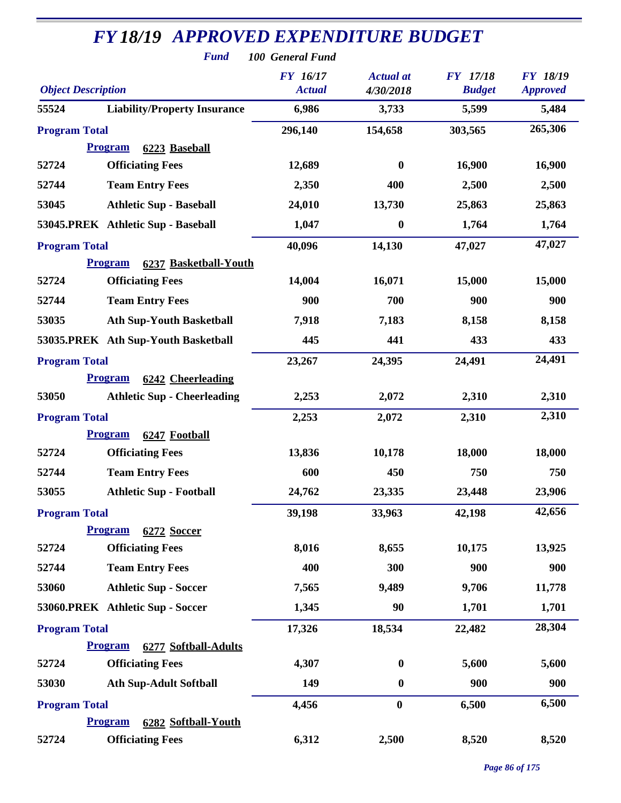|                           |                                         | <b>FY</b> 16/17 | <b>Actual</b> at | <b>FY</b> 17/18 | <b>FY 18/19</b> |
|---------------------------|-----------------------------------------|-----------------|------------------|-----------------|-----------------|
| <b>Object Description</b> |                                         | <b>Actual</b>   | 4/30/2018        | <b>Budget</b>   | <b>Approved</b> |
| 55524                     | <b>Liability/Property Insurance</b>     | 6,986           | 3,733            | 5,599           | 5,484           |
| <b>Program Total</b>      |                                         | 296,140         | 154,658          | 303,565         | 265,306         |
|                           | <b>Program</b><br>6223 Baseball         |                 |                  |                 |                 |
| 52724                     | <b>Officiating Fees</b>                 | 12,689          | $\bf{0}$         | 16,900          | 16,900          |
| 52744                     | <b>Team Entry Fees</b>                  | 2,350           | 400              | 2,500           | 2,500           |
| 53045                     | <b>Athletic Sup - Baseball</b>          | 24,010          | 13,730           | 25,863          | 25,863          |
|                           | 53045.PREK Athletic Sup - Baseball      | 1,047           | $\bf{0}$         | 1,764           | 1,764           |
| <b>Program Total</b>      |                                         | 40,096          | 14,130           | 47,027          | 47,027          |
|                           | <b>Program</b><br>6237 Basketball-Youth |                 |                  |                 |                 |
| 52724                     | <b>Officiating Fees</b>                 | 14,004          | 16,071           | 15,000          | 15,000          |
| 52744                     | <b>Team Entry Fees</b>                  | 900             | 700              | 900             | 900             |
| 53035                     | <b>Ath Sup-Youth Basketball</b>         | 7,918           | 7,183            | 8,158           | 8,158           |
|                           | 53035.PREK Ath Sup-Youth Basketball     | 445             | 441              | 433             | 433             |
| <b>Program Total</b>      |                                         | 23,267          | 24,395           | 24,491          | 24,491          |
|                           | 6242 Cheerleading<br><b>Program</b>     |                 |                  |                 |                 |
| 53050                     | <b>Athletic Sup - Cheerleading</b>      | 2,253           | 2,072            | 2,310           | 2,310           |
| <b>Program Total</b>      |                                         | 2,253           | 2,072            | 2,310           | 2,310           |
|                           | <b>Program</b><br>6247 Football         |                 |                  |                 |                 |
| 52724                     | <b>Officiating Fees</b>                 | 13,836          | 10,178           | 18,000          | 18,000          |
| 52744                     | <b>Team Entry Fees</b>                  | 600             | 450              | 750             | 750             |
| 53055                     | <b>Athletic Sup - Football</b>          | 24,762          | 23,335           | 23,448          | 23,906          |
| <b>Program Total</b>      |                                         | 39,198          | 33,963           | 42,198          | 42,656          |
|                           | <b>Program</b><br>6272 Soccer           |                 |                  |                 |                 |
| 52724                     | <b>Officiating Fees</b>                 | 8,016           | 8,655            | 10,175          | 13,925          |
| 52744                     | <b>Team Entry Fees</b>                  | 400             | 300              | 900             | 900             |
| 53060                     | <b>Athletic Sup - Soccer</b>            | 7,565           | 9,489            | 9,706           | 11,778          |
|                           | 53060.PREK Athletic Sup - Soccer        | 1,345           | 90               | 1,701           | 1,701           |
| <b>Program Total</b>      |                                         | 17,326          | 18,534           | 22,482          | 28,304          |
|                           | <b>Program</b><br>6277 Softball-Adults  |                 |                  |                 |                 |
| 52724                     | <b>Officiating Fees</b>                 | 4,307           | $\boldsymbol{0}$ | 5,600           | 5,600           |
| 53030                     | <b>Ath Sup-Adult Softball</b>           | 149             | $\boldsymbol{0}$ | 900             | 900             |
| <b>Program Total</b>      |                                         | 4,456           | $\bf{0}$         | 6,500           | 6,500           |
|                           | <b>Program</b><br>6282 Softball-Youth   |                 |                  |                 |                 |
| 52724                     | <b>Officiating Fees</b>                 | 6,312           | 2,500            | 8,520           | 8,520           |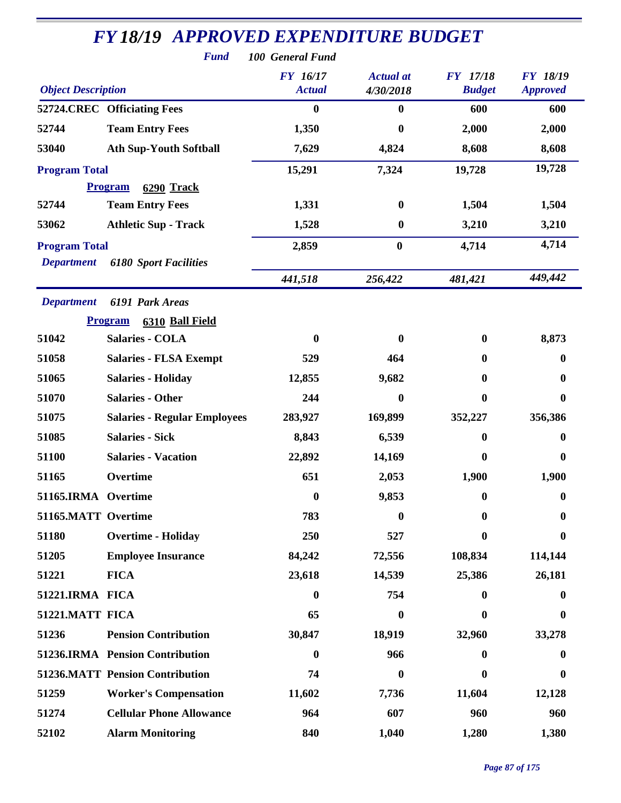|                           | <b>Fund</b>                            | 100 General Fund                 |                               |                                  |                                    |
|---------------------------|----------------------------------------|----------------------------------|-------------------------------|----------------------------------|------------------------------------|
| <b>Object Description</b> |                                        | <b>FY</b> 16/17<br><b>Actual</b> | <b>Actual</b> at<br>4/30/2018 | <b>FY</b> 17/18<br><b>Budget</b> | <b>FY 18/19</b><br><b>Approved</b> |
|                           | 52724.CREC Officiating Fees            | $\bf{0}$                         | $\boldsymbol{0}$              | 600                              | 600                                |
| 52744                     | <b>Team Entry Fees</b>                 | 1,350                            | $\bf{0}$                      | 2,000                            | 2,000                              |
| 53040                     | <b>Ath Sup-Youth Softball</b>          | 7,629                            | 4,824                         | 8,608                            | 8,608                              |
| <b>Program Total</b>      |                                        | 15,291                           | 7,324                         | 19,728                           | 19,728                             |
|                           | <b>Program</b><br>6290 Track           |                                  |                               |                                  |                                    |
| 52744                     | <b>Team Entry Fees</b>                 | 1,331                            | $\boldsymbol{0}$              | 1,504                            | 1,504                              |
| 53062                     | <b>Athletic Sup - Track</b>            | 1,528                            | $\boldsymbol{0}$              | 3,210                            | 3,210                              |
| <b>Program Total</b>      |                                        | 2,859                            | $\boldsymbol{0}$              | 4,714                            | 4,714                              |
| <b>Department</b>         | <b>6180 Sport Facilities</b>           |                                  |                               |                                  |                                    |
|                           |                                        | 441,518                          | 256,422                       | 481,421                          | 449,442                            |
| <b>Department</b>         | 6191 Park Areas                        |                                  |                               |                                  |                                    |
|                           | <b>Program</b><br>6310 Ball Field      |                                  |                               |                                  |                                    |
| 51042                     | <b>Salaries - COLA</b>                 | 0                                | $\bf{0}$                      | 0                                | 8,873                              |
| 51058                     | <b>Salaries - FLSA Exempt</b>          | 529                              | 464                           | $\bf{0}$                         | 0                                  |
| 51065                     | <b>Salaries - Holiday</b>              | 12,855                           | 9,682                         | $\mathbf{0}$                     | 0                                  |
| 51070                     | <b>Salaries - Other</b>                | 244                              | $\bf{0}$                      | $\bf{0}$                         | 0                                  |
| 51075                     | <b>Salaries - Regular Employees</b>    | 283,927                          | 169,899                       | 352,227                          | 356,386                            |
| 51085                     | <b>Salaries - Sick</b>                 | 8,843                            | 6,539                         | $\mathbf{0}$                     | 0                                  |
| 51100                     | <b>Salaries - Vacation</b>             | 22,892                           | 14,169                        | 0                                | 0                                  |
| 51165                     | Overtime                               | 651                              | 2,053                         | 1,900                            | 1,900                              |
| 51165.IRMA Overtime       |                                        | $\boldsymbol{0}$                 | 9,853                         | $\mathbf{0}$                     | $\bf{0}$                           |
| 51165.MATT Overtime       |                                        | 783                              | $\bf{0}$                      | 0                                | 0                                  |
| 51180                     | <b>Overtime - Holiday</b>              | 250                              | 527                           | 0                                | 0                                  |
| 51205                     | <b>Employee Insurance</b>              | 84,242                           | 72,556                        | 108,834                          | 114,144                            |
| 51221                     | <b>FICA</b>                            | 23,618                           | 14,539                        | 25,386                           | 26,181                             |
| 51221.IRMA FICA           |                                        | $\bf{0}$                         | 754                           | $\mathbf{0}$                     | 0                                  |
| 51221.MATT FICA           |                                        | 65                               | $\bf{0}$                      | $\mathbf{0}$                     | 0                                  |
| 51236                     | <b>Pension Contribution</b>            | 30,847                           | 18,919                        | 32,960                           | 33,278                             |
|                           | 51236.IRMA Pension Contribution        | $\bf{0}$                         | 966                           | $\mathbf{0}$                     | 0                                  |
|                           | <b>51236.MATT Pension Contribution</b> | 74                               | $\boldsymbol{0}$              | 0                                | 0                                  |
| 51259                     | <b>Worker's Compensation</b>           | 11,602                           | 7,736                         | 11,604                           | 12,128                             |
| 51274                     | <b>Cellular Phone Allowance</b>        | 964                              | 607                           | 960                              | 960                                |
| 52102                     | <b>Alarm Monitoring</b>                | 840                              | 1,040                         | 1,280                            | 1,380                              |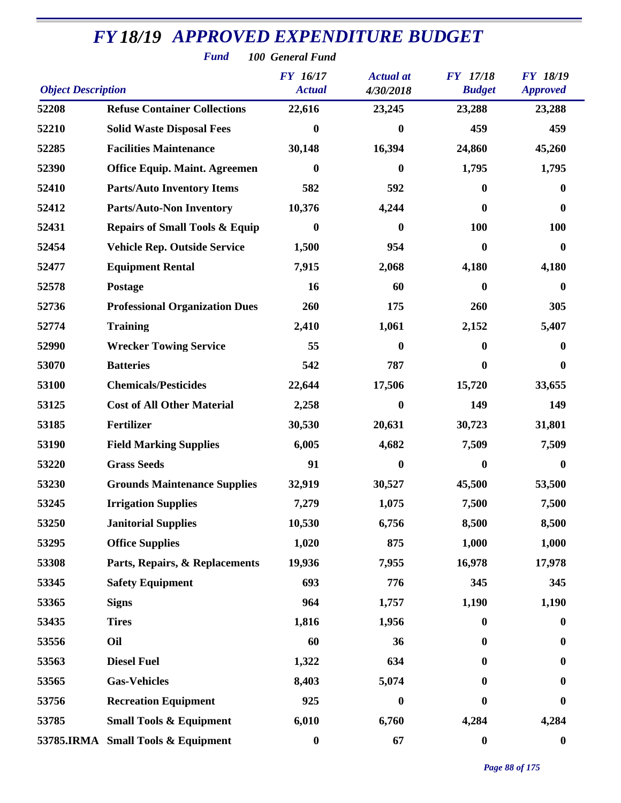| <b>Fund</b><br>100 General Fund |                                           |                           |                               |                                  |                                    |  |  |
|---------------------------------|-------------------------------------------|---------------------------|-------------------------------|----------------------------------|------------------------------------|--|--|
| <b>Object Description</b>       |                                           | FY 16/17<br><b>Actual</b> | <b>Actual</b> at<br>4/30/2018 | <b>FY</b> 17/18<br><b>Budget</b> | <b>FY 18/19</b><br><b>Approved</b> |  |  |
| 52208                           | <b>Refuse Container Collections</b>       | 22,616                    | 23,245                        | 23,288                           | 23,288                             |  |  |
| 52210                           | <b>Solid Waste Disposal Fees</b>          | 0                         | $\bf{0}$                      | 459                              | 459                                |  |  |
| 52285                           | <b>Facilities Maintenance</b>             | 30,148                    | 16,394                        | 24,860                           | 45,260                             |  |  |
| 52390                           | <b>Office Equip. Maint. Agreemen</b>      | $\boldsymbol{0}$          | $\boldsymbol{0}$              | 1,795                            | 1,795                              |  |  |
| 52410                           | <b>Parts/Auto Inventory Items</b>         | 582                       | 592                           | 0                                | 0                                  |  |  |
| 52412                           | <b>Parts/Auto-Non Inventory</b>           | 10,376                    | 4,244                         | 0                                | $\boldsymbol{0}$                   |  |  |
| 52431                           | <b>Repairs of Small Tools &amp; Equip</b> | $\bf{0}$                  | $\bf{0}$                      | <b>100</b>                       | 100                                |  |  |
| 52454                           | <b>Vehicle Rep. Outside Service</b>       | 1,500                     | 954                           | 0                                | $\bf{0}$                           |  |  |
| 52477                           | <b>Equipment Rental</b>                   | 7,915                     | 2,068                         | 4,180                            | 4,180                              |  |  |
| 52578                           | <b>Postage</b>                            | 16                        | 60                            | $\mathbf{0}$                     | $\bf{0}$                           |  |  |
| 52736                           | <b>Professional Organization Dues</b>     | 260                       | 175                           | 260                              | 305                                |  |  |
| 52774                           | <b>Training</b>                           | 2,410                     | 1,061                         | 2,152                            | 5,407                              |  |  |
| 52990                           | <b>Wrecker Towing Service</b>             | 55                        | 0                             | 0                                | 0                                  |  |  |
| 53070                           | <b>Batteries</b>                          | 542                       | 787                           | $\mathbf{0}$                     | $\bf{0}$                           |  |  |
| 53100                           | <b>Chemicals/Pesticides</b>               | 22,644                    | 17,506                        | 15,720                           | 33,655                             |  |  |
| 53125                           | <b>Cost of All Other Material</b>         | 2,258                     | $\bf{0}$                      | 149                              | 149                                |  |  |
| 53185                           | Fertilizer                                | 30,530                    | 20,631                        | 30,723                           | 31,801                             |  |  |
| 53190                           | <b>Field Marking Supplies</b>             | 6,005                     | 4,682                         | 7,509                            | 7,509                              |  |  |
| 53220                           | <b>Grass Seeds</b>                        | 91                        | 0                             | 0                                | 0                                  |  |  |
| 53230                           | <b>Grounds Maintenance Supplies</b>       | 32,919                    | 30,527                        | 45,500                           | 53,500                             |  |  |
| 53245                           | <b>Irrigation Supplies</b>                | 7,279                     | 1,075                         | 7,500                            | 7,500                              |  |  |
| 53250                           | <b>Janitorial Supplies</b>                | 10,530                    | 6,756                         | 8,500                            | 8,500                              |  |  |
| 53295                           | <b>Office Supplies</b>                    | 1,020                     | 875                           | 1,000                            | 1,000                              |  |  |
| 53308                           | Parts, Repairs, & Replacements            | 19,936                    | 7,955                         | 16,978                           | 17,978                             |  |  |
| 53345                           | <b>Safety Equipment</b>                   | 693                       | 776                           | 345                              | 345                                |  |  |
| 53365                           | <b>Signs</b>                              | 964                       | 1,757                         | 1,190                            | 1,190                              |  |  |
| 53435                           | <b>Tires</b>                              | 1,816                     | 1,956                         | $\mathbf{0}$                     | $\bf{0}$                           |  |  |
| 53556                           | Oil                                       | 60                        | 36                            | 0                                | $\boldsymbol{0}$                   |  |  |
| 53563                           | <b>Diesel Fuel</b>                        | 1,322                     | 634                           | 0                                | $\boldsymbol{0}$                   |  |  |
| 53565                           | <b>Gas-Vehicles</b>                       | 8,403                     | 5,074                         | $\mathbf{0}$                     | $\bf{0}$                           |  |  |
| 53756                           | <b>Recreation Equipment</b>               | 925                       | $\boldsymbol{0}$              | $\mathbf{0}$                     | $\bf{0}$                           |  |  |
| 53785                           | <b>Small Tools &amp; Equipment</b>        | 6,010                     | 6,760                         | 4,284                            | 4,284                              |  |  |
|                                 | 53785.IRMA Small Tools & Equipment        | $\boldsymbol{0}$          | 67                            | $\boldsymbol{0}$                 | $\boldsymbol{0}$                   |  |  |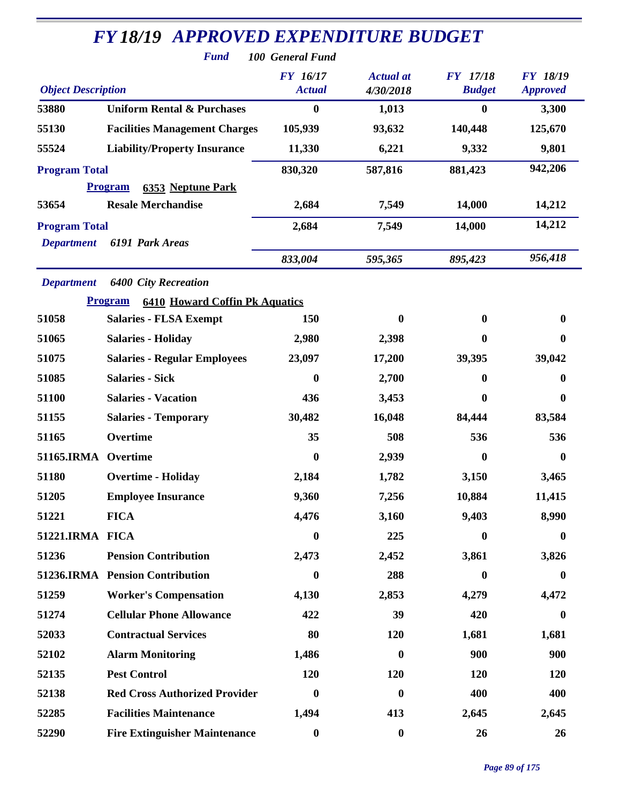|                           | <b>FY18/19 APPROVED EXPENDITURE BUDGET</b><br><b>Fund</b> | 100 General Fund                 |                               |                                  |                                    |
|---------------------------|-----------------------------------------------------------|----------------------------------|-------------------------------|----------------------------------|------------------------------------|
| <b>Object Description</b> |                                                           | <b>FY</b> 16/17<br><b>Actual</b> | <b>Actual</b> at<br>4/30/2018 | <b>FY</b> 17/18<br><b>Budget</b> | <b>FY 18/19</b><br><b>Approved</b> |
| 53880                     | <b>Uniform Rental &amp; Purchases</b>                     | $\bf{0}$                         | 1,013                         | $\bf{0}$                         | 3,300                              |
| 55130                     | <b>Facilities Management Charges</b>                      | 105,939                          | 93,632                        | 140,448                          | 125,670                            |
| 55524                     | <b>Liability/Property Insurance</b>                       | 11,330                           | 6,221                         | 9,332                            | 9,801                              |
| <b>Program Total</b>      |                                                           | 830,320                          | 587,816                       | 881,423                          | 942,206                            |
|                           | <b>Program</b><br><b>6353 Neptune Park</b>                |                                  |                               |                                  |                                    |
| 53654                     | <b>Resale Merchandise</b>                                 | 2,684                            | 7,549                         | 14,000                           | 14,212                             |
| <b>Program Total</b>      |                                                           | 2,684                            | 7,549                         | 14,000                           | 14,212                             |
| <b>Department</b>         | 6191 Park Areas                                           |                                  |                               |                                  |                                    |
|                           |                                                           | 833,004                          | 595,365                       | 895,423                          | 956,418                            |
| <b>Department</b>         | <b>6400 City Recreation</b>                               |                                  |                               |                                  |                                    |
|                           | <b>6410 Howard Coffin Pk Aquatics</b><br><b>Program</b>   |                                  |                               |                                  |                                    |
| 51058                     | <b>Salaries - FLSA Exempt</b>                             | 150                              | $\boldsymbol{0}$              | 0                                | $\bf{0}$                           |
| 51065                     | <b>Salaries - Holiday</b>                                 | 2,980                            | 2,398                         | 0                                | 0                                  |
| 51075                     | <b>Salaries - Regular Employees</b>                       | 23,097                           | 17,200                        | 39,395                           | 39,042                             |
| 51085                     | <b>Salaries - Sick</b>                                    | $\bf{0}$                         | 2,700                         | $\mathbf{0}$                     | 0                                  |
| 51100                     | <b>Salaries - Vacation</b>                                | 436                              | 3,453                         | $\mathbf{0}$                     | 0                                  |
| 51155                     | <b>Salaries - Temporary</b>                               | 30,482                           | 16,048                        | 84,444                           | 83,584                             |
| 51165                     | Overtime                                                  | 35                               | 508                           | 536                              | 536                                |
| 51165.IRMA                | Overtime                                                  | $\bf{0}$                         | 2,939                         | $\bf{0}$                         | 0                                  |
| 51180                     | <b>Overtime - Holiday</b>                                 | 2,184                            | 1,782                         | 3,150                            | 3,465                              |
| 51205                     | <b>Employee Insurance</b>                                 | 9,360                            | 7,256                         | 10,884                           | 11,415                             |
| 51221                     | <b>FICA</b>                                               | 4,476                            | 3,160                         | 9,403                            | 8,990                              |
| 51221.IRMA FICA           |                                                           | $\boldsymbol{0}$                 | 225                           | $\bf{0}$                         | $\bf{0}$                           |
| 51236                     | <b>Pension Contribution</b>                               | 2,473                            | 2,452                         | 3,861                            | 3,826                              |
|                           | 51236.IRMA Pension Contribution                           | $\boldsymbol{0}$                 | 288                           | $\bf{0}$                         | $\boldsymbol{0}$                   |
| 51259                     | <b>Worker's Compensation</b>                              | 4,130                            | 2,853                         | 4,279                            | 4,472                              |
| 51274                     | <b>Cellular Phone Allowance</b>                           | 422                              | 39                            | 420                              | 0                                  |
| 52033                     | <b>Contractual Services</b>                               | 80                               | 120                           | 1,681                            | 1,681                              |
| 52102                     | <b>Alarm Monitoring</b>                                   | 1,486                            | $\boldsymbol{0}$              | 900                              | 900                                |
| 52135                     | <b>Pest Control</b>                                       | 120                              | 120                           | 120                              | 120                                |
| 52138                     | <b>Red Cross Authorized Provider</b>                      | $\bf{0}$                         | $\boldsymbol{0}$              | 400                              | 400                                |
| 52285                     | <b>Facilities Maintenance</b>                             | 1,494                            | 413                           | 2,645                            | 2,645                              |
| 52290                     | <b>Fire Extinguisher Maintenance</b>                      | $\boldsymbol{0}$                 | $\boldsymbol{0}$              | 26                               | 26                                 |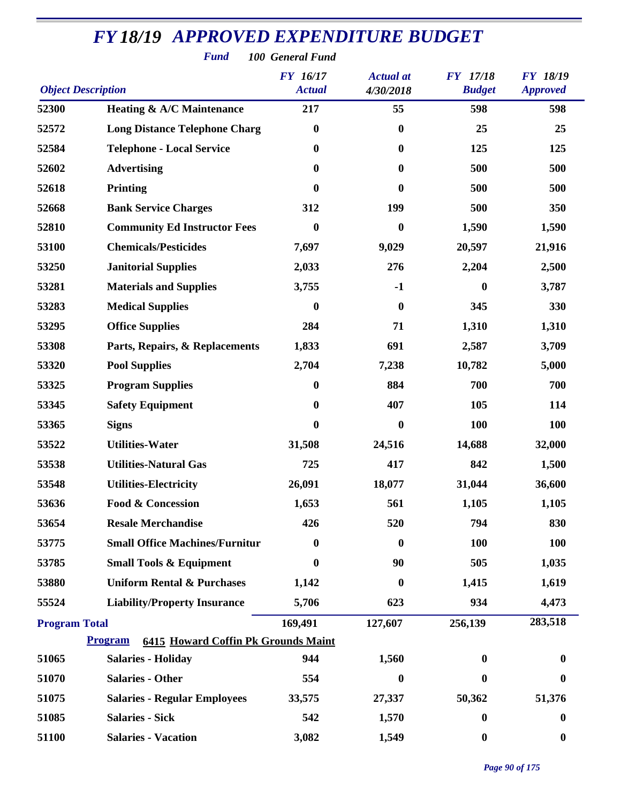*Fund 100 General Fund*

| <b>Object Description</b> |                                                              | <b>FY</b> 16/17<br><b>Actual</b> | <b>Actual</b> at<br>4/30/2018 | <b>FY</b> 17/18<br><b>Budget</b> | FY 18/19<br><b>Approved</b> |
|---------------------------|--------------------------------------------------------------|----------------------------------|-------------------------------|----------------------------------|-----------------------------|
| 52300                     | <b>Heating &amp; A/C Maintenance</b>                         | 217                              | 55                            | 598                              | 598                         |
| 52572                     | <b>Long Distance Telephone Charg</b>                         | $\boldsymbol{0}$                 | $\bf{0}$                      | 25                               | 25                          |
| 52584                     | <b>Telephone - Local Service</b>                             | $\boldsymbol{0}$                 | $\bf{0}$                      | 125                              | 125                         |
| 52602                     | <b>Advertising</b>                                           | $\boldsymbol{0}$                 | $\bf{0}$                      | 500                              | 500                         |
| 52618                     | <b>Printing</b>                                              | $\bf{0}$                         | 0                             | 500                              | 500                         |
| 52668                     | <b>Bank Service Charges</b>                                  | 312                              | 199                           | 500                              | 350                         |
| 52810                     | <b>Community Ed Instructor Fees</b>                          | $\boldsymbol{0}$                 | $\boldsymbol{0}$              | 1,590                            | 1,590                       |
| 53100                     | <b>Chemicals/Pesticides</b>                                  | 7,697                            | 9,029                         | 20,597                           | 21,916                      |
| 53250                     | <b>Janitorial Supplies</b>                                   | 2,033                            | 276                           | 2,204                            | 2,500                       |
| 53281                     | <b>Materials and Supplies</b>                                | 3,755                            | $-1$                          | $\boldsymbol{0}$                 | 3,787                       |
| 53283                     | <b>Medical Supplies</b>                                      | 0                                | $\bf{0}$                      | 345                              | 330                         |
| 53295                     | <b>Office Supplies</b>                                       | 284                              | 71                            | 1,310                            | 1,310                       |
| 53308                     | Parts, Repairs, & Replacements                               | 1,833                            | 691                           | 2,587                            | 3,709                       |
| 53320                     | <b>Pool Supplies</b>                                         | 2,704                            | 7,238                         | 10,782                           | 5,000                       |
| 53325                     | <b>Program Supplies</b>                                      | 0                                | 884                           | 700                              | 700                         |
| 53345                     | <b>Safety Equipment</b>                                      | $\boldsymbol{0}$                 | 407                           | 105                              | 114                         |
| 53365                     | <b>Signs</b>                                                 | 0                                | $\boldsymbol{0}$              | 100                              | 100                         |
| 53522                     | <b>Utilities-Water</b>                                       | 31,508                           | 24,516                        | 14,688                           | 32,000                      |
| 53538                     | <b>Utilities-Natural Gas</b>                                 | 725                              | 417                           | 842                              | 1,500                       |
| 53548                     | <b>Utilities-Electricity</b>                                 | 26,091                           | 18,077                        | 31,044                           | 36,600                      |
| 53636                     | <b>Food &amp; Concession</b>                                 | 1,653                            | 561                           | 1,105                            | 1,105                       |
| 53654                     | <b>Resale Merchandise</b>                                    | 426                              | 520                           | 794                              | 830                         |
| 53775                     | <b>Small Office Machines/Furnitur</b>                        | 0                                | 0                             | <b>100</b>                       | <b>100</b>                  |
| 53785                     | <b>Small Tools &amp; Equipment</b>                           | 0                                | 90                            | 505                              | 1,035                       |
| 53880                     | <b>Uniform Rental &amp; Purchases</b>                        | 1,142                            | $\bf{0}$                      | 1,415                            | 1,619                       |
| 55524                     | <b>Liability/Property Insurance</b>                          | 5,706                            | 623                           | 934                              | 4,473                       |
| <b>Program Total</b>      |                                                              | 169,491                          | 127,607                       | 256,139                          | 283,518                     |
|                           | <b>Program</b><br><b>6415 Howard Coffin Pk Grounds Maint</b> |                                  |                               |                                  |                             |
| 51065                     | <b>Salaries - Holiday</b>                                    | 944                              | 1,560                         | 0                                | 0                           |
| 51070                     | <b>Salaries - Other</b>                                      | 554                              | $\bf{0}$                      | 0                                | $\bf{0}$                    |
| 51075                     | <b>Salaries - Regular Employees</b>                          | 33,575                           | 27,337                        | 50,362                           | 51,376                      |
| 51085                     | <b>Salaries - Sick</b>                                       | 542                              | 1,570                         | $\boldsymbol{0}$                 | $\boldsymbol{0}$            |
| 51100                     | <b>Salaries - Vacation</b>                                   | 3,082                            | 1,549                         | $\bf{0}$                         | $\boldsymbol{0}$            |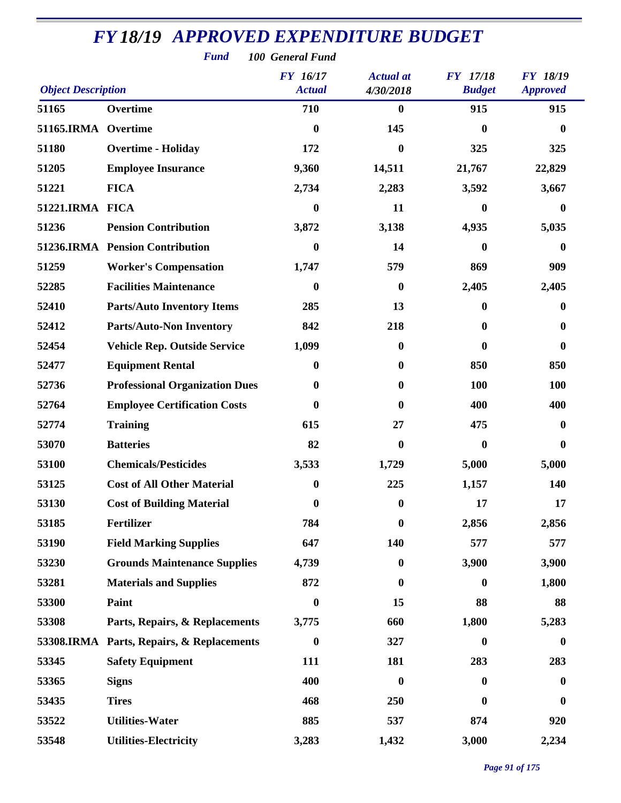| <b>Fund</b><br>100 General Fund |                                           |                                  |                               |                                  |                                    |  |  |  |
|---------------------------------|-------------------------------------------|----------------------------------|-------------------------------|----------------------------------|------------------------------------|--|--|--|
| <b>Object Description</b>       |                                           | <b>FY</b> 16/17<br><b>Actual</b> | <b>Actual</b> at<br>4/30/2018 | <b>FY</b> 17/18<br><b>Budget</b> | <b>FY 18/19</b><br><b>Approved</b> |  |  |  |
| 51165                           | Overtime                                  | 710                              | $\bf{0}$                      | 915                              | 915                                |  |  |  |
| 51165.IRMA Overtime             |                                           | $\boldsymbol{0}$                 | 145                           | $\boldsymbol{0}$                 | $\boldsymbol{0}$                   |  |  |  |
| 51180                           | <b>Overtime - Holiday</b>                 | 172                              | $\bf{0}$                      | 325                              | 325                                |  |  |  |
| 51205                           | <b>Employee Insurance</b>                 | 9,360                            | 14,511                        | 21,767                           | 22,829                             |  |  |  |
| 51221                           | <b>FICA</b>                               | 2,734                            | 2,283                         | 3,592                            | 3,667                              |  |  |  |
| 51221.IRMA FICA                 |                                           | $\boldsymbol{0}$                 | 11                            | $\bf{0}$                         | $\bf{0}$                           |  |  |  |
| 51236                           | <b>Pension Contribution</b>               | 3,872                            | 3,138                         | 4,935                            | 5,035                              |  |  |  |
|                                 | 51236.IRMA Pension Contribution           | $\boldsymbol{0}$                 | 14                            | $\boldsymbol{0}$                 | $\bf{0}$                           |  |  |  |
| 51259                           | <b>Worker's Compensation</b>              | 1,747                            | 579                           | 869                              | 909                                |  |  |  |
| 52285                           | <b>Facilities Maintenance</b>             | $\boldsymbol{0}$                 | $\boldsymbol{0}$              | 2,405                            | 2,405                              |  |  |  |
| 52410                           | <b>Parts/Auto Inventory Items</b>         | 285                              | 13                            | $\boldsymbol{0}$                 | 0                                  |  |  |  |
| 52412                           | <b>Parts/Auto-Non Inventory</b>           | 842                              | 218                           | $\boldsymbol{0}$                 | $\bf{0}$                           |  |  |  |
| 52454                           | <b>Vehicle Rep. Outside Service</b>       | 1,099                            | $\bf{0}$                      | $\mathbf{0}$                     | $\bf{0}$                           |  |  |  |
| 52477                           | <b>Equipment Rental</b>                   | $\bf{0}$                         | $\boldsymbol{0}$              | 850                              | 850                                |  |  |  |
| 52736                           | <b>Professional Organization Dues</b>     | $\boldsymbol{0}$                 | $\bf{0}$                      | 100                              | 100                                |  |  |  |
| 52764                           | <b>Employee Certification Costs</b>       | $\boldsymbol{0}$                 | 0                             | 400                              | 400                                |  |  |  |
| 52774                           | <b>Training</b>                           | 615                              | 27                            | 475                              | $\bf{0}$                           |  |  |  |
| 53070                           | <b>Batteries</b>                          | 82                               | $\bf{0}$                      | $\boldsymbol{0}$                 | 0                                  |  |  |  |
| 53100                           | <b>Chemicals/Pesticides</b>               | 3,533                            | 1,729                         | 5,000                            | 5,000                              |  |  |  |
| 53125                           | <b>Cost of All Other Material</b>         | $\boldsymbol{0}$                 | 225                           | 1,157                            | 140                                |  |  |  |
| 53130                           | <b>Cost of Building Material</b>          | $\boldsymbol{0}$                 | 0                             | 17                               | 17                                 |  |  |  |
| 53185                           | <b>Fertilizer</b>                         | 784                              | $\bf{0}$                      | 2,856                            | 2,856                              |  |  |  |
| 53190                           | <b>Field Marking Supplies</b>             | 647                              | 140                           | 577                              | 577                                |  |  |  |
| 53230                           | <b>Grounds Maintenance Supplies</b>       | 4,739                            | $\boldsymbol{0}$              | 3,900                            | 3,900                              |  |  |  |
| 53281                           | <b>Materials and Supplies</b>             | 872                              | $\bf{0}$                      | $\boldsymbol{0}$                 | 1,800                              |  |  |  |
| 53300                           | Paint                                     | $\boldsymbol{0}$                 | 15                            | 88                               | 88                                 |  |  |  |
| 53308                           | Parts, Repairs, & Replacements            | 3,775                            | 660                           | 1,800                            | 5,283                              |  |  |  |
|                                 | 53308.IRMA Parts, Repairs, & Replacements | $\boldsymbol{0}$                 | 327                           | $\boldsymbol{0}$                 | $\boldsymbol{0}$                   |  |  |  |
| 53345                           | <b>Safety Equipment</b>                   | 111                              | 181                           | 283                              | 283                                |  |  |  |
| 53365                           | <b>Signs</b>                              | 400                              | $\bf{0}$                      | $\bf{0}$                         | $\bf{0}$                           |  |  |  |
| 53435                           | <b>Tires</b>                              | 468                              | 250                           | 0                                | $\bf{0}$                           |  |  |  |
| 53522                           | <b>Utilities-Water</b>                    | 885                              | 537                           | 874                              | 920                                |  |  |  |
| 53548                           | <b>Utilities-Electricity</b>              | 3,283                            | 1,432                         | 3,000                            | 2,234                              |  |  |  |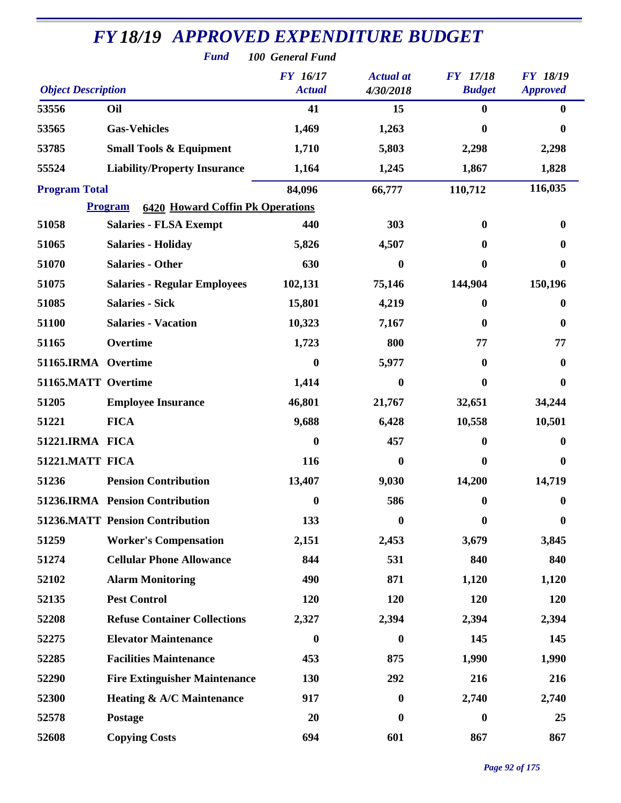| <b>Fund</b><br>100 General Fund |                                                           |                                  |                               |                                  |                                    |  |  |  |
|---------------------------------|-----------------------------------------------------------|----------------------------------|-------------------------------|----------------------------------|------------------------------------|--|--|--|
| <b>Object Description</b>       |                                                           | <b>FY</b> 16/17<br><b>Actual</b> | <b>Actual</b> at<br>4/30/2018 | <b>FY</b> 17/18<br><b>Budget</b> | <b>FY 18/19</b><br><b>Approved</b> |  |  |  |
| 53556                           | Oil                                                       | 41                               | 15                            | $\mathbf{0}$                     | $\mathbf{0}$                       |  |  |  |
| 53565                           | <b>Gas-Vehicles</b>                                       | 1,469                            | 1,263                         | 0                                | $\mathbf{0}$                       |  |  |  |
| 53785                           | <b>Small Tools &amp; Equipment</b>                        | 1,710                            | 5,803                         | 2,298                            | 2,298                              |  |  |  |
| 55524                           | <b>Liability/Property Insurance</b>                       | 1,164                            | 1,245                         | 1,867                            | 1,828                              |  |  |  |
| <b>Program Total</b>            |                                                           | 84,096                           | 66,777                        | 110,712                          | 116,035                            |  |  |  |
|                                 | <b>6420 Howard Coffin Pk Operations</b><br><b>Program</b> |                                  |                               |                                  |                                    |  |  |  |
| 51058                           | <b>Salaries - FLSA Exempt</b>                             | 440                              | 303                           | $\bf{0}$                         | 0                                  |  |  |  |
| 51065                           | <b>Salaries - Holiday</b>                                 | 5,826                            | 4,507                         | 0                                | 0                                  |  |  |  |
| 51070                           | <b>Salaries - Other</b>                                   | 630                              | $\bf{0}$                      | $\mathbf{0}$                     | $\mathbf{0}$                       |  |  |  |
| 51075                           | <b>Salaries - Regular Employees</b>                       | 102,131                          | 75,146                        | 144,904                          | 150,196                            |  |  |  |
| 51085                           | <b>Salaries - Sick</b>                                    | 15,801                           | 4,219                         | 0                                | 0                                  |  |  |  |
| 51100                           | <b>Salaries - Vacation</b>                                | 10,323                           | 7,167                         | 0                                | 0                                  |  |  |  |
| 51165                           | Overtime                                                  | 1,723                            | 800                           | 77                               | 77                                 |  |  |  |
| 51165.IRMA Overtime             |                                                           | 0                                | 5,977                         | $\bf{0}$                         | $\mathbf{0}$                       |  |  |  |
| 51165.MATT Overtime             |                                                           | 1,414                            | $\boldsymbol{0}$              | 0                                | 0                                  |  |  |  |
| 51205                           | <b>Employee Insurance</b>                                 | 46,801                           | 21,767                        | 32,651                           | 34,244                             |  |  |  |
| 51221                           | <b>FICA</b>                                               | 9,688                            | 6,428                         | 10,558                           | 10,501                             |  |  |  |
| 51221.IRMA FICA                 |                                                           | $\boldsymbol{0}$                 | 457                           | $\bf{0}$                         | 0                                  |  |  |  |
| 51221.MATT FICA                 |                                                           | 116                              | $\bf{0}$                      | 0                                | 0                                  |  |  |  |
| 51236                           | <b>Pension Contribution</b>                               | 13,407                           | 9,030                         | 14,200                           | 14,719                             |  |  |  |
|                                 | 51236.IRMA Pension Contribution                           | 0                                | 586                           | $\bf{0}$                         | 0                                  |  |  |  |
|                                 | <b>51236.MATT Pension Contribution</b>                    | 133                              | $\bf{0}$                      | $\bf{0}$                         | $\bf{0}$                           |  |  |  |
| 51259                           | <b>Worker's Compensation</b>                              | 2,151                            | 2,453                         | 3,679                            | 3,845                              |  |  |  |
| 51274                           | <b>Cellular Phone Allowance</b>                           | 844                              | 531                           | 840                              | 840                                |  |  |  |
| 52102                           | <b>Alarm Monitoring</b>                                   | 490                              | 871                           | 1,120                            | 1,120                              |  |  |  |
| 52135                           | <b>Pest Control</b>                                       | 120                              | 120                           | 120                              | 120                                |  |  |  |
| 52208                           | <b>Refuse Container Collections</b>                       | 2,327                            | 2,394                         | 2,394                            | 2,394                              |  |  |  |
| 52275                           | <b>Elevator Maintenance</b>                               | $\boldsymbol{0}$                 | $\bf{0}$                      | 145                              | 145                                |  |  |  |
| 52285                           | <b>Facilities Maintenance</b>                             | 453                              | 875                           | 1,990                            | 1,990                              |  |  |  |
| 52290                           | <b>Fire Extinguisher Maintenance</b>                      | 130                              | 292                           | 216                              | 216                                |  |  |  |
| 52300                           | Heating & A/C Maintenance                                 | 917                              | $\bf{0}$                      | 2,740                            | 2,740                              |  |  |  |
| 52578                           | Postage                                                   | 20                               | 0                             | $\bf{0}$                         | 25                                 |  |  |  |
| 52608                           | <b>Copying Costs</b>                                      | 694                              | 601                           | 867                              | 867                                |  |  |  |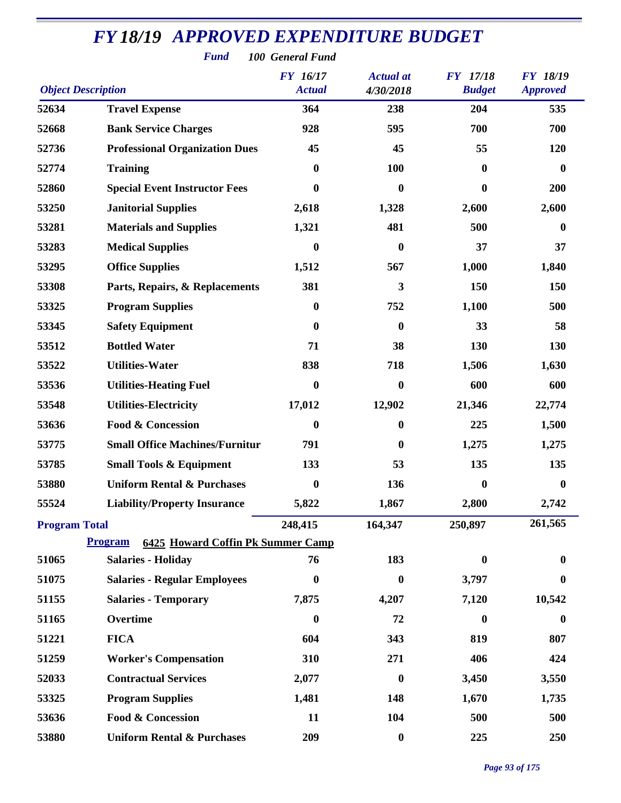|                           | <b>Fund</b>                                                | 100 General Fund                 |                               |                                  |                                    |
|---------------------------|------------------------------------------------------------|----------------------------------|-------------------------------|----------------------------------|------------------------------------|
| <b>Object Description</b> |                                                            | <b>FY</b> 16/17<br><b>Actual</b> | <b>Actual</b> at<br>4/30/2018 | <b>FY</b> 17/18<br><b>Budget</b> | <b>FY 18/19</b><br><b>Approved</b> |
| 52634                     | <b>Travel Expense</b>                                      | 364                              | 238                           | 204                              | 535                                |
| 52668                     | <b>Bank Service Charges</b>                                | 928                              | 595                           | 700                              | 700                                |
| 52736                     | <b>Professional Organization Dues</b>                      | 45                               | 45                            | 55                               | 120                                |
| 52774                     | <b>Training</b>                                            | $\boldsymbol{0}$                 | <b>100</b>                    | $\bf{0}$                         | $\bf{0}$                           |
| 52860                     | <b>Special Event Instructor Fees</b>                       | 0                                | $\boldsymbol{0}$              | $\bf{0}$                         | 200                                |
| 53250                     | <b>Janitorial Supplies</b>                                 | 2,618                            | 1,328                         | 2,600                            | 2,600                              |
| 53281                     | <b>Materials and Supplies</b>                              | 1,321                            | 481                           | 500                              | $\bf{0}$                           |
| 53283                     | <b>Medical Supplies</b>                                    | $\bf{0}$                         | $\boldsymbol{0}$              | 37                               | 37                                 |
| 53295                     | <b>Office Supplies</b>                                     | 1,512                            | 567                           | 1,000                            | 1,840                              |
| 53308                     | Parts, Repairs, & Replacements                             | 381                              | 3                             | 150                              | 150                                |
| 53325                     | <b>Program Supplies</b>                                    | $\boldsymbol{0}$                 | 752                           | 1,100                            | 500                                |
| 53345                     | <b>Safety Equipment</b>                                    | $\bf{0}$                         | $\bf{0}$                      | 33                               | 58                                 |
| 53512                     | <b>Bottled Water</b>                                       | 71                               | 38                            | 130                              | 130                                |
| 53522                     | <b>Utilities-Water</b>                                     | 838                              | 718                           | 1,506                            | 1,630                              |
| 53536                     | <b>Utilities-Heating Fuel</b>                              | 0                                | $\bf{0}$                      | 600                              | 600                                |
| 53548                     | <b>Utilities-Electricity</b>                               | 17,012                           | 12,902                        | 21,346                           | 22,774                             |
| 53636                     | <b>Food &amp; Concession</b>                               | $\boldsymbol{0}$                 | $\bf{0}$                      | 225                              | 1,500                              |
| 53775                     | <b>Small Office Machines/Furnitur</b>                      | 791                              | $\bf{0}$                      | 1,275                            | 1,275                              |
| 53785                     | <b>Small Tools &amp; Equipment</b>                         | 133                              | 53                            | 135                              | 135                                |
| 53880                     | <b>Uniform Rental &amp; Purchases</b>                      | $\bf{0}$                         | 136                           | $\bf{0}$                         | $\bf{0}$                           |
| 55524                     | <b>Liability/Property Insurance</b>                        | 5,822                            | 1,867                         | 2,800                            | 2,742                              |
| <b>Program Total</b>      |                                                            | 248,415                          | 164,347                       | 250,897                          | 261,565                            |
|                           | <b>Program</b><br><b>6425 Howard Coffin Pk Summer Camp</b> |                                  |                               |                                  |                                    |
| 51065                     | <b>Salaries - Holiday</b>                                  | 76                               | 183                           | $\bf{0}$                         | 0                                  |
| 51075                     | <b>Salaries - Regular Employees</b>                        | $\boldsymbol{0}$                 | $\bf{0}$                      | 3,797                            | 0                                  |
| 51155                     | <b>Salaries - Temporary</b>                                | 7,875                            | 4,207                         | 7,120                            | 10,542                             |
| 51165                     | Overtime                                                   | $\boldsymbol{0}$                 | 72                            | $\boldsymbol{0}$                 | $\boldsymbol{0}$                   |
| 51221                     | <b>FICA</b>                                                | 604                              | 343                           | 819                              | 807                                |
| 51259                     | <b>Worker's Compensation</b>                               | 310                              | 271                           | 406                              | 424                                |
| 52033                     | <b>Contractual Services</b>                                | 2,077                            | $\boldsymbol{0}$              | 3,450                            | 3,550                              |
| 53325                     | <b>Program Supplies</b>                                    | 1,481                            | 148                           | 1,670                            | 1,735                              |
| 53636                     | <b>Food &amp; Concession</b>                               | 11                               | 104                           | 500                              | 500                                |
| 53880                     | <b>Uniform Rental &amp; Purchases</b>                      | 209                              | $\boldsymbol{0}$              | 225                              | 250                                |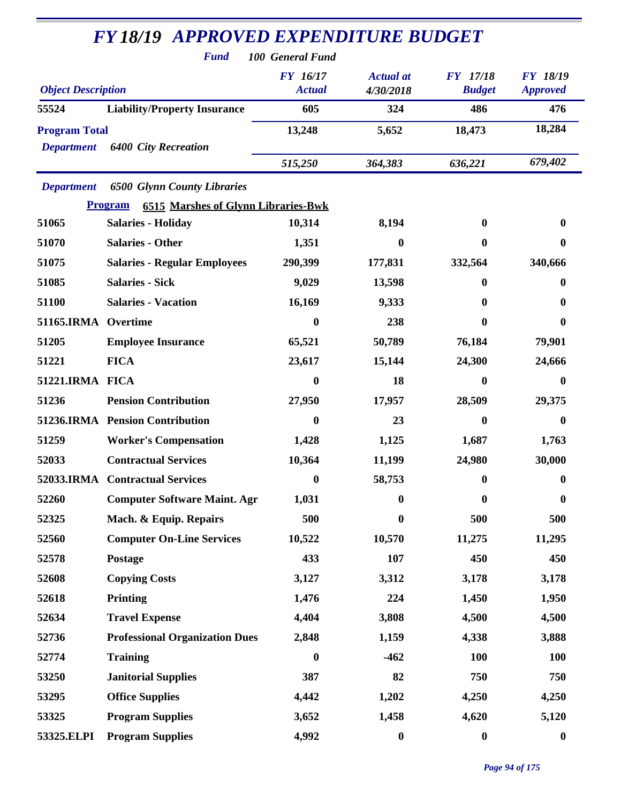|                           | <b>Fund</b>                                                  | 100 General Fund                 |                               |                                  |                                    |
|---------------------------|--------------------------------------------------------------|----------------------------------|-------------------------------|----------------------------------|------------------------------------|
| <b>Object Description</b> |                                                              | <b>FY</b> 16/17<br><b>Actual</b> | <b>Actual</b> at<br>4/30/2018 | <b>FY</b> 17/18<br><b>Budget</b> | <b>FY 18/19</b><br><b>Approved</b> |
| 55524                     | <b>Liability/Property Insurance</b>                          | 605                              | 324                           | 486                              | 476                                |
| <b>Program Total</b>      |                                                              | 13,248                           | 5,652                         | 18,473                           | 18,284                             |
| <b>Department</b>         | <b>6400 City Recreation</b>                                  |                                  |                               |                                  |                                    |
|                           |                                                              | 515,250                          | 364,383                       | 636,221                          | 679,402                            |
| <b>Department</b>         | <b>6500 Glynn County Libraries</b>                           |                                  |                               |                                  |                                    |
|                           | <b>6515 Marshes of Glynn Libraries-Bwk</b><br><b>Program</b> |                                  |                               |                                  |                                    |
| 51065                     | <b>Salaries - Holiday</b>                                    | 10,314                           | 8,194                         | 0                                | $\boldsymbol{0}$                   |
| 51070                     | <b>Salaries - Other</b>                                      | 1,351                            | 0                             | 0                                | $\mathbf{0}$                       |
| 51075                     | <b>Salaries - Regular Employees</b>                          | 290,399                          | 177,831                       | 332,564                          | 340,666                            |
| 51085                     | <b>Salaries - Sick</b>                                       | 9,029                            | 13,598                        | 0                                | $\bf{0}$                           |
| 51100                     | <b>Salaries - Vacation</b>                                   | 16,169                           | 9,333                         | 0                                | $\bf{0}$                           |
| 51165.IRMA                | Overtime                                                     | 0                                | 238                           | 0                                | $\bf{0}$                           |
| 51205                     | <b>Employee Insurance</b>                                    | 65,521                           | 50,789                        | 76,184                           | 79,901                             |
| 51221                     | <b>FICA</b>                                                  | 23,617                           | 15,144                        | 24,300                           | 24,666                             |
| 51221.IRMA FICA           |                                                              | $\bf{0}$                         | 18                            | 0                                | $\boldsymbol{0}$                   |
| 51236                     | <b>Pension Contribution</b>                                  | 27,950                           | 17,957                        | 28,509                           | 29,375                             |
|                           | 51236.IRMA Pension Contribution                              | 0                                | 23                            | 0                                | $\bf{0}$                           |
| 51259                     | <b>Worker's Compensation</b>                                 | 1,428                            | 1,125                         | 1,687                            | 1,763                              |
| 52033                     | <b>Contractual Services</b>                                  | 10,364                           | 11,199                        | 24,980                           | 30,000                             |
|                           | 52033.IRMA Contractual Services                              | $\boldsymbol{0}$                 | 58,753                        | $\boldsymbol{0}$                 | $\boldsymbol{0}$                   |
| 52260                     | <b>Computer Software Maint. Agr</b>                          | 1,031                            | $\boldsymbol{0}$              | $\bf{0}$                         | $\boldsymbol{0}$                   |
| 52325                     | Mach. & Equip. Repairs                                       | 500                              | $\boldsymbol{0}$              | 500                              | 500                                |
| 52560                     | <b>Computer On-Line Services</b>                             | 10,522                           | 10,570                        | 11,275                           | 11,295                             |
| 52578                     | Postage                                                      | 433                              | 107                           | 450                              | 450                                |
| 52608                     | <b>Copying Costs</b>                                         | 3,127                            | 3,312                         | 3,178                            | 3,178                              |
| 52618                     | Printing                                                     | 1,476                            | 224                           | 1,450                            | 1,950                              |
| 52634                     | <b>Travel Expense</b>                                        | 4,404                            | 3,808                         | 4,500                            | 4,500                              |
| 52736                     | <b>Professional Organization Dues</b>                        | 2,848                            | 1,159                         | 4,338                            | 3,888                              |
| 52774                     | <b>Training</b>                                              | $\boldsymbol{0}$                 | $-462$                        | <b>100</b>                       | <b>100</b>                         |
| 53250                     | <b>Janitorial Supplies</b>                                   | 387                              | 82                            | 750                              | 750                                |
| 53295                     | <b>Office Supplies</b>                                       | 4,442                            | 1,202                         | 4,250                            | 4,250                              |
| 53325                     | <b>Program Supplies</b>                                      | 3,652                            | 1,458                         | 4,620                            | 5,120                              |
| 53325.ELPI                | <b>Program Supplies</b>                                      | 4,992                            | $\boldsymbol{0}$              | $\boldsymbol{0}$                 | $\boldsymbol{0}$                   |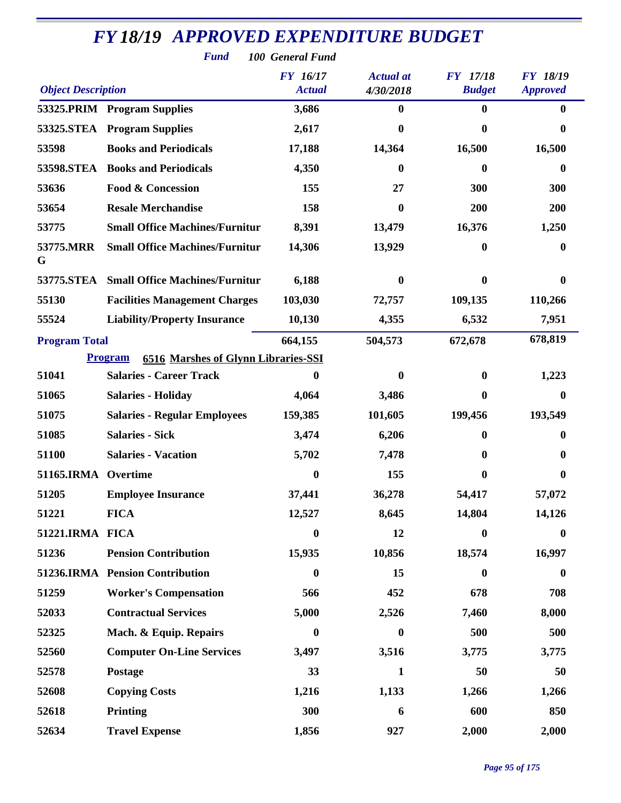| <b>FY 18/19 APPROVED EXPENDITURE BUDGET</b><br><b>Fund</b><br>100 General Fund |                                                              |                                  |                               |                                  |                                    |  |  |  |
|--------------------------------------------------------------------------------|--------------------------------------------------------------|----------------------------------|-------------------------------|----------------------------------|------------------------------------|--|--|--|
| <b>Object Description</b>                                                      |                                                              | <b>FY</b> 16/17<br><b>Actual</b> | <b>Actual</b> at<br>4/30/2018 | <b>FY</b> 17/18<br><b>Budget</b> | <b>FY 18/19</b><br><b>Approved</b> |  |  |  |
|                                                                                | 53325.PRIM Program Supplies                                  | 3,686                            | 0                             | $\bf{0}$                         | $\bf{0}$                           |  |  |  |
|                                                                                | 53325.STEA Program Supplies                                  | 2,617                            | 0                             | $\mathbf{0}$                     | 0                                  |  |  |  |
| 53598                                                                          | <b>Books and Periodicals</b>                                 | 17,188                           | 14,364                        | 16,500                           | 16,500                             |  |  |  |
| <b>53598.STEA</b>                                                              | <b>Books and Periodicals</b>                                 | 4,350                            | 0                             | $\mathbf{0}$                     | $\boldsymbol{0}$                   |  |  |  |
| 53636                                                                          | <b>Food &amp; Concession</b>                                 | 155                              | 27                            | 300                              | 300                                |  |  |  |
| 53654                                                                          | <b>Resale Merchandise</b>                                    | 158                              | 0                             | 200                              | 200                                |  |  |  |
| 53775                                                                          | <b>Small Office Machines/Furnitur</b>                        | 8,391                            | 13,479                        | 16,376                           | 1,250                              |  |  |  |
| 53775.MRR<br>G                                                                 | <b>Small Office Machines/Furnitur</b>                        | 14,306                           | 13,929                        | $\boldsymbol{0}$                 | $\bf{0}$                           |  |  |  |
| 53775.STEA                                                                     | <b>Small Office Machines/Furnitur</b>                        | 6,188                            | 0                             | $\mathbf{0}$                     | $\bf{0}$                           |  |  |  |
| 55130                                                                          | <b>Facilities Management Charges</b>                         | 103,030                          | 72,757                        | 109,135                          | 110,266                            |  |  |  |
| 55524                                                                          | <b>Liability/Property Insurance</b>                          | 10,130                           | 4,355                         | 6,532                            | 7,951                              |  |  |  |
| <b>Program Total</b>                                                           |                                                              | 664,155                          | 504,573                       | 672,678                          | 678,819                            |  |  |  |
|                                                                                | <b>6516 Marshes of Glynn Libraries-SSI</b><br><b>Program</b> |                                  |                               |                                  |                                    |  |  |  |
| 51041                                                                          | <b>Salaries - Career Track</b>                               | 0                                | 0                             | $\mathbf{0}$                     | 1,223                              |  |  |  |
| 51065                                                                          | <b>Salaries - Holiday</b>                                    | 4,064                            | 3,486                         | 0                                | 0                                  |  |  |  |
| 51075                                                                          | <b>Salaries - Regular Employees</b>                          | 159,385                          | 101,605                       | 199,456                          | 193,549                            |  |  |  |
| 51085                                                                          | <b>Salaries - Sick</b>                                       | 3,474                            | 6,206                         | $\mathbf{0}$                     | 0                                  |  |  |  |
| 51100                                                                          | <b>Salaries - Vacation</b>                                   | 5,702                            | 7,478                         | 0                                | 0                                  |  |  |  |
| 51165.IRMA Overtime                                                            |                                                              | $\boldsymbol{0}$                 | 155                           | $\mathbf{0}$                     | 0                                  |  |  |  |
| 51205                                                                          | <b>Employee Insurance</b>                                    | 37,441                           | 36,278                        | 54,417                           | 57,072                             |  |  |  |
| 51221                                                                          | <b>FICA</b>                                                  | 12,527                           | 8,645                         | 14,804                           | 14,126                             |  |  |  |
| 51221.IRMA FICA                                                                |                                                              | $\boldsymbol{0}$                 | 12                            | $\boldsymbol{0}$                 | $\boldsymbol{0}$                   |  |  |  |
| 51236                                                                          | <b>Pension Contribution</b>                                  | 15,935                           | 10,856                        | 18,574                           | 16,997                             |  |  |  |
|                                                                                | 51236.IRMA Pension Contribution                              | $\boldsymbol{0}$                 | 15                            | $\boldsymbol{0}$                 | $\boldsymbol{0}$                   |  |  |  |
| 51259                                                                          | <b>Worker's Compensation</b>                                 | 566                              | 452                           | 678                              | 708                                |  |  |  |
| 52033                                                                          | <b>Contractual Services</b>                                  | 5,000                            | 2,526                         | 7,460                            | 8,000                              |  |  |  |
| 52325                                                                          | Mach. & Equip. Repairs                                       | $\boldsymbol{0}$                 | $\boldsymbol{0}$              | 500                              | 500                                |  |  |  |
| 52560                                                                          | <b>Computer On-Line Services</b>                             | 3,497                            | 3,516                         | 3,775                            | 3,775                              |  |  |  |
| 52578                                                                          | Postage                                                      | 33                               | 1                             | 50                               | 50                                 |  |  |  |
| 52608                                                                          | <b>Copying Costs</b>                                         | 1,216                            | 1,133                         | 1,266                            | 1,266                              |  |  |  |
| 52618                                                                          | <b>Printing</b>                                              | 300                              | 6                             | 600                              | 850                                |  |  |  |
| 52634                                                                          | <b>Travel Expense</b>                                        | 1,856                            | 927                           | 2,000                            | 2,000                              |  |  |  |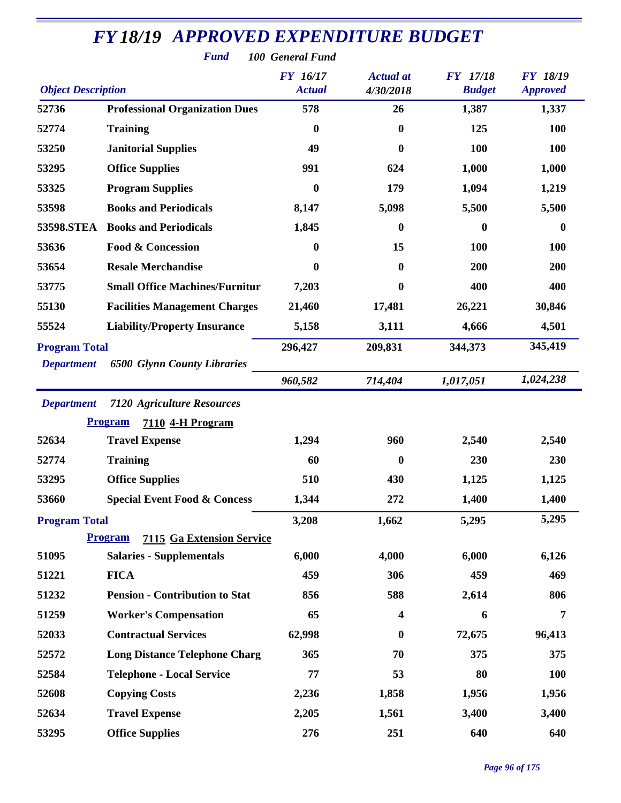| <b>Fund</b><br>100 General Fund |                                                    |                                  |                               |                                  |                                    |  |  |  |
|---------------------------------|----------------------------------------------------|----------------------------------|-------------------------------|----------------------------------|------------------------------------|--|--|--|
| <b>Object Description</b>       |                                                    | <b>FY</b> 16/17<br><b>Actual</b> | <b>Actual</b> at<br>4/30/2018 | <b>FY</b> 17/18<br><b>Budget</b> | <b>FY 18/19</b><br><b>Approved</b> |  |  |  |
| 52736                           | <b>Professional Organization Dues</b>              | 578                              | 26                            | 1,387                            | 1,337                              |  |  |  |
| 52774                           | <b>Training</b>                                    | $\boldsymbol{0}$                 | $\boldsymbol{0}$              | 125                              | <b>100</b>                         |  |  |  |
| 53250                           | <b>Janitorial Supplies</b>                         | 49                               | $\boldsymbol{0}$              | 100                              | <b>100</b>                         |  |  |  |
| 53295                           | <b>Office Supplies</b>                             | 991                              | 624                           | 1,000                            | 1,000                              |  |  |  |
| 53325                           | <b>Program Supplies</b>                            | $\boldsymbol{0}$                 | 179                           | 1,094                            | 1,219                              |  |  |  |
| 53598                           | <b>Books and Periodicals</b>                       | 8,147                            | 5,098                         | 5,500                            | 5,500                              |  |  |  |
| 53598.STEA                      | <b>Books and Periodicals</b>                       | 1,845                            | $\boldsymbol{0}$              | $\bf{0}$                         | $\boldsymbol{0}$                   |  |  |  |
| 53636                           | <b>Food &amp; Concession</b>                       | $\boldsymbol{0}$                 | 15                            | 100                              | 100                                |  |  |  |
| 53654                           | <b>Resale Merchandise</b>                          | $\mathbf{0}$                     | 0                             | 200                              | 200                                |  |  |  |
| 53775                           | <b>Small Office Machines/Furnitur</b>              | 7,203                            | $\boldsymbol{0}$              | 400                              | 400                                |  |  |  |
| 55130                           | <b>Facilities Management Charges</b>               | 21,460                           | 17,481                        | 26,221                           | 30,846                             |  |  |  |
| 55524                           | <b>Liability/Property Insurance</b>                | 5,158                            | 3,111                         | 4,666                            | 4,501                              |  |  |  |
| <b>Program Total</b>            |                                                    | 296,427                          | 209,831                       | 344,373                          | 345,419                            |  |  |  |
| <b>Department</b>               | <b>6500 Glynn County Libraries</b>                 |                                  |                               |                                  |                                    |  |  |  |
|                                 |                                                    | 960,582                          | 714,404                       | 1,017,051                        | 1,024,238                          |  |  |  |
| <b>Department</b>               | <b>7120 Agriculture Resources</b>                  |                                  |                               |                                  |                                    |  |  |  |
|                                 | <b>Program</b><br>7110 4-H Program                 |                                  |                               |                                  |                                    |  |  |  |
| 52634                           | <b>Travel Expense</b>                              | 1,294                            | 960                           | 2,540                            | 2,540                              |  |  |  |
| 52774                           | <b>Training</b>                                    | 60                               | $\boldsymbol{0}$              | 230                              | 230                                |  |  |  |
| 53295                           | <b>Office Supplies</b>                             | 510                              | 430                           | 1,125                            | 1,125                              |  |  |  |
| 53660                           | <b>Special Event Food &amp; Concess</b>            | 1,344                            | 272                           | 1,400                            | 1,400                              |  |  |  |
| <b>Program Total</b>            |                                                    | 3,208                            | 1,662                         | 5,295                            | 5,295                              |  |  |  |
|                                 | <b>Program</b><br><b>7115 Ga Extension Service</b> |                                  |                               |                                  |                                    |  |  |  |
| 51095                           | <b>Salaries - Supplementals</b>                    | 6,000                            | 4,000                         | 6,000                            | 6,126                              |  |  |  |
| 51221                           | <b>FICA</b>                                        | 459                              | 306                           | 459                              | 469                                |  |  |  |
| 51232                           | <b>Pension - Contribution to Stat</b>              | 856                              | 588                           | 2,614                            | 806                                |  |  |  |
| 51259                           | <b>Worker's Compensation</b>                       | 65                               | 4                             | 6                                | $\overline{7}$                     |  |  |  |
| 52033                           | <b>Contractual Services</b>                        | 62,998                           | $\boldsymbol{0}$              | 72,675                           | 96,413                             |  |  |  |
| 52572                           | <b>Long Distance Telephone Charg</b>               | 365                              | 70                            | 375                              | 375                                |  |  |  |
| 52584                           | <b>Telephone - Local Service</b>                   | 77                               | 53                            | 80                               | <b>100</b>                         |  |  |  |
| 52608                           | <b>Copying Costs</b>                               | 2,236                            | 1,858                         | 1,956                            | 1,956                              |  |  |  |
| 52634                           | <b>Travel Expense</b>                              | 2,205                            | 1,561                         | 3,400                            | 3,400                              |  |  |  |
| 53295                           | <b>Office Supplies</b>                             | 276                              | 251                           | 640                              | 640                                |  |  |  |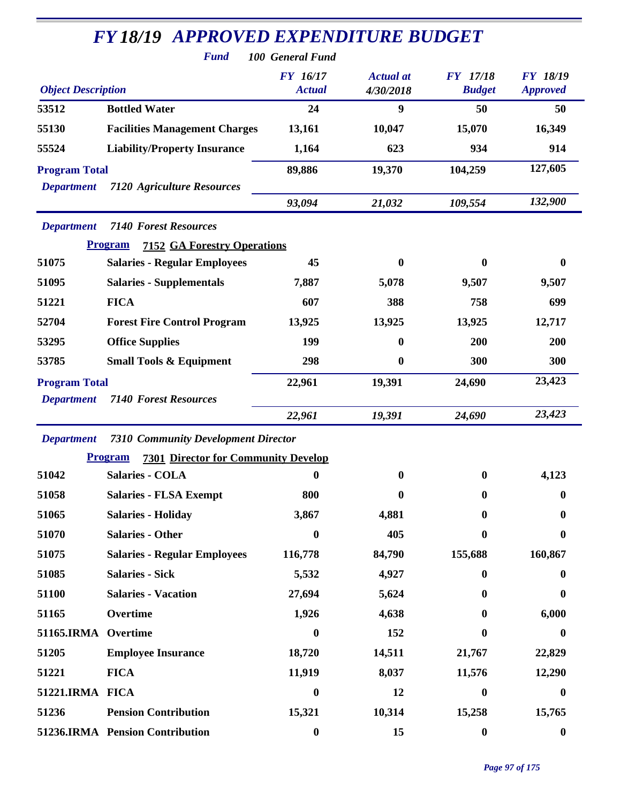| <b>Fund</b><br>100 General Fund           |                                                              |                                  |                               |                                  |                                    |  |  |  |
|-------------------------------------------|--------------------------------------------------------------|----------------------------------|-------------------------------|----------------------------------|------------------------------------|--|--|--|
| <b>Object Description</b>                 |                                                              | <b>FY</b> 16/17<br><b>Actual</b> | <b>Actual</b> at<br>4/30/2018 | <b>FY</b> 17/18<br><b>Budget</b> | <b>FY 18/19</b><br><b>Approved</b> |  |  |  |
| 53512                                     | <b>Bottled Water</b>                                         | 24                               | 9                             | 50                               | 50                                 |  |  |  |
| 55130                                     | <b>Facilities Management Charges</b>                         | 13,161                           | 10,047                        | 15,070                           | 16,349                             |  |  |  |
| 55524                                     | <b>Liability/Property Insurance</b>                          | 1,164                            | 623                           | 934                              | 914                                |  |  |  |
| <b>Program Total</b><br><b>Department</b> | <b>7120 Agriculture Resources</b>                            | 89,886                           | 19,370                        | 104,259                          | 127,605                            |  |  |  |
|                                           |                                                              | 93,094                           | 21,032                        | 109,554                          | 132,900                            |  |  |  |
| <b>Department</b>                         | <b>7140 Forest Resources</b>                                 |                                  |                               |                                  |                                    |  |  |  |
|                                           | <b>7152 GA Forestry Operations</b><br><b>Program</b>         |                                  |                               |                                  |                                    |  |  |  |
| 51075                                     | <b>Salaries - Regular Employees</b>                          | 45                               | $\boldsymbol{0}$              | 0                                | $\boldsymbol{0}$                   |  |  |  |
| 51095                                     | <b>Salaries - Supplementals</b>                              | 7,887                            | 5,078                         | 9,507                            | 9,507                              |  |  |  |
| 51221                                     | <b>FICA</b>                                                  | 607                              | 388                           | 758                              | 699                                |  |  |  |
| 52704                                     | <b>Forest Fire Control Program</b>                           | 13,925                           | 13,925                        | 13,925                           | 12,717                             |  |  |  |
| 53295                                     | <b>Office Supplies</b>                                       | 199                              | $\boldsymbol{0}$              | 200                              | 200                                |  |  |  |
| 53785                                     | <b>Small Tools &amp; Equipment</b>                           | 298                              | $\bf{0}$                      | 300                              | 300                                |  |  |  |
| <b>Program Total</b>                      |                                                              | 22,961                           | 19,391                        | 24,690                           | 23,423                             |  |  |  |
| <b>Department</b>                         | <b>7140 Forest Resources</b>                                 |                                  |                               |                                  |                                    |  |  |  |
|                                           |                                                              | 22,961                           | 19,391                        | 24,690                           | 23,423                             |  |  |  |
| <b>Department</b>                         | <b>7310 Community Development Director</b>                   |                                  |                               |                                  |                                    |  |  |  |
|                                           | <b>Program</b><br><b>7301 Director for Community Develop</b> |                                  |                               |                                  |                                    |  |  |  |
| 51042                                     | <b>Salaries - COLA</b>                                       | $\boldsymbol{0}$                 | $\boldsymbol{0}$              | $\boldsymbol{0}$                 | 4,123                              |  |  |  |
| 51058                                     | <b>Salaries - FLSA Exempt</b>                                | 800                              | $\boldsymbol{0}$              | 0                                | $\boldsymbol{0}$                   |  |  |  |
| 51065                                     | <b>Salaries - Holiday</b>                                    | 3,867                            | 4,881                         |                                  | 0                                  |  |  |  |
| 51070                                     | <b>Salaries - Other</b>                                      | $\boldsymbol{0}$                 | 405                           | 0                                | 0                                  |  |  |  |
| 51075                                     | <b>Salaries - Regular Employees</b>                          | 116,778                          | 84,790                        | 155,688                          | 160,867                            |  |  |  |
| 51085                                     | <b>Salaries - Sick</b>                                       | 5,532                            | 4,927                         | 0                                | $\bf{0}$                           |  |  |  |
| 51100                                     | <b>Salaries - Vacation</b>                                   | 27,694                           | 5,624                         | 0                                | $\bf{0}$                           |  |  |  |
| 51165                                     | Overtime                                                     | 1,926                            | 4,638                         |                                  | 6,000                              |  |  |  |
| 51165.IRMA Overtime                       |                                                              | $\boldsymbol{0}$                 | 152                           | 0                                | 0                                  |  |  |  |
| 51205                                     | <b>Employee Insurance</b>                                    | 18,720                           | 14,511                        | 21,767                           | 22,829                             |  |  |  |
| 51221                                     | <b>FICA</b>                                                  | 11,919                           | 8,037                         | 11,576                           | 12,290                             |  |  |  |
| 51221.IRMA FICA                           |                                                              | $\boldsymbol{0}$                 | 12                            | $\mathbf{0}$                     | $\bf{0}$                           |  |  |  |
| 51236                                     | <b>Pension Contribution</b>                                  | 15,321                           | 10,314                        | 15,258                           | 15,765                             |  |  |  |
|                                           | 51236.IRMA Pension Contribution                              | $\boldsymbol{0}$                 | 15                            | $\boldsymbol{0}$                 | $\boldsymbol{0}$                   |  |  |  |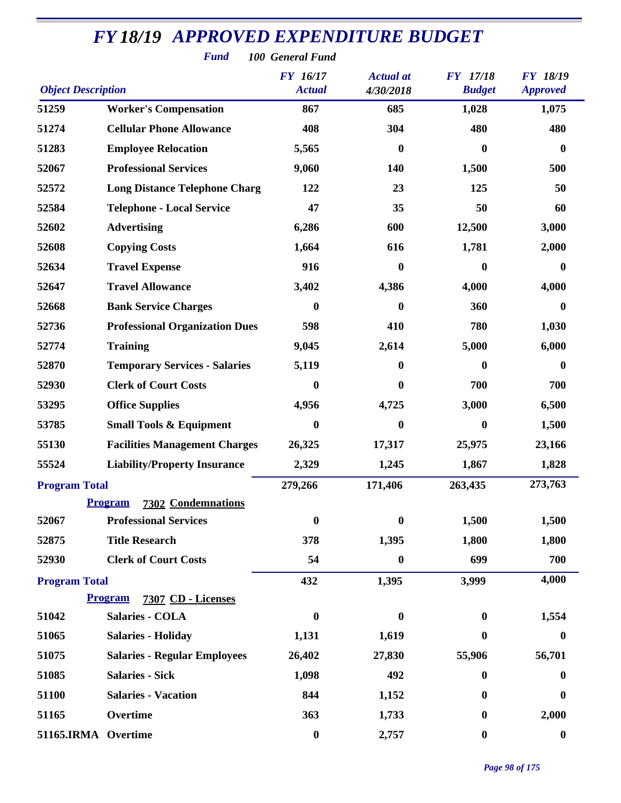|                           | <b>FY18/19 APPROVED EXPENDITURE BUDGET</b><br><b>Fund</b> | 100 General Fund |                  |                  |                  |
|---------------------------|-----------------------------------------------------------|------------------|------------------|------------------|------------------|
|                           |                                                           | <b>FY</b> 16/17  | <b>Actual</b> at | <b>FY</b> 17/18  | <b>FY 18/19</b>  |
| <b>Object Description</b> |                                                           | <b>Actual</b>    | 4/30/2018        | <b>Budget</b>    | <b>Approved</b>  |
| 51259                     | <b>Worker's Compensation</b>                              | 867              | 685              | 1,028            | 1,075            |
| 51274                     | <b>Cellular Phone Allowance</b>                           | 408              | 304              | 480              | 480              |
| 51283                     | <b>Employee Relocation</b>                                | 5,565            | $\boldsymbol{0}$ | $\mathbf{0}$     | $\boldsymbol{0}$ |
| 52067                     | <b>Professional Services</b>                              | 9,060            | 140              | 1,500            | 500              |
| 52572                     | <b>Long Distance Telephone Charg</b>                      | 122              | 23               | 125              | 50               |
| 52584                     | <b>Telephone - Local Service</b>                          | 47               | 35               | 50               | 60               |
| 52602                     | <b>Advertising</b>                                        | 6,286            | 600              | 12,500           | 3,000            |
| 52608                     | <b>Copying Costs</b>                                      | 1,664            | 616              | 1,781            | 2,000            |
| 52634                     | <b>Travel Expense</b>                                     | 916              | $\bf{0}$         | 0                | $\bf{0}$         |
| 52647                     | <b>Travel Allowance</b>                                   | 3,402            | 4,386            | 4,000            | 4,000            |
| 52668                     | <b>Bank Service Charges</b>                               | $\mathbf{0}$     | 0                | 360              | $\bf{0}$         |
| 52736                     | <b>Professional Organization Dues</b>                     | 598              | 410              | 780              | 1,030            |
| 52774                     | <b>Training</b>                                           | 9,045            | 2,614            | 5,000            | 6,000            |
| 52870                     | <b>Temporary Services - Salaries</b>                      | 5,119            | $\bf{0}$         | $\mathbf{0}$     | $\bf{0}$         |
| 52930                     | <b>Clerk of Court Costs</b>                               | $\bf{0}$         | 0                | 700              | 700              |
| 53295                     | <b>Office Supplies</b>                                    | 4,956            | 4,725            | 3,000            | 6,500            |
| 53785                     | <b>Small Tools &amp; Equipment</b>                        | $\mathbf{0}$     | $\bf{0}$         | $\bf{0}$         | 1,500            |
| 55130                     | <b>Facilities Management Charges</b>                      | 26,325           | 17,317           | 25,975           | 23,166           |
| 55524                     | <b>Liability/Property Insurance</b>                       | 2,329            | 1,245            | 1,867            | 1,828            |
| <b>Program Total</b>      |                                                           | 279,266          | 171,406          | 263,435          | 273,763          |
|                           | <b>Program</b><br><b>7302 Condemnations</b>               |                  |                  |                  |                  |
| 52067                     | <b>Professional Services</b>                              | $\bf{0}$         | $\boldsymbol{0}$ | 1,500            | 1,500            |
| 52875                     | <b>Title Research</b>                                     | 378              | 1,395            | 1,800            | 1,800            |
| 52930                     | <b>Clerk of Court Costs</b>                               | 54               | 0                | 699              | 700              |
| <b>Program Total</b>      |                                                           | 432              | 1,395            | 3,999            | 4,000            |
|                           | 7307 CD - Licenses<br><b>Program</b>                      |                  |                  |                  |                  |
| 51042                     | <b>Salaries - COLA</b>                                    | $\boldsymbol{0}$ | $\boldsymbol{0}$ | $\mathbf{0}$     | 1,554            |
| 51065                     | <b>Salaries - Holiday</b>                                 | 1,131            | 1,619            | $\bf{0}$         | $\boldsymbol{0}$ |
| 51075                     | <b>Salaries - Regular Employees</b>                       | 26,402           | 27,830           | 55,906           | 56,701           |
| 51085                     | <b>Salaries - Sick</b>                                    | 1,098            | 492              | $\bf{0}$         | $\bf{0}$         |
| 51100                     | <b>Salaries - Vacation</b>                                | 844              | 1,152            | $\mathbf{0}$     | $\boldsymbol{0}$ |
| 51165                     | Overtime                                                  | 363              | 1,733            | $\boldsymbol{0}$ | 2,000            |
| 51165.IRMA Overtime       |                                                           | $\boldsymbol{0}$ | 2,757            | $\boldsymbol{0}$ | $\boldsymbol{0}$ |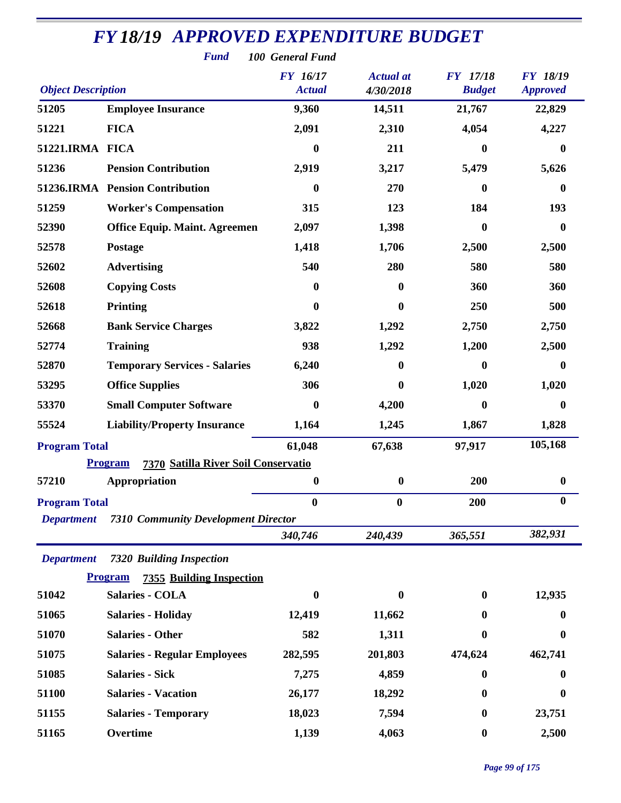|                           | <b>Fund</b>                                           | 100 General Fund          |                               |                                  |                                    |
|---------------------------|-------------------------------------------------------|---------------------------|-------------------------------|----------------------------------|------------------------------------|
| <b>Object Description</b> |                                                       | FY 16/17<br><b>Actual</b> | <b>Actual</b> at<br>4/30/2018 | <b>FY</b> 17/18<br><b>Budget</b> | <b>FY 18/19</b><br><b>Approved</b> |
| 51205                     | <b>Employee Insurance</b>                             | 9,360                     | 14,511                        | 21,767                           | 22,829                             |
| 51221                     | <b>FICA</b>                                           | 2,091                     | 2,310                         | 4,054                            | 4,227                              |
| 51221.IRMA FICA           |                                                       | $\boldsymbol{0}$          | 211                           | $\bf{0}$                         | $\boldsymbol{0}$                   |
| 51236                     | <b>Pension Contribution</b>                           | 2,919                     | 3,217                         | 5,479                            | 5,626                              |
|                           | 51236.IRMA Pension Contribution                       | $\boldsymbol{0}$          | 270                           | $\boldsymbol{0}$                 | $\bf{0}$                           |
| 51259                     | <b>Worker's Compensation</b>                          | 315                       | 123                           | 184                              | 193                                |
| 52390                     | <b>Office Equip. Maint. Agreemen</b>                  | 2,097                     | 1,398                         | $\bf{0}$                         | $\bf{0}$                           |
| 52578                     | Postage                                               | 1,418                     | 1,706                         | 2,500                            | 2,500                              |
| 52602                     | <b>Advertising</b>                                    | 540                       | 280                           | 580                              | 580                                |
| 52608                     | <b>Copying Costs</b>                                  | 0                         | $\bf{0}$                      | 360                              | 360                                |
| 52618                     | <b>Printing</b>                                       | 0                         | $\bf{0}$                      | 250                              | 500                                |
| 52668                     | <b>Bank Service Charges</b>                           | 3,822                     | 1,292                         | 2,750                            | 2,750                              |
| 52774                     | <b>Training</b>                                       | 938                       | 1,292                         | 1,200                            | 2,500                              |
| 52870                     | <b>Temporary Services - Salaries</b>                  | 6,240                     | 0                             | $\boldsymbol{0}$                 | $\boldsymbol{0}$                   |
| 53295                     | <b>Office Supplies</b>                                | 306                       | 0                             | 1,020                            | 1,020                              |
| 53370                     | <b>Small Computer Software</b>                        | $\boldsymbol{0}$          | 4,200                         | $\boldsymbol{0}$                 | $\bf{0}$                           |
| 55524                     | <b>Liability/Property Insurance</b>                   | 1,164                     | 1,245                         | 1,867                            | 1,828                              |
| <b>Program Total</b>      |                                                       | 61,048                    | 67,638                        | 97,917                           | 105,168                            |
|                           | <b>Program</b><br>7370 Satilla River Soil Conservatio |                           |                               |                                  |                                    |
| 57210                     | Appropriation                                         | $\boldsymbol{0}$          | $\boldsymbol{0}$              | 200                              | $\boldsymbol{0}$                   |
| <b>Program Total</b>      |                                                       | $\boldsymbol{0}$          | $\boldsymbol{0}$              | 200                              | $\bf{0}$                           |
| <b>Department</b>         | <b>7310 Community Development Director</b>            |                           |                               |                                  |                                    |
|                           |                                                       | 340,746                   | 240,439                       | 365,551                          | 382,931                            |
| <b>Department</b>         | <b>7320 Building Inspection</b>                       |                           |                               |                                  |                                    |
|                           | <b>Program</b><br><b>7355 Building Inspection</b>     |                           |                               |                                  |                                    |
| 51042                     | <b>Salaries - COLA</b>                                | $\boldsymbol{0}$          | $\bf{0}$                      | $\bf{0}$                         | 12,935                             |
| 51065                     | <b>Salaries - Holiday</b>                             | 12,419                    | 11,662                        | 0                                | 0                                  |
| 51070                     | <b>Salaries - Other</b>                               | 582                       | 1,311                         | $\boldsymbol{0}$                 | $\boldsymbol{0}$                   |
| 51075                     | <b>Salaries - Regular Employees</b>                   | 282,595                   | 201,803                       | 474,624                          | 462,741                            |
| 51085                     | <b>Salaries - Sick</b>                                | 7,275                     | 4,859                         | $\bf{0}$                         | 0                                  |
| 51100                     | <b>Salaries - Vacation</b>                            | 26,177                    | 18,292                        | $\bf{0}$                         | $\bf{0}$                           |
| 51155                     | <b>Salaries - Temporary</b>                           | 18,023                    | 7,594                         | $\bf{0}$                         | 23,751                             |
| 51165                     | Overtime                                              | 1,139                     | 4,063                         | $\boldsymbol{0}$                 | 2,500                              |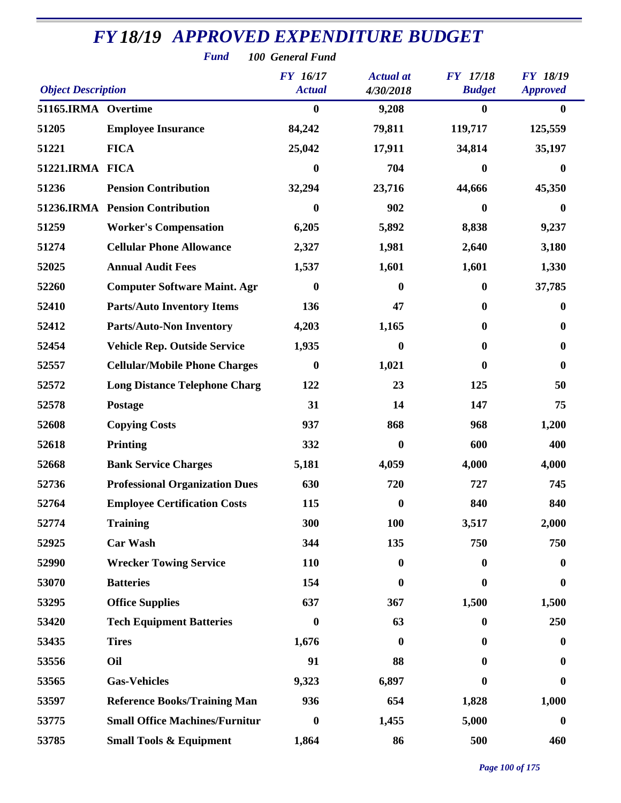| <b>Fund</b><br>100 General Fund |                                       |                                  |                               |                                  |                                    |  |  |  |
|---------------------------------|---------------------------------------|----------------------------------|-------------------------------|----------------------------------|------------------------------------|--|--|--|
| <b>Object Description</b>       |                                       | <b>FY</b> 16/17<br><b>Actual</b> | <b>Actual</b> at<br>4/30/2018 | <b>FY</b> 17/18<br><b>Budget</b> | <b>FY 18/19</b><br><b>Approved</b> |  |  |  |
| 51165.IRMA Overtime             |                                       | $\boldsymbol{0}$                 | 9,208                         | $\boldsymbol{0}$                 | $\mathbf{0}$                       |  |  |  |
| 51205                           | <b>Employee Insurance</b>             | 84,242                           | 79,811                        | 119,717                          | 125,559                            |  |  |  |
| 51221                           | <b>FICA</b>                           | 25,042                           | 17,911                        | 34,814                           | 35,197                             |  |  |  |
| 51221.IRMA FICA                 |                                       | $\bf{0}$                         | 704                           | $\boldsymbol{0}$                 | $\bf{0}$                           |  |  |  |
| 51236                           | <b>Pension Contribution</b>           | 32,294                           | 23,716                        | 44,666                           | 45,350                             |  |  |  |
|                                 | 51236.IRMA Pension Contribution       | $\boldsymbol{0}$                 | 902                           | $\mathbf{0}$                     | $\bf{0}$                           |  |  |  |
| 51259                           | <b>Worker's Compensation</b>          | 6,205                            | 5,892                         | 8,838                            | 9,237                              |  |  |  |
| 51274                           | <b>Cellular Phone Allowance</b>       | 2,327                            | 1,981                         | 2,640                            | 3,180                              |  |  |  |
| 52025                           | <b>Annual Audit Fees</b>              | 1,537                            | 1,601                         | 1,601                            | 1,330                              |  |  |  |
| 52260                           | <b>Computer Software Maint. Agr</b>   | $\boldsymbol{0}$                 | $\mathbf{0}$                  | $\boldsymbol{0}$                 | 37,785                             |  |  |  |
| 52410                           | <b>Parts/Auto Inventory Items</b>     | 136                              | 47                            | $\bf{0}$                         | $\bf{0}$                           |  |  |  |
| 52412                           | <b>Parts/Auto-Non Inventory</b>       | 4,203                            | 1,165                         | $\bf{0}$                         | $\bf{0}$                           |  |  |  |
| 52454                           | <b>Vehicle Rep. Outside Service</b>   | 1,935                            | $\boldsymbol{0}$              | $\boldsymbol{0}$                 | $\bf{0}$                           |  |  |  |
| 52557                           | <b>Cellular/Mobile Phone Charges</b>  | $\boldsymbol{0}$                 | 1,021                         | 0                                | $\bf{0}$                           |  |  |  |
| 52572                           | <b>Long Distance Telephone Charg</b>  | 122                              | 23                            | 125                              | 50                                 |  |  |  |
| 52578                           | <b>Postage</b>                        | 31                               | 14                            | 147                              | 75                                 |  |  |  |
| 52608                           | <b>Copying Costs</b>                  | 937                              | 868                           | 968                              | 1,200                              |  |  |  |
| 52618                           | Printing                              | 332                              | $\mathbf{0}$                  | 600                              | 400                                |  |  |  |
| 52668                           | <b>Bank Service Charges</b>           | 5,181                            | 4,059                         | 4,000                            | 4,000                              |  |  |  |
| 52736                           | <b>Professional Organization Dues</b> | 630                              | 720                           | 727                              | 745                                |  |  |  |
| 52764                           | <b>Employee Certification Costs</b>   | 115                              | $\boldsymbol{0}$              | 840                              | 840                                |  |  |  |
| 52774                           | <b>Training</b>                       | 300                              | <b>100</b>                    | 3,517                            | 2,000                              |  |  |  |
| 52925                           | <b>Car Wash</b>                       | 344                              | 135                           | 750                              | 750                                |  |  |  |
| 52990                           | <b>Wrecker Towing Service</b>         | 110                              | $\boldsymbol{0}$              | $\boldsymbol{0}$                 | $\boldsymbol{0}$                   |  |  |  |
| 53070                           | <b>Batteries</b>                      | 154                              | $\boldsymbol{0}$              | $\boldsymbol{0}$                 | $\boldsymbol{0}$                   |  |  |  |
| 53295                           | <b>Office Supplies</b>                | 637                              | 367                           | 1,500                            | 1,500                              |  |  |  |
| 53420                           | <b>Tech Equipment Batteries</b>       | $\bf{0}$                         | 63                            | $\bf{0}$                         | 250                                |  |  |  |
| 53435                           | <b>Tires</b>                          | 1,676                            | $\boldsymbol{0}$              | $\bf{0}$                         | $\bf{0}$                           |  |  |  |
| 53556                           | Oil                                   | 91                               | 88                            | 0                                | $\bf{0}$                           |  |  |  |
| 53565                           | <b>Gas-Vehicles</b>                   | 9,323                            | 6,897                         | 0                                | $\bf{0}$                           |  |  |  |
| 53597                           | <b>Reference Books/Training Man</b>   | 936                              | 654                           | 1,828                            | 1,000                              |  |  |  |
| 53775                           | <b>Small Office Machines/Furnitur</b> | $\boldsymbol{0}$                 | 1,455                         | 5,000                            | $\boldsymbol{0}$                   |  |  |  |
| 53785                           | <b>Small Tools &amp; Equipment</b>    | 1,864                            | 86                            | 500                              | 460                                |  |  |  |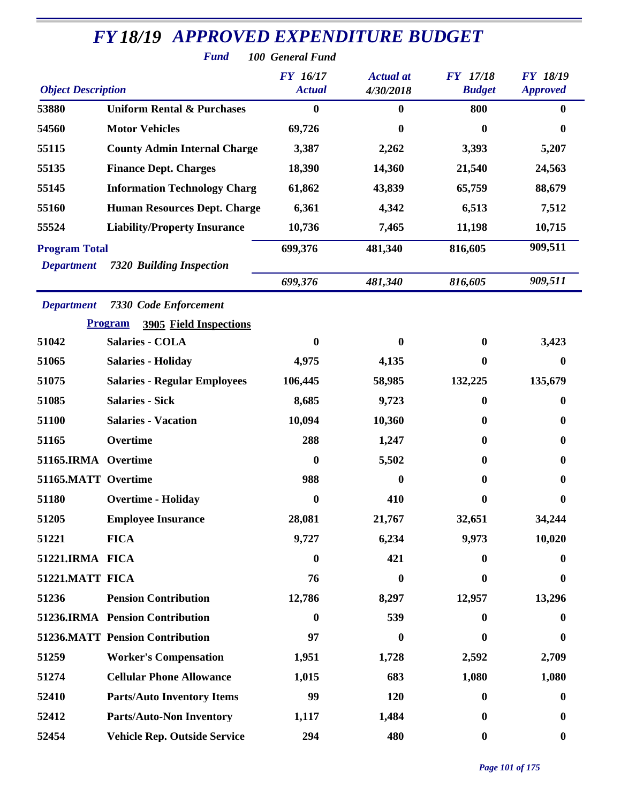| <b>FY 18/19 APPROVED EXPENDITURE BUDGET</b> |                                                 |                 |                  |                  |                  |  |  |  |  |
|---------------------------------------------|-------------------------------------------------|-----------------|------------------|------------------|------------------|--|--|--|--|
| <b>Fund</b><br>100 General Fund             |                                                 |                 |                  |                  |                  |  |  |  |  |
|                                             |                                                 | <b>FY 16/17</b> | <b>Actual</b> at | <b>FY</b> 17/18  | <b>FY 18/19</b>  |  |  |  |  |
| <b>Object Description</b>                   |                                                 | <b>Actual</b>   | 4/30/2018        | <b>Budget</b>    | <b>Approved</b>  |  |  |  |  |
| 53880                                       | <b>Uniform Rental &amp; Purchases</b>           | $\bf{0}$        | $\boldsymbol{0}$ | 800              | $\mathbf{0}$     |  |  |  |  |
| 54560                                       | <b>Motor Vehicles</b>                           | 69,726          | 0                | 0                | $\bf{0}$         |  |  |  |  |
| 55115                                       | <b>County Admin Internal Charge</b>             | 3,387           | 2,262            | 3,393            | 5,207            |  |  |  |  |
| 55135                                       | <b>Finance Dept. Charges</b>                    | 18,390          | 14,360           | 21,540           | 24,563           |  |  |  |  |
| 55145                                       | <b>Information Technology Charg</b>             | 61,862          | 43,839           | 65,759           | 88,679           |  |  |  |  |
| 55160                                       | <b>Human Resources Dept. Charge</b>             | 6,361           | 4,342            | 6,513            | 7,512            |  |  |  |  |
| 55524                                       | <b>Liability/Property Insurance</b>             | 10,736          | 7,465            | 11,198           | 10,715           |  |  |  |  |
| <b>Program Total</b>                        |                                                 | 699,376         | 481,340          | 816,605          | 909,511          |  |  |  |  |
| <b>Department</b>                           | <b>7320 Building Inspection</b>                 |                 |                  |                  |                  |  |  |  |  |
|                                             |                                                 | 699,376         | 481,340          | 816,605          | 909,511          |  |  |  |  |
| <b>Department</b>                           | <b>7330 Code Enforcement</b>                    |                 |                  |                  |                  |  |  |  |  |
|                                             | <b>Program</b><br><b>3905 Field Inspections</b> |                 |                  |                  |                  |  |  |  |  |
| 51042                                       | <b>Salaries - COLA</b>                          | $\bf{0}$        | 0                | 0                | 3,423            |  |  |  |  |
| 51065                                       | <b>Salaries - Holiday</b>                       | 4,975           | 4,135            | $\bf{0}$         | $\bf{0}$         |  |  |  |  |
| 51075                                       | <b>Salaries - Regular Employees</b>             | 106,445         | 58,985           | 132,225          | 135,679          |  |  |  |  |
| 51085                                       | <b>Salaries - Sick</b>                          | 8,685           | 9,723            | $\mathbf{0}$     | $\bf{0}$         |  |  |  |  |
| 51100                                       | <b>Salaries - Vacation</b>                      | 10,094          | 10,360           | $\bf{0}$         | $\bf{0}$         |  |  |  |  |
| 51165                                       | Overtime                                        | 288             | 1,247            | 0                | $\boldsymbol{0}$ |  |  |  |  |
| 51165.IRMA Overtime                         |                                                 | $\bf{0}$        | 5,502            | 0                | 0                |  |  |  |  |
| 51165.MATT Overtime                         |                                                 | 988             | $\mathbf{0}$     | 0                | 0                |  |  |  |  |
| 51180                                       | <b>Overtime - Holiday</b>                       | $\bf{0}$        | 410              | $\bf{0}$         | $\boldsymbol{0}$ |  |  |  |  |
| 51205                                       | <b>Employee Insurance</b>                       | 28,081          | 21,767           | 32,651           | 34,244           |  |  |  |  |
| 51221                                       | <b>FICA</b>                                     | 9,727           | 6,234            | 9,973            | 10,020           |  |  |  |  |
| 51221.IRMA FICA                             |                                                 | $\bf{0}$        | 421              | $\mathbf{0}$     | 0                |  |  |  |  |
| 51221.MATT FICA                             |                                                 | 76              | 0                | 0                | 0                |  |  |  |  |
| 51236                                       | <b>Pension Contribution</b>                     | 12,786          | 8,297            | 12,957           | 13,296           |  |  |  |  |
|                                             | 51236.IRMA Pension Contribution                 | 0               | 539              | $\mathbf 0$      | $\bf{0}$         |  |  |  |  |
|                                             | <b>51236.MATT Pension Contribution</b>          | 97              | $\boldsymbol{0}$ | 0                | $\bf{0}$         |  |  |  |  |
| 51259                                       | <b>Worker's Compensation</b>                    | 1,951           | 1,728            | 2,592            | 2,709            |  |  |  |  |
| 51274                                       | <b>Cellular Phone Allowance</b>                 | 1,015           | 683              | 1,080            | 1,080            |  |  |  |  |
| 52410                                       | <b>Parts/Auto Inventory Items</b>               | 99              | 120              | $\mathbf{0}$     | $\bf{0}$         |  |  |  |  |
| 52412                                       | <b>Parts/Auto-Non Inventory</b>                 | 1,117           | 1,484            | $\mathbf{0}$     | $\bf{0}$         |  |  |  |  |
| 52454                                       | <b>Vehicle Rep. Outside Service</b>             | 294             | 480              | $\boldsymbol{0}$ | $\bf{0}$         |  |  |  |  |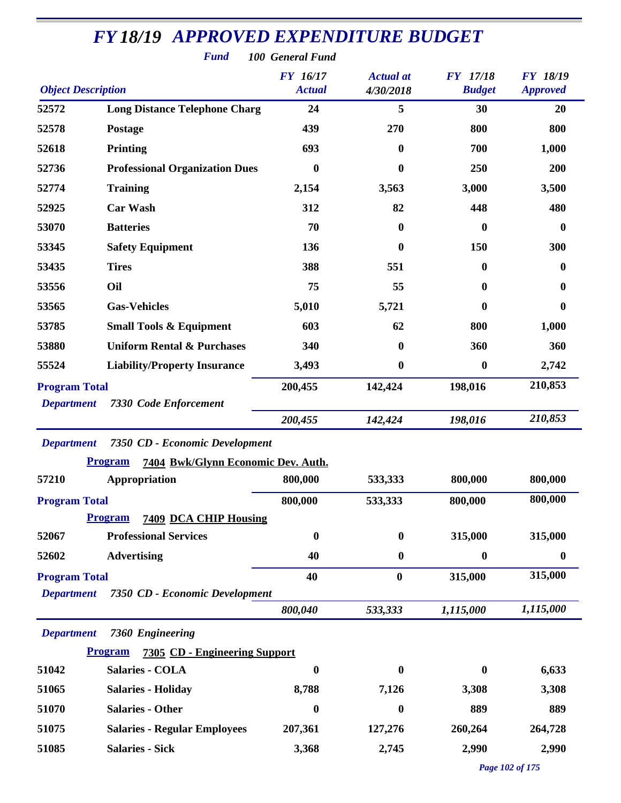| <b>Object Description</b> |                                                      | <b>FY</b> 16/17<br><b>Actual</b> | <b>Actual</b> at<br>4/30/2018 | <b>FY</b> 17/18<br><b>Budget</b> | <b>FY 18/19</b><br><b>Approved</b> |
|---------------------------|------------------------------------------------------|----------------------------------|-------------------------------|----------------------------------|------------------------------------|
| 52572                     | <b>Long Distance Telephone Charg</b>                 | 24                               | 5                             | 30                               | 20                                 |
| 52578                     | <b>Postage</b>                                       | 439                              | 270                           | 800                              | 800                                |
| 52618                     | <b>Printing</b>                                      | 693                              | $\mathbf{0}$                  | 700                              | 1,000                              |
| 52736                     | <b>Professional Organization Dues</b>                | $\bf{0}$                         | $\bf{0}$                      | 250                              | 200                                |
| 52774                     | <b>Training</b>                                      | 2,154                            | 3,563                         | 3,000                            | 3,500                              |
| 52925                     | <b>Car Wash</b>                                      | 312                              | 82                            | 448                              | 480                                |
| 53070                     | <b>Batteries</b>                                     | 70                               | $\mathbf{0}$                  | $\boldsymbol{0}$                 | $\bf{0}$                           |
| 53345                     | <b>Safety Equipment</b>                              | 136                              | $\boldsymbol{0}$              | 150                              | 300                                |
| 53435                     | <b>Tires</b>                                         | 388                              | 551                           | $\bf{0}$                         | 0                                  |
| 53556                     | Oil                                                  | 75                               | 55                            | $\bf{0}$                         | 0                                  |
| 53565                     | <b>Gas-Vehicles</b>                                  | 5,010                            | 5,721                         | 0                                | $\mathbf{0}$                       |
| 53785                     | <b>Small Tools &amp; Equipment</b>                   | 603                              | 62                            | 800                              | 1,000                              |
| 53880                     | <b>Uniform Rental &amp; Purchases</b>                | 340                              | $\boldsymbol{0}$              | 360                              | 360                                |
| 55524                     | <b>Liability/Property Insurance</b>                  | 3,493                            | $\boldsymbol{0}$              | $\boldsymbol{0}$                 | 2,742                              |
| <b>Program Total</b>      |                                                      | 200,455                          | 142,424                       | 198,016                          | 210,853                            |
| <b>Department</b>         | <b>7330 Code Enforcement</b>                         |                                  |                               |                                  |                                    |
|                           |                                                      | 200,455                          | 142,424                       | 198,016                          | 210,853                            |
| <b>Department</b>         | 7350 CD - Economic Development                       |                                  |                               |                                  |                                    |
|                           | 7404 Bwk/Glynn Economic Dev. Auth.<br><b>Program</b> |                                  |                               |                                  |                                    |
| 57210                     | Appropriation                                        | 800,000                          | 533,333                       | 800,000                          | 800,000                            |
| <b>Program Total</b>      |                                                      | 800,000                          | 533,333                       | 800,000                          | 800,000                            |
|                           | <b>Program</b><br>7409 DCA CHIP Housing              |                                  |                               |                                  |                                    |
| 52067                     | <b>Professional Services</b>                         | $\boldsymbol{0}$                 | $\bf{0}$                      | 315,000                          | 315,000                            |
| 52602                     | <b>Advertising</b>                                   | 40                               | $\boldsymbol{0}$              | $\boldsymbol{0}$                 | $\bf{0}$                           |
| <b>Program Total</b>      |                                                      | 40                               | $\bf{0}$                      | 315,000                          | 315,000                            |
| <b>Department</b>         | 7350 CD - Economic Development                       |                                  |                               |                                  |                                    |
|                           |                                                      | 800,040                          | 533,333                       | 1,115,000                        | 1,115,000                          |
| <b>Department</b>         | 7360 Engineering                                     |                                  |                               |                                  |                                    |
|                           | <b>Program</b><br>7305 CD - Engineering Support      |                                  |                               |                                  |                                    |
| 51042                     | <b>Salaries - COLA</b>                               | $\boldsymbol{0}$                 | $\mathbf{0}$                  | $\boldsymbol{0}$                 | 6,633                              |
| 51065                     | <b>Salaries - Holiday</b>                            | 8,788                            | 7,126                         | 3,308                            | 3,308                              |
| 51070                     | <b>Salaries - Other</b>                              | $\bf{0}$                         | $\boldsymbol{0}$              | 889                              | 889                                |
| 51075                     | <b>Salaries - Regular Employees</b>                  | 207,361                          | 127,276                       | 260,264                          | 264,728                            |
| 51085                     | <b>Salaries - Sick</b>                               | 3,368                            | 2,745                         | 2,990                            | 2,990                              |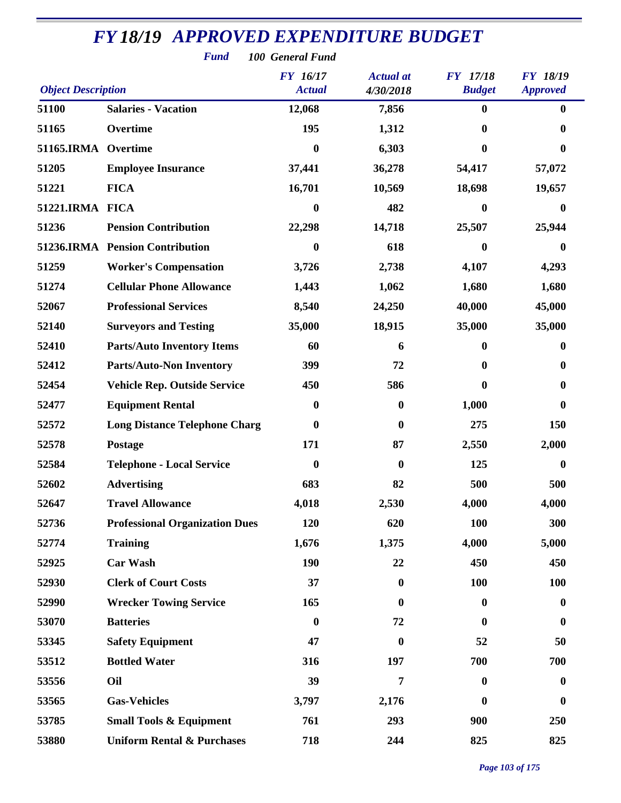| <b>Fund</b><br>100 General Fund |                                       |                                  |                               |                                  |                                    |  |  |  |
|---------------------------------|---------------------------------------|----------------------------------|-------------------------------|----------------------------------|------------------------------------|--|--|--|
| <b>Object Description</b>       |                                       | <b>FY</b> 16/17<br><b>Actual</b> | <b>Actual</b> at<br>4/30/2018 | <b>FY</b> 17/18<br><b>Budget</b> | <b>FY 18/19</b><br><b>Approved</b> |  |  |  |
| 51100                           | <b>Salaries - Vacation</b>            | 12,068                           | 7,856                         | $\boldsymbol{0}$                 | $\bf{0}$                           |  |  |  |
| 51165                           | Overtime                              | 195                              | 1,312                         | $\boldsymbol{0}$                 | 0                                  |  |  |  |
| 51165.IRMA Overtime             |                                       | $\boldsymbol{0}$                 | 6,303                         | 0                                | 0                                  |  |  |  |
| 51205                           | <b>Employee Insurance</b>             | 37,441                           | 36,278                        | 54,417                           | 57,072                             |  |  |  |
| 51221                           | <b>FICA</b>                           | 16,701                           | 10,569                        | 18,698                           | 19,657                             |  |  |  |
| 51221.IRMA FICA                 |                                       | $\boldsymbol{0}$                 | 482                           | $\boldsymbol{0}$                 | $\bf{0}$                           |  |  |  |
| 51236                           | <b>Pension Contribution</b>           | 22,298                           | 14,718                        | 25,507                           | 25,944                             |  |  |  |
|                                 | 51236.IRMA Pension Contribution       | $\bf{0}$                         | 618                           | 0                                | $\bf{0}$                           |  |  |  |
| 51259                           | <b>Worker's Compensation</b>          | 3,726                            | 2,738                         | 4,107                            | 4,293                              |  |  |  |
| 51274                           | <b>Cellular Phone Allowance</b>       | 1,443                            | 1,062                         | 1,680                            | 1,680                              |  |  |  |
| 52067                           | <b>Professional Services</b>          | 8,540                            | 24,250                        | 40,000                           | 45,000                             |  |  |  |
| 52140                           | <b>Surveyors and Testing</b>          | 35,000                           | 18,915                        | 35,000                           | 35,000                             |  |  |  |
| 52410                           | <b>Parts/Auto Inventory Items</b>     | 60                               | 6                             | $\boldsymbol{0}$                 | $\bf{0}$                           |  |  |  |
| 52412                           | <b>Parts/Auto-Non Inventory</b>       | 399                              | 72                            | 0                                | $\bf{0}$                           |  |  |  |
| 52454                           | <b>Vehicle Rep. Outside Service</b>   | 450                              | 586                           | 0                                | $\bf{0}$                           |  |  |  |
| 52477                           | <b>Equipment Rental</b>               | $\boldsymbol{0}$                 | $\bf{0}$                      | 1,000                            | $\boldsymbol{0}$                   |  |  |  |
| 52572                           | <b>Long Distance Telephone Charg</b>  | $\boldsymbol{0}$                 | $\mathbf{0}$                  | 275                              | 150                                |  |  |  |
| 52578                           | Postage                               | 171                              | 87                            | 2,550                            | 2,000                              |  |  |  |
| 52584                           | <b>Telephone - Local Service</b>      | $\boldsymbol{0}$                 | 0                             | 125                              | 0                                  |  |  |  |
| 52602                           | <b>Advertising</b>                    | 683                              | 82                            | 500                              | 500                                |  |  |  |
| 52647                           | <b>Travel Allowance</b>               | 4,018                            | 2,530                         | 4,000                            | 4,000                              |  |  |  |
| 52736                           | <b>Professional Organization Dues</b> | 120                              | 620                           | 100                              | 300                                |  |  |  |
| 52774                           | <b>Training</b>                       | 1,676                            | 1,375                         | 4,000                            | 5,000                              |  |  |  |
| 52925                           | <b>Car Wash</b>                       | 190                              | 22                            | 450                              | 450                                |  |  |  |
| 52930                           | <b>Clerk of Court Costs</b>           | 37                               | $\bf{0}$                      | 100                              | 100                                |  |  |  |
| 52990                           | <b>Wrecker Towing Service</b>         | 165                              | $\bf{0}$                      | $\boldsymbol{0}$                 | $\bf{0}$                           |  |  |  |
| 53070                           | <b>Batteries</b>                      | $\boldsymbol{0}$                 | 72                            | $\bf{0}$                         | $\boldsymbol{0}$                   |  |  |  |
| 53345                           | <b>Safety Equipment</b>               | 47                               | $\bf{0}$                      | 52                               | 50                                 |  |  |  |
| 53512                           | <b>Bottled Water</b>                  | 316                              | 197                           | 700                              | 700                                |  |  |  |
| 53556                           | Oil                                   | 39                               | 7                             | $\boldsymbol{0}$                 | $\bf{0}$                           |  |  |  |
| 53565                           | <b>Gas-Vehicles</b>                   | 3,797                            | 2,176                         | $\boldsymbol{0}$                 | $\boldsymbol{0}$                   |  |  |  |
| 53785                           | <b>Small Tools &amp; Equipment</b>    | 761                              | 293                           | 900                              | 250                                |  |  |  |
| 53880                           | <b>Uniform Rental &amp; Purchases</b> | 718                              | 244                           | 825                              | 825                                |  |  |  |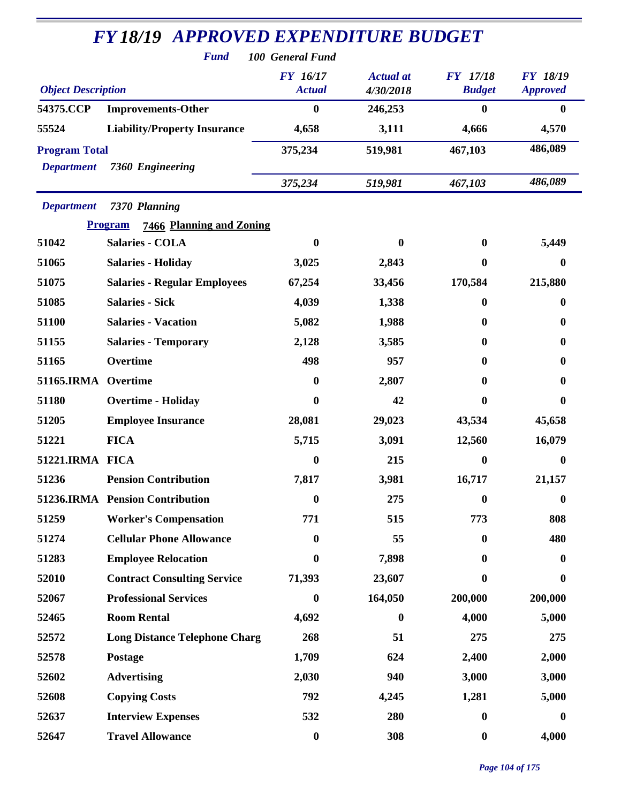| <b>FY 18/19 APPROVED EXPENDITURE BUDGET</b><br><b>Fund</b><br>100 General Fund |                                                                    |                                  |                               |                                  |                                    |  |
|--------------------------------------------------------------------------------|--------------------------------------------------------------------|----------------------------------|-------------------------------|----------------------------------|------------------------------------|--|
| <b>Object Description</b>                                                      |                                                                    | <b>FY</b> 16/17<br><b>Actual</b> | <b>Actual</b> at<br>4/30/2018 | <b>FY</b> 17/18<br><b>Budget</b> | <b>FY 18/19</b><br><b>Approved</b> |  |
| 54375.CCP                                                                      | <b>Improvements-Other</b>                                          | $\boldsymbol{0}$                 | 246,253                       | $\bf{0}$                         | $\bf{0}$                           |  |
| 55524                                                                          | <b>Liability/Property Insurance</b>                                | 4,658                            | 3,111                         | 4,666                            | 4,570                              |  |
| <b>Program Total</b><br><b>Department</b>                                      | 7360 Engineering                                                   | 375,234                          | 519,981                       | 467,103                          | 486,089                            |  |
|                                                                                |                                                                    | 375,234                          | 519,981                       | 467,103                          | 486,089                            |  |
| <b>Department</b>                                                              | 7370 Planning<br><b>Program</b><br><b>7466 Planning and Zoning</b> |                                  |                               |                                  |                                    |  |
| 51042                                                                          | <b>Salaries - COLA</b>                                             | 0                                | 0                             | $\mathbf{0}$                     | 5,449                              |  |
| 51065                                                                          | <b>Salaries - Holiday</b>                                          | 3,025                            | 2,843                         | $\mathbf{0}$                     | 0                                  |  |
| 51075                                                                          | <b>Salaries - Regular Employees</b>                                | 67,254                           | 33,456                        | 170,584                          | 215,880                            |  |
| 51085                                                                          | <b>Salaries - Sick</b>                                             | 4,039                            | 1,338                         | $\mathbf{0}$                     | $\bf{0}$                           |  |
| 51100                                                                          | <b>Salaries - Vacation</b>                                         | 5,082                            | 1,988                         | $\mathbf{0}$                     | $\mathbf{0}$                       |  |
| 51155                                                                          | <b>Salaries - Temporary</b>                                        | 2,128                            | 3,585                         | 0                                | 0                                  |  |
| 51165                                                                          | Overtime                                                           | 498                              | 957                           | 0                                | $\mathbf{0}$                       |  |
| 51165.IRMA                                                                     | Overtime                                                           | 0                                | 2,807                         | 0                                | 0                                  |  |
| 51180                                                                          | <b>Overtime - Holiday</b>                                          | 0                                | 42                            | $\mathbf{0}$                     | $\boldsymbol{0}$                   |  |
| 51205                                                                          | <b>Employee Insurance</b>                                          | 28,081                           | 29,023                        | 43,534                           | 45,658                             |  |
| 51221                                                                          | <b>FICA</b>                                                        | 5,715                            | 3,091                         | 12,560                           | 16,079                             |  |
| 51221.IRMA FICA                                                                |                                                                    | 0                                | 215                           | $\mathbf{0}$                     | 0                                  |  |
| 51236                                                                          | <b>Pension Contribution</b>                                        | 7,817                            | 3,981                         | 16,717                           | 21,157                             |  |
|                                                                                | 51236.IRMA Pension Contribution                                    | $\boldsymbol{0}$                 | 275                           | $\bf{0}$                         | $\boldsymbol{0}$                   |  |
| 51259                                                                          | <b>Worker's Compensation</b>                                       | 771                              | 515                           | 773                              | 808                                |  |
| 51274                                                                          | <b>Cellular Phone Allowance</b>                                    | 0                                | 55                            | $\mathbf{0}$                     | 480                                |  |
| 51283                                                                          | <b>Employee Relocation</b>                                         | 0                                | 7,898                         | $\mathbf{0}$                     | $\bf{0}$                           |  |
| 52010                                                                          | <b>Contract Consulting Service</b>                                 | 71,393                           | 23,607                        | $\mathbf{0}$                     | $\bf{0}$                           |  |
| 52067                                                                          | <b>Professional Services</b>                                       | 0                                | 164,050                       | 200,000                          | 200,000                            |  |
| 52465                                                                          | <b>Room Rental</b>                                                 | 4,692                            | $\boldsymbol{0}$              | 4,000                            | 5,000                              |  |
| 52572                                                                          | <b>Long Distance Telephone Charg</b>                               | 268                              | 51                            | 275                              | 275                                |  |
| 52578                                                                          | Postage                                                            | 1,709                            | 624                           | 2,400                            | 2,000                              |  |
| 52602                                                                          | <b>Advertising</b>                                                 | 2,030                            | 940                           | 3,000                            | 3,000                              |  |
| 52608                                                                          | <b>Copying Costs</b>                                               | 792                              | 4,245                         | 1,281                            | 5,000                              |  |
| 52637                                                                          | <b>Interview Expenses</b>                                          | 532                              | 280                           | $\bf{0}$                         | $\bf{0}$                           |  |
| 52647                                                                          | <b>Travel Allowance</b>                                            | $\boldsymbol{0}$                 | 308                           | $\boldsymbol{0}$                 | 4,000                              |  |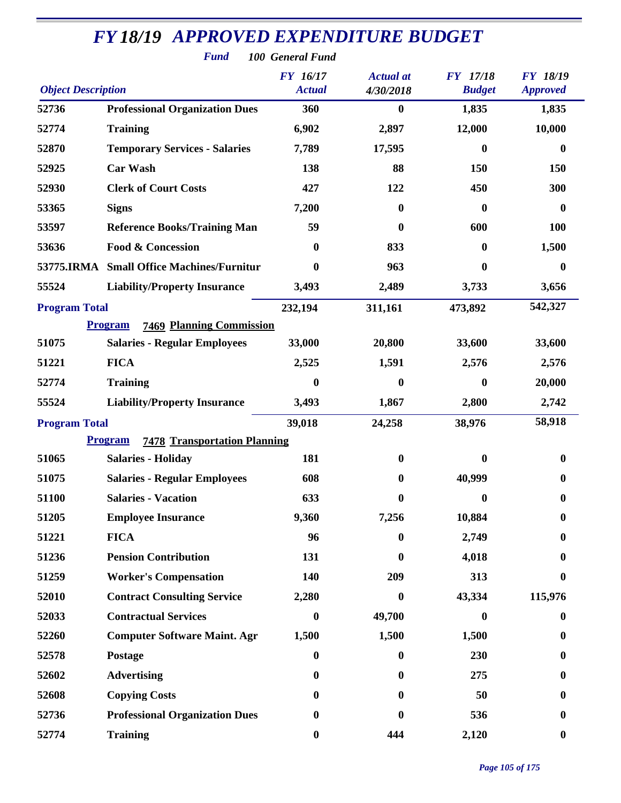| <b>Fund</b><br>100 General Fund |                                                       |                                  |                               |                                  |                                    |  |
|---------------------------------|-------------------------------------------------------|----------------------------------|-------------------------------|----------------------------------|------------------------------------|--|
| <b>Object Description</b>       |                                                       | <b>FY</b> 16/17<br><b>Actual</b> | <b>Actual</b> at<br>4/30/2018 | <b>FY</b> 17/18<br><b>Budget</b> | <b>FY 18/19</b><br><b>Approved</b> |  |
| 52736                           | <b>Professional Organization Dues</b>                 | 360                              | $\bf{0}$                      | 1,835                            | 1,835                              |  |
| 52774                           | <b>Training</b>                                       | 6,902                            | 2,897                         | 12,000                           | 10,000                             |  |
| 52870                           | <b>Temporary Services - Salaries</b>                  | 7,789                            | 17,595                        | 0                                | $\mathbf{0}$                       |  |
| 52925                           | <b>Car Wash</b>                                       | 138                              | 88                            | 150                              | 150                                |  |
| 52930                           | <b>Clerk of Court Costs</b>                           | 427                              | 122                           | 450                              | 300                                |  |
| 53365                           | <b>Signs</b>                                          | 7,200                            | $\mathbf{0}$                  | 0                                | 0                                  |  |
| 53597                           | <b>Reference Books/Training Man</b>                   | 59                               | $\mathbf{0}$                  | 600                              | 100                                |  |
| 53636                           | <b>Food &amp; Concession</b>                          | $\bf{0}$                         | 833                           | $\boldsymbol{0}$                 | 1,500                              |  |
|                                 | 53775.IRMA Small Office Machines/Furnitur             | $\bf{0}$                         | 963                           | 0                                | $\mathbf{0}$                       |  |
| 55524                           | <b>Liability/Property Insurance</b>                   | 3,493                            | 2,489                         | 3,733                            | 3,656                              |  |
| <b>Program Total</b>            |                                                       | 232,194                          | 311,161                       | 473,892                          | 542,327                            |  |
|                                 | <b>7469 Planning Commission</b><br><b>Program</b>     |                                  |                               |                                  |                                    |  |
| 51075                           | <b>Salaries - Regular Employees</b>                   | 33,000                           | 20,800                        | 33,600                           | 33,600                             |  |
| 51221                           | <b>FICA</b>                                           | 2,525                            | 1,591                         | 2,576                            | 2,576                              |  |
| 52774                           | <b>Training</b>                                       | $\boldsymbol{0}$                 | $\bf{0}$                      | $\bf{0}$                         | 20,000                             |  |
| 55524                           | <b>Liability/Property Insurance</b>                   | 3,493                            | 1,867                         | 2,800                            | 2,742                              |  |
| <b>Program Total</b>            |                                                       | 39,018                           | 24,258                        | 38,976                           | 58,918                             |  |
|                                 | <b>Program</b><br><b>7478 Transportation Planning</b> |                                  |                               |                                  |                                    |  |
| 51065                           | <b>Salaries - Holiday</b>                             | 181                              | $\bf{0}$                      | 0                                | $\bf{0}$                           |  |
| 51075                           | <b>Salaries - Regular Employees</b>                   | 608                              | $\boldsymbol{0}$              | 40,999                           | $\boldsymbol{0}$                   |  |
| 51100                           | <b>Salaries - Vacation</b>                            | 633                              | $\boldsymbol{0}$              | $\bf{0}$                         | $\mathbf{0}$                       |  |
| 51205                           | <b>Employee Insurance</b>                             | 9,360                            | 7,256                         | 10,884                           |                                    |  |
| 51221                           | <b>FICA</b>                                           | 96                               | $\bf{0}$                      | 2,749                            | 0                                  |  |
| 51236                           | <b>Pension Contribution</b>                           | 131                              | $\mathbf{0}$                  | 4,018                            |                                    |  |
| 51259                           | <b>Worker's Compensation</b>                          | 140                              | 209                           | 313                              | 0                                  |  |
| 52010                           | <b>Contract Consulting Service</b>                    | 2,280                            | $\mathbf{0}$                  | 43,334                           | 115,976                            |  |
| 52033                           | <b>Contractual Services</b>                           | $\bf{0}$                         | 49,700                        | 0                                | $\bf{0}$                           |  |
| 52260                           | <b>Computer Software Maint. Agr</b>                   | 1,500                            | 1,500                         | 1,500                            | 0                                  |  |
| 52578                           | Postage                                               | $\boldsymbol{0}$                 | $\bf{0}$                      | 230                              | 0                                  |  |
| 52602                           | <b>Advertising</b>                                    | $\boldsymbol{0}$                 | $\mathbf{0}$                  | 275                              | 0                                  |  |
| 52608                           | <b>Copying Costs</b>                                  | $\bf{0}$                         | $\mathbf{0}$                  | 50                               | 0                                  |  |
| 52736                           | <b>Professional Organization Dues</b>                 | $\boldsymbol{0}$                 | 0                             | 536                              | 0                                  |  |
| 52774                           | <b>Training</b>                                       | $\boldsymbol{0}$                 | 444                           | 2,120                            | $\bf{0}$                           |  |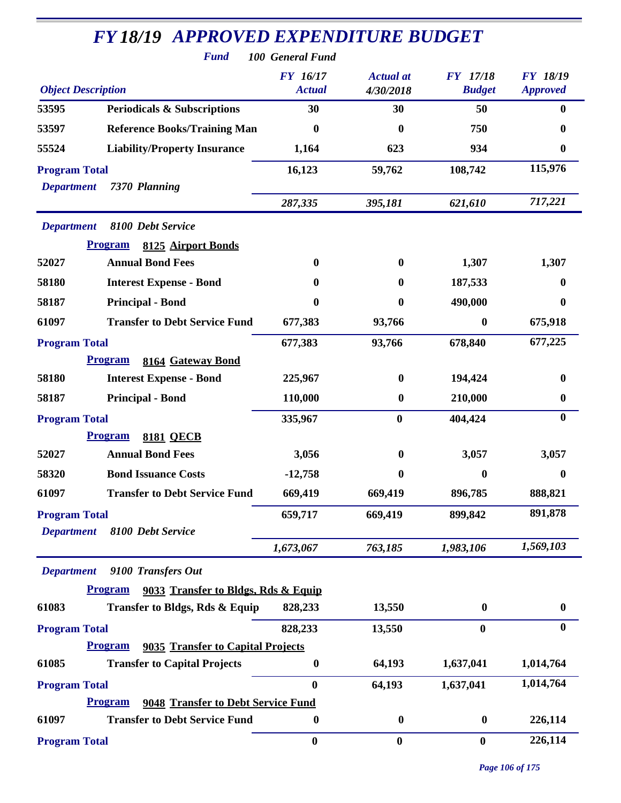|                                           | <b>Fund</b>                                                                 | <b>100 General Fund</b>          |                               |                                  |                                    |
|-------------------------------------------|-----------------------------------------------------------------------------|----------------------------------|-------------------------------|----------------------------------|------------------------------------|
| <b>Object Description</b>                 |                                                                             | <b>FY</b> 16/17<br><b>Actual</b> | <b>Actual</b> at<br>4/30/2018 | <b>FY</b> 17/18<br><b>Budget</b> | <b>FY 18/19</b><br><b>Approved</b> |
| 53595                                     | <b>Periodicals &amp; Subscriptions</b>                                      | 30                               | 30                            | 50                               | $\mathbf{0}$                       |
| 53597                                     | <b>Reference Books/Training Man</b>                                         | $\bf{0}$                         | 0                             | 750                              | 0                                  |
| 55524                                     | <b>Liability/Property Insurance</b>                                         | 1,164                            | 623                           | 934                              | $\bf{0}$                           |
| <b>Program Total</b><br><b>Department</b> | 7370 Planning                                                               | 16,123                           | 59,762                        | 108,742                          | 115,976                            |
|                                           |                                                                             | 287,335                          | 395,181                       | 621,610                          | 717,221                            |
| <b>Department</b>                         | 8100 Debt Service<br><b>Program</b><br>8125 Airport Bonds                   |                                  |                               |                                  |                                    |
| 52027                                     | <b>Annual Bond Fees</b>                                                     | $\bf{0}$                         | $\mathbf{0}$                  | 1,307                            | 1,307                              |
| 58180                                     | <b>Interest Expense - Bond</b>                                              | 0                                | $\mathbf{0}$                  | 187,533                          | 0                                  |
| 58187                                     | <b>Principal - Bond</b>                                                     | 0                                | $\bf{0}$                      | 490,000                          | $\mathbf{0}$                       |
| 61097                                     | <b>Transfer to Debt Service Fund</b>                                        | 677,383                          | 93,766                        | $\boldsymbol{0}$                 | 675,918                            |
| <b>Program Total</b>                      |                                                                             | 677,383                          | 93,766                        | 678,840                          | 677,225                            |
|                                           | <b>Program</b><br>8164 Gateway Bond                                         |                                  |                               |                                  |                                    |
| 58180                                     | <b>Interest Expense - Bond</b>                                              | 225,967                          | $\bf{0}$                      | 194,424                          | 0                                  |
| 58187                                     | <b>Principal - Bond</b>                                                     | 110,000                          | $\bf{0}$                      | 210,000                          | $\bf{0}$                           |
| <b>Program Total</b>                      |                                                                             | 335,967                          | $\bf{0}$                      | 404,424                          | $\boldsymbol{0}$                   |
|                                           | <b>Program</b><br><b>8181 OECB</b>                                          |                                  |                               |                                  |                                    |
| 52027                                     | <b>Annual Bond Fees</b>                                                     | 3,056                            | $\bf{0}$                      | 3,057                            | 3,057                              |
| 58320                                     | <b>Bond Issuance Costs</b>                                                  | $-12,758$                        | 0                             | $\boldsymbol{0}$                 | 0                                  |
| 61097                                     | <b>Transfer to Debt Service Fund</b>                                        | 669,419                          | 669,419                       | 896,785                          | 888,821                            |
| <b>Program Total</b><br><b>Department</b> | 8100 Debt Service                                                           | 659,717                          | 669,419                       | 899,842                          | 891,878                            |
|                                           |                                                                             | 1,673,067                        | 763,185                       | 1,983,106                        | 1,569,103                          |
| <b>Department</b>                         | 9100 Transfers Out<br><b>Program</b><br>9033 Transfer to Bldgs, Rds & Equip |                                  |                               |                                  |                                    |
| 61083                                     | Transfer to Bldgs, Rds & Equip                                              | 828,233                          | 13,550                        | $\bf{0}$                         | $\bf{0}$                           |
| <b>Program Total</b>                      |                                                                             | 828,233                          | 13,550                        | $\bf{0}$                         | $\bf{0}$                           |
|                                           | 9035 Transfer to Capital Projects<br><b>Program</b>                         |                                  |                               |                                  |                                    |
| 61085                                     | <b>Transfer to Capital Projects</b>                                         | $\boldsymbol{0}$                 | 64,193                        | 1,637,041                        | 1,014,764                          |
| <b>Program Total</b>                      |                                                                             | $\boldsymbol{0}$                 | 64,193                        | 1,637,041                        | 1,014,764                          |
|                                           | <b>Program</b><br>9048 Transfer to Debt Service Fund                        |                                  |                               |                                  |                                    |
| 61097                                     | <b>Transfer to Debt Service Fund</b>                                        | 0                                | $\boldsymbol{0}$              | $\bf{0}$                         | 226,114                            |
| <b>Program Total</b>                      |                                                                             | $\bf{0}$                         | $\bf{0}$                      | $\bf{0}$                         | 226,114                            |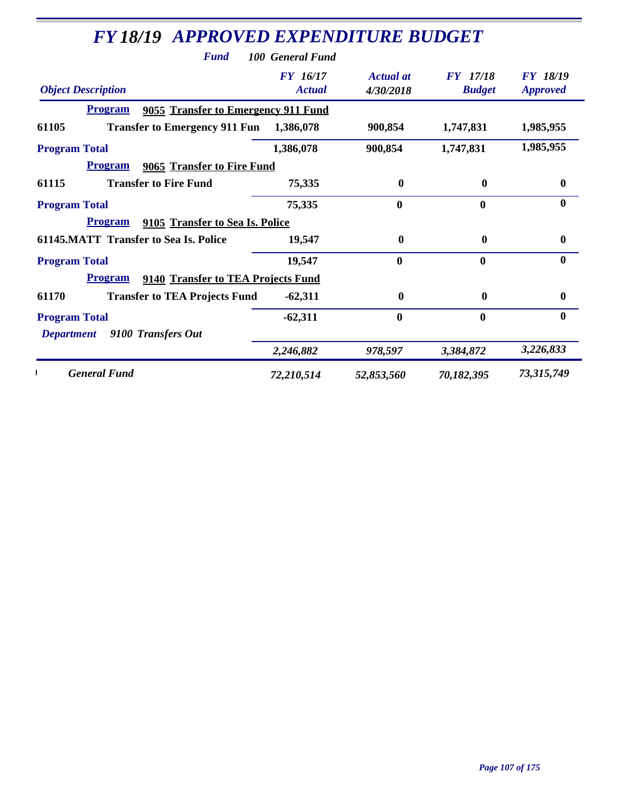| <b>FY 18/19 APPROVED EXPENDITURE BUDGET</b>           |                                  |                        |                                  |                                    |
|-------------------------------------------------------|----------------------------------|------------------------|----------------------------------|------------------------------------|
| <b>Fund</b>                                           | 100 General Fund                 |                        |                                  |                                    |
| <b>Object Description</b>                             | <b>FY</b> 16/17<br><b>Actual</b> | Actual at<br>4/30/2018 | <b>FY</b> 17/18<br><b>Budget</b> | <b>FY 18/19</b><br><b>Approved</b> |
| 9055 Transfer to Emergency 911 Fund<br><b>Program</b> |                                  |                        |                                  |                                    |
| 61105<br><b>Transfer to Emergency 911 Fun</b>         | 1,386,078                        | 900,854                | 1,747,831                        | 1,985,955                          |
| <b>Program Total</b>                                  | 1,386,078                        | 900,854                | 1,747,831                        | 1,985,955                          |
| <b>Program</b><br>9065 Transfer to Fire Fund          |                                  |                        |                                  |                                    |
| <b>Transfer to Fire Fund</b><br>61115                 | 75,335                           | $\boldsymbol{0}$       | $\bf{0}$                         | $\bf{0}$                           |
| <b>Program Total</b>                                  | 75,335                           | $\bf{0}$               | $\mathbf{0}$                     | $\bf{0}$                           |
| <b>Program</b><br>9105 Transfer to Sea Is. Police     |                                  |                        |                                  |                                    |
| <b>61145.MATT Transfer to Sea Is. Police</b>          | 19,547                           | $\bf{0}$               | $\bf{0}$                         | $\boldsymbol{0}$                   |
| <b>Program Total</b>                                  | 19,547                           | $\bf{0}$               | $\mathbf{0}$                     | $\bf{0}$                           |
| <b>Program</b><br>9140 Transfer to TEA Projects Fund  |                                  |                        |                                  |                                    |
| 61170<br><b>Transfer to TEA Projects Fund</b>         | $-62,311$                        | $\mathbf{0}$           | 0                                | $\bf{0}$                           |
| <b>Program Total</b>                                  | $-62,311$                        | $\boldsymbol{0}$       | $\bf{0}$                         | $\bf{0}$                           |
| 9100 Transfers Out<br><b>Department</b>               |                                  |                        |                                  |                                    |
|                                                       | 2,246,882                        | 978,597                | 3,384,872                        | 3,226,833                          |
| <b>General Fund</b>                                   | 72,210,514                       | 52,853,560             | 70,182,395                       | 73,315,749                         |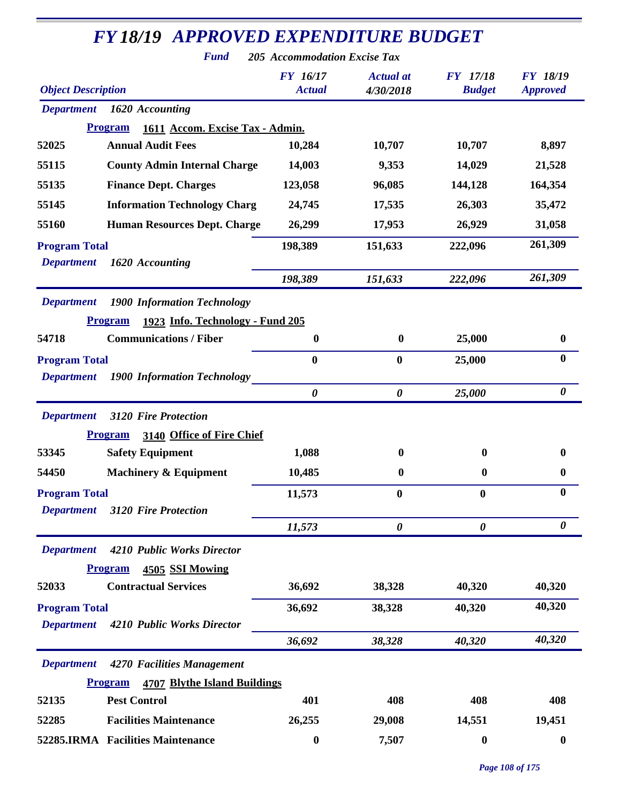| <b>FY18/19 APPROVED EXPENDITURE BUDGET</b><br><b>Fund</b> | <b>205 Accommodation Excise Tax</b> |                               |                                  |                                    |
|-----------------------------------------------------------|-------------------------------------|-------------------------------|----------------------------------|------------------------------------|
| <b>Object Description</b>                                 | <b>FY</b> 16/17<br><b>Actual</b>    | <b>Actual</b> at<br>4/30/2018 | <b>FY</b> 17/18<br><b>Budget</b> | <b>FY 18/19</b><br><b>Approved</b> |
| <b>Department</b><br>1620 Accounting                      |                                     |                               |                                  |                                    |
| <b>Program</b><br>1611 Accom. Excise Tax - Admin.         |                                     |                               |                                  |                                    |
| <b>Annual Audit Fees</b><br>52025                         | 10,284                              | 10,707                        | 10,707                           | 8,897                              |
| 55115<br><b>County Admin Internal Charge</b>              | 14,003                              | 9,353                         | 14,029                           | 21,528                             |
| <b>Finance Dept. Charges</b><br>55135                     | 123,058                             | 96,085                        | 144,128                          | 164,354                            |
| 55145<br><b>Information Technology Charg</b>              | 24,745                              | 17,535                        | 26,303                           | 35,472                             |
| <b>Human Resources Dept. Charge</b><br>55160              | 26,299                              | 17,953                        | 26,929                           | 31,058                             |
| <b>Program Total</b>                                      | 198,389                             | 151,633                       | 222,096                          | 261,309                            |
| 1620 Accounting<br><b>Department</b>                      |                                     |                               |                                  |                                    |
|                                                           | 198,389                             | 151,633                       | 222,096                          | 261,309                            |
| <b>1900 Information Technology</b><br><b>Department</b>   |                                     |                               |                                  |                                    |
| 1923 Info. Technology - Fund 205<br><b>Program</b>        |                                     |                               |                                  |                                    |
| <b>Communications / Fiber</b><br>54718                    | $\boldsymbol{0}$                    | $\bf{0}$                      | 25,000                           | $\boldsymbol{0}$                   |
| <b>Program Total</b>                                      | $\boldsymbol{0}$                    | $\bf{0}$                      | 25,000                           | $\bf{0}$                           |
| <b>1900 Information Technology</b><br><b>Department</b>   |                                     |                               |                                  |                                    |
|                                                           | $\boldsymbol{\theta}$               | $\boldsymbol{\theta}$         | 25,000                           | $\boldsymbol{\theta}$              |
| <b>Department</b><br><b>3120 Fire Protection</b>          |                                     |                               |                                  |                                    |
| 3140 Office of Fire Chief<br><b>Program</b>               |                                     |                               |                                  |                                    |
| <b>Safety Equipment</b><br>53345                          | 1,088                               | $\bf{0}$                      | $\bf{0}$                         | 0                                  |
| 54450<br><b>Machinery &amp; Equipment</b>                 | 10,485                              | $\bf{0}$                      | $\boldsymbol{0}$                 | $\bf{0}$                           |
| <b>Program Total</b>                                      | 11,573                              | $\boldsymbol{0}$              | 0                                | $\boldsymbol{0}$                   |
| <b>Department</b><br><b>3120 Fire Protection</b>          |                                     |                               |                                  | $\boldsymbol{\theta}$              |
|                                                           | 11,573                              | $\boldsymbol{\theta}$         | $\boldsymbol{\theta}$            |                                    |
| <b>Department</b><br>4210 Public Works Director           |                                     |                               |                                  |                                    |
| <b>Program</b><br>4505 SSI Mowing                         |                                     |                               |                                  |                                    |
| <b>Contractual Services</b><br>52033                      | 36,692                              | 38,328                        | 40,320                           | 40,320                             |
| <b>Program Total</b>                                      | 36,692                              | 38,328                        | 40,320                           | 40,320                             |
| <b>Department</b><br>4210 Public Works Director           | 36,692                              |                               | 40,320                           | 40,320                             |
|                                                           |                                     | 38,328                        |                                  |                                    |
| 4270 Facilities Management<br><b>Department</b>           |                                     |                               |                                  |                                    |
| <b>4707 Blythe Island Buildings</b><br><b>Program</b>     |                                     |                               |                                  |                                    |
| 52135<br><b>Pest Control</b>                              | 401                                 | 408                           | 408                              | 408                                |
| <b>Facilities Maintenance</b><br>52285                    | 26,255                              | 29,008                        | 14,551                           | 19,451                             |
| 52285.IRMA Facilities Maintenance                         | $\boldsymbol{0}$                    | 7,507                         | $\boldsymbol{0}$                 | $\boldsymbol{0}$                   |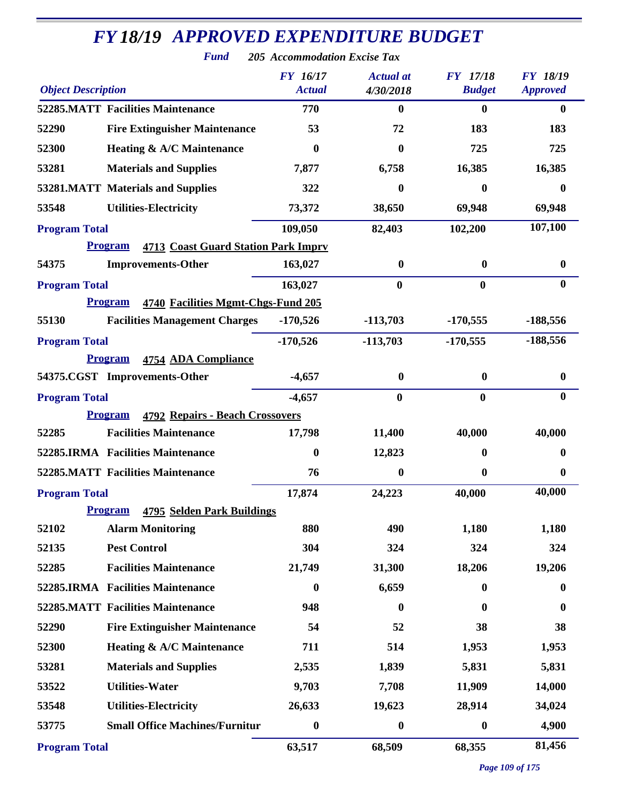| <b>Object Description</b>                                    | <b>FY</b> 16/17<br><b>Actual</b> | <b>Actual</b> at<br>4/30/2018 | <b>FY</b> 17/18<br><b>Budget</b> | <b>FY 18/19</b><br><b>Approved</b> |
|--------------------------------------------------------------|----------------------------------|-------------------------------|----------------------------------|------------------------------------|
| <b>52285.MATT Facilities Maintenance</b>                     | 770                              | $\boldsymbol{0}$              | $\boldsymbol{0}$                 | $\bf{0}$                           |
| 52290<br><b>Fire Extinguisher Maintenance</b>                | 53                               | 72                            | 183                              | 183                                |
| 52300<br>Heating & A/C Maintenance                           | 0                                | 0                             | 725                              | 725                                |
| 53281<br><b>Materials and Supplies</b>                       | 7,877                            | 6,758                         | 16,385                           | 16,385                             |
| 53281.MATT Materials and Supplies                            | 322                              | $\bf{0}$                      | $\boldsymbol{0}$                 | $\bf{0}$                           |
| 53548<br><b>Utilities-Electricity</b>                        | 73,372                           | 38,650                        | 69,948                           | 69,948                             |
| <b>Program Total</b>                                         | 109,050                          | 82,403                        | 102,200                          | 107,100                            |
| <b>Program</b><br><b>4713 Coast Guard Station Park Impry</b> |                                  |                               |                                  |                                    |
| <b>Improvements-Other</b><br>54375                           | 163,027                          | $\bf{0}$                      | $\bf{0}$                         | $\bf{0}$                           |
| <b>Program Total</b>                                         | 163,027                          | $\mathbf{0}$                  | $\bf{0}$                         | $\bf{0}$                           |
| <b>Program</b><br>4740 Facilities Mgmt-Chgs-Fund 205         |                                  |                               |                                  |                                    |
| 55130<br><b>Facilities Management Charges</b>                | $-170,526$                       | $-113,703$                    | $-170,555$                       | $-188,556$                         |
| <b>Program Total</b>                                         | $-170,526$                       | $-113,703$                    | $-170,555$                       | $-188,556$                         |
| <b>Program</b><br>4754 ADA Compliance                        |                                  |                               |                                  |                                    |
| 54375.CGST Improvements-Other                                | $-4,657$                         | $\bf{0}$                      | $\bf{0}$                         | $\boldsymbol{0}$                   |
| <b>Program Total</b>                                         | $-4,657$                         | $\bf{0}$                      | $\bf{0}$                         | $\bf{0}$                           |
| <b>Program</b><br><b>4792 Repairs - Beach Crossovers</b>     |                                  |                               |                                  |                                    |
| <b>Facilities Maintenance</b><br>52285                       | 17,798                           | 11,400                        | 40,000                           | 40,000                             |
| 52285.IRMA Facilities Maintenance                            | 0                                | 12,823                        | 0                                | 0                                  |
| <b>52285.MATT Facilities Maintenance</b>                     | 76                               | $\boldsymbol{0}$              | 0                                | $\bf{0}$                           |
| <b>Program Total</b>                                         | 17,874                           | 24,223                        | 40,000                           | 40,000                             |
| <b>4795 Selden Park Buildings</b><br><b>Program</b>          |                                  |                               |                                  |                                    |
| <b>Alarm Monitoring</b><br>52102                             | 880                              | 490                           | 1,180                            | 1,180                              |
| <b>Pest Control</b><br>52135                                 | 304                              | 324                           | 324                              | 324                                |
| <b>Facilities Maintenance</b><br>52285                       | 21,749                           | 31,300                        | 18,206                           | 19,206                             |
| 52285.IRMA Facilities Maintenance                            | $\boldsymbol{0}$                 | 6,659                         | $\boldsymbol{0}$                 | $\boldsymbol{0}$                   |
| <b>52285.MATT Facilities Maintenance</b>                     | 948                              | $\boldsymbol{0}$              | $\boldsymbol{0}$                 | $\boldsymbol{0}$                   |
| 52290<br><b>Fire Extinguisher Maintenance</b>                | 54                               | 52                            | 38                               | 38                                 |
| Heating & A/C Maintenance<br>52300                           | 711                              | 514                           | 1,953                            | 1,953                              |
| 53281<br><b>Materials and Supplies</b>                       | 2,535                            | 1,839                         | 5,831                            | 5,831                              |
| <b>Utilities-Water</b><br>53522                              | 9,703                            | 7,708                         | 11,909                           | 14,000                             |
| 53548<br><b>Utilities-Electricity</b>                        | 26,633                           | 19,623                        | 28,914                           | 34,024                             |
| <b>Small Office Machines/Furnitur</b><br>53775               | $\boldsymbol{0}$                 | $\boldsymbol{0}$              | $\boldsymbol{0}$                 | 4,900                              |
| <b>Program Total</b>                                         | 63,517                           | 68,509                        | 68,355                           | 81,456                             |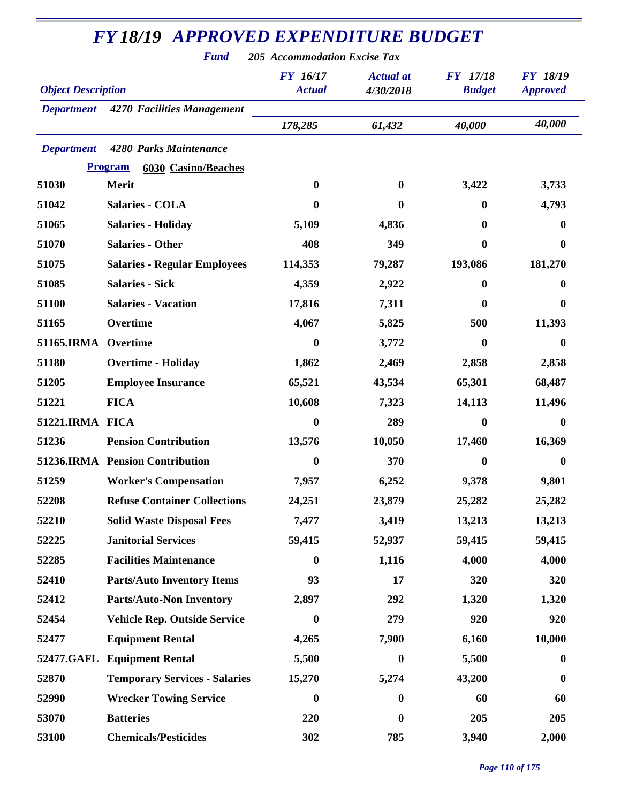| <b>Fund</b><br><b>205 Accommodation Excise Tax</b> |                                              |                                  |                               |                                  |                                    |  |
|----------------------------------------------------|----------------------------------------------|----------------------------------|-------------------------------|----------------------------------|------------------------------------|--|
| <b>Object Description</b>                          |                                              | <b>FY</b> 16/17<br><b>Actual</b> | <b>Actual</b> at<br>4/30/2018 | <b>FY</b> 17/18<br><b>Budget</b> | <b>FY 18/19</b><br><b>Approved</b> |  |
| <b>Department</b>                                  | 4270 Facilities Management                   |                                  |                               |                                  |                                    |  |
|                                                    |                                              | 178,285                          | 61,432                        | 40,000                           | 40,000                             |  |
| <b>Department</b>                                  | 4280 Parks Maintenance                       |                                  |                               |                                  |                                    |  |
|                                                    | <b>Program</b><br><b>6030 Casino/Beaches</b> |                                  |                               |                                  |                                    |  |
| 51030                                              | Merit                                        | $\boldsymbol{0}$                 | $\mathbf{0}$                  | 3,422                            | 3,733                              |  |
| 51042                                              | Salaries - COLA                              | 0                                | $\bf{0}$                      | $\bf{0}$                         | 4,793                              |  |
| 51065                                              | <b>Salaries - Holiday</b>                    | 5,109                            | 4,836                         | $\bf{0}$                         | $\bf{0}$                           |  |
| 51070                                              | <b>Salaries - Other</b>                      | 408                              | 349                           | $\bf{0}$                         | 0                                  |  |
| 51075                                              | <b>Salaries - Regular Employees</b>          | 114,353                          | 79,287                        | 193,086                          | 181,270                            |  |
| 51085                                              | <b>Salaries - Sick</b>                       | 4,359                            | 2,922                         | $\bf{0}$                         | $\bf{0}$                           |  |
| 51100                                              | <b>Salaries - Vacation</b>                   | 17,816                           | 7,311                         | 0                                | 0                                  |  |
| 51165                                              | Overtime                                     | 4,067                            | 5,825                         | 500                              | 11,393                             |  |
| 51165.IRMA                                         | Overtime                                     | 0                                | 3,772                         | $\bf{0}$                         | 0                                  |  |
| 51180                                              | <b>Overtime - Holiday</b>                    | 1,862                            | 2,469                         | 2,858                            | 2,858                              |  |
| 51205                                              | <b>Employee Insurance</b>                    | 65,521                           | 43,534                        | 65,301                           | 68,487                             |  |
| 51221                                              | <b>FICA</b>                                  | 10,608                           | 7,323                         | 14,113                           | 11,496                             |  |
| 51221.IRMA FICA                                    |                                              | 0                                | 289                           | $\bf{0}$                         | 0                                  |  |
| 51236                                              | <b>Pension Contribution</b>                  | 13,576                           | 10,050                        | 17,460                           | 16,369                             |  |
|                                                    | 51236.IRMA Pension Contribution              | $\boldsymbol{0}$                 | 370                           | $\boldsymbol{0}$                 | 0                                  |  |
| 51259                                              | <b>Worker's Compensation</b>                 | 7,957                            | 6,252                         | 9,378                            | 9,801                              |  |
| 52208                                              | <b>Refuse Container Collections</b>          | 24,251                           | 23,879                        | 25,282                           | 25,282                             |  |
| 52210                                              | <b>Solid Waste Disposal Fees</b>             | 7,477                            | 3,419                         | 13,213                           | 13,213                             |  |
| 52225                                              | <b>Janitorial Services</b>                   | 59,415                           | 52,937                        | 59,415                           | 59,415                             |  |
| 52285                                              | <b>Facilities Maintenance</b>                | $\boldsymbol{0}$                 | 1,116                         | 4,000                            | 4,000                              |  |
| 52410                                              | <b>Parts/Auto Inventory Items</b>            | 93                               | 17                            | 320                              | 320                                |  |
| 52412                                              | <b>Parts/Auto-Non Inventory</b>              | 2,897                            | 292                           | 1,320                            | 1,320                              |  |
| 52454                                              | <b>Vehicle Rep. Outside Service</b>          | $\boldsymbol{0}$                 | 279                           | 920                              | 920                                |  |
| 52477                                              | <b>Equipment Rental</b>                      | 4,265                            | 7,900                         | 6,160                            | 10,000                             |  |
| 52477.GAFL                                         | <b>Equipment Rental</b>                      | 5,500                            | $\bf{0}$                      | 5,500                            | $\bf{0}$                           |  |
| 52870                                              | <b>Temporary Services - Salaries</b>         | 15,270                           | 5,274                         | 43,200                           | $\boldsymbol{0}$                   |  |
| 52990                                              | <b>Wrecker Towing Service</b>                | $\boldsymbol{0}$                 | $\bf{0}$                      | 60                               | 60                                 |  |
| 53070                                              | <b>Batteries</b>                             | 220                              | $\bf{0}$                      | 205                              | 205                                |  |
| 53100                                              | <b>Chemicals/Pesticides</b>                  | 302                              | 785                           | 3,940                            | 2,000                              |  |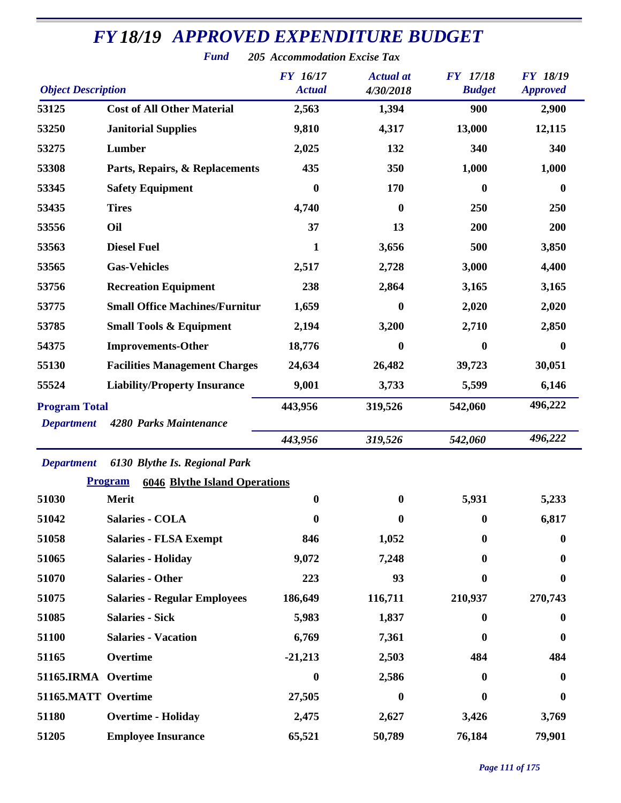|                           | <b>Fund</b>                                            | <b>205 Accommodation Excise Tax</b> |                               |                                  |                                    |
|---------------------------|--------------------------------------------------------|-------------------------------------|-------------------------------|----------------------------------|------------------------------------|
| <b>Object Description</b> |                                                        | <b>FY</b> 16/17<br><b>Actual</b>    | <b>Actual</b> at<br>4/30/2018 | <b>FY</b> 17/18<br><b>Budget</b> | <b>FY 18/19</b><br><b>Approved</b> |
| 53125                     | <b>Cost of All Other Material</b>                      | 2,563                               | 1,394                         | 900                              | 2,900                              |
| 53250                     | <b>Janitorial Supplies</b>                             | 9,810                               | 4,317                         | 13,000                           | 12,115                             |
| 53275                     | Lumber                                                 | 2,025                               | 132                           | 340                              | 340                                |
| 53308                     | Parts, Repairs, & Replacements                         | 435                                 | 350                           | 1,000                            | 1,000                              |
| 53345                     | <b>Safety Equipment</b>                                | 0                                   | 170                           | 0                                | $\bf{0}$                           |
| 53435                     | <b>Tires</b>                                           | 4,740                               | $\boldsymbol{0}$              | 250                              | 250                                |
| 53556                     | Oil                                                    | 37                                  | 13                            | 200                              | 200                                |
| 53563                     | <b>Diesel Fuel</b>                                     | 1                                   | 3,656                         | 500                              | 3,850                              |
| 53565                     | <b>Gas-Vehicles</b>                                    | 2,517                               | 2,728                         | 3,000                            | 4,400                              |
| 53756                     | <b>Recreation Equipment</b>                            | 238                                 | 2,864                         | 3,165                            | 3,165                              |
| 53775                     | <b>Small Office Machines/Furnitur</b>                  | 1,659                               | 0                             | 2,020                            | 2,020                              |
| 53785                     | <b>Small Tools &amp; Equipment</b>                     | 2,194                               | 3,200                         | 2,710                            | 2,850                              |
| 54375                     | <b>Improvements-Other</b>                              | 18,776                              | $\boldsymbol{0}$              | 0                                | $\bf{0}$                           |
| 55130                     | <b>Facilities Management Charges</b>                   | 24,634                              | 26,482                        | 39,723                           | 30,051                             |
| 55524                     | <b>Liability/Property Insurance</b>                    | 9,001                               | 3,733                         | 5,599                            | 6,146                              |
| <b>Program Total</b>      |                                                        | 443,956                             | 319,526                       | 542,060                          | 496,222                            |
| <b>Department</b>         | 4280 Parks Maintenance                                 |                                     |                               |                                  |                                    |
|                           |                                                        | 443,956                             | 319,526                       | 542,060                          | 496,222                            |
| <b>Department</b>         | 6130 Blythe Is. Regional Park                          |                                     |                               |                                  |                                    |
|                           | <b>Program</b><br><b>6046 Blythe Island Operations</b> |                                     |                               |                                  |                                    |
| 51030                     | Merit                                                  | $\bf{0}$                            | $\mathbf{0}$                  | 5,931                            | 5,233                              |
| 51042                     | <b>Salaries - COLA</b>                                 | $\boldsymbol{0}$                    | 0                             | $\mathbf{0}$                     | 6,817                              |
| 51058                     | <b>Salaries - FLSA Exempt</b>                          | 846                                 | 1,052                         | 0                                | $\bf{0}$                           |
| 51065                     | <b>Salaries - Holiday</b>                              | 9,072                               | 7,248                         | 0                                | 0                                  |
| 51070                     | <b>Salaries - Other</b>                                | 223                                 | 93                            | 0                                | 0                                  |
| 51075                     | <b>Salaries - Regular Employees</b>                    | 186,649                             | 116,711                       | 210,937                          | 270,743                            |
| 51085                     | <b>Salaries - Sick</b>                                 | 5,983                               | 1,837                         | 0                                | $\bf{0}$                           |
| 51100                     | <b>Salaries - Vacation</b>                             | 6,769                               | 7,361                         | 0                                | $\bf{0}$                           |
| 51165                     | Overtime                                               | $-21,213$                           | 2,503                         | 484                              | 484                                |
| 51165.IRMA Overtime       |                                                        | $\boldsymbol{0}$                    | 2,586                         | 0                                | 0                                  |
| 51165.MATT Overtime       |                                                        | 27,505                              | $\boldsymbol{0}$              | 0                                | $\boldsymbol{0}$                   |
| 51180                     | <b>Overtime - Holiday</b>                              | 2,475                               | 2,627                         | 3,426                            | 3,769                              |
| 51205                     | <b>Employee Insurance</b>                              | 65,521                              | 50,789                        | 76,184                           | 79,901                             |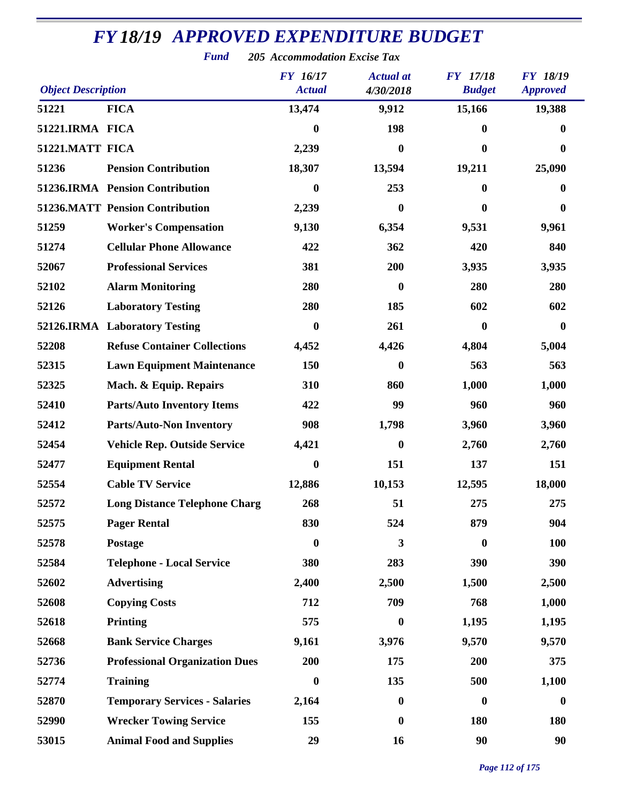|                           | r una                                  | 205 Accommodation Excise I ax<br><b>FY</b> 16/17 | <b>Actual</b> at | <b>FY</b> 17/18  | <b>FY 18/19</b>  |
|---------------------------|----------------------------------------|--------------------------------------------------|------------------|------------------|------------------|
| <b>Object Description</b> |                                        | <b>Actual</b>                                    | 4/30/2018        | <b>Budget</b>    | <b>Approved</b>  |
| 51221                     | <b>FICA</b>                            | 13,474                                           | 9,912            | 15,166           | 19,388           |
| 51221.IRMA FICA           |                                        | $\bf{0}$                                         | 198              | $\boldsymbol{0}$ | $\bf{0}$         |
| 51221.MATT FICA           |                                        | 2,239                                            | $\mathbf{0}$     | $\bf{0}$         | 0                |
| 51236                     | <b>Pension Contribution</b>            | 18,307                                           | 13,594           | 19,211           | 25,090           |
|                           | 51236.IRMA Pension Contribution        | $\boldsymbol{0}$                                 | 253              | $\bf{0}$         | 0                |
|                           | <b>51236.MATT Pension Contribution</b> | 2,239                                            | $\boldsymbol{0}$ | $\boldsymbol{0}$ | $\boldsymbol{0}$ |
| 51259                     | <b>Worker's Compensation</b>           | 9,130                                            | 6,354            | 9,531            | 9,961            |
| 51274                     | <b>Cellular Phone Allowance</b>        | 422                                              | 362              | 420              | 840              |
| 52067                     | <b>Professional Services</b>           | 381                                              | 200              | 3,935            | 3,935            |
| 52102                     | <b>Alarm Monitoring</b>                | 280                                              | $\boldsymbol{0}$ | 280              | 280              |
| 52126                     | <b>Laboratory Testing</b>              | 280                                              | 185              | 602              | 602              |
|                           | 52126.IRMA Laboratory Testing          | $\boldsymbol{0}$                                 | 261              | $\bf{0}$         | $\boldsymbol{0}$ |
| 52208                     | <b>Refuse Container Collections</b>    | 4,452                                            | 4,426            | 4,804            | 5,004            |
| 52315                     | <b>Lawn Equipment Maintenance</b>      | 150                                              | $\boldsymbol{0}$ | 563              | 563              |
| 52325                     | Mach. & Equip. Repairs                 | 310                                              | 860              | 1,000            | 1,000            |
| 52410                     | <b>Parts/Auto Inventory Items</b>      | 422                                              | 99               | 960              | 960              |
| 52412                     | <b>Parts/Auto-Non Inventory</b>        | 908                                              | 1,798            | 3,960            | 3,960            |
| 52454                     | <b>Vehicle Rep. Outside Service</b>    | 4,421                                            | $\boldsymbol{0}$ | 2,760            | 2,760            |
| 52477                     | <b>Equipment Rental</b>                | $\bf{0}$                                         | 151              | 137              | 151              |
| 52554                     | <b>Cable TV Service</b>                | 12,886                                           | 10,153           | 12,595           | 18,000           |
| 52572                     | <b>Long Distance Telephone Charg</b>   | 268                                              | 51               | 275              | 275              |
| 52575                     | <b>Pager Rental</b>                    | 830                                              | 524              | 879              | 904              |
| 52578                     | Postage                                | $\boldsymbol{0}$                                 | 3                | $\boldsymbol{0}$ | 100              |
| 52584                     | <b>Telephone - Local Service</b>       | 380                                              | 283              | 390              | 390              |
| 52602                     | <b>Advertising</b>                     | 2,400                                            | 2,500            | 1,500            | 2,500            |
| 52608                     | <b>Copying Costs</b>                   | 712                                              | 709              | 768              | 1,000            |
| 52618                     | Printing                               | 575                                              | $\boldsymbol{0}$ | 1,195            | 1,195            |
| 52668                     | <b>Bank Service Charges</b>            | 9,161                                            | 3,976            | 9,570            | 9,570            |
| 52736                     | <b>Professional Organization Dues</b>  | 200                                              | 175              | 200              | 375              |
| 52774                     | <b>Training</b>                        | $\bf{0}$                                         | 135              | 500              | 1,100            |
| 52870                     | <b>Temporary Services - Salaries</b>   | 2,164                                            | $\boldsymbol{0}$ | $\boldsymbol{0}$ | $\boldsymbol{0}$ |
| 52990                     | <b>Wrecker Towing Service</b>          | 155                                              | $\boldsymbol{0}$ | 180              | 180              |
| 53015                     | <b>Animal Food and Supplies</b>        | 29                                               | 16               | 90               | 90               |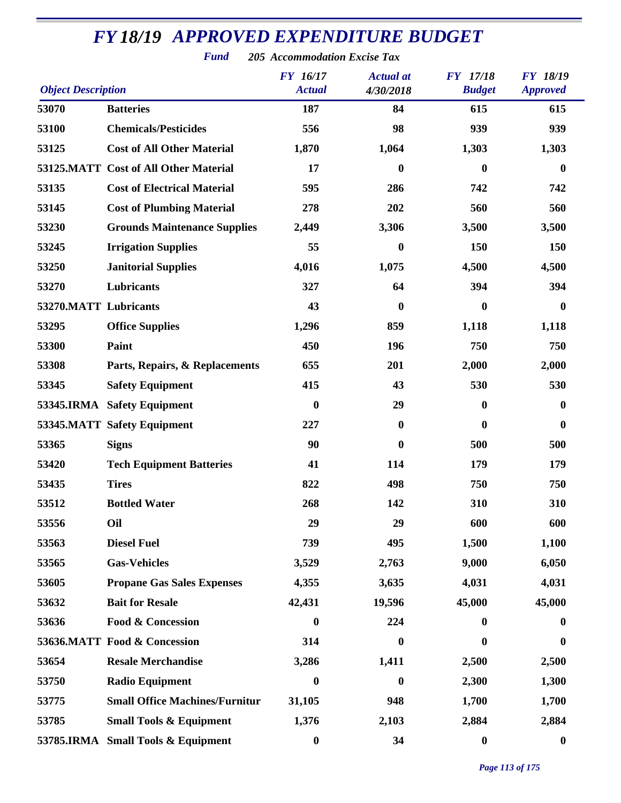| <b>Object Description</b> |                                       | FY 16/17<br><b>Actual</b> | <b>Actual</b> at<br>4/30/2018 | <b>FY</b> 17/18<br><b>Budget</b> | <b>FY 18/19</b><br><b>Approved</b> |
|---------------------------|---------------------------------------|---------------------------|-------------------------------|----------------------------------|------------------------------------|
| 53070                     | <b>Batteries</b>                      | 187                       | 84                            | 615                              | 615                                |
| 53100                     | <b>Chemicals/Pesticides</b>           | 556                       | 98                            | 939                              | 939                                |
| 53125                     | <b>Cost of All Other Material</b>     | 1,870                     | 1,064                         | 1,303                            | 1,303                              |
|                           | 53125.MATT Cost of All Other Material | 17                        | $\boldsymbol{0}$              | $\bf{0}$                         | $\boldsymbol{0}$                   |
| 53135                     | <b>Cost of Electrical Material</b>    | 595                       | 286                           | 742                              | 742                                |
| 53145                     | <b>Cost of Plumbing Material</b>      | 278                       | 202                           | 560                              | 560                                |
| 53230                     | <b>Grounds Maintenance Supplies</b>   | 2,449                     | 3,306                         | 3,500                            | 3,500                              |
| 53245                     | <b>Irrigation Supplies</b>            | 55                        | $\boldsymbol{0}$              | 150                              | 150                                |
| 53250                     | <b>Janitorial Supplies</b>            | 4,016                     | 1,075                         | 4,500                            | 4,500                              |
| 53270                     | Lubricants                            | 327                       | 64                            | 394                              | 394                                |
| 53270.MATT Lubricants     |                                       | 43                        | $\mathbf{0}$                  | $\bf{0}$                         | $\mathbf{0}$                       |
| 53295                     | <b>Office Supplies</b>                | 1,296                     | 859                           | 1,118                            | 1,118                              |
| 53300                     | Paint                                 | 450                       | 196                           | 750                              | 750                                |
| 53308                     | Parts, Repairs, & Replacements        | 655                       | 201                           | 2,000                            | 2,000                              |
| 53345                     | <b>Safety Equipment</b>               | 415                       | 43                            | 530                              | 530                                |
|                           | 53345.IRMA Safety Equipment           | $\boldsymbol{0}$          | 29                            | $\boldsymbol{0}$                 | 0                                  |
|                           | 53345.MATT Safety Equipment           | 227                       | $\boldsymbol{0}$              | $\bf{0}$                         | $\bf{0}$                           |
| 53365                     | <b>Signs</b>                          | 90                        | $\boldsymbol{0}$              | 500                              | 500                                |
| 53420                     | <b>Tech Equipment Batteries</b>       | 41                        | 114                           | 179                              | 179                                |
| 53435                     | <b>Tires</b>                          | 822                       | 498                           | 750                              | 750                                |
| 53512                     | <b>Bottled Water</b>                  | 268                       | 142                           | 310                              | 310                                |
| 53556                     | Oil                                   | 29                        | 29                            | 600                              | 600                                |
| 53563                     | <b>Diesel Fuel</b>                    | 739                       | 495                           | 1,500                            | 1,100                              |
| 53565                     | <b>Gas-Vehicles</b>                   | 3,529                     | 2,763                         | 9,000                            | 6,050                              |
| 53605                     | <b>Propane Gas Sales Expenses</b>     | 4,355                     | 3,635                         | 4,031                            | 4,031                              |
| 53632                     | <b>Bait for Resale</b>                | 42,431                    | 19,596                        | 45,000                           | 45,000                             |
| 53636                     | <b>Food &amp; Concession</b>          | $\boldsymbol{0}$          | 224                           | $\bf{0}$                         | $\bf{0}$                           |
|                           | 53636.MATT Food & Concession          | 314                       | $\boldsymbol{0}$              | $\bf{0}$                         | $\bf{0}$                           |
| 53654                     | <b>Resale Merchandise</b>             | 3,286                     | 1,411                         | 2,500                            | 2,500                              |
| 53750                     | <b>Radio Equipment</b>                | $\boldsymbol{0}$          | $\boldsymbol{0}$              | 2,300                            | 1,300                              |
| 53775                     | <b>Small Office Machines/Furnitur</b> | 31,105                    | 948                           | 1,700                            | 1,700                              |
| 53785                     | <b>Small Tools &amp; Equipment</b>    | 1,376                     | 2,103                         | 2,884                            | 2,884                              |
|                           | 53785.IRMA Small Tools & Equipment    | $\boldsymbol{0}$          | 34                            | $\boldsymbol{0}$                 | $\boldsymbol{0}$                   |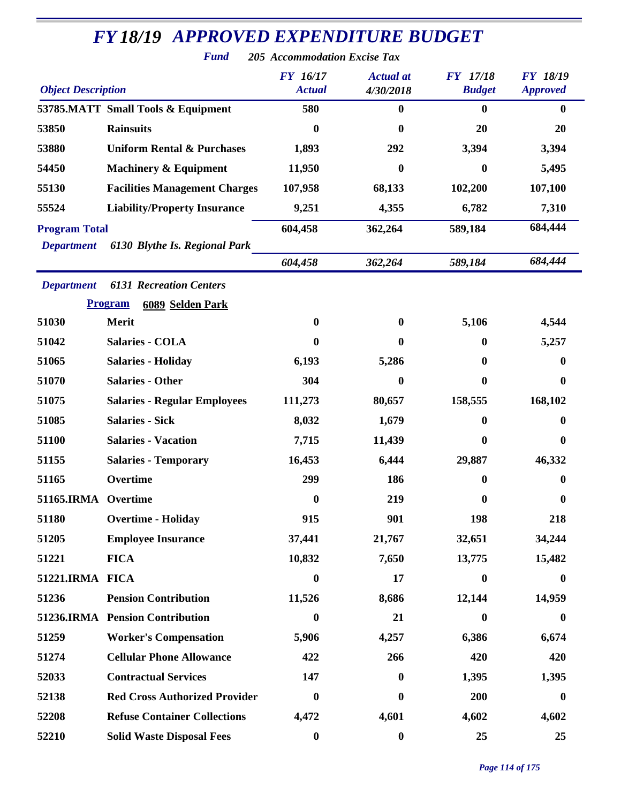| <b>FY18/19 APPROVED EXPENDITURE BUDGET</b> |                                       |                                                                  |                               |                                  |                                    |  |
|--------------------------------------------|---------------------------------------|------------------------------------------------------------------|-------------------------------|----------------------------------|------------------------------------|--|
| <b>Object Description</b>                  | <b>Fund</b>                           | 205 Accommodation Excise Tax<br><b>FY</b> 16/17<br><b>Actual</b> | <b>Actual</b> at<br>4/30/2018 | <b>FY</b> 17/18<br><b>Budget</b> | <b>FY 18/19</b><br><b>Approved</b> |  |
|                                            | 53785.MATT Small Tools & Equipment    | 580                                                              | $\boldsymbol{0}$              | $\mathbf{0}$                     | 0                                  |  |
| 53850                                      | <b>Rainsuits</b>                      | 0                                                                | 0                             | 20                               | 20                                 |  |
| 53880                                      | <b>Uniform Rental &amp; Purchases</b> | 1,893                                                            | 292                           | 3,394                            | 3,394                              |  |
| 54450                                      | <b>Machinery &amp; Equipment</b>      | 11,950                                                           | 0                             | 0                                | 5,495                              |  |
| 55130                                      | <b>Facilities Management Charges</b>  | 107,958                                                          | 68,133                        | 102,200                          | 107,100                            |  |
| 55524                                      | <b>Liability/Property Insurance</b>   | 9,251                                                            | 4,355                         | 6,782                            | 7,310                              |  |
| <b>Program Total</b>                       |                                       | 604,458                                                          | 362,264                       | 589,184                          | 684,444                            |  |
| <b>Department</b>                          | 6130 Blythe Is. Regional Park         |                                                                  |                               |                                  |                                    |  |
|                                            |                                       | 604,458                                                          | 362,264                       | 589,184                          | 684,444                            |  |
| <b>Department</b>                          | <b>6131 Recreation Centers</b>        |                                                                  |                               |                                  |                                    |  |
|                                            | <b>Program</b><br>6089 Selden Park    |                                                                  |                               |                                  |                                    |  |
| 51030                                      | Merit                                 | $\bf{0}$                                                         | $\bf{0}$                      | 5,106                            | 4,544                              |  |
| 51042                                      | <b>Salaries - COLA</b>                | $\mathbf{0}$                                                     | $\bf{0}$                      | $\mathbf{0}$                     | 5,257                              |  |
| 51065                                      | <b>Salaries - Holiday</b>             | 6,193                                                            | 5,286                         | 0                                | 0                                  |  |
| 51070                                      | <b>Salaries - Other</b>               | 304                                                              | $\bf{0}$                      | 0                                | 0                                  |  |
| 51075                                      | <b>Salaries - Regular Employees</b>   | 111,273                                                          | 80,657                        | 158,555                          | 168,102                            |  |
| 51085                                      | <b>Salaries - Sick</b>                | 8,032                                                            | 1,679                         | 0                                | 0                                  |  |
| 51100                                      | <b>Salaries - Vacation</b>            | 7,715                                                            | 11,439                        | $\bf{0}$                         | $\boldsymbol{0}$                   |  |
| 51155                                      | <b>Salaries - Temporary</b>           | 16,453                                                           | 6,444                         | 29,887                           | 46,332                             |  |
| 51165                                      | Overtime                              | 299                                                              | 186                           | $\mathbf{0}$                     | $\bf{0}$                           |  |
| 51165.IRMA Overtime                        |                                       | $\bf{0}$                                                         | 219                           | 0                                | $\boldsymbol{0}$                   |  |
| 51180                                      | <b>Overtime - Holiday</b>             | 915                                                              | 901                           | 198                              | 218                                |  |
| 51205                                      | <b>Employee Insurance</b>             | 37,441                                                           | 21,767                        | 32,651                           | 34,244                             |  |
| 51221                                      | <b>FICA</b>                           | 10,832                                                           | 7,650                         | 13,775                           | 15,482                             |  |
| 51221.IRMA FICA                            |                                       | $\boldsymbol{0}$                                                 | 17                            | $\bf{0}$                         | $\bf{0}$                           |  |
| 51236                                      | <b>Pension Contribution</b>           | 11,526                                                           | 8,686                         | 12,144                           | 14,959                             |  |
|                                            | 51236.IRMA Pension Contribution       | $\boldsymbol{0}$                                                 | 21                            | $\boldsymbol{0}$                 | $\boldsymbol{0}$                   |  |
| 51259                                      | <b>Worker's Compensation</b>          | 5,906                                                            | 4,257                         | 6,386                            | 6,674                              |  |
| 51274                                      | <b>Cellular Phone Allowance</b>       | 422                                                              | 266                           | 420                              | 420                                |  |
| 52033                                      | <b>Contractual Services</b>           | 147                                                              | 0                             | 1,395                            | 1,395                              |  |
| 52138                                      | <b>Red Cross Authorized Provider</b>  | $\bf{0}$                                                         | 0                             | 200                              | $\bf{0}$                           |  |
| 52208                                      | <b>Refuse Container Collections</b>   | 4,472                                                            | 4,601                         | 4,602                            | 4,602                              |  |
| 52210                                      | <b>Solid Waste Disposal Fees</b>      | $\boldsymbol{0}$                                                 | $\boldsymbol{0}$              | 25                               | 25                                 |  |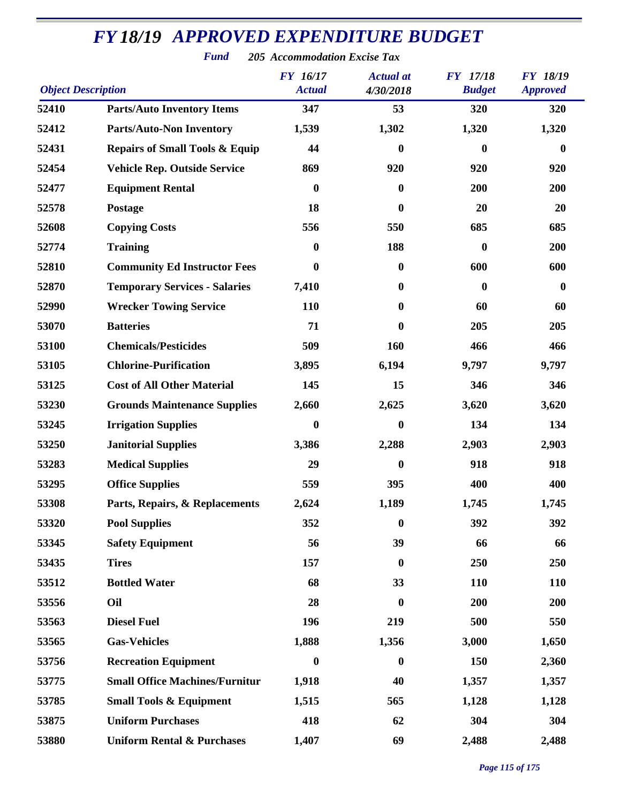| <b>Object Description</b> |                                           | <b>FY</b> 16/17<br><b>Actual</b> | <b>Actual</b> at<br>4/30/2018 | <b>FY</b> 17/18<br><b>Budget</b> | <b>FY 18/19</b><br><b>Approved</b> |
|---------------------------|-------------------------------------------|----------------------------------|-------------------------------|----------------------------------|------------------------------------|
| 52410                     | <b>Parts/Auto Inventory Items</b>         | 347                              | 53                            | 320                              | 320                                |
| 52412                     | <b>Parts/Auto-Non Inventory</b>           | 1,539                            | 1,302                         | 1,320                            | 1,320                              |
| 52431                     | <b>Repairs of Small Tools &amp; Equip</b> | 44                               | $\bf{0}$                      | 0                                | $\bf{0}$                           |
| 52454                     | <b>Vehicle Rep. Outside Service</b>       | 869                              | 920                           | 920                              | 920                                |
| 52477                     | <b>Equipment Rental</b>                   | $\boldsymbol{0}$                 | $\mathbf{0}$                  | 200                              | 200                                |
| 52578                     | Postage                                   | 18                               | $\bf{0}$                      | 20                               | 20                                 |
| 52608                     | <b>Copying Costs</b>                      | 556                              | 550                           | 685                              | 685                                |
| 52774                     | <b>Training</b>                           | $\boldsymbol{0}$                 | 188                           | $\bf{0}$                         | 200                                |
| 52810                     | <b>Community Ed Instructor Fees</b>       | $\boldsymbol{0}$                 | $\bf{0}$                      | 600                              | 600                                |
| 52870                     | <b>Temporary Services - Salaries</b>      | 7,410                            | $\mathbf{0}$                  | $\boldsymbol{0}$                 | $\mathbf{0}$                       |
| 52990                     | <b>Wrecker Towing Service</b>             | 110                              | $\bf{0}$                      | 60                               | 60                                 |
| 53070                     | <b>Batteries</b>                          | 71                               | $\mathbf{0}$                  | 205                              | 205                                |
| 53100                     | <b>Chemicals/Pesticides</b>               | 509                              | 160                           | 466                              | 466                                |
| 53105                     | <b>Chlorine-Purification</b>              | 3,895                            | 6,194                         | 9,797                            | 9,797                              |
| 53125                     | <b>Cost of All Other Material</b>         | 145                              | 15                            | 346                              | 346                                |
| 53230                     | <b>Grounds Maintenance Supplies</b>       | 2,660                            | 2,625                         | 3,620                            | 3,620                              |
| 53245                     | <b>Irrigation Supplies</b>                | $\boldsymbol{0}$                 | $\bf{0}$                      | 134                              | 134                                |
| 53250                     | <b>Janitorial Supplies</b>                | 3,386                            | 2,288                         | 2,903                            | 2,903                              |
| 53283                     | <b>Medical Supplies</b>                   | 29                               | $\bf{0}$                      | 918                              | 918                                |
| 53295                     | <b>Office Supplies</b>                    | 559                              | 395                           | 400                              | 400                                |
| 53308                     | Parts, Repairs, & Replacements            | 2,624                            | 1,189                         | 1,745                            | 1,745                              |
| 53320                     | <b>Pool Supplies</b>                      | 352                              | $\boldsymbol{0}$              | 392                              | 392                                |
| 53345                     | <b>Safety Equipment</b>                   | 56                               | 39                            | 66                               | 66                                 |
| 53435                     | <b>Tires</b>                              | 157                              | $\boldsymbol{0}$              | 250                              | 250                                |
| 53512                     | <b>Bottled Water</b>                      | 68                               | 33                            | 110                              | <b>110</b>                         |
| 53556                     | Oil                                       | 28                               | $\bf{0}$                      | 200                              | 200                                |
| 53563                     | <b>Diesel Fuel</b>                        | 196                              | 219                           | 500                              | 550                                |
| 53565                     | <b>Gas-Vehicles</b>                       | 1,888                            | 1,356                         | 3,000                            | 1,650                              |
| 53756                     | <b>Recreation Equipment</b>               | $\bf{0}$                         | $\boldsymbol{0}$              | 150                              | 2,360                              |
| 53775                     | <b>Small Office Machines/Furnitur</b>     | 1,918                            | 40                            | 1,357                            | 1,357                              |
| 53785                     | <b>Small Tools &amp; Equipment</b>        | 1,515                            | 565                           | 1,128                            | 1,128                              |
| 53875                     | <b>Uniform Purchases</b>                  | 418                              | 62                            | 304                              | 304                                |
| 53880                     | <b>Uniform Rental &amp; Purchases</b>     | 1,407                            | 69                            | 2,488                            | 2,488                              |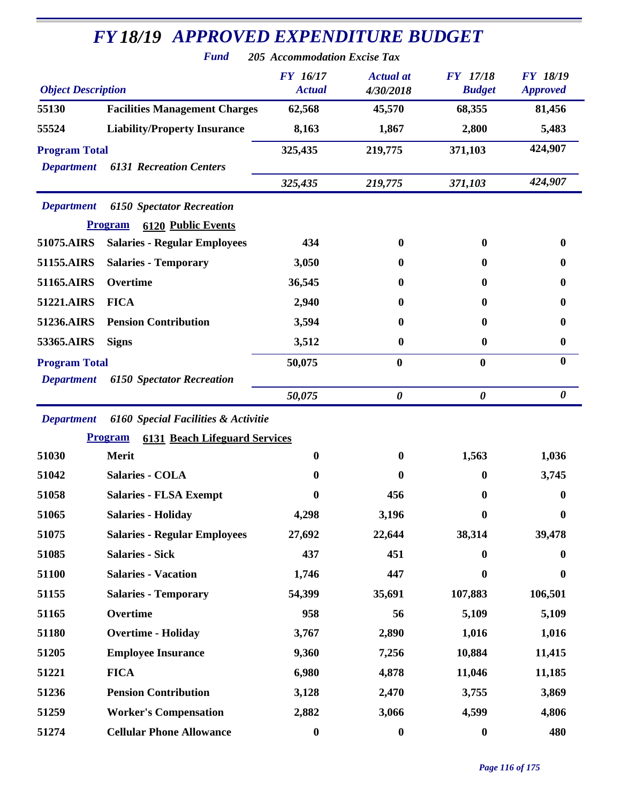|                                           | <b>FY18/19 APPROVED EXPENDITURE BUDGET</b><br><b>Fund</b>                       | <b>205 Accommodation Excise Tax</b> |                               |                                  |                                    |
|-------------------------------------------|---------------------------------------------------------------------------------|-------------------------------------|-------------------------------|----------------------------------|------------------------------------|
| <b>Object Description</b>                 |                                                                                 | <b>FY</b> 16/17<br><b>Actual</b>    | <b>Actual at</b><br>4/30/2018 | <b>FY</b> 17/18<br><b>Budget</b> | <b>FY 18/19</b><br><b>Approved</b> |
| 55130                                     | <b>Facilities Management Charges</b>                                            | 62,568                              | 45,570                        | 68,355                           | 81,456                             |
| 55524                                     | <b>Liability/Property Insurance</b>                                             | 8,163                               | 1,867                         | 2,800                            | 5,483                              |
| <b>Program Total</b><br><b>Department</b> | <b>6131 Recreation Centers</b>                                                  | 325,435                             | 219,775                       | 371,103                          | 424,907                            |
|                                           |                                                                                 | 325,435                             | 219,775                       | 371,103                          | 424,907                            |
| <b>Department</b>                         | <b>6150 Spectator Recreation</b><br><b>Program</b><br><b>6120 Public Events</b> |                                     |                               |                                  |                                    |
| 51075.AIRS                                | <b>Salaries - Regular Employees</b>                                             | 434                                 | $\mathbf{0}$                  | 0                                | 0                                  |
| 51155.AIRS                                | <b>Salaries - Temporary</b>                                                     | 3,050                               | $\bf{0}$                      | $\mathbf{0}$                     | $\mathbf{0}$                       |
| 51165.AIRS                                | Overtime                                                                        | 36,545                              | 0                             | $\mathbf{0}$                     | 0                                  |
| 51221.AIRS                                | <b>FICA</b>                                                                     | 2,940                               | $\mathbf{0}$                  | $\mathbf{0}$                     | 0                                  |
| 51236.AIRS                                | <b>Pension Contribution</b>                                                     | 3,594                               | $\bf{0}$                      | $\bf{0}$                         | $\mathbf{0}$                       |
| 53365.AIRS                                | <b>Signs</b>                                                                    | 3,512                               | $\boldsymbol{0}$              | $\mathbf{0}$                     | $\bf{0}$                           |
| <b>Program Total</b><br><b>Department</b> | <b>6150 Spectator Recreation</b>                                                | 50,075                              | $\boldsymbol{0}$              | $\boldsymbol{0}$                 | $\bf{0}$                           |
|                                           |                                                                                 | 50,075                              | $\boldsymbol{\theta}$         | $\boldsymbol{\theta}$            | $\boldsymbol{\theta}$              |
| <b>Department</b>                         | 6160 Special Facilities & Activitie                                             |                                     |                               |                                  |                                    |
|                                           | <b>Program</b><br><b>6131 Beach Lifeguard Services</b>                          |                                     |                               |                                  |                                    |
| 51030                                     | Merit                                                                           | $\mathbf{0}$                        | $\bf{0}$                      | 1,563                            | 1,036                              |
| 51042                                     | <b>Salaries - COLA</b>                                                          | 0                                   | $\boldsymbol{0}$              | $\boldsymbol{0}$                 | 3,745                              |
| 51058                                     | <b>Salaries - FLSA Exempt</b>                                                   | $\boldsymbol{0}$                    | 456                           | $\bf{0}$                         | $\boldsymbol{0}$                   |
| 51065                                     | <b>Salaries - Holiday</b>                                                       | 4,298                               | 3,196                         | $\bf{0}$                         | $\boldsymbol{0}$                   |
| 51075                                     | <b>Salaries - Regular Employees</b>                                             | 27,692                              | 22,644                        | 38,314                           | 39,478                             |
| 51085                                     | <b>Salaries - Sick</b>                                                          | 437                                 | 451                           | $\mathbf{0}$                     | $\bf{0}$                           |
| 51100                                     | <b>Salaries - Vacation</b>                                                      | 1,746                               | 447                           | $\bf{0}$                         | $\bf{0}$                           |
| 51155                                     | <b>Salaries - Temporary</b>                                                     | 54,399                              | 35,691                        | 107,883                          | 106,501                            |
| 51165                                     | Overtime                                                                        | 958                                 | 56                            | 5,109                            | 5,109                              |
| 51180                                     | <b>Overtime - Holiday</b>                                                       | 3,767                               | 2,890                         | 1,016                            | 1,016                              |
| 51205                                     | <b>Employee Insurance</b>                                                       | 9,360                               | 7,256                         | 10,884                           | 11,415                             |
| 51221                                     | <b>FICA</b>                                                                     | 6,980                               | 4,878                         | 11,046                           | 11,185                             |
| 51236                                     | <b>Pension Contribution</b>                                                     | 3,128                               | 2,470                         | 3,755                            | 3,869                              |
| 51259                                     | <b>Worker's Compensation</b>                                                    | 2,882                               | 3,066                         | 4,599                            | 4,806                              |
| 51274                                     | <b>Cellular Phone Allowance</b>                                                 | $\boldsymbol{0}$                    | $\boldsymbol{0}$              | $\boldsymbol{0}$                 | 480                                |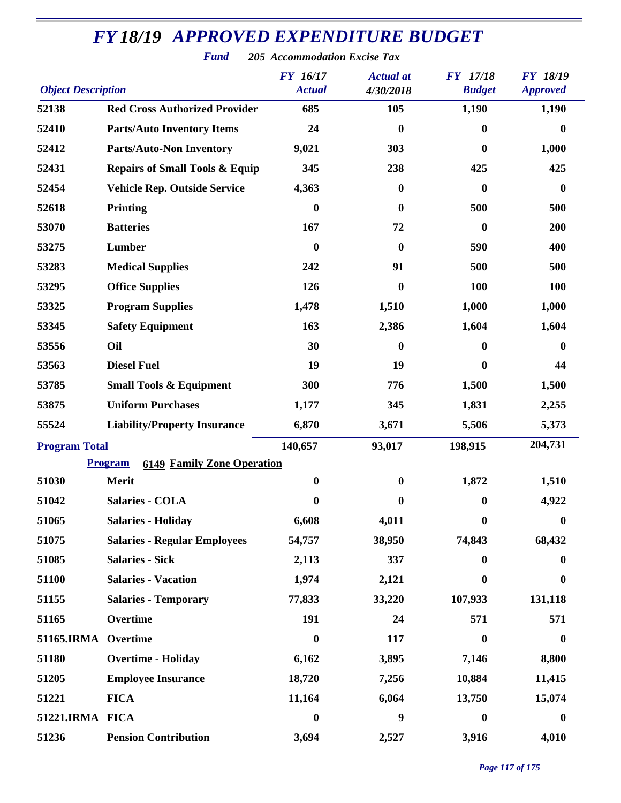| <b>Object Description</b> |                                                     | <b>FY</b> 16/17<br><b>Actual</b> | <b>Actual</b> at<br>4/30/2018 | <b>FY</b> 17/18<br><b>Budget</b> | <b>FY 18/19</b><br><b>Approved</b> |
|---------------------------|-----------------------------------------------------|----------------------------------|-------------------------------|----------------------------------|------------------------------------|
| 52138                     | <b>Red Cross Authorized Provider</b>                | 685                              | 105                           | 1,190                            | 1,190                              |
| 52410                     | <b>Parts/Auto Inventory Items</b>                   | 24                               | $\bf{0}$                      | $\boldsymbol{0}$                 | $\bf{0}$                           |
| 52412                     | <b>Parts/Auto-Non Inventory</b>                     | 9,021                            | 303                           | $\boldsymbol{0}$                 | 1,000                              |
| 52431                     | <b>Repairs of Small Tools &amp; Equip</b>           | 345                              | 238                           | 425                              | 425                                |
| 52454                     | <b>Vehicle Rep. Outside Service</b>                 | 4,363                            | $\boldsymbol{0}$              | $\boldsymbol{0}$                 | $\boldsymbol{0}$                   |
| 52618                     | <b>Printing</b>                                     | $\boldsymbol{0}$                 | $\bf{0}$                      | 500                              | 500                                |
| 53070                     | <b>Batteries</b>                                    | 167                              | 72                            | $\boldsymbol{0}$                 | 200                                |
| 53275                     | Lumber                                              | $\bf{0}$                         | 0                             | 590                              | 400                                |
| 53283                     | <b>Medical Supplies</b>                             | 242                              | 91                            | 500                              | 500                                |
| 53295                     | <b>Office Supplies</b>                              | 126                              | $\boldsymbol{0}$              | <b>100</b>                       | <b>100</b>                         |
| 53325                     | <b>Program Supplies</b>                             | 1,478                            | 1,510                         | 1,000                            | 1,000                              |
| 53345                     | <b>Safety Equipment</b>                             | 163                              | 2,386                         | 1,604                            | 1,604                              |
| 53556                     | Oil                                                 | 30                               | $\bf{0}$                      | $\boldsymbol{0}$                 | $\bf{0}$                           |
| 53563                     | <b>Diesel Fuel</b>                                  | 19                               | 19                            | $\bf{0}$                         | 44                                 |
| 53785                     | <b>Small Tools &amp; Equipment</b>                  | 300                              | 776                           | 1,500                            | 1,500                              |
| 53875                     | <b>Uniform Purchases</b>                            | 1,177                            | 345                           | 1,831                            | 2,255                              |
| 55524                     | <b>Liability/Property Insurance</b>                 | 6,870                            | 3,671                         | 5,506                            | 5,373                              |
| <b>Program Total</b>      |                                                     | 140,657                          | 93,017                        | 198,915                          | 204,731                            |
|                           | <b>Program</b><br><b>6149 Family Zone Operation</b> |                                  |                               |                                  |                                    |
| 51030                     | <b>Merit</b>                                        | $\boldsymbol{0}$                 | $\bf{0}$                      | 1,872                            | 1,510                              |
| 51042                     | <b>Salaries - COLA</b>                              | $\bf{0}$                         | 0                             | $\boldsymbol{0}$                 | 4,922                              |
| 51065                     | <b>Salaries - Holiday</b>                           | 6,608                            | 4,011                         | 0                                | $\mathbf{0}$                       |
| 51075                     | <b>Salaries - Regular Employees</b>                 | 54,757                           | 38,950                        | 74,843                           | 68,432                             |
| 51085                     | <b>Salaries - Sick</b>                              | 2,113                            | 337                           | $\boldsymbol{0}$                 | $\bf{0}$                           |
| 51100                     | <b>Salaries - Vacation</b>                          | 1,974                            | 2,121                         | $\bf{0}$                         | $\bf{0}$                           |
| 51155                     | <b>Salaries - Temporary</b>                         | 77,833                           | 33,220                        | 107,933                          | 131,118                            |
| 51165                     | Overtime                                            | 191                              | 24                            | 571                              | 571                                |
| 51165.IRMA                | Overtime                                            | $\boldsymbol{0}$                 | 117                           | $\bf{0}$                         | $\boldsymbol{0}$                   |
| 51180                     | <b>Overtime - Holiday</b>                           | 6,162                            | 3,895                         | 7,146                            | 8,800                              |
| 51205                     | <b>Employee Insurance</b>                           | 18,720                           | 7,256                         | 10,884                           | 11,415                             |
| 51221                     | <b>FICA</b>                                         | 11,164                           | 6,064                         | 13,750                           | 15,074                             |
| 51221.IRMA FICA           |                                                     | $\boldsymbol{0}$                 | 9                             | $\boldsymbol{0}$                 | $\boldsymbol{0}$                   |
| 51236                     | <b>Pension Contribution</b>                         | 3,694                            | 2,527                         | 3,916                            | 4,010                              |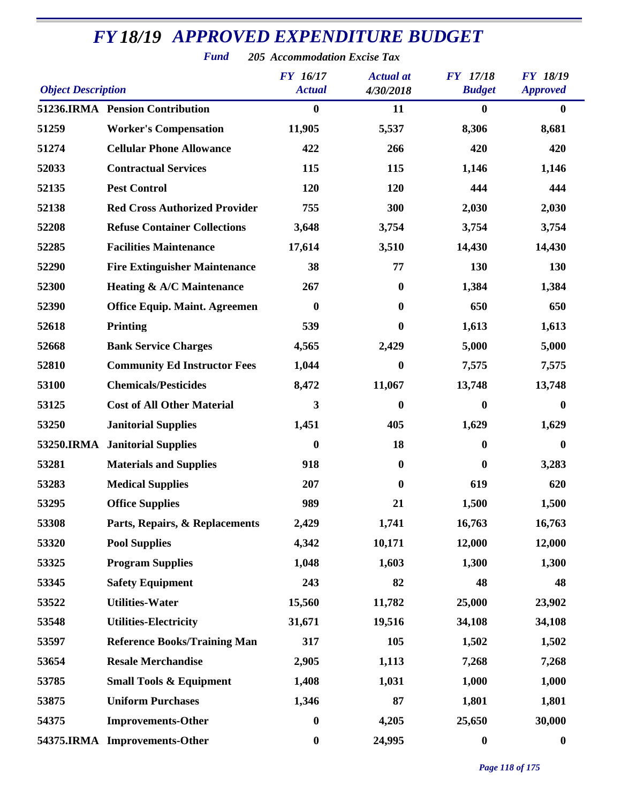| <b>Object Description</b> |                                      | <b>FY</b> 16/17<br><b>Actual</b> | <b>Actual</b> at<br>4/30/2018 | <b>FY</b> 17/18<br><b>Budget</b> | <b>FY 18/19</b><br><b>Approved</b> |
|---------------------------|--------------------------------------|----------------------------------|-------------------------------|----------------------------------|------------------------------------|
|                           | 51236.IRMA Pension Contribution      | $\boldsymbol{0}$                 | 11                            | $\bf{0}$                         | $\bf{0}$                           |
| 51259                     | <b>Worker's Compensation</b>         | 11,905                           | 5,537                         | 8,306                            | 8,681                              |
| 51274                     | <b>Cellular Phone Allowance</b>      | 422                              | 266                           | 420                              | 420                                |
| 52033                     | <b>Contractual Services</b>          | 115                              | 115                           | 1,146                            | 1,146                              |
| 52135                     | <b>Pest Control</b>                  | 120                              | 120                           | 444                              | 444                                |
| 52138                     | <b>Red Cross Authorized Provider</b> | 755                              | 300                           | 2,030                            | 2,030                              |
| 52208                     | <b>Refuse Container Collections</b>  | 3,648                            | 3,754                         | 3,754                            | 3,754                              |
| 52285                     | <b>Facilities Maintenance</b>        | 17,614                           | 3,510                         | 14,430                           | 14,430                             |
| 52290                     | <b>Fire Extinguisher Maintenance</b> | 38                               | 77                            | 130                              | 130                                |
| 52300                     | <b>Heating &amp; A/C Maintenance</b> | 267                              | $\mathbf{0}$                  | 1,384                            | 1,384                              |
| 52390                     | <b>Office Equip. Maint. Agreemen</b> | $\boldsymbol{0}$                 | $\bf{0}$                      | 650                              | 650                                |
| 52618                     | <b>Printing</b>                      | 539                              | 0                             | 1,613                            | 1,613                              |
| 52668                     | <b>Bank Service Charges</b>          | 4,565                            | 2,429                         | 5,000                            | 5,000                              |
| 52810                     | <b>Community Ed Instructor Fees</b>  | 1,044                            | 0                             | 7,575                            | 7,575                              |
| 53100                     | <b>Chemicals/Pesticides</b>          | 8,472                            | 11,067                        | 13,748                           | 13,748                             |
| 53125                     | <b>Cost of All Other Material</b>    | 3                                | $\boldsymbol{0}$              | $\boldsymbol{0}$                 | $\boldsymbol{0}$                   |
| 53250                     | <b>Janitorial Supplies</b>           | 1,451                            | 405                           | 1,629                            | 1,629                              |
|                           | 53250.IRMA Janitorial Supplies       | $\boldsymbol{0}$                 | 18                            | $\bf{0}$                         | 0                                  |
| 53281                     | <b>Materials and Supplies</b>        | 918                              | $\boldsymbol{0}$              | $\bf{0}$                         | 3,283                              |
| 53283                     | <b>Medical Supplies</b>              | 207                              | $\bf{0}$                      | 619                              | 620                                |
| 53295                     | <b>Office Supplies</b>               | 989                              | 21                            | 1,500                            | 1,500                              |
| 53308                     | Parts, Repairs, & Replacements       | 2,429                            | 1,741                         | 16,763                           | 16,763                             |
| 53320                     | <b>Pool Supplies</b>                 | 4,342                            | 10,171                        | 12,000                           | 12,000                             |
| 53325                     | <b>Program Supplies</b>              | 1,048                            | 1,603                         | 1,300                            | 1,300                              |
| 53345                     | <b>Safety Equipment</b>              | 243                              | 82                            | 48                               | 48                                 |
| 53522                     | <b>Utilities-Water</b>               | 15,560                           | 11,782                        | 25,000                           | 23,902                             |
| 53548                     | <b>Utilities-Electricity</b>         | 31,671                           | 19,516                        | 34,108                           | 34,108                             |
| 53597                     | <b>Reference Books/Training Man</b>  | 317                              | 105                           | 1,502                            | 1,502                              |
| 53654                     | <b>Resale Merchandise</b>            | 2,905                            | 1,113                         | 7,268                            | 7,268                              |
| 53785                     | <b>Small Tools &amp; Equipment</b>   | 1,408                            | 1,031                         | 1,000                            | 1,000                              |
| 53875                     | <b>Uniform Purchases</b>             | 1,346                            | 87                            | 1,801                            | 1,801                              |
| 54375                     | <b>Improvements-Other</b>            | $\boldsymbol{0}$                 | 4,205                         | 25,650                           | 30,000                             |
|                           | 54375.IRMA Improvements-Other        | $\boldsymbol{0}$                 | 24,995                        | $\boldsymbol{0}$                 | $\boldsymbol{0}$                   |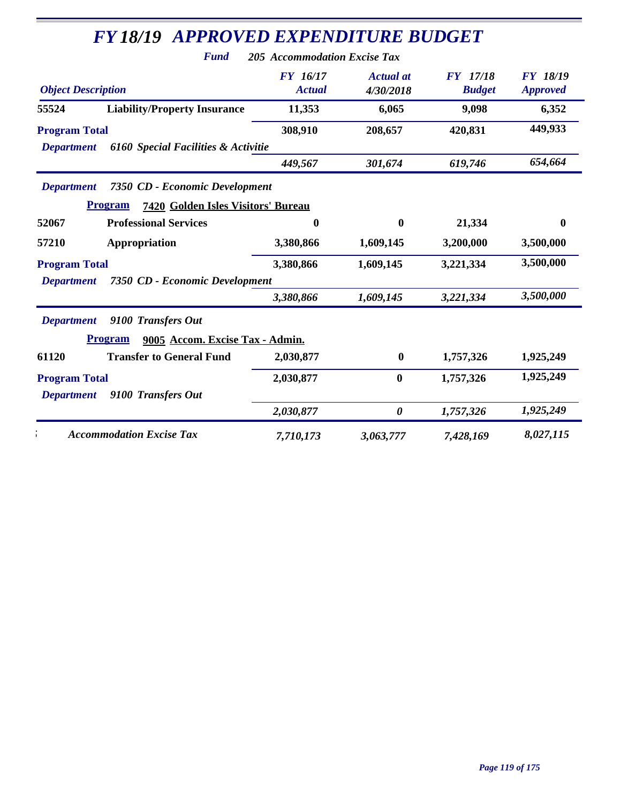|                               | <b>Fund</b>                                          | 205 Accommodation Excise Tax     |                               |                                  |                                     |
|-------------------------------|------------------------------------------------------|----------------------------------|-------------------------------|----------------------------------|-------------------------------------|
| <b>Object Description</b>     |                                                      | <b>FY</b> 16/17<br><b>Actual</b> | <b>Actual</b> at<br>4/30/2018 | <b>FY</b> 17/18<br><b>Budget</b> | <b>FY 18/19</b><br><b>Approved</b>  |
| 55524                         | <b>Liability/Property Insurance</b>                  | 11,353                           | 6,065                         | 9,098                            | 6,352                               |
| <b>Program Total</b>          |                                                      | 308,910                          | 208,657                       | 420,831                          | 449,933                             |
| <b>Department</b>             | 6160 Special Facilities & Activitie                  |                                  |                               |                                  |                                     |
|                               |                                                      | 449,567                          | 301,674                       | 619,746                          | 654,664                             |
| <b>Department</b>             | 7350 CD - Economic Development                       |                                  |                               |                                  |                                     |
|                               | <b>Program</b><br>7420 Golden Isles Visitors' Bureau |                                  |                               |                                  |                                     |
| 52067                         | <b>Professional Services</b>                         | $\bf{0}$                         | $\mathbf{0}$                  | 21,334                           | $\bf{0}$                            |
| 57210                         | Appropriation                                        | 3,380,866                        | 1,609,145                     | 3,200,000                        | 3,500,000                           |
| <b>Program Total</b>          |                                                      | 3,380,866                        | 1,609,145                     | 3,221,334                        | 3,500,000                           |
| <b>Department</b>             | 7350 CD - Economic Development                       |                                  |                               |                                  |                                     |
|                               |                                                      | 3,380,866                        | 1,609,145                     | 3,221,334                        | 3,500,000                           |
| <b>Department</b>             | 9100 Transfers Out                                   |                                  |                               |                                  |                                     |
|                               |                                                      |                                  |                               |                                  |                                     |
|                               | 9005 Accom. Excise Tax - Admin.<br><b>Program</b>    |                                  |                               |                                  |                                     |
|                               | <b>Transfer to General Fund</b>                      | 2,030,877                        | $\bf{0}$                      | 1,757,326                        |                                     |
|                               |                                                      | 2,030,877                        | $\bf{0}$                      | 1,757,326                        |                                     |
| <b>Department</b>             | 9100 Transfers Out                                   |                                  |                               |                                  |                                     |
| 61120<br><b>Program Total</b> |                                                      | 2,030,877                        | $\boldsymbol{\theta}$         | 1,757,326                        | 1,925,249<br>1,925,249<br>1,925,249 |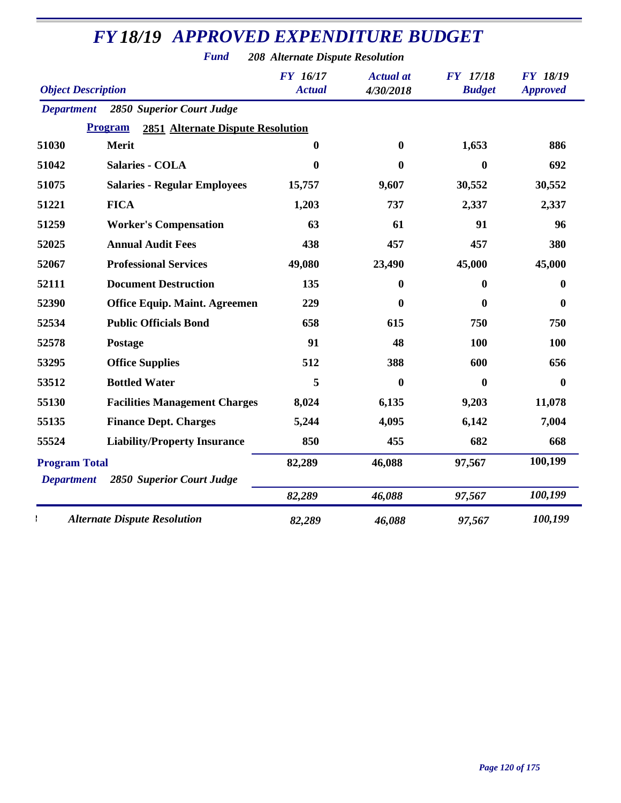|                           | <b>FY18/19 APPROVED EXPENDITURE BUDGET</b><br><b>Fund</b>  | 208 Alternate Dispute Resolution |                               |                                  |                                    |
|---------------------------|------------------------------------------------------------|----------------------------------|-------------------------------|----------------------------------|------------------------------------|
| <b>Object Description</b> |                                                            | <b>FY</b> 16/17<br><b>Actual</b> | <b>Actual</b> at<br>4/30/2018 | <b>FY</b> 17/18<br><b>Budget</b> | <b>FY 18/19</b><br><b>Approved</b> |
| <b>Department</b>         | 2850 Superior Court Judge                                  |                                  |                               |                                  |                                    |
|                           | <b>2851 Alternate Dispute Resolution</b><br><b>Program</b> |                                  |                               |                                  |                                    |
| 51030                     | Merit                                                      | $\mathbf{0}$                     | $\boldsymbol{0}$              | 1,653                            | 886                                |
| 51042                     | <b>Salaries - COLA</b>                                     | $\bf{0}$                         | $\bf{0}$                      | $\bf{0}$                         | 692                                |
| 51075                     | <b>Salaries - Regular Employees</b>                        | 15,757                           | 9,607                         | 30,552                           | 30,552                             |
| 51221                     | <b>FICA</b>                                                | 1,203                            | 737                           | 2,337                            | 2,337                              |
| 51259                     | <b>Worker's Compensation</b>                               | 63                               | 61                            | 91                               | 96                                 |
| 52025                     | <b>Annual Audit Fees</b>                                   | 438                              | 457                           | 457                              | 380                                |
| 52067                     | <b>Professional Services</b>                               | 49,080                           | 23,490                        | 45,000                           | 45,000                             |
| 52111                     | <b>Document Destruction</b>                                | 135                              | 0                             | $\mathbf{0}$                     | 0                                  |
| 52390                     | <b>Office Equip. Maint. Agreemen</b>                       | 229                              | 0                             | 0                                | 0                                  |
| 52534                     | <b>Public Officials Bond</b>                               | 658                              | 615                           | 750                              | 750                                |
| 52578                     | <b>Postage</b>                                             | 91                               | 48                            | <b>100</b>                       | 100                                |
| 53295                     | <b>Office Supplies</b>                                     | 512                              | 388                           | 600                              | 656                                |
| 53512                     | <b>Bottled Water</b>                                       | 5                                | 0                             | $\mathbf{0}$                     | 0                                  |
| 55130                     | <b>Facilities Management Charges</b>                       | 8,024                            | 6,135                         | 9,203                            | 11,078                             |
| 55135                     | <b>Finance Dept. Charges</b>                               | 5,244                            | 4,095                         | 6,142                            | 7,004                              |
| 55524                     | <b>Liability/Property Insurance</b>                        | 850                              | 455                           | 682                              | 668                                |
| <b>Program Total</b>      |                                                            | 82,289                           | 46,088                        | 97,567                           | 100,199                            |
| <b>Department</b>         | <b>2850 Superior Court Judge</b>                           |                                  |                               |                                  |                                    |
|                           |                                                            | 82,289                           | 46,088                        | 97,567                           | 100,199                            |
|                           | <b>Alternate Dispute Resolution</b>                        | 82,289                           | 46,088                        | 97,567                           | 100,199                            |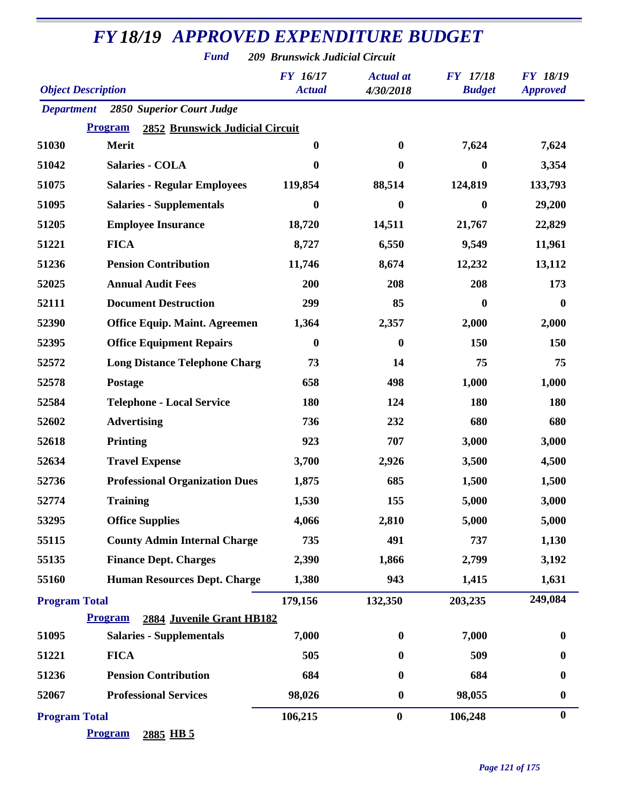*Fund 209 Brunswick Judicial Circuit*

| <b>Object Description</b> |                                                          | FY 16/17<br><b>Actual</b> | <b>Actual</b> at<br>4/30/2018 | <b>FY</b> 17/18<br><b>Budget</b> | <b>FY 18/19</b><br><b>Approved</b> |
|---------------------------|----------------------------------------------------------|---------------------------|-------------------------------|----------------------------------|------------------------------------|
| <b>Department</b>         | 2850 Superior Court Judge                                |                           |                               |                                  |                                    |
|                           | <b>Program</b><br><b>2852 Brunswick Judicial Circuit</b> |                           |                               |                                  |                                    |
| 51030                     | <b>Merit</b>                                             | $\bf{0}$                  | 0                             | 7,624                            | 7,624                              |
| 51042                     | <b>Salaries - COLA</b>                                   | $\boldsymbol{0}$          | $\bf{0}$                      | $\boldsymbol{0}$                 | 3,354                              |
| 51075                     | <b>Salaries - Regular Employees</b>                      | 119,854                   | 88,514                        | 124,819                          | 133,793                            |
| 51095                     | <b>Salaries - Supplementals</b>                          | $\boldsymbol{0}$          | $\boldsymbol{0}$              | $\bf{0}$                         | 29,200                             |
| 51205                     | <b>Employee Insurance</b>                                | 18,720                    | 14,511                        | 21,767                           | 22,829                             |
| 51221                     | <b>FICA</b>                                              | 8,727                     | 6,550                         | 9,549                            | 11,961                             |
| 51236                     | <b>Pension Contribution</b>                              | 11,746                    | 8,674                         | 12,232                           | 13,112                             |
| 52025                     | <b>Annual Audit Fees</b>                                 | 200                       | 208                           | 208                              | 173                                |
| 52111                     | <b>Document Destruction</b>                              | 299                       | 85                            | $\bf{0}$                         | $\bf{0}$                           |
| 52390                     | <b>Office Equip. Maint. Agreemen</b>                     | 1,364                     | 2,357                         | 2,000                            | 2,000                              |
| 52395                     | <b>Office Equipment Repairs</b>                          | $\boldsymbol{0}$          | $\boldsymbol{0}$              | 150                              | 150                                |
| 52572                     | <b>Long Distance Telephone Charg</b>                     | 73                        | 14                            | 75                               | 75                                 |
| 52578                     | Postage                                                  | 658                       | 498                           | 1,000                            | 1,000                              |
| 52584                     | <b>Telephone - Local Service</b>                         | 180                       | 124                           | 180                              | 180                                |
| 52602                     | <b>Advertising</b>                                       | 736                       | 232                           | 680                              | 680                                |
| 52618                     | Printing                                                 | 923                       | 707                           | 3,000                            | 3,000                              |
| 52634                     | <b>Travel Expense</b>                                    | 3,700                     | 2,926                         | 3,500                            | 4,500                              |
| 52736                     | <b>Professional Organization Dues</b>                    | 1,875                     | 685                           | 1,500                            | 1,500                              |
| 52774                     | <b>Training</b>                                          | 1,530                     | 155                           | 5,000                            | 3,000                              |
| 53295                     | <b>Office Supplies</b>                                   | 4,066                     | 2,810                         | 5,000                            | 5,000                              |
| 55115                     | <b>County Admin Internal Charge</b>                      | 735                       | 491                           | 737                              | 1,130                              |
| 55135                     | <b>Finance Dept. Charges</b>                             | 2,390                     | 1,866                         | 2,799                            | 3,192                              |
| 55160                     | <b>Human Resources Dept. Charge</b>                      | 1,380                     | 943                           | 1,415                            | 1,631                              |
| <b>Program Total</b>      |                                                          | 179,156                   | 132,350                       | 203,235                          | 249,084                            |
|                           | 2884 Juvenile Grant HB182<br><b>Program</b>              |                           |                               |                                  |                                    |
| 51095                     | <b>Salaries - Supplementals</b>                          | 7,000                     | $\boldsymbol{0}$              | 7,000                            | 0                                  |
| 51221                     | <b>FICA</b>                                              | 505                       | $\bf{0}$                      | 509                              | 0                                  |
| 51236                     | <b>Pension Contribution</b>                              | 684                       | $\bf{0}$                      | 684                              | 0                                  |
| 52067                     | <b>Professional Services</b>                             | 98,026                    | $\boldsymbol{0}$              | 98,055                           | $\boldsymbol{0}$                   |
| <b>Program Total</b>      |                                                          | 106,215                   | $\bf{0}$                      | 106,248                          | $\bf{0}$                           |
|                           | <b>Program</b><br>2885 HB 5                              |                           |                               |                                  |                                    |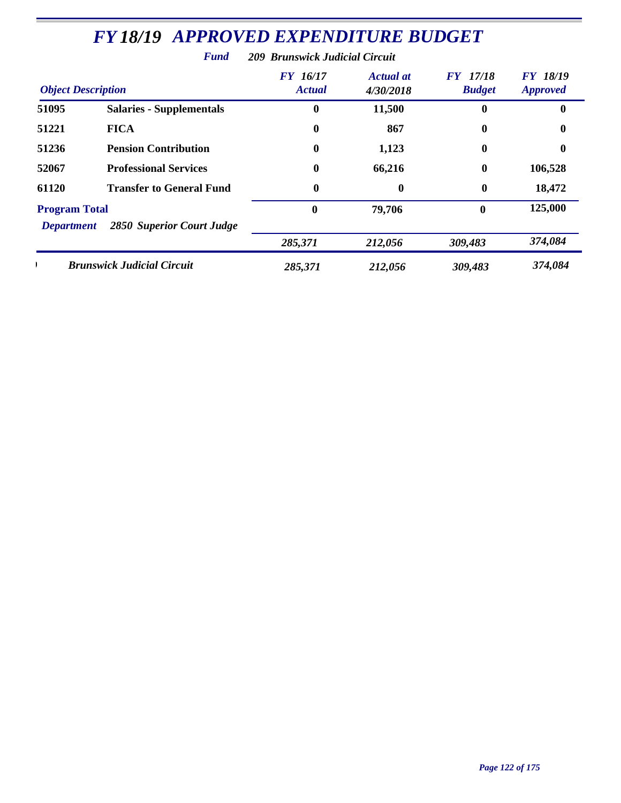|                                           | r unu                             | 209 Druhswick Judicial Circuit   |                               |                                  |                                    |
|-------------------------------------------|-----------------------------------|----------------------------------|-------------------------------|----------------------------------|------------------------------------|
| <b>Object Description</b>                 |                                   | <b>FY</b> 16/17<br><b>Actual</b> | <b>Actual at</b><br>4/30/2018 | <b>FY</b> 17/18<br><b>Budget</b> | <b>FY 18/19</b><br><b>Approved</b> |
| 51095                                     | <b>Salaries - Supplementals</b>   | 0                                | 11,500                        | $\bf{0}$                         | 0                                  |
| 51221                                     | <b>FICA</b>                       | $\boldsymbol{0}$                 | 867                           | $\bf{0}$                         | 0                                  |
| 51236                                     | <b>Pension Contribution</b>       | $\boldsymbol{0}$                 | 1,123                         | $\boldsymbol{0}$                 | 0                                  |
| 52067                                     | <b>Professional Services</b>      | $\bf{0}$                         | 66,216                        | $\boldsymbol{0}$                 | 106,528                            |
| 61120                                     | <b>Transfer to General Fund</b>   | $\boldsymbol{0}$                 | $\bf{0}$                      | $\boldsymbol{0}$                 | 18,472                             |
| <b>Program Total</b><br><b>Department</b> | 2850 Superior Court Judge         | $\bf{0}$                         | 79,706                        | $\mathbf{0}$                     | 125,000                            |
|                                           |                                   | 285,371                          | 212,056                       | 309,483                          | 374,084                            |
|                                           | <b>Brunswick Judicial Circuit</b> | 285,371                          | 212,056                       | 309,483                          | 374,084                            |

*Fund 209 Brunswick Judicial Circuit*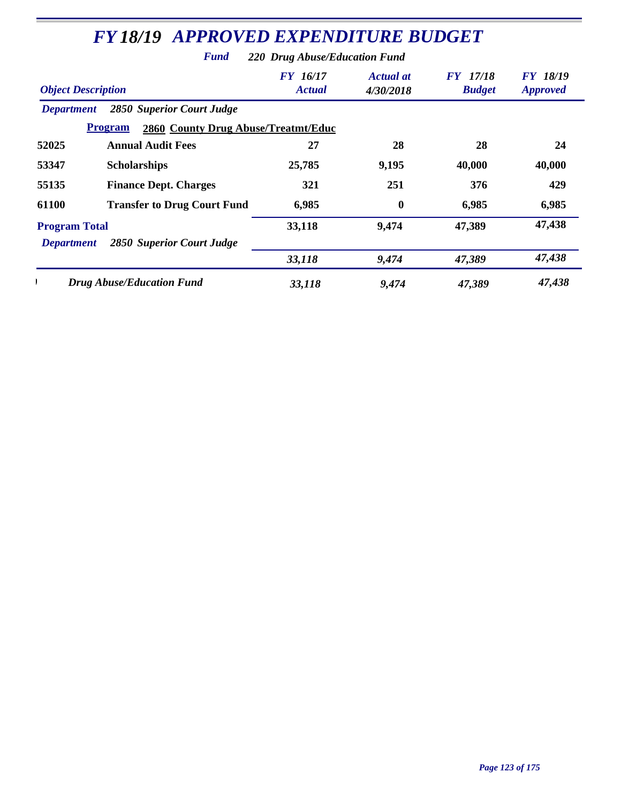|                           | <b>FY 18/19 APPROVED EXPENDITURE BUDGET</b>                  |                                  |                               |                                  |                                    |
|---------------------------|--------------------------------------------------------------|----------------------------------|-------------------------------|----------------------------------|------------------------------------|
|                           | <b>Fund</b>                                                  | 220 Drug Abuse/Education Fund    |                               |                                  |                                    |
| <b>Object Description</b> |                                                              | <b>FY</b> 16/17<br><b>Actual</b> | <b>Actual at</b><br>4/30/2018 | <b>FY</b> 17/18<br><b>Budget</b> | <b>FY 18/19</b><br><b>Approved</b> |
| <b>Department</b>         | <b>2850 Superior Court Judge</b>                             |                                  |                               |                                  |                                    |
|                           | <b>Program</b><br><b>2860 County Drug Abuse/Treatmt/Educ</b> |                                  |                               |                                  |                                    |
| 52025                     | <b>Annual Audit Fees</b>                                     | 27                               | 28                            | 28                               | 24                                 |
| 53347                     | <b>Scholarships</b>                                          | 25,785                           | 9,195                         | 40,000                           | 40,000                             |
| 55135                     | <b>Finance Dept. Charges</b>                                 | 321                              | 251                           | 376                              | 429                                |
| 61100                     | <b>Transfer to Drug Court Fund</b>                           | 6,985                            | $\mathbf{0}$                  | 6,985                            | 6,985                              |
| <b>Program Total</b>      |                                                              | 33,118                           | 9,474                         | 47,389                           | 47,438                             |
| <b>Department</b>         | 2850 Superior Court Judge                                    |                                  |                               |                                  |                                    |
|                           |                                                              | 33,118                           | 9,474                         | 47,389                           | 47,438                             |
|                           | <b>Drug Abuse/Education Fund</b>                             | 33,118                           | 9,474                         | 47,389                           | 47,438                             |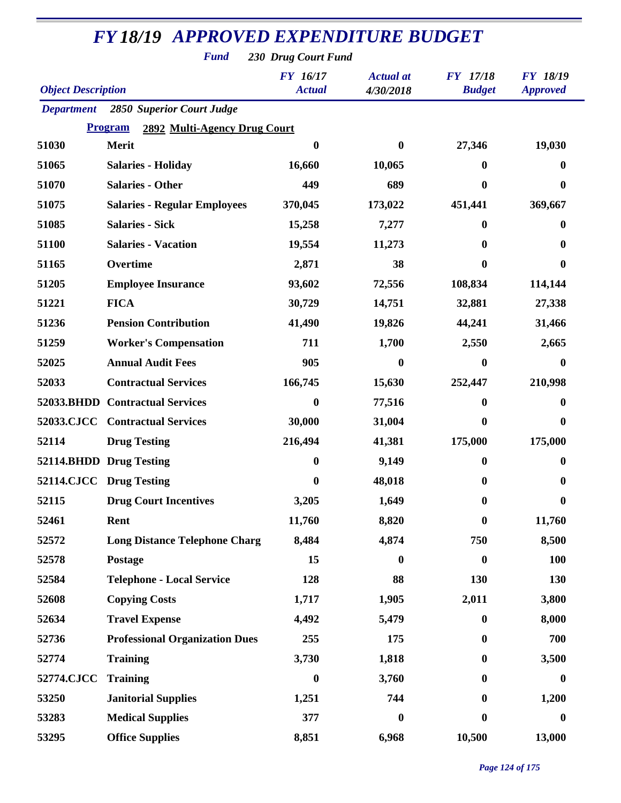| <b>Fund</b><br>230 Drug Court Fund |                                         |                                  |                               |                                  |                                    |  |  |  |
|------------------------------------|-----------------------------------------|----------------------------------|-------------------------------|----------------------------------|------------------------------------|--|--|--|
| <b>Object Description</b>          |                                         | <b>FY</b> 16/17<br><b>Actual</b> | <b>Actual</b> at<br>4/30/2018 | <b>FY</b> 17/18<br><b>Budget</b> | <b>FY 18/19</b><br><b>Approved</b> |  |  |  |
| <b>Department</b>                  | <b>2850 Superior Court Judge</b>        |                                  |                               |                                  |                                    |  |  |  |
|                                    | Program<br>2892 Multi-Agency Drug Court |                                  |                               |                                  |                                    |  |  |  |
| 51030                              | <b>Merit</b>                            | $\boldsymbol{0}$                 | $\bf{0}$                      | 27,346                           | 19,030                             |  |  |  |
| 51065                              | <b>Salaries - Holiday</b>               | 16,660                           | 10,065                        | 0                                | 0                                  |  |  |  |
| 51070                              | <b>Salaries - Other</b>                 | 449                              | 689                           | $\boldsymbol{0}$                 | 0                                  |  |  |  |
| 51075                              | <b>Salaries - Regular Employees</b>     | 370,045                          | 173,022                       | 451,441                          | 369,667                            |  |  |  |
| 51085                              | <b>Salaries - Sick</b>                  | 15,258                           | 7,277                         | $\mathbf{0}$                     | 0                                  |  |  |  |
| 51100                              | <b>Salaries - Vacation</b>              | 19,554                           | 11,273                        | 0                                | 0                                  |  |  |  |
| 51165                              | Overtime                                | 2,871                            | 38                            | $\bf{0}$                         | 0                                  |  |  |  |
| 51205                              | <b>Employee Insurance</b>               | 93,602                           | 72,556                        | 108,834                          | 114,144                            |  |  |  |
| 51221                              | <b>FICA</b>                             | 30,729                           | 14,751                        | 32,881                           | 27,338                             |  |  |  |
| 51236                              | <b>Pension Contribution</b>             | 41,490                           | 19,826                        | 44,241                           | 31,466                             |  |  |  |
| 51259                              | <b>Worker's Compensation</b>            | 711                              | 1,700                         | 2,550                            | 2,665                              |  |  |  |
| 52025                              | <b>Annual Audit Fees</b>                | 905                              | 0                             | $\boldsymbol{0}$                 | 0                                  |  |  |  |
| 52033                              | <b>Contractual Services</b>             | 166,745                          | 15,630                        | 252,447                          | 210,998                            |  |  |  |
| 52033.BHDD                         | <b>Contractual Services</b>             | $\boldsymbol{0}$                 | 77,516                        | $\bf{0}$                         | 0                                  |  |  |  |
| <b>52033.CJCC</b>                  | <b>Contractual Services</b>             | 30,000                           | 31,004                        | $\bf{0}$                         | 0                                  |  |  |  |
| 52114                              | <b>Drug Testing</b>                     | 216,494                          | 41,381                        | 175,000                          | 175,000                            |  |  |  |
|                                    | 52114.BHDD Drug Testing                 | $\boldsymbol{0}$                 | 9,149                         | $\bf{0}$                         | $\boldsymbol{0}$                   |  |  |  |
|                                    | 52114.CJCC Drug Testing                 | $\bf{0}$                         | 48,018                        | $\bf{0}$                         | $\boldsymbol{0}$                   |  |  |  |
| 52115                              | <b>Drug Court Incentives</b>            | 3,205                            | 1,649                         | $\bf{0}$                         | $\bf{0}$                           |  |  |  |
| 52461                              | Rent                                    | 11,760                           | 8,820                         | $\boldsymbol{0}$                 | 11,760                             |  |  |  |
| 52572                              | <b>Long Distance Telephone Charg</b>    | 8,484                            | 4,874                         | 750                              | 8,500                              |  |  |  |
| 52578                              | Postage                                 | 15                               | $\boldsymbol{0}$              | $\boldsymbol{0}$                 | <b>100</b>                         |  |  |  |
| 52584                              | <b>Telephone - Local Service</b>        | 128                              | 88                            | 130                              | 130                                |  |  |  |
| 52608                              | <b>Copying Costs</b>                    | 1,717                            | 1,905                         | 2,011                            | 3,800                              |  |  |  |
| 52634                              | <b>Travel Expense</b>                   | 4,492                            | 5,479                         | $\boldsymbol{0}$                 | 8,000                              |  |  |  |
| 52736                              | <b>Professional Organization Dues</b>   | 255                              | 175                           | $\bf{0}$                         | 700                                |  |  |  |
| 52774                              | <b>Training</b>                         | 3,730                            | 1,818                         | $\bf{0}$                         | 3,500                              |  |  |  |
| 52774.CJCC                         | <b>Training</b>                         | $\boldsymbol{0}$                 | 3,760                         | $\bf{0}$                         | $\boldsymbol{0}$                   |  |  |  |
| 53250                              | <b>Janitorial Supplies</b>              | 1,251                            | 744                           | $\mathbf{0}$                     | 1,200                              |  |  |  |
| 53283                              | <b>Medical Supplies</b>                 | 377                              | $\boldsymbol{0}$              | $\boldsymbol{0}$                 | 0                                  |  |  |  |
| 53295                              | <b>Office Supplies</b>                  | 8,851                            | 6,968                         | 10,500                           | 13,000                             |  |  |  |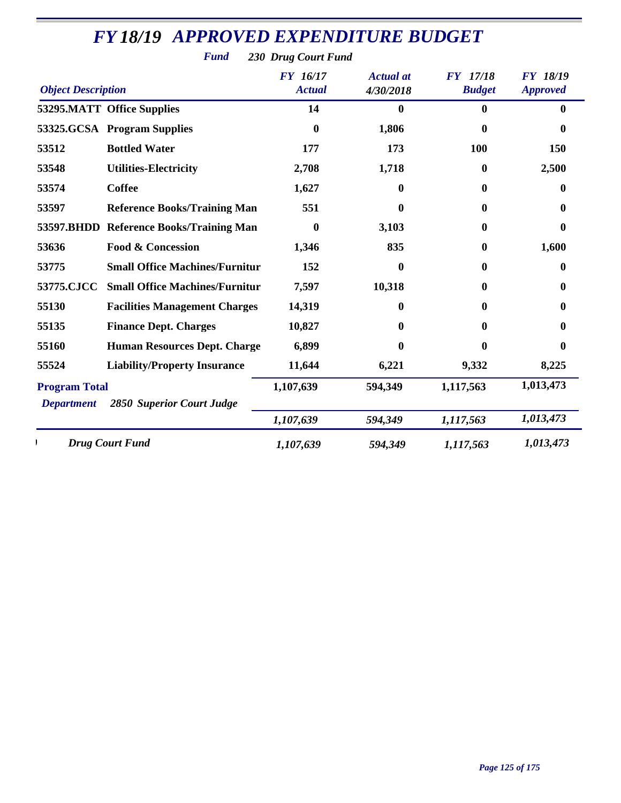|                           | <b>Fund</b>                             | 230 Drug Court Fund              |                               |                                  |                                    |
|---------------------------|-----------------------------------------|----------------------------------|-------------------------------|----------------------------------|------------------------------------|
| <b>Object Description</b> |                                         | <b>FY</b> 16/17<br><b>Actual</b> | <b>Actual</b> at<br>4/30/2018 | <b>FY</b> 17/18<br><b>Budget</b> | <b>FY 18/19</b><br><b>Approved</b> |
|                           | 53295.MATT Office Supplies              | 14                               | $\boldsymbol{0}$              | $\mathbf{0}$                     | 0                                  |
|                           | 53325.GCSA Program Supplies             | $\bf{0}$                         | 1,806                         | $\boldsymbol{0}$                 | 0                                  |
| 53512                     | <b>Bottled Water</b>                    | 177                              | 173                           | 100                              | 150                                |
| 53548                     | <b>Utilities-Electricity</b>            | 2,708                            | 1,718                         | 0                                | 2,500                              |
| 53574                     | <b>Coffee</b>                           | 1,627                            | $\boldsymbol{0}$              | $\bf{0}$                         | 0                                  |
| 53597                     | <b>Reference Books/Training Man</b>     | 551                              | 0                             | 0                                | 0                                  |
|                           | 53597.BHDD Reference Books/Training Man | 0                                | 3,103                         | 0                                | 0                                  |
| 53636                     | <b>Food &amp; Concession</b>            | 1,346                            | 835                           | 0                                | 1,600                              |
| 53775                     | <b>Small Office Machines/Furnitur</b>   | 152                              | $\bf{0}$                      | 0                                | 0                                  |
| 53775.CJCC                | <b>Small Office Machines/Furnitur</b>   | 7,597                            | 10,318                        | 0                                | 0                                  |
| 55130                     | <b>Facilities Management Charges</b>    | 14,319                           | $\boldsymbol{0}$              | 0                                | 0                                  |
| 55135                     | <b>Finance Dept. Charges</b>            | 10,827                           | 0                             | 0                                | 0                                  |
| 55160                     | <b>Human Resources Dept. Charge</b>     | 6,899                            | 0                             | 0                                | 0                                  |
| 55524                     | <b>Liability/Property Insurance</b>     | 11,644                           | 6,221                         | 9,332                            | 8,225                              |
| <b>Program Total</b>      |                                         | 1,107,639                        | 594,349                       | 1,117,563                        | 1,013,473                          |
| <b>Department</b>         | <b>2850 Superior Court Judge</b>        | 1,107,639                        | 594,349                       | 1,117,563                        | 1,013,473                          |
|                           | <b>Drug Court Fund</b>                  | 1,107,639                        | 594,349                       | 1,117,563                        | 1,013,473                          |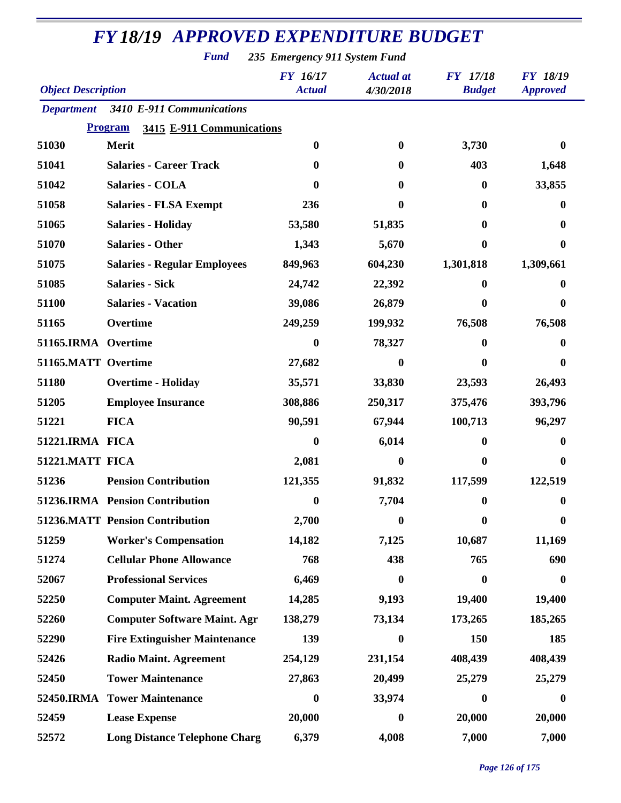*Fund 235 Emergency 911 System Fund*

| <b>Object Description</b> |                                             | <b>FY 16/17</b><br><b>Actual</b> | <b>Actual</b> at<br>4/30/2018 | <b>FY</b> 17/18<br><b>Budget</b> | <b>FY 18/19</b><br><b>Approved</b> |
|---------------------------|---------------------------------------------|----------------------------------|-------------------------------|----------------------------------|------------------------------------|
| <b>Department</b>         | 3410 E-911 Communications                   |                                  |                               |                                  |                                    |
|                           | <b>Program</b><br>3415 E-911 Communications |                                  |                               |                                  |                                    |
| 51030                     | Merit                                       | $\boldsymbol{0}$                 | $\mathbf{0}$                  | 3,730                            | 0                                  |
| 51041                     | <b>Salaries - Career Track</b>              | $\mathbf{0}$                     | $\bf{0}$                      | 403                              | 1,648                              |
| 51042                     | <b>Salaries - COLA</b>                      | $\mathbf{0}$                     | 0                             | $\boldsymbol{0}$                 | 33,855                             |
| 51058                     | <b>Salaries - FLSA Exempt</b>               | 236                              | 0                             | 0                                | 0                                  |
| 51065                     | <b>Salaries - Holiday</b>                   | 53,580                           | 51,835                        | 0                                | 0                                  |
| 51070                     | <b>Salaries - Other</b>                     | 1,343                            | 5,670                         | 0                                | 0                                  |
| 51075                     | <b>Salaries - Regular Employees</b>         | 849,963                          | 604,230                       | 1,301,818                        | 1,309,661                          |
| 51085                     | <b>Salaries - Sick</b>                      | 24,742                           | 22,392                        | 0                                | o                                  |
| 51100                     | <b>Salaries - Vacation</b>                  | 39,086                           | 26,879                        | 0                                | 0                                  |
| 51165                     | Overtime                                    | 249,259                          | 199,932                       | 76,508                           | 76,508                             |
| 51165.IRMA Overtime       |                                             | $\boldsymbol{0}$                 | 78,327                        | 0                                | 0                                  |
| 51165.MATT Overtime       |                                             | 27,682                           | 0                             | 0                                | 0                                  |
| 51180                     | <b>Overtime - Holiday</b>                   | 35,571                           | 33,830                        | 23,593                           | 26,493                             |
| 51205                     | <b>Employee Insurance</b>                   | 308,886                          | 250,317                       | 375,476                          | 393,796                            |
| 51221                     | <b>FICA</b>                                 | 90,591                           | 67,944                        | 100,713                          | 96,297                             |
| 51221.IRMA FICA           |                                             | $\bf{0}$                         | 6,014                         | 0                                | O                                  |
| 51221.MATT FICA           |                                             | 2,081                            | $\bf{0}$                      | 0                                | 0                                  |
| 51236                     | <b>Pension Contribution</b>                 | 121,355                          | 91,832                        | 117,599                          | 122,519                            |
|                           | 51236.IRMA Pension Contribution             | $\boldsymbol{0}$                 | 7,704                         | 0                                | 0                                  |
|                           | 51236.MATT Pension Contribution             | 2,700                            | $\boldsymbol{0}$              | $\bf{0}$                         | $\bf{0}$                           |
| 51259                     | <b>Worker's Compensation</b>                | 14,182                           | 7,125                         | 10,687                           | 11,169                             |
| 51274                     | <b>Cellular Phone Allowance</b>             | 768                              | 438                           | 765                              | 690                                |
| 52067                     | <b>Professional Services</b>                | 6,469                            | $\boldsymbol{0}$              | $\boldsymbol{0}$                 | $\boldsymbol{0}$                   |
| 52250                     | <b>Computer Maint. Agreement</b>            | 14,285                           | 9,193                         | 19,400                           | 19,400                             |
| 52260                     | <b>Computer Software Maint. Agr</b>         | 138,279                          | 73,134                        | 173,265                          | 185,265                            |
| 52290                     | <b>Fire Extinguisher Maintenance</b>        | 139                              | $\boldsymbol{0}$              | 150                              | 185                                |
| 52426                     | <b>Radio Maint. Agreement</b>               | 254,129                          | 231,154                       | 408,439                          | 408,439                            |
| 52450                     | <b>Tower Maintenance</b>                    | 27,863                           | 20,499                        | 25,279                           | 25,279                             |
|                           | 52450.IRMA Tower Maintenance                | $\boldsymbol{0}$                 | 33,974                        | $\bf{0}$                         | 0                                  |
| 52459                     | <b>Lease Expense</b>                        | 20,000                           | $\bf{0}$                      | 20,000                           | 20,000                             |
| 52572                     | <b>Long Distance Telephone Charg</b>        | 6,379                            | 4,008                         | 7,000                            | 7,000                              |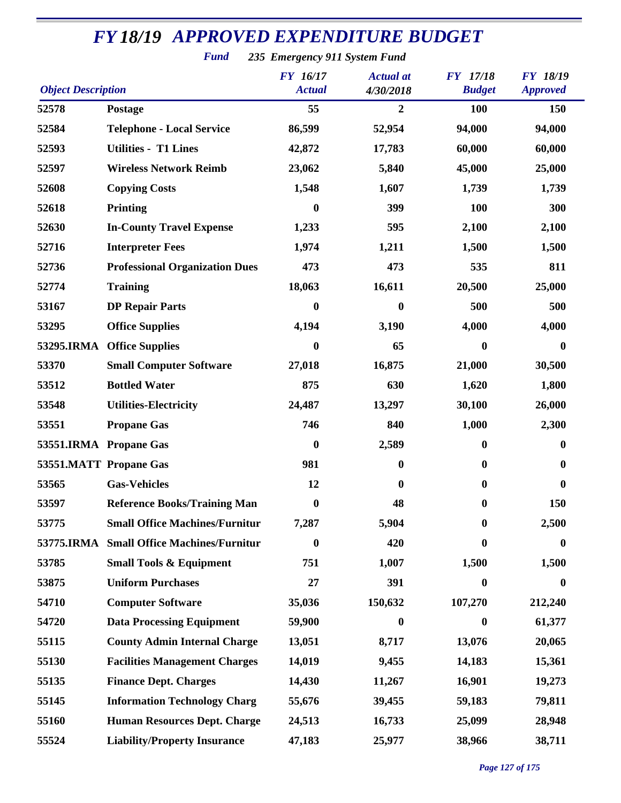*Fund 235 Emergency 911 System Fund*

| <b>Object Description</b> |                                       | <b>FY</b> 16/17<br><b>Actual</b> | <b>Actual</b> at<br>4/30/2018 | <b>FY</b> 17/18<br><b>Budget</b> | <b>FY 18/19</b><br><b>Approved</b> |
|---------------------------|---------------------------------------|----------------------------------|-------------------------------|----------------------------------|------------------------------------|
| 52578                     | Postage                               | 55                               | $\overline{2}$                | 100                              | 150                                |
| 52584                     | <b>Telephone - Local Service</b>      | 86,599                           | 52,954                        | 94,000                           | 94,000                             |
| 52593                     | <b>Utilities - T1 Lines</b>           | 42,872                           | 17,783                        | 60,000                           | 60,000                             |
| 52597                     | <b>Wireless Network Reimb</b>         | 23,062                           | 5,840                         | 45,000                           | 25,000                             |
| 52608                     | <b>Copying Costs</b>                  | 1,548                            | 1,607                         | 1,739                            | 1,739                              |
| 52618                     | <b>Printing</b>                       | 0                                | 399                           | <b>100</b>                       | 300                                |
| 52630                     | <b>In-County Travel Expense</b>       | 1,233                            | 595                           | 2,100                            | 2,100                              |
| 52716                     | <b>Interpreter Fees</b>               | 1,974                            | 1,211                         | 1,500                            | 1,500                              |
| 52736                     | <b>Professional Organization Dues</b> | 473                              | 473                           | 535                              | 811                                |
| 52774                     | <b>Training</b>                       | 18,063                           | 16,611                        | 20,500                           | 25,000                             |
| 53167                     | <b>DP Repair Parts</b>                | $\boldsymbol{0}$                 | $\bf{0}$                      | 500                              | 500                                |
| 53295                     | <b>Office Supplies</b>                | 4,194                            | 3,190                         | 4,000                            | 4,000                              |
| 53295.IRMA                | <b>Office Supplies</b>                | $\boldsymbol{0}$                 | 65                            | 0                                | $\bf{0}$                           |
| 53370                     | <b>Small Computer Software</b>        | 27,018                           | 16,875                        | 21,000                           | 30,500                             |
| 53512                     | <b>Bottled Water</b>                  | 875                              | 630                           | 1,620                            | 1,800                              |
| 53548                     | <b>Utilities-Electricity</b>          | 24,487                           | 13,297                        | 30,100                           | 26,000                             |
| 53551                     | <b>Propane Gas</b>                    | 746                              | 840                           | 1,000                            | 2,300                              |
|                           | 53551.IRMA Propane Gas                | $\boldsymbol{0}$                 | 2,589                         | $\bf{0}$                         | $\bf{0}$                           |
|                           | 53551.MATT Propane Gas                | 981                              | $\bf{0}$                      | $\boldsymbol{0}$                 | 0                                  |
| 53565                     | <b>Gas-Vehicles</b>                   | 12                               | $\boldsymbol{0}$              | $\bf{0}$                         | $\bf{0}$                           |
| 53597                     | <b>Reference Books/Training Man</b>   | $\boldsymbol{0}$                 | 48                            | $\boldsymbol{0}$                 | 150                                |
| 53775                     | <b>Small Office Machines/Furnitur</b> | 7,287                            | 5,904                         | $\bf{0}$                         | 2,500                              |
| 53775.IRMA                | <b>Small Office Machines/Furnitur</b> | 0                                | 420                           | 0                                | $\bf{0}$                           |
| 53785                     | <b>Small Tools &amp; Equipment</b>    | 751                              | 1,007                         | 1,500                            | 1,500                              |
| 53875                     | <b>Uniform Purchases</b>              | 27                               | 391                           | $\boldsymbol{0}$                 | $\bf{0}$                           |
| 54710                     | <b>Computer Software</b>              | 35,036                           | 150,632                       | 107,270                          | 212,240                            |
| 54720                     | <b>Data Processing Equipment</b>      | 59,900                           | $\boldsymbol{0}$              | $\bf{0}$                         | 61,377                             |
| 55115                     | <b>County Admin Internal Charge</b>   | 13,051                           | 8,717                         | 13,076                           | 20,065                             |
| 55130                     | <b>Facilities Management Charges</b>  | 14,019                           | 9,455                         | 14,183                           | 15,361                             |
| 55135                     | <b>Finance Dept. Charges</b>          | 14,430                           | 11,267                        | 16,901                           | 19,273                             |
| 55145                     | <b>Information Technology Charg</b>   | 55,676                           | 39,455                        | 59,183                           | 79,811                             |
| 55160                     | <b>Human Resources Dept. Charge</b>   | 24,513                           | 16,733                        | 25,099                           | 28,948                             |
| 55524                     | <b>Liability/Property Insurance</b>   | 47,183                           | 25,977                        | 38,966                           | 38,711                             |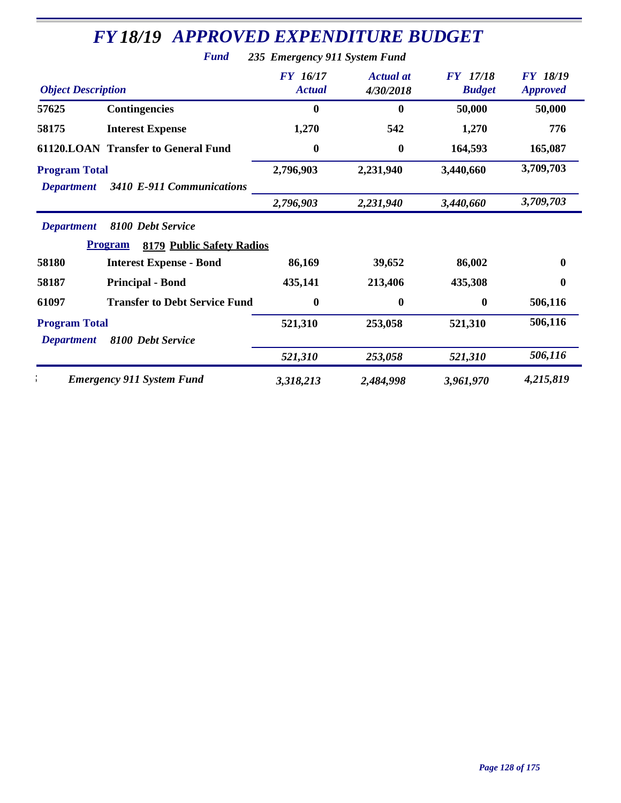|                                           | <b>Fund</b>                                                                                        | 235 Emergency 911 System Fund    |                               |                                  |                                    |
|-------------------------------------------|----------------------------------------------------------------------------------------------------|----------------------------------|-------------------------------|----------------------------------|------------------------------------|
| <b>Object Description</b>                 |                                                                                                    | <b>FY</b> 16/17<br><b>Actual</b> | <b>Actual</b> at<br>4/30/2018 | <b>FY</b> 17/18<br><b>Budget</b> | <b>FY 18/19</b><br><b>Approved</b> |
| 57625                                     | <b>Contingencies</b>                                                                               | $\bf{0}$                         | $\boldsymbol{0}$              | 50,000                           | 50,000                             |
| 58175                                     | <b>Interest Expense</b>                                                                            | 1,270                            | 542                           | 1,270                            | 776                                |
|                                           | <b>61120.LOAN Transfer to General Fund</b>                                                         | $\boldsymbol{0}$                 | $\boldsymbol{0}$              | 164,593                          | 165,087                            |
| <b>Program Total</b><br><b>Department</b> | 3410 E-911 Communications                                                                          | 2,796,903                        | 2,231,940                     | 3,440,660                        | 3,709,703                          |
|                                           |                                                                                                    | 2,796,903                        | 2,231,940                     | 3,440,660                        | 3,709,703                          |
| <b>Department</b><br>58180                | 8100 Debt Service<br><b>Program</b><br>8179 Public Safety Radios<br><b>Interest Expense - Bond</b> | 86,169                           | 39,652                        | 86,002                           | $\bf{0}$                           |
| 58187                                     | <b>Principal - Bond</b>                                                                            | 435,141                          | 213,406                       | 435,308                          | $\mathbf 0$                        |
| 61097                                     | <b>Transfer to Debt Service Fund</b>                                                               | $\boldsymbol{0}$                 | $\boldsymbol{0}$              | $\bf{0}$                         | 506,116                            |
| <b>Program Total</b><br><b>Department</b> | 8100 Debt Service                                                                                  | 521,310                          | 253,058                       | 521,310                          | 506,116                            |
|                                           |                                                                                                    | 521,310                          | 253,058                       | 521,310                          | 506,116                            |
|                                           | <b>Emergency 911 System Fund</b>                                                                   | 3,318,213                        | 2,484,998                     | 3,961,970                        | 4,215,819                          |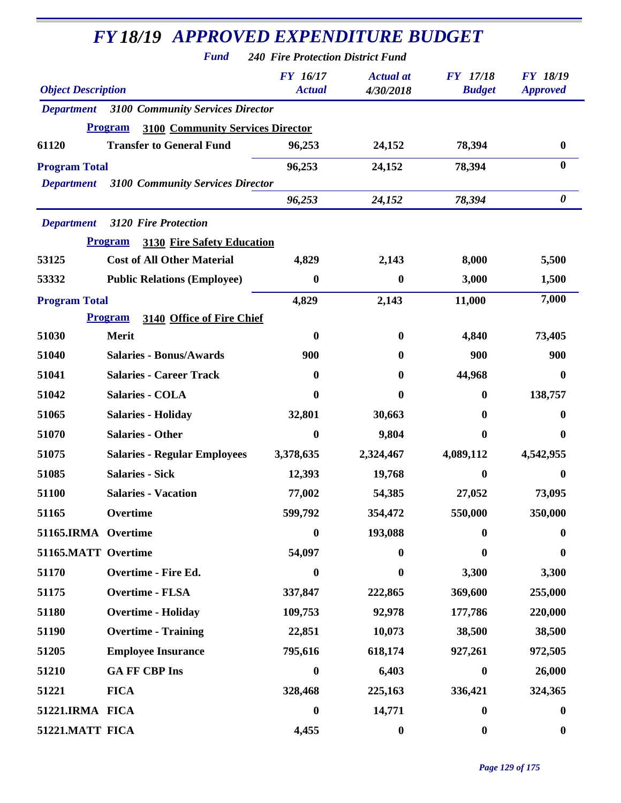| <b>FY18/19 APPROVED EXPENDITURE BUDGET</b> |                                                           |                                          |                               |                                  |                                    |  |
|--------------------------------------------|-----------------------------------------------------------|------------------------------------------|-------------------------------|----------------------------------|------------------------------------|--|
|                                            | <b>Fund</b>                                               | <b>240 Fire Protection District Fund</b> |                               |                                  |                                    |  |
| <b>Object Description</b>                  |                                                           | <b>FY</b> 16/17<br><b>Actual</b>         | <b>Actual</b> at<br>4/30/2018 | <b>FY</b> 17/18<br><b>Budget</b> | <b>FY 18/19</b><br><b>Approved</b> |  |
| <b>Department</b>                          | <b>3100 Community Services Director</b>                   |                                          |                               |                                  |                                    |  |
|                                            | <b>Program</b><br><b>3100 Community Services Director</b> |                                          |                               |                                  |                                    |  |
| 61120                                      | <b>Transfer to General Fund</b>                           | 96,253                                   | 24,152                        | 78,394                           | $\bf{0}$                           |  |
| <b>Program Total</b>                       |                                                           | 96,253                                   | 24,152                        | 78,394                           | $\bf{0}$                           |  |
| <b>Department</b>                          | <b>3100 Community Services Director</b>                   |                                          |                               |                                  |                                    |  |
|                                            |                                                           | 96,253                                   | 24,152                        | 78,394                           | $\boldsymbol{\theta}$              |  |
| <b>Department</b>                          | <b>3120 Fire Protection</b>                               |                                          |                               |                                  |                                    |  |
|                                            | <b>Program</b><br><b>3130 Fire Safety Education</b>       |                                          |                               |                                  |                                    |  |
| 53125                                      | <b>Cost of All Other Material</b>                         | 4,829                                    | 2,143                         | 8,000                            | 5,500                              |  |
| 53332                                      | <b>Public Relations (Employee)</b>                        | 0                                        | $\bf{0}$                      | 3,000                            | 1,500                              |  |
| <b>Program Total</b>                       |                                                           | 4,829                                    | 2,143                         | 11,000                           | 7,000                              |  |
|                                            | 3140 Office of Fire Chief<br><b>Program</b>               |                                          |                               |                                  |                                    |  |
| 51030                                      | Merit                                                     | 0                                        | $\mathbf{0}$                  | 4,840                            | 73,405                             |  |
| 51040                                      | <b>Salaries - Bonus/Awards</b>                            | 900                                      | 0                             | 900                              | 900                                |  |
| 51041                                      | <b>Salaries - Career Track</b>                            | 0                                        | $\mathbf{0}$                  | 44,968                           | 0                                  |  |
| 51042                                      | <b>Salaries - COLA</b>                                    | 0                                        | 0                             | 0                                | 138,757                            |  |
| 51065                                      | <b>Salaries - Holiday</b>                                 | 32,801                                   | 30,663                        | 0                                | 0                                  |  |
| 51070                                      | <b>Salaries - Other</b>                                   | $\bf{0}$                                 | 9,804                         | 0                                | 0                                  |  |
| 51075                                      | <b>Salaries - Regular Employees</b>                       | 3,378,635                                | 2,324,467                     | 4,089,112                        | 4,542,955                          |  |
| 51085                                      | <b>Salaries - Sick</b>                                    | 12,393                                   | 19,768                        | 0                                | $\bf{0}$                           |  |
| 51100                                      | <b>Salaries - Vacation</b>                                | 77,002                                   | 54,385                        | 27,052                           | 73,095                             |  |
| 51165                                      | Overtime                                                  | 599,792                                  | 354,472                       | 550,000                          | 350,000                            |  |
| 51165.IRMA Overtime                        |                                                           | $\boldsymbol{0}$                         | 193,088                       | 0                                | $\bf{0}$                           |  |
| 51165.MATT Overtime                        |                                                           | 54,097                                   | $\mathbf{0}$                  | 0                                | 0                                  |  |
| 51170                                      | <b>Overtime - Fire Ed.</b>                                | $\boldsymbol{0}$                         | $\boldsymbol{0}$              | 3,300                            | 3,300                              |  |
| 51175                                      | <b>Overtime - FLSA</b>                                    | 337,847                                  | 222,865                       | 369,600                          | 255,000                            |  |
| 51180                                      | <b>Overtime - Holiday</b>                                 | 109,753                                  | 92,978                        | 177,786                          | 220,000                            |  |
| 51190                                      | <b>Overtime - Training</b>                                | 22,851                                   | 10,073                        | 38,500                           | 38,500                             |  |
| 51205                                      | <b>Employee Insurance</b>                                 | 795,616                                  | 618,174                       | 927,261                          | 972,505                            |  |
| 51210                                      | <b>GA FF CBP Ins</b>                                      | $\boldsymbol{0}$                         | 6,403                         | $\boldsymbol{0}$                 | 26,000                             |  |
| 51221                                      | <b>FICA</b>                                               | 328,468                                  | 225,163                       | 336,421                          | 324,365                            |  |
| 51221.IRMA FICA                            |                                                           | 0                                        | 14,771                        | 0                                | $\bf{0}$                           |  |
| 51221.MATT FICA                            |                                                           | 4,455                                    | $\boldsymbol{0}$              | $\boldsymbol{0}$                 | $\boldsymbol{0}$                   |  |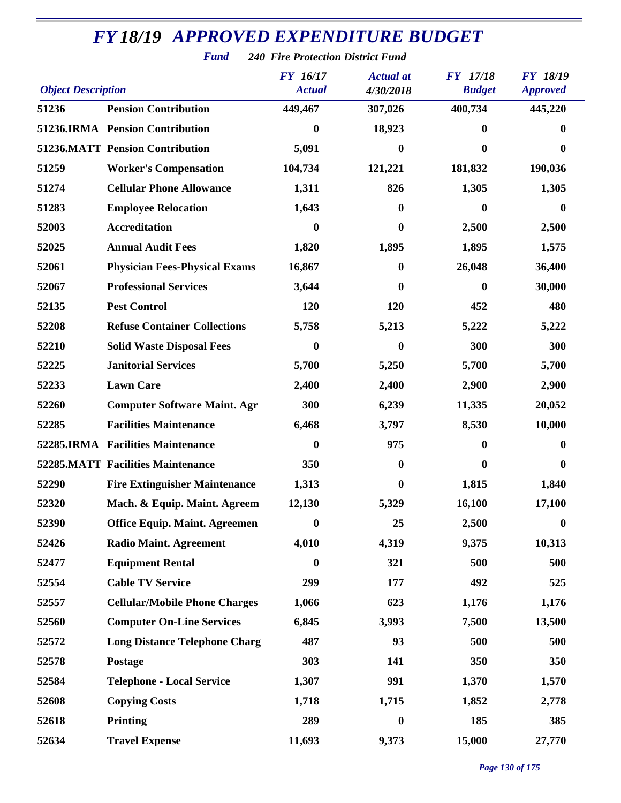|                           | <b>Fund</b>                              | <b>240 Fire Protection District Fund</b> |                               |                                  |                                    |
|---------------------------|------------------------------------------|------------------------------------------|-------------------------------|----------------------------------|------------------------------------|
| <b>Object Description</b> |                                          | FY 16/17<br><b>Actual</b>                | <b>Actual</b> at<br>4/30/2018 | <b>FY</b> 17/18<br><b>Budget</b> | <b>FY 18/19</b><br><b>Approved</b> |
| 51236                     | <b>Pension Contribution</b>              | 449,467                                  | 307,026                       | 400,734                          | 445,220                            |
|                           | 51236.IRMA Pension Contribution          | $\bf{0}$                                 | 18,923                        | 0                                | 0                                  |
|                           | <b>51236.MATT Pension Contribution</b>   | 5,091                                    | 0                             | 0                                | 0                                  |
| 51259                     | <b>Worker's Compensation</b>             | 104,734                                  | 121,221                       | 181,832                          | 190,036                            |
| 51274                     | <b>Cellular Phone Allowance</b>          | 1,311                                    | 826                           | 1,305                            | 1,305                              |
| 51283                     | <b>Employee Relocation</b>               | 1,643                                    | 0                             | 0                                | $\bf{0}$                           |
| 52003                     | <b>Accreditation</b>                     | $\bf{0}$                                 | $\bf{0}$                      | 2,500                            | 2,500                              |
| 52025                     | <b>Annual Audit Fees</b>                 | 1,820                                    | 1,895                         | 1,895                            | 1,575                              |
| 52061                     | <b>Physician Fees-Physical Exams</b>     | 16,867                                   | $\boldsymbol{0}$              | 26,048                           | 36,400                             |
| 52067                     | <b>Professional Services</b>             | 3,644                                    | 0                             | 0                                | 30,000                             |
| 52135                     | <b>Pest Control</b>                      | 120                                      | 120                           | 452                              | 480                                |
| 52208                     | <b>Refuse Container Collections</b>      | 5,758                                    | 5,213                         | 5,222                            | 5,222                              |
| 52210                     | <b>Solid Waste Disposal Fees</b>         | $\bf{0}$                                 | 0                             | 300                              | 300                                |
| 52225                     | <b>Janitorial Services</b>               | 5,700                                    | 5,250                         | 5,700                            | 5,700                              |
| 52233                     | <b>Lawn Care</b>                         | 2,400                                    | 2,400                         | 2,900                            | 2,900                              |
| 52260                     | <b>Computer Software Maint. Agr</b>      | 300                                      | 6,239                         | 11,335                           | 20,052                             |
| 52285                     | <b>Facilities Maintenance</b>            | 6,468                                    | 3,797                         | 8,530                            | 10,000                             |
|                           | 52285.IRMA Facilities Maintenance        | $\bf{0}$                                 | 975                           | 0                                | $\bf{0}$                           |
|                           | <b>52285.MATT Facilities Maintenance</b> | 350                                      | $\bf{0}$                      | 0                                | $\bf{0}$                           |
| 52290                     | <b>Fire Extinguisher Maintenance</b>     | 1,313                                    | $\bf{0}$                      | 1,815                            | 1,840                              |
| 52320                     | Mach. & Equip. Maint. Agreem             | 12,130                                   | 5,329                         | 16,100                           | 17,100                             |
| 52390                     | <b>Office Equip. Maint. Agreemen</b>     | $\bf{0}$                                 | 25                            | 2,500                            | $\boldsymbol{0}$                   |
| 52426                     | <b>Radio Maint. Agreement</b>            | 4,010                                    | 4,319                         | 9,375                            | 10,313                             |
| 52477                     | <b>Equipment Rental</b>                  | $\boldsymbol{0}$                         | 321                           | 500                              | 500                                |
| 52554                     | <b>Cable TV Service</b>                  | 299                                      | 177                           | 492                              | 525                                |
| 52557                     | <b>Cellular/Mobile Phone Charges</b>     | 1,066                                    | 623                           | 1,176                            | 1,176                              |
| 52560                     | <b>Computer On-Line Services</b>         | 6,845                                    | 3,993                         | 7,500                            | 13,500                             |
| 52572                     | <b>Long Distance Telephone Charg</b>     | 487                                      | 93                            | 500                              | 500                                |
| 52578                     | Postage                                  | 303                                      | 141                           | 350                              | 350                                |
| 52584                     | <b>Telephone - Local Service</b>         | 1,307                                    | 991                           | 1,370                            | 1,570                              |
| 52608                     | <b>Copying Costs</b>                     | 1,718                                    | 1,715                         | 1,852                            | 2,778                              |
| 52618                     | <b>Printing</b>                          | 289                                      | $\boldsymbol{0}$              | 185                              | 385                                |
| 52634                     | <b>Travel Expense</b>                    | 11,693                                   | 9,373                         | 15,000                           | 27,770                             |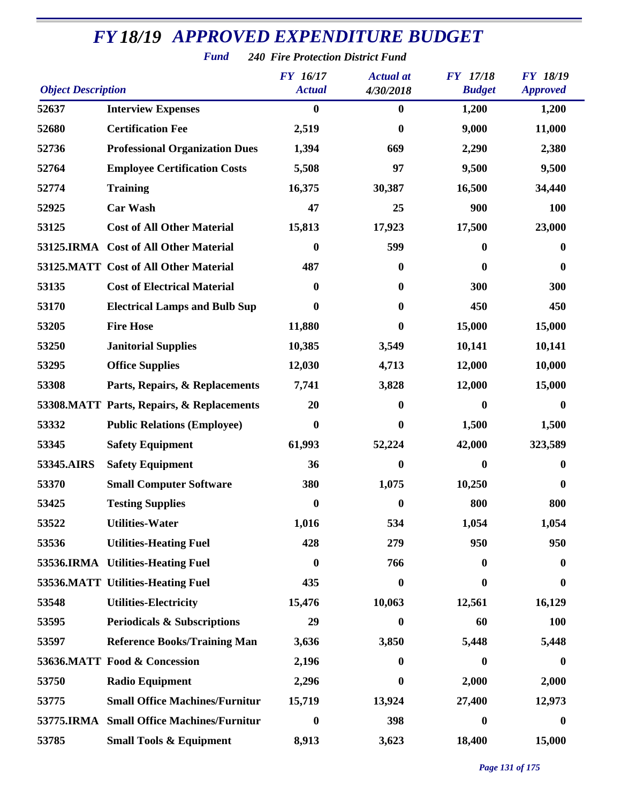*Fund 240 Fire Protection District Fund*

| <b>Object Description</b> |                                           | <b>FY</b> 16/17<br><b>Actual</b> | <b>Actual</b> at<br>4/30/2018 | <b>FY</b> 17/18<br><b>Budget</b> | <b>FY 18/19</b><br><b>Approved</b> |
|---------------------------|-------------------------------------------|----------------------------------|-------------------------------|----------------------------------|------------------------------------|
| 52637                     | <b>Interview Expenses</b>                 | $\bf{0}$                         | $\boldsymbol{0}$              | 1,200                            | 1,200                              |
| 52680                     | <b>Certification Fee</b>                  | 2,519                            | 0                             | 9,000                            | 11,000                             |
| 52736                     | <b>Professional Organization Dues</b>     | 1,394                            | 669                           | 2,290                            | 2,380                              |
| 52764                     | <b>Employee Certification Costs</b>       | 5,508                            | 97                            | 9,500                            | 9,500                              |
| 52774                     | <b>Training</b>                           | 16,375                           | 30,387                        | 16,500                           | 34,440                             |
| 52925                     | <b>Car Wash</b>                           | 47                               | 25                            | 900                              | <b>100</b>                         |
| 53125                     | <b>Cost of All Other Material</b>         | 15,813                           | 17,923                        | 17,500                           | 23,000                             |
|                           | 53125.IRMA Cost of All Other Material     | $\boldsymbol{0}$                 | 599                           | $\bf{0}$                         | 0                                  |
|                           | 53125.MATT Cost of All Other Material     | 487                              | 0                             | $\bf{0}$                         | $\bf{0}$                           |
| 53135                     | <b>Cost of Electrical Material</b>        | 0                                | 0                             | 300                              | 300                                |
| 53170                     | <b>Electrical Lamps and Bulb Sup</b>      | $\bf{0}$                         | 0                             | 450                              | 450                                |
| 53205                     | <b>Fire Hose</b>                          | 11,880                           | 0                             | 15,000                           | 15,000                             |
| 53250                     | <b>Janitorial Supplies</b>                | 10,385                           | 3,549                         | 10,141                           | 10,141                             |
| 53295                     | <b>Office Supplies</b>                    | 12,030                           | 4,713                         | 12,000                           | 10,000                             |
| 53308                     | Parts, Repairs, & Replacements            | 7,741                            | 3,828                         | 12,000                           | 15,000                             |
|                           | 53308.MATT Parts, Repairs, & Replacements | 20                               | 0                             | $\boldsymbol{0}$                 | $\bf{0}$                           |
| 53332                     | <b>Public Relations (Employee)</b>        | $\bf{0}$                         | 0                             | 1,500                            | 1,500                              |
| 53345                     | <b>Safety Equipment</b>                   | 61,993                           | 52,224                        | 42,000                           | 323,589                            |
| 53345.AIRS                | <b>Safety Equipment</b>                   | 36                               | 0                             | $\boldsymbol{0}$                 | 0                                  |
| 53370                     | <b>Small Computer Software</b>            | 380                              | 1,075                         | 10,250                           | 0                                  |
| 53425                     | <b>Testing Supplies</b>                   | $\bf{0}$                         | 0                             | 800                              | 800                                |
| 53522                     | <b>Utilities-Water</b>                    | 1,016                            | 534                           | 1,054                            | 1,054                              |
| 53536                     | <b>Utilities-Heating Fuel</b>             | 428                              | 279                           | 950                              | 950                                |
|                           | 53536.IRMA Utilities-Heating Fuel         | $\boldsymbol{0}$                 | 766                           | $\boldsymbol{0}$                 | 0                                  |
|                           | 53536.MATT Utilities-Heating Fuel         | 435                              | $\bf{0}$                      | $\boldsymbol{0}$                 | $\boldsymbol{0}$                   |
| 53548                     | <b>Utilities-Electricity</b>              | 15,476                           | 10,063                        | 12,561                           | 16,129                             |
| 53595                     | <b>Periodicals &amp; Subscriptions</b>    | 29                               | 0                             | 60                               | <b>100</b>                         |
| 53597                     | <b>Reference Books/Training Man</b>       | 3,636                            | 3,850                         | 5,448                            | 5,448                              |
|                           | 53636.MATT Food & Concession              | 2,196                            | 0                             | $\boldsymbol{0}$                 | $\mathbf{0}$                       |
| 53750                     | <b>Radio Equipment</b>                    | 2,296                            | $\bf{0}$                      | 2,000                            | 2,000                              |
| 53775                     | <b>Small Office Machines/Furnitur</b>     | 15,719                           | 13,924                        | 27,400                           | 12,973                             |
| 53775.IRMA                | <b>Small Office Machines/Furnitur</b>     | $\boldsymbol{0}$                 | 398                           | $\boldsymbol{0}$                 | $\bf{0}$                           |
| 53785                     | <b>Small Tools &amp; Equipment</b>        | 8,913                            | 3,623                         | 18,400                           | 15,000                             |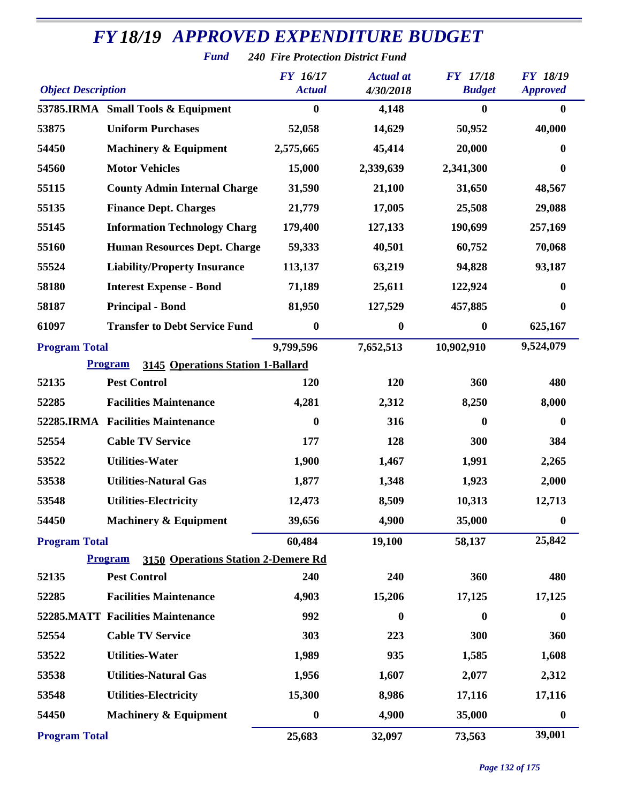|                           | <b>Fund</b>                                           | <b>240 Fire Protection District Fund</b> |                  |                  |                  |
|---------------------------|-------------------------------------------------------|------------------------------------------|------------------|------------------|------------------|
|                           |                                                       | <b>FY</b> 16/17                          | <b>Actual</b> at | <b>FY</b> 17/18  | <b>FY 18/19</b>  |
| <b>Object Description</b> |                                                       | <b>Actual</b>                            | 4/30/2018        | <b>Budget</b>    | <b>Approved</b>  |
|                           | 53785.IRMA Small Tools & Equipment                    | $\boldsymbol{0}$                         | 4,148            | $\boldsymbol{0}$ | $\bf{0}$         |
| 53875                     | <b>Uniform Purchases</b>                              | 52,058                                   | 14,629           | 50,952           | 40,000           |
| 54450                     | <b>Machinery &amp; Equipment</b>                      | 2,575,665                                | 45,414           | 20,000           | 0                |
| 54560                     | <b>Motor Vehicles</b>                                 | 15,000                                   | 2,339,639        | 2,341,300        | 0                |
| 55115                     | <b>County Admin Internal Charge</b>                   | 31,590                                   | 21,100           | 31,650           | 48,567           |
| 55135                     | <b>Finance Dept. Charges</b>                          | 21,779                                   | 17,005           | 25,508           | 29,088           |
| 55145                     | <b>Information Technology Charg</b>                   | 179,400                                  | 127,133          | 190,699          | 257,169          |
| 55160                     | <b>Human Resources Dept. Charge</b>                   | 59,333                                   | 40,501           | 60,752           | 70,068           |
| 55524                     | <b>Liability/Property Insurance</b>                   | 113,137                                  | 63,219           | 94,828           | 93,187           |
| 58180                     | <b>Interest Expense - Bond</b>                        | 71,189                                   | 25,611           | 122,924          | $\bf{0}$         |
| 58187                     | <b>Principal - Bond</b>                               | 81,950                                   | 127,529          | 457,885          | $\boldsymbol{0}$ |
| 61097                     | <b>Transfer to Debt Service Fund</b>                  | $\boldsymbol{0}$                         | 0                | $\boldsymbol{0}$ | 625,167          |
| <b>Program Total</b>      |                                                       | 9,799,596                                | 7,652,513        | 10,902,910       | 9,524,079        |
|                           | 3145 Operations Station 1-Ballard<br><b>Program</b>   |                                          |                  |                  |                  |
| 52135                     | <b>Pest Control</b>                                   | 120                                      | 120              | 360              | 480              |
| 52285                     | <b>Facilities Maintenance</b>                         | 4,281                                    | 2,312            | 8,250            | 8,000            |
|                           | 52285.IRMA Facilities Maintenance                     | $\boldsymbol{0}$                         | 316              | $\boldsymbol{0}$ | $\boldsymbol{0}$ |
| 52554                     | <b>Cable TV Service</b>                               | 177                                      | 128              | 300              | 384              |
| 53522                     | <b>Utilities-Water</b>                                | 1,900                                    | 1,467            | 1,991            | 2,265            |
| 53538                     | <b>Utilities-Natural Gas</b>                          | 1,877                                    | 1,348            | 1,923            | 2,000            |
| 53548                     | <b>Utilities-Electricity</b>                          | 12,473                                   | 8,509            | 10,313           | 12,713           |
| 54450                     | <b>Machinery &amp; Equipment</b>                      | 39,656                                   | 4,900            | 35,000           | $\boldsymbol{0}$ |
| <b>Program Total</b>      |                                                       | 60,484                                   | 19,100           | 58,137           | 25,842           |
|                           | <b>Program</b><br>3150 Operations Station 2-Demere Rd |                                          |                  |                  |                  |
| 52135                     | <b>Pest Control</b>                                   | 240                                      | 240              | 360              | 480              |
| 52285                     | <b>Facilities Maintenance</b>                         | 4,903                                    | 15,206           | 17,125           | 17,125           |
|                           | <b>52285.MATT Facilities Maintenance</b>              | 992                                      | $\boldsymbol{0}$ | $\bf{0}$         | $\boldsymbol{0}$ |
| 52554                     | <b>Cable TV Service</b>                               | 303                                      | 223              | 300              | 360              |
| 53522                     | <b>Utilities-Water</b>                                | 1,989                                    | 935              | 1,585            | 1,608            |
| 53538                     | <b>Utilities-Natural Gas</b>                          | 1,956                                    | 1,607            | 2,077            | 2,312            |
| 53548                     | <b>Utilities-Electricity</b>                          | 15,300                                   | 8,986            | 17,116           | 17,116           |
| 54450                     | <b>Machinery &amp; Equipment</b>                      | $\boldsymbol{0}$                         | 4,900            | 35,000           | $\boldsymbol{0}$ |
| <b>Program Total</b>      |                                                       | 25,683                                   | 32,097           | 73,563           | 39,001           |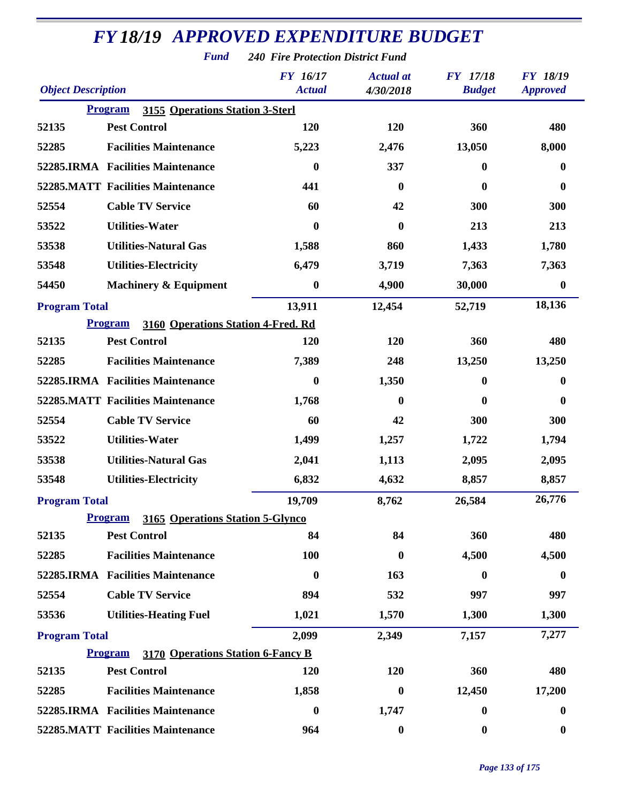| <b>FY 18/19 APPROVED EXPENDITURE BUDGET</b> |                                                      |                                          |                               |                                  |                                    |  |
|---------------------------------------------|------------------------------------------------------|------------------------------------------|-------------------------------|----------------------------------|------------------------------------|--|
|                                             | <b>Fund</b>                                          | <b>240 Fire Protection District Fund</b> |                               |                                  |                                    |  |
| <b>Object Description</b>                   |                                                      | <b>FY</b> 16/17<br><b>Actual</b>         | <b>Actual</b> at<br>4/30/2018 | <b>FY</b> 17/18<br><b>Budget</b> | <b>FY 18/19</b><br><b>Approved</b> |  |
|                                             | 3155 Operations Station 3-Sterl<br><b>Program</b>    |                                          |                               |                                  |                                    |  |
| 52135                                       | <b>Pest Control</b>                                  | 120                                      | 120                           | 360                              | 480                                |  |
| 52285                                       | <b>Facilities Maintenance</b>                        | 5,223                                    | 2,476                         | 13,050                           | 8,000                              |  |
|                                             | 52285.IRMA Facilities Maintenance                    | 0                                        | 337                           | $\bf{0}$                         | $\bf{0}$                           |  |
|                                             | <b>52285.MATT Facilities Maintenance</b>             | 441                                      | $\bf{0}$                      | $\bf{0}$                         | $\bf{0}$                           |  |
| 52554                                       | <b>Cable TV Service</b>                              | 60                                       | 42                            | 300                              | 300                                |  |
| 53522                                       | <b>Utilities-Water</b>                               | 0                                        | $\bf{0}$                      | 213                              | 213                                |  |
| 53538                                       | <b>Utilities-Natural Gas</b>                         | 1,588                                    | 860                           | 1,433                            | 1,780                              |  |
| 53548                                       | <b>Utilities-Electricity</b>                         | 6,479                                    | 3,719                         | 7,363                            | 7,363                              |  |
| 54450                                       | <b>Machinery &amp; Equipment</b>                     | $\boldsymbol{0}$                         | 4,900                         | 30,000                           | $\boldsymbol{0}$                   |  |
| <b>Program Total</b>                        |                                                      | 13,911                                   | 12,454                        | 52,719                           | 18,136                             |  |
|                                             | 3160 Operations Station 4-Fred. Rd<br><b>Program</b> |                                          |                               |                                  |                                    |  |
| 52135                                       | <b>Pest Control</b>                                  | 120                                      | 120                           | 360                              | 480                                |  |
| 52285                                       | <b>Facilities Maintenance</b>                        | 7,389                                    | 248                           | 13,250                           | 13,250                             |  |
|                                             | 52285.IRMA Facilities Maintenance                    | $\boldsymbol{0}$                         | 1,350                         | $\boldsymbol{0}$                 | $\bf{0}$                           |  |
|                                             | <b>52285.MATT Facilities Maintenance</b>             | 1,768                                    | $\mathbf{0}$                  | $\mathbf{0}$                     | 0                                  |  |
| 52554                                       | <b>Cable TV Service</b>                              | 60                                       | 42                            | 300                              | 300                                |  |
| 53522                                       | <b>Utilities-Water</b>                               | 1,499                                    | 1,257                         | 1,722                            | 1,794                              |  |
| 53538                                       | <b>Utilities-Natural Gas</b>                         | 2,041                                    | 1,113                         | 2,095                            | 2,095                              |  |
| 53548                                       | <b>Utilities-Electricity</b>                         | 6,832                                    | 4,632                         | 8,857                            | 8,857                              |  |
| <b>Program Total</b>                        |                                                      | 19,709                                   | 8,762                         | 26,584                           | 26,776                             |  |
|                                             | <b>Program</b><br>3165 Operations Station 5-Glynco   |                                          |                               |                                  |                                    |  |
| 52135                                       | <b>Pest Control</b>                                  | 84                                       | 84                            | 360                              | 480                                |  |
| 52285                                       | <b>Facilities Maintenance</b>                        | 100                                      | $\bf{0}$                      | 4,500                            | 4,500                              |  |
|                                             | 52285.IRMA Facilities Maintenance                    | $\boldsymbol{0}$                         | 163                           | $\boldsymbol{0}$                 | $\bf{0}$                           |  |
| 52554                                       | <b>Cable TV Service</b>                              | 894                                      | 532                           | 997                              | 997                                |  |
| 53536                                       | <b>Utilities-Heating Fuel</b>                        | 1,021                                    | 1,570                         | 1,300                            | 1,300                              |  |
| <b>Program Total</b>                        |                                                      | 2,099                                    | 2,349                         | 7,157                            | 7,277                              |  |
|                                             | <b>Program</b><br>3170 Operations Station 6-Fancy B  |                                          |                               |                                  |                                    |  |
| 52135                                       | <b>Pest Control</b>                                  | 120                                      | <b>120</b>                    | 360                              | 480                                |  |
| 52285                                       | <b>Facilities Maintenance</b>                        | 1,858                                    | $\boldsymbol{0}$              | 12,450                           | 17,200                             |  |
|                                             | 52285.IRMA Facilities Maintenance                    | $\boldsymbol{0}$                         | 1,747                         | $\boldsymbol{0}$                 | $\boldsymbol{0}$                   |  |
|                                             | 52285.MATT Facilities Maintenance                    | 964                                      | $\boldsymbol{0}$              | $\boldsymbol{0}$                 | $\boldsymbol{0}$                   |  |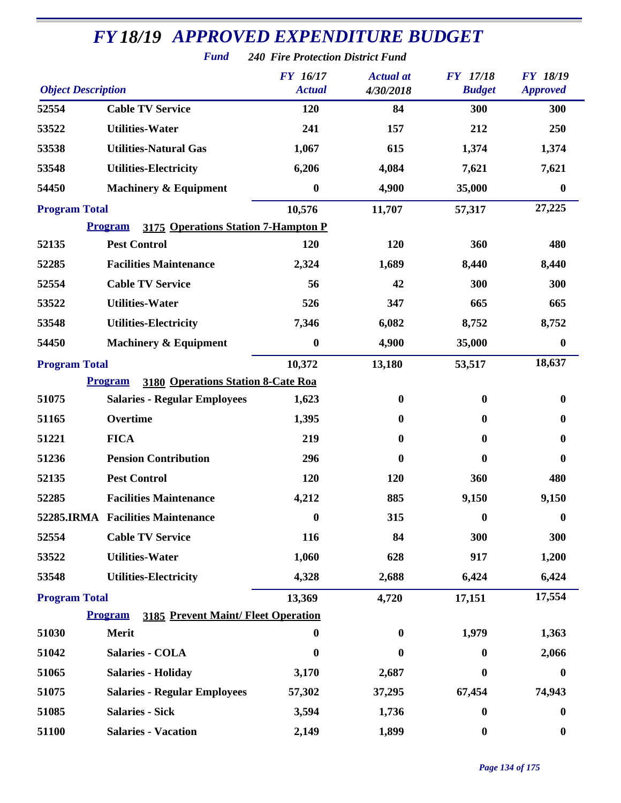|                           | <b>FY18/19 APPROVED EXPENDITURE BUDGET</b>                   |                                          |                               |                                  |                                    |
|---------------------------|--------------------------------------------------------------|------------------------------------------|-------------------------------|----------------------------------|------------------------------------|
|                           | <b>Fund</b>                                                  | <b>240 Fire Protection District Fund</b> |                               |                                  |                                    |
| <b>Object Description</b> |                                                              | <b>FY</b> 16/17<br><b>Actual</b>         | <b>Actual</b> at<br>4/30/2018 | <b>FY</b> 17/18<br><b>Budget</b> | <b>FY 18/19</b><br><b>Approved</b> |
| 52554                     | <b>Cable TV Service</b>                                      | 120                                      | 84                            | 300                              | 300                                |
| 53522                     | <b>Utilities-Water</b>                                       | 241                                      | 157                           | 212                              | 250                                |
| 53538                     | <b>Utilities-Natural Gas</b>                                 | 1,067                                    | 615                           | 1,374                            | 1,374                              |
| 53548                     | <b>Utilities-Electricity</b>                                 | 6,206                                    | 4,084                         | 7,621                            | 7,621                              |
| 54450                     | <b>Machinery &amp; Equipment</b>                             | $\boldsymbol{0}$                         | 4,900                         | 35,000                           | $\boldsymbol{0}$                   |
| <b>Program Total</b>      |                                                              | 10,576                                   | 11,707                        | 57,317                           | 27,225                             |
|                           | <b>Program</b><br>3175 Operations Station 7-Hampton P        |                                          |                               |                                  |                                    |
| 52135                     | <b>Pest Control</b>                                          | 120                                      | 120                           | 360                              | 480                                |
| 52285                     | <b>Facilities Maintenance</b>                                | 2,324                                    | 1,689                         | 8,440                            | 8,440                              |
| 52554                     | <b>Cable TV Service</b>                                      | 56                                       | 42                            | 300                              | 300                                |
| 53522                     | <b>Utilities-Water</b>                                       | 526                                      | 347                           | 665                              | 665                                |
| 53548                     | <b>Utilities-Electricity</b>                                 | 7,346                                    | 6,082                         | 8,752                            | 8,752                              |
| 54450                     | <b>Machinery &amp; Equipment</b>                             | $\boldsymbol{0}$                         | 4,900                         | 35,000                           | $\boldsymbol{0}$                   |
| <b>Program Total</b>      |                                                              | 10,372                                   | 13,180                        | 53,517                           | 18,637                             |
|                           | 3180 Operations Station 8-Cate Roa<br><b>Program</b>         |                                          |                               |                                  |                                    |
| 51075                     | <b>Salaries - Regular Employees</b>                          | 1,623                                    | $\bf{0}$                      | $\bf{0}$                         | 0                                  |
| 51165                     | Overtime                                                     | 1,395                                    | $\bf{0}$                      | $\bf{0}$                         | 0                                  |
| 51221                     | <b>FICA</b>                                                  | 219                                      | $\bf{0}$                      | $\mathbf{0}$                     | 0                                  |
| 51236                     | <b>Pension Contribution</b>                                  | 296                                      | $\mathbf{0}$                  | $\bf{0}$                         | 0                                  |
| 52135                     | <b>Pest Control</b>                                          | 120                                      | 120                           | 360                              | 480                                |
| 52285                     | <b>Facilities Maintenance</b>                                | 4,212                                    | 885                           | 9,150                            | 9,150                              |
|                           | 52285.IRMA Facilities Maintenance                            | $\boldsymbol{0}$                         | 315                           | $\bf{0}$                         | 0                                  |
| 52554                     | <b>Cable TV Service</b>                                      | 116                                      | 84                            | 300                              | 300                                |
| 53522                     | <b>Utilities-Water</b>                                       | 1,060                                    | 628                           | 917                              | 1,200                              |
| 53548                     | <b>Utilities-Electricity</b>                                 | 4,328                                    | 2,688                         | 6,424                            | 6,424                              |
| <b>Program Total</b>      |                                                              | 13,369                                   | 4,720                         | 17,151                           | 17,554                             |
|                           | <b>Program</b><br><b>3185 Prevent Maint/ Fleet Operation</b> |                                          |                               |                                  |                                    |
| 51030                     | Merit                                                        | $\boldsymbol{0}$                         | $\boldsymbol{0}$              | 1,979                            | 1,363                              |
| 51042                     | <b>Salaries - COLA</b>                                       | $\boldsymbol{0}$                         | $\bf{0}$                      | 0                                | 2,066                              |
| 51065                     | <b>Salaries - Holiday</b>                                    | 3,170                                    | 2,687                         | $\bf{0}$                         | $\boldsymbol{0}$                   |
| 51075                     | <b>Salaries - Regular Employees</b>                          | 57,302                                   | 37,295                        | 67,454                           | 74,943                             |
| 51085                     | <b>Salaries - Sick</b>                                       | 3,594                                    | 1,736                         | $\boldsymbol{0}$                 | 0                                  |
| 51100                     | <b>Salaries - Vacation</b>                                   | 2,149                                    | 1,899                         | $\boldsymbol{0}$                 | $\boldsymbol{0}$                   |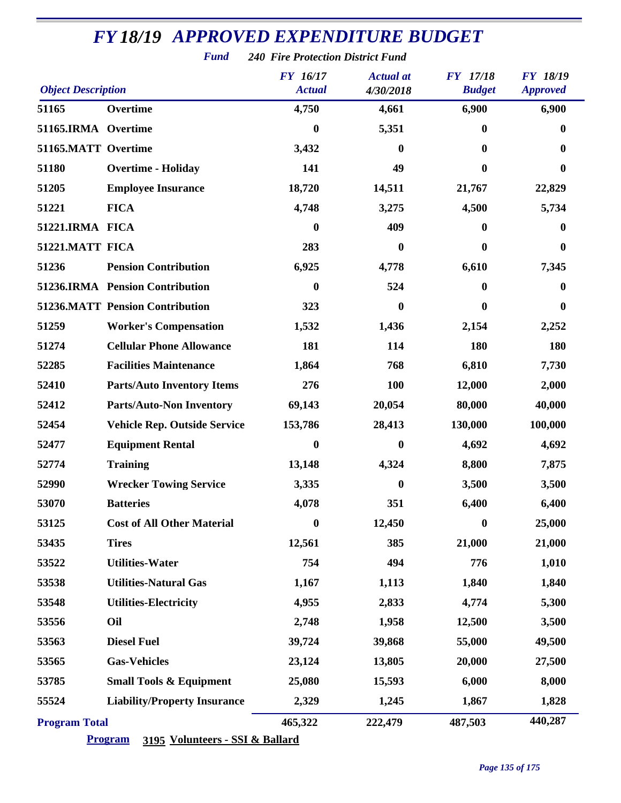#### *Object Description Actual Budget Approved Actual at FY 17/18 Fund 240 Fire Protection District Fund 16/17 4/30/2018 17/18 18/19* **Overtime 4,750 4,661 6,900 6,900 51165.IRMA Overtime 0 5,351 0 0 51165.MATT Overtime 3,432 0 0 0 Overtime - Holiday 141 49 0 0 Employee Insurance 18,720 14,511 21,767 22,829 FICA 4,748 3,275 4,500 5,734 51221.IRMA FICA 0 409 0 0 51221.MATT FICA 283 0 0 0 Pension Contribution 6,925 4,778 6,610 7,345 51236.IRMA Pension Contribution 0 524 0 0 51236.MATT Pension Contribution 323 0 0 0 Worker's Compensation 1,532 1,436 2,154 2,252 Cellular Phone Allowance 181 114 180 180 Facilities Maintenance 1,864 768 6,810 7,730 Parts/Auto Inventory Items 276 100 12,000 2,000 Parts/Auto-Non Inventory 69,143 20,054 80,000 40,000 Vehicle Rep. Outside Service 153,786 28,413 130,000 100,000 Equipment Rental 0 0 4,692 4,692 Training 13,148 4,324 8,800 7,875 Wrecker Towing Service 3,335 0 3,500 3,500 Batteries 4,078 351 6,400 6,400 Cost of All Other Material 0 12,450 0 25,000 Tires 12,561 385 21,000 21,000 Utilities-Water 754 494 776 1,010 Utilities-Natural Gas 1,167 1,113 1,840 1,840 Utilities-Electricity 4,955 2,833 4,774 5,300 Oil 2,748 1,958 12,500 3,500 Diesel Fuel 39,724 39,868 55,000 49,500 Gas-Vehicles 23,124 13,805 20,000 27,500 Small Tools & Equipment 25,080 15,593 6,000 8,000 Liability/Property Insurance 2,329 1,245 1,867 1,828 Program Total 465,322 222,479 487,503 440,287**

*FY 18/19 APPROVED EXPENDITURE BUDGET* 

#### **Program 3195 Volunteers - SSI & Ballard**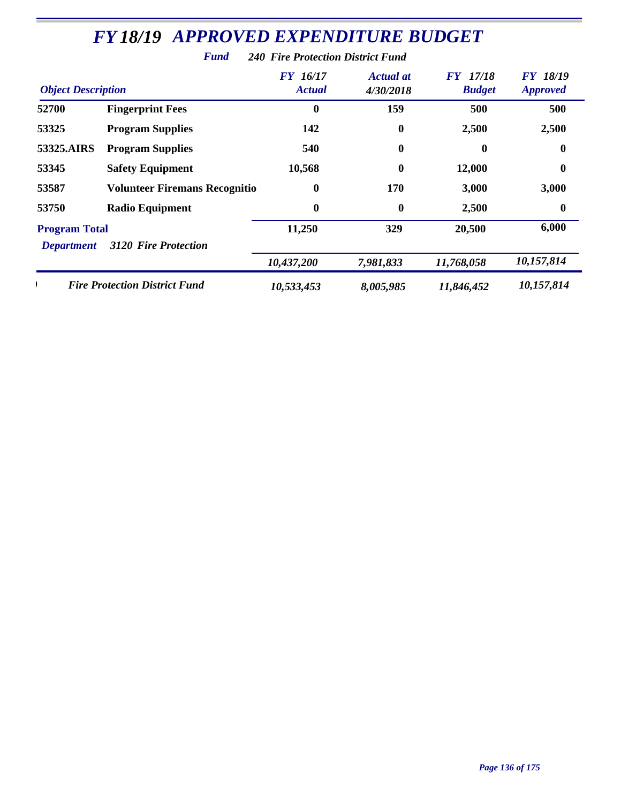|                                           | r una                                | 240 Fire Protection District Fund |                               |                                  |                                    |
|-------------------------------------------|--------------------------------------|-----------------------------------|-------------------------------|----------------------------------|------------------------------------|
| <b>Object Description</b>                 |                                      | <b>FY</b> 16/17<br><b>Actual</b>  | <b>Actual at</b><br>4/30/2018 | <b>FY</b> 17/18<br><b>Budget</b> | <b>FY 18/19</b><br><b>Approved</b> |
| 52700                                     | <b>Fingerprint Fees</b>              | $\bf{0}$                          | 159                           | 500                              | 500                                |
| 53325                                     | <b>Program Supplies</b>              | 142                               | $\boldsymbol{0}$              | 2,500                            | 2,500                              |
| 53325.AIRS                                | <b>Program Supplies</b>              | 540                               | $\boldsymbol{0}$              | 0                                | $\boldsymbol{0}$                   |
| 53345                                     | <b>Safety Equipment</b>              | 10,568                            | $\boldsymbol{0}$              | 12,000                           | $\boldsymbol{0}$                   |
| 53587                                     | <b>Volunteer Firemans Recognitio</b> | $\boldsymbol{0}$                  | 170                           | 3,000                            | 3,000                              |
| 53750                                     | <b>Radio Equipment</b>               | $\boldsymbol{0}$                  | $\bf{0}$                      | 2,500                            | $\boldsymbol{0}$                   |
| <b>Program Total</b><br><b>Department</b> | <b>3120 Fire Protection</b>          | 11,250                            | 329                           | 20,500                           | 6,000                              |
|                                           |                                      | 10,437,200                        | 7,981,833                     | 11,768,058                       | 10,157,814                         |
|                                           | <b>Fire Protection District Fund</b> | 10,533,453                        | 8,005,985                     | 11,846,452                       | 10,157,814                         |

*Fund 240 Fire Protection District Fund*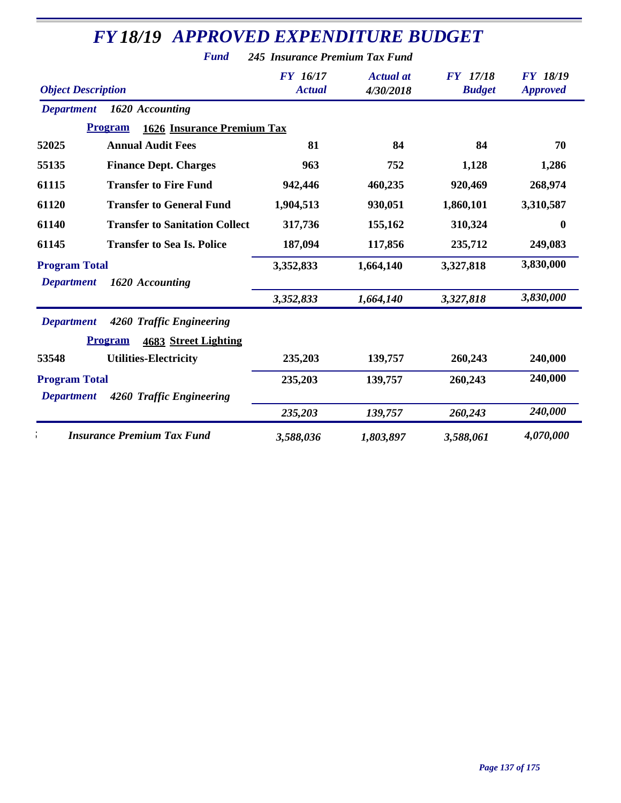|                           | <b>Fund</b>                                         | 245 Insurance Premium Tax Fund   |                               |                                  |                                    |
|---------------------------|-----------------------------------------------------|----------------------------------|-------------------------------|----------------------------------|------------------------------------|
| <b>Object Description</b> |                                                     | <b>FY</b> 16/17<br><b>Actual</b> | <b>Actual</b> at<br>4/30/2018 | <b>FY</b> 17/18<br><b>Budget</b> | <b>FY 18/19</b><br><b>Approved</b> |
| <b>Department</b>         | 1620 Accounting                                     |                                  |                               |                                  |                                    |
|                           | <b>Program</b><br><b>1626 Insurance Premium Tax</b> |                                  |                               |                                  |                                    |
| 52025                     | <b>Annual Audit Fees</b>                            | 81                               | 84                            | 84                               | 70                                 |
| 55135                     | <b>Finance Dept. Charges</b>                        | 963                              | 752                           | 1,128                            | 1,286                              |
| 61115                     | <b>Transfer to Fire Fund</b>                        | 942,446                          | 460,235                       | 920,469                          | 268,974                            |
| 61120                     | <b>Transfer to General Fund</b>                     | 1,904,513                        | 930,051                       | 1,860,101                        | 3,310,587                          |
| 61140                     | <b>Transfer to Sanitation Collect</b>               | 317,736                          | 155,162                       | 310,324                          | $\boldsymbol{0}$                   |
| 61145                     | <b>Transfer to Sea Is. Police</b>                   | 187,094                          | 117,856                       | 235,712                          | 249,083                            |
| <b>Program Total</b>      |                                                     | 3,352,833                        | 1,664,140                     | 3,327,818                        | 3,830,000                          |
| <b>Department</b>         | 1620 Accounting                                     |                                  |                               |                                  |                                    |
|                           |                                                     | 3,352,833                        | 1,664,140                     | 3,327,818                        | 3,830,000                          |
| <b>Department</b>         | 4260 Traffic Engineering                            |                                  |                               |                                  |                                    |
|                           | <b>Program</b><br>4683 Street Lighting              |                                  |                               |                                  |                                    |
| 53548                     | <b>Utilities-Electricity</b>                        | 235,203                          | 139,757                       | 260,243                          | 240,000                            |
| <b>Program Total</b>      |                                                     | 235,203                          | 139,757                       | 260,243                          | 240,000                            |
| <b>Department</b>         | 4260 Traffic Engineering                            |                                  |                               |                                  |                                    |
|                           |                                                     | 235,203                          | 139,757                       | 260,243                          | 240,000                            |
|                           | <b>Insurance Premium Tax Fund</b>                   | 3,588,036                        | 1,803,897                     | 3,588,061                        | 4,070,000                          |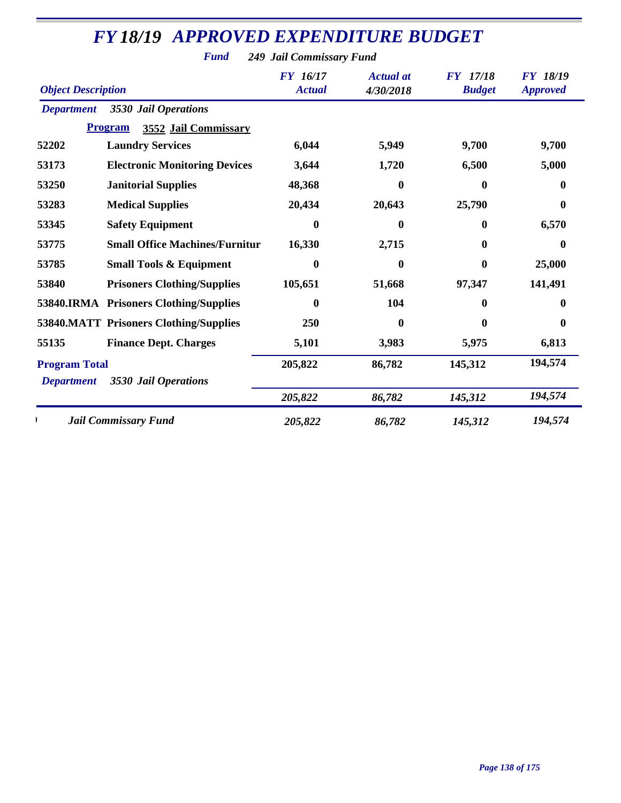*Fund 249 Jail Commissary Fund*

| <b>Object Description</b> |                                        | <b>FY</b> 16/17<br><b>Actual</b> | <b>Actual</b> at<br>4/30/2018 | <b>FY</b> 17/18<br><b>Budget</b> | <b>FY 18/19</b><br><b>Approved</b> |
|---------------------------|----------------------------------------|----------------------------------|-------------------------------|----------------------------------|------------------------------------|
| <b>Department</b>         | 3530 Jail Operations                   |                                  |                               |                                  |                                    |
|                           | <b>Program</b><br>3552 Jail Commissary |                                  |                               |                                  |                                    |
| 52202                     | <b>Laundry Services</b>                | 6,044                            | 5,949                         | 9,700                            | 9,700                              |
| 53173                     | <b>Electronic Monitoring Devices</b>   | 3,644                            | 1,720                         | 6,500                            | 5,000                              |
| 53250                     | <b>Janitorial Supplies</b>             | 48,368                           | 0                             | 0                                | $\mathbf{0}$                       |
| 53283                     | <b>Medical Supplies</b>                | 20,434                           | 20,643                        | 25,790                           | $\mathbf{0}$                       |
| 53345                     | <b>Safety Equipment</b>                | 0                                | 0                             | 0                                | 6,570                              |
| 53775                     | <b>Small Office Machines/Furnitur</b>  | 16,330                           | 2,715                         | 0                                | $\bf{0}$                           |
| 53785                     | <b>Small Tools &amp; Equipment</b>     | 0                                | 0                             | 0                                | 25,000                             |
| 53840                     | <b>Prisoners Clothing/Supplies</b>     | 105,651                          | 51,668                        | 97,347                           | 141,491                            |
|                           | 53840.IRMA Prisoners Clothing/Supplies | 0                                | 104                           | 0                                | $\mathbf{0}$                       |
|                           | 53840.MATT Prisoners Clothing/Supplies | 250                              | 0                             | 0                                | $\mathbf{0}$                       |
| 55135                     | <b>Finance Dept. Charges</b>           | 5,101                            | 3,983                         | 5,975                            | 6,813                              |
| <b>Program Total</b>      |                                        | 205,822                          | 86,782                        | 145,312                          | 194,574                            |
| <b>Department</b>         | 3530 Jail Operations                   | 205,822                          | 86,782                        | 145,312                          | 194,574                            |
|                           | <b>Jail Commissary Fund</b>            | 205,822                          | 86,782                        | 145,312                          | 194,574                            |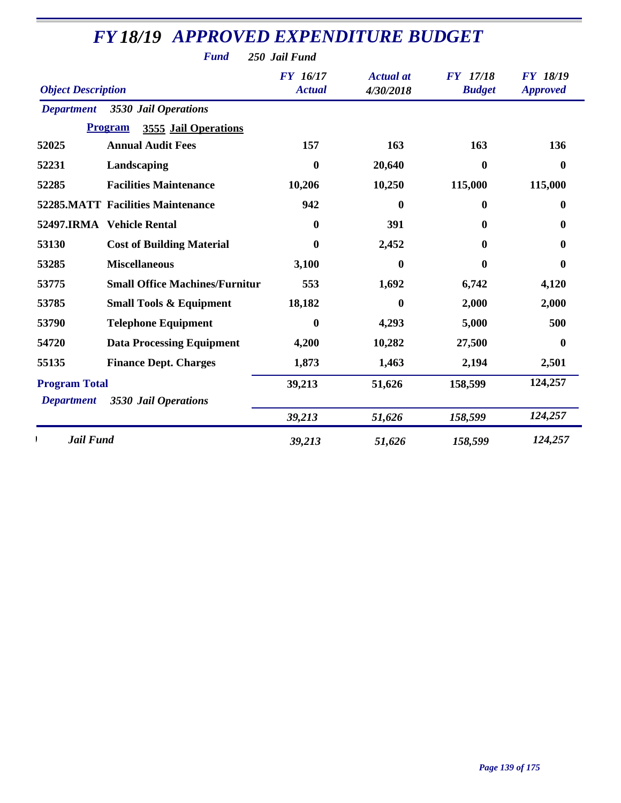| <b>FY18/19 APPROVED EXPENDITURE BUDGET</b> |                                          |                                  |                               |                           |                                    |  |
|--------------------------------------------|------------------------------------------|----------------------------------|-------------------------------|---------------------------|------------------------------------|--|
|                                            | <b>Fund</b>                              | 250 Jail Fund                    |                               |                           |                                    |  |
| <b>Object Description</b>                  |                                          | <b>FY</b> 16/17<br><b>Actual</b> | <b>Actual</b> at<br>4/30/2018 | FY 17/18<br><b>Budget</b> | <b>FY 18/19</b><br><b>Approved</b> |  |
|                                            | <b>Department</b> 3530 Jail Operations   |                                  |                               |                           |                                    |  |
|                                            | 3555 Jail Operations<br><b>Program</b>   |                                  |                               |                           |                                    |  |
| 52025                                      | <b>Annual Audit Fees</b>                 | 157                              | 163                           | 163                       | 136                                |  |
| 52231                                      | Landscaping                              | 0                                | 20,640                        | 0                         | $\mathbf{0}$                       |  |
| 52285                                      | <b>Facilities Maintenance</b>            | 10,206                           | 10,250                        | 115,000                   | 115,000                            |  |
|                                            | <b>52285.MATT Facilities Maintenance</b> | 942                              | 0                             | $\bf{0}$                  | 0                                  |  |
|                                            | 52497.IRMA Vehicle Rental                | 0                                | 391                           | 0                         | 0                                  |  |
| 53130                                      | <b>Cost of Building Material</b>         | 0                                | 2,452                         | 0                         | 0                                  |  |
| 53285                                      | <b>Miscellaneous</b>                     | 3,100                            | 0                             | 0                         | 0                                  |  |
| 53775                                      | <b>Small Office Machines/Furnitur</b>    | 553                              | 1,692                         | 6,742                     | 4,120                              |  |
| 53785                                      | <b>Small Tools &amp; Equipment</b>       | 18,182                           | 0                             | 2,000                     | 2,000                              |  |
| 53790                                      | <b>Telephone Equipment</b>               | 0                                | 4,293                         | 5,000                     | 500                                |  |
| 54720                                      | <b>Data Processing Equipment</b>         | 4,200                            | 10,282                        | 27,500                    | $\bf{0}$                           |  |
| 55135                                      | <b>Finance Dept. Charges</b>             | 1,873                            | 1,463                         | 2,194                     | 2,501                              |  |
| <b>Program Total</b>                       |                                          | 39,213                           | 51,626                        | 158,599                   | 124,257                            |  |
| <b>Department</b>                          | 3530 Jail Operations                     |                                  |                               |                           |                                    |  |
|                                            |                                          | 39,213                           | 51,626                        | 158,599                   | 124,257                            |  |
| Jail Fund                                  |                                          | 39,213                           | 51,626                        | 158,599                   | 124,257                            |  |

*FY 18/19*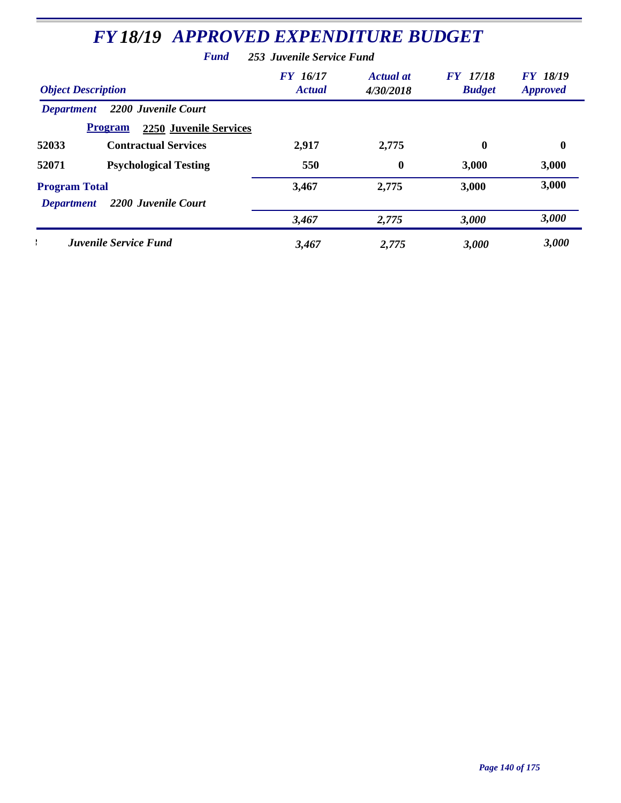| <b>FY 18/19 APPROVED EXPENDITURE BUDGET</b>     |                           |                               |                                  |                                    |  |  |  |  |
|-------------------------------------------------|---------------------------|-------------------------------|----------------------------------|------------------------------------|--|--|--|--|
| <b>Fund</b><br>253 Juvenile Service Fund        |                           |                               |                                  |                                    |  |  |  |  |
| <b>Object Description</b>                       | FY 16/17<br><b>Actual</b> | <b>Actual</b> at<br>4/30/2018 | <b>FY</b> 17/18<br><b>Budget</b> | <b>FY</b> 18/19<br><b>Approved</b> |  |  |  |  |
| 2200 Juvenile Court<br><b>Department</b>        |                           |                               |                                  |                                    |  |  |  |  |
| <b>Program</b><br><b>2250 Juvenile Services</b> |                           |                               |                                  |                                    |  |  |  |  |
| 52033<br><b>Contractual Services</b>            | 2,917                     | 2,775                         | $\mathbf{0}$                     | 0                                  |  |  |  |  |
| 52071<br><b>Psychological Testing</b>           | 550                       | $\boldsymbol{0}$              | 3,000                            | 3,000                              |  |  |  |  |
| <b>Program Total</b>                            | 3,467                     | 2,775                         | 3,000                            | 3,000                              |  |  |  |  |
| 2200 Juvenile Court<br><b>Department</b>        |                           |                               |                                  |                                    |  |  |  |  |
|                                                 | 3,467                     | 2,775                         | 3,000                            | 3,000                              |  |  |  |  |
| <b>Juvenile Service Fund</b>                    | 3,467                     | 2,775                         | 3,000                            | 3,000                              |  |  |  |  |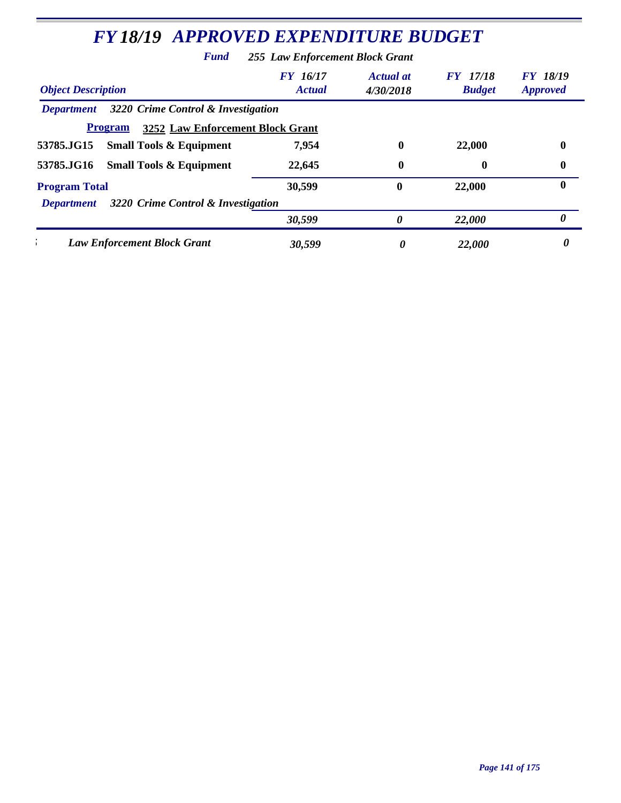|                           | Fund                                               | 255 Law Enforcement Block Grant |                               |                                  |                             |
|---------------------------|----------------------------------------------------|---------------------------------|-------------------------------|----------------------------------|-----------------------------|
| <b>Object Description</b> |                                                    | FY 16/17<br><b>Actual</b>       | <b>Actual</b> at<br>4/30/2018 | <b>FY</b> 17/18<br><b>Budget</b> | FY 18/19<br><b>Approved</b> |
| <b>Department</b>         | 3220 Crime Control & Investigation                 |                                 |                               |                                  |                             |
|                           | 3252 Law Enforcement Block Grant<br><b>Program</b> |                                 |                               |                                  |                             |
| 53785.JG15                | <b>Small Tools &amp; Equipment</b>                 | 7,954                           | 0                             | 22,000                           | $\bf{0}$                    |
| 53785.JG16                | <b>Small Tools &amp; Equipment</b>                 | 22,645                          | 0                             | 0                                | 0                           |
| <b>Program Total</b>      |                                                    | 30,599                          | $\mathbf{0}$                  | 22,000                           | $\bf{0}$                    |
| <b>Department</b>         | 3220 Crime Control & Investigation                 |                                 |                               |                                  |                             |
|                           |                                                    | 30,599                          | 0                             | 22,000                           | 0                           |
|                           | <b>Law Enforcement Block Grant</b>                 | 30,599                          | 0                             | 22,000                           | 0                           |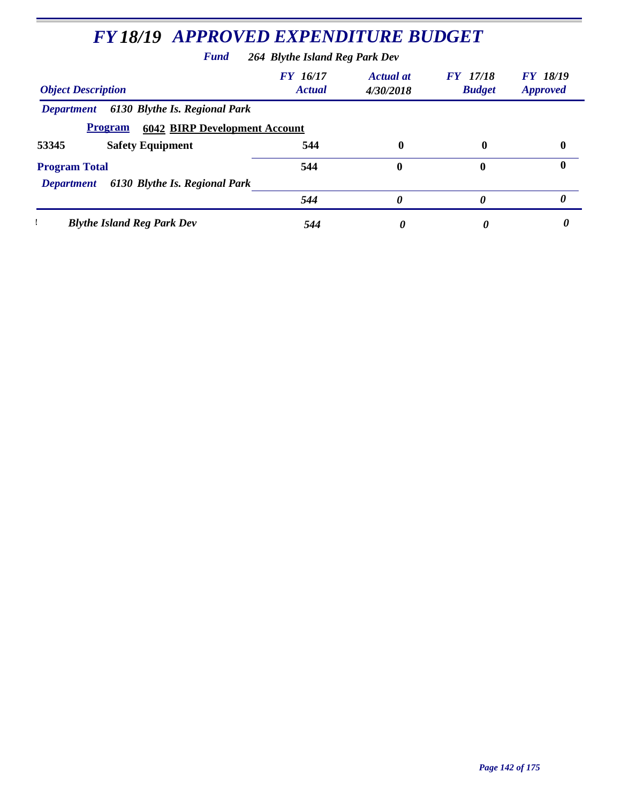| <b>FY 18/19 APPROVED EXPENDITURE BUDGET</b><br><b>Fund</b><br>264 Blythe Island Reg Park Dev |     |              |             |          |  |  |
|----------------------------------------------------------------------------------------------|-----|--------------|-------------|----------|--|--|
|                                                                                              |     |              |             |          |  |  |
| 6130 Blythe Is. Regional Park<br><b>Department</b>                                           |     |              |             |          |  |  |
| <b>6042 BIRP Development Account</b><br><b>Program</b>                                       |     |              |             |          |  |  |
| <b>Safety Equipment</b><br>53345                                                             | 544 | $\mathbf{0}$ | $\mathbf 0$ | $\bf{0}$ |  |  |
| <b>Program Total</b>                                                                         | 544 | 0            | $\mathbf 0$ | 0        |  |  |
| 6130 Blythe Is. Regional Park<br><b>Department</b>                                           |     |              |             |          |  |  |
|                                                                                              | 544 | 0            | 0           | 0        |  |  |
| <b>Blythe Island Reg Park Dev</b>                                                            | 544 | 0            | 0           |          |  |  |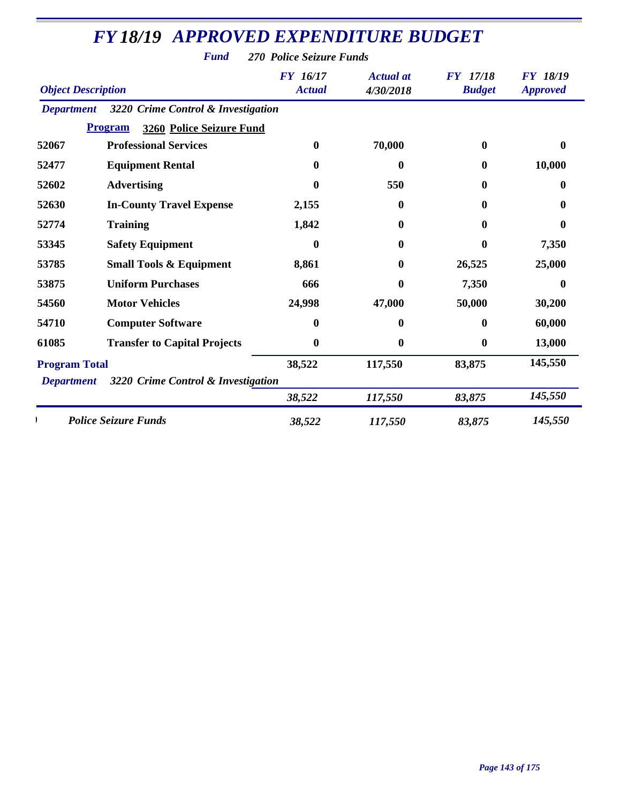*Fund 270 Police Seizure Funds*

| <b>Object Description</b>                 |                                            | <b>FY</b> 16/17<br><b>Actual</b> | <b>Actual</b> at<br>4/30/2018 | 17/18<br><b>FY</b><br><b>Budget</b> | <b>FY 18/19</b><br><b>Approved</b> |
|-------------------------------------------|--------------------------------------------|----------------------------------|-------------------------------|-------------------------------------|------------------------------------|
| <b>Department</b>                         | 3220 Crime Control & Investigation         |                                  |                               |                                     |                                    |
|                                           | <b>Program</b><br>3260 Police Seizure Fund |                                  |                               |                                     |                                    |
| 52067                                     | <b>Professional Services</b>               | 0                                | 70,000                        | $\bf{0}$                            | 0                                  |
| 52477                                     | <b>Equipment Rental</b>                    | 0                                | $\bf{0}$                      | $\bf{0}$                            | 10,000                             |
| 52602                                     | <b>Advertising</b>                         | 0                                | 550                           | $\bf{0}$                            | 0                                  |
| 52630                                     | <b>In-County Travel Expense</b>            | 2,155                            | $\boldsymbol{0}$              | $\mathbf{0}$                        | 0                                  |
| 52774                                     | <b>Training</b>                            | 1,842                            | $\bf{0}$                      | $\mathbf{0}$                        | 0                                  |
| 53345                                     | <b>Safety Equipment</b>                    | 0                                | $\bf{0}$                      | $\mathbf{0}$                        | 7,350                              |
| 53785                                     | <b>Small Tools &amp; Equipment</b>         | 8,861                            | $\bf{0}$                      | 26,525                              | 25,000                             |
| 53875                                     | <b>Uniform Purchases</b>                   | 666                              | $\bf{0}$                      | 7,350                               | 0                                  |
| 54560                                     | <b>Motor Vehicles</b>                      | 24,998                           | 47,000                        | 50,000                              | 30,200                             |
| 54710                                     | <b>Computer Software</b>                   | 0                                | 0                             | $\bf{0}$                            | 60,000                             |
| 61085                                     | <b>Transfer to Capital Projects</b>        | $\bf{0}$                         | $\bf{0}$                      | $\bf{0}$                            | 13,000                             |
| <b>Program Total</b><br><b>Department</b> | 3220 Crime Control & Investigation         | 38,522                           | 117,550                       | 83,875                              | 145,550                            |
|                                           |                                            | 38,522                           | 117,550                       | 83,875                              | 145,550                            |
|                                           | <b>Police Seizure Funds</b>                | 38,522                           | 117,550                       | 83,875                              | 145,550                            |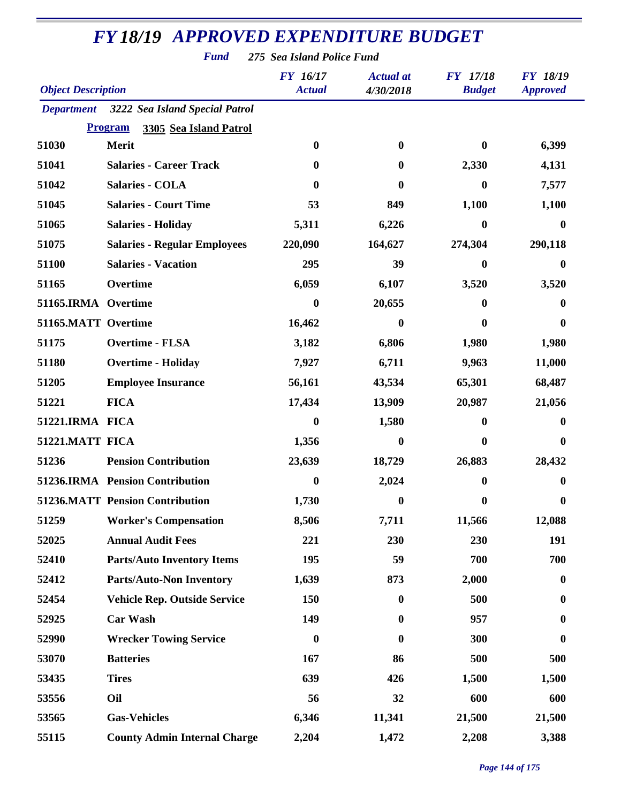*Fund 275 Sea Island Police Fund*

| <b>Object Description</b> |                                           | <b>FY</b> 16/17<br><b>Actual</b> | <b>Actual</b> at<br>4/30/2018 | <b>FY</b> 17/18<br><b>Budget</b> | <b>FY 18/19</b><br><b>Approved</b> |
|---------------------------|-------------------------------------------|----------------------------------|-------------------------------|----------------------------------|------------------------------------|
|                           | Department 3222 Sea Island Special Patrol |                                  |                               |                                  |                                    |
|                           | <b>Program</b><br>3305 Sea Island Patrol  |                                  |                               |                                  |                                    |
| 51030                     | Merit                                     | $\bf{0}$                         | $\bf{0}$                      | $\mathbf{0}$                     | 6,399                              |
| 51041                     | <b>Salaries - Career Track</b>            | 0                                | $\bf{0}$                      | 2,330                            | 4,131                              |
| 51042                     | <b>Salaries - COLA</b>                    | 0                                | 0                             | $\bf{0}$                         | 7,577                              |
| 51045                     | <b>Salaries - Court Time</b>              | 53                               | 849                           | 1,100                            | 1,100                              |
| 51065                     | <b>Salaries - Holiday</b>                 | 5,311                            | 6,226                         | $\boldsymbol{0}$                 | $\mathbf{0}$                       |
| 51075                     | <b>Salaries - Regular Employees</b>       | 220,090                          | 164,627                       | 274,304                          | 290,118                            |
| 51100                     | <b>Salaries - Vacation</b>                | 295                              | 39                            | 0                                | 0                                  |
| 51165                     | Overtime                                  | 6,059                            | 6,107                         | 3,520                            | 3,520                              |
| 51165.IRMA Overtime       |                                           | 0                                | 20,655                        | 0                                | 0                                  |
| 51165.MATT Overtime       |                                           | 16,462                           | 0                             | 0                                | $\mathbf{0}$                       |
| 51175                     | <b>Overtime - FLSA</b>                    | 3,182                            | 6,806                         | 1,980                            | 1,980                              |
| 51180                     | <b>Overtime - Holiday</b>                 | 7,927                            | 6,711                         | 9,963                            | 11,000                             |
| 51205                     | <b>Employee Insurance</b>                 | 56,161                           | 43,534                        | 65,301                           | 68,487                             |
| 51221                     | <b>FICA</b>                               | 17,434                           | 13,909                        | 20,987                           | 21,056                             |
| 51221.IRMA FICA           |                                           | 0                                | 1,580                         | $\bf{0}$                         | 0                                  |
| 51221.MATT FICA           |                                           | 1,356                            | $\mathbf{0}$                  | 0                                | 0                                  |
| 51236                     | <b>Pension Contribution</b>               | 23,639                           | 18,729                        | 26,883                           | 28,432                             |
|                           | 51236.IRMA Pension Contribution           | 0                                | 2,024                         | 0                                | 0                                  |
|                           | <b>51236.MATT Pension Contribution</b>    | 1,730                            | 0                             | 0                                | 0                                  |
| 51259                     | <b>Worker's Compensation</b>              | 8,506                            | 7,711                         | 11,566                           | 12,088                             |
| 52025                     | <b>Annual Audit Fees</b>                  | 221                              | 230                           | 230                              | 191                                |
| 52410                     | <b>Parts/Auto Inventory Items</b>         | 195                              | 59                            | 700                              | 700                                |
| 52412                     | <b>Parts/Auto-Non Inventory</b>           | 1,639                            | 873                           | 2,000                            | $\boldsymbol{0}$                   |
| 52454                     | <b>Vehicle Rep. Outside Service</b>       | 150                              | $\bf{0}$                      | 500                              | $\bf{0}$                           |
| 52925                     | <b>Car Wash</b>                           | 149                              | $\boldsymbol{0}$              | 957                              | $\bf{0}$                           |
| 52990                     | <b>Wrecker Towing Service</b>             | $\boldsymbol{0}$                 | $\boldsymbol{0}$              | 300                              | $\boldsymbol{0}$                   |
| 53070                     | <b>Batteries</b>                          | 167                              | 86                            | 500                              | 500                                |
| 53435                     | <b>Tires</b>                              | 639                              | 426                           | 1,500                            | 1,500                              |
| 53556                     | Oil                                       | 56                               | 32                            | 600                              | 600                                |
| 53565                     | <b>Gas-Vehicles</b>                       | 6,346                            | 11,341                        | 21,500                           | 21,500                             |
| 55115                     | <b>County Admin Internal Charge</b>       | 2,204                            | 1,472                         | 2,208                            | 3,388                              |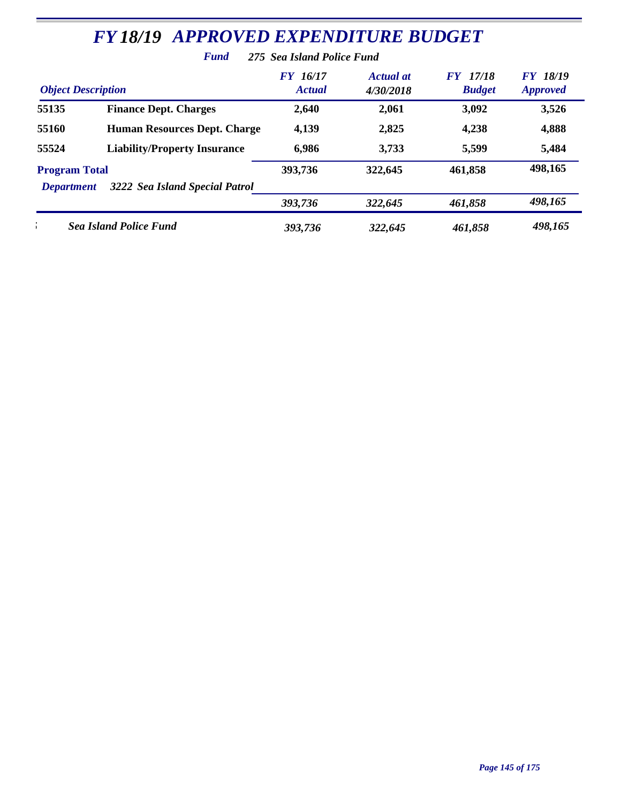|                                           | <b>FY 18/19 APPROVED EXPENDITURE BUDGET</b> |                                  |                               |                                  |                                    |  |
|-------------------------------------------|---------------------------------------------|----------------------------------|-------------------------------|----------------------------------|------------------------------------|--|
| <b>Fund</b><br>275 Sea Island Police Fund |                                             |                                  |                               |                                  |                                    |  |
| <b>Object Description</b>                 |                                             | <b>FY</b> 16/17<br><b>Actual</b> | <b>Actual</b> at<br>4/30/2018 | <b>FY</b> 17/18<br><b>Budget</b> | <b>FY 18/19</b><br><b>Approved</b> |  |
| 55135                                     | <b>Finance Dept. Charges</b>                | 2,640                            | 2,061                         | 3,092                            | 3,526                              |  |
| 55160                                     | <b>Human Resources Dept. Charge</b>         | 4,139                            | 2,825                         | 4,238                            | 4,888                              |  |
| 55524                                     | <b>Liability/Property Insurance</b>         | 6,986                            | 3,733                         | 5,599                            | 5,484                              |  |
| <b>Program Total</b>                      |                                             | 393,736                          | 322,645                       | 461,858                          | 498,165                            |  |
| <b>Department</b>                         | 3222 Sea Island Special Patrol              |                                  |                               |                                  |                                    |  |
|                                           |                                             | 393,736                          | 322,645                       | 461,858                          | 498,165                            |  |

*275 Sea Island Police Fund 393,736 322,645 461,858 498,165*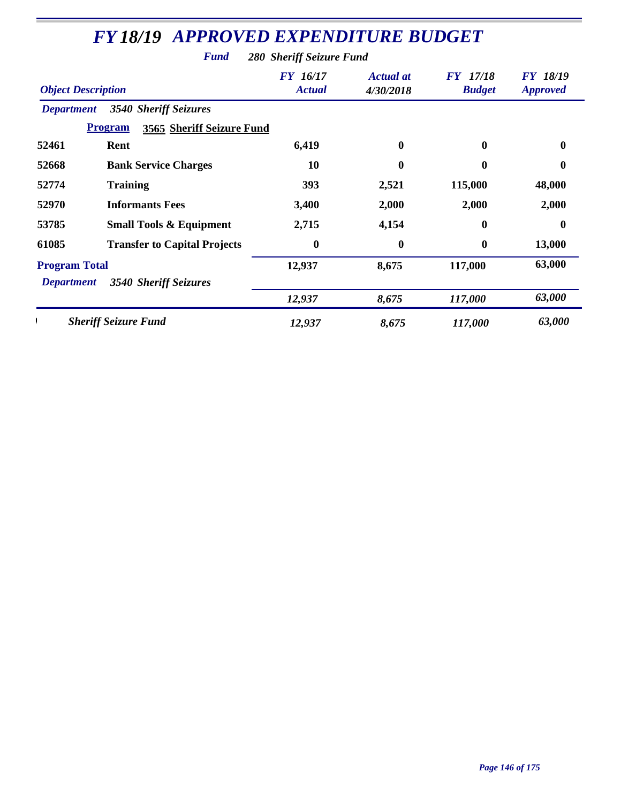| <b>Object Description</b> |                                             | <b>FY</b> 16/17<br><b>Actual</b> | Actual at<br>4/30/2018 | <b>FY</b> 17/18<br><b>Budget</b> | <b>FY 18/19</b><br><b>Approved</b> |
|---------------------------|---------------------------------------------|----------------------------------|------------------------|----------------------------------|------------------------------------|
| <b>Department</b>         | <b>3540 Sheriff Seizures</b>                |                                  |                        |                                  |                                    |
|                           | <b>Program</b><br>3565 Sheriff Seizure Fund |                                  |                        |                                  |                                    |
| 52461                     | Rent                                        | 6,419                            | $\bf{0}$               | $\bf{0}$                         | $\boldsymbol{0}$                   |
| 52668                     | <b>Bank Service Charges</b>                 | 10                               | $\bf{0}$               | $\mathbf{0}$                     | 0                                  |
| 52774                     | <b>Training</b>                             | <b>393</b>                       | 2,521                  | 115,000                          | 48,000                             |
| 52970                     | <b>Informants Fees</b>                      | 3,400                            | 2,000                  | 2,000                            | 2,000                              |
| 53785                     | <b>Small Tools &amp; Equipment</b>          | 2,715                            | 4,154                  | $\mathbf{0}$                     | $\bf{0}$                           |
| 61085                     | <b>Transfer to Capital Projects</b>         | $\bf{0}$                         | $\boldsymbol{0}$       | $\bf{0}$                         | 13,000                             |
| <b>Program Total</b>      |                                             | 12,937                           | 8,675                  | 117,000                          | 63,000                             |
| <b>Department</b>         | 3540 Sheriff Seizures                       |                                  |                        |                                  |                                    |
|                           |                                             | 12,937                           | 8,675                  | 117,000                          | 63,000                             |
|                           | <b>Sheriff Seizure Fund</b>                 | 12,937                           | 8,675                  | 117,000                          | 63,000                             |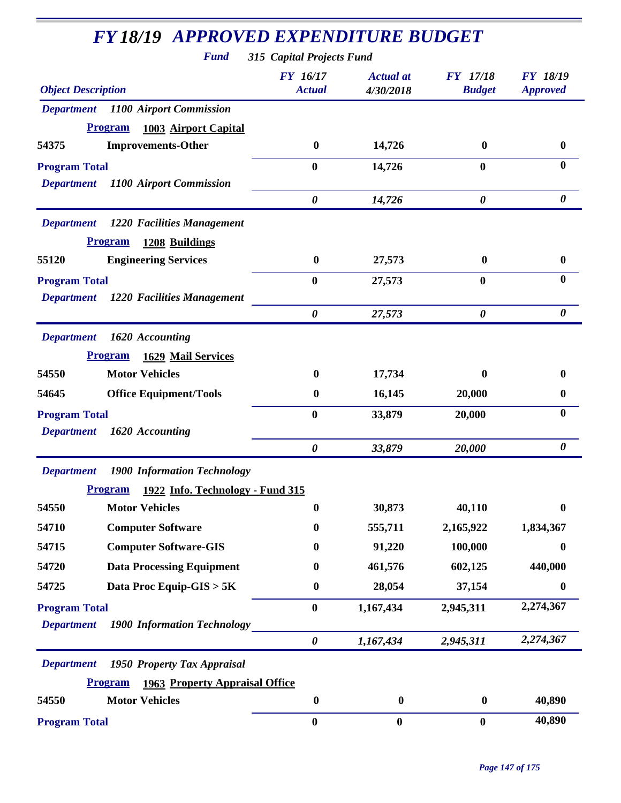| <b>Fund</b>                                             | 315 Capital Projects Fund        |                               |                                  |                                    |
|---------------------------------------------------------|----------------------------------|-------------------------------|----------------------------------|------------------------------------|
| <b>Object Description</b>                               | <b>FY</b> 16/17<br><b>Actual</b> | <b>Actual</b> at<br>4/30/2018 | <b>FY</b> 17/18<br><b>Budget</b> | <b>FY 18/19</b><br><b>Approved</b> |
| <b>Department</b> 1100 Airport Commission               |                                  |                               |                                  |                                    |
| <b>Program</b><br>1003 Airport Capital                  |                                  |                               |                                  |                                    |
| <b>Improvements-Other</b><br>54375                      | $\bf{0}$                         | 14,726                        | $\bf{0}$                         | $\mathbf{0}$                       |
| <b>Program Total</b>                                    | $\bf{0}$                         | 14,726                        | $\bf{0}$                         | $\mathbf{0}$                       |
| <b>Department</b><br>1100 Airport Commission            |                                  |                               |                                  |                                    |
|                                                         | $\boldsymbol{\theta}$            | 14,726                        | 0                                | $\boldsymbol{\theta}$              |
| 1220 Facilities Management<br><b>Department</b>         |                                  |                               |                                  |                                    |
| <b>Program</b><br>1208 Buildings                        |                                  |                               |                                  |                                    |
| <b>Engineering Services</b><br>55120                    | $\bf{0}$                         | 27,573                        | $\bf{0}$                         | $\bf{0}$                           |
| <b>Program Total</b>                                    | $\bf{0}$                         | 27,573                        | $\bf{0}$                         | $\bf{0}$                           |
| 1220 Facilities Management<br><b>Department</b>         |                                  |                               |                                  |                                    |
|                                                         | $\boldsymbol{\theta}$            | 27,573                        | $\boldsymbol{\theta}$            | $\boldsymbol{\theta}$              |
| <b>Department</b><br>1620 Accounting                    |                                  |                               |                                  |                                    |
| <b>Program</b><br>1629 Mail Services                    |                                  |                               |                                  |                                    |
| <b>Motor Vehicles</b><br>54550                          | 0                                | 17,734                        | 0                                | 0                                  |
| 54645<br><b>Office Equipment/Tools</b>                  | $\bf{0}$                         | 16,145                        | 20,000                           | 0                                  |
| <b>Program Total</b>                                    | $\boldsymbol{0}$                 | 33,879                        | 20,000                           | $\boldsymbol{0}$                   |
| 1620 Accounting<br><b>Department</b>                    |                                  |                               |                                  |                                    |
|                                                         | $\boldsymbol{\theta}$            | 33,879                        | 20,000                           | 0                                  |
| <b>1900 Information Technology</b><br><b>Department</b> |                                  |                               |                                  |                                    |
| Program<br>1922 Info. Technology - Fund 315             |                                  |                               |                                  |                                    |
| 54550<br><b>Motor Vehicles</b>                          | $\bf{0}$                         | 30,873                        | 40,110                           | $\bf{0}$                           |
| <b>Computer Software</b><br>54710                       | $\bf{0}$                         | 555,711                       | 2,165,922                        | 1,834,367                          |
| <b>Computer Software-GIS</b><br>54715                   | $\bf{0}$                         | 91,220                        | 100,000                          | 0                                  |
| <b>Data Processing Equipment</b><br>54720               | $\boldsymbol{0}$                 | 461,576                       | 602,125                          | 440,000                            |
| Data Proc Equip-GIS > 5K<br>54725                       | $\boldsymbol{0}$                 | 28,054                        | 37,154                           | $\boldsymbol{0}$                   |
| <b>Program Total</b>                                    | $\bf{0}$                         | 1,167,434                     | 2,945,311                        | 2,274,367                          |
| <b>Department</b><br><b>1900 Information Technology</b> |                                  |                               |                                  |                                    |
|                                                         | $\pmb{\theta}$                   | 1,167,434                     | 2,945,311                        | 2,274,367                          |
| <b>Department</b><br>1950 Property Tax Appraisal        |                                  |                               |                                  |                                    |
| <b>Program</b><br><b>1963 Property Appraisal Office</b> |                                  |                               |                                  |                                    |
| <b>Motor Vehicles</b><br>54550                          | $\boldsymbol{0}$                 | $\bf{0}$                      | $\bf{0}$                         | 40,890                             |
| <b>Program Total</b>                                    | $\boldsymbol{0}$                 | $\bf{0}$                      | $\bf{0}$                         | 40,890                             |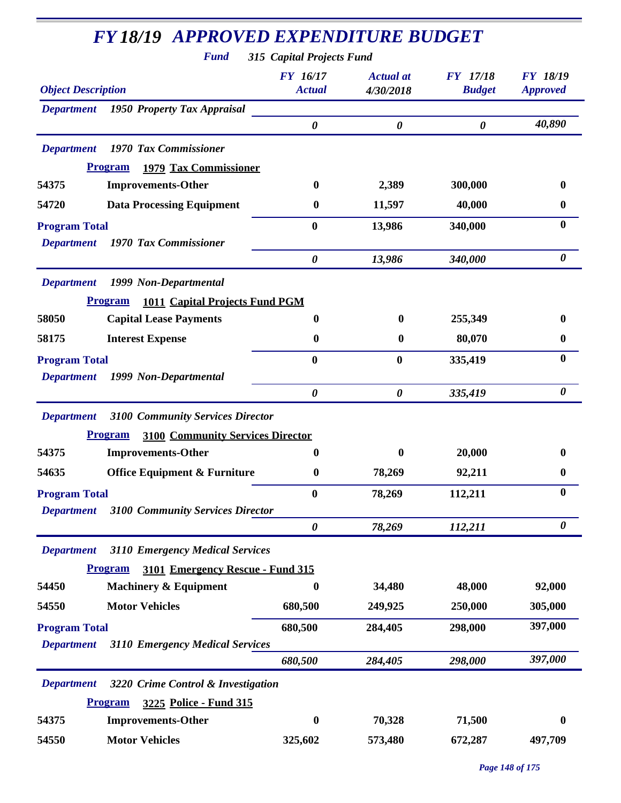| <b>Fund</b>                                                                         | 315 Capital Projects Fund        |                               |                                  |                                    |
|-------------------------------------------------------------------------------------|----------------------------------|-------------------------------|----------------------------------|------------------------------------|
| <b>Object Description</b>                                                           | <b>FY</b> 16/17<br><b>Actual</b> | <b>Actual</b> at<br>4/30/2018 | <b>FY</b> 17/18<br><b>Budget</b> | <b>FY 18/19</b><br><b>Approved</b> |
| 1950 Property Tax Appraisal<br><b>Department</b>                                    |                                  |                               |                                  |                                    |
|                                                                                     | $\boldsymbol{\theta}$            | $\boldsymbol{\theta}$         | $\boldsymbol{\theta}$            | 40,890                             |
| 1970 Tax Commissioner<br><b>Department</b>                                          |                                  |                               |                                  |                                    |
| <b>1979 Tax Commissioner</b><br><b>Program</b>                                      |                                  |                               |                                  |                                    |
| 54375<br><b>Improvements-Other</b>                                                  | $\bf{0}$                         | 2,389                         | 300,000                          | 0                                  |
| <b>Data Processing Equipment</b><br>54720                                           | $\bf{0}$                         | 11,597                        | 40,000                           | $\bf{0}$                           |
| <b>Program Total</b>                                                                | $\bf{0}$                         | 13,986                        | 340,000                          | $\bf{0}$                           |
| 1970 Tax Commissioner<br><b>Department</b>                                          |                                  |                               |                                  |                                    |
|                                                                                     | $\boldsymbol{\theta}$            | 13,986                        | 340,000                          | 0                                  |
| <b>Department</b><br>1999 Non-Departmental                                          |                                  |                               |                                  |                                    |
| <b>Program</b><br><b>1011 Capital Projects Fund PGM</b>                             |                                  |                               |                                  |                                    |
| 58050<br><b>Capital Lease Payments</b>                                              | 0                                | $\mathbf{0}$                  | 255,349                          | 0                                  |
| <b>Interest Expense</b><br>58175                                                    | $\bf{0}$                         | $\bf{0}$                      | 80,070                           | $\bf{0}$                           |
| <b>Program Total</b>                                                                | $\bf{0}$                         | $\bf{0}$                      | 335,419                          | $\bf{0}$                           |
| 1999 Non-Departmental<br><b>Department</b>                                          |                                  |                               |                                  |                                    |
|                                                                                     | $\boldsymbol{\theta}$            | $\boldsymbol{\theta}$         | 335,419                          | $\boldsymbol{\theta}$              |
| <b>3100 Community Services Director</b><br><b>Department</b>                        |                                  |                               |                                  |                                    |
| <b>3100 Community Services Director</b><br><b>Program</b>                           |                                  |                               |                                  |                                    |
| <b>Improvements-Other</b><br>54375                                                  | 0                                | $\mathbf{0}$                  | 20,000                           | 0                                  |
| <b>Office Equipment &amp; Furniture</b><br>54635                                    | $\boldsymbol{0}$                 | 78,269                        | 92,211                           | 0                                  |
| <b>Program Total</b>                                                                | $\boldsymbol{0}$                 | 78,269                        | 112,211                          | $\bf{0}$                           |
| <b>3100 Community Services Director</b><br><b>Department</b>                        |                                  |                               |                                  |                                    |
|                                                                                     | $\boldsymbol{\theta}$            | 78,269                        | 112,211                          | 0                                  |
| 3110 Emergency Medical Services<br><b>Department</b>                                |                                  |                               |                                  |                                    |
| <b>Program</b><br>3101 Emergency Rescue - Fund 315                                  |                                  |                               |                                  |                                    |
| <b>Machinery &amp; Equipment</b><br>54450                                           | 0                                | 34,480                        | 48,000                           | 92,000                             |
| <b>Motor Vehicles</b><br>54550                                                      | 680,500                          | 249,925                       | 250,000                          | 305,000                            |
|                                                                                     |                                  |                               |                                  | 397,000                            |
| <b>Program Total</b><br><b>3110 Emergency Medical Services</b><br><b>Department</b> | 680,500                          | 284,405                       | 298,000                          |                                    |
|                                                                                     | 680,500                          | 284,405                       | 298,000                          | 397,000                            |
|                                                                                     |                                  |                               |                                  |                                    |
| 3220 Crime Control & Investigation<br><b>Department</b>                             |                                  |                               |                                  |                                    |
| <b>Program</b><br>3225 Police - Fund 315                                            |                                  |                               |                                  |                                    |
| 54375<br><b>Improvements-Other</b>                                                  | 0                                | 70,328                        | 71,500                           | 0                                  |
| <b>Motor Vehicles</b><br>54550                                                      | 325,602                          | 573,480                       | 672,287                          | 497,709                            |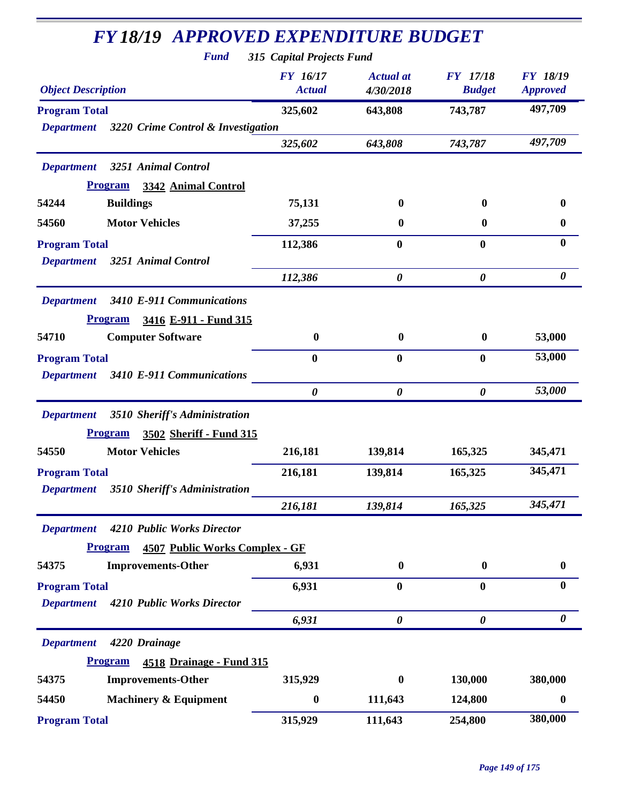| <b>FY18/19 APPROVED EXPENDITURE BUDGET</b><br><b>Fund</b> | 315 Capital Projects Fund        |                               |                                  |                                    |
|-----------------------------------------------------------|----------------------------------|-------------------------------|----------------------------------|------------------------------------|
| <b>Object Description</b>                                 | <b>FY</b> 16/17<br><b>Actual</b> | <b>Actual</b> at<br>4/30/2018 | <b>FY</b> 17/18<br><b>Budget</b> | <b>FY 18/19</b><br><b>Approved</b> |
| <b>Program Total</b>                                      | 325,602                          | 643,808                       | 743,787                          | 497,709                            |
| 3220 Crime Control & Investigation<br><b>Department</b>   |                                  |                               |                                  |                                    |
|                                                           | 325,602                          | 643,808                       | 743,787                          | 497,709                            |
| <b>Department</b><br>3251 Animal Control                  |                                  |                               |                                  |                                    |
| <b>Program</b><br>3342 Animal Control                     |                                  |                               |                                  |                                    |
| 54244<br><b>Buildings</b>                                 | 75,131                           | $\mathbf{0}$                  | $\bf{0}$                         | $\bf{0}$                           |
| <b>Motor Vehicles</b><br>54560                            | 37,255                           | 0                             | $\bf{0}$                         | $\bf{0}$                           |
| <b>Program Total</b>                                      | 112,386                          | $\bf{0}$                      | $\bf{0}$                         | $\bf{0}$                           |
| 3251 Animal Control<br><b>Department</b>                  |                                  |                               |                                  |                                    |
|                                                           | 112,386                          | $\boldsymbol{\theta}$         | $\boldsymbol{\theta}$            | 0                                  |
| <b>Department</b><br>3410 E-911 Communications            |                                  |                               |                                  |                                    |
| 3416 E-911 - Fund 315<br><b>Program</b>                   |                                  |                               |                                  |                                    |
| <b>Computer Software</b><br>54710                         | $\bf{0}$                         | $\bf{0}$                      | $\boldsymbol{0}$                 | 53,000                             |
| <b>Program Total</b>                                      | $\bf{0}$                         | 0                             | $\bf{0}$                         | 53,000                             |
| 3410 E-911 Communications<br><b>Department</b>            |                                  |                               |                                  |                                    |
|                                                           | $\boldsymbol{\theta}$            | $\boldsymbol{\theta}$         | $\boldsymbol{\theta}$            | 53,000                             |
| 3510 Sheriff's Administration<br><b>Department</b>        |                                  |                               |                                  |                                    |
| <b>Program</b><br>3502 Sheriff - Fund 315                 |                                  |                               |                                  |                                    |
| <b>Motor Vehicles</b><br>54550                            | 216,181                          | 139,814                       | 165,325                          | 345,471                            |
| <b>Program Total</b>                                      | 216,181                          | 139,814                       | 165,325                          | 345,471                            |
| 3510 Sheriff's Administration<br><b>Department</b>        |                                  |                               |                                  |                                    |
|                                                           | 216,181                          | 139,814                       | 165,325                          | 345,471                            |
| 4210 Public Works Director<br><b>Department</b>           |                                  |                               |                                  |                                    |
| <b>Program</b><br><b>4507 Public Works Complex - GF</b>   |                                  |                               |                                  |                                    |
| <b>Improvements-Other</b><br>54375                        | 6,931                            | $\bf{0}$                      | $\bf{0}$                         | $\boldsymbol{0}$                   |
| <b>Program Total</b>                                      | 6,931                            | $\bf{0}$                      | $\bf{0}$                         | $\bf{0}$                           |
| <b>Department</b><br>4210 Public Works Director           |                                  |                               |                                  |                                    |
|                                                           | 6,931                            | 0                             | $\boldsymbol{\theta}$            | $\boldsymbol{\theta}$              |
| 4220 Drainage<br><b>Department</b>                        |                                  |                               |                                  |                                    |
| <b>Program</b><br><b>4518 Drainage - Fund 315</b>         |                                  |                               |                                  |                                    |
| 54375<br><b>Improvements-Other</b>                        | 315,929                          | $\bf{0}$                      | 130,000                          | 380,000                            |
| <b>Machinery &amp; Equipment</b><br>54450                 | $\boldsymbol{0}$                 | 111,643                       | 124,800                          | $\boldsymbol{0}$                   |
|                                                           |                                  |                               |                                  | 380,000                            |
| <b>Program Total</b>                                      | 315,929                          | 111,643                       | 254,800                          |                                    |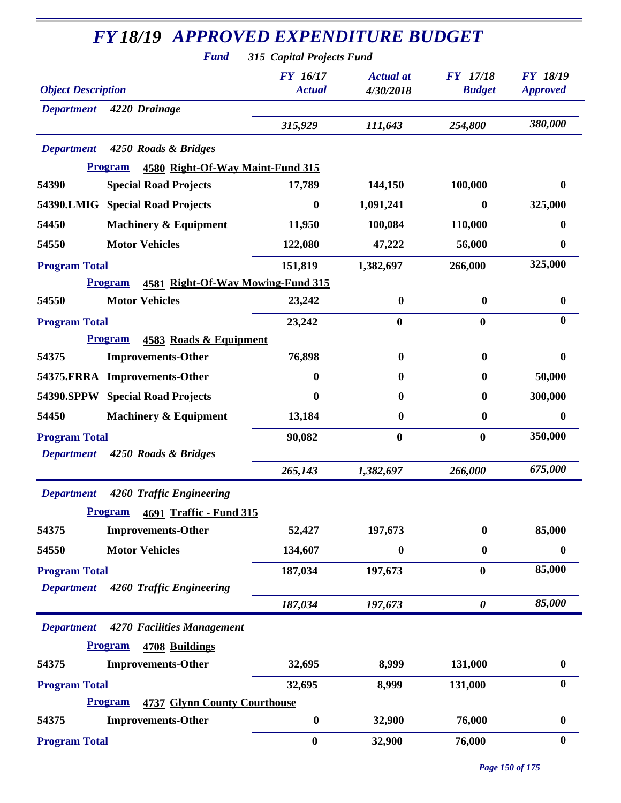| <b>FY18/19 APPROVED EXPENDITURE BUDGET</b><br><b>Fund</b> | 315 Capital Projects Fund        |                               |                                  |                                    |
|-----------------------------------------------------------|----------------------------------|-------------------------------|----------------------------------|------------------------------------|
| <b>Object Description</b>                                 | <b>FY</b> 16/17<br><b>Actual</b> | <b>Actual</b> at<br>4/30/2018 | <b>FY</b> 17/18<br><b>Budget</b> | <b>FY 18/19</b><br><b>Approved</b> |
| <b>Department</b><br>4220 Drainage                        |                                  |                               |                                  |                                    |
|                                                           | 315,929                          | 111,643                       | 254,800                          | 380,000                            |
| <b>Department</b><br>4250 Roads & Bridges                 |                                  |                               |                                  |                                    |
| <b>Program</b><br>4580 Right-Of-Way Maint-Fund 315        |                                  |                               |                                  |                                    |
| <b>Special Road Projects</b><br>54390                     | 17,789                           | 144,150                       | 100,000                          | 0                                  |
| 54390.LMIG Special Road Projects                          | $\boldsymbol{0}$                 | 1,091,241                     | $\boldsymbol{0}$                 | 325,000                            |
| <b>Machinery &amp; Equipment</b><br>54450                 | 11,950                           | 100,084                       | 110,000                          | 0                                  |
| <b>Motor Vehicles</b><br>54550                            | 122,080                          | 47,222                        | 56,000                           | 0                                  |
| <b>Program Total</b>                                      | 151,819                          | 1,382,697                     | 266,000                          | 325,000                            |
| 4581 Right-Of-Way Mowing-Fund 315<br><b>Program</b>       |                                  |                               |                                  |                                    |
| <b>Motor Vehicles</b><br>54550                            | 23,242                           | $\boldsymbol{0}$              | $\boldsymbol{0}$                 | $\boldsymbol{0}$                   |
| <b>Program Total</b>                                      | 23,242                           | $\bf{0}$                      | $\bf{0}$                         | $\bf{0}$                           |
| <b>Program</b><br>4583 Roads & Equipment                  |                                  |                               |                                  |                                    |
| 54375<br><b>Improvements-Other</b>                        | 76,898                           | $\bf{0}$                      | $\bf{0}$                         | 0                                  |
| 54375.FRRA Improvements-Other                             | $\mathbf 0$                      | 0                             | $\mathbf{0}$                     | 50,000                             |
| 54390.SPPW Special Road Projects                          | $\bf{0}$                         | 0                             | $\bf{0}$                         | 300,000                            |
| 54450<br><b>Machinery &amp; Equipment</b>                 | 13,184                           | $\boldsymbol{0}$              | $\bf{0}$                         | $\boldsymbol{0}$                   |
| <b>Program Total</b>                                      | 90,082                           | $\bf{0}$                      | $\bf{0}$                         | 350,000                            |
| 4250 Roads & Bridges<br><b>Department</b>                 |                                  |                               |                                  |                                    |
|                                                           | 265,143                          | 1,382,697                     | 266,000                          | 675,000                            |
| <b>Department</b><br>4260 Traffic Engineering             |                                  |                               |                                  |                                    |
| <b>Program</b><br>4691 Traffic - Fund 315                 |                                  |                               |                                  |                                    |
| <b>Improvements-Other</b><br>54375                        | 52,427                           | 197,673                       | $\bf{0}$                         | 85,000                             |
| <b>Motor Vehicles</b><br>54550                            | 134,607                          | 0                             | $\boldsymbol{0}$                 | $\boldsymbol{0}$                   |
| <b>Program Total</b>                                      | 187,034                          | 197,673                       | $\bf{0}$                         | 85,000                             |
| 4260 Traffic Engineering<br><b>Department</b>             |                                  |                               |                                  |                                    |
|                                                           | 187,034                          | 197,673                       | $\boldsymbol{\theta}$            | 85,000                             |
| 4270 Facilities Management<br><b>Department</b>           |                                  |                               |                                  |                                    |
| <b>Program</b><br>4708 Buildings                          |                                  |                               |                                  |                                    |
| 54375<br><b>Improvements-Other</b>                        | 32,695                           | 8,999                         | 131,000                          | $\boldsymbol{0}$                   |
| <b>Program Total</b>                                      | 32,695                           | 8,999                         | 131,000                          | $\bf{0}$                           |
| <b>4737 Glynn County Courthouse</b><br><b>Program</b>     |                                  |                               |                                  |                                    |
| 54375<br><b>Improvements-Other</b>                        | $\boldsymbol{0}$                 | 32,900                        | 76,000                           | $\boldsymbol{0}$                   |
| <b>Program Total</b>                                      | $\boldsymbol{0}$                 | 32,900                        | 76,000                           | $\bf{0}$                           |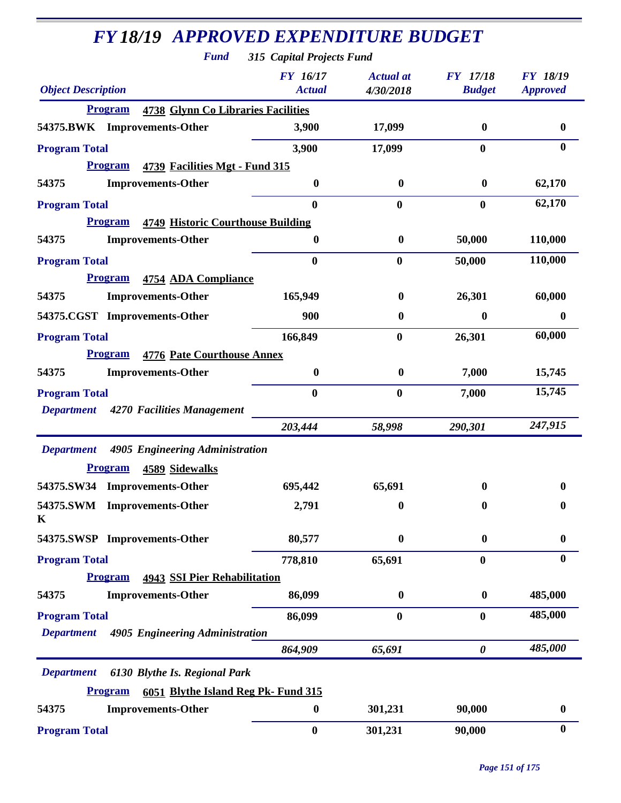*Fund 315 Capital Projects Fund*

| <b>Object Description</b>                                   | <b>FY</b> 16/17<br><b>Actual</b>         | <b>Actual</b> at<br>4/30/2018 | <b>FY</b> 17/18<br><b>Budget</b> | <b>FY 18/19</b><br><b>Approved</b> |
|-------------------------------------------------------------|------------------------------------------|-------------------------------|----------------------------------|------------------------------------|
| <b>4738 Glynn Co Libraries Facilities</b><br><b>Program</b> |                                          |                               |                                  |                                    |
| 54375.BWK Improvements-Other                                | 3,900                                    | 17,099                        | $\bf{0}$                         | $\bf{0}$                           |
| <b>Program Total</b>                                        | 3,900                                    | 17,099                        | $\bf{0}$                         | $\mathbf{0}$                       |
| <b>Program</b><br>4739 Facilities Mgt - Fund 315            |                                          |                               |                                  |                                    |
| 54375<br><b>Improvements-Other</b>                          | $\boldsymbol{0}$                         | $\bf{0}$                      | $\bf{0}$                         | 62,170                             |
| <b>Program Total</b>                                        | $\bf{0}$                                 | $\bf{0}$                      | $\bf{0}$                         | 62,170                             |
| <b>Program</b>                                              | <b>4749 Historic Courthouse Building</b> |                               |                                  |                                    |
| <b>Improvements-Other</b><br>54375                          | $\bf{0}$                                 | $\bf{0}$                      | 50,000                           | 110,000                            |
| <b>Program Total</b>                                        | $\bf{0}$                                 | $\bf{0}$                      | 50,000                           | 110,000                            |
| <b>Program</b><br>4754 ADA Compliance                       |                                          |                               |                                  |                                    |
| <b>Improvements-Other</b><br>54375                          | 165,949                                  | $\bf{0}$                      | 26,301                           | 60,000                             |
| 54375.CGST Improvements-Other                               | 900                                      | $\bf{0}$                      | $\bf{0}$                         | $\bf{0}$                           |
| <b>Program Total</b>                                        | 166,849                                  | $\bf{0}$                      | 26,301                           | 60,000                             |
| <b>4776 Pate Courthouse Annex</b><br><b>Program</b>         |                                          |                               |                                  |                                    |
| <b>Improvements-Other</b><br>54375                          | $\boldsymbol{0}$                         | $\boldsymbol{0}$              | 7,000                            | 15,745                             |
| <b>Program Total</b>                                        | $\bf{0}$                                 | $\bf{0}$                      | 7,000                            | 15,745                             |
| Department 4270 Facilities Management                       |                                          |                               |                                  |                                    |
|                                                             | 203,444                                  | 58,998                        | 290,301                          | 247,915                            |
| Department 4905 Engineering Administration                  |                                          |                               |                                  |                                    |
| <b>Program</b><br>4589 Sidewalks                            |                                          |                               |                                  |                                    |
| 54375.SW34 Improvements-Other                               | 695,442                                  | 65,691                        | $\mathbf{0}$                     | 0                                  |
| 54375.SWM Improvements-Other<br>K                           | 2,791                                    | $\bf{0}$                      | $\mathbf{0}$                     | 0                                  |
| 54375.SWSP Improvements-Other                               | 80,577                                   | $\boldsymbol{0}$              | $\boldsymbol{0}$                 | $\bf{0}$                           |
| <b>Program Total</b>                                        | 778,810                                  | 65,691                        | $\bf{0}$                         | $\bf{0}$                           |
| <b>Program</b><br><b>4943 SSI Pier Rehabilitation</b>       |                                          |                               |                                  |                                    |
| 54375<br><b>Improvements-Other</b>                          | 86,099                                   | $\boldsymbol{0}$              | $\bf{0}$                         | 485,000                            |
| <b>Program Total</b>                                        | 86,099                                   | $\bf{0}$                      | $\mathbf{0}$                     | 485,000                            |
| 4905 Engineering Administration<br><b>Department</b>        |                                          |                               |                                  |                                    |
|                                                             | 864,909                                  | 65,691                        | $\boldsymbol{\theta}$            | 485,000                            |
| 6130 Blythe Is. Regional Park<br><b>Department</b>          |                                          |                               |                                  |                                    |
| <b>Program</b>                                              | 6051 Blythe Island Reg Pk- Fund 315      |                               |                                  |                                    |
| 54375<br><b>Improvements-Other</b>                          | $\boldsymbol{0}$                         | 301,231                       | 90,000                           | $\bf{0}$                           |
| <b>Program Total</b>                                        | $\bf{0}$                                 | 301,231                       | 90,000                           | $\boldsymbol{0}$                   |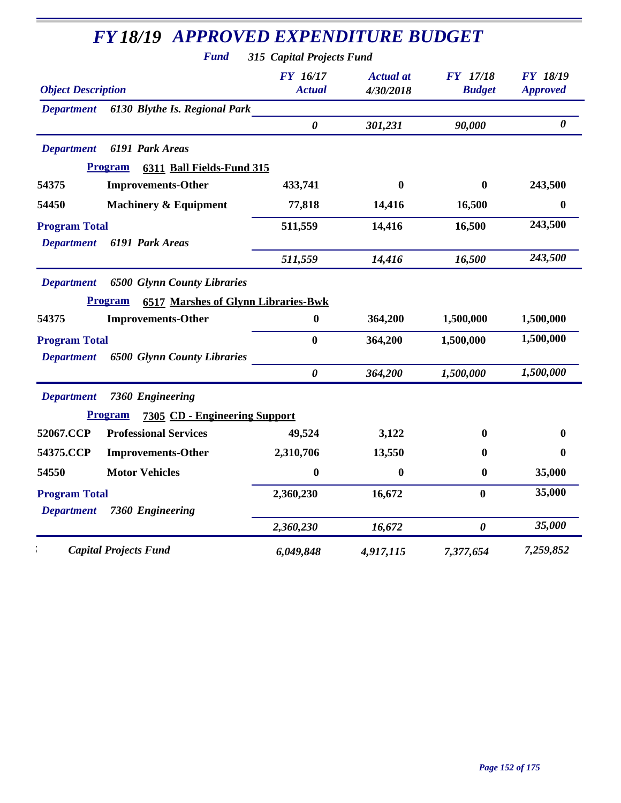|                                | <b>Fund</b>                                | 315 Capital Projects Fund        |                               |                                  |                                    |
|--------------------------------|--------------------------------------------|----------------------------------|-------------------------------|----------------------------------|------------------------------------|
| <b>Object Description</b>      |                                            | <b>FY</b> 16/17<br><b>Actual</b> | <b>Actual</b> at<br>4/30/2018 | <b>FY</b> 17/18<br><b>Budget</b> | <b>FY 18/19</b><br><b>Approved</b> |
| <b>Department</b>              | 6130 Blythe Is. Regional Park              |                                  |                               |                                  |                                    |
|                                |                                            | $\boldsymbol{\theta}$            | 301,231                       | 90,000                           | $\boldsymbol{\theta}$              |
| <b>Department</b>              | 6191 Park Areas                            |                                  |                               |                                  |                                    |
| <b>Program</b>                 | 6311 Ball Fields-Fund 315                  |                                  |                               |                                  |                                    |
| 54375                          | <b>Improvements-Other</b>                  | 433,741                          | $\mathbf{0}$                  | $\mathbf{0}$                     | 243,500                            |
| 54450                          | <b>Machinery &amp; Equipment</b>           | 77,818                           | 14,416                        | 16,500                           | $\boldsymbol{0}$                   |
| <b>Program Total</b>           |                                            | 511,559                          | 14,416                        | 16,500                           | 243,500                            |
| <b>Department</b>              | 6191 Park Areas                            |                                  |                               |                                  |                                    |
|                                |                                            | 511,559                          | 14,416                        | 16,500                           | 243,500                            |
| <b>Department</b>              | <b>6500 Glynn County Libraries</b>         |                                  |                               |                                  |                                    |
| <b>Program</b>                 | <b>6517 Marshes of Glynn Libraries-Bwk</b> |                                  |                               |                                  |                                    |
| 54375                          | <b>Improvements-Other</b>                  | $\bf{0}$                         | 364,200                       | 1,500,000                        | 1,500,000                          |
| <b>Program Total</b>           |                                            | $\bf{0}$                         | 364,200                       | 1,500,000                        | 1,500,000                          |
| <b>Department</b>              | <b>6500 Glynn County Libraries</b>         |                                  |                               |                                  |                                    |
|                                |                                            | $\boldsymbol{\theta}$            | 364,200                       | 1,500,000                        | 1,500,000                          |
| <b>Department</b>              | 7360 Engineering                           |                                  |                               |                                  |                                    |
| <b>Program</b>                 | 7305 CD - Engineering Support              |                                  |                               |                                  |                                    |
| 52067.CCP                      | <b>Professional Services</b>               | 49,524                           | 3,122                         | 0                                | 0                                  |
| 54375.CCP                      | <b>Improvements-Other</b>                  | 2,310,706                        | 13,550                        | 0                                | $\bf{0}$                           |
| 54550<br><b>Motor Vehicles</b> |                                            | $\bf{0}$                         | $\bf{0}$                      | $\bf{0}$                         | 35,000                             |
| <b>Program Total</b>           |                                            | 2,360,230                        | 16,672                        | $\bf{0}$                         | 35,000                             |
| <b>Department</b>              | 7360 Engineering                           |                                  |                               |                                  |                                    |
|                                |                                            | 2,360,230                        | 16,672                        | $\boldsymbol{\theta}$            | 35,000                             |
| <b>Capital Projects Fund</b>   |                                            | 6,049,848                        | 4,917,115                     | 7,377,654                        | 7,259,852                          |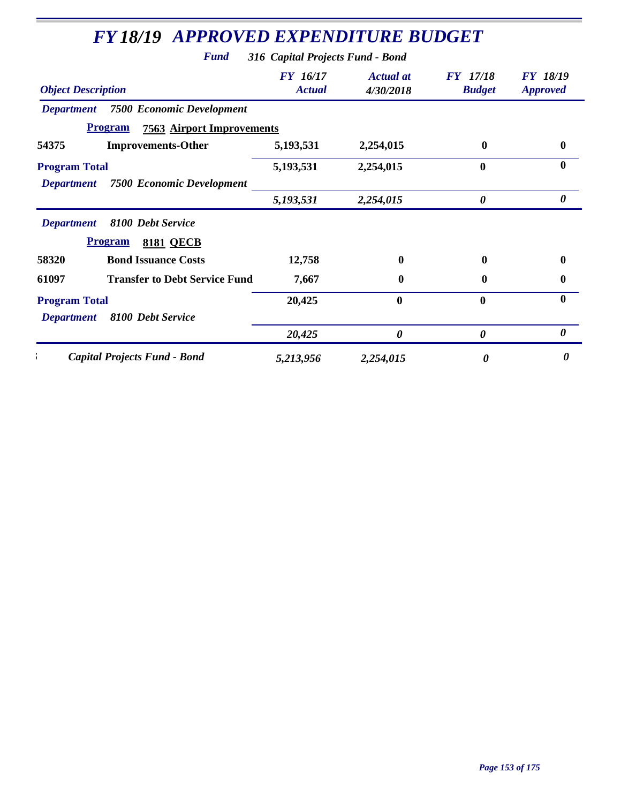| <b>Object Description</b>                             | <b>FY</b> 16/17<br><b>Actual</b> | <b>Actual at</b><br>4/30/2018 | <b>FY</b> 17/18<br><b>Budget</b> | <b>FY 18/19</b><br><b>Approved</b> |
|-------------------------------------------------------|----------------------------------|-------------------------------|----------------------------------|------------------------------------|
| <b>Department</b> 7500 Economic Development           |                                  |                               |                                  |                                    |
| <b>Program</b><br><b>7563 Airport Improvements</b>    |                                  |                               |                                  |                                    |
| 54375<br><b>Improvements-Other</b>                    | 5,193,531                        | 2,254,015                     | 0                                | $\bf{0}$                           |
| <b>Program Total</b>                                  | 5,193,531                        | 2,254,015                     | $\bf{0}$                         | $\mathbf{0}$                       |
| <b>Department</b><br><b>7500 Economic Development</b> |                                  |                               |                                  |                                    |
|                                                       | 5,193,531                        | 2,254,015                     | 0                                | 0                                  |
| <b>Department</b><br>8100 Debt Service                |                                  |                               |                                  |                                    |
| <b>Program</b><br><b>8181 QECB</b>                    |                                  |                               |                                  |                                    |
| <b>Bond Issuance Costs</b><br>58320                   | 12,758                           | $\bf{0}$                      | 0                                | $\mathbf{0}$                       |
| <b>Transfer to Debt Service Fund</b><br>61097         | 7,667                            | 0                             | $\bf{0}$                         | $\bf{0}$                           |
| <b>Program Total</b>                                  | 20,425                           | $\mathbf{0}$                  | $\mathbf{0}$                     | $\bf{0}$                           |
| 8100 Debt Service<br><b>Department</b>                |                                  |                               |                                  |                                    |
|                                                       | 20,425                           | 0                             | 0                                | 0                                  |
| <b>Capital Projects Fund - Bond</b>                   | 5,213,956                        | 2,254,015                     | 0                                | 0                                  |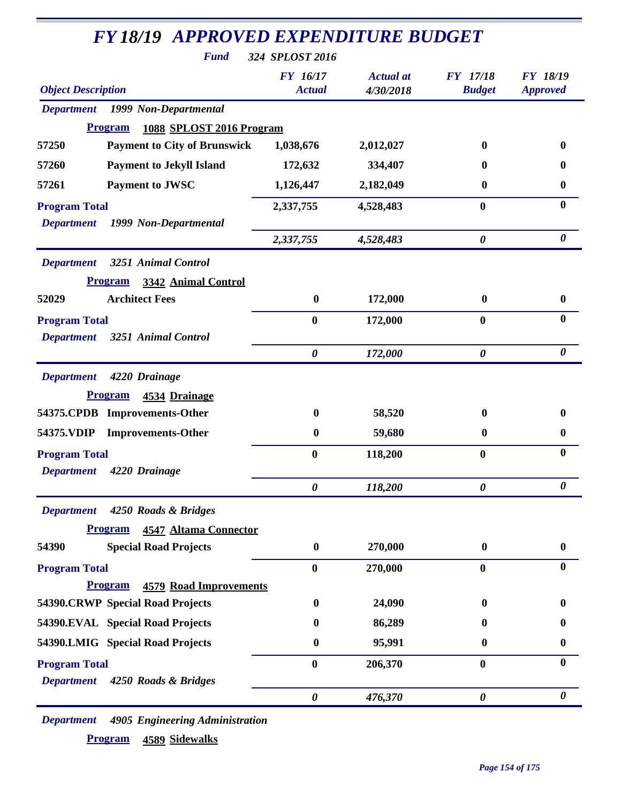| <b>FY18/19 APPROVED EXPENDITURE BUDGET</b>      |                                  |                               |                                  |                                    |
|-------------------------------------------------|----------------------------------|-------------------------------|----------------------------------|------------------------------------|
| <b>Fund</b>                                     | 324 SPLOST 2016                  |                               |                                  |                                    |
| <b>Object Description</b>                       | <b>FY</b> 16/17<br><b>Actual</b> | <b>Actual</b> at<br>4/30/2018 | <b>FY</b> 17/18<br><b>Budget</b> | <b>FY 18/19</b><br><b>Approved</b> |
| 1999 Non-Departmental<br><b>Department</b>      |                                  |                               |                                  |                                    |
| Program<br>1088 SPLOST 2016 Program             |                                  |                               |                                  |                                    |
| <b>Payment to City of Brunswick</b><br>57250    | 1,038,676                        | 2,012,027                     | 0                                | $\mathbf{0}$                       |
| <b>Payment to Jekyll Island</b><br>57260        | 172,632                          | 334,407                       | 0                                | 0                                  |
| <b>Payment to JWSC</b><br>57261                 | 1,126,447                        | 2,182,049                     | $\bf{0}$                         | $\boldsymbol{0}$                   |
| <b>Program Total</b>                            | 2,337,755                        | 4,528,483                     | $\boldsymbol{0}$                 | $\bf{0}$                           |
| 1999 Non-Departmental<br><b>Department</b>      |                                  |                               |                                  |                                    |
|                                                 | 2,337,755                        | 4,528,483                     | $\boldsymbol{\theta}$            | $\boldsymbol{\theta}$              |
| <b>Department</b><br>3251 Animal Control        |                                  |                               |                                  |                                    |
| <b>Program</b><br>3342 Animal Control           |                                  |                               |                                  |                                    |
| <b>Architect Fees</b><br>52029                  | $\boldsymbol{0}$                 | 172,000                       | $\bf{0}$                         | $\boldsymbol{0}$                   |
| <b>Program Total</b>                            | $\bf{0}$                         | 172,000                       | $\bf{0}$                         | $\bf{0}$                           |
| 3251 Animal Control<br><b>Department</b>        |                                  |                               |                                  |                                    |
|                                                 | $\boldsymbol{\theta}$            | 172,000                       | $\boldsymbol{\theta}$            | $\boldsymbol{\theta}$              |
| <b>Department</b><br>4220 Drainage              |                                  |                               |                                  |                                    |
| <b>Program</b><br>4534 Drainage                 |                                  |                               |                                  |                                    |
| 54375.CPDB Improvements-Other                   | $\bf{0}$                         | 58,520                        | 0                                | $\bf{0}$                           |
| 54375.VDIP<br><b>Improvements-Other</b>         | $\boldsymbol{0}$                 | 59,680                        | $\bf{0}$                         | $\boldsymbol{0}$                   |
| <b>Program Total</b>                            | $\bf{0}$                         | 118,200                       | $\bf{0}$                         | $\bf{0}$                           |
| <b>Department</b><br>4220 Drainage              |                                  |                               |                                  |                                    |
|                                                 | $\boldsymbol{\theta}$            | 118,200                       | $\boldsymbol{\theta}$            | $\boldsymbol{\theta}$              |
| 4250 Roads & Bridges<br><b>Department</b>       |                                  |                               |                                  |                                    |
| <b>Program</b><br><b>4547 Altama Connector</b>  |                                  |                               |                                  |                                    |
| <b>Special Road Projects</b><br>54390           | $\boldsymbol{0}$                 | 270,000                       | $\bf{0}$                         | $\boldsymbol{0}$                   |
| <b>Program Total</b>                            | $\bf{0}$                         | 270,000                       | $\bf{0}$                         | $\bf{0}$                           |
| <b>Program</b><br><b>4579 Road Improvements</b> |                                  |                               |                                  |                                    |
| 54390.CRWP Special Road Projects                | $\boldsymbol{0}$                 | 24,090                        | $\mathbf{0}$                     | $\mathbf{0}$                       |
| 54390.EVAL Special Road Projects                | 0                                | 86,289                        | $\mathbf{0}$                     | 0                                  |
| 54390.LMIG Special Road Projects                | $\bf{0}$                         | 95,991                        | 0                                | $\boldsymbol{0}$                   |
| <b>Program Total</b>                            | $\bf{0}$                         | 206,370                       | $\boldsymbol{0}$                 | $\bf{0}$                           |
| <b>Department</b><br>4250 Roads & Bridges       |                                  |                               |                                  |                                    |
|                                                 | $\boldsymbol{\theta}$            | 476,370                       | $\boldsymbol{\theta}$            | $\boldsymbol{\theta}$              |

*Department 4905 Engineering Administration* **Program 4589 Sidewalks**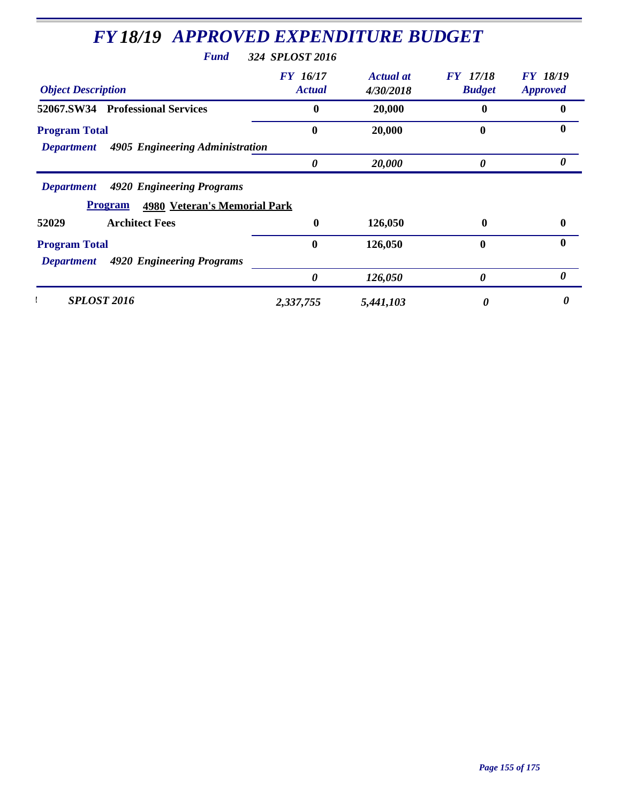| <b>Fund</b>                                           | 324 SPLOST 2016           |                               |                                  |                                    |
|-------------------------------------------------------|---------------------------|-------------------------------|----------------------------------|------------------------------------|
| <b>Object Description</b>                             | FY 16/17<br><b>Actual</b> | <b>Actual</b> at<br>4/30/2018 | <b>FY</b> 17/18<br><b>Budget</b> | <b>FY 18/19</b><br><b>Approved</b> |
| 52067.SW34 Professional Services                      | $\mathbf 0$               | 20,000                        | 0                                | $\mathbf{0}$                       |
| <b>Program Total</b>                                  | 0                         | 20,000                        | 0                                | $\mathbf{0}$                       |
| 4905 Engineering Administration<br><b>Department</b>  | 0                         | 20,000                        | 0                                | 0                                  |
|                                                       |                           |                               |                                  |                                    |
| 4920 Engineering Programs<br><b>Department</b>        |                           |                               |                                  |                                    |
| <b>4980 Veteran's Memorial Park</b><br><b>Program</b> |                           |                               |                                  |                                    |
| <b>Architect Fees</b>                                 | $\bf{0}$                  | 126,050                       | 0                                |                                    |
| 52029<br><b>Program Total</b>                         | $\bf{0}$                  | 126,050                       | $\mathbf 0$                      |                                    |
| 4920 Engineering Programs<br><b>Department</b>        |                           |                               |                                  |                                    |
|                                                       | 0                         | 126,050                       | 0                                | $\mathbf{0}$<br>$\mathbf{0}$<br>0  |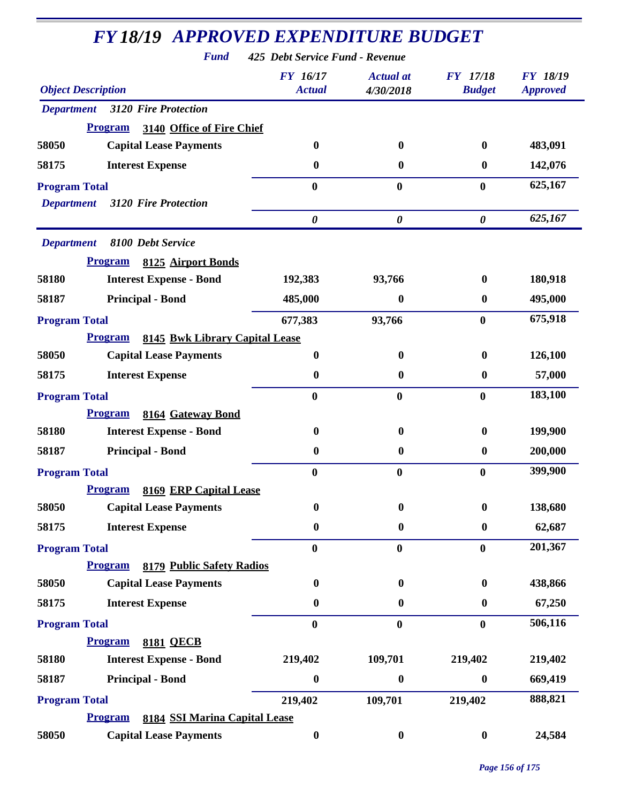*Fund 425 Debt Service Fund - Revenue*

| <b>Object Description</b>                              | <b>FY</b> 16/17<br><b>Actual</b> | <b>Actual</b> at<br>4/30/2018 | <b>FY</b> 17/18<br><b>Budget</b> | <b>FY 18/19</b><br><b>Approved</b> |
|--------------------------------------------------------|----------------------------------|-------------------------------|----------------------------------|------------------------------------|
| 3120 Fire Protection<br><b>Department</b>              |                                  |                               |                                  |                                    |
| <b>Program</b><br>3140 Office of Fire Chief            |                                  |                               |                                  |                                    |
| 58050<br><b>Capital Lease Payments</b>                 | $\boldsymbol{0}$                 | 0                             | $\bf{0}$                         | 483,091                            |
| <b>Interest Expense</b><br>58175                       | $\boldsymbol{0}$                 | 0                             | $\bf{0}$                         | 142,076                            |
| <b>Program Total</b>                                   | 0                                | $\bf{0}$                      | $\bf{0}$                         | 625,167                            |
| <b>3120 Fire Protection</b><br><b>Department</b>       |                                  |                               |                                  |                                    |
|                                                        | $\boldsymbol{\theta}$            | $\boldsymbol{\theta}$         | $\boldsymbol{\theta}$            | 625,167                            |
| <b>Department</b><br>8100 Debt Service                 |                                  |                               |                                  |                                    |
| <b>Program</b><br>8125 Airport Bonds                   |                                  |                               |                                  |                                    |
| 58180<br><b>Interest Expense - Bond</b>                | 192,383                          | 93,766                        | $\bf{0}$                         | 180,918                            |
| <b>Principal - Bond</b><br>58187                       | 485,000                          | 0                             | $\bf{0}$                         | 495,000                            |
| <b>Program Total</b>                                   | 677,383                          | 93,766                        | $\bf{0}$                         | 675,918                            |
| <b>Program</b><br>8145 Bwk Library Capital Lease       |                                  |                               |                                  |                                    |
| 58050<br><b>Capital Lease Payments</b>                 | $\boldsymbol{0}$                 | $\bf{0}$                      | $\bf{0}$                         | 126,100                            |
| <b>Interest Expense</b><br>58175                       | $\boldsymbol{0}$                 | 0                             | $\bf{0}$                         | 57,000                             |
| <b>Program Total</b>                                   | $\bf{0}$                         | $\bf{0}$                      | $\bf{0}$                         | 183,100                            |
| <b>Program</b><br>8164 Gateway Bond                    |                                  |                               |                                  |                                    |
| 58180<br><b>Interest Expense - Bond</b>                | $\boldsymbol{0}$                 | $\bf{0}$                      | $\bf{0}$                         | 199,900                            |
| <b>Principal - Bond</b><br>58187                       | $\boldsymbol{0}$                 | 0                             | $\bf{0}$                         | 200,000                            |
| <b>Program Total</b>                                   | $\bf{0}$                         | $\bf{0}$                      | $\bf{0}$                         | 399,900                            |
| 8169 ERP Capital Lease<br><b>Program</b>               |                                  |                               |                                  |                                    |
| 58050<br><b>Capital Lease Payments</b>                 | $\boldsymbol{0}$                 | $\boldsymbol{0}$              | $\boldsymbol{0}$                 | 138,680                            |
| 58175<br><b>Interest Expense</b>                       | $\boldsymbol{0}$                 | $\boldsymbol{0}$              | $\bf{0}$                         | 62,687                             |
| <b>Program Total</b>                                   | $\bf{0}$                         | $\bf{0}$                      | $\bf{0}$                         | 201,367                            |
| Program<br>8179 Public Safety Radios                   |                                  |                               |                                  |                                    |
| 58050<br><b>Capital Lease Payments</b>                 | $\boldsymbol{0}$                 | $\boldsymbol{0}$              | $\boldsymbol{0}$                 | 438,866                            |
| 58175<br><b>Interest Expense</b>                       | $\boldsymbol{0}$                 | $\boldsymbol{0}$              | $\boldsymbol{0}$                 | 67,250                             |
| <b>Program Total</b>                                   | $\bf{0}$                         | $\bf{0}$                      | $\bf{0}$                         | 506,116                            |
| <b>Program</b><br><b>8181 QECB</b>                     |                                  |                               |                                  |                                    |
| <b>Interest Expense - Bond</b><br>58180                | 219,402                          | 109,701                       | 219,402                          | 219,402                            |
| 58187<br><b>Principal - Bond</b>                       | $\boldsymbol{0}$                 | 0                             | $\bf{0}$                         | 669,419                            |
| <b>Program Total</b>                                   | 219,402                          | 109,701                       | 219,402                          | 888,821                            |
| <b>Program</b><br><b>8184 SSI Marina Capital Lease</b> |                                  |                               |                                  |                                    |
| 58050<br><b>Capital Lease Payments</b>                 | $\boldsymbol{0}$                 | $\boldsymbol{0}$              | $\boldsymbol{0}$                 | 24,584                             |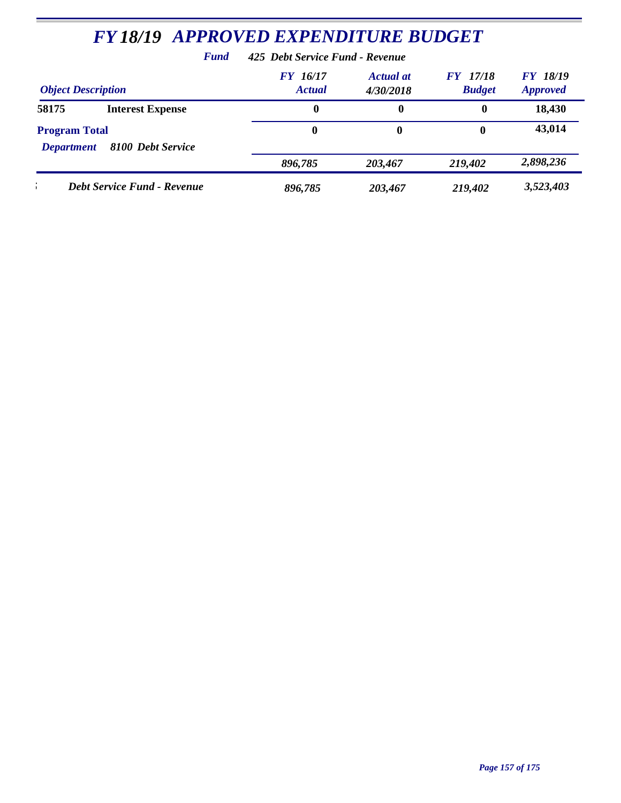|                                                                | <b>FY 18/19 APPROVED EXPENDITURE BUDGET</b> |                                 |                               |                                  |                             |
|----------------------------------------------------------------|---------------------------------------------|---------------------------------|-------------------------------|----------------------------------|-----------------------------|
|                                                                | <b>Fund</b>                                 | 425 Debt Service Fund - Revenue |                               |                                  |                             |
| <b>Object Description</b>                                      |                                             | FY 16/17<br><b>Actual</b>       | <b>Actual</b> at<br>4/30/2018 | <b>FY</b> 17/18<br><b>Budget</b> | FY 18/19<br><b>Approved</b> |
| 58175                                                          | <b>Interest Expense</b>                     | 0                               | $\bf{0}$                      | $\mathbf 0$                      | 18,430                      |
| <b>Program Total</b><br>8100 Debt Service<br><b>Department</b> |                                             | 0                               | $\bf{0}$                      | 0                                | 43,014                      |
|                                                                |                                             | 896,785                         | 203,467                       | 219,402                          | 2,898,236                   |
|                                                                | <b>Debt Service Fund - Revenue</b>          | 896,785                         | 203,467                       | 219,402                          | 3,523,403                   |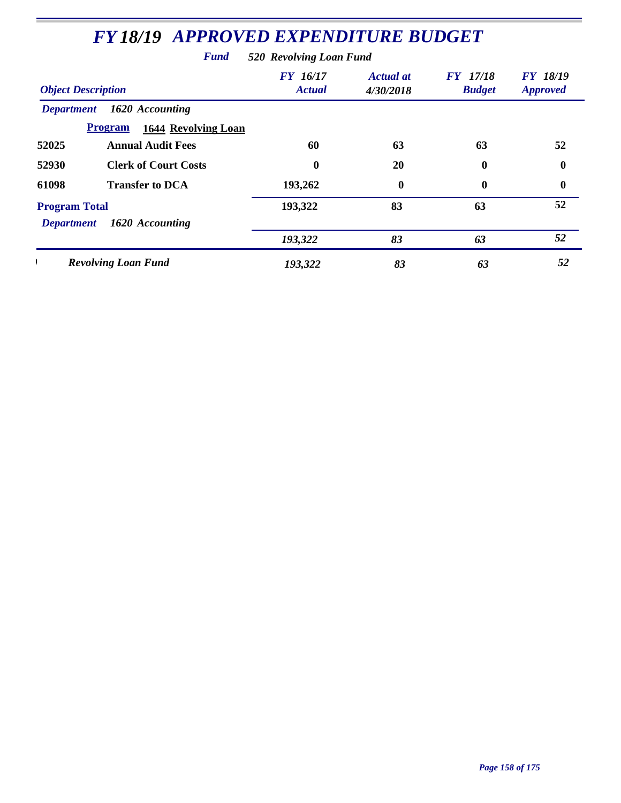|                                           | <b>FY 18/19 APPROVED EXPENDITURE BUDGET</b>  |                                  |                               |                                  |                                    |
|-------------------------------------------|----------------------------------------------|----------------------------------|-------------------------------|----------------------------------|------------------------------------|
|                                           | <b>Fund</b>                                  | 520 Revolving Loan Fund          |                               |                                  |                                    |
| <b>Object Description</b>                 |                                              | <b>FY</b> 16/17<br><b>Actual</b> | <b>Actual at</b><br>4/30/2018 | <b>FY</b> 17/18<br><b>Budget</b> | <b>FY 18/19</b><br><b>Approved</b> |
| <b>Department</b>                         | 1620 Accounting                              |                                  |                               |                                  |                                    |
|                                           | <b>Program</b><br><b>1644 Revolving Loan</b> |                                  |                               |                                  |                                    |
| 52025                                     | <b>Annual Audit Fees</b>                     | 60                               | 63                            | 63                               | 52                                 |
| 52930                                     | <b>Clerk of Court Costs</b>                  | $\bf{0}$                         | 20                            | 0                                | 0                                  |
| 61098                                     | <b>Transfer to DCA</b>                       | 193,262                          | 0                             | 0                                | 0                                  |
| <b>Program Total</b><br><b>Department</b> | 1620 Accounting                              | 193,322                          | 83                            | 63                               | 52                                 |
|                                           |                                              | 193,322                          | 83                            | 63                               | 52                                 |
|                                           | <b>Revolving Loan Fund</b>                   | 193,322                          | 83                            | 63                               | 52                                 |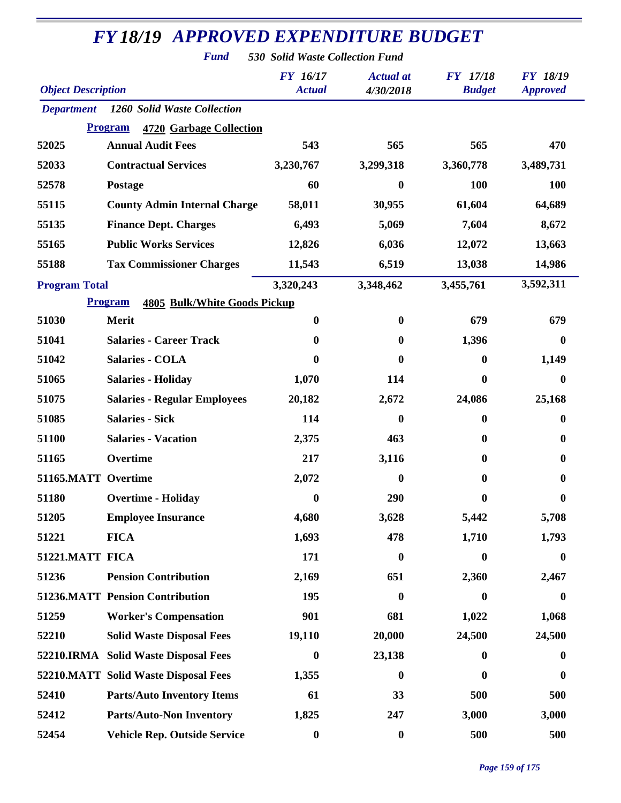*Fund 530 Solid Waste Collection Fund*

| <b>Object Description</b> |                                                       | <b>FY</b> 16/17<br><b>Actual</b> | <b>Actual</b> at<br>4/30/2018 | <b>FY</b> 17/18<br><b>Budget</b> | <b>FY 18/19</b><br><b>Approved</b> |
|---------------------------|-------------------------------------------------------|----------------------------------|-------------------------------|----------------------------------|------------------------------------|
| <b>Department</b>         | 1260 Solid Waste Collection                           |                                  |                               |                                  |                                    |
|                           | <b>Program</b><br>4720 Garbage Collection             |                                  |                               |                                  |                                    |
| 52025                     | <b>Annual Audit Fees</b>                              | 543                              | 565                           | 565                              | 470                                |
| 52033                     | <b>Contractual Services</b>                           | 3,230,767                        | 3,299,318                     | 3,360,778                        | 3,489,731                          |
| 52578                     | Postage                                               | 60                               | 0                             | 100                              | 100                                |
| 55115                     | <b>County Admin Internal Charge</b>                   | 58,011                           | 30,955                        | 61,604                           | 64,689                             |
| 55135                     | <b>Finance Dept. Charges</b>                          | 6,493                            | 5,069                         | 7,604                            | 8,672                              |
| 55165                     | <b>Public Works Services</b>                          | 12,826                           | 6,036                         | 12,072                           | 13,663                             |
| 55188                     | <b>Tax Commissioner Charges</b>                       | 11,543                           | 6,519                         | 13,038                           | 14,986                             |
| <b>Program Total</b>      |                                                       | 3,320,243                        | 3,348,462                     | 3,455,761                        | 3,592,311                          |
|                           | <b>Program</b><br><b>4805 Bulk/White Goods Pickup</b> |                                  |                               |                                  |                                    |
| 51030                     | <b>Merit</b>                                          | $\boldsymbol{0}$                 | $\bf{0}$                      | 679                              | 679                                |
| 51041                     | <b>Salaries - Career Track</b>                        | 0                                | 0                             | 1,396                            | 0                                  |
| 51042                     | <b>Salaries - COLA</b>                                | 0                                | 0                             | $\boldsymbol{0}$                 | 1,149                              |
| 51065                     | <b>Salaries - Holiday</b>                             | 1,070                            | 114                           | $\bf{0}$                         | 0                                  |
| 51075                     | <b>Salaries - Regular Employees</b>                   | 20,182                           | 2,672                         | 24,086                           | 25,168                             |
| 51085                     | <b>Salaries - Sick</b>                                | 114                              | 0                             | $\boldsymbol{0}$                 | 0                                  |
| 51100                     | <b>Salaries - Vacation</b>                            | 2,375                            | 463                           | $\boldsymbol{0}$                 | 0                                  |
| 51165                     | Overtime                                              | 217                              | 3,116                         | 0                                | 0                                  |
| 51165.MATT Overtime       |                                                       | 2,072                            | 0                             | 0                                | 0                                  |
| 51180                     | <b>Overtime - Holiday</b>                             | 0                                | 290                           | 0                                | 0                                  |
| 51205                     | <b>Employee Insurance</b>                             | 4,680                            | 3,628                         | 5,442                            | 5,708                              |
| 51221                     | <b>FICA</b>                                           | 1,693                            | 478                           | 1,710                            | 1,793                              |
| 51221.MATT FICA           |                                                       | 171                              | $\boldsymbol{0}$              | $\boldsymbol{0}$                 | $\bf{0}$                           |
| 51236                     | <b>Pension Contribution</b>                           | 2,169                            | 651                           | 2,360                            | 2,467                              |
|                           | <b>51236.MATT Pension Contribution</b>                | 195                              | 0                             | $\boldsymbol{0}$                 | 0                                  |
| 51259                     | <b>Worker's Compensation</b>                          | 901                              | 681                           | 1,022                            | 1,068                              |
| 52210                     | <b>Solid Waste Disposal Fees</b>                      | 19,110                           | 20,000                        | 24,500                           | 24,500                             |
|                           | 52210.IRMA Solid Waste Disposal Fees                  | $\boldsymbol{0}$                 | 23,138                        | $\boldsymbol{0}$                 | $\bf{0}$                           |
|                           | 52210.MATT Solid Waste Disposal Fees                  | 1,355                            | $\boldsymbol{0}$              | $\boldsymbol{0}$                 | $\bf{0}$                           |
| 52410                     | <b>Parts/Auto Inventory Items</b>                     | 61                               | 33                            | 500                              | 500                                |
| 52412                     | <b>Parts/Auto-Non Inventory</b>                       | 1,825                            | 247                           | 3,000                            | 3,000                              |
| 52454                     | Vehicle Rep. Outside Service                          | $\boldsymbol{0}$                 | $\boldsymbol{0}$              | 500                              | 500                                |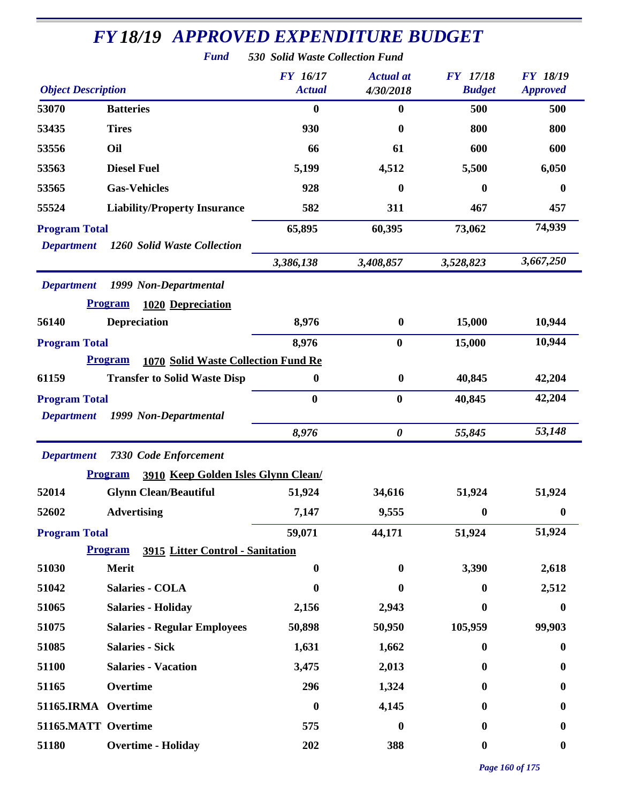|                           | <b>FY18/19 APPROVED EXPENDITURE BUDGET</b>                   |                                 |                  |                  |                  |
|---------------------------|--------------------------------------------------------------|---------------------------------|------------------|------------------|------------------|
|                           | <b>Fund</b>                                                  | 530 Solid Waste Collection Fund |                  |                  |                  |
|                           |                                                              | <b>FY</b> 16/17                 | <b>Actual</b> at | <b>FY</b> 17/18  | <b>FY 18/19</b>  |
| <b>Object Description</b> |                                                              | <b>Actual</b>                   | 4/30/2018        | <b>Budget</b>    | <b>Approved</b>  |
| 53070                     | <b>Batteries</b>                                             | $\bf{0}$                        | $\bf{0}$         | 500              | 500              |
| 53435                     | <b>Tires</b>                                                 | 930                             | 0                | 800              | 800              |
| 53556                     | Oil                                                          | 66                              | 61               | 600              | 600              |
| 53563                     | <b>Diesel Fuel</b>                                           | 5,199                           | 4,512            | 5,500            | 6,050            |
| 53565                     | <b>Gas-Vehicles</b>                                          | 928                             | 0                | $\bf{0}$         | $\boldsymbol{0}$ |
| 55524                     | <b>Liability/Property Insurance</b>                          | 582                             | 311              | 467              | 457              |
| <b>Program Total</b>      |                                                              | 65,895                          | 60,395           | 73,062           | 74,939           |
| <b>Department</b>         | 1260 Solid Waste Collection                                  |                                 |                  |                  |                  |
|                           |                                                              | 3,386,138                       | 3,408,857        | 3,528,823        | 3,667,250        |
| <b>Department</b>         | 1999 Non-Departmental                                        |                                 |                  |                  |                  |
|                           | <b>Program</b><br>1020 Depreciation                          |                                 |                  |                  |                  |
| 56140                     | <b>Depreciation</b>                                          | 8,976                           | $\boldsymbol{0}$ | 15,000           | 10,944           |
| <b>Program Total</b>      |                                                              | 8,976                           | $\bf{0}$         | 15,000           | 10,944           |
|                           | <b>Program</b><br><b>1070 Solid Waste Collection Fund Re</b> |                                 |                  |                  |                  |
| 61159                     | <b>Transfer to Solid Waste Disp</b>                          | $\boldsymbol{0}$                | $\boldsymbol{0}$ | 40,845           | 42,204           |
| <b>Program Total</b>      |                                                              | $\bf{0}$                        | $\bf{0}$         | 40,845           | 42,204           |
| <b>Department</b>         | 1999 Non-Departmental                                        |                                 |                  |                  |                  |
|                           |                                                              | 8,976                           | 0                | 55,845           | 53,148           |
| <b>Department</b>         | <b>7330 Code Enforcement</b>                                 |                                 |                  |                  |                  |
|                           | 3910 Keep Golden Isles Glynn Clean/<br><b>Program</b>        |                                 |                  |                  |                  |
| 52014                     | <b>Glynn Clean/Beautiful</b>                                 | 51,924                          | 34,616           | 51,924           | 51,924           |
| 52602                     | <b>Advertising</b>                                           | 7,147                           | 9,555            | $\boldsymbol{0}$ | $\boldsymbol{0}$ |
| <b>Program Total</b>      |                                                              | 59,071                          | 44,171           | 51,924           | 51,924           |
|                           | <b>Program</b><br>3915 Litter Control - Sanitation           |                                 |                  |                  |                  |
| 51030                     | <b>Merit</b>                                                 | $\boldsymbol{0}$                | $\boldsymbol{0}$ | 3,390            | 2,618            |
| 51042                     | <b>Salaries - COLA</b>                                       | $\bf{0}$                        | 0                | $\mathbf{0}$     | 2,512            |
| 51065                     | <b>Salaries - Holiday</b>                                    | 2,156                           | 2,943            | $\mathbf{0}$     | $\boldsymbol{0}$ |
| 51075                     | <b>Salaries - Regular Employees</b>                          | 50,898                          | 50,950           | 105,959          | 99,903           |
| 51085                     | <b>Salaries - Sick</b>                                       | 1,631                           | 1,662            | $\bf{0}$         | $\boldsymbol{0}$ |
| 51100                     | <b>Salaries - Vacation</b>                                   | 3,475                           | 2,013            | $\mathbf{0}$     | $\bf{0}$         |
| 51165                     | Overtime                                                     | 296                             | 1,324            | $\mathbf{0}$     | $\bf{0}$         |
| 51165.IRMA Overtime       |                                                              | $\boldsymbol{0}$                | 4,145            | $\mathbf{0}$     | 0                |
| 51165.MATT Overtime       |                                                              | 575                             | $\boldsymbol{0}$ | 0                | $\bf{0}$         |
| 51180                     | <b>Overtime - Holiday</b>                                    | 202                             | 388              | $\boldsymbol{0}$ | $\boldsymbol{0}$ |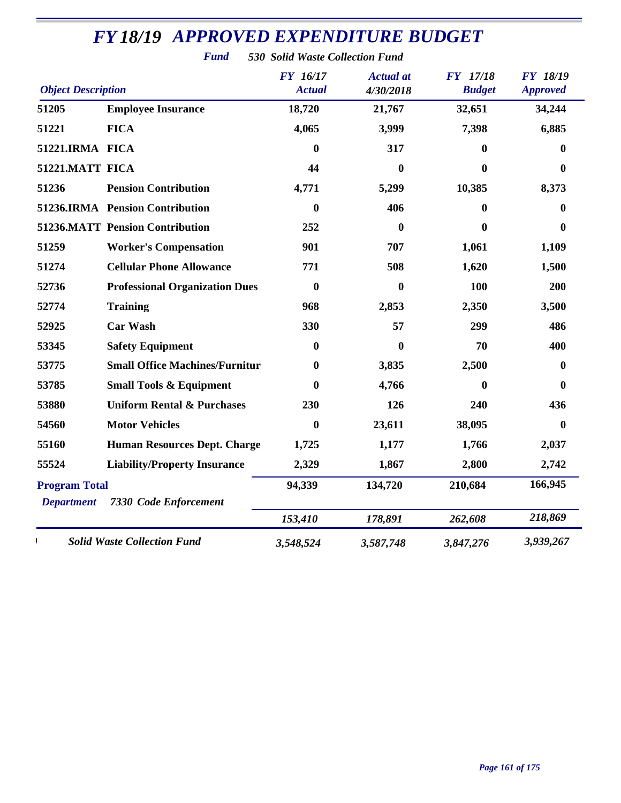| <b>Object Description</b>                 |                                        | <b>FY</b> 16/17<br><b>Actual</b> | <b>Actual</b> at<br>4/30/2018 | <b>FY</b> 17/18<br><b>Budget</b> | <b>FY 18/19</b><br><b>Approved</b> |
|-------------------------------------------|----------------------------------------|----------------------------------|-------------------------------|----------------------------------|------------------------------------|
| 51205                                     | <b>Employee Insurance</b>              | 18,720                           | 21,767                        | 32,651                           | 34,244                             |
| 51221                                     | <b>FICA</b>                            | 4,065                            | 3,999                         | 7,398                            | 6,885                              |
| 51221.IRMA FICA                           |                                        | 0                                | 317                           | $\bf{0}$                         | 0                                  |
| 51221.MATT FICA                           |                                        | 44                               | $\bf{0}$                      | $\mathbf{0}$                     | 0                                  |
| 51236                                     | <b>Pension Contribution</b>            | 4,771                            | 5,299                         | 10,385                           | 8,373                              |
|                                           | 51236.IRMA Pension Contribution        | 0                                | 406                           | $\bf{0}$                         | 0                                  |
|                                           | <b>51236.MATT Pension Contribution</b> | 252                              | $\boldsymbol{0}$              | $\boldsymbol{0}$                 | 0                                  |
| 51259                                     | <b>Worker's Compensation</b>           | 901                              | 707                           | 1,061                            | 1,109                              |
| 51274                                     | <b>Cellular Phone Allowance</b>        | 771                              | 508                           | 1,620                            | 1,500                              |
| 52736                                     | <b>Professional Organization Dues</b>  | $\mathbf{0}$                     | $\bf{0}$                      | 100                              | 200                                |
| 52774                                     | <b>Training</b>                        | 968                              | 2,853                         | 2,350                            | 3,500                              |
| 52925                                     | <b>Car Wash</b>                        | 330                              | 57                            | 299                              | 486                                |
| 53345                                     | <b>Safety Equipment</b>                | $\bf{0}$                         | $\bf{0}$                      | 70                               | 400                                |
| 53775                                     | <b>Small Office Machines/Furnitur</b>  | 0                                | 3,835                         | 2,500                            | $\mathbf{0}$                       |
| 53785                                     | <b>Small Tools &amp; Equipment</b>     | 0                                | 4,766                         | $\boldsymbol{0}$                 | $\bf{0}$                           |
| 53880                                     | <b>Uniform Rental &amp; Purchases</b>  | 230                              | 126                           | 240                              | 436                                |
| 54560                                     | <b>Motor Vehicles</b>                  | $\bf{0}$                         | 23,611                        | 38,095                           | $\bf{0}$                           |
| 55160                                     | <b>Human Resources Dept. Charge</b>    | 1,725                            | 1,177                         | 1,766                            | 2,037                              |
| 55524                                     | <b>Liability/Property Insurance</b>    | 2,329                            | 1,867                         | 2,800                            | 2,742                              |
| <b>Program Total</b><br><b>Department</b> | <b>7330 Code Enforcement</b>           | 94,339                           | 134,720                       | 210,684                          | 166,945                            |
|                                           |                                        | 153,410                          | 178,891                       | 262,608                          | 218,869                            |
|                                           | <b>Solid Waste Collection Fund</b>     | 3,548,524                        | 3,587,748                     | 3,847,276                        | 3,939,267                          |

*Fund 530 Solid Waste Collection Fund*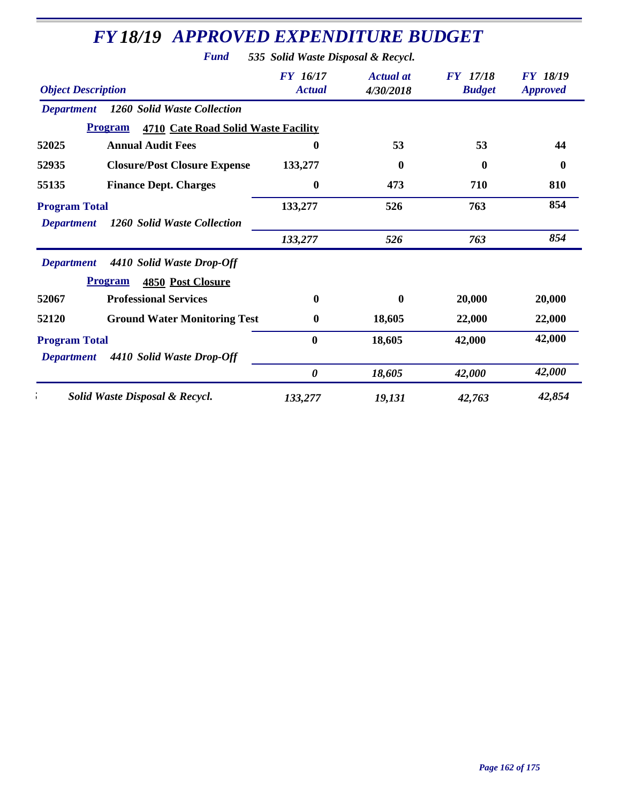|                                                                          | <b>Fund</b>                                                             | 535 Solid Waste Disposal & Recycl. |                               |                                  |                                    |
|--------------------------------------------------------------------------|-------------------------------------------------------------------------|------------------------------------|-------------------------------|----------------------------------|------------------------------------|
| <b>Object Description</b>                                                |                                                                         | <b>FY</b> 16/17<br><b>Actual</b>   | <b>Actual</b> at<br>4/30/2018 | <b>FY</b> 17/18<br><b>Budget</b> | <b>FY 18/19</b><br><b>Approved</b> |
| <b>Department</b>                                                        | 1260 Solid Waste Collection                                             |                                    |                               |                                  |                                    |
|                                                                          | <b>Program</b><br><b>4710 Cate Road Solid Waste Facility</b>            |                                    |                               |                                  |                                    |
| 52025                                                                    | <b>Annual Audit Fees</b>                                                | 0                                  | 53                            | 53                               | 44                                 |
| 52935                                                                    | <b>Closure/Post Closure Expense</b>                                     | 133,277                            | $\boldsymbol{0}$              | $\boldsymbol{0}$                 | $\boldsymbol{0}$                   |
| 55135                                                                    | <b>Finance Dept. Charges</b>                                            | $\boldsymbol{0}$                   | 473                           | 710                              | 810                                |
| <b>Program Total</b><br>1260 Solid Waste Collection<br><b>Department</b> |                                                                         | 133,277                            | 526                           | 763                              | 854                                |
|                                                                          |                                                                         | 133,277                            | 526                           | 763                              | 854                                |
| <b>Department</b>                                                        | 4410 Solid Waste Drop-Off<br><b>Program</b><br><b>4850 Post Closure</b> |                                    |                               |                                  |                                    |
| 52067                                                                    | <b>Professional Services</b>                                            | $\mathbf{0}$                       | 0                             | 20,000                           | 20,000                             |
| 52120                                                                    | <b>Ground Water Monitoring Test</b>                                     | $\bf{0}$                           | 18,605                        | 22,000                           | 22,000                             |
| <b>Program Total</b><br><b>Department</b>                                | 4410 Solid Waste Drop-Off                                               | $\bf{0}$                           | 18,605                        | 42,000                           | 42,000                             |
|                                                                          |                                                                         | $\boldsymbol{\theta}$              | 18,605                        | 42,000                           | 42,000                             |
|                                                                          | Solid Waste Disposal & Recycl.                                          | 133,277                            | 19,131                        | 42,763                           | 42,854                             |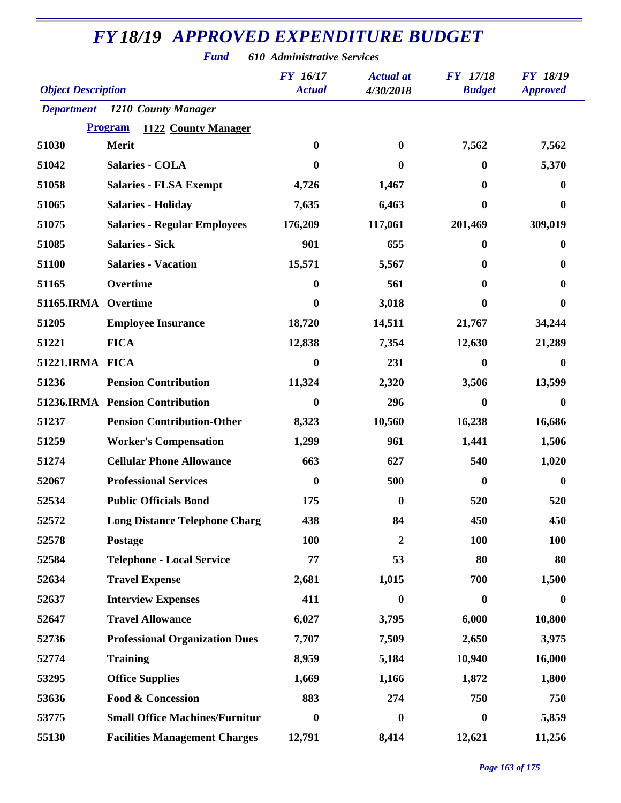*Fund 610 Administrative Services*

| <b>Object Description</b> |                                       | <b>FY</b> 16/17<br><b>Actual</b> | <b>Actual</b> at<br>4/30/2018 | FY 17/18<br><b>Budget</b> | <b>FY 18/19</b><br><b>Approved</b> |
|---------------------------|---------------------------------------|----------------------------------|-------------------------------|---------------------------|------------------------------------|
|                           | <b>Department</b> 1210 County Manager |                                  |                               |                           |                                    |
|                           | <b>Program</b><br>1122 County Manager |                                  |                               |                           |                                    |
| 51030                     | <b>Merit</b>                          | $\bf{0}$                         | $\mathbf{0}$                  | 7,562                     | 7,562                              |
| 51042                     | <b>Salaries - COLA</b>                | $\bf{0}$                         | $\mathbf{0}$                  | 0                         | 5,370                              |
| 51058                     | <b>Salaries - FLSA Exempt</b>         | 4,726                            | 1,467                         | $\bf{0}$                  | $\bf{0}$                           |
| 51065                     | <b>Salaries - Holiday</b>             | 7,635                            | 6,463                         | 0                         | $\mathbf 0$                        |
| 51075                     | <b>Salaries - Regular Employees</b>   | 176,209                          | 117,061                       | 201,469                   | 309,019                            |
| 51085                     | <b>Salaries - Sick</b>                | 901                              | 655                           | 0                         | 0                                  |
| 51100                     | <b>Salaries - Vacation</b>            | 15,571                           | 5,567                         | 0                         | 0                                  |
| 51165                     | Overtime                              | $\bf{0}$                         | 561                           | 0                         | O                                  |
| 51165.IRMA                | Overtime                              | $\boldsymbol{0}$                 | 3,018                         | 0                         | 0                                  |
| 51205                     | <b>Employee Insurance</b>             | 18,720                           | 14,511                        | 21,767                    | 34,244                             |
| 51221                     | <b>FICA</b>                           | 12,838                           | 7,354                         | 12,630                    | 21,289                             |
| 51221.IRMA FICA           |                                       | $\boldsymbol{0}$                 | 231                           | 0                         | $\mathbf{0}$                       |
| 51236                     | <b>Pension Contribution</b>           | 11,324                           | 2,320                         | 3,506                     | 13,599                             |
|                           | 51236.IRMA Pension Contribution       | $\boldsymbol{0}$                 | 296                           | 0                         | $\bf{0}$                           |
| 51237                     | <b>Pension Contribution-Other</b>     | 8,323                            | 10,560                        | 16,238                    | 16,686                             |
| 51259                     | <b>Worker's Compensation</b>          | 1,299                            | 961                           | 1,441                     | 1,506                              |
| 51274                     | <b>Cellular Phone Allowance</b>       | 663                              | 627                           | 540                       | 1,020                              |
| 52067                     | <b>Professional Services</b>          | $\boldsymbol{0}$                 | 500                           | $\bf{0}$                  | 0                                  |
| 52534                     | <b>Public Officials Bond</b>          | 175                              | $\boldsymbol{0}$              | 520                       | 520                                |
| 52572                     | <b>Long Distance Telephone Charg</b>  | 438                              | 84                            | 450                       | 450                                |
| 52578                     | Postage                               | <b>100</b>                       | 2                             | <b>100</b>                | <b>100</b>                         |
| 52584                     | <b>Telephone - Local Service</b>      | 77                               | 53                            | 80                        | 80                                 |
| 52634                     | <b>Travel Expense</b>                 | 2,681                            | 1,015                         | 700                       | 1,500                              |
| 52637                     | <b>Interview Expenses</b>             | 411                              | $\mathbf{0}$                  | $\boldsymbol{0}$          | $\mathbf{0}$                       |
| 52647                     | <b>Travel Allowance</b>               | 6,027                            | 3,795                         | 6,000                     | 10,800                             |
| 52736                     | <b>Professional Organization Dues</b> | 7,707                            | 7,509                         | 2,650                     | 3,975                              |
| 52774                     | <b>Training</b>                       | 8,959                            | 5,184                         | 10,940                    | 16,000                             |
| 53295                     | <b>Office Supplies</b>                | 1,669                            | 1,166                         | 1,872                     | 1,800                              |
| 53636                     | <b>Food &amp; Concession</b>          | 883                              | 274                           | 750                       | 750                                |
| 53775                     | <b>Small Office Machines/Furnitur</b> | $\boldsymbol{0}$                 | $\bf{0}$                      | $\boldsymbol{0}$          | 5,859                              |
| 55130                     | <b>Facilities Management Charges</b>  | 12,791                           | 8,414                         | 12,621                    | 11,256                             |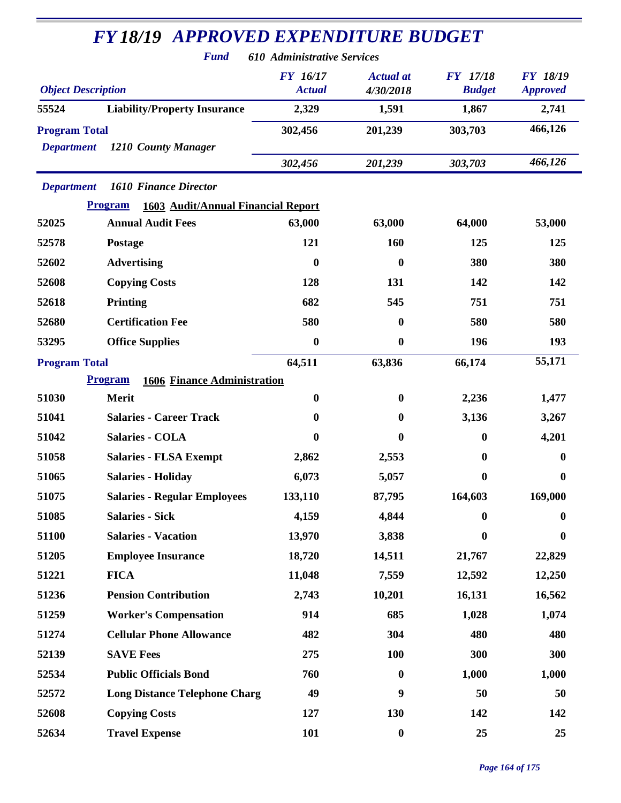|                           | <b>FY18/19 APPROVED EXPENDITURE BUDGET</b><br><b>Fund</b> | 610 Administrative Services      |                               |                                  |                                    |
|---------------------------|-----------------------------------------------------------|----------------------------------|-------------------------------|----------------------------------|------------------------------------|
| <b>Object Description</b> |                                                           | <b>FY</b> 16/17<br><b>Actual</b> | <b>Actual at</b><br>4/30/2018 | <b>FY</b> 17/18<br><b>Budget</b> | <b>FY 18/19</b><br><b>Approved</b> |
| 55524                     | <b>Liability/Property Insurance</b>                       | 2,329                            | 1,591                         | 1,867                            | 2,741                              |
| <b>Program Total</b>      |                                                           | 302,456                          | 201,239                       | 303,703                          | 466,126                            |
| <b>Department</b>         | 1210 County Manager                                       |                                  |                               |                                  |                                    |
|                           |                                                           | 302,456                          | 201,239                       | 303,703                          | 466,126                            |
| <b>Department</b>         | <b>1610 Finance Director</b>                              |                                  |                               |                                  |                                    |
|                           | 1603 Audit/Annual Financial Report<br><b>Program</b>      |                                  |                               |                                  |                                    |
| 52025                     | <b>Annual Audit Fees</b>                                  | 63,000                           | 63,000                        | 64,000                           | 53,000                             |
| 52578                     | <b>Postage</b>                                            | 121                              | 160                           | 125                              | 125                                |
| 52602                     | <b>Advertising</b>                                        | $\boldsymbol{0}$                 | $\mathbf{0}$                  | 380                              | 380                                |
| 52608                     | <b>Copying Costs</b>                                      | 128                              | 131                           | 142                              | 142                                |
| 52618                     | <b>Printing</b>                                           | 682                              | 545                           | 751                              | 751                                |
| 52680                     | <b>Certification Fee</b>                                  | 580                              | 0                             | 580                              | 580                                |
| 53295                     | <b>Office Supplies</b>                                    | $\boldsymbol{0}$                 | $\boldsymbol{0}$              | 196                              | 193                                |
| <b>Program Total</b>      |                                                           | 64,511                           | 63,836                        | 66,174                           | 55,171                             |
|                           | <b>Program</b><br><b>1606 Finance Administration</b>      |                                  |                               |                                  |                                    |
| 51030                     | Merit                                                     | $\boldsymbol{0}$                 | $\bf{0}$                      | 2,236                            | 1,477                              |
| 51041                     | <b>Salaries - Career Track</b>                            | $\bf{0}$                         | $\bf{0}$                      | 3,136                            | 3,267                              |
| 51042                     | <b>Salaries - COLA</b>                                    | 0                                | $\bf{0}$                      | $\mathbf{0}$                     | 4,201                              |
| 51058                     | <b>Salaries - FLSA Exempt</b>                             | 2,862                            | 2,553                         | $\bf{0}$                         | $\mathbf{0}$                       |
| 51065                     | <b>Salaries - Holiday</b>                                 | 6,073                            | 5,057                         | $\boldsymbol{0}$                 | $\boldsymbol{0}$                   |
| 51075                     | <b>Salaries - Regular Employees</b>                       | 133,110                          | 87,795                        | 164,603                          | 169,000                            |
| 51085                     | <b>Salaries - Sick</b>                                    | 4,159                            | 4,844                         | $\mathbf{0}$                     | $\bf{0}$                           |
| 51100                     | <b>Salaries - Vacation</b>                                | 13,970                           | 3,838                         | $\bf{0}$                         | $\boldsymbol{0}$                   |
| 51205                     | <b>Employee Insurance</b>                                 | 18,720                           | 14,511                        | 21,767                           | 22,829                             |
| 51221                     | <b>FICA</b>                                               | 11,048                           | 7,559                         | 12,592                           | 12,250                             |
| 51236                     | <b>Pension Contribution</b>                               | 2,743                            | 10,201                        | 16,131                           | 16,562                             |
| 51259                     | <b>Worker's Compensation</b>                              | 914                              | 685                           | 1,028                            | 1,074                              |
| 51274                     | <b>Cellular Phone Allowance</b>                           | 482                              | 304                           | 480                              | 480                                |
| 52139                     | <b>SAVE Fees</b>                                          | 275                              | <b>100</b>                    | 300                              | 300                                |
| 52534                     | <b>Public Officials Bond</b>                              | 760                              | $\bf{0}$                      | 1,000                            | 1,000                              |
| 52572                     | <b>Long Distance Telephone Charg</b>                      | 49                               | 9                             | 50                               | 50                                 |
|                           |                                                           |                                  |                               |                                  |                                    |
| 52608                     | <b>Copying Costs</b>                                      | 127                              | 130                           | 142                              | 142                                |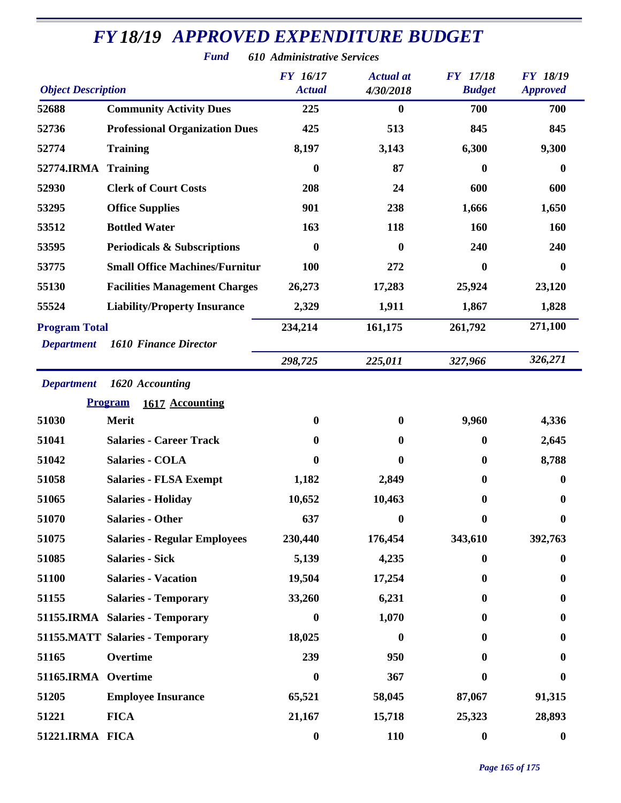| <b>Object Description</b> |                                        | <b>FY 16/17</b><br><b>Actual</b> | <b>Actual</b> at<br>4/30/2018 | <b>FY</b> 17/18<br><b>Budget</b> | <b>FY 18/19</b><br><b>Approved</b> |
|---------------------------|----------------------------------------|----------------------------------|-------------------------------|----------------------------------|------------------------------------|
| 52688                     | <b>Community Activity Dues</b>         | 225                              | $\boldsymbol{0}$              | 700                              | 700                                |
| 52736                     | <b>Professional Organization Dues</b>  | 425                              | 513                           | 845                              | 845                                |
| 52774                     | <b>Training</b>                        | 8,197                            | 3,143                         | 6,300                            | 9,300                              |
| 52774.IRMA                | <b>Training</b>                        | $\boldsymbol{0}$                 | 87                            | $\boldsymbol{0}$                 | $\bf{0}$                           |
| 52930                     | <b>Clerk of Court Costs</b>            | 208                              | 24                            | 600                              | 600                                |
| 53295                     | <b>Office Supplies</b>                 | 901                              | 238                           | 1,666                            | 1,650                              |
| 53512                     | <b>Bottled Water</b>                   | 163                              | 118                           | 160                              | 160                                |
| 53595                     | <b>Periodicals &amp; Subscriptions</b> | 0                                | 0                             | 240                              | 240                                |
| 53775                     | <b>Small Office Machines/Furnitur</b>  | 100                              | 272                           | $\bf{0}$                         | $\bf{0}$                           |
| 55130                     | <b>Facilities Management Charges</b>   | 26,273                           | 17,283                        | 25,924                           | 23,120                             |
| 55524                     | <b>Liability/Property Insurance</b>    | 2,329                            | 1,911                         | 1,867                            | 1,828                              |
| <b>Program Total</b>      |                                        | 234,214                          | 161,175                       | 261,792                          | 271,100                            |
| <b>Department</b>         | <b>1610 Finance Director</b>           |                                  |                               |                                  |                                    |
|                           |                                        | 298,725                          | 225,011                       | 327,966                          | 326,271                            |
| <b>Department</b>         | 1620 Accounting                        |                                  |                               |                                  |                                    |
|                           | <b>Program</b><br>1617 Accounting      |                                  |                               |                                  |                                    |
| 51030                     | <b>Merit</b>                           | $\boldsymbol{0}$                 | $\bf{0}$                      | 9,960                            | 4,336                              |
| 51041                     | <b>Salaries - Career Track</b>         | 0                                | 0                             | $\boldsymbol{0}$                 | 2,645                              |
| 51042                     | <b>Salaries - COLA</b>                 | 0                                | 0                             | $\bf{0}$                         | 8,788                              |
| 51058                     | <b>Salaries - FLSA Exempt</b>          | 1,182                            | 2,849                         | $\bf{0}$                         | $\bf{0}$                           |
| 51065                     | <b>Salaries - Holiday</b>              | 10,652                           | 10,463                        | $\bf{0}$                         | $\boldsymbol{0}$                   |
| 51070                     | <b>Salaries - Other</b>                | 637                              | $\boldsymbol{0}$              | $\boldsymbol{0}$                 | $\boldsymbol{0}$                   |
| 51075                     | <b>Salaries - Regular Employees</b>    | 230,440                          | 176,454                       | 343,610                          | 392,763                            |
| 51085                     | <b>Salaries - Sick</b>                 | 5,139                            | 4,235                         | $\bf{0}$                         | 0                                  |
| 51100                     | <b>Salaries - Vacation</b>             | 19,504                           | 17,254                        | $\bf{0}$                         | $\bf{0}$                           |
| 51155                     | <b>Salaries - Temporary</b>            | 33,260                           | 6,231                         | $\mathbf{0}$                     | $\bf{0}$                           |
|                           | 51155.IRMA Salaries - Temporary        | $\boldsymbol{0}$                 | 1,070                         | $\mathbf{0}$                     | $\bf{0}$                           |
|                           | 51155.MATT Salaries - Temporary        | 18,025                           | $\bf{0}$                      | $\bf{0}$                         | $\bf{0}$                           |
| 51165                     | Overtime                               | 239                              | 950                           | $\mathbf{0}$                     | $\bf{0}$                           |
| 51165.IRMA Overtime       |                                        | $\bf{0}$                         | 367                           | 0                                | 0                                  |
| 51205                     | <b>Employee Insurance</b>              | 65,521                           | 58,045                        | 87,067                           | 91,315                             |
| 51221                     | <b>FICA</b>                            | 21,167                           | 15,718                        | 25,323                           | 28,893                             |
| 51221.IRMA FICA           |                                        | $\boldsymbol{0}$                 | 110                           | $\boldsymbol{0}$                 | $\boldsymbol{0}$                   |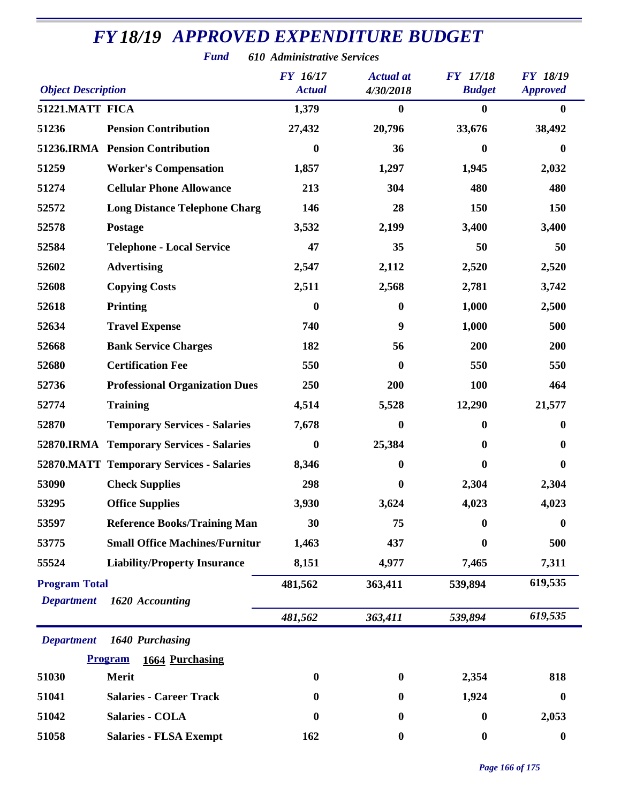| <b>Object Description</b> |                                                 | <b>FY</b> 16/17<br><b>Actual</b> | <b>Actual</b> at<br>4/30/2018 | <b>FY</b> 17/18<br><b>Budget</b> | <b>FY 18/19</b><br><b>Approved</b> |
|---------------------------|-------------------------------------------------|----------------------------------|-------------------------------|----------------------------------|------------------------------------|
| 51221.MATT FICA           |                                                 | 1,379                            | $\bf{0}$                      | $\boldsymbol{0}$                 | $\bf{0}$                           |
| 51236                     | <b>Pension Contribution</b>                     | 27,432                           | 20,796                        | 33,676                           | 38,492                             |
|                           | 51236.IRMA Pension Contribution                 | $\boldsymbol{0}$                 | 36                            | $\boldsymbol{0}$                 | $\bf{0}$                           |
| 51259                     | <b>Worker's Compensation</b>                    | 1,857                            | 1,297                         | 1,945                            | 2,032                              |
| 51274                     | <b>Cellular Phone Allowance</b>                 | 213                              | 304                           | 480                              | 480                                |
| 52572                     | <b>Long Distance Telephone Charg</b>            | 146                              | 28                            | 150                              | 150                                |
| 52578                     | <b>Postage</b>                                  | 3,532                            | 2,199                         | 3,400                            | 3,400                              |
| 52584                     | <b>Telephone - Local Service</b>                | 47                               | 35                            | 50                               | 50                                 |
| 52602                     | <b>Advertising</b>                              | 2,547                            | 2,112                         | 2,520                            | 2,520                              |
| 52608                     | <b>Copying Costs</b>                            | 2,511                            | 2,568                         | 2,781                            | 3,742                              |
| 52618                     | <b>Printing</b>                                 | $\bf{0}$                         | $\bf{0}$                      | 1,000                            | 2,500                              |
| 52634                     | <b>Travel Expense</b>                           | 740                              | 9                             | 1,000                            | 500                                |
| 52668                     | <b>Bank Service Charges</b>                     | 182                              | 56                            | 200                              | 200                                |
| 52680                     | <b>Certification Fee</b>                        | 550                              | $\bf{0}$                      | 550                              | 550                                |
| 52736                     | <b>Professional Organization Dues</b>           | 250                              | 200                           | <b>100</b>                       | 464                                |
| 52774                     | <b>Training</b>                                 | 4,514                            | 5,528                         | 12,290                           | 21,577                             |
| 52870                     | <b>Temporary Services - Salaries</b>            | 7,678                            | 0                             | $\boldsymbol{0}$                 | $\bf{0}$                           |
|                           | <b>52870.IRMA</b> Temporary Services - Salaries | $\boldsymbol{0}$                 | 25,384                        | $\boldsymbol{0}$                 | $\bf{0}$                           |
|                           | <b>52870.MATT Temporary Services - Salaries</b> | 8,346                            | $\bf{0}$                      | $\boldsymbol{0}$                 | $\bf{0}$                           |
| 53090                     | <b>Check Supplies</b>                           | 298                              | $\bf{0}$                      | 2,304                            | 2,304                              |
| 53295                     | <b>Office Supplies</b>                          | 3,930                            | 3,624                         | 4,023                            | 4,023                              |
| 53597                     | <b>Reference Books/Training Man</b>             | 30                               | 75                            | $\bf{0}$                         | $\boldsymbol{0}$                   |
| 53775                     | <b>Small Office Machines/Furnitur</b>           | 1,463                            | 437                           | $\boldsymbol{0}$                 | 500                                |
| 55524                     | <b>Liability/Property Insurance</b>             | 8,151                            | 4,977                         | 7,465                            | 7,311                              |
| <b>Program Total</b>      |                                                 | 481,562                          | 363,411                       | 539,894                          | 619,535                            |
| <b>Department</b>         | 1620 Accounting                                 |                                  |                               |                                  |                                    |
|                           |                                                 | 481,562                          | 363,411                       | 539,894                          | 619,535                            |
| <b>Department</b>         | 1640 Purchasing                                 |                                  |                               |                                  |                                    |
|                           | <b>Program</b><br>1664 Purchasing               |                                  |                               |                                  |                                    |
| 51030                     | Merit                                           | $\boldsymbol{0}$                 | $\bf{0}$                      | 2,354                            | 818                                |
| 51041                     | <b>Salaries - Career Track</b>                  | 0                                | $\boldsymbol{0}$              | 1,924                            | $\bf{0}$                           |
| 51042                     | <b>Salaries - COLA</b>                          | $\bf{0}$                         | $\boldsymbol{0}$              | $\boldsymbol{0}$                 | 2,053                              |
| 51058                     | <b>Salaries - FLSA Exempt</b>                   | 162                              | $\boldsymbol{0}$              | $\boldsymbol{0}$                 | $\boldsymbol{0}$                   |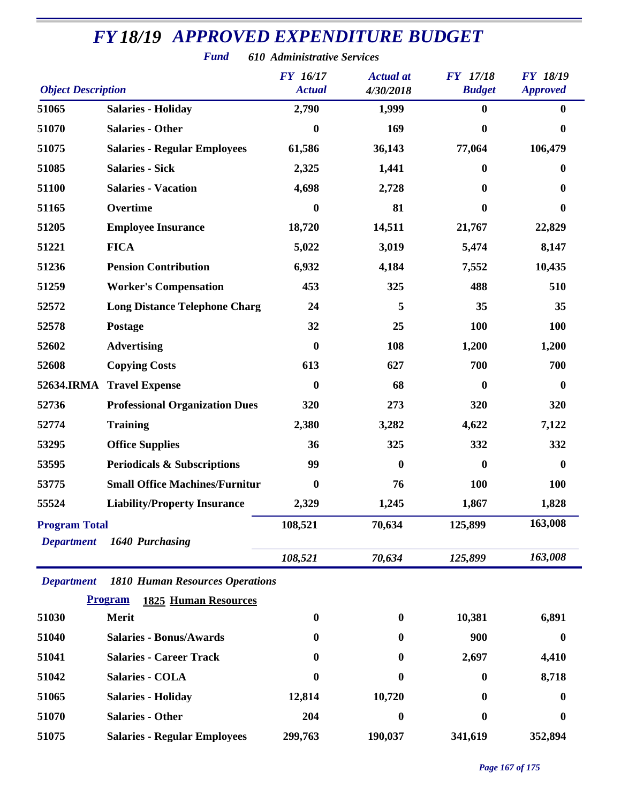|                           | <b>Fund</b>                                   | 610 Administrative Services |                               |                                  |                                    |
|---------------------------|-----------------------------------------------|-----------------------------|-------------------------------|----------------------------------|------------------------------------|
| <b>Object Description</b> |                                               | FY 16/17<br><b>Actual</b>   | <b>Actual</b> at<br>4/30/2018 | <b>FY</b> 17/18<br><b>Budget</b> | <b>FY 18/19</b><br><b>Approved</b> |
| 51065                     | <b>Salaries - Holiday</b>                     | 2,790                       | 1,999                         | $\bf{0}$                         | $\bf{0}$                           |
| 51070                     | <b>Salaries - Other</b>                       | 0                           | 169                           | $\boldsymbol{0}$                 | $\bf{0}$                           |
| 51075                     | <b>Salaries - Regular Employees</b>           | 61,586                      | 36,143                        | 77,064                           | 106,479                            |
| 51085                     | <b>Salaries - Sick</b>                        | 2,325                       | 1,441                         | $\bf{0}$                         | 0                                  |
| 51100                     | <b>Salaries - Vacation</b>                    | 4,698                       | 2,728                         | $\mathbf{0}$                     | 0                                  |
| 51165                     | Overtime                                      | 0                           | 81                            | $\mathbf{0}$                     | $\mathbf{0}$                       |
| 51205                     | <b>Employee Insurance</b>                     | 18,720                      | 14,511                        | 21,767                           | 22,829                             |
| 51221                     | <b>FICA</b>                                   | 5,022                       | 3,019                         | 5,474                            | 8,147                              |
| 51236                     | <b>Pension Contribution</b>                   | 6,932                       | 4,184                         | 7,552                            | 10,435                             |
| 51259                     | <b>Worker's Compensation</b>                  | 453                         | 325                           | 488                              | 510                                |
| 52572                     | <b>Long Distance Telephone Charg</b>          | 24                          | 5                             | 35                               | 35                                 |
| 52578                     | Postage                                       | 32                          | 25                            | 100                              | 100                                |
| 52602                     | <b>Advertising</b>                            | 0                           | 108                           | 1,200                            | 1,200                              |
| 52608                     | <b>Copying Costs</b>                          | 613                         | 627                           | 700                              | 700                                |
| 52634.IRMA                | <b>Travel Expense</b>                         | 0                           | 68                            | $\bf{0}$                         | $\bf{0}$                           |
| 52736                     | <b>Professional Organization Dues</b>         | 320                         | 273                           | 320                              | 320                                |
| 52774                     | <b>Training</b>                               | 2,380                       | 3,282                         | 4,622                            | 7,122                              |
| 53295                     | <b>Office Supplies</b>                        | 36                          | 325                           | 332                              | 332                                |
| 53595                     | <b>Periodicals &amp; Subscriptions</b>        | 99                          | $\boldsymbol{0}$              | $\bf{0}$                         | $\bf{0}$                           |
| 53775                     | <b>Small Office Machines/Furnitur</b>         | 0                           | 76                            | <b>100</b>                       | <b>100</b>                         |
| 55524                     | <b>Liability/Property Insurance</b>           | 2,329                       | 1,245                         | 1,867                            | 1,828                              |
| <b>Program Total</b>      |                                               | 108,521                     | 70,634                        | 125,899                          | 163,008                            |
| <b>Department</b>         | 1640 Purchasing                               |                             |                               |                                  |                                    |
|                           |                                               | 108,521                     | 70,634                        | 125,899                          | 163,008                            |
| <b>Department</b>         | <b>1810 Human Resources Operations</b>        |                             |                               |                                  |                                    |
|                           | <b>Program</b><br><b>1825 Human Resources</b> |                             |                               |                                  |                                    |
| 51030                     | <b>Merit</b>                                  | $\boldsymbol{0}$            | $\bf{0}$                      | 10,381                           | 6,891                              |
| 51040                     | <b>Salaries - Bonus/Awards</b>                | o                           | $\bf{0}$                      | 900                              | 0                                  |
| 51041                     | <b>Salaries - Career Track</b>                | o                           | $\bf{0}$                      | 2,697                            | 4,410                              |
| 51042                     | Salaries - COLA                               | 0                           | $\bf{0}$                      | $\bf{0}$                         | 8,718                              |
| 51065                     | <b>Salaries - Holiday</b>                     | 12,814                      | 10,720                        | 0                                | 0                                  |
| 51070                     | <b>Salaries - Other</b>                       | 204                         | 0                             | $\bf{0}$                         | 0                                  |
| 51075                     | <b>Salaries - Regular Employees</b>           | 299,763                     | 190,037                       | 341,619                          | 352,894                            |

#### *Page 167 of 175*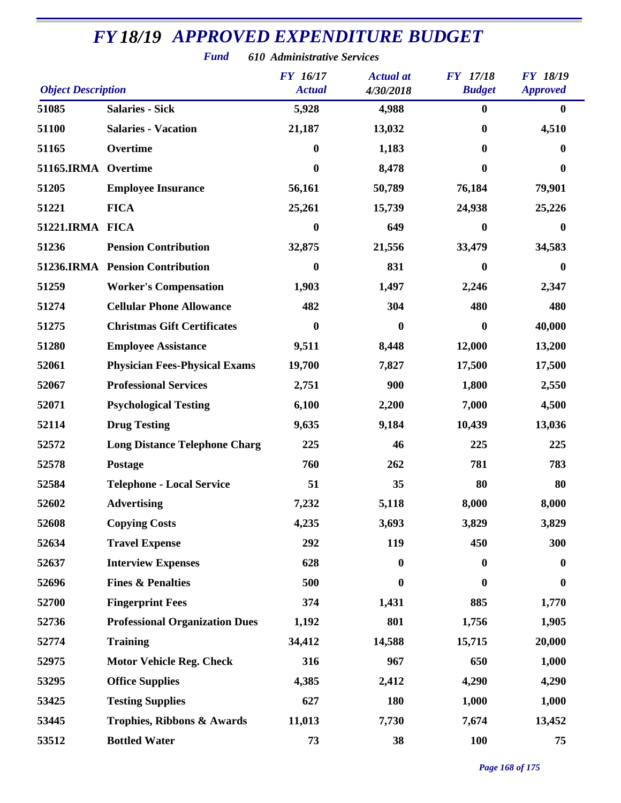| <b>Object Description</b> |                                       | <b>FY</b> 16/17<br><b>Actual</b> | <b>Actual</b> at<br>4/30/2018 | <b>FY</b> 17/18<br><b>Budget</b> | <b>FY 18/19</b><br><b>Approved</b> |
|---------------------------|---------------------------------------|----------------------------------|-------------------------------|----------------------------------|------------------------------------|
| 51085                     | <b>Salaries - Sick</b>                | 5,928                            | 4,988                         | $\bf{0}$                         | $\bf{0}$                           |
| 51100                     | <b>Salaries - Vacation</b>            | 21,187                           | 13,032                        | 0                                | 4,510                              |
| 51165                     | Overtime                              | $\bf{0}$                         | 1,183                         | 0                                | 0                                  |
| 51165.IRMA Overtime       |                                       | $\bf{0}$                         | 8,478                         | 0                                | $\bf{0}$                           |
| 51205                     | <b>Employee Insurance</b>             | 56,161                           | 50,789                        | 76,184                           | 79,901                             |
| 51221                     | <b>FICA</b>                           | 25,261                           | 15,739                        | 24,938                           | 25,226                             |
| 51221.IRMA FICA           |                                       | $\bf{0}$                         | 649                           | 0                                | $\bf{0}$                           |
| 51236                     | <b>Pension Contribution</b>           | 32,875                           | 21,556                        | 33,479                           | 34,583                             |
|                           | 51236.IRMA Pension Contribution       | 0                                | 831                           | 0                                | $\mathbf{0}$                       |
| 51259                     | <b>Worker's Compensation</b>          | 1,903                            | 1,497                         | 2,246                            | 2,347                              |
| 51274                     | <b>Cellular Phone Allowance</b>       | 482                              | 304                           | 480                              | 480                                |
| 51275                     | <b>Christmas Gift Certificates</b>    | $\mathbf{0}$                     | $\mathbf{0}$                  | 0                                | 40,000                             |
| 51280                     | <b>Employee Assistance</b>            | 9,511                            | 8,448                         | 12,000                           | 13,200                             |
| 52061                     | <b>Physician Fees-Physical Exams</b>  | 19,700                           | 7,827                         | 17,500                           | 17,500                             |
| 52067                     | <b>Professional Services</b>          | 2,751                            | 900                           | 1,800                            | 2,550                              |
| 52071                     | <b>Psychological Testing</b>          | 6,100                            | 2,200                         | 7,000                            | 4,500                              |
| 52114                     | <b>Drug Testing</b>                   | 9,635                            | 9,184                         | 10,439                           | 13,036                             |
| 52572                     | <b>Long Distance Telephone Charg</b>  | 225                              | 46                            | 225                              | 225                                |
| 52578                     | Postage                               | 760                              | 262                           | 781                              | 783                                |
| 52584                     | <b>Telephone - Local Service</b>      | 51                               | 35                            | 80                               | 80                                 |
| 52602                     | <b>Advertising</b>                    | 7,232                            | 5,118                         | 8,000                            | 8,000                              |
| 52608                     | <b>Copying Costs</b>                  | 4,235                            | 3,693                         | 3,829                            | 3,829                              |
| 52634                     | <b>Travel Expense</b>                 | 292                              | 119                           | 450                              | 300                                |
| 52637                     | <b>Interview Expenses</b>             | 628                              | $\bf{0}$                      | $\boldsymbol{0}$                 | $\bf{0}$                           |
| 52696                     | <b>Fines &amp; Penalties</b>          | 500                              | $\boldsymbol{0}$              | $\bf{0}$                         | $\boldsymbol{0}$                   |
| 52700                     | <b>Fingerprint Fees</b>               | 374                              | 1,431                         | 885                              | 1,770                              |
| 52736                     | <b>Professional Organization Dues</b> | 1,192                            | 801                           | 1,756                            | 1,905                              |
| 52774                     | <b>Training</b>                       | 34,412                           | 14,588                        | 15,715                           | 20,000                             |
| 52975                     | <b>Motor Vehicle Reg. Check</b>       | 316                              | 967                           | 650                              | 1,000                              |
| 53295                     | <b>Office Supplies</b>                | 4,385                            | 2,412                         | 4,290                            | 4,290                              |
| 53425                     | <b>Testing Supplies</b>               | 627                              | 180                           | 1,000                            | 1,000                              |
| 53445                     | Trophies, Ribbons & Awards            | 11,013                           | 7,730                         | 7,674                            | 13,452                             |
| 53512                     | <b>Bottled Water</b>                  | 73                               | 38                            | <b>100</b>                       | 75                                 |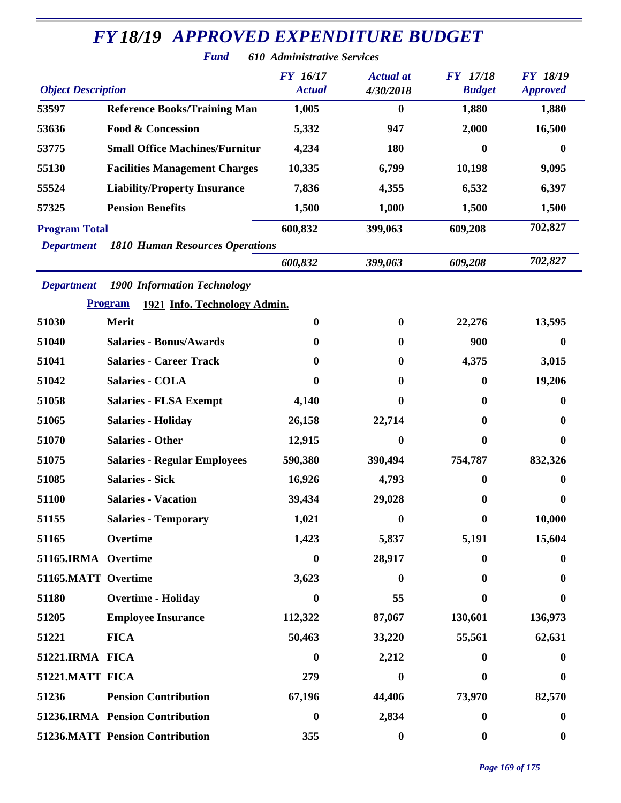|                           | <b>Fund</b>                                    | 610 Administrative Services      |                               |                           |                                    |
|---------------------------|------------------------------------------------|----------------------------------|-------------------------------|---------------------------|------------------------------------|
| <b>Object Description</b> |                                                | <b>FY</b> 16/17<br><b>Actual</b> | <b>Actual</b> at<br>4/30/2018 | FY 17/18<br><b>Budget</b> | <b>FY 18/19</b><br><b>Approved</b> |
| 53597                     | <b>Reference Books/Training Man</b>            | 1,005                            | $\boldsymbol{0}$              | 1,880                     | 1,880                              |
| 53636                     | <b>Food &amp; Concession</b>                   | 5,332                            | 947                           | 2,000                     | 16,500                             |
| 53775                     | <b>Small Office Machines/Furnitur</b>          | 4,234                            | 180                           | 0                         | $\bf{0}$                           |
| 55130                     | <b>Facilities Management Charges</b>           | 10,335                           | 6,799                         | 10,198                    | 9,095                              |
| 55524                     | <b>Liability/Property Insurance</b>            | 7,836                            | 4,355                         | 6,532                     | 6,397                              |
| 57325                     | <b>Pension Benefits</b>                        | 1,500                            | 1,000                         | 1,500                     | 1,500                              |
| <b>Program Total</b>      |                                                | 600,832                          | 399,063                       | 609,208                   | 702,827                            |
| <b>Department</b>         | <b>1810 Human Resources Operations</b>         |                                  |                               |                           |                                    |
|                           |                                                | 600,832                          | 399,063                       | 609,208                   | 702,827                            |
| <b>Department</b>         | <b>1900 Information Technology</b>             |                                  |                               |                           |                                    |
|                           | <b>Program</b><br>1921 Info. Technology Admin. |                                  |                               |                           |                                    |
| 51030                     | <b>Merit</b>                                   | $\bf{0}$                         | $\boldsymbol{0}$              | 22,276                    | 13,595                             |
| 51040                     | <b>Salaries - Bonus/Awards</b>                 | 0                                | $\bf{0}$                      | 900                       | $\bf{0}$                           |
| 51041                     | <b>Salaries - Career Track</b>                 | $\bf{0}$                         | $\bf{0}$                      | 4,375                     | 3,015                              |
| 51042                     | <b>Salaries - COLA</b>                         | 0                                | 0                             | 0                         | 19,206                             |
| 51058                     | <b>Salaries - FLSA Exempt</b>                  | 4,140                            | $\bf{0}$                      | 0                         | $\bf{0}$                           |
| 51065                     | <b>Salaries - Holiday</b>                      | 26,158                           | 22,714                        | 0                         | $\bf{0}$                           |
| 51070                     | <b>Salaries - Other</b>                        | 12,915                           | $\boldsymbol{0}$              | 0                         | $\boldsymbol{0}$                   |
| 51075                     | <b>Salaries - Regular Employees</b>            | 590,380                          | 390,494                       | 754,787                   | 832,326                            |
| 51085                     | <b>Salaries - Sick</b>                         | 16,926                           | 4,793                         | 0                         | $\bf{0}$                           |
| 51100                     | <b>Salaries - Vacation</b>                     | 39,434                           | 29,028                        | 0                         | $\mathbf{0}$                       |
| 51155                     | <b>Salaries - Temporary</b>                    | 1,021                            | $\bf{0}$                      | 0                         | 10,000                             |
| 51165                     | Overtime                                       | 1,423                            | 5,837                         | 5,191                     | 15,604                             |
| 51165.IRMA Overtime       |                                                | $\boldsymbol{0}$                 | 28,917                        | 0                         | $\bf{0}$                           |
| 51165.MATT Overtime       |                                                | 3,623                            | $\bf{0}$                      | 0                         | $\bf{0}$                           |
| 51180                     | <b>Overtime - Holiday</b>                      | $\mathbf{0}$                     | 55                            | 0                         | 0                                  |
| 51205                     | <b>Employee Insurance</b>                      | 112,322                          | 87,067                        | 130,601                   | 136,973                            |
| 51221                     | <b>FICA</b>                                    | 50,463                           | 33,220                        | 55,561                    | 62,631                             |
| 51221.IRMA FICA           |                                                | $\bf{0}$                         | 2,212                         | $\mathbf{0}$              | $\bf{0}$                           |
| 51221.MATT FICA           |                                                | 279                              | $\boldsymbol{0}$              | 0                         | $\bf{0}$                           |
| 51236                     | <b>Pension Contribution</b>                    | 67,196                           | 44,406                        | 73,970                    | 82,570                             |
|                           | 51236.IRMA Pension Contribution                | $\boldsymbol{0}$                 | 2,834                         | $\boldsymbol{0}$          | $\boldsymbol{0}$                   |
|                           | 51236.MATT Pension Contribution                | 355                              | $\boldsymbol{0}$              | $\boldsymbol{0}$          | $\boldsymbol{0}$                   |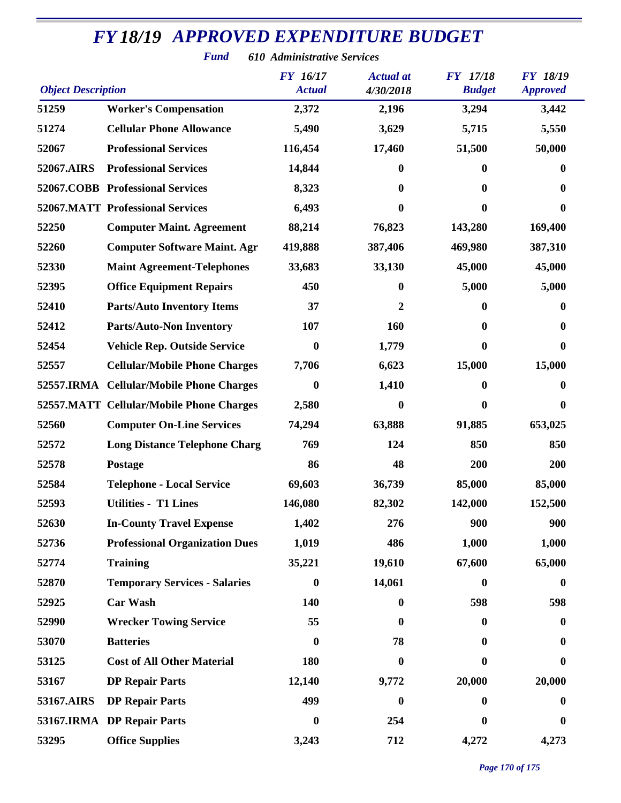| <b>Object Description</b> |                                          | <b>FY</b> 16/17<br><b>Actual</b> | <b>Actual</b> at<br>4/30/2018 | FY 17/18<br><b>Budget</b> | <b>FY 18/19</b><br><b>Approved</b> |
|---------------------------|------------------------------------------|----------------------------------|-------------------------------|---------------------------|------------------------------------|
| 51259                     | <b>Worker's Compensation</b>             | 2,372                            | 2,196                         | 3,294                     | 3,442                              |
| 51274                     | <b>Cellular Phone Allowance</b>          | 5,490                            | 3,629                         | 5,715                     | 5,550                              |
| 52067                     | <b>Professional Services</b>             | 116,454                          | 17,460                        | 51,500                    | 50,000                             |
| 52067.AIRS                | <b>Professional Services</b>             | 14,844                           | 0                             | $\bf{0}$                  | 0                                  |
|                           | 52067.COBB Professional Services         | 8,323                            | $\bf{0}$                      | $\boldsymbol{0}$          | 0                                  |
|                           | <b>52067.MATT Professional Services</b>  | 6,493                            | $\bf{0}$                      | $\bf{0}$                  | 0                                  |
| 52250                     | <b>Computer Maint. Agreement</b>         | 88,214                           | 76,823                        | 143,280                   | 169,400                            |
| 52260                     | <b>Computer Software Maint. Agr</b>      | 419,888                          | 387,406                       | 469,980                   | 387,310                            |
| 52330                     | <b>Maint Agreement-Telephones</b>        | 33,683                           | 33,130                        | 45,000                    | 45,000                             |
| 52395                     | <b>Office Equipment Repairs</b>          | 450                              | $\bf{0}$                      | 5,000                     | 5,000                              |
| 52410                     | <b>Parts/Auto Inventory Items</b>        | 37                               | 2                             | 0                         | 0                                  |
| 52412                     | <b>Parts/Auto-Non Inventory</b>          | 107                              | 160                           | $\boldsymbol{0}$          | 0                                  |
| 52454                     | <b>Vehicle Rep. Outside Service</b>      | $\boldsymbol{0}$                 | 1,779                         | $\boldsymbol{0}$          | $\boldsymbol{0}$                   |
| 52557                     | <b>Cellular/Mobile Phone Charges</b>     | 7,706                            | 6,623                         | 15,000                    | 15,000                             |
|                           | 52557.IRMA Cellular/Mobile Phone Charges | 0                                | 1,410                         | $\bf{0}$                  | 0                                  |
|                           | 52557.MATT Cellular/Mobile Phone Charges | 2,580                            | $\bf{0}$                      | $\boldsymbol{0}$          | $\boldsymbol{0}$                   |
| 52560                     | <b>Computer On-Line Services</b>         | 74,294                           | 63,888                        | 91,885                    | 653,025                            |
| 52572                     | <b>Long Distance Telephone Charg</b>     | 769                              | 124                           | 850                       | 850                                |
| 52578                     | <b>Postage</b>                           | 86                               | 48                            | 200                       | 200                                |
| 52584                     | <b>Telephone - Local Service</b>         | 69,603                           | 36,739                        | 85,000                    | 85,000                             |
| 52593                     | <b>Utilities - T1 Lines</b>              | 146,080                          | 82,302                        | 142,000                   | 152,500                            |
| 52630                     | <b>In-County Travel Expense</b>          | 1,402                            | 276                           | 900                       | 900                                |
| 52736                     | <b>Professional Organization Dues</b>    | 1,019                            | 486                           | 1,000                     | 1,000                              |
| 52774                     | <b>Training</b>                          | 35,221                           | 19,610                        | 67,600                    | 65,000                             |
| 52870                     | <b>Temporary Services - Salaries</b>     | $\boldsymbol{0}$                 | 14,061                        | $\boldsymbol{0}$          | $\boldsymbol{0}$                   |
| 52925                     | <b>Car Wash</b>                          | 140                              | $\bf{0}$                      | 598                       | 598                                |
| 52990                     | <b>Wrecker Towing Service</b>            | 55                               | $\bf{0}$                      | $\bf{0}$                  | $\bf{0}$                           |
| 53070                     | <b>Batteries</b>                         | 0                                | 78                            | $\mathbf{0}$              | 0                                  |
| 53125                     | <b>Cost of All Other Material</b>        | 180                              | $\bf{0}$                      | $\bf{0}$                  | $\boldsymbol{0}$                   |
| 53167                     | <b>DP Repair Parts</b>                   | 12,140                           | 9,772                         | 20,000                    | 20,000                             |
| 53167.AIRS                | <b>DP Repair Parts</b>                   | 499                              | $\bf{0}$                      | $\bf{0}$                  | $\bf{0}$                           |
|                           | 53167.IRMA DP Repair Parts               | 0                                | 254                           | 0                         | 0                                  |
| 53295                     | <b>Office Supplies</b>                   | 3,243                            | 712                           | 4,272                     | 4,273                              |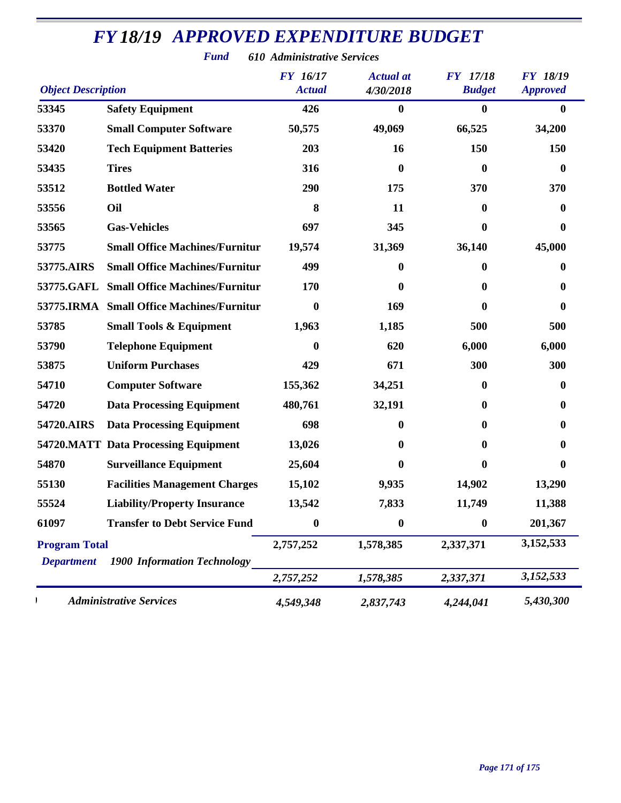| <b>Object Description</b> |                                           | <b>FY</b> 16/17<br><b>Actual</b> | <b>Actual</b> at<br>4/30/2018 | <b>FY</b> 17/18<br><b>Budget</b> | <b>FY 18/19</b><br><b>Approved</b> |
|---------------------------|-------------------------------------------|----------------------------------|-------------------------------|----------------------------------|------------------------------------|
| 53345                     | <b>Safety Equipment</b>                   | 426                              | $\bf{0}$                      | $\bf{0}$                         | $\bf{0}$                           |
| 53370                     | <b>Small Computer Software</b>            | 50,575                           | 49,069                        | 66,525                           | 34,200                             |
| 53420                     | <b>Tech Equipment Batteries</b>           | 203                              | 16                            | 150                              | 150                                |
| 53435                     | <b>Tires</b>                              | 316                              | $\bf{0}$                      | $\boldsymbol{0}$                 | $\bf{0}$                           |
| 53512                     | <b>Bottled Water</b>                      | 290                              | 175                           | 370                              | 370                                |
| 53556                     | Oil                                       | 8                                | 11                            | $\bf{0}$                         | 0                                  |
| 53565                     | <b>Gas-Vehicles</b>                       | 697                              | 345                           | $\boldsymbol{0}$                 | 0                                  |
| 53775                     | <b>Small Office Machines/Furnitur</b>     | 19,574                           | 31,369                        | 36,140                           | 45,000                             |
| 53775.AIRS                | <b>Small Office Machines/Furnitur</b>     | 499                              | 0                             | $\bf{0}$                         | 0                                  |
| 53775.GAFL                | <b>Small Office Machines/Furnitur</b>     | 170                              | $\boldsymbol{0}$              | $\bf{0}$                         | 0                                  |
|                           | 53775.IRMA Small Office Machines/Furnitur | 0                                | 169                           | $\mathbf{0}$                     | 0                                  |
| 53785                     | <b>Small Tools &amp; Equipment</b>        | 1,963                            | 1,185                         | 500                              | 500                                |
| 53790                     | <b>Telephone Equipment</b>                | 0                                | 620                           | 6,000                            | 6,000                              |
| 53875                     | <b>Uniform Purchases</b>                  | 429                              | 671                           | 300                              | 300                                |
| 54710                     | <b>Computer Software</b>                  | 155,362                          | 34,251                        | $\boldsymbol{0}$                 | 0                                  |
| 54720                     | <b>Data Processing Equipment</b>          | 480,761                          | 32,191                        | $\boldsymbol{0}$                 | 0                                  |
| 54720.AIRS                | <b>Data Processing Equipment</b>          | 698                              | 0                             | $\bf{0}$                         | 0                                  |
|                           | 54720.MATT Data Processing Equipment      | 13,026                           | 0                             | $\bf{0}$                         | 0                                  |
| 54870                     | <b>Surveillance Equipment</b>             | 25,604                           | $\boldsymbol{0}$              | $\boldsymbol{0}$                 | $\bf{0}$                           |
| 55130                     | <b>Facilities Management Charges</b>      | 15,102                           | 9,935                         | 14,902                           | 13,290                             |
| 55524                     | <b>Liability/Property Insurance</b>       | 13,542                           | 7,833                         | 11,749                           | 11,388                             |
| 61097                     | <b>Transfer to Debt Service Fund</b>      | 0                                | $\bf{0}$                      | $\bf{0}$                         | 201,367                            |
| <b>Program Total</b>      |                                           | 2,757,252                        | 1,578,385                     | 2,337,371                        | 3,152,533                          |
| <b>Department</b>         | <b>1900 Information Technology</b>        | 2,757,252                        | 1,578,385                     | 2,337,371                        | 3,152,533                          |
|                           | <b>Administrative Services</b>            | 4,549,348                        | 2,837,743                     | 4,244,041                        | 5,430,300                          |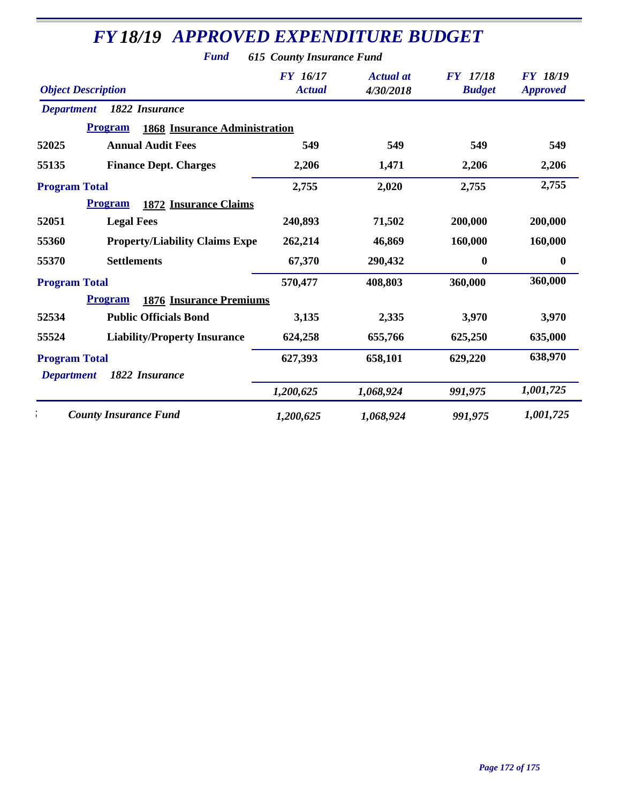*Fund 615 County Insurance Fund*

| <b>Object Description</b>                              | <b>FY</b> 16/17<br><b>Actual</b> | <b>Actual</b> at<br>4/30/2018 | <b>FY</b> 17/18<br><b>Budget</b> | <b>FY 18/19</b><br><b>Approved</b> |
|--------------------------------------------------------|----------------------------------|-------------------------------|----------------------------------|------------------------------------|
| 1822 Insurance<br><b>Department</b>                    |                                  |                               |                                  |                                    |
| <b>1868 Insurance Administration</b><br><b>Program</b> |                                  |                               |                                  |                                    |
| 52025<br><b>Annual Audit Fees</b>                      | 549                              | 549                           | 549                              | 549                                |
| 55135<br><b>Finance Dept. Charges</b>                  | 2,206                            | 1,471                         | 2,206                            | 2,206                              |
| <b>Program Total</b>                                   | 2,755                            | 2,020                         | 2,755                            | 2,755                              |
| <b>1872 Insurance Claims</b><br><b>Program</b>         |                                  |                               |                                  |                                    |
| 52051<br><b>Legal Fees</b>                             | 240,893                          | 71,502                        | 200,000                          | 200,000                            |
| <b>Property/Liability Claims Expe</b><br>55360         | 262,214                          | 46,869                        | 160,000                          | 160,000                            |
| <b>Settlements</b><br>55370                            | 67,370                           | 290,432                       | $\boldsymbol{0}$                 | $\boldsymbol{0}$                   |
| <b>Program Total</b>                                   | 570,477                          | 408,803                       | 360,000                          | 360,000                            |
| <b>1876 Insurance Premiums</b><br><b>Program</b>       |                                  |                               |                                  |                                    |
| 52534<br><b>Public Officials Bond</b>                  | 3,135                            | 2,335                         | 3,970                            | 3,970                              |
| 55524<br><b>Liability/Property Insurance</b>           | 624,258                          | 655,766                       | 625,250                          | 635,000                            |
| <b>Program Total</b>                                   | 627,393                          | 658,101                       | 629,220                          | 638,970                            |
| 1822 Insurance<br><b>Department</b>                    |                                  |                               |                                  |                                    |
|                                                        | 1,200,625                        | 1,068,924                     | 991,975                          | 1,001,725                          |
| <b>County Insurance Fund</b>                           | 1,200,625                        | 1,068,924                     | 991,975                          | 1,001,725                          |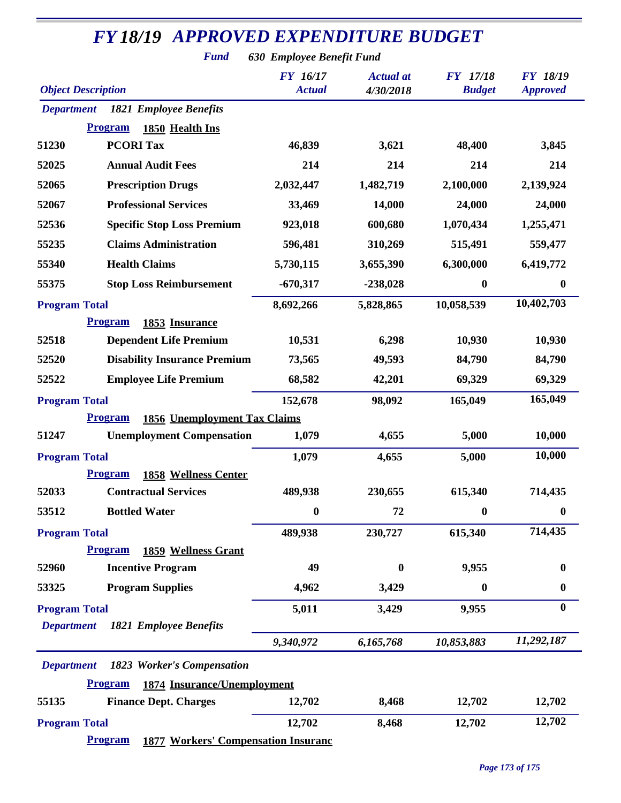*Fund 630 Employee Benefit Fund*

| <b>Object Description</b> |                                                              | <b>FY</b> 16/17<br><b>Actual</b> | <b>Actual</b> at<br>4/30/2018 | <b>FY</b> 17/18<br><b>Budget</b> | <b>FY 18/19</b><br><b>Approved</b> |
|---------------------------|--------------------------------------------------------------|----------------------------------|-------------------------------|----------------------------------|------------------------------------|
| <b>Department</b>         | <b>1821 Employee Benefits</b>                                |                                  |                               |                                  |                                    |
|                           | <b>Program</b><br>1850 Health Ins                            |                                  |                               |                                  |                                    |
| 51230                     | <b>PCORI Tax</b>                                             | 46,839                           | 3,621                         | 48,400                           | 3,845                              |
| 52025                     | <b>Annual Audit Fees</b>                                     | 214                              | 214                           | 214                              | 214                                |
| 52065                     | <b>Prescription Drugs</b>                                    | 2,032,447                        | 1,482,719                     | 2,100,000                        | 2,139,924                          |
| 52067                     | <b>Professional Services</b>                                 | 33,469                           | 14,000                        | 24,000                           | 24,000                             |
| 52536                     | <b>Specific Stop Loss Premium</b>                            | 923,018                          | 600,680                       | 1,070,434                        | 1,255,471                          |
| 55235                     | <b>Claims Administration</b>                                 | 596,481                          | 310,269                       | 515,491                          | 559,477                            |
| 55340                     | <b>Health Claims</b>                                         | 5,730,115                        | 3,655,390                     | 6,300,000                        | 6,419,772                          |
| 55375                     | <b>Stop Loss Reimbursement</b>                               | $-670,317$                       | $-238,028$                    | $\boldsymbol{0}$                 | $\boldsymbol{0}$                   |
| <b>Program Total</b>      |                                                              | 8,692,266                        | 5,828,865                     | 10,058,539                       | 10,402,703                         |
|                           | <b>Program</b><br>1853 Insurance                             |                                  |                               |                                  |                                    |
| 52518                     | <b>Dependent Life Premium</b>                                | 10,531                           | 6,298                         | 10,930                           | 10,930                             |
| 52520                     | <b>Disability Insurance Premium</b>                          | 73,565                           | 49,593                        | 84,790                           | 84,790                             |
| 52522                     | <b>Employee Life Premium</b>                                 | 68,582                           | 42,201                        | 69,329                           | 69,329                             |
| <b>Program Total</b>      |                                                              | 152,678                          | 98,092                        | 165,049                          | 165,049                            |
|                           | 1856 Unemployment Tax Claims<br><b>Program</b>               |                                  |                               |                                  |                                    |
| 51247                     | <b>Unemployment Compensation</b>                             | 1,079                            | 4,655                         | 5,000                            | 10,000                             |
| <b>Program Total</b>      |                                                              | 1,079                            | 4,655                         | 5,000                            | 10,000                             |
|                           | <b>Program</b><br><b>1858 Wellness Center</b>                |                                  |                               |                                  |                                    |
| 52033                     | <b>Contractual Services</b>                                  | 489,938                          | 230,655                       | 615,340                          | 714,435                            |
| 53512                     | <b>Bottled Water</b>                                         | $\boldsymbol{0}$                 | 72                            | $\boldsymbol{0}$                 | $\boldsymbol{0}$                   |
| <b>Program Total</b>      |                                                              | 489,938                          | 230,727                       | 615,340                          | 714,435                            |
|                           | <b>Program</b><br><b>1859 Wellness Grant</b>                 |                                  |                               |                                  |                                    |
| 52960                     | <b>Incentive Program</b>                                     | 49                               | $\bf{0}$                      | 9,955                            | 0                                  |
| 53325                     | <b>Program Supplies</b>                                      | 4,962                            | 3,429                         | $\boldsymbol{0}$                 | $\bf{0}$                           |
| <b>Program Total</b>      |                                                              | 5,011                            | 3,429                         | 9,955                            | $\bf{0}$                           |
| <b>Department</b>         | <b>1821 Employee Benefits</b>                                |                                  |                               |                                  |                                    |
|                           |                                                              | 9,340,972                        | 6,165,768                     | 10,853,883                       | 11,292,187                         |
| <b>Department</b>         | 1823 Worker's Compensation                                   |                                  |                               |                                  |                                    |
|                           | <b>Program</b><br>1874 Insurance/Unemployment                |                                  |                               |                                  |                                    |
| 55135                     | <b>Finance Dept. Charges</b>                                 | 12,702                           | 8,468                         | 12,702                           | 12,702                             |
| <b>Program Total</b>      |                                                              | 12,702                           | 8,468                         | 12,702                           | 12,702                             |
|                           | <b>Program</b><br><b>1877 Workers' Compensation Insuranc</b> |                                  |                               |                                  |                                    |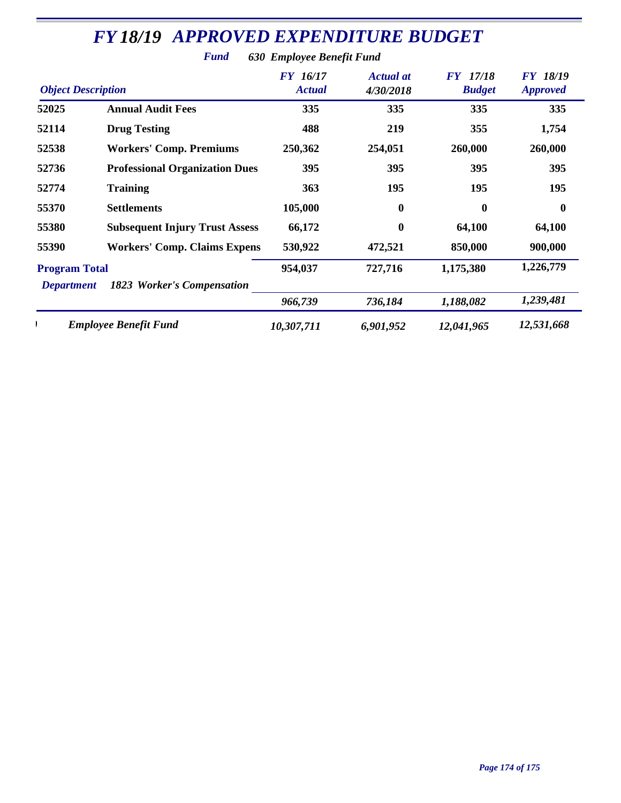|                                                                         | <b>Fund</b>                           | 630 Employee Benefit Fund        |                               |                                  |                                    |
|-------------------------------------------------------------------------|---------------------------------------|----------------------------------|-------------------------------|----------------------------------|------------------------------------|
| <b>Object Description</b>                                               |                                       | <b>FY</b> 16/17<br><b>Actual</b> | <b>Actual at</b><br>4/30/2018 | <b>FY</b> 17/18<br><b>Budget</b> | <b>FY 18/19</b><br><b>Approved</b> |
| 52025                                                                   | <b>Annual Audit Fees</b>              | 335                              | 335                           | 335                              | 335                                |
| 52114                                                                   | <b>Drug Testing</b>                   | 488                              | 219                           | 355                              | 1,754                              |
| 52538                                                                   | <b>Workers' Comp. Premiums</b>        | 250,362                          | 254,051                       | 260,000                          | 260,000                            |
| 52736                                                                   | <b>Professional Organization Dues</b> | 395                              | 395                           | 395                              | 395                                |
| 52774                                                                   | <b>Training</b>                       | 363                              | 195                           | 195                              | 195                                |
| 55370                                                                   | <b>Settlements</b>                    | 105,000                          | $\boldsymbol{0}$              | $\mathbf{0}$                     | $\boldsymbol{0}$                   |
| 55380                                                                   | <b>Subsequent Injury Trust Assess</b> | 66,172                           | $\boldsymbol{0}$              | 64,100                           | 64,100                             |
| 55390                                                                   | <b>Workers' Comp. Claims Expens</b>   | 530,922                          | 472,521                       | 850,000                          | 900,000                            |
| <b>Program Total</b><br>1823 Worker's Compensation<br><b>Department</b> |                                       | 954,037                          | 727,716                       | 1,175,380                        | 1,226,779                          |
|                                                                         |                                       | 966,739                          | 736,184                       | 1,188,082                        | 1,239,481                          |
|                                                                         | <b>Employee Benefit Fund</b>          | 10,307,711                       | 6,901,952                     | 12,041,965                       | 12,531,668                         |